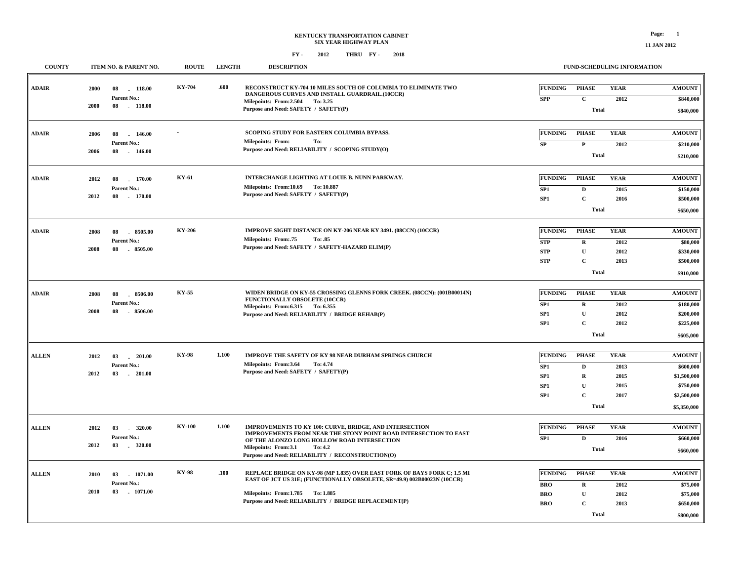| <b>COUNTY</b> |              | ITEM NO. & PARENT NO.                          | <b>ROUTE</b>  | <b>LENGTH</b> | <b>DESCRIPTION</b>                                                                                                                                                                             |                                    | <b>FUND-SCHEDULING INFORMATION</b>          |                     |                                         |
|---------------|--------------|------------------------------------------------|---------------|---------------|------------------------------------------------------------------------------------------------------------------------------------------------------------------------------------------------|------------------------------------|---------------------------------------------|---------------------|-----------------------------------------|
| <b>ADAIR</b>  | 2000<br>2000 | 118.00<br>08<br>Parent No.:<br>08<br>$-118.00$ | KY-704        | .600          | RECONSTRUCT KY-704 10 MILES SOUTH OF COLUMBIA TO ELIMINATE TWO<br>DANGEROUS CURVES AND INSTALL GUARDRAIL.(10CCR)<br>Milepoints: From:2.504<br>To: 3.25<br>Purpose and Need: SAFETY / SAFETY(P) | FUNDING<br><b>SPP</b>              | <b>PHASE</b><br>$\mathbf C$<br><b>Total</b> | <b>YEAR</b><br>2012 | <b>AMOUNT</b><br>\$840,000<br>\$840,000 |
| ADAIR         | 2006         | 146.00<br>08                                   |               |               | SCOPING STUDY FOR EASTERN COLUMBIA BYPASS.                                                                                                                                                     | FUNDING                            | <b>PHASE</b>                                | <b>YEAR</b>         | <b>AMOUNT</b>                           |
|               | 2006         | Parent No.:<br>08<br>$-146.00$                 |               |               | <b>Milepoints: From:</b><br>To:<br>Purpose and Need: RELIABILITY / SCOPING STUDY(O)                                                                                                            | SP                                 | $\mathbf{P}$<br><b>Total</b>                | 2012                | \$210,000<br>\$210,000                  |
|               |              |                                                |               |               |                                                                                                                                                                                                |                                    |                                             |                     |                                         |
| <b>ADAIR</b>  | 2012         | 08<br>170.00<br>Parent No.:                    | KY-61         |               | INTERCHANGE LIGHTING AT LOUIE B. NUNN PARKWAY.<br>Milepoints: From:10.69 To:10.887                                                                                                             | <b>FUNDING</b>                     | <b>PHASE</b>                                | <b>YEAR</b>         | <b>AMOUNT</b>                           |
|               | 2012         | 08<br>170.00                                   |               |               | Purpose and Need: SAFETY / SAFETY(P)                                                                                                                                                           | SP <sub>1</sub><br>SP1             | $\mathbf D$<br>$\mathbf C$                  | 2015<br>2016        | \$150,000<br>\$500,000                  |
|               |              |                                                |               |               |                                                                                                                                                                                                |                                    | <b>Total</b>                                |                     | \$650,000                               |
|               |              |                                                |               |               |                                                                                                                                                                                                |                                    |                                             |                     |                                         |
| <b>ADAIR</b>  | 2008         | 8505.00<br>08<br>Parent No.:                   | <b>KY-206</b> |               | IMPROVE SIGHT DISTANCE ON KY-206 NEAR KY 3491. (08CCN) (10CCR)<br><b>Milepoints: From:.75</b><br>To: .85                                                                                       | <b>FUNDING</b>                     | <b>PHASE</b>                                | <b>YEAR</b>         | <b>AMOUNT</b>                           |
|               | 2008         | 08<br>8505.00                                  |               |               | Purpose and Need: SAFETY / SAFETY-HAZARD ELIM(P)                                                                                                                                               | <b>STP</b><br><b>STP</b>           | $\mathbf R$<br>$\mathbf{U}$                 | 2012<br>2012        | \$80,000<br>\$330,000                   |
|               |              |                                                |               |               |                                                                                                                                                                                                | <b>STP</b>                         | $\mathbf C$                                 | 2013                | \$500,000                               |
|               |              |                                                |               |               |                                                                                                                                                                                                |                                    | <b>Total</b>                                |                     | \$910,000                               |
|               |              |                                                |               |               |                                                                                                                                                                                                |                                    |                                             |                     |                                         |
| <b>ADAIR</b>  | 2008         | 8506.00<br>08                                  | KY-55         |               | WIDEN BRIDGE ON KY-55 CROSSING GLENNS FORK CREEK. (08CCN): (001B00014N)<br>FUNCTIONALLY OBSOLETE (10CCR)                                                                                       | <b>FUNDING</b>                     | <b>PHASE</b>                                | <b>YEAR</b>         | <b>AMOUNT</b>                           |
|               | 2008         | Parent No.:<br>08<br>8506.00                   |               |               | Milepoints: From: 6.315 To: 6.355                                                                                                                                                              | SP1                                | $\mathbf R$                                 | 2012                | \$180,000                               |
|               |              |                                                |               |               | Purpose and Need: RELIABILITY / BRIDGE REHAB(P)                                                                                                                                                | SP <sub>1</sub><br>SP <sub>1</sub> | ${\bf U}$<br>$\mathbf C$                    | 2012<br>2012        | \$200,000<br>\$225,000                  |
|               |              |                                                |               |               |                                                                                                                                                                                                |                                    | <b>Total</b>                                |                     | \$605,000                               |
|               |              |                                                |               |               |                                                                                                                                                                                                |                                    |                                             |                     |                                         |
| <b>ALLEN</b>  | 2012         | $-201.00$<br>03                                | <b>KY-98</b>  | 1.100         | <b>IMPROVE THE SAFETY OF KY 98 NEAR DURHAM SPRINGS CHURCH</b>                                                                                                                                  | <b>FUNDING</b>                     | <b>PHASE</b>                                | <b>YEAR</b>         | <b>AMOUNT</b>                           |
|               | 2012         | Parent No.:<br>03<br>$-201.00$                 |               |               | Milepoints: From:3.64<br>To: 4.74<br>Purpose and Need: SAFETY / SAFETY(P)                                                                                                                      | SP <sub>1</sub>                    | D                                           | 2013                | \$600,000                               |
|               |              |                                                |               |               |                                                                                                                                                                                                | SP1<br>SP1                         | $\mathbf R$<br>${\bf U}$                    | 2015<br>2015        | \$1,500,000<br>\$750,000                |
|               |              |                                                |               |               |                                                                                                                                                                                                | SP <sub>1</sub>                    | $\mathbf{C}$                                | 2017                | \$2,500,000                             |
|               |              |                                                |               |               |                                                                                                                                                                                                |                                    | <b>Total</b>                                |                     | \$5,350,000                             |
|               |              |                                                |               |               |                                                                                                                                                                                                |                                    |                                             |                     |                                         |
| <b>ALLEN</b>  | 2012         | 03<br>320.00                                   | <b>KY-100</b> | 1.100         | IMPROVEMENTS TO KY 100: CURVE, BRIDGE, AND INTERSECTION<br>IMPROVEMENTS FROM NEAR THE STONY POINT ROAD INTERSECTION TO EAST                                                                    | FUNDING                            | <b>PHASE</b>                                | <b>YEAR</b>         | <b>AMOUNT</b>                           |
|               | 2012         | Parent No.:<br>03<br>$-320.00$                 |               |               | OF THE ALONZO LONG HOLLOW ROAD INTERSECTION                                                                                                                                                    | SP1                                | D                                           | 2016                | \$660,000                               |
|               |              |                                                |               |               | Milepoints: From:3.1<br>To: 4.2<br>Purpose and Need: RELIABILITY / RECONSTRUCTION(O)                                                                                                           |                                    | <b>Total</b>                                |                     | \$660,000                               |
| <b>ALLEN</b>  | 2010         | 03<br>1071.00                                  | <b>KY-98</b>  | .100          | REPLACE BRIDGE ON KY-98 (MP 1.835) OVER EAST FORK OF BAYS FORK C; 1.5 MI                                                                                                                       | <b>FUNDING</b>                     | <b>PHASE</b>                                | <b>YEAR</b>         | <b>AMOUNT</b>                           |
|               |              | Parent No.:                                    |               |               | EAST OF JCT US 31E; (FUNCTIONALLY OBSOLETE, SR=49.9) 002B00023N (10CCR)                                                                                                                        | <b>BRO</b>                         | $\mathbf R$                                 | 2012                | \$75,000                                |
|               | 2010         | 03 1071.00                                     |               |               | Milepoints: From: 1.785 To: 1.885                                                                                                                                                              | <b>BRO</b>                         | ${\bf U}$                                   | 2012                | \$75,000                                |
|               |              |                                                |               |               | Purpose and Need: RELIABILITY / BRIDGE REPLACEMENT(P)                                                                                                                                          | <b>BRO</b>                         | $\mathbf C$                                 | 2013                | \$650,000                               |
|               |              |                                                |               |               |                                                                                                                                                                                                |                                    | <b>Total</b>                                |                     | \$800,000                               |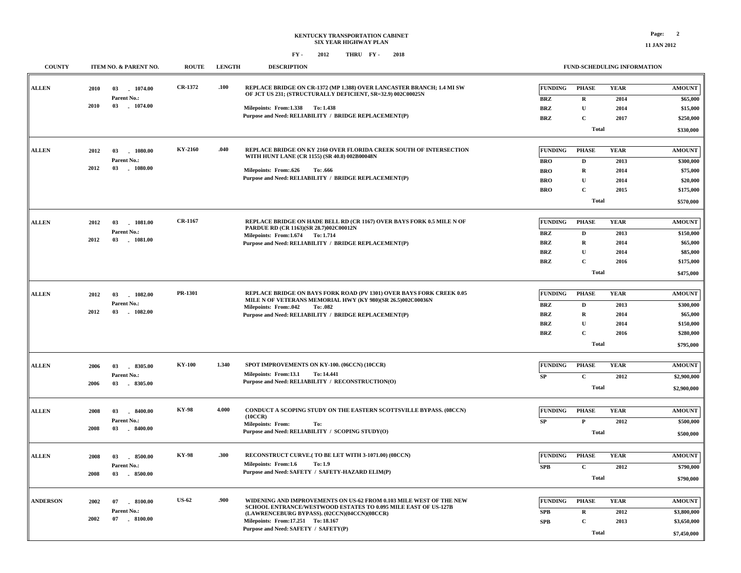**11 JAN 2012**

| <b>COUNTY</b>   |            | ITEM NO. & PARENT NO. | <b>ROUTE</b>  | <b>LENGTH</b> | <b>DESCRIPTION</b>                                                                                                                   | FUND-SCHEDULING INFORMATION |              |             |               |  |  |
|-----------------|------------|-----------------------|---------------|---------------|--------------------------------------------------------------------------------------------------------------------------------------|-----------------------------|--------------|-------------|---------------|--|--|
| <b>ALLEN</b>    | 2010<br>03 | 1074.00               | CR-1372       | .100          | REPLACE BRIDGE ON CR-1372 (MP 1.388) OVER LANCASTER BRANCH; 1.4 MI SW<br>OF JCT US 231; (STRUCTURALLY DEFICIENT, SR=32.9) 002C00025N | <b>FUNDING</b>              | <b>PHASE</b> | <b>YEAR</b> | <b>AMOUNT</b> |  |  |
|                 |            | Parent No.:           |               |               |                                                                                                                                      | <b>BRZ</b>                  | $\mathbf R$  | 2014        | \$65,000      |  |  |
|                 | 2010<br>03 | $-1074.00$            |               |               | Milepoints: From:1.338 To:1.438                                                                                                      | <b>BRZ</b>                  | U            | 2014        | \$15,000      |  |  |
|                 |            |                       |               |               | Purpose and Need: RELIABILITY / BRIDGE REPLACEMENT(P)                                                                                | <b>BRZ</b>                  | $\mathbf C$  | 2017        | \$250,000     |  |  |
|                 |            |                       |               |               |                                                                                                                                      |                             | <b>Total</b> |             |               |  |  |
|                 |            |                       |               |               |                                                                                                                                      |                             |              |             |               |  |  |
| <b>ALLEN</b>    | 2012<br>03 | 1080.00               | KY-2160       | .040          | REPLACE BRIDGE ON KY 2160 OVER FLORIDA CREEK SOUTH OF INTERSECTION                                                                   | <b>FUNDING</b>              | <b>PHASE</b> | <b>YEAR</b> | <b>AMOUNT</b> |  |  |
|                 |            | Parent No.:           |               |               | WITH HUNT LANE (CR 1155) (SR 40.8) 002B00048N                                                                                        | <b>BRO</b>                  | $\mathbf D$  | 2013        | \$300,000     |  |  |
|                 | 2012<br>03 | $-1080.00$            |               |               | <b>Milepoints: From:.626</b><br>To: .666                                                                                             | <b>BRO</b>                  | $\mathbf R$  | 2014        | \$75,000      |  |  |
|                 |            |                       |               |               | Purpose and Need: RELIABILITY / BRIDGE REPLACEMENT(P)                                                                                | <b>BRO</b>                  | $\mathbf{U}$ | 2014        | \$20,000      |  |  |
|                 |            |                       |               |               |                                                                                                                                      | <b>BRO</b>                  | $\mathbf C$  | 2015        | \$175,000     |  |  |
|                 |            |                       |               |               |                                                                                                                                      |                             | <b>Total</b> |             | \$570,000     |  |  |
|                 |            |                       |               |               |                                                                                                                                      |                             |              |             |               |  |  |
| <b>ALLEN</b>    | 2012<br>03 | 1081.00               | CR-1167       |               | REPLACE BRIDGE ON HADE BELL RD (CR 1167) OVER BAYS FORK 0.5 MILE N OF<br>PARDUE RD (CR 1163)(SR 28.7)002C00012N                      | <b>FUNDING</b>              | <b>PHASE</b> | <b>YEAR</b> | <b>AMOUNT</b> |  |  |
|                 |            | Parent No.:           |               |               | Milepoints: From: 1.674 To: 1.714                                                                                                    | <b>BRZ</b>                  | $\mathbf D$  | 2013        | \$150,000     |  |  |
|                 | 2012<br>03 | $-1081.00$            |               |               | Purpose and Need: RELIABILITY / BRIDGE REPLACEMENT(P)                                                                                | <b>BRZ</b>                  | $\mathbf R$  | 2014        | \$65,000      |  |  |
|                 |            |                       |               |               |                                                                                                                                      | <b>BRZ</b>                  | $\mathbf{U}$ | 2014        | \$85,000      |  |  |
|                 |            |                       |               |               |                                                                                                                                      | <b>BRZ</b>                  | $\mathbf C$  | 2016        | \$175,000     |  |  |
|                 |            |                       |               |               |                                                                                                                                      |                             | <b>Total</b> |             | \$475,000     |  |  |
|                 |            |                       |               |               |                                                                                                                                      |                             |              |             |               |  |  |
| <b>ALLEN</b>    | 2012<br>03 | 1082.00               | PR-1301       |               | REPLACE BRIDGE ON BAYS FORK ROAD (PV 1301) OVER BAYS FORK CREEK 0.05                                                                 | <b>FUNDING</b>              | <b>PHASE</b> | <b>YEAR</b> | <b>AMOUNT</b> |  |  |
|                 |            | Parent No.:           |               |               | MILE N OF VETERANS MEMORIAL HWY (KY 980)(SR 26.5)002C00036N<br>Milepoints: From:.042<br>To: .082                                     | <b>BRZ</b>                  | $\mathbf D$  | 2013        | \$300,000     |  |  |
|                 | 2012<br>03 | 1082.00               |               |               | Purpose and Need: RELIABILITY / BRIDGE REPLACEMENT(P)                                                                                | <b>BRZ</b>                  | $\mathbf R$  | 2014        | \$65,000      |  |  |
|                 |            |                       |               |               |                                                                                                                                      | <b>BRZ</b>                  | $\mathbf U$  | 2014        | \$150,000     |  |  |
|                 |            |                       |               |               |                                                                                                                                      | <b>BRZ</b>                  | $\mathbf C$  | 2016        | \$280,000     |  |  |
|                 |            |                       |               |               |                                                                                                                                      |                             | <b>Total</b> |             | \$795,000     |  |  |
|                 |            |                       |               |               |                                                                                                                                      |                             |              |             |               |  |  |
| <b>ALLEN</b>    | 2006<br>03 | $-8305.00$            | <b>KY-100</b> | 1.340         | SPOT IMPROVEMENTS ON KY-100. (06CCN) (10CCR)                                                                                         | <b>FUNDING</b>              | <b>PHASE</b> | <b>YEAR</b> | <b>AMOUNT</b> |  |  |
|                 |            | Parent No.:           |               |               | Milepoints: From:13.1<br>To: 14.441                                                                                                  | ${\bf SP}$                  | $\mathbf C$  | 2012        | \$2,900,000   |  |  |
|                 | 2006<br>03 | $-8305.00$            |               |               | Purpose and Need: RELIABILITY / RECONSTRUCTION(O)                                                                                    |                             | <b>Total</b> |             | \$2,900,000   |  |  |
|                 |            |                       |               |               |                                                                                                                                      |                             |              |             |               |  |  |
| <b>ALLEN</b>    | 2008<br>03 | $-8400.00$            | <b>KY-98</b>  | 4.000         | CONDUCT A SCOPING STUDY ON THE EASTERN SCOTTSVILLE BYPASS. (08CCN)<br>(10CCR)                                                        | <b>FUNDING</b>              | <b>PHASE</b> | <b>YEAR</b> | <b>AMOUNT</b> |  |  |
|                 |            | Parent No.:           |               |               | Milepoints: From:<br>To:                                                                                                             | SP                          | $\mathbf P$  | 2012        | \$500,000     |  |  |
|                 | 2008<br>03 | $-8400.00$            |               |               | Purpose and Need: RELIABILITY / SCOPING STUDY(O)                                                                                     |                             | <b>Total</b> |             | \$500,000     |  |  |
|                 |            |                       |               |               |                                                                                                                                      |                             |              |             |               |  |  |
| <b>ALLEN</b>    | 2008<br>03 | 8500.00               | <b>KY-98</b>  | .300          | RECONSTRUCT CURVE.(TO BE LET WITH 3-1071.00) (08CCN)                                                                                 | <b>FUNDING</b>              | <b>PHASE</b> | <b>YEAR</b> | <b>AMOUNT</b> |  |  |
|                 |            | Parent No.:           |               |               | Milepoints: From:1.6<br>To: 1.9                                                                                                      | <b>SPB</b>                  | $\mathbf C$  | 2012        | \$790,000     |  |  |
|                 | 2008<br>03 | $-8500.00$            |               |               | Purpose and Need: SAFETY / SAFETY-HAZARD ELIM(P)                                                                                     |                             | <b>Total</b> |             | \$790,000     |  |  |
|                 |            |                       |               |               |                                                                                                                                      |                             |              |             |               |  |  |
| <b>ANDERSON</b> | 2002<br>07 | 8100.00               | <b>US-62</b>  | .900          | WIDENING AND IMPROVEMENTS ON US-62 FROM 0.103 MILE WEST OF THE NEW                                                                   | <b>FUNDING</b>              | <b>PHASE</b> | <b>YEAR</b> | <b>AMOUNT</b> |  |  |
|                 |            | Parent No.:           |               |               | SCHOOL ENTRANCE/WESTWOOD ESTATES TO 0.095 MILE EAST OF US-127B<br>(LAWRENCEBURG BYPASS). (02CCN)(04CCN)(08CCR)                       | <b>SPB</b>                  | $\mathbf R$  | 2012        | \$3,800,000   |  |  |
|                 | 2002<br>07 | $-8100.00$            |               |               | Milepoints: From: 17.251 To: 18.167                                                                                                  | <b>SPB</b>                  | $\mathbf C$  | 2013        | \$3,650,000   |  |  |
|                 |            |                       |               |               | Purpose and Need: SAFETY / SAFETY(P)                                                                                                 |                             | <b>Total</b> |             | \$7,450,000   |  |  |
|                 |            |                       |               |               |                                                                                                                                      |                             |              |             |               |  |  |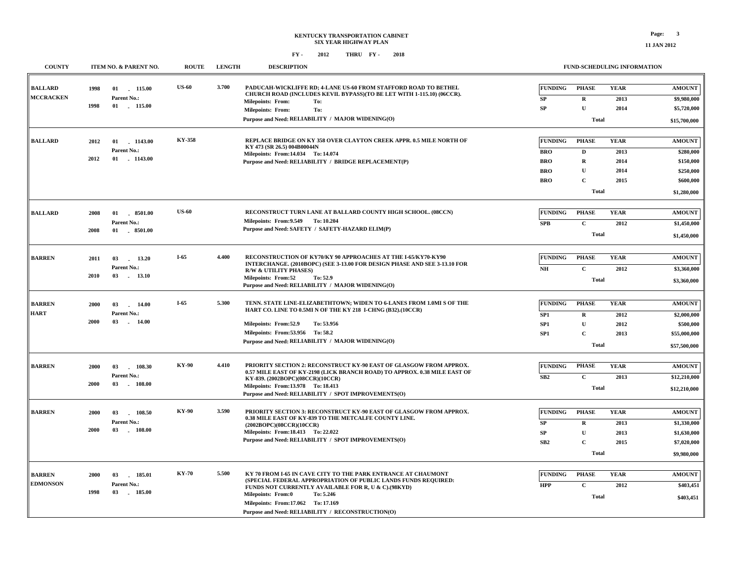**BALLARD**

**MCCRACKEN**

**1998**

**1998**

**2012**

**BALLARD**

#### **COUNTY ITEM NO. & PARENT NO. ROUTE LENGTH DESCRIPTION FUND-SCHEDULING INFORMATION PADUCAH-WICKLIFFE RD; 4-LANE US-60 FROM STAFFORD ROAD TO BETHEL CHURCH ROAD (INCLUDES KEVIL BYPASS)(TO BE LET WITH 1-115.10) (06CCR). REPLACE BRIDGE ON KY 358 OVER CLAYTON CREEK APPR. 0.5 MILE NORTH OF KY 473 (SR 26.5) 004B00044N 3.700 US-60 KY-358 \$15,700,000 Total TotalRU DR UCPHASEFUNDINGPHASE 2013 2014 20132014 20142015 YEARYEAR SPSP BROBROBROBROFUNDING \$9,980,000 \$5,720,000 \$280,000 \$150,000 \$250,000 \$600,000 AMOUNTAMOUNT 01 115.00 - 01 1143.00 -Purpose and Need: RELIABILITY / MAJOR WIDENING(O) Purpose and Need: RELIABILITY / BRIDGE REPLACEMENT(P) 01 115.00 - 01 1143.00 -2012 Parent No.:Parent No.:14.034 14.074 Milepoints: To: From: Milepoints: From: To: Milepoints: From: To:**

|                |      |                        |              |       |                                                                                                               |                 | Total        |             | \$1,280,000   |
|----------------|------|------------------------|--------------|-------|---------------------------------------------------------------------------------------------------------------|-----------------|--------------|-------------|---------------|
| <b>BALLARD</b> | 2008 | 01 8501.00             | <b>US-60</b> |       | RECONSTRUCT TURN LANE AT BALLARD COUNTY HIGH SCHOOL. (08CCN)                                                  | <b>FUNDING</b>  | <b>PHASE</b> | <b>YEAR</b> | <b>AMOUNT</b> |
|                |      | Parent No.:            |              |       | Milepoints: From: 9.549 To: 10.204                                                                            | <b>SPB</b>      | $\mathbf{C}$ | 2012        | \$1,450,000   |
|                | 2008 | $01$ $8501.00$         |              |       | Purpose and Need: SAFETY / SAFETY-HAZARD ELIM(P)                                                              |                 | Total        |             | \$1,450,000   |
| <b>BARREN</b>  | 2011 | 03<br>13.20<br>n.      | $I-65$       | 4.400 | RECONSTRUCTION OF KY70/KY 90 APPROACHES AT THE I-65/KY70-KY90                                                 | <b>FUNDING</b>  | <b>PHASE</b> | <b>YEAR</b> | <b>AMOUNT</b> |
|                |      | Parent No.:            |              |       | INTERCHANGE. (2010BOPC) (SEE 3-13.00 FOR DESIGN PHASE AND SEE 3-13.10 FOR<br><b>R/W &amp; UTILITY PHASES)</b> | NH              | $\mathbf{C}$ | 2012        | \$3,360,000   |
|                | 2010 | $03$ . $13.10$         |              |       | <b>Milepoints: From:52</b><br>To: 52.9<br>Purpose and Need: RELIABILITY / MAJOR WIDENING(O)                   |                 | Total        |             | \$3,360,000   |
| <b>BARREN</b>  | 2000 | 03<br>14.00<br>$\sim$  | $I-65$       | 5.300 | TENN. STATE LINE-ELIZABETHTOWN; WIDEN TO 6-LANES FROM 1.0MI S OF THE                                          | <b>FUNDING</b>  | <b>PHASE</b> | <b>YEAR</b> | <b>AMOUNT</b> |
| <b>HART</b>    |      | Parent No.:            |              |       | HART CO. LINE TO 0.5MI N OF THE KY 218 I-CHNG (B32).(10CCR)                                                   | SP1             | R            | 2012        | \$2,000,000   |
|                | 2000 | 14.00<br>03<br>$\sim$  |              |       | To: 53.956<br>Milepoints: From:52.9                                                                           | SP <sub>1</sub> | U            | 2012        | \$500,000     |
|                |      |                        |              |       | Milepoints: From: 53.956 To: 58.2                                                                             | SP <sub>1</sub> | $\mathbf C$  | 2013        | \$55,000,000  |
|                |      |                        |              |       | Purpose and Need: RELIABILITY / MAJOR WIDENING(O)                                                             |                 | Total        |             | \$57,500,000  |
| <b>BARREN</b>  | 2000 | 03<br>108.30<br>$\sim$ | <b>KY-90</b> | 4.410 | PRIORITY SECTION 2: RECONSTRUCT KY-90 EAST OF GLASGOW FROM APPROX.                                            | <b>FUNDING</b>  | <b>PHASE</b> | <b>YEAR</b> | <b>AMOUNT</b> |
|                |      | Parent No.:            |              |       | 0.57 MILE EAST OF KY-2198 (LICK BRANCH ROAD) TO APPROX. 0.38 MILE EAST OF<br>KY-839. (2002BOPC)(08CCR)(10CCR) | SB2             | $\mathbf{C}$ | 2013        | \$12,210,000  |
|                | 2000 | 03 108.00              |              |       | Milepoints: From:13.978 To: 18.413<br>Purpose and Need: RELIABILITY / SPOT IMPROVEMENTS(O)                    |                 | Total        |             | \$12,210,000  |
| <b>BARREN</b>  | 2000 | 03<br>108.50<br>$\sim$ | <b>KY-90</b> | 3.590 | PRIORITY SECTION 3: RECONSTRUCT KY-90 EAST OF GLASGOW FROM APPROX.                                            | <b>FUNDING</b>  | <b>PHASE</b> | <b>YEAR</b> | <b>AMOUNT</b> |
|                |      | Parent No.:            |              |       | 0.38 MILE EAST OF KY-839 TO THE METCALFE COUNTY LINE.                                                         | SP              | $\mathbf R$  | 2013        | \$1,330,000   |
|                | 2000 | $-108.00$<br>03        |              |       | (2002BOPC)(08CCR)(10CCR)<br>Milepoints: From:18.413 To: 22.022                                                | SP              | U            | 2013        | \$1,630,000   |
|                |      |                        |              |       | Purpose and Need: RELIABILITY / SPOT IMPROVEMENTS(O)                                                          | SB2             | $\mathbf C$  | 2015        | \$7,020,000   |
|                |      |                        |              |       |                                                                                                               |                 | Total        |             | \$9,980,000   |

| <b>BARREN</b>   | <b>2000</b> | 185.01<br>$\bf{03}$ | 5.500<br><b>KY-70</b> | KY 70 FROM I-65 IN CAVE CITY TO THE PARK ENTRANCE AT CHAUMONT<br>(SPECIAL FEDERAL APPROPRIATION OF PUBLIC LANDS FUNDS REQUIRED: | <b>FUNDING</b> | <b>PHASE</b> | <b>YEAR</b> | <b>AMOUNT</b> |
|-----------------|-------------|---------------------|-----------------------|---------------------------------------------------------------------------------------------------------------------------------|----------------|--------------|-------------|---------------|
| <b>EDMONSON</b> |             | Parent No.:         |                       | <b>FUNDS NOT CURRENTLY AVAILABLE FOR R, U &amp; C).(98KYD)</b>                                                                  | <b>HPP</b>     |              | 2012        | \$403,451     |
|                 | 1998        | 185.00<br>03        |                       | To: 5.246<br><b>Milepoints: From:0</b>                                                                                          |                | Total        |             | \$403,451     |
|                 |             |                     |                       | Milepoints: From:17.062 To: 17.169                                                                                              |                |              |             |               |
|                 |             |                     |                       | Purpose and Need: RELIABILITY / RECONSTRUCTION(O)                                                                               |                |              |             |               |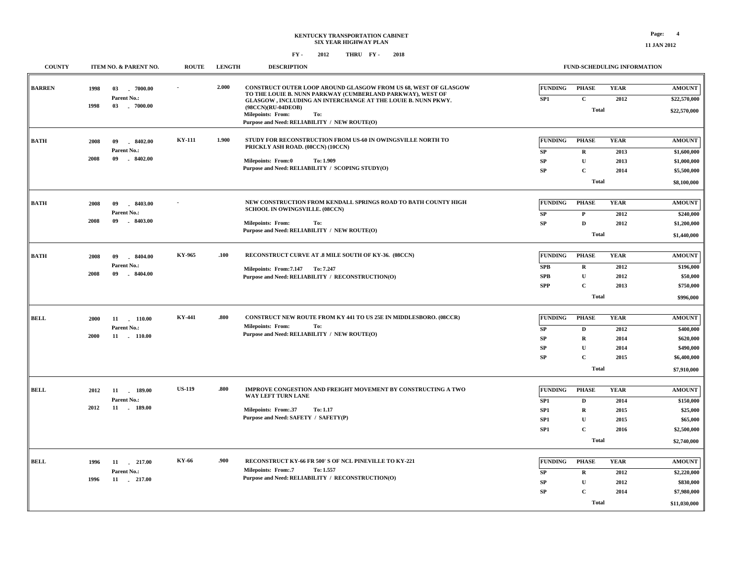### **KENTUCKY TRANSPORTATION CABINET SIX YEAR HIGHWAY PLAN FY - FY - 2012 2018 THRU**

**COUNTY ITEM NO. & PARENT NO. ROUTE LENGTH DESCRIPTION**

#### **FUND-SCHEDULING INFORMATION**

| <b>BARREN</b> | 1998<br>1998 | 03<br>$-7000.00$<br>Parent No.:<br>03<br>$-7000.00$ |               | 2.000 | <b>CONSTRUCT OUTER LOOP AROUND GLASGOW FROM US 68, WEST OF GLASGOW</b><br>TO THE LOUIE B. NUNN PARKWAY (CUMBERLAND PARKWAY), WEST OF<br>GLASGOW , INCLUDING AN INTERCHANGE AT THE LOUIE B. NUNN PKWY.<br>(98CCN)(RU-04DEOB)<br>Milepoints: From:<br>To:<br>Purpose and Need: RELIABILITY / NEW ROUTE(O) | <b>FUNDING</b><br>SP1                                       | <b>PHASE</b><br>$\mathbf C$<br><b>Total</b>                                                | <b>YEAR</b><br>2012                         | <b>AMOUNT</b><br>\$22,570,000<br>\$22,570,000                                      |
|---------------|--------------|-----------------------------------------------------|---------------|-------|---------------------------------------------------------------------------------------------------------------------------------------------------------------------------------------------------------------------------------------------------------------------------------------------------------|-------------------------------------------------------------|--------------------------------------------------------------------------------------------|---------------------------------------------|------------------------------------------------------------------------------------|
| <b>BATH</b>   | 2008<br>2008 | 09<br>8402.00<br>Parent No.:<br>09<br>$-8402.00$    | KY-111        | 1.900 | STUDY FOR RECONSTRUCTION FROM US-60 IN OWINGSVILLE NORTH TO<br>PRICKLY ASH ROAD. (08CCN) (10CCN)<br>Milepoints: From:0<br>To: 1.909<br>Purpose and Need: RELIABILITY / SCOPING STUDY(O)                                                                                                                 | <b>FUNDING</b><br>SP<br><b>SP</b><br>SP                     | <b>PHASE</b><br>$\mathbf R$<br>$\mathbf{U}$<br>$\mathbf C$<br><b>Total</b>                 | <b>YEAR</b><br>2013<br>2013<br>2014         | <b>AMOUNT</b><br>\$1,600,000<br>\$1,000,000<br>\$5,500,000<br>\$8,100,000          |
| <b>BATH</b>   | 2008<br>2008 | 09<br>$-8403.00$<br>Parent No.:<br>09<br>$-8403.00$ |               |       | NEW CONSTRUCTION FROM KENDALL SPRINGS ROAD TO BATH COUNTY HIGH<br>SCHOOL IN OWINGSVILLE. (08CCN)<br><b>Milepoints: From:</b><br>To:<br>Purpose and Need: RELIABILITY / NEW ROUTE(O)                                                                                                                     | <b>FUNDING</b><br>SP<br>SP                                  | <b>PHASE</b><br>$\mathbf{P}$<br>D<br><b>Total</b>                                          | <b>YEAR</b><br>2012<br>2012                 | <b>AMOUNT</b><br>\$240,000<br>\$1,200,000<br>\$1,440,000                           |
| <b>BATH</b>   | 2008<br>2008 | 09<br>8404.00<br>Parent No.:<br>$-8404.00$<br>09    | KY-965        | .100  | RECONSTRUCT CURVE AT .8 MILE SOUTH OF KY-36. (08CCN)<br>Milepoints: From: 7.147 To: 7.247<br>Purpose and Need: RELIABILITY / RECONSTRUCTION(O)                                                                                                                                                          | <b>FUNDING</b><br>SPB<br>SPB<br><b>SPP</b>                  | <b>PHASE</b><br>$\mathbf R$<br>${\bf U}$<br>$\mathbf{C}$<br><b>Total</b>                   | <b>YEAR</b><br>2012<br>2012<br>2013         | <b>AMOUNT</b><br>\$196,000<br>\$50,000<br>\$750,000<br>\$996,000                   |
| BELL          | 2000<br>2000 | 11<br>110.00<br>Parent No.:<br>11 . 110.00          | KY-441        | .800  | <b>CONSTRUCT NEW ROUTE FROM KY 441 TO US 25E IN MIDDLESBORO. (08CCR)</b><br><b>Milepoints: From:</b><br>To:<br>Purpose and Need: RELIABILITY / NEW ROUTE(O)                                                                                                                                             | <b>FUNDING</b><br>SP<br><b>SP</b><br><b>SP</b><br><b>SP</b> | <b>PHASE</b><br>$\mathbf D$<br>$\mathbf R$<br>$\mathbf U$<br>$\mathbf C$<br><b>Total</b>   | <b>YEAR</b><br>2012<br>2014<br>2014<br>2015 | <b>AMOUNT</b><br>\$400,000<br>\$620,000<br>\$490,000<br>\$6,400,000<br>\$7,910,000 |
| BELL          | 2012<br>2012 | 11<br>$-189.00$<br>Parent No.:<br>11 . 189.00       | <b>US-119</b> | .800  | IMPROVE CONGESTION AND FREIGHT MOVEMENT BY CONSTRUCTING A TWO<br>WAY LEFT TURN LANE<br>Milepoints: From:.37<br>To: 1.17<br>Purpose and Need: SAFETY / SAFETY(P)                                                                                                                                         | <b>FUNDING</b><br>SP1<br>SP <sub>1</sub><br>SP1<br>SP1      | <b>PHASE</b><br>$\mathbf D$<br>$\mathbf R$<br>$\mathbf{U}$<br>$\mathbf{C}$<br><b>Total</b> | <b>YEAR</b><br>2014<br>2015<br>2015<br>2016 | <b>AMOUNT</b><br>\$150,000<br>\$25,000<br>\$65,000<br>\$2,500,000<br>\$2,740,000   |
| <b>BELL</b>   | 1996<br>1996 | $-217.00$<br>11<br>Parent No.:<br>11<br>$-217.00$   | KY-66         | .900  | RECONSTRUCT KY-66 FR 500' S OF NCL PINEVILLE TO KY-221<br><b>Milepoints: From:.7</b><br>To: 1.557<br>Purpose and Need: RELIABILITY / RECONSTRUCTION(O)                                                                                                                                                  | <b>FUNDING</b><br>${\bf SP}$<br>SP<br><b>SP</b>             | <b>PHASE</b><br>$\mathbf R$<br>${\bf U}$<br>$\mathbf C$<br><b>Total</b>                    | <b>YEAR</b><br>2012<br>2012<br>2014         | <b>AMOUNT</b><br>\$2,220,000<br>\$830,000<br>\$7,980,000<br>\$11,030,000           |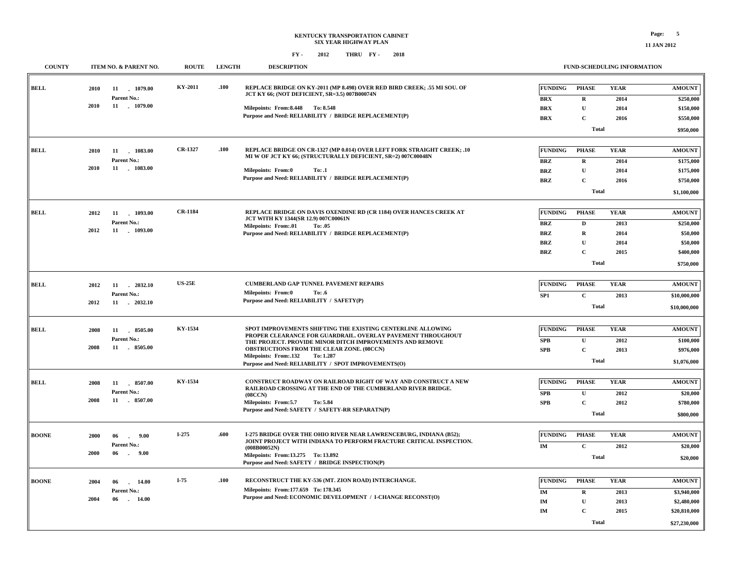| <b>COUNTY</b> | ITEM NO. & PARENT NO.              | <b>ROUTE</b>   | <b>LENGTH</b> | <b>DESCRIPTION</b>                                                                                                                        | FUND-SCHEDULING INFORMATION |              |             |               |  |
|---------------|------------------------------------|----------------|---------------|-------------------------------------------------------------------------------------------------------------------------------------------|-----------------------------|--------------|-------------|---------------|--|
| <b>BELL</b>   | 2010<br>11 1079.00                 | KY-2011        | .100          | REPLACE BRIDGE ON KY-2011 (MP 8.498) OVER RED BIRD CREEK; .55 MI SOU. OF<br>JCT KY 66; (NOT DEFICIENT, SR=3.5) 007B00074N                 | <b>FUNDING</b>              | <b>PHASE</b> | <b>YEAR</b> | <b>AMOUNT</b> |  |
|               | Parent No.:                        |                |               |                                                                                                                                           | <b>BRX</b>                  | R            | 2014        | \$250,000     |  |
|               | 2010<br>11 1079.00                 |                |               | Milepoints: From: 8.448 To: 8.548                                                                                                         | <b>BRX</b>                  | $\mathbf U$  | 2014        | \$150,000     |  |
|               |                                    |                |               | Purpose and Need: RELIABILITY / BRIDGE REPLACEMENT(P)                                                                                     | <b>BRX</b>                  | $\mathbf C$  | 2016        | \$550,000     |  |
|               |                                    |                |               |                                                                                                                                           |                             | Total        |             | \$950,000     |  |
| <b>BELL</b>   | 11 1083.00<br>2010                 | CR-1327        | .100          | REPLACE BRIDGE ON CR-1327 (MP 0.014) OVER LEFT FORK STRAIGHT CREEK; .10                                                                   | <b>FUNDING</b>              | <b>PHASE</b> | <b>YEAR</b> | <b>AMOUNT</b> |  |
|               | Parent No.:                        |                |               | MI W OF JCT KY 66; (STRUCTURALLY DEFICIENT, SR=2) 007C00048N                                                                              | <b>BRZ</b>                  | $\mathbf R$  | 2014        | \$175,000     |  |
|               | 2010<br>11 1083.00                 |                |               | <b>Milepoints: From:0</b><br>To: .1                                                                                                       | <b>BRZ</b>                  | $\mathbf{U}$ | 2014        | \$175,000     |  |
|               |                                    |                |               | Purpose and Need: RELIABILITY / BRIDGE REPLACEMENT(P)                                                                                     | <b>BRZ</b>                  | $\mathbf C$  | 2016        | \$750,000     |  |
|               |                                    |                |               |                                                                                                                                           |                             | <b>Total</b> |             |               |  |
|               |                                    |                |               |                                                                                                                                           |                             |              |             | \$1,100,000   |  |
| BELL          | 11 1093.00<br>2012                 | <b>CR-1184</b> |               | REPLACE BRIDGE ON DAVIS OXENDINE RD (CR 1184) OVER HANCES CREEK AT                                                                        | <b>FUNDING</b>              | <b>PHASE</b> | <b>YEAR</b> | <b>AMOUNT</b> |  |
|               | Parent No.:                        |                |               | JCT WITH KY 1344(SR 12.9) 007C00061N<br>Milepoints: From:.01<br>To: .05                                                                   | <b>BRZ</b>                  | $\mathbf D$  | 2013        | \$250,000     |  |
|               | 2012<br>11 . 1093.00               |                |               | Purpose and Need: RELIABILITY / BRIDGE REPLACEMENT(P)                                                                                     | <b>BRZ</b>                  | $\mathbf R$  | 2014        | \$50,000      |  |
|               |                                    |                |               |                                                                                                                                           | <b>BRZ</b>                  | $\mathbf U$  | 2014        | \$50,000      |  |
|               |                                    |                |               |                                                                                                                                           | <b>BRZ</b>                  | $\mathbf C$  | 2015        | \$400,000     |  |
|               |                                    |                |               |                                                                                                                                           |                             | Total        |             | \$750,000     |  |
|               |                                    |                |               |                                                                                                                                           |                             |              |             |               |  |
| <b>BELL</b>   | 2012<br>11 2032.10                 | <b>US-25E</b>  |               | <b>CUMBERLAND GAP TUNNEL PAVEMENT REPAIRS</b><br>To: .6                                                                                   | <b>FUNDING</b>              | <b>PHASE</b> | <b>YEAR</b> | <b>AMOUNT</b> |  |
|               | Parent No.:                        |                |               | <b>Milepoints: From:0</b><br>Purpose and Need: RELIABILITY / SAFETY(P)                                                                    | SP <sub>1</sub>             | $\mathbf C$  | 2013        | \$10,000,000  |  |
|               | 2012<br>11 2032.10                 |                |               |                                                                                                                                           |                             | <b>Total</b> |             | \$10,000,000  |  |
| <b>BELL</b>   | 8505.00<br>2008<br>11              | KY-1534        |               | SPOT IMPROVEMENTS SHIFTING THE EXISTING CENTERLINE ALLOWING                                                                               | <b>FUNDING</b>              | <b>PHASE</b> | <b>YEAR</b> | <b>AMOUNT</b> |  |
|               | Parent No.:                        |                |               | PROPER CLEARANCE FOR GUARDRAIL. OVERLAY PAVEMENT THROUGHOUT                                                                               | <b>SPB</b>                  | $\mathbf{U}$ | 2012        | \$100,000     |  |
|               | 11<br>8505.00<br>2008              |                |               | THE PROJECT. PROVIDE MINOR DITCH IMPROVEMENTS AND REMOVE<br>OBSTRUCTIONS FROM THE CLEAR ZONE. (08CCN)                                     | SPB                         | $\mathbf C$  | 2013        |               |  |
|               |                                    |                |               | Milepoints: From: 132<br>To: 1.287                                                                                                        |                             |              |             | \$976,000     |  |
|               |                                    |                |               | Purpose and Need: RELIABILITY / SPOT IMPROVEMENTS(O)                                                                                      |                             | <b>Total</b> |             | \$1,076,000   |  |
| <b>BELL</b>   | 11 8507.00<br>2008                 | KY-1534        |               | CONSTRUCT ROADWAY ON RAILROAD RIGHT OF WAY AND CONSTRUCT A NEW                                                                            | <b>FUNDING</b>              | <b>PHASE</b> | <b>YEAR</b> | <b>AMOUNT</b> |  |
|               | Parent No.:                        |                |               | RAILROAD CROSSING AT THE END OF THE CUMBERLAND RIVER BRIDGE.<br>(08CCN)                                                                   | SPB                         | $\mathbf U$  | 2012        | \$20,000      |  |
|               | 2008<br>11 8507.00                 |                |               | Milepoints: From: 5.7<br>To: 5.84                                                                                                         | <b>SPB</b>                  | $\mathbf C$  | 2012        | \$780,000     |  |
|               |                                    |                |               | Purpose and Need: SAFETY / SAFETY-RR SEPARATN(P)                                                                                          |                             | Total        |             | \$800,000     |  |
|               |                                    |                |               |                                                                                                                                           |                             |              |             |               |  |
| <b>BOONE</b>  | 2000<br>06<br>9.00<br>$\sim$       | I-275          | .600          | I-275 BRIDGE OVER THE OHIO RIVER NEAR LAWRENCEBURG, INDIANA (B52);<br>JOINT PROJECT WITH INDIANA TO PERFORM FRACTURE CRITICAL INSPECTION. | <b>FUNDING</b>              | <b>PHASE</b> | <b>YEAR</b> | <b>AMOUNT</b> |  |
|               | Parent No.:                        |                |               | (008B00052N)                                                                                                                              | IM                          | $\mathbf C$  | 2012        | \$20,000      |  |
|               | 2000<br>06<br>9.00<br>$\sim$       |                |               | Milepoints: From:13.275 To: 13.892<br>Purpose and Need: SAFETY / BRIDGE INSPECTION(P)                                                     |                             | Total        |             | \$20,000      |  |
|               |                                    | $I-75$         |               |                                                                                                                                           |                             |              |             |               |  |
| <b>BOONE</b>  | 2004<br>06<br>$-14.00$             |                | .100          | RECONSTRUCT THE KY-536 (MT. ZION ROAD) INTERCHANGE.<br>Milepoints: From: 177.659 To: 178.345                                              | <b>FUNDING</b>              | <b>PHASE</b> | <b>YEAR</b> | <b>AMOUNT</b> |  |
|               | Parent No.:<br>2004<br>06<br>14.00 |                |               | Purpose and Need: ECONOMIC DEVELOPMENT / I-CHANGE RECONST(O)                                                                              | IM                          | $\mathbf R$  | 2013        | \$3,940,000   |  |
|               |                                    |                |               |                                                                                                                                           | IM                          | $\mathbf{U}$ | 2013        | \$2,480,000   |  |
|               |                                    |                |               |                                                                                                                                           | $\mathbf{IM}$               | $\mathbf C$  | 2015        | \$20,810,000  |  |
|               |                                    |                |               |                                                                                                                                           |                             | Total        |             | \$27,230,000  |  |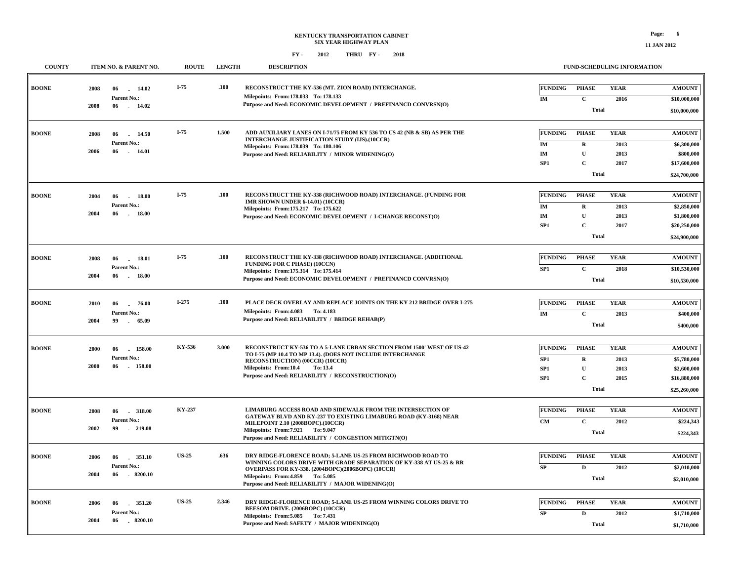| <b>COUNTY</b> |      | ITEM NO. & PARENT NO.      | <b>ROUTE</b> | <b>LENGTH</b> | <b>DESCRIPTION</b>                                                                                                                   |                      |                             | FUND-SCHEDULING INFORMATION |                               |
|---------------|------|----------------------------|--------------|---------------|--------------------------------------------------------------------------------------------------------------------------------------|----------------------|-----------------------------|-----------------------------|-------------------------------|
| <b>BOONE</b>  | 2008 | 06<br>14.02<br>Parent No.: | $I-75$       | .100          | RECONSTRUCT THE KY-536 (MT. ZION ROAD) INTERCHANGE.<br>Milepoints: From: 178.033 To: 178.133                                         | <b>FUNDING</b><br>IM | <b>PHASE</b><br>$\mathbf C$ | <b>YEAR</b><br>2016         | <b>AMOUNT</b><br>\$10,000,000 |
|               | 2008 | 06 14.02                   |              |               | Purpose and Need: ECONOMIC DEVELOPMENT / PREFINANCD CONVRSN(O)                                                                       |                      | <b>Total</b>                |                             | \$10,000,000                  |
| <b>BOONE</b>  | 2008 | 06<br>14.50                | $I-75$       | 1.500         | ADD AUXILIARY LANES ON I-71/75 FROM KY 536 TO US 42 (NB & SB) AS PER THE<br><b>INTERCHANGE JUSTIFICATION STUDY (IJS).(10CCR)</b>     | <b>FUNDING</b>       | <b>PHASE</b>                | <b>YEAR</b>                 | <b>AMOUNT</b>                 |
|               |      | Parent No.:                |              |               | Milepoints: From: 178.039 To: 180.106                                                                                                | IM                   | $\mathbf R$                 | 2013                        | \$6,300,000                   |
|               | 2006 | 06<br>14.01                |              |               | Purpose and Need: RELIABILITY / MINOR WIDENING(O)                                                                                    | $\mathbf{IM}$        | $\mathbf U$                 | 2013                        | \$800,000                     |
|               |      |                            |              |               |                                                                                                                                      | SP1                  | $\mathbf C$                 | 2017                        | \$17,600,000                  |
|               |      |                            |              |               |                                                                                                                                      |                      | <b>Total</b>                |                             | \$24,700,000                  |
| <b>BOONE</b>  | 2004 | 06<br>18.00<br>$\sim$      | $I-75$       | .100          | RECONSTRUCT THE KY-338 (RICHWOOD ROAD) INTERCHANGE. (FUNDING FOR                                                                     | <b>FUNDING</b>       | <b>PHASE</b>                | <b>YEAR</b>                 | <b>AMOUNT</b>                 |
|               |      | Parent No.:                |              |               | IMR SHOWN UNDER 6-14.01) (10CCR)                                                                                                     | IM                   | $\mathbf R$                 | 2013                        | \$2,850,000                   |
|               | 2004 | 06<br>18.00<br>$\sim$      |              |               | Milepoints: From: 175.217 To: 175.622<br>Purpose and Need: ECONOMIC DEVELOPMENT / I-CHANGE RECONST(O)                                | $\mathbf{IM}$        | $\mathbf U$                 | 2013                        | \$1,800,000                   |
|               |      |                            |              |               |                                                                                                                                      | SP1                  | $\mathbf C$                 | 2017                        | \$20,250,000                  |
|               |      |                            |              |               |                                                                                                                                      |                      | Total                       |                             | \$24,900,000                  |
|               |      |                            | $I-75$       | .100          |                                                                                                                                      |                      |                             |                             |                               |
| <b>BOONE</b>  | 2008 | 06<br>18.01<br>Parent No.: |              |               | RECONSTRUCT THE KY-338 (RICHWOOD ROAD) INTERCHANGE. (ADDITIONAL<br><b>FUNDING FOR C PHASE) (10CCN)</b>                               | <b>FUNDING</b>       | <b>PHASE</b>                | <b>YEAR</b>                 | <b>AMOUNT</b>                 |
|               | 2004 | 06<br>18.00<br>n.          |              |               | Milepoints: From: 175.314 To: 175.414<br>Purpose and Need: ECONOMIC DEVELOPMENT / PREFINANCD CONVRSN(O)                              | SP1                  | $\mathbf C$                 | 2018                        | \$10,530,000                  |
|               |      |                            |              |               |                                                                                                                                      |                      | <b>Total</b>                |                             | \$10,530,000                  |
| <b>BOONE</b>  | 2010 | 06<br>76.00                | $I-275$      | .100          | PLACE DECK OVERLAY AND REPLACE JOINTS ON THE KY 212 BRIDGE OVER I-275                                                                | <b>FUNDING</b>       | <b>PHASE</b>                | <b>YEAR</b>                 | <b>AMOUNT</b>                 |
|               |      | <b>Parent No.:</b>         |              |               | Milepoints: From: 4.083 To: 4.183                                                                                                    | <b>IM</b>            | $\mathbf C$                 | 2013                        | \$400,000                     |
|               | 2004 | 99<br>65.09<br>$\sim$      |              |               | Purpose and Need: RELIABILITY / BRIDGE REHAB(P)                                                                                      |                      | <b>Total</b>                |                             | \$400,000                     |
|               |      |                            |              |               |                                                                                                                                      |                      |                             |                             |                               |
| <b>BOONE</b>  | 2000 | 06<br>158.00               | KY-536       | 3.000         | RECONSTRUCT KY-536 TO A 5-LANE URBAN SECTION FROM 1500' WEST OF US-42<br>TO I-75 (MP 10.4 TO MP 13.4). (DOES NOT INCLUDE INTERCHANGE | <b>FUNDING</b>       | <b>PHASE</b>                | <b>YEAR</b>                 | <b>AMOUNT</b>                 |
|               |      | Parent No.:                |              |               | RECONSTRUCTION) (00CCR) (10CCR)                                                                                                      | SP1                  | $\mathbf R$                 | 2013                        | \$5,780,000                   |
|               | 2000 | 06<br>158.00               |              |               | Milepoints: From:10.4<br>To: 13.4<br>Purpose and Need: RELIABILITY / RECONSTRUCTION(O)                                               | SP1                  | $\mathbf U$                 | 2013                        | \$2,600,000                   |
|               |      |                            |              |               |                                                                                                                                      | SP <sub>1</sub>      | $\mathbf C$                 | 2015                        | \$16,880,000                  |
|               |      |                            |              |               |                                                                                                                                      |                      | <b>Total</b>                |                             | \$25,260,000                  |
| <b>BOONE</b>  | 2008 | 06<br>.318.00              | KY-237       |               | LIMABURG ACCESS ROAD AND SIDEWALK FROM THE INTERSECTION OF                                                                           | <b>FUNDING</b>       | <b>PHASE</b>                | <b>YEAR</b>                 | <b>AMOUNT</b>                 |
|               |      | Parent No.:                |              |               | GATEWAY BLVD AND KY-237 TO EXISTING LIMABURG ROAD (KY-3168) NEAR<br>MILEPOINT 2.10 (2008BOPC).(10CCR)                                | $\mathbf{CM}$        | $\mathbf{C}$                | 2012                        | \$224,343                     |
|               | 2002 | 99<br>$-219.08$            |              |               | Milepoints: From: 7.921 To: 9.047                                                                                                    |                      | <b>Total</b>                |                             | \$224,343                     |
|               |      |                            |              |               | Purpose and Need: RELIABILITY / CONGESTION MITIGTN(O)                                                                                |                      |                             |                             |                               |
| <b>BOONE</b>  | 2006 | 06<br>351.10               | <b>US-25</b> | .636          | DRY RIDGE-FLORENCE ROAD; 5-LANE US-25 FROM RICHWOOD ROAD TO                                                                          | <b>FUNDING</b>       | <b>PHASE</b>                | <b>YEAR</b>                 | <b>AMOUNT</b>                 |
|               |      | Parent No.:                |              |               | WINNING COLORS DRIVE WITH GRADE SEPARATION OF KY-338 AT US-25 & RR<br>OVERPASS FOR KY-338. (2004BOPC)(2006BOPC) (10CCR)              | ${\bf SP}$           | $\mathbf D$                 | 2012                        | \$2,010,000                   |
|               | 2004 | 06<br>$-8200.10$           |              |               | Milepoints: From: 4.859 To: 5.085<br>Purpose and Need: RELIABILITY / MAJOR WIDENING(O)                                               |                      | Total                       |                             | \$2,010,000                   |
|               |      |                            |              |               |                                                                                                                                      |                      |                             |                             |                               |
| <b>BOONE</b>  | 2006 | 351.20<br>06               | <b>US-25</b> | 2.346         | DRY RIDGE-FLORENCE ROAD; 5-LANE US-25 FROM WINNING COLORS DRIVE TO<br>BEESOM DRIVE. (2006BOPC) (10CCR)                               | <b>FUNDING</b>       | <b>PHASE</b>                | <b>YEAR</b>                 | <b>AMOUNT</b>                 |
|               | 2004 | Parent No.:<br>06          |              |               | Milepoints: From: 5.085 To: 7.431                                                                                                    | SP                   | $\mathbf{D}$                | 2012                        | \$1,710,000                   |
|               |      | $-8200.10$                 |              |               | Purpose and Need: SAFETY / MAJOR WIDENING(O)                                                                                         |                      | Total                       |                             | \$1,710,000                   |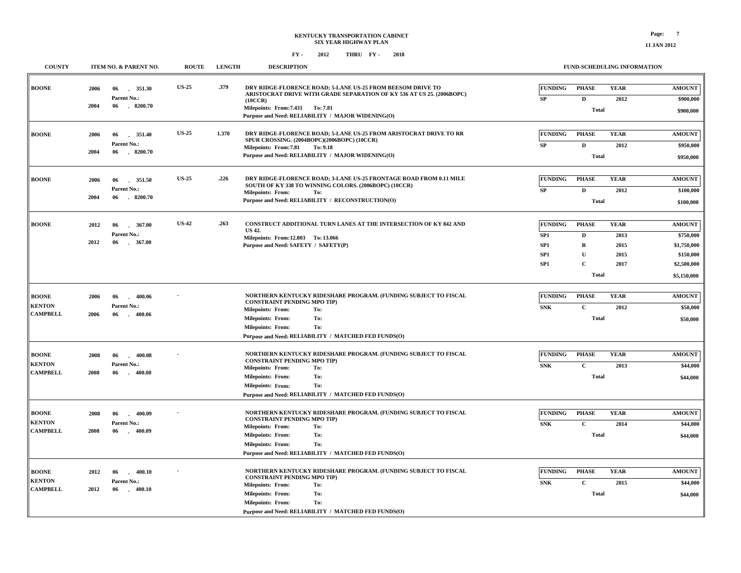| <b>COUNTY</b>                                    | ITEM NO. & PARENT NO.                                                 | <b>ROUTE</b> | <b>LENGTH</b> | <b>DESCRIPTION</b>                                                                                                                                                                                                                                                     |                                                                                            |                                                                        | <b>FUND-SCHEDULING INFORMATION</b>          |                                                                                      |
|--------------------------------------------------|-----------------------------------------------------------------------|--------------|---------------|------------------------------------------------------------------------------------------------------------------------------------------------------------------------------------------------------------------------------------------------------------------------|--------------------------------------------------------------------------------------------|------------------------------------------------------------------------|---------------------------------------------|--------------------------------------------------------------------------------------|
| <b>BOONE</b>                                     | 351.30<br>2006<br>06<br>Parent No.:<br>2004<br>$-8200.70$<br>06       | <b>US-25</b> | .379          | DRY RIDGE-FLORENCE ROAD; 5-LANE US-25 FROM BEESOM DRIVE TO<br>ARISTOCRAT DRIVE WITH GRADE SEPARATION OF KY 536 AT US 25. (2006BOPC)<br>(10CCR)<br>Milepoints: From: 7.431 To: 7.81<br>Purpose and Need: RELIABILITY / MAJOR WIDENING(O)                                | <b>FUNDING</b><br>SP                                                                       | <b>PHASE</b><br>D<br><b>Total</b>                                      | <b>YEAR</b><br>2012                         | <b>AMOUNT</b><br>\$900,000<br>\$900,000                                              |
| <b>BOONE</b>                                     | 2006<br>06<br>351.40<br>Parent No.:<br>2004<br>8200.70<br>06          | <b>US-25</b> | 1.370         | DRY RIDGE-FLORENCE ROAD; 5-LANE US-25 FROM ARISTOCRAT DRIVE TO RR<br>SPUR CROSSING. (2004BOPC)(2006BOPC) (10CCR)<br>Milepoints: From: 7.81<br>To: 9.18<br>Purpose and Need: RELIABILITY / MAJOR WIDENING(O)                                                            | <b>FUNDING</b><br>SP                                                                       | <b>PHASE</b><br>$\mathbf{D}$<br><b>Total</b>                           | <b>YEAR</b><br>2012                         | <b>AMOUNT</b><br>\$950,000<br>\$950,000                                              |
| <b>BOONE</b>                                     | 351.50<br>2006<br>06<br>Parent No.:<br>$-8200.70$<br>2004<br>06       | <b>US-25</b> | .226          | DRY RIDGE-FLORENCE ROAD; 3-LANE US-25 FRONTAGE ROAD FROM 0.11 MILE<br>SOUTH OF KY 338 TO WINNING COLORS. (2006BOPC) (10CCR)<br><b>Milepoints: From:</b><br>To:<br>Purpose and Need: RELIABILITY / RECONSTRUCTION(O)                                                    | <b>FUNDING</b><br>SP                                                                       | <b>PHASE</b><br>D<br><b>Total</b>                                      | <b>YEAR</b><br>2012                         | <b>AMOUNT</b><br>\$100,000<br>\$100,000                                              |
| <b>BOONE</b>                                     | 367.00<br>2012<br>06<br>Parent No.:<br>2012<br>367.00<br>06<br>$\sim$ | <b>US-42</b> | .263          | <b>CONSTRUCT ADDITIONAL TURN LANES AT THE INTERSECTION OF KY 842 AND</b><br><b>US 42.</b><br>Milepoints: From:12.803 To: 13.066<br>Purpose and Need: SAFETY / SAFETY(P)                                                                                                | <b>FUNDING</b><br>SP <sub>1</sub><br>SP <sub>1</sub><br>SP <sub>1</sub><br>SP <sub>1</sub> | <b>PHASE</b><br>D<br>R<br>$\mathbf{U}$<br>$\mathbf{C}$<br><b>Total</b> | <b>YEAR</b><br>2013<br>2015<br>2015<br>2017 | <b>AMOUNT</b><br>\$750,000<br>\$1,750,000<br>\$150,000<br>\$2,500,000<br>\$5,150,000 |
| <b>BOONE</b><br><b>KENTON</b><br><b>CAMPBELL</b> | 2006<br>400.06<br>06<br>Parent No.:<br>2006<br>06<br>400.06           |              |               | NORTHERN KENTUCKY RIDESHARE PROGRAM. (FUNDING SUBJECT TO FISCAL<br><b>CONSTRAINT PENDING MPO TIP)</b><br><b>Milepoints: From:</b><br>To:<br>To:<br><b>Milepoints: From:</b><br>To:<br><b>Milepoints: From:</b><br>Purpose and Need: RELIABILITY / MATCHED FED FUNDS(O) | <b>FUNDING</b><br><b>SNK</b>                                                               | <b>PHASE</b><br>$\mathbf C$<br><b>Total</b>                            | <b>YEAR</b><br>2012                         | <b>AMOUNT</b><br>\$50,000<br>\$50,000                                                |
| <b>BOONE</b><br><b>KENTON</b><br><b>CAMPBELL</b> | 400.08<br>2008<br>06<br>Parent No.:<br>400.08<br>2008<br>06           |              |               | NORTHERN KENTUCKY RIDESHARE PROGRAM. (FUNDING SUBJECT TO FISCAL<br><b>CONSTRAINT PENDING MPO TIP)</b><br>To:<br><b>Milepoints: From:</b><br>To:<br><b>Milepoints: From:</b><br>To:<br><b>Milepoints: From:</b><br>Purpose and Need: RELIABILITY / MATCHED FED FUNDS(O) | <b>FUNDING</b><br><b>SNK</b>                                                               | <b>PHASE</b><br>$\mathbf C$<br><b>Total</b>                            | <b>YEAR</b><br>2013                         | <b>AMOUNT</b><br>\$44,000<br>\$44,000                                                |
| <b>BOONE</b><br><b>KENTON</b><br><b>CAMPBELL</b> | 400.09<br>2008<br>06<br>Parent No.:<br>2008<br>06<br>$-400.09$        |              |               | NORTHERN KENTUCKY RIDESHARE PROGRAM. (FUNDING SUBJECT TO FISCAL<br><b>CONSTRAINT PENDING MPO TIP)</b><br>To:<br><b>Milepoints: From:</b><br>To:<br><b>Milepoints: From:</b>                                                                                            | <b>FUNDING</b><br><b>SNK</b>                                                               | <b>PHASE</b><br>$\mathbf c$<br><b>Total</b>                            | <b>YEAR</b><br>2014                         | <b>AMOUNT</b><br>\$44,000<br>\$44,000                                                |

| Total<br>NORTHERN KENTUCKY RIDESHARE PROGRAM. (FUNDING SUBJECT TO FISCAL<br><b>FUNDING</b><br><b>PHASE</b><br><b>BOONE</b><br>2006<br>06<br>400.06<br><b>CONSTRAINT PENDING MPO TIP)</b><br><b>KENTON</b><br>Parent No.:<br><b>SNK</b><br>$\mathbf{C}$<br>To:<br><b>Milepoints: From:</b><br><b>CAMPBELL</b><br>2006<br>400.06<br>06<br>Total<br>To:<br><b>Milepoints: From:</b><br><b>Milepoints: From:</b><br>To:<br>Purpose and Need: RELIABILITY / MATCHED FED FUNDS(O)<br>NORTHERN KENTUCKY RIDESHARE PROGRAM. (FUNDING SUBJECT TO FISCAL<br><b>FUNDING</b><br><b>PHASE</b><br><b>BOONE</b><br>2008<br>06<br>400.08<br><b>CONSTRAINT PENDING MPO TIP)</b><br><b>KENTON</b><br>Parent No.:<br>$\mathbf{C}$<br><b>SNK</b><br><b>Milepoints: From:</b><br>To:<br><b>CAMPBELL</b><br>2008<br>06<br>400.08<br>Total<br><b>Milepoints: From:</b><br>To:<br>To:<br><b>Milepoints: From:</b><br>Purpose and Need: RELIABILITY / MATCHED FED FUNDS(O)<br>NORTHERN KENTUCKY RIDESHARE PROGRAM. (FUNDING SUBJECT TO FISCAL<br><b>PHASE</b><br><b>FUNDING</b><br><b>BOONE</b><br>2008<br>400.09<br>06<br><b>CONSTRAINT PENDING MPO TIP)</b><br>Parent No.:<br>$\mathbf{C}$<br><b>SNK</b><br><b>Milepoints: From:</b><br>To:<br><b>CAMPBELL</b><br>400.09<br>2008<br>06 | \$5,150,000<br><b>YEAR</b><br><b>AMOUNT</b><br>2012<br>\$50,000<br>\$50,000<br><b>YEAR</b><br><b>AMOUNT</b><br>2013<br>\$44,000 |
|-----------------------------------------------------------------------------------------------------------------------------------------------------------------------------------------------------------------------------------------------------------------------------------------------------------------------------------------------------------------------------------------------------------------------------------------------------------------------------------------------------------------------------------------------------------------------------------------------------------------------------------------------------------------------------------------------------------------------------------------------------------------------------------------------------------------------------------------------------------------------------------------------------------------------------------------------------------------------------------------------------------------------------------------------------------------------------------------------------------------------------------------------------------------------------------------------------------------------------------------------------------------|---------------------------------------------------------------------------------------------------------------------------------|
|                                                                                                                                                                                                                                                                                                                                                                                                                                                                                                                                                                                                                                                                                                                                                                                                                                                                                                                                                                                                                                                                                                                                                                                                                                                                 |                                                                                                                                 |
|                                                                                                                                                                                                                                                                                                                                                                                                                                                                                                                                                                                                                                                                                                                                                                                                                                                                                                                                                                                                                                                                                                                                                                                                                                                                 |                                                                                                                                 |
| <b>KENTON</b>                                                                                                                                                                                                                                                                                                                                                                                                                                                                                                                                                                                                                                                                                                                                                                                                                                                                                                                                                                                                                                                                                                                                                                                                                                                   |                                                                                                                                 |
|                                                                                                                                                                                                                                                                                                                                                                                                                                                                                                                                                                                                                                                                                                                                                                                                                                                                                                                                                                                                                                                                                                                                                                                                                                                                 | \$44,000                                                                                                                        |
|                                                                                                                                                                                                                                                                                                                                                                                                                                                                                                                                                                                                                                                                                                                                                                                                                                                                                                                                                                                                                                                                                                                                                                                                                                                                 |                                                                                                                                 |
|                                                                                                                                                                                                                                                                                                                                                                                                                                                                                                                                                                                                                                                                                                                                                                                                                                                                                                                                                                                                                                                                                                                                                                                                                                                                 | <b>YEAR</b><br><b>AMOUNT</b><br>2014<br>\$44,000                                                                                |
| Total<br>To:<br><b>Milepoints: From:</b><br><b>Milepoints: From:</b><br>To:<br>Purpose and Need: RELIABILITY / MATCHED FED FUNDS(O)                                                                                                                                                                                                                                                                                                                                                                                                                                                                                                                                                                                                                                                                                                                                                                                                                                                                                                                                                                                                                                                                                                                             | \$44,000                                                                                                                        |
| NORTHERN KENTUCKY RIDESHARE PROGRAM. (FUNDING SUBJECT TO FISCAL<br><b>FUNDING</b><br><b>PHASE</b><br><b>BOONE</b><br>2012<br>06<br>400.10<br><b>CONSTRAINT PENDING MPO TIP)</b><br><b>KENTON</b><br>Parent No.:<br>$\mathbf{C}$<br><b>SNK</b><br><b>Milepoints: From:</b><br>To:<br><b>CAMPBELL</b><br>2012<br>400.10<br>06<br>$\sim$                                                                                                                                                                                                                                                                                                                                                                                                                                                                                                                                                                                                                                                                                                                                                                                                                                                                                                                           | <b>YEAR</b><br><b>AMOUNT</b><br>2015<br>\$44,000                                                                                |
| Milepoints: From:<br>To:<br>Total<br><b>Milepoints: From:</b><br>To:<br>Purpose and Need: RELIABILITY / MATCHED FED FUNDS(O)                                                                                                                                                                                                                                                                                                                                                                                                                                                                                                                                                                                                                                                                                                                                                                                                                                                                                                                                                                                                                                                                                                                                    | \$44,000                                                                                                                        |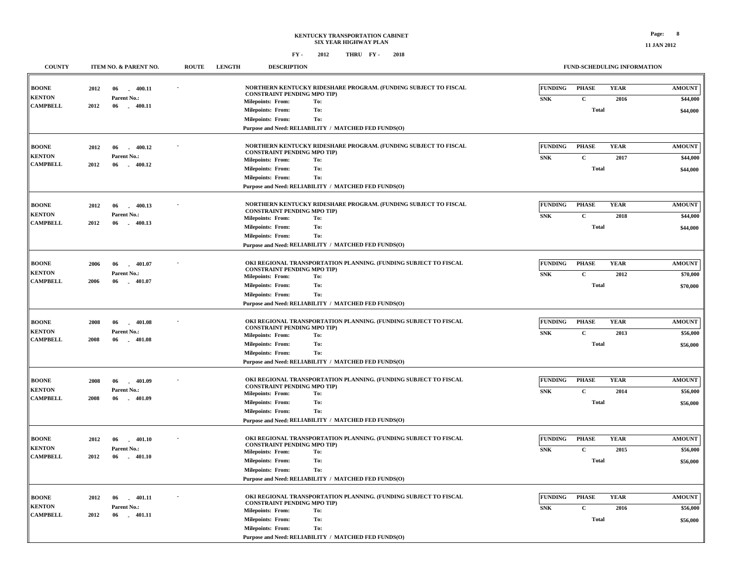### **KENTUCKY TRANSPORTATION CABINET SIX YEAR HIGHWAY PLAN FY - FY - 2012 2018 THRU**

**FUND-SCHEDULING INFORMATION**

| <b>COUNTY</b>                    |      | ITEM NO. & PARENT NO.          | <b>ROUTE</b> | <b>LENGTH</b> | <b>DESCRIPTION</b>                                             |                                                                  |                | FUND-SCHEDULING INFORMATION |             |               |
|----------------------------------|------|--------------------------------|--------------|---------------|----------------------------------------------------------------|------------------------------------------------------------------|----------------|-----------------------------|-------------|---------------|
| <b>BOONE</b>                     | 2012 | 06<br>400.11                   |              |               | <b>CONSTRAINT PENDING MPO TIP)</b>                             | NORTHERN KENTUCKY RIDESHARE PROGRAM. (FUNDING SUBJECT TO FISCAL  | <b>FUNDING</b> | <b>PHASE</b>                | <b>YEAR</b> | <b>AMOUNT</b> |
| <b>KENTON</b><br><b>CAMPBELL</b> | 2012 | Parent No.:<br>06<br>$-400.11$ |              |               | <b>Milepoints: From:</b>                                       | To:                                                              | <b>SNK</b>     | $\mathbf C$                 | 2016        | \$44,000      |
|                                  |      |                                |              |               | <b>Milepoints: From:</b>                                       | To:                                                              |                | <b>Total</b>                |             | \$44,000      |
|                                  |      |                                |              |               | <b>Milepoints: From:</b>                                       | To:                                                              |                |                             |             |               |
|                                  |      |                                |              |               |                                                                | Purpose and Need: RELIABILITY / MATCHED FED FUNDS(O)             |                |                             |             |               |
| <b>BOONE</b>                     | 2012 | 06<br>400.12<br>i.             |              |               |                                                                | NORTHERN KENTUCKY RIDESHARE PROGRAM. (FUNDING SUBJECT TO FISCAL  | <b>FUNDING</b> | <b>PHASE</b>                | <b>YEAR</b> | <b>AMOUNT</b> |
| <b>KENTON</b>                    |      | Parent No.:                    |              |               | <b>CONSTRAINT PENDING MPO TIP)</b>                             |                                                                  |                |                             |             |               |
| <b>CAMPBELL</b>                  | 2012 | 06<br>$-400.12$                |              |               | <b>Milepoints: From:</b>                                       | To:                                                              | <b>SNK</b>     | $\mathbf C$                 | 2017        | \$44,000      |
|                                  |      |                                |              |               | <b>Milepoints: From:</b>                                       | To:                                                              |                | <b>Total</b>                |             | \$44,000      |
|                                  |      |                                |              |               | <b>Milepoints: From:</b>                                       | To:<br>Purpose and Need: RELIABILITY / MATCHED FED FUNDS(O)      |                |                             |             |               |
|                                  |      |                                |              |               |                                                                |                                                                  |                |                             |             |               |
| <b>BOONE</b>                     | 2012 | 06<br>400.13<br>$\sim$         |              |               | <b>CONSTRAINT PENDING MPO TIP)</b>                             | NORTHERN KENTUCKY RIDESHARE PROGRAM. (FUNDING SUBJECT TO FISCAL  | <b>FUNDING</b> | <b>PHASE</b>                | <b>YEAR</b> | <b>AMOUNT</b> |
| <b>KENTON</b><br><b>CAMPBELL</b> |      | Parent No.:                    |              |               | <b>Milepoints: From:</b>                                       | To:                                                              | <b>SNK</b>     | $\mathbf C$                 | 2018        | \$44,000      |
|                                  | 2012 | 06<br>$-400.13$                |              |               | <b>Milepoints: From:</b>                                       | To:                                                              |                | <b>Total</b>                |             | \$44,000      |
|                                  |      |                                |              |               | <b>Milepoints: From:</b>                                       | To:                                                              |                |                             |             |               |
|                                  |      |                                |              |               |                                                                | Purpose and Need: RELIABILITY / MATCHED FED FUNDS(O)             |                |                             |             |               |
|                                  |      |                                |              |               |                                                                |                                                                  |                |                             |             |               |
| <b>BOONE</b>                     | 2006 | 401.07<br>06                   |              |               | <b>CONSTRAINT PENDING MPO TIP)</b>                             | OKI REGIONAL TRANSPORTATION PLANNING. (FUNDING SUBJECT TO FISCAL | <b>FUNDING</b> | <b>PHASE</b>                | <b>YEAR</b> | <b>AMOUNT</b> |
| <b>KENTON</b><br><b>CAMPBELL</b> | 2006 | Parent No.:<br>06<br>$-401.07$ |              |               | <b>Milepoints: From:</b>                                       | To:                                                              | <b>SNK</b>     | $\mathbf C$                 | 2012        | \$70,000      |
|                                  |      |                                |              |               | <b>Milepoints: From:</b>                                       | To:                                                              |                | <b>Total</b>                |             | \$70,000      |
|                                  |      |                                |              |               | <b>Milepoints: From:</b>                                       | To:                                                              |                |                             |             |               |
|                                  |      |                                |              |               |                                                                | Purpose and Need: RELIABILITY / MATCHED FED FUNDS(O)             |                |                             |             |               |
| <b>BOONE</b>                     | 2008 | 06<br>$-401.08$                |              |               |                                                                | OKI REGIONAL TRANSPORTATION PLANNING. (FUNDING SUBJECT TO FISCAL | <b>FUNDING</b> | <b>PHASE</b>                | <b>YEAR</b> | <b>AMOUNT</b> |
| <b>KENTON</b>                    |      | <b>Parent No.:</b>             |              |               | <b>CONSTRAINT PENDING MPO TIP)</b>                             |                                                                  | <b>SNK</b>     | $\mathbf C$                 | 2013        | \$56,000      |
| <b>CAMPBELL</b>                  | 2008 | 06<br>$-401.08$                |              |               | Milepoints: From:                                              | To:                                                              |                |                             |             |               |
|                                  |      |                                |              |               | <b>Milepoints: From:</b><br><b>Milepoints: From:</b>           | To:<br>To:                                                       |                | <b>Total</b>                |             | \$56,000      |
|                                  |      |                                |              |               |                                                                | Purpose and Need: RELIABILITY / MATCHED FED FUNDS(O)             |                |                             |             |               |
|                                  |      |                                |              |               |                                                                |                                                                  |                |                             |             |               |
| <b>BOONE</b>                     | 2008 | 06<br>401.09<br>in 1           |              |               |                                                                | OKI REGIONAL TRANSPORTATION PLANNING. (FUNDING SUBJECT TO FISCAL | <b>FUNDING</b> | <b>PHASE</b>                | <b>YEAR</b> | <b>AMOUNT</b> |
| <b>KENTON</b>                    |      | Parent No.:                    |              |               | <b>CONSTRAINT PENDING MPO TIP)</b>                             |                                                                  | <b>SNK</b>     | $\mathbf C$                 | 2014        | \$56,000      |
| <b>CAMPBELL</b>                  | 2008 | 06<br>401.09<br>$\sim$         |              |               | <b>Milepoints: From:</b><br><b>Milepoints: From:</b>           | To:<br>To:                                                       |                | Total                       |             |               |
|                                  |      |                                |              |               | <b>Milepoints: From:</b>                                       | To:                                                              |                |                             |             | \$56,000      |
|                                  |      |                                |              |               |                                                                | Purpose and Need: RELIABILITY / MATCHED FED FUNDS(O)             |                |                             |             |               |
|                                  |      |                                |              |               |                                                                |                                                                  |                |                             |             |               |
| <b>BOONE</b>                     | 2012 | 06<br>401.10<br>in 1           |              |               |                                                                | OKI REGIONAL TRANSPORTATION PLANNING. (FUNDING SUBJECT TO FISCAL | <b>FUNDING</b> | <b>PHASE</b>                | <b>YEAR</b> | <b>AMOUNT</b> |
| <b>KENTON</b>                    |      | Parent No.:                    |              |               | <b>CONSTRAINT PENDING MPO TIP)</b><br><b>Milepoints: From:</b> | To:                                                              | <b>SNK</b>     | $\mathbf C$                 | 2015        | \$56,000      |
| <b>CAMPBELL</b>                  | 2012 | 06<br>$-401.10$                |              |               | <b>Milepoints: From:</b>                                       | To:                                                              |                | Total                       |             | \$56,000      |
|                                  |      |                                |              |               | <b>Milepoints: From:</b>                                       | To:                                                              |                |                             |             |               |
|                                  |      |                                |              |               |                                                                | Purpose and Need: RELIABILITY / MATCHED FED FUNDS(O)             |                |                             |             |               |
|                                  |      |                                |              |               |                                                                |                                                                  |                |                             |             |               |
| <b>BOONE</b>                     | 2012 | 401.11<br>06<br>$\sim$         |              |               |                                                                | OKI REGIONAL TRANSPORTATION PLANNING. (FUNDING SUBJECT TO FISCAL | <b>FUNDING</b> | <b>PHASE</b>                | <b>YEAR</b> | <b>AMOUNT</b> |
| <b>KENTON</b>                    |      | Parent No.:                    |              |               | <b>CONSTRAINT PENDING MPO TIP)</b><br><b>Milepoints: From:</b> | To:                                                              | <b>SNK</b>     | $\mathbf C$                 | 2016        | \$56,000      |
| <b>CAMPBELL</b>                  | 2012 | 06<br>$-401.11$                |              |               | <b>Milepoints: From:</b>                                       | To:                                                              |                | <b>Total</b>                |             | \$56,000      |
|                                  |      |                                |              |               | <b>Milepoints: From:</b>                                       | To:                                                              |                |                             |             |               |
|                                  |      |                                |              |               |                                                                | Purpose and Need: RELIABILITY / MATCHED FED FUNDS(O)             |                |                             |             |               |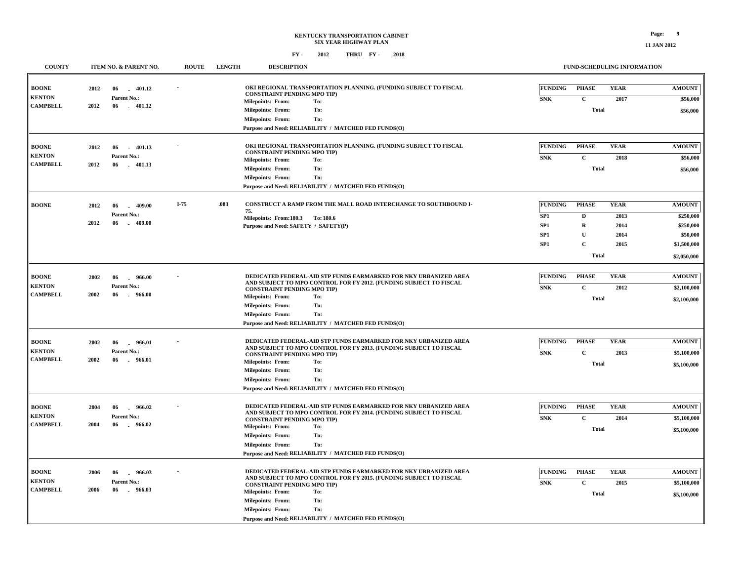| <b>COUNTY</b>                                    | ITEM NO. & PARENT NO.                                                                   |        | <b>LENGTH</b> | <b>DESCRIPTION</b>                                                                                                                                                                                                                                                                                                                            |                                                        | <b>FUND-SCHEDULING INFORMATION</b>                                   |                                             |                                                                                   |  |
|--------------------------------------------------|-----------------------------------------------------------------------------------------|--------|---------------|-----------------------------------------------------------------------------------------------------------------------------------------------------------------------------------------------------------------------------------------------------------------------------------------------------------------------------------------------|--------------------------------------------------------|----------------------------------------------------------------------|---------------------------------------------|-----------------------------------------------------------------------------------|--|
| <b>BOONE</b>                                     | 401.12<br>2012<br>06<br>in 1                                                            |        |               | OKI REGIONAL TRANSPORTATION PLANNING. (FUNDING SUBJECT TO FISCAL<br><b>CONSTRAINT PENDING MPO TIP)</b>                                                                                                                                                                                                                                        | <b>FUNDING</b>                                         | <b>PHASE</b>                                                         | <b>YEAR</b>                                 | <b>AMOUNT</b>                                                                     |  |
| <b>KENTON</b><br><b>CAMPBELL</b>                 | Parent No.:<br>2012<br>06<br>$-401.12$                                                  |        |               | <b>Milepoints: From:</b><br>To:<br>To:<br><b>Milepoints: From:</b><br>To:<br><b>Milepoints: From:</b><br>Purpose and Need: RELIABILITY / MATCHED FED FUNDS(O)                                                                                                                                                                                 | <b>SNK</b>                                             | $\mathbf C$<br><b>Total</b>                                          | 2017                                        | \$56,000<br>\$56,000                                                              |  |
| <b>BOONE</b><br><b>KENTON</b><br><b>CAMPBELL</b> | 2012<br>06<br>401.13<br>Parent No.:<br>2012<br>06<br>$-401.13$                          |        |               | OKI REGIONAL TRANSPORTATION PLANNING. (FUNDING SUBJECT TO FISCAL<br><b>CONSTRAINT PENDING MPO TIP)</b><br>Milepoints: From:<br>To:<br>To:<br><b>Milepoints: From:</b><br><b>Milepoints: From:</b><br>To:<br>Purpose and Need: RELIABILITY / MATCHED FED FUNDS(O)                                                                              | <b>FUNDING</b><br><b>SNK</b>                           | <b>PHASE</b><br>$\mathbf C$<br><b>Total</b>                          | <b>YEAR</b><br>2018                         | <b>AMOUNT</b><br>\$56,000<br>\$56,000                                             |  |
| <b>BOONE</b>                                     | 2012<br>409.00<br>06<br>Parent No.:<br>2012<br>$-409.00$<br>06                          | $I-75$ | .083          | CONSTRUCT A RAMP FROM THE MALL ROAD INTERCHANGE TO SOUTHBOUND I-<br>75.<br>Milepoints: From:180.3 To:180.6<br>Purpose and Need: SAFETY / SAFETY(P)                                                                                                                                                                                            | <b>FUNDING</b><br>SP1<br>SP1<br>SP1<br>SP <sub>1</sub> | <b>PHASE</b><br>D<br>R<br>$\mathbf U$<br>$\mathbf C$<br><b>Total</b> | <b>YEAR</b><br>2013<br>2014<br>2014<br>2015 | <b>AMOUNT</b><br>\$250,000<br>\$250,000<br>\$50,000<br>\$1,500,000<br>\$2,050,000 |  |
| <b>BOONE</b><br><b>KENTON</b><br><b>CAMPBELL</b> | 2002<br>966.00<br>06<br>Parent No.:<br>2002<br>06<br>966.00<br>$\sim$                   |        |               | DEDICATED FEDERAL-AID STP FUNDS EARMARKED FOR NKY URBANIZED AREA<br>AND SUBJECT TO MPO CONTROL FOR FY 2012. (FUNDING SUBJECT TO FISCAL<br><b>CONSTRAINT PENDING MPO TIP)</b><br>Milepoints: From:<br>To:<br>To:<br><b>Milepoints: From:</b><br><b>Milepoints: From:</b><br>To:<br>Purpose and Need: RELIABILITY / MATCHED FED FUNDS(O)        | <b>FUNDING</b><br><b>SNK</b>                           | <b>PHASE</b><br>$\mathbf{C}$<br><b>Total</b>                         | <b>YEAR</b><br>2012                         | <b>AMOUNT</b><br>\$2,100,000<br>\$2,100,000                                       |  |
| <b>BOONE</b><br><b>KENTON</b><br><b>CAMPBELL</b> | 2002<br>966.01<br>06<br>Parent No.:<br>2002<br>$-966.01$<br>06                          |        |               | DEDICATED FEDERAL-AID STP FUNDS EARMARKED FOR NKY URBANIZED AREA<br>AND SUBJECT TO MPO CONTROL FOR FY 2013. (FUNDING SUBJECT TO FISCAL<br><b>CONSTRAINT PENDING MPO TIP)</b><br>Milepoints: From:<br>To:<br><b>Milepoints: From:</b><br>To:<br>To:<br><b>Milepoints: From:</b><br>Purpose and Need: RELIABILITY / MATCHED FED FUNDS(O)        | <b>FUNDING</b><br><b>SNK</b>                           | <b>PHASE</b><br>$\mathbf C$<br><b>Total</b>                          | <b>YEAR</b><br>2013                         | <b>AMOUNT</b><br>\$5,100,000<br>\$5,100,000                                       |  |
| BOONE<br><b>KENTON</b><br><b>CAMPBELL</b>        | 2004<br>06<br>966.02<br>$\overline{a}$<br>Parent No.:<br>2004<br>966.02<br>06<br>$\sim$ |        |               | DEDICATED FEDERAL-AID STP FUNDS EARMARKED FOR NKY URBANIZED AREA<br>AND SUBJECT TO MPO CONTROL FOR FY 2014. (FUNDING SUBJECT TO FISCAL<br><b>CONSTRAINT PENDING MPO TIP)</b><br>Milepoints: From:<br>To:<br><b>Milepoints: From:</b><br>To:<br><b>Milepoints: From:</b><br>To:<br>Purpose and Need: RELIABILITY / MATCHED FED FUNDS(O)        | <b>FUNDING</b><br>${\bf SNK}$                          | <b>PHASE</b><br>$\mathbf C$<br><b>Total</b>                          | <b>YEAR</b><br>2014                         | <b>AMOUNT</b><br>\$5,100,000<br>\$5,100,000                                       |  |
| <b>BOONE</b><br><b>KENTON</b><br><b>CAMPBELL</b> | 2006<br>966.03<br>06<br>$\mathbf{r}$<br>Parent No.:<br>2006<br>06<br>966.03<br>$\sim$   |        |               | DEDICATED FEDERAL-AID STP FUNDS EARMARKED FOR NKY URBANIZED AREA<br>AND SUBJECT TO MPO CONTROL FOR FY 2015. (FUNDING SUBJECT TO FISCAL<br><b>CONSTRAINT PENDING MPO TIP)</b><br><b>Milepoints: From:</b><br>To:<br>To:<br><b>Milepoints: From:</b><br><b>Milepoints: From:</b><br>To:<br>Purpose and Need: RELIABILITY / MATCHED FED FUNDS(O) | <b>FUNDING</b><br>${\bf SNK}$                          | <b>PHASE</b><br>$\mathbf C$<br><b>Total</b>                          | <b>YEAR</b><br>2015                         | <b>AMOUNT</b><br>\$5,100,000<br>\$5,100,000                                       |  |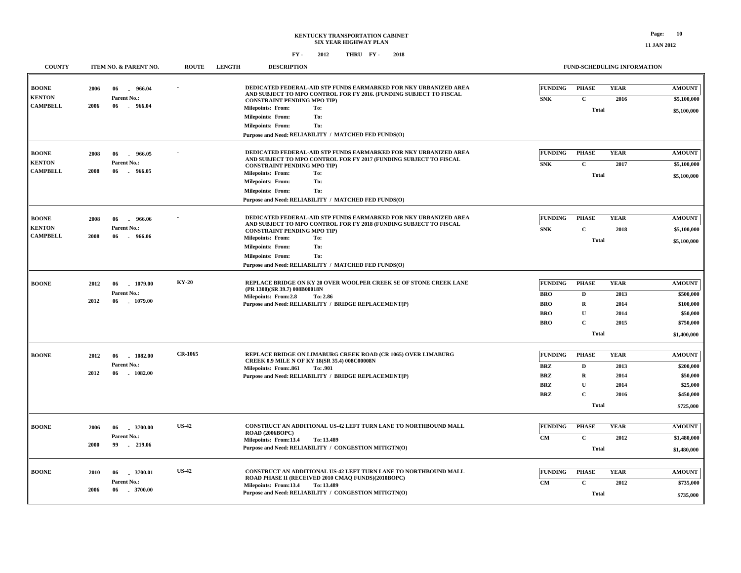| <b>COUNTY</b>                 |      | <b>ITEM NO. &amp; PARENT NO.</b> | <b>ROUTE</b>   | <b>LENGTH</b> | <b>DESCRIPTION</b>                                                                                              |                                                                                                                           |                                                                   |                                        |                                            | <b>FUND-SCHEDULING INFORMATION</b> |                                    |
|-------------------------------|------|----------------------------------|----------------|---------------|-----------------------------------------------------------------------------------------------------------------|---------------------------------------------------------------------------------------------------------------------------|-------------------------------------------------------------------|----------------------------------------|--------------------------------------------|------------------------------------|------------------------------------|
| <b>BOONE</b><br><b>KENTON</b> | 2006 | 06<br>966.04<br>Parent No.:      |                |               |                                                                                                                 | AND SUBJECT TO MPO CONTROL FOR FY 2016. (FUNDING SUBJECT TO FISCAL                                                        | DEDICATED FEDERAL-AID STP FUNDS EARMARKED FOR NKY URBANIZED AREA  | <b>FUNDING</b><br><b>SNK</b>           | <b>PHASE</b><br>$\mathbf{C}$               | <b>YEAR</b>                        | <b>AMOUNT</b>                      |
| <b>CAMPBELL</b>               | 2006 | 06<br>$-966.04$                  |                |               | <b>CONSTRAINT PENDING MPO TIP)</b><br>Milepoints: From:<br><b>Milepoints: From:</b><br><b>Milepoints: From:</b> | To:<br>To:<br>To:                                                                                                         |                                                                   |                                        | <b>Total</b>                               | 2016                               | \$5,100,000<br>\$5,100,000         |
|                               |      |                                  |                |               |                                                                                                                 | Purpose and Need: RELIABILITY / MATCHED FED FUNDS(O)                                                                      |                                                                   |                                        |                                            |                                    |                                    |
| <b>BOONE</b><br><b>KENTON</b> | 2008 | 06<br>966.05<br>Parent No.:      |                |               | <b>CONSTRAINT PENDING MPO TIP)</b>                                                                              | AND SUBJECT TO MPO CONTROL FOR FY 2017 (FUNDING SUBJECT TO FISCAL                                                         | DEDICATED FEDERAL-AID STP FUNDS EARMARKED FOR NKY URBANIZED AREA  | <b>FUNDING</b><br><b>SNK</b>           | <b>PHASE</b><br>$\mathbf{C}$               | <b>YEAR</b><br>2017                | <b>AMOUNT</b><br>\$5,100,000       |
| <b>CAMPBELL</b>               | 2008 | 06<br>966.05<br>a.               |                |               | <b>Milepoints: From:</b><br><b>Milepoints: From:</b><br><b>Milepoints: From:</b>                                | To:<br>To:<br>To:<br>Purpose and Need: RELIABILITY / MATCHED FED FUNDS(O)                                                 |                                                                   |                                        | <b>Total</b>                               |                                    | \$5,100,000                        |
|                               |      |                                  |                |               |                                                                                                                 |                                                                                                                           |                                                                   |                                        |                                            |                                    |                                    |
| <b>BOONE</b><br><b>KENTON</b> | 2008 | 06<br>966.06<br>Parent No.:      |                |               | <b>CONSTRAINT PENDING MPO TIP)</b>                                                                              | AND SUBJECT TO MPO CONTROL FOR FY 2018 (FUNDING SUBJECT TO FISCAL                                                         | DEDICATED FEDERAL-AID STP FUNDS EARMARKED FOR NKY URBANIZED AREA  | <b>FUNDING</b><br><b>SNK</b>           | <b>PHASE</b><br>$\mathbf{C}$               | <b>YEAR</b><br>2018                | <b>AMOUNT</b><br>\$5,100,000       |
| <b>CAMPBELL</b>               | 2008 | 06<br>$-966.06$                  |                |               | <b>Milepoints: From:</b><br><b>Milepoints: From:</b><br><b>Milepoints: From:</b>                                | To:<br>To:<br>To:<br>Purpose and Need: RELIABILITY / MATCHED FED FUNDS(O)                                                 |                                                                   |                                        | <b>Total</b>                               |                                    | \$5,100,000                        |
| <b>BOONE</b>                  | 2012 | 1079.00<br>06<br>Parent No.:     | <b>KY-20</b>   |               | (PR 1300)(SR 39.7) 008B00018N                                                                                   |                                                                                                                           | REPLACE BRIDGE ON KY 20 OVER WOOLPER CREEK SE OF STONE CREEK LANE | <b>FUNDING</b>                         | <b>PHASE</b>                               | <b>YEAR</b>                        | <b>AMOUNT</b>                      |
|                               | 2012 | 06<br>1079.00                    |                |               | Milepoints: From:2.8                                                                                            | To: 2.86<br>Purpose and Need: RELIABILITY / BRIDGE REPLACEMENT(P)                                                         |                                                                   | <b>BRO</b><br><b>BRO</b><br><b>BRO</b> | $\mathbf D$<br>$\mathbf R$<br>$\mathbf{U}$ | 2013<br>2014<br>2014               | \$500,000<br>\$100,000<br>\$50,000 |
|                               |      |                                  |                |               |                                                                                                                 |                                                                                                                           |                                                                   | <b>BRO</b>                             | $\mathbf C$<br><b>Total</b>                | 2015                               | \$750,000<br>\$1,400,000           |
|                               |      |                                  |                |               |                                                                                                                 |                                                                                                                           |                                                                   |                                        |                                            |                                    |                                    |
| <b>BOONE</b>                  | 2012 | 1082.00<br>06<br>Parent No.:     | <b>CR-1065</b> |               |                                                                                                                 | REPLACE BRIDGE ON LIMABURG CREEK ROAD (CR 1065) OVER LIMABURG<br>CREEK 0.9 MILE N OF KY 18(SR 35.4) 008C00008N            |                                                                   | <b>FUNDING</b><br><b>BRZ</b>           | <b>PHASE</b><br>D                          | <b>YEAR</b><br>2013                | <b>AMOUNT</b><br>\$200,000         |
|                               | 2012 | $-1082.00$<br>06                 |                |               | Milepoints: From: 861                                                                                           | To: .901<br>Purpose and Need: RELIABILITY / BRIDGE REPLACEMENT(P)                                                         |                                                                   | <b>BRZ</b><br><b>BRZ</b>               | ${\bf R}$<br>$\mathbf U$                   | 2014<br>2014                       | \$50,000<br>\$25,000               |
|                               |      |                                  |                |               |                                                                                                                 |                                                                                                                           |                                                                   | <b>BRZ</b>                             | $\mathbf C$<br><b>Total</b>                | 2016                               | \$450,000<br>\$725,000             |
|                               |      |                                  |                |               |                                                                                                                 |                                                                                                                           |                                                                   |                                        |                                            |                                    |                                    |
| <b>BOONE</b>                  | 2006 | .3700.00<br>06<br>Parent No.:    | <b>US-42</b>   |               | ROAD (2006BOPC)                                                                                                 | CONSTRUCT AN ADDITIONAL US-42 LEFT TURN LANE TO NORTHBOUND MALL                                                           |                                                                   | <b>FUNDING</b>                         | <b>PHASE</b>                               | <b>YEAR</b>                        | <b>AMOUNT</b>                      |
|                               | 2000 | 99<br>219.06                     |                |               | Milepoints: From:13.4                                                                                           | To: 13.489<br>Purpose and Need: RELIABILITY / CONGESTION MITIGTN(O)                                                       |                                                                   | CM                                     | $\mathbf C$<br><b>Total</b>                | 2012                               | \$1,480,000<br>\$1,480,000         |
| <b>BOONE</b>                  | 2010 | 3700.01<br>06                    | <b>US-42</b>   |               |                                                                                                                 | CONSTRUCT AN ADDITIONAL US-42 LEFT TURN LANE TO NORTHBOUND MALL                                                           |                                                                   | <b>FUNDING</b>                         | <b>PHASE</b>                               | <b>YEAR</b>                        | <b>AMOUNT</b>                      |
|                               | 2006 | Parent No.:<br>06<br>$-3700.00$  |                |               | Milepoints: From:13.4                                                                                           | ROAD PHASE II (RECEIVED 2010 CMAQ FUNDS)(2010BOPC)<br>To: 13.489<br>Purpose and Need: RELIABILITY / CONGESTION MITIGTN(O) |                                                                   | CM                                     | $\mathbf{C}$<br><b>Total</b>               | 2012                               | \$735,000<br>\$735,000             |
|                               |      |                                  |                |               |                                                                                                                 |                                                                                                                           |                                                                   |                                        |                                            |                                    |                                    |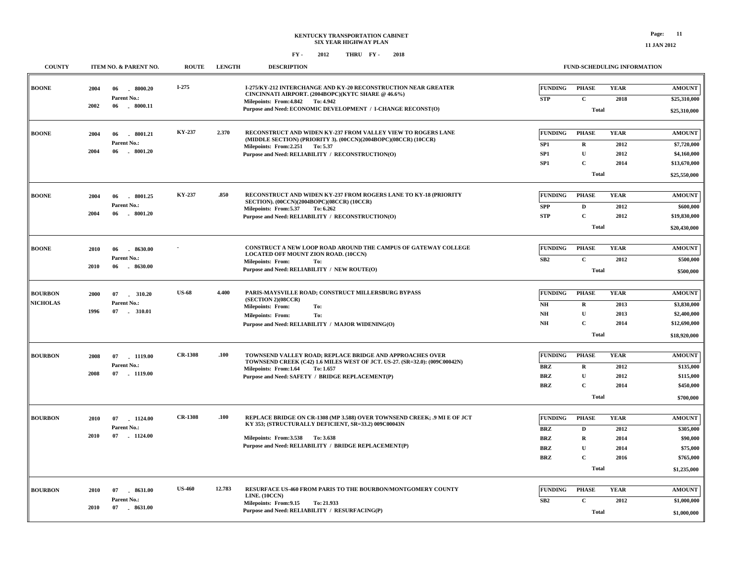| <b>COUNTY</b>   |      | ITEM NO. & PARENT NO.          | <b>ROUTE</b>   | <b>LENGTH</b> | <b>DESCRIPTION</b>                                                                                                                     |                                    |                            | FUND-SCHEDULING INFORMATION |                             |  |
|-----------------|------|--------------------------------|----------------|---------------|----------------------------------------------------------------------------------------------------------------------------------------|------------------------------------|----------------------------|-----------------------------|-----------------------------|--|
| <b>BOONE</b>    | 2004 | 06<br>$-8000.20$               | $I-275$        |               | I-275/KY-212 INTERCHANGE AND KY-20 RECONSTRUCTION NEAR GREATER<br>CINCINNATI AIRPORT. (2004BOPC)(KYTC SHARE @ 46.6%)                   | <b>FUNDING</b>                     | <b>PHASE</b>               | <b>YEAR</b>                 | <b>AMOUNT</b>               |  |
|                 |      | Parent No.:                    |                |               | Milepoints: From: 4.842 To: 4.942                                                                                                      | <b>STP</b>                         | $\mathbf C$                | 2018                        | \$25,310,000                |  |
|                 | 2002 | 06<br>$-8000.11$               |                |               | Purpose and Need: ECONOMIC DEVELOPMENT / I-CHANGE RECONST(O)                                                                           |                                    | <b>Total</b>               |                             | \$25,310,000                |  |
| <b>BOONE</b>    | 2004 | 06<br>8001.21                  | KY-237         | 2.370         | RECONSTRUCT AND WIDEN KY-237 FROM VALLEY VIEW TO ROGERS LANE<br>(MIDDLE SECTION) (PRIORITY 3). (00CCN)(2004BOPC)(08CCR) (10CCR)        | <b>FUNDING</b>                     | <b>PHASE</b>               | <b>YEAR</b>                 | <b>AMOUNT</b>               |  |
|                 | 2004 | Parent No.:<br>06<br>. 8001.20 |                |               | Milepoints: From: 2.251 To: 5.37                                                                                                       | SP1                                | $\mathbf R$                | 2012                        | \$7,720,000                 |  |
|                 |      |                                |                |               | Purpose and Need: RELIABILITY / RECONSTRUCTION(O)                                                                                      | SP <sub>1</sub><br>SP <sub>1</sub> | $\mathbf U$<br>$\mathbf C$ | 2012<br>2014                | \$4,160,000<br>\$13,670,000 |  |
|                 |      |                                |                |               |                                                                                                                                        |                                    | <b>Total</b>               |                             |                             |  |
|                 |      |                                |                |               |                                                                                                                                        |                                    |                            |                             | \$25,550,000                |  |
| <b>BOONE</b>    | 2004 | 06<br>8001.25                  | KY-237         | .850          | RECONSTRUCT AND WIDEN KY-237 FROM ROGERS LANE TO KY-18 (PRIORITY<br>SECTION). (00CCN)(2004BOPC)(08CCR) (10CCR)                         | <b>FUNDING</b>                     | <b>PHASE</b>               | <b>YEAR</b>                 | <b>AMOUNT</b>               |  |
|                 |      | Parent No.:                    |                |               | Milepoints: From:5.37<br>To: 6.262                                                                                                     | <b>SPP</b>                         | $\mathbf D$                | 2012                        | \$600,000                   |  |
|                 | 2004 | $-8001.20$<br>06               |                |               | Purpose and Need: RELIABILITY / RECONSTRUCTION(O)                                                                                      | <b>STP</b>                         | $\mathbf C$                | 2012                        | \$19,830,000                |  |
|                 |      |                                |                |               |                                                                                                                                        |                                    | <b>Total</b>               |                             |                             |  |
| <b>BOONE</b>    | 2010 | 06<br>8630.00                  |                |               | <b>CONSTRUCT A NEW LOOP ROAD AROUND THE CAMPUS OF GATEWAY COLLEGE</b><br><b>LOCATED OFF MOUNT ZION ROAD. (10CCN)</b>                   | <b>FUNDING</b>                     | <b>PHASE</b>               | <b>YEAR</b>                 | <b>AMOUNT</b>               |  |
|                 |      | Parent No.:                    |                |               | <b>Milepoints: From:</b><br>To:                                                                                                        | SB2                                | $\mathbf{C}$               | 2012                        | \$500,000                   |  |
|                 | 2010 | 06<br>$-8630.00$               |                |               | Purpose and Need: RELIABILITY / NEW ROUTE(O)                                                                                           |                                    | <b>Total</b>               |                             |                             |  |
| <b>BOURBON</b>  | 2000 | 07 . 310.20                    | <b>US-68</b>   | 4.400         | PARIS-MAYSVILLE ROAD; CONSTRUCT MILLERSBURG BYPASS                                                                                     | <b>FUNDING</b>                     | <b>PHASE</b>               | <b>YEAR</b>                 | <b>AMOUNT</b>               |  |
| <b>NICHOLAS</b> |      | Parent No.:                    |                |               | (SECTION 2)(08CCR)<br>Milepoints: From:<br>To:                                                                                         | NH                                 | $\mathbf R$                | 2013                        | \$3,830,000                 |  |
|                 | 1996 | 07 . 310.01                    |                |               | <b>Milepoints: From:</b><br>To:                                                                                                        | NH                                 | $\mathbf{U}$               | 2013                        | \$2,400,000                 |  |
|                 |      |                                |                |               | Purpose and Need: RELIABILITY / MAJOR WIDENING(O)                                                                                      | $\mathbf{N}\mathbf{H}$             | $\mathbf C$                | 2014                        | \$12,690,000                |  |
|                 |      |                                |                |               |                                                                                                                                        |                                    | <b>Total</b>               |                             | \$18,920,000                |  |
| <b>BOURBON</b>  | 2008 | 07<br>1119.00                  | <b>CR-1308</b> | .100          | TOWNSEND VALLEY ROAD; REPLACE BRIDGE AND APPROACHES OVER<br>TOWNSEND CREEK (C42) 1.6 MILES WEST OF JCT. US-27. (SR=32.0): (009C00042N) | <b>FUNDING</b>                     | <b>PHASE</b>               | <b>YEAR</b>                 | <b>AMOUNT</b>               |  |
|                 |      | Parent No.:                    |                |               | Milepoints: From:1.64<br>To: 1.657                                                                                                     | <b>BRZ</b>                         | $\mathbf R$                | 2012                        | \$135,000                   |  |
|                 | 2008 | 07 1119.00                     |                |               | Purpose and Need: SAFETY / BRIDGE REPLACEMENT(P)                                                                                       | <b>BRZ</b>                         | $\mathbf{U}$               | 2012                        | \$115,000                   |  |
|                 |      |                                |                |               |                                                                                                                                        | <b>BRZ</b>                         | $\overline{c}$             | 2014                        | \$450,000                   |  |
|                 |      |                                |                |               |                                                                                                                                        |                                    | <b>Total</b>               |                             | \$700,000                   |  |
| <b>BOURBON</b>  | 2010 | 07<br>1124.00                  | <b>CR-1308</b> | .100          | REPLACE BRIDGE ON CR-1308 (MP 3.588) OVER TOWNSEND CREEK; .9 MI E OF JCT<br>KY 353; (STRUCTURALLY DEFICIENT, SR=33.2) 009C00043N       | <b>FUNDING</b>                     | <b>PHASE</b>               | <b>YEAR</b>                 | <b>AMOUNT</b>               |  |
|                 | 2010 | Parent No.:<br>07 1124.00      |                |               |                                                                                                                                        | <b>BRZ</b>                         | $\mathbf D$                | 2012                        | \$305,000                   |  |
|                 |      |                                |                |               | Milepoints: From: 3.538 To: 3.638<br>Purpose and Need: RELIABILITY / BRIDGE REPLACEMENT(P)                                             | $\mathbf{BRZ}$                     | $\mathbf R$                | 2014                        | \$90,000                    |  |
|                 |      |                                |                |               |                                                                                                                                        | <b>BRZ</b><br><b>BRZ</b>           | ${\bf U}$<br>C             | 2014<br>2016                | \$75,000<br>\$765,000       |  |
|                 |      |                                |                |               |                                                                                                                                        |                                    | <b>Total</b>               |                             | \$1,235,000                 |  |
| <b>BOURBON</b>  | 2010 |                                | <b>US-460</b>  | 12.783        | RESURFACE US-460 FROM PARIS TO THE BOURBON/MONTGOMERY COUNTY                                                                           | <b>FUNDING</b>                     | <b>PHASE</b>               | <b>YEAR</b>                 | <b>AMOUNT</b>               |  |
|                 |      | 07  8631.00<br>Parent No.:     |                |               | LINE. (10CCN)                                                                                                                          | SB2                                | $\mathbf C$                | 2012                        | \$1,000,000                 |  |
|                 | 2010 | 07 . 8631.00                   |                |               | Milepoints: From: 9.15<br>To: 21.933<br>Purpose and Need: RELIABILITY / RESURFACING(P)                                                 |                                    | Total                      |                             |                             |  |
|                 |      |                                |                |               |                                                                                                                                        |                                    |                            |                             | \$1,000,000                 |  |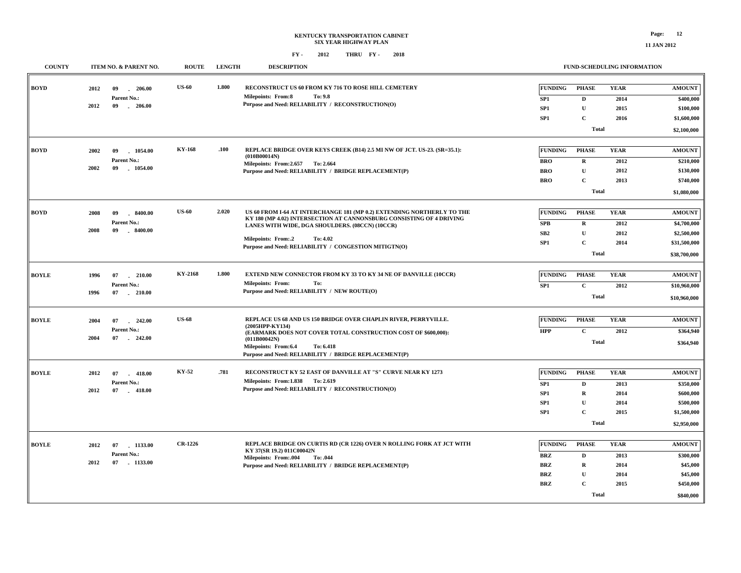| <b>COUNTY</b> |      | ITEM NO. & PARENT NO. | <b>ROUTE</b>   | <b>LENGTH</b> | <b>DESCRIPTION</b>                                                                                                                             |                 | <b>FUND-SCHEDULING INFORMATION</b> |             |               |
|---------------|------|-----------------------|----------------|---------------|------------------------------------------------------------------------------------------------------------------------------------------------|-----------------|------------------------------------|-------------|---------------|
| <b>BOYD</b>   | 2012 | 09<br>206.00<br>u.    | <b>US-60</b>   | 1.800         | RECONSTRUCT US 60 FROM KY 716 TO ROSE HILL CEMETERY                                                                                            | FUNDING         | <b>PHASE</b>                       | <b>YEAR</b> | <b>AMOUNT</b> |
|               |      | Parent No.:           |                |               | To: 9.8<br><b>Milepoints: From:8</b>                                                                                                           | SP <sub>1</sub> | $\mathbf D$                        | 2014        | \$400,000     |
|               | 2012 | $-206.00$<br>09       |                |               | Purpose and Need: RELIABILITY / RECONSTRUCTION(O)                                                                                              | SP <sub>1</sub> | $\mathbf{U}$                       | 2015        | \$100,000     |
|               |      |                       |                |               |                                                                                                                                                | SP <sub>1</sub> | $\mathbf C$                        | 2016        | \$1,600,000   |
|               |      |                       |                |               |                                                                                                                                                |                 | <b>Total</b>                       |             | \$2,100,000   |
| <b>BOYD</b>   | 2002 | 1054.00<br>09         | <b>KY-168</b>  | .100          | REPLACE BRIDGE OVER KEYS CREEK (B14) 2.5 MI NW OF JCT. US-23. (SR=35.1):                                                                       | <b>FUNDING</b>  | <b>PHASE</b>                       | <b>YEAR</b> | <b>AMOUNT</b> |
|               |      | Parent No.:           |                |               | (010B00014N)<br>Milepoints: From: 2.657 To: 2.664                                                                                              | <b>BRO</b>      | $\mathbf R$                        | 2012        | \$210,000     |
|               | 2002 | 09<br>1054.00         |                |               | Purpose and Need: RELIABILITY / BRIDGE REPLACEMENT(P)                                                                                          | <b>BRO</b>      | $\mathbf U$                        | 2012        | \$130,000     |
|               |      |                       |                |               |                                                                                                                                                | <b>BRO</b>      | $\mathbf C$                        | 2013        | \$740,000     |
|               |      |                       |                |               |                                                                                                                                                |                 | <b>Total</b>                       |             | \$1,080,000   |
|               |      |                       |                |               |                                                                                                                                                |                 |                                    |             |               |
| <b>BOYD</b>   | 2008 | 09<br>$-8400.00$      | <b>US-60</b>   | 2.020         | US 60 FROM I-64 AT INTERCHANGE 181 (MP 0.2) EXTENDING NORTHERLY TO THE<br>KY 180 (MP 4.02) INTERSECTION AT CANNONSBURG CONSISTING OF 4 DRIVING | <b>FUNDING</b>  | <b>PHASE</b>                       | <b>YEAR</b> | <b>AMOUNT</b> |
|               |      | Parent No.:           |                |               | LANES WITH WIDE, DGA SHOULDERS. (08CCN) (10CCR)                                                                                                | SPB             | ${\bf R}$                          | 2012        | \$4,700,000   |
|               | 2008 | 09<br>8400.00         |                |               | Milepoints: From:.2<br>To: 4.02                                                                                                                | SB2             | $\mathbf{U}$                       | 2012        | \$2,500,000   |
|               |      |                       |                |               | Purpose and Need: RELIABILITY / CONGESTION MITIGTN(O)                                                                                          | SP <sub>1</sub> | $\mathbf C$                        | 2014        | \$31,500,000  |
|               |      |                       |                |               |                                                                                                                                                |                 | <b>Total</b>                       |             | \$38,700,000  |
| <b>BOYLE</b>  | 1996 | 07<br>210.00          | KY-2168        | 1.800         | EXTEND NEW CONNECTOR FROM KY 33 TO KY 34 NE OF DANVILLE (10CCR)                                                                                | <b>FUNDING</b>  | <b>PHASE</b>                       | <b>YEAR</b> | <b>AMOUNT</b> |
|               |      | Parent No.:           |                |               | <b>Milepoints: From:</b><br>To:                                                                                                                | SP1             | $\mathbf C$                        | 2012        | \$10,960,000  |
|               | 1996 | 07<br>$-210.00$       |                |               | Purpose and Need: RELIABILITY / NEW ROUTE(O)                                                                                                   |                 | <b>Total</b>                       |             | \$10,960,000  |
|               |      |                       |                |               |                                                                                                                                                |                 |                                    |             |               |
| <b>BOYLE</b>  | 2004 | 07<br>242.00          | <b>US-68</b>   |               | REPLACE US 68 AND US 150 BRIDGE OVER CHAPLIN RIVER, PERRYVILLE.                                                                                | <b>FUNDING</b>  | <b>PHASE</b>                       | <b>YEAR</b> | <b>AMOUNT</b> |
|               |      | Parent No.:           |                |               | (2005HPP-KY134)                                                                                                                                | <b>HPP</b>      | $\mathbf C$                        | 2012        | \$364,940     |
|               | 2004 | 07<br>$-242.00$       |                |               | (EARMARK DOES NOT COVER TOTAL CONSTRUCTION COST OF \$600,000):<br>(011B00042N)                                                                 |                 |                                    |             |               |
|               |      |                       |                |               | Milepoints: From:6.4<br>To: 6.418                                                                                                              |                 | <b>Total</b>                       |             | \$364,940     |
|               |      |                       |                |               | Purpose and Need: RELIABILITY / BRIDGE REPLACEMENT(P)                                                                                          |                 |                                    |             |               |
| <b>BOYLE</b>  | 2012 | 07<br>$-418.00$       | KY-52          | .781          | RECONSTRUCT KY 52 EAST OF DANVILLE AT "S" CURVE NEAR KY 1273                                                                                   | <b>FUNDING</b>  | <b>PHASE</b>                       | <b>YEAR</b> | <b>AMOUNT</b> |
|               |      | Parent No.:           |                |               | Milepoints: From: 1.838 To: 2.619                                                                                                              | SP <sub>1</sub> | $\mathbf D$                        | 2013        | \$350,000     |
|               | 2012 | 07<br>$-418.00$       |                |               | Purpose and Need: RELIABILITY / RECONSTRUCTION(O)                                                                                              | SP <sub>1</sub> | $\mathbf R$                        | 2014        | \$600,000     |
|               |      |                       |                |               |                                                                                                                                                | SP1             | $\mathbf{U}$                       | 2014        | \$500,000     |
|               |      |                       |                |               |                                                                                                                                                | SP <sub>1</sub> | $\mathbf C$                        | 2015        | \$1,500,000   |
|               |      |                       |                |               |                                                                                                                                                |                 | <b>Total</b>                       |             |               |
|               |      |                       |                |               |                                                                                                                                                |                 |                                    |             | \$2,950,000   |
| <b>BOYLE</b>  | 2012 | $-1133.00$<br>07      | <b>CR-1226</b> |               | REPLACE BRIDGE ON CURTIS RD (CR 1226) OVER N ROLLING FORK AT JCT WITH                                                                          | <b>FUNDING</b>  | <b>PHASE</b>                       | <b>YEAR</b> | <b>AMOUNT</b> |
|               |      | Parent No.:           |                |               | KY 37(SR 19.2) 011C00042N<br><b>Milepoints: From:.004</b><br>To: .044                                                                          | <b>BRZ</b>      | $\mathbf D$                        | 2013        | \$300,000     |
|               | 2012 | 07<br>$-1133.00$      |                |               | Purpose and Need: RELIABILITY / BRIDGE REPLACEMENT(P)                                                                                          | BRZ             | $\mathbf R$                        | 2014        | \$45,000      |
|               |      |                       |                |               |                                                                                                                                                | BRZ             | $\mathbf U$                        | 2014        | \$45,000      |
|               |      |                       |                |               |                                                                                                                                                | <b>BRZ</b>      | $\mathbf{C}$                       | 2015        | \$450,000     |
|               |      |                       |                |               |                                                                                                                                                |                 | <b>Total</b>                       |             | \$840,000     |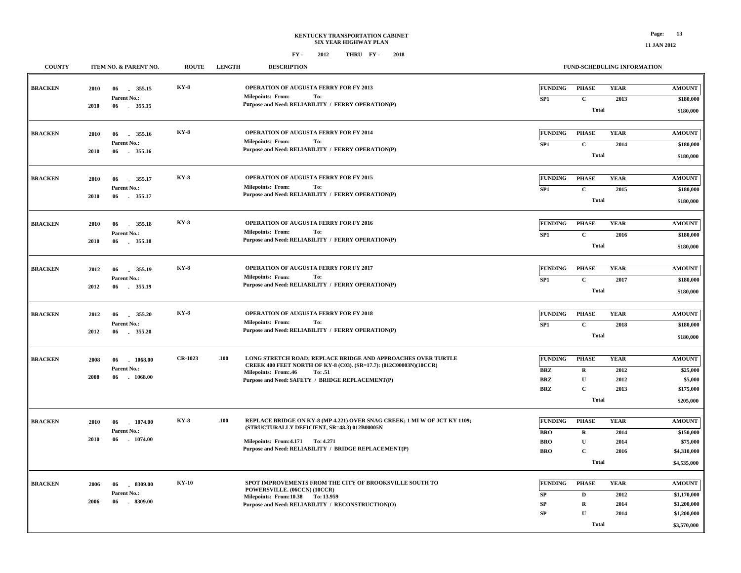$\exists$ 

 **\$3,570,000**

**Total**

**FUND-SCHEDULING INFORMATION**

#### **FY - FY - 2012 2018 THRU**

**COUNTY ITEM NO. & PARENT NO. ROUTE LENGTH DESCRIPTION**

| <b>BRACKEN</b> | 2010 | 355.15<br>06                    | <b>KY-8</b>    |      | OPERATION OF AUGUSTA FERRY FOR FY 2013                                                                                             | <b>FUNDING</b>  | <b>PHASE</b> | <b>YEAR</b> | <b>AMOUNT</b> |
|----------------|------|---------------------------------|----------------|------|------------------------------------------------------------------------------------------------------------------------------------|-----------------|--------------|-------------|---------------|
|                |      | Parent No.:                     |                |      | <b>Milepoints: From:</b><br>To:                                                                                                    | SP <sub>1</sub> | $\mathbf{C}$ | 2013        | \$180,000     |
|                | 2010 | 06<br>355.15                    |                |      | Purpose and Need: RELIABILITY / FERRY OPERATION(P)                                                                                 |                 | <b>Total</b> |             | \$180,000     |
|                |      |                                 |                |      |                                                                                                                                    |                 |              |             |               |
| <b>BRACKEN</b> | 2010 | 06<br>355.16                    | <b>KY-8</b>    |      | OPERATION OF AUGUSTA FERRY FOR FY 2014                                                                                             | <b>FUNDING</b>  | <b>PHASE</b> | <b>YEAR</b> | <b>AMOUNT</b> |
|                |      | Parent No.:                     |                |      | To:<br><b>Milepoints: From:</b>                                                                                                    | SP <sub>1</sub> | $\mathbf{C}$ | 2014        | \$180,000     |
|                | 2010 | 355.16<br>06                    |                |      | Purpose and Need: RELIABILITY / FERRY OPERATION(P)                                                                                 |                 | <b>Total</b> |             | \$180,000     |
|                |      |                                 |                |      |                                                                                                                                    |                 |              |             |               |
|                |      |                                 | <b>KY-8</b>    |      | OPERATION OF AUGUSTA FERRY FOR FY 2015                                                                                             | <b>FUNDING</b>  | <b>PHASE</b> | <b>YEAR</b> | <b>AMOUNT</b> |
| <b>BRACKEN</b> | 2010 | 355.17<br>-06<br>Parent No.:    |                |      | <b>Milepoints: From:</b><br>To:                                                                                                    |                 |              |             |               |
|                | 2010 | 355.17<br>06                    |                |      | Purpose and Need: RELIABILITY / FERRY OPERATION(P)                                                                                 | SP <sub>1</sub> | $\mathbf{C}$ | 2015        | \$180,000     |
|                |      |                                 |                |      |                                                                                                                                    |                 | <b>Total</b> |             | \$180,000     |
|                |      |                                 |                |      |                                                                                                                                    |                 |              |             |               |
| <b>BRACKEN</b> | 2010 | 355.18<br>06<br>a.              | <b>KY-8</b>    |      | OPERATION OF AUGUSTA FERRY FOR FY 2016                                                                                             | <b>FUNDING</b>  | <b>PHASE</b> | <b>YEAR</b> | <b>AMOUNT</b> |
|                | 2010 | Parent No.:<br>06               |                |      | <b>Milepoints: From:</b><br>To:<br>Purpose and Need: RELIABILITY / FERRY OPERATION(P)                                              | SP <sub>1</sub> | $\mathbf C$  | 2016        | \$180,000     |
|                |      | 355.18                          |                |      |                                                                                                                                    |                 | <b>Total</b> |             | \$180,000     |
|                |      |                                 |                |      |                                                                                                                                    |                 |              |             |               |
| <b>BRACKEN</b> | 2012 | 06<br>355.19                    | <b>KY-8</b>    |      | OPERATION OF AUGUSTA FERRY FOR FY 2017                                                                                             | <b>FUNDING</b>  | <b>PHASE</b> | <b>YEAR</b> | <b>AMOUNT</b> |
|                |      | Parent No.:                     |                |      | <b>Milepoints: From:</b><br>To:                                                                                                    | SP1             | $\mathbf C$  | 2017        | \$180,000     |
|                | 2012 | 06 355.19                       |                |      | Purpose and Need: RELIABILITY / FERRY OPERATION(P)                                                                                 |                 | <b>Total</b> |             | \$180,000     |
|                |      |                                 |                |      |                                                                                                                                    |                 |              |             |               |
| <b>BRACKEN</b> | 2012 | 06<br>355.20                    | <b>KY-8</b>    |      | OPERATION OF AUGUSTA FERRY FOR FY 2018                                                                                             | <b>FUNDING</b>  | <b>PHASE</b> | <b>YEAR</b> | <b>AMOUNT</b> |
|                |      | Parent No.:                     |                |      | Milepoints: From:<br>To:                                                                                                           | SP <sub>1</sub> | $\mathbf C$  | 2018        | \$180,000     |
|                | 2012 | 355.20<br>06                    |                |      | Purpose and Need: RELIABILITY / FERRY OPERATION(P)                                                                                 |                 |              |             |               |
|                |      |                                 |                |      |                                                                                                                                    |                 | <b>Total</b> |             | \$180,000     |
|                |      |                                 |                |      |                                                                                                                                    |                 |              |             |               |
| <b>BRACKEN</b> | 2008 | 06<br>1068.00                   | <b>CR-1023</b> | .100 | LONG STRETCH ROAD; REPLACE BRIDGE AND APPROACHES OVER TURTLE<br>CREEK 400 FEET NORTH OF KY-8 (C03). (SR=17.7): (012C00003N)(10CCR) | <b>FUNDING</b>  | <b>PHASE</b> | <b>YEAR</b> | <b>AMOUNT</b> |
|                | 2008 | Parent No.:<br>06<br>1068.00    |                |      | <b>Milepoints: From:.46</b><br>To: .51                                                                                             | <b>BRZ</b>      | $\mathbf R$  | 2012        | \$25,000      |
|                |      |                                 |                |      | Purpose and Need: SAFETY / BRIDGE REPLACEMENT(P)                                                                                   | <b>BRZ</b>      | $\mathbf{U}$ | 2012        | \$5,000       |
|                |      |                                 |                |      |                                                                                                                                    | <b>BRZ</b>      | $\mathbf C$  | 2013        | \$175,000     |
|                |      |                                 |                |      |                                                                                                                                    |                 | <b>Total</b> |             | \$205,000     |
|                |      |                                 |                |      |                                                                                                                                    |                 |              |             |               |
| <b>BRACKEN</b> | 2010 | 06<br>1074.00                   | <b>KY-8</b>    | .100 | REPLACE BRIDGE ON KY-8 (MP 4.221) OVER SNAG CREEK; 1 MI W OF JCT KY 1109;<br>(STRUCTURALLY DEFICIENT, SR=48.3) 012B00005N          | <b>FUNDING</b>  | <b>PHASE</b> | <b>YEAR</b> | <b>AMOUNT</b> |
|                | 2010 | Parent No.:<br>06<br>1074.00    |                |      |                                                                                                                                    | <b>BRO</b>      | $\mathbf R$  | 2014        | \$150,000     |
|                |      |                                 |                |      | Milepoints: From: 4.171 To: 4.271<br>Purpose and Need: RELIABILITY / BRIDGE REPLACEMENT(P)                                         | <b>BRO</b>      | U            | 2014        | \$75,000      |
|                |      |                                 |                |      |                                                                                                                                    | <b>BRO</b>      | $\mathbf{C}$ | 2016        | \$4,310,000   |
|                |      |                                 |                |      |                                                                                                                                    |                 | <b>Total</b> |             | \$4,535,000   |
|                |      |                                 |                |      |                                                                                                                                    |                 |              |             |               |
| <b>BRACKEN</b> | 2006 | 8309.00<br>-06                  | <b>KY-10</b>   |      | SPOT IMPROVEMENTS FROM THE CITY OF BROOKSVILLE SOUTH TO<br>POWERSVILLE. (06CCN) (10CCR)                                            | <b>FUNDING</b>  | <b>PHASE</b> | <b>YEAR</b> | <b>AMOUNT</b> |
|                | 2006 | Parent No.:<br>06<br>$-8309.00$ |                |      | Milepoints: From:10.38 To: 13.959                                                                                                  | SP              | D            | 2012        | \$1,170,000   |
|                |      |                                 |                |      | Purpose and Need: RELIABILITY / RECONSTRUCTION(O)                                                                                  | SP              | $\mathbf R$  | 2014        | \$1,200,000   |
|                |      |                                 |                |      |                                                                                                                                    | SP              | $\mathbf{U}$ | 2014        | \$1,200,000   |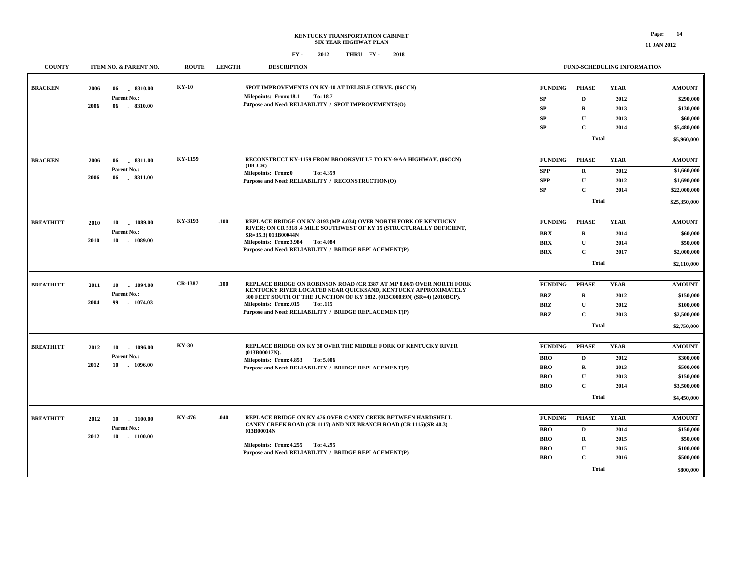#### **FY - FY - 2012 2018 THRU**

| <b>COUNTY</b>    | ITEM NO. & PARENT NO.                                             | <b>ROUTE</b> | <b>LENGTH</b> | <b>DESCRIPTION</b>                                                                                                                                                                                                                                                                                                       |                                                                        |                                                                                            | FUND-SCHEDULING INFORMATION                 |                                                                                    |
|------------------|-------------------------------------------------------------------|--------------|---------------|--------------------------------------------------------------------------------------------------------------------------------------------------------------------------------------------------------------------------------------------------------------------------------------------------------------------------|------------------------------------------------------------------------|--------------------------------------------------------------------------------------------|---------------------------------------------|------------------------------------------------------------------------------------|
| <b>BRACKEN</b>   | 2006<br>06<br>.8310.00<br>Parent No.:<br>2006<br>06<br>$-8310.00$ | <b>KY-10</b> |               | SPOT IMPROVEMENTS ON KY-10 AT DELISLE CURVE. (06CCN)<br>Milepoints: From:18.1<br>To: 18.7<br>Purpose and Need: RELIABILITY / SPOT IMPROVEMENTS(O)                                                                                                                                                                        | <b>FUNDING</b><br>SP<br><b>SP</b><br><b>SP</b><br><b>SP</b>            | <b>PHASE</b><br>D<br>$\mathbf R$<br>U<br>$\mathbf C$<br><b>Total</b>                       | <b>YEAR</b><br>2012<br>2013<br>2013<br>2014 | <b>AMOUNT</b><br>\$290,000<br>\$130,000<br>\$60,000<br>\$5,480,000<br>\$5,960,000  |
| <b>BRACKEN</b>   | 8311.00<br>2006<br>06<br>Parent No.:<br>2006<br>06<br>$-8311.00$  | KY-1159      |               | RECONSTRUCT KY-1159 FROM BROOKSVILLE TO KY-9/AA HIGHWAY. (06CCN)<br>(10CCR)<br>Milepoints: From:0<br>To: 4.359<br>Purpose and Need: RELIABILITY / RECONSTRUCTION(O)                                                                                                                                                      | <b>FUNDING</b><br><b>SPP</b><br><b>SPP</b><br><b>SP</b>                | <b>PHASE</b><br>$\mathbf{R}$<br>$\mathbf U$<br>$\mathbf C$<br><b>Total</b>                 | <b>YEAR</b><br>2012<br>2012<br>2014         | <b>AMOUNT</b><br>\$1,660,000<br>\$1,690,000<br>\$22,000,000<br>\$25,350,000        |
| <b>BREATHITT</b> | 1089.00<br>2010<br>10<br>Parent No.:<br>2010<br>10<br>$-1089.00$  | KY-3193      | .100          | REPLACE BRIDGE ON KY-3193 (MP 4.034) OVER NORTH FORK OF KENTUCKY<br>RIVER; ON CR 5318 .4 MILE SOUTHWEST OF KY 15 (STRUCTURALLY DEFICIENT,<br>SR=35.3) 013B00044N<br>Milepoints: From: 3.984<br>To: 4.084<br>Purpose and Need: RELIABILITY / BRIDGE REPLACEMENT(P)                                                        | <b>FUNDING</b><br><b>BRX</b><br><b>BRX</b><br><b>BRX</b>               | <b>PHASE</b><br>$\bf R$<br>$\mathbf{U}$<br>$\mathbf C$<br><b>Total</b>                     | <b>YEAR</b><br>2014<br>2014<br>2017         | <b>AMOUNT</b><br>\$60,000<br>\$50,000<br>\$2,000,000<br>\$2,110,000                |
| <b>BREATHITT</b> | 2011<br>10<br>1094.00<br>Parent No.:<br>2004<br>99<br>1074.03     | CR-1387      | .100          | REPLACE BRIDGE ON ROBINSON ROAD (CR 1387 AT MP 0.065) OVER NORTH FORK<br>KENTUCKY RIVER LOCATED NEAR QUICKSAND, KENTUCKY APPROXIMATELY<br>300 FEET SOUTH OF THE JUNCTION OF KY 1812. (013C00039N) (SR=4) (2010BOP).<br><b>Milepoints: From:.015</b><br>To: .115<br>Purpose and Need: RELIABILITY / BRIDGE REPLACEMENT(P) | <b>FUNDING</b><br><b>BRZ</b><br><b>BRZ</b><br><b>BRZ</b>               | <b>PHASE</b><br>$\mathbf R$<br>$\mathbf{U}$<br>$\mathbf C$<br><b>Total</b>                 | <b>YEAR</b><br>2012<br>2012<br>2013         | <b>AMOUNT</b><br>\$150,000<br>\$100,000<br>\$2,500,000<br>\$2,750,000              |
| <b>BREATHITT</b> | 2012<br>10<br>1096.00<br>Parent No.:<br>$-1096.00$<br>2012<br>10  | <b>KY-30</b> |               | <b>REPLACE BRIDGE ON KY 30 OVER THE MIDDLE FORK OF KENTUCKY RIVER</b><br>(013B00017N).<br>Milepoints: From: 4.853 To: 5.006<br>Purpose and Need: RELIABILITY / BRIDGE REPLACEMENT(P)                                                                                                                                     | <b>FUNDING</b><br><b>BRO</b><br>BRO<br><b>BRO</b><br>BRO               | <b>PHASE</b><br>$\mathbf{D}$<br>$\mathbf R$<br>$\mathbf{U}$<br>$\mathbf C$<br><b>Total</b> | <b>YEAR</b><br>2012<br>2013<br>2013<br>2014 | <b>AMOUNT</b><br>\$300,000<br>\$500,000<br>\$150,000<br>\$3,500,000<br>\$4,450,000 |
| <b>BREATHITT</b> | $-1100.00$<br>2012<br>10<br>Parent No.:<br>2012<br>10 1100.00     | KY-476       | .040          | REPLACE BRIDGE ON KY 476 OVER CANEY CREEK BETWEEN HARDSHELL<br>CANEY CREEK ROAD (CR 1117) AND NIX BRANCH ROAD (CR 1115)(SR 40.3)<br>013B00014N<br>Milepoints: From: 4.255 To: 4.295<br>Purpose and Need: RELIABILITY / BRIDGE REPLACEMENT(P)                                                                             | <b>FUNDING</b><br><b>BRO</b><br><b>BRO</b><br><b>BRO</b><br><b>BRO</b> | <b>PHASE</b><br>D<br>$\mathbf R$<br>$\mathbf U$<br>$\mathbf C$<br><b>Total</b>             | <b>YEAR</b><br>2014<br>2015<br>2015<br>2016 | <b>AMOUNT</b><br>\$150,000<br>\$50,000<br>\$100,000<br>\$500,000<br>\$800,000      |

**11 JAN 2012**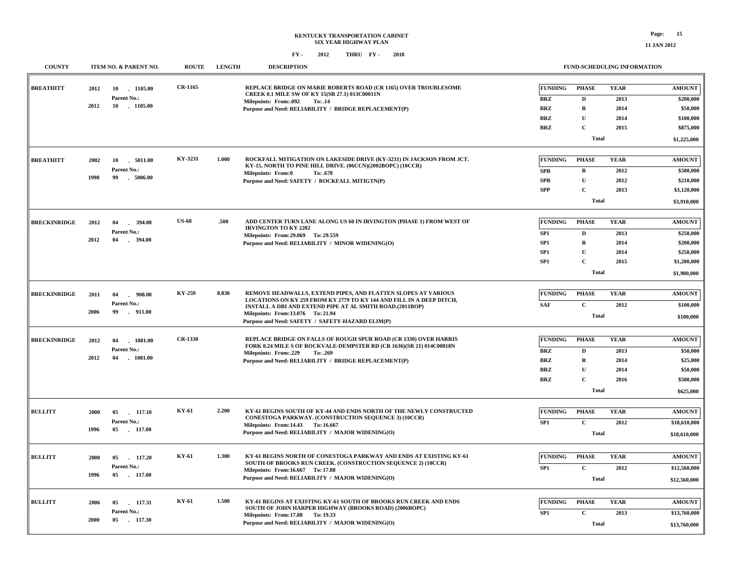| <b>COUNTY</b>       |      | ITEM NO. & PARENT NO.          | <b>ROUTE</b>   | <b>LENGTH</b> | <b>DESCRIPTION</b>                                                                                                                 |                 |              | FUND-SCHEDULING INFORMATION |                      |
|---------------------|------|--------------------------------|----------------|---------------|------------------------------------------------------------------------------------------------------------------------------------|-----------------|--------------|-----------------------------|----------------------|
| <b>BREATHITT</b>    | 2012 | 10<br>1105.00                  | CR-1165        |               | REPLACE BRIDGE ON MARIE ROBERTS ROAD (CR 1165) OVER TROUBLESOME<br>CREEK 0.1 MILE SW OF KY 15(SR 27.1) 013C00011N                  | <b>FUNDING</b>  | <b>PHASE</b> | <b>YEAR</b>                 | <b>AMOUNT</b>        |
|                     |      | Parent No.:                    |                |               | Milepoints: From:.092<br>To: .14                                                                                                   | <b>BRZ</b>      | D            | 2013                        | \$200,000            |
|                     | 2012 | 10 1105.00                     |                |               | Purpose and Need: RELIABILITY / BRIDGE REPLACEMENT(P)                                                                              | <b>BRZ</b>      | $\mathbf R$  | 2014                        | \$50,000             |
|                     |      |                                |                |               |                                                                                                                                    | <b>BRZ</b>      | $\mathbf{U}$ | 2014                        | \$100,000            |
|                     |      |                                |                |               |                                                                                                                                    | <b>BRZ</b>      | $\mathbf{C}$ | 2015                        | \$875,000            |
|                     |      |                                |                |               |                                                                                                                                    |                 | <b>Total</b> |                             | \$1,225,000          |
| <b>BREATHITT</b>    | 2002 | 10<br>$-5011.00$               | KY-3231        | 1.000         | ROCKFALL MITIGATION ON LAKESIDE DRIVE (KY-3231) IN JACKSON FROM JCT.                                                               | <b>FUNDING</b>  | <b>PHASE</b> | <b>YEAR</b>                 | <b>AMOUNT</b>        |
|                     |      | Parent No.:                    |                |               | KY-15, NORTH TO PINE HILL DRIVE. (06CCN)(2002BOPC) (10CCR)                                                                         |                 |              |                             |                      |
|                     | 1998 | .5006.00<br>99                 |                |               | <b>Milepoints: From:0</b><br>To: .678                                                                                              | <b>SPB</b>      | $\mathbf R$  | 2012                        | \$580,000            |
|                     |      |                                |                |               | Purpose and Need: SAFETY / ROCKFALL MITIGTN(P)                                                                                     | <b>SPB</b>      | $\mathbf{U}$ | 2012                        | \$210,000            |
|                     |      |                                |                |               |                                                                                                                                    | <b>SPP</b>      | $\mathbf{C}$ | 2013                        | \$3,120,000          |
|                     |      |                                |                |               |                                                                                                                                    |                 | <b>Total</b> |                             | \$3,910,000          |
| <b>BRECKINRIDGE</b> | 2012 | 04<br>394.00                   | <b>US-60</b>   | .500          | ADD CENTER TURN LANE ALONG US 60 IN IRVINGTON (PHASE 1) FROM WEST OF                                                               | <b>FUNDING</b>  | <b>PHASE</b> | <b>YEAR</b>                 | <b>AMOUNT</b>        |
|                     |      | Parent No.:                    |                |               | <b>IRVINGTON TO KY 2202</b><br>Milepoints: From: 29.069 To: 29.559                                                                 | SP1             | D            | 2013                        | \$250,000            |
|                     | 2012 | $-394.00$<br>04                |                |               | Purpose and Need: RELIABILITY / MINOR WIDENING(O)                                                                                  | SP1             | $\mathbf R$  | 2014                        | \$200,000            |
|                     |      |                                |                |               |                                                                                                                                    | SP1             | $\mathbf{U}$ | 2014                        | \$250,000            |
|                     |      |                                |                |               |                                                                                                                                    | SP1             | $\mathbf{C}$ | 2015                        | \$1,200,000          |
|                     |      |                                |                |               |                                                                                                                                    |                 | <b>Total</b> |                             | \$1,900,000          |
|                     |      |                                |                |               |                                                                                                                                    |                 |              |                             |                      |
| <b>BRECKINRIDGE</b> | 2011 | $-908.00$<br>04                | KY-259         | 8.830         | REMOVE HEADWALLS, EXTEND PIPES, AND FLATTEN SLOPES AT VARIOUS                                                                      | FUNDING         | <b>PHASE</b> | <b>YEAR</b>                 | <b>AMOUNT</b>        |
|                     | 2006 | Parent No.:<br>99<br>$-911.00$ |                |               | LOCATIONS ON KY 259 FROM KY 2779 TO KY 144 AND FILL IN A DEEP DITCH,<br>INSTALL A DBI AND EXTEND PIPE AT AL SMITH ROAD.(2011BOP)   | <b>SAF</b>      | $\mathbf C$  | 2012                        | \$100,000            |
|                     |      |                                |                |               | Milepoints: From:13.076 To: 21.94<br>Purpose and Need: SAFETY / SAFETY-HAZARD ELIM(P)                                              |                 | <b>Total</b> |                             | \$100,000            |
| <b>BRECKINRIDGE</b> | 2012 | 04<br>1081.00                  | <b>CR-1330</b> |               | REPLACE BRIDGE ON FALLS OF ROUGH SPUR ROAD (CR 1330) OVER HARRIS                                                                   | <b>FUNDING</b>  | <b>PHASE</b> | <b>YEAR</b>                 | <b>AMOUNT</b>        |
|                     |      | Parent No.:                    |                |               | FORK 0.24 MILE S OF ROCKVALE-DEMPSTER RD (CR 1636)(SR 21) 014C00018N                                                               | <b>BRZ</b>      | $\mathbf{D}$ |                             | \$50,000             |
|                     | 2012 | 04<br>$-1081.00$               |                |               | Milepoints: From:.229<br>To: .269                                                                                                  | <b>BRZ</b>      | $\mathbf R$  | 2013<br>2014                |                      |
|                     |      |                                |                |               | Purpose and Need: RELIABILITY / BRIDGE REPLACEMENT(P)                                                                              | <b>BRZ</b>      | $\mathbf{U}$ | 2014                        | \$25,000<br>\$50,000 |
|                     |      |                                |                |               |                                                                                                                                    | <b>BRZ</b>      | $\mathbf{C}$ | 2016                        | \$500,000            |
|                     |      |                                |                |               |                                                                                                                                    |                 | <b>Total</b> |                             | \$625,000            |
|                     |      |                                |                |               |                                                                                                                                    |                 |              |                             |                      |
| <b>BULLITT</b>      | 2000 | 117.10<br>05                   | KY-61          | 2.200         | KY-61 BEGINS SOUTH OF KY-44 AND ENDS NORTH OF THE NEWLY CONSTRUCTED                                                                | <b>FUNDING</b>  | <b>PHASE</b> | <b>YEAR</b>                 | <b>AMOUNT</b>        |
|                     |      | Parent No.:                    |                |               | CONESTOGA PARKWAY. (CONSTRUCTION SEQUENCE 3) (10CCR)<br>Milepoints: From: 14.43 To: 16.667                                         | SP <sub>1</sub> | $\mathbf{C}$ | 2012                        | \$18,610,000         |
|                     | 1996 | 05 117.00                      |                |               | Purpose and Need: RELIABILITY / MAJOR WIDENING(O)                                                                                  |                 | <b>Total</b> |                             | \$18,610,000         |
|                     |      |                                |                |               |                                                                                                                                    |                 |              |                             |                      |
| <b>BULLITT</b>      | 2000 | 117.20<br>05                   | KY-61          | 1.300         | KY-61 BEGINS NORTH OF CONESTOGA PARKWAY AND ENDS AT EXISTING KY-61<br>SOUTH OF BROOKS RUN CREEK. (CONSTRUCTION SEQUENCE 2) (10CCR) | <b>FUNDING</b>  | <b>PHASE</b> | <b>YEAR</b>                 | <b>AMOUNT</b>        |
|                     |      | Parent No.:                    |                |               | Milepoints: From:16.667 To: 17.88                                                                                                  | SP <sub>1</sub> | $\mathbf{C}$ | 2012                        | \$12,560,000         |
|                     | 1996 | $-117.00$<br>05                |                |               | Purpose and Need: RELIABILITY / MAJOR WIDENING(O)                                                                                  |                 | <b>Total</b> |                             | \$12,560,000         |
|                     |      |                                |                |               |                                                                                                                                    |                 |              |                             |                      |
| <b>BULLITT</b>      | 2006 | 05 117.31                      | KY-61          | 1.500         | KY-61 BEGINS AT EXISTING KY-61 SOUTH OF BROOKS RUN CREEK AND ENDS<br>SOUTH OF JOHN HARPER HIGHWAY (BROOKS ROAD) (2006BOPC)         | <b>FUNDING</b>  | <b>PHASE</b> | <b>YEAR</b>                 | <b>AMOUNT</b>        |
|                     |      | Parent No.:                    |                |               | Milepoints: From:17.88 To: 19.33                                                                                                   | SP1             | $\mathbf C$  | 2013                        | \$13,760,000         |
|                     | 2000 | 05 117.30                      |                |               | Purpose and Need: RELIABILITY / MAJOR WIDENING(O)                                                                                  |                 | <b>Total</b> |                             | \$13,760,000         |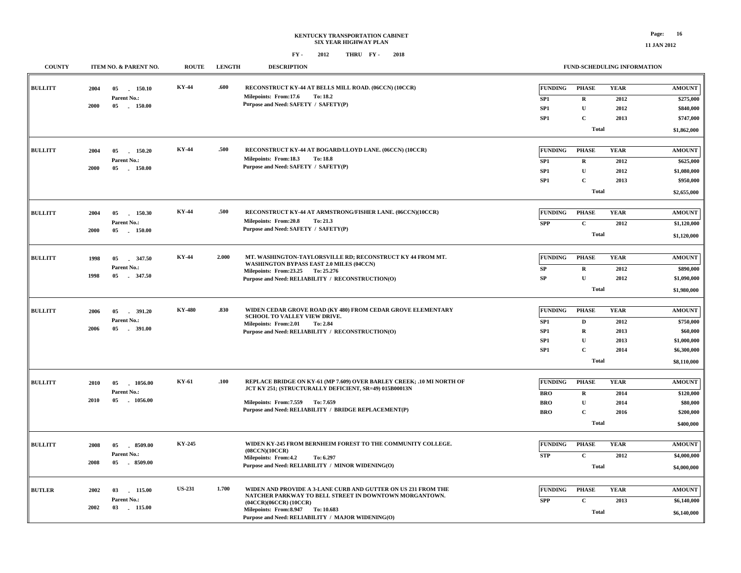#### **FY - FY - 2012 2018 THRU COUNTY ITEM NO. & PARENT NO. ROUTE LENGTH DESCRIPTIONFUND-SCHEDULING INFORMATION**

| COUNTER        |      | <b>ITEM NO. &amp; LAKENT NO.</b> | <b>NVUTE</b>  | еристи | <b>DESCIMI TION</b>                                                                                                             |                 | FUND-SCHEDULING INFORMATION |             |                            |
|----------------|------|----------------------------------|---------------|--------|---------------------------------------------------------------------------------------------------------------------------------|-----------------|-----------------------------|-------------|----------------------------|
| <b>BULLITT</b> | 2004 | 05 150.10<br>Parent No.:         | KY-44         | .600   | RECONSTRUCT KY-44 AT BELLS MILL ROAD. (06CCN) (10CCR)<br>Milepoints: From:17.6<br>To: 18.2                                      | <b>FUNDING</b>  | <b>PHASE</b>                | <b>YEAR</b> | <b>AMOUNT</b>              |
|                | 2000 | 05<br>$-150.00$                  |               |        | Purpose and Need: SAFETY / SAFETY(P)                                                                                            | SP1             | $\mathbf R$                 | 2012        | \$275,000                  |
|                |      |                                  |               |        |                                                                                                                                 | SP1             | ${\bf U}$                   | 2012        | \$840,000                  |
|                |      |                                  |               |        |                                                                                                                                 | SP1             | $\mathbf C$                 | 2013        | \$747,000                  |
|                |      |                                  |               |        |                                                                                                                                 |                 | <b>Total</b>                |             | \$1,862,000                |
| <b>BULLITT</b> | 2004 | 05<br>150.20                     | <b>KY-44</b>  | .500   | RECONSTRUCT KY-44 AT BOGARD/LLOYD LANE. (06CCN) (10CCR)                                                                         | <b>FUNDING</b>  | <b>PHASE</b>                | <b>YEAR</b> | <b>AMOUNT</b>              |
|                |      | Parent No.:                      |               |        | Milepoints: From:18.3<br><b>To: 18.8</b>                                                                                        | SP1             | $\mathbf R$                 | 2012        | \$625,000                  |
|                | 2000 | 05 150.00                        |               |        | Purpose and Need: SAFETY / SAFETY(P)                                                                                            | SP1             | ${\bf U}$                   | 2012        | \$1,080,000                |
|                |      |                                  |               |        |                                                                                                                                 | SP <sub>1</sub> | $\mathbf C$                 | 2013        | \$950,000                  |
|                |      |                                  |               |        |                                                                                                                                 |                 |                             |             |                            |
|                |      |                                  |               |        |                                                                                                                                 |                 | <b>Total</b>                |             | \$2,655,000                |
| <b>BULLITT</b> | 2004 | 05<br>150.30                     | <b>KY-44</b>  | .500   | RECONSTRUCT KY-44 AT ARMSTRONG/FISHER LANE. (06CCN)(10CCR)                                                                      | <b>FUNDING</b>  | PHASE                       | <b>YEAR</b> | <b>AMOUNT</b>              |
|                |      | Parent No.:                      |               |        | Milepoints: From:20.8<br>To: 21.3                                                                                               | <b>SPP</b>      | $\mathbf{C}$                | 2012        | \$1,120,000                |
|                | 2000 | 05 150.00                        |               |        | Purpose and Need: SAFETY / SAFETY(P)                                                                                            |                 | <b>Total</b>                |             | \$1,120,000                |
| <b>BULLITT</b> | 1998 | 347.50<br>05                     | KY-44         | 2.000  | MT. WASHINGTON-TAYLORSVILLE RD; RECONSTRUCT KY 44 FROM MT.                                                                      | FUNDING         | PHASE                       | <b>YEAR</b> | <b>AMOUNT</b>              |
|                |      | Parent No.:                      |               |        | WASHINGTON BYPASS EAST 2.0 MILES (04CCN)                                                                                        |                 |                             |             |                            |
|                | 1998 | 05<br>347.50                     |               |        | Milepoints: From: 23.25 To: 25.276                                                                                              | SP              | $\mathbf R$                 | 2012        | \$890,000                  |
|                |      |                                  |               |        | Purpose and Need: RELIABILITY / RECONSTRUCTION(O)                                                                               | SP              | $\mathbf U$                 | 2012        | \$1,090,000                |
|                |      |                                  |               |        |                                                                                                                                 |                 | <b>Total</b>                |             | \$1,980,000                |
| <b>BULLITT</b> | 2006 | 05<br>391.20                     | <b>KY-480</b> | .830   | WIDEN CEDAR GROVE ROAD (KY 480) FROM CEDAR GROVE ELEMENTARY                                                                     | <b>FUNDING</b>  | <b>PHASE</b>                | <b>YEAR</b> | <b>AMOUNT</b>              |
|                |      | Parent No.:                      |               |        | SCHOOL TO VALLEY VIEW DRIVE.                                                                                                    | SP <sub>1</sub> | $\mathbf D$                 | 2012        | \$750,000                  |
|                | 2006 | 05<br>$-391.00$                  |               |        | Milepoints: From:2.01<br>To: 2.84                                                                                               | SP1             | $\mathbf R$                 | 2013        | \$60,000                   |
|                |      |                                  |               |        | Purpose and Need: RELIABILITY / RECONSTRUCTION(O)                                                                               |                 | $\mathbf{U}$                |             |                            |
|                |      |                                  |               |        |                                                                                                                                 | SP1             |                             | 2013        | \$1,000,000                |
|                |      |                                  |               |        |                                                                                                                                 | SP1             | $\mathbf C$<br><b>Total</b> | 2014        | \$6,300,000<br>\$8,110,000 |
|                |      |                                  |               |        |                                                                                                                                 |                 |                             |             |                            |
| <b>BULLITT</b> | 2010 | 05<br>1056.00                    | KY-61         | .100   | REPLACE BRIDGE ON KY-61 (MP 7.609) OVER BARLEY CREEK; .10 MI NORTH OF<br>JCT KY 251; (STRUCTURALLY DEFICIENT, SR=49) 015B00013N | <b>FUNDING</b>  | <b>PHASE</b>                | <b>YEAR</b> | <b>AMOUNT</b>              |
|                |      | Parent No.:                      |               |        |                                                                                                                                 | <b>BRO</b>      | $\mathbf R$                 | 2014        | \$120,000                  |
|                | 2010 | 05 1056.00                       |               |        | Milepoints: From: 7.559 To: 7.659                                                                                               | <b>BRO</b>      | $\mathbf U$                 | 2014        | \$80,000                   |
|                |      |                                  |               |        | Purpose and Need: RELIABILITY / BRIDGE REPLACEMENT(P)                                                                           | <b>BRO</b>      | $\mathbf C$                 | 2016        | \$200,000                  |
|                |      |                                  |               |        |                                                                                                                                 |                 | <b>Total</b>                |             | \$400,000                  |
|                |      |                                  |               |        |                                                                                                                                 |                 |                             |             |                            |
| <b>BULLITT</b> | 2008 | 8509.00<br>05                    | KY-245        |        | WIDEN KY-245 FROM BERNHEIM FOREST TO THE COMMUNITY COLLEGE.<br>(08CCN)(10CCR)                                                   | <b>FUNDING</b>  | <b>PHASE</b>                | <b>YEAR</b> | <b>AMOUNT</b>              |
|                |      | Parent No.:                      |               |        | Milepoints: From:4.2<br>To: 6.297                                                                                               | <b>STP</b>      | $\mathbf C$                 | 2012        | \$4,000,000                |
|                | 2008 | 05 8509.00                       |               |        | Purpose and Need: RELIABILITY / MINOR WIDENING(O)                                                                               |                 | <b>Total</b>                |             | \$4,000,000                |
|                |      |                                  |               |        |                                                                                                                                 |                 |                             |             |                            |
| <b>BUTLER</b>  | 2002 | 115.00<br>03                     | <b>US-231</b> | 1.700  | WIDEN AND PROVIDE A 3-LANE CURB AND GUTTER ON US 231 FROM THE<br>NATCHER PARKWAY TO BELL STREET IN DOWNTOWN MORGANTOWN.         | <b>FUNDING</b>  | <b>PHASE</b>                | <b>YEAR</b> | <b>AMOUNT</b>              |
|                |      | Parent No.:                      |               |        | (04CCR)(06CCR) (10CCR)                                                                                                          | <b>SPP</b>      | $\mathbf{C}$                | 2013        | \$6,140,000                |
|                | 2002 | $-115.00$<br>03                  |               |        | Milepoints: From: 8.947 To: 10.683<br>Purpose and Need: RELIABILITY / MAJOR WIDENING(O)                                         |                 | <b>Total</b>                |             | \$6,140,000                |
|                |      |                                  |               |        |                                                                                                                                 |                 |                             |             |                            |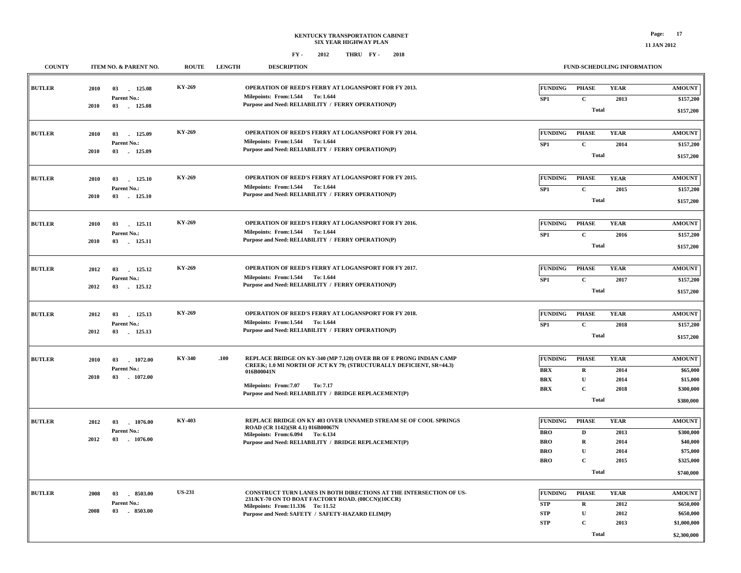| <b>COUNTY</b> | <b>ITEM NO. &amp; PARENT NO.</b>                                 | <b>ROUTE</b>  | <b>LENGTH</b> | <b>DESCRIPTION</b>                                                                                                                                                                                                                                           |                                                                        | <b>FUND-SCHEDULING INFORMATION</b>                                        |                                             |                                                                              |
|---------------|------------------------------------------------------------------|---------------|---------------|--------------------------------------------------------------------------------------------------------------------------------------------------------------------------------------------------------------------------------------------------------------|------------------------------------------------------------------------|---------------------------------------------------------------------------|---------------------------------------------|------------------------------------------------------------------------------|
| <b>BUTLER</b> | 2010<br>03<br>125.08<br>Parent No.:<br>2010<br>03<br>125.08      | KY-269        |               | OPERATION OF REED'S FERRY AT LOGANSPORT FOR FY 2013.<br>Milepoints: From:1.544 To:1.644<br>Purpose and Need: RELIABILITY / FERRY OPERATION(P)                                                                                                                | FUNDING<br>SP <sub>1</sub>                                             | <b>PHASE</b><br>$\mathbf{C}$<br>Total                                     | <b>YEAR</b><br>2013                         | <b>AMOUNT</b><br>\$157,200<br>\$157,200                                      |
| <b>BUTLER</b> | 2010<br>03<br>125.09<br>Parent No.:<br>03<br>$-125.09$<br>2010   | KY-269        |               | OPERATION OF REED'S FERRY AT LOGANSPORT FOR FY 2014.<br>Milepoints: From:1.544 To:1.644<br>Purpose and Need: RELIABILITY / FERRY OPERATION(P)                                                                                                                | <b>FUNDING</b><br>SP1                                                  | <b>PHASE</b><br>$\mathbf{C}$<br><b>Total</b>                              | <b>YEAR</b><br>2014                         | <b>AMOUNT</b><br>\$157,200<br>\$157,200                                      |
| <b>BUTLER</b> | 03<br>125.10<br>2010<br>Parent No.:<br>2010<br>03<br>125.10      | KY-269        |               | OPERATION OF REED'S FERRY AT LOGANSPORT FOR FY 2015.<br>Milepoints: From:1.544 To:1.644<br>Purpose and Need: RELIABILITY / FERRY OPERATION(P)                                                                                                                | <b>FUNDING</b><br>SP1                                                  | <b>PHASE</b><br>$\mathbf{C}$<br><b>Total</b>                              | <b>YEAR</b><br>2015                         | <b>AMOUNT</b><br>\$157,200<br>\$157,200                                      |
| <b>BUTLER</b> | 03<br>125.11<br>2010<br>Parent No.:<br>2010<br>03<br>125.11      | KY-269        |               | OPERATION OF REED'S FERRY AT LOGANSPORT FOR FY 2016.<br>Milepoints: From:1.544 To:1.644<br>Purpose and Need: RELIABILITY / FERRY OPERATION(P)                                                                                                                | FUNDING<br>SP <sub>1</sub>                                             | <b>PHASE</b><br>$\mathbf{C}$<br><b>Total</b>                              | <b>YEAR</b><br>2016                         | <b>AMOUNT</b><br>\$157,200<br>\$157,200                                      |
| <b>BUTLER</b> | 2012<br>03<br>125.12<br>Parent No.:<br>125.12<br>2012<br>03      | KY-269        |               | OPERATION OF REED'S FERRY AT LOGANSPORT FOR FY 2017.<br>Milepoints: From:1.544 To:1.644<br>Purpose and Need: RELIABILITY / FERRY OPERATION(P)                                                                                                                | <b>FUNDING</b><br>SP <sub>1</sub>                                      | <b>PHASE</b><br>$\mathbf C$<br><b>Total</b>                               | <b>YEAR</b><br>2017                         | <b>AMOUNT</b><br>\$157,200<br>\$157,200                                      |
| <b>BUTLER</b> | 2012<br>03 125.13<br>Parent No.:<br>2012<br>03<br>125.13         | KY-269        |               | OPERATION OF REED'S FERRY AT LOGANSPORT FOR FY 2018.<br>Milepoints: From:1.544 To:1.644<br>Purpose and Need: RELIABILITY / FERRY OPERATION(P)                                                                                                                | <b>FUNDING</b><br>SP1                                                  | <b>PHASE</b><br>$\mathbf C$<br><b>Total</b>                               | <b>YEAR</b><br>2018                         | <b>AMOUNT</b><br>\$157,200<br>\$157,200                                      |
| <b>BUTLER</b> | 2010<br>03<br>1072.00<br>Parent No.:<br>03<br>2010<br>1072.00    | KY-340        | .100          | REPLACE BRIDGE ON KY-340 (MP 7.120) OVER BR OF E PRONG INDIAN CAMP<br>CREEK; 1.0 MI NORTH OF JCT KY 79; (STRUCTURALLY DEFICIENT, SR=44.3)<br>016B00041N<br><b>Milepoints: From:7.07</b><br>To: 7.17<br>Purpose and Need: RELIABILITY / BRIDGE REPLACEMENT(P) | <b>FUNDING</b><br><b>BRX</b><br><b>BRX</b><br><b>BRX</b>               | <b>PHASE</b><br>$\mathbf R$<br>$\mathbf{U}$<br>$\mathbf C$<br>Total       | <b>YEAR</b><br>2014<br>2014<br>2018         | <b>AMOUNT</b><br>\$65,000<br>\$15,000<br>\$300,000<br>\$380,000              |
| <b>BUTLER</b> | 2012<br>03<br>1076.00<br>Parent No.:<br>03<br>2012<br>$-1076.00$ | KY-403        |               | REPLACE BRIDGE ON KY 403 OVER UNNAMED STREAM SE OF COOL SPRINGS<br>ROAD (CR 1142)(SR 4.1) 016B00067N<br>Milepoints: From: 6.094 To: 6.134<br>Purpose and Need: RELIABILITY / BRIDGE REPLACEMENT(P)                                                           | <b>FUNDING</b><br><b>BRO</b><br><b>BRO</b><br><b>BRO</b><br><b>BRO</b> | <b>PHASE</b><br>D<br>$\mathbf R$<br>U<br>$\mathbf C$<br><b>Total</b>      | <b>YEAR</b><br>2013<br>2014<br>2014<br>2015 | <b>AMOUNT</b><br>\$300,000<br>\$40,000<br>\$75,000<br>\$325,000<br>\$740,000 |
| <b>BUTLER</b> | 2008<br>03<br>8503.00<br>Parent No.:<br>8503.00<br>2008<br>03    | <b>US-231</b> |               | CONSTRUCT TURN LANES IN BOTH DIRECTIONS AT THE INTERSECTION OF US-<br>231/KY-70 ON TO BOAT FACTORY ROAD. (08CCN)(10CCR)<br>Milepoints: From:11.336 To: 11.52<br>Purpose and Need: SAFETY / SAFETY-HAZARD ELIM(P)                                             | <b>FUNDING</b><br><b>STP</b><br><b>STP</b><br><b>STP</b>               | <b>PHASE</b><br>$\mathbf R$<br>$\mathbf U$<br>$\mathbf C$<br><b>Total</b> | <b>YEAR</b><br>2012<br>2012<br>2013         | <b>AMOUNT</b><br>\$650,000<br>\$650,000<br>\$1,000,000<br>\$2,300,000        |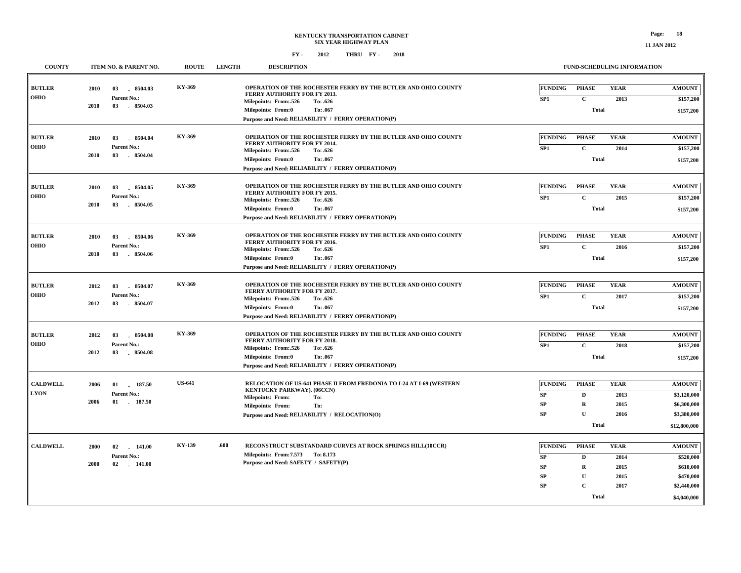|  | 11 JAN 20. |  |
|--|------------|--|
|  |            |  |

| <b>COUNTY</b>                  | ITEM NO. & PARENT NO.                                             | <b>ROUTE</b>  | <b>LENGTH</b><br><b>DESCRIPTION</b>                                                                                                                                                                                                       |                                                                    |                                                                                | <b>FUND-SCHEDULING INFORMATION</b>                                                                                                |
|--------------------------------|-------------------------------------------------------------------|---------------|-------------------------------------------------------------------------------------------------------------------------------------------------------------------------------------------------------------------------------------------|--------------------------------------------------------------------|--------------------------------------------------------------------------------|-----------------------------------------------------------------------------------------------------------------------------------|
| <b>BUTLER</b><br><b>OHIO</b>   | 2010<br>03<br>8504.03<br>Parent No.:<br>2010<br>03<br>8504.03     | KY-369        | OPERATION OF THE ROCHESTER FERRY BY THE BUTLER AND OHIO COUNTY<br>FERRY AUTHORITY FOR FY 2013.<br>Milepoints: From: 526<br>To: .626<br><b>Milepoints: From:0</b><br>To: .067<br>Purpose and Need: RELIABILITY / FERRY OPERATION(P)        | <b>FUNDING</b><br>SP1                                              | <b>PHASE</b><br>$\mathbf C$<br><b>Total</b>                                    | <b>YEAR</b><br><b>AMOUNT</b><br>2013<br>\$157,200<br>\$157,200                                                                    |
| <b>BUTLER</b><br><b>OHIO</b>   | 8504.04<br>2010<br>03<br>Parent No.:<br>2010<br>03<br>8504.04     | KY-369        | OPERATION OF THE ROCHESTER FERRY BY THE BUTLER AND OHIO COUNTY<br>FERRY AUTHORITY FOR FY 2014.<br>Milepoints: From: .526<br>To: .626<br><b>Milepoints: From:0</b><br>To: .067<br>Purpose and Need: RELIABILITY / FERRY OPERATION(P)       | <b>FUNDING</b><br>SP1                                              | <b>PHASE</b><br>$\mathbf C$<br><b>Total</b>                                    | <b>YEAR</b><br><b>AMOUNT</b><br>2014<br>\$157,200<br>\$157,200                                                                    |
| <b>BUTLER</b><br><b>OHIO</b>   | 8504.05<br>2010<br>03<br>Parent No.:<br>2010<br>03<br>8504.05     | KY-369        | OPERATION OF THE ROCHESTER FERRY BY THE BUTLER AND OHIO COUNTY<br><b>FERRY AUTHORITY FOR FY 2015.</b><br>Milepoints: From:.526<br>To: .626<br><b>Milepoints: From:0</b><br>To: .067<br>Purpose and Need: RELIABILITY / FERRY OPERATION(P) | <b>FUNDING</b><br>SP1                                              | <b>PHASE</b><br>$\mathbf C$<br><b>Total</b>                                    | <b>YEAR</b><br><b>AMOUNT</b><br>2015<br>\$157,200<br>\$157,200                                                                    |
| <b>BUTLER</b><br><b>OHIO</b>   | 03<br>8504.06<br>2010<br>Parent No.:<br>2010<br>03<br>8504.06     | KY-369        | OPERATION OF THE ROCHESTER FERRY BY THE BUTLER AND OHIO COUNTY<br>FERRY AUTHORITY FOR FY 2016.<br>Milepoints: From:.526<br>To: .626<br><b>Milepoints: From:0</b><br>To: .067<br>Purpose and Need: RELIABILITY / FERRY OPERATION(P)        | <b>FUNDING</b><br>SP1                                              | <b>PHASE</b><br>$\mathbf C$<br><b>Total</b>                                    | <b>YEAR</b><br><b>AMOUNT</b><br>\$157,200<br>2016<br>\$157,200                                                                    |
| <b>BUTLER</b><br><b>OHIO</b>   | 8504.07<br>2012<br>03<br>Parent No.:<br>2012<br>03<br>8504.07     | KY-369        | OPERATION OF THE ROCHESTER FERRY BY THE BUTLER AND OHIO COUNTY<br>FERRY AUTHORITY FOR FY 2017.<br>Milepoints: From:.526<br>To: .626<br><b>Milepoints: From:0</b><br>To: .067<br>Purpose and Need: RELIABILITY / FERRY OPERATION(P)        | <b>FUNDING</b><br>SP1                                              | <b>PHASE</b><br>$\mathbf C$<br><b>Total</b>                                    | <b>YEAR</b><br><b>AMOUNT</b><br>2017<br>\$157,200<br>\$157,200                                                                    |
| <b>BUTLER</b><br><b>OHIO</b>   | 2012<br>03<br>8504.08<br>Parent No.:<br>2012<br>03<br>- 8504.08   | KY-369        | OPERATION OF THE ROCHESTER FERRY BY THE BUTLER AND OHIO COUNTY<br><b>FERRY AUTHORITY FOR FY 2018.</b><br>Milepoints: From:.526<br>To: .626<br>Milepoints: From:0<br>To: .067<br>Purpose and Need: RELIABILITY / FERRY OPERATION(P)        | <b>FUNDING</b><br>SP1                                              | <b>PHASE</b><br>$\mathbf C$<br><b>Total</b>                                    | <b>YEAR</b><br><b>AMOUNT</b><br>2018<br>\$157,200<br>\$157,200                                                                    |
| <b>CALDWELL</b><br><b>LYON</b> | 2006<br>01<br>. 187.50<br>Parent No.:<br>2006<br>01 187.50        | <b>US-641</b> | RELOCATION OF US-641 PHASE II FROM FREDONIA TO I-24 AT I-69 (WESTERN<br>KENTUCKY PARKWAY). (06CCN)<br>Milepoints: From:<br>To:<br>To:<br><b>Milepoints: From:</b><br>Purpose and Need: RELIABILITY / RELOCATION(O)                        | <b>FUNDING</b><br>SP<br>SP<br><b>SP</b>                            | <b>PHASE</b><br>D<br>$\mathbf R$<br>$\mathbf{U}$<br><b>Total</b>               | <b>YEAR</b><br><b>AMOUNT</b><br>2013<br>\$3,120,000<br>2015<br>\$6,300,000<br>\$3,380,000<br>2016<br>\$12,800,000                 |
| <b>CALDWELL</b>                | 2000<br>02<br>$-141.00$<br>Parent No.:<br>2000<br>02<br>$-141.00$ | KY-139        | RECONSTRUCT SUBSTANDARD CURVES AT ROCK SPRINGS HILL(10CCR)<br>.600<br>Milepoints: From: 7.573 To: 8.173<br>Purpose and Need: SAFETY / SAFETY(P)                                                                                           | <b>FUNDING</b><br><b>SP</b><br><b>SP</b><br><b>SP</b><br><b>SP</b> | <b>PHASE</b><br>D<br>$\mathbf R$<br>$\mathbf U$<br>$\mathbf C$<br><b>Total</b> | <b>YEAR</b><br><b>AMOUNT</b><br>2014<br>\$520,000<br>2015<br>\$610,000<br>\$470,000<br>2015<br>\$2,440,000<br>2017<br>\$4,040,000 |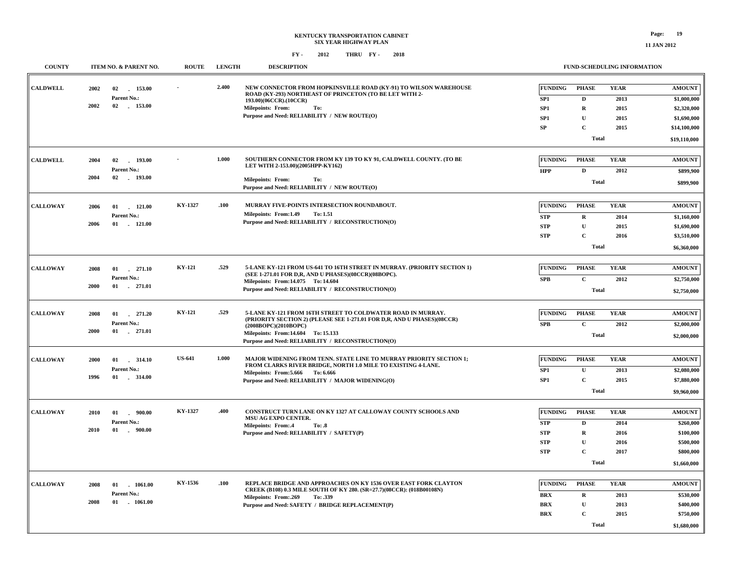### **KENTUCKY TRANSPORTATION CABINET SIX YEAR HIGHWAY PLAN FY - FY - 2012 2018 THRU**

#### **FUND-SCHEDULING INFORMATION**

| <b>COUNTY</b>   | ITEM NO. & PARENT NO.                   | <b>ROUTE</b>  | <b>LENGTH</b> | <b>DESCRIPTION</b>                                                                                                                     |                          | FUND-SCHEDULING INFORMATION  |              |               |
|-----------------|-----------------------------------------|---------------|---------------|----------------------------------------------------------------------------------------------------------------------------------------|--------------------------|------------------------------|--------------|---------------|
| <b>CALDWELL</b> | 153.00<br>2002<br>02                    |               | 2.400         | NEW CONNECTOR FROM HOPKINSVILLE ROAD (KY-91) TO WILSON WAREHOUSE<br>ROAD (KY-293) NORTHEAST OF PRINCETON (TO BE LET WITH 2-            | <b>FUNDING</b>           | <b>PHASE</b>                 | <b>YEAR</b>  | <b>AMOUNT</b> |
|                 | Parent No.:                             |               |               | 193.00)(06CCR).(10CCR)                                                                                                                 | SP <sub>1</sub>          | $\mathbf D$                  | 2013         | \$1,000,000   |
|                 | 2002<br>02 153.00                       |               |               | <b>Milepoints: From:</b><br>To:                                                                                                        | SP <sub>1</sub>          | $\bf{R}$                     | 2015         | \$2,320,000   |
|                 |                                         |               |               | Purpose and Need: RELIABILITY / NEW ROUTE(O)                                                                                           | SP <sub>1</sub>          | U                            | 2015         | \$1,690,000   |
|                 |                                         |               |               |                                                                                                                                        | <b>SP</b>                | $\mathbf{C}$                 | 2015         | \$14,100,000  |
|                 |                                         |               |               |                                                                                                                                        |                          | <b>Total</b>                 |              | \$19,110,000  |
|                 |                                         |               |               |                                                                                                                                        |                          |                              |              |               |
| <b>CALDWELL</b> | 193.00<br>2004<br>02<br>Parent No.:     |               | 1.000         | SOUTHERN CONNECTOR FROM KY 139 TO KY 91, CALDWELL COUNTY. (TO BE<br>LET WITH 2-153.00)(2005HPP-KY162)                                  | <b>FUNDING</b>           | <b>PHASE</b>                 | <b>YEAR</b>  | <b>AMOUNT</b> |
|                 | 2004<br>02 193.00                       |               |               |                                                                                                                                        | <b>HPP</b>               | $\mathbf{D}$                 | 2012         | \$899,900     |
|                 |                                         |               |               | <b>Milepoints: From:</b><br>To:<br>Purpose and Need: RELIABILITY / NEW ROUTE(O)                                                        |                          | <b>Total</b>                 |              | \$899,900     |
|                 |                                         |               |               |                                                                                                                                        |                          |                              |              |               |
| <b>CALLOWAY</b> | 121.00<br>2006<br>01                    | KY-1327       | .100          | MURRAY FIVE-POINTS INTERSECTION ROUNDABOUT.                                                                                            | <b>FUNDING</b>           | <b>PHASE</b>                 | <b>YEAR</b>  | <b>AMOUNT</b> |
|                 | Parent No.:                             |               |               | Milepoints: From:1.49<br>To: 1.51<br>Purpose and Need: RELIABILITY / RECONSTRUCTION(O)                                                 | ${\bf STP}$              | $\mathbf R$                  | 2014         | \$1,160,000   |
|                 | 2006<br>$01$ 121.00                     |               |               |                                                                                                                                        | ${\bf STP}$              | $\mathbf{U}$                 | 2015         | \$1,690,000   |
|                 |                                         |               |               |                                                                                                                                        | <b>STP</b>               | $\mathbf C$                  | 2016         | \$3,510,000   |
|                 |                                         |               |               |                                                                                                                                        |                          | <b>Total</b>                 |              | \$6,360,000   |
|                 |                                         | <b>KY-121</b> | .529          | 5-LANE KY-121 FROM US-641 TO 16TH STREET IN MURRAY. (PRIORITY SECTION 1)                                                               |                          |                              |              |               |
| <b>CALLOWAY</b> | 271.10<br>2008<br>01                    |               |               | (SEE 1-271.01 FOR D,R, AND U PHASES)(08CCR)(08BOPC).                                                                                   | <b>FUNDING</b>           | <b>PHASE</b>                 | <b>YEAR</b>  | <b>AMOUNT</b> |
|                 | Parent No.:<br>2000<br>$01$ 271.01      |               |               | Milepoints: From:14.075 To: 14.604                                                                                                     | <b>SPB</b>               | $\mathbf C$                  | 2012         | \$2,750,000   |
|                 |                                         |               |               | Purpose and Need: RELIABILITY / RECONSTRUCTION(O)                                                                                      |                          | <b>Total</b>                 |              | \$2,750,000   |
|                 |                                         |               |               |                                                                                                                                        |                          |                              |              |               |
| <b>CALLOWAY</b> | 2008<br>$01 \t 271.20$                  | KY-121        | .529          | 5-LANE KY-121 FROM 16TH STREET TO COLDWATER ROAD IN MURRAY.<br>(PRIORITY SECTION 2) (PLEASE SEE 1-271.01 FOR D.R. AND U PHASES)(08CCR) | <b>FUNDING</b>           | <b>PHASE</b>                 | <b>YEAR</b>  | <b>AMOUNT</b> |
|                 | Parent No.:                             |               |               | (2008BOPC)(2010BOPC)                                                                                                                   | <b>SPB</b>               | $\mathbf C$                  | 2012         | \$2,000,000   |
|                 | 2000<br>$01$ . 271.01                   |               |               | Milepoints: From:14.604 To: 15.133<br>Purpose and Need: RELIABILITY / RECONSTRUCTION(O)                                                |                          | <b>Total</b>                 |              | \$2,000,000   |
|                 |                                         |               |               |                                                                                                                                        |                          |                              |              |               |
| <b>CALLOWAY</b> | 2000<br>01<br>314.10                    | <b>US-641</b> | 1.000         | MAJOR WIDENING FROM TENN. STATE LINE TO MURRAY PRIORITY SECTION 1;<br>FROM CLARKS RIVER BRIDGE, NORTH 1.0 MILE TO EXISTING 4-LANE.     | <b>FUNDING</b>           | <b>PHASE</b>                 | <b>YEAR</b>  | <b>AMOUNT</b> |
|                 | Parent No.:                             |               |               | Milepoints: From: 5.666 To: 6.666                                                                                                      | SP1                      | $\mathbf{U}$                 | 2013         | \$2,080,000   |
|                 | 1996                                    |               |               | Purpose and Need: RELIABILITY / MAJOR WIDENING(O)                                                                                      | SP <sub>1</sub>          | $\mathbf C$                  | 2015         | \$7,880,000   |
|                 |                                         |               |               |                                                                                                                                        |                          | <b>Total</b>                 |              | \$9,960,000   |
|                 |                                         | KY-1327       |               |                                                                                                                                        |                          |                              |              |               |
| <b>CALLOWAY</b> | $-900.00$<br>2010<br>01                 |               | .400          | CONSTRUCT TURN LANE ON KY 1327 AT CALLOWAY COUNTY SCHOOLS AND<br>MSU AG EXPO CENTER.                                                   | <b>FUNDING</b>           | <b>PHASE</b>                 | <b>YEAR</b>  | <b>AMOUNT</b> |
|                 | Parent No.:<br>2010<br>$01$ .<br>900.00 |               |               | Milepoints: From:.4<br><b>To: .8</b>                                                                                                   | <b>STP</b>               | D                            | 2014         | \$260,000     |
|                 |                                         |               |               | Purpose and Need: RELIABILITY / SAFETY(P)                                                                                              | <b>STP</b>               | $\mathbf R$                  | 2016         | \$100,000     |
|                 |                                         |               |               |                                                                                                                                        | <b>STP</b>               | $\mathbf{U}$                 | 2016         | \$500,000     |
|                 |                                         |               |               |                                                                                                                                        | <b>STP</b>               | $\mathbf C$                  | 2017         | \$800,000     |
|                 |                                         |               |               |                                                                                                                                        |                          | <b>Total</b>                 |              | \$1,660,000   |
| <b>CALLOWAY</b> | 2008                                    | KY-1536       | .100          | REPLACE BRIDGE AND APPROACHES ON KY 1536 OVER EAST FORK CLAYTON                                                                        | <b>FUNDING</b>           | <b>PHASE</b>                 | <b>YEAR</b>  | <b>AMOUNT</b> |
|                 | $01$ $1061.00$<br>Parent No.:           |               |               | CREEK (B108) 0.3 MILE SOUTH OF KY 280. (SR=27.7)(08CCR): (018B00108N)                                                                  |                          |                              |              |               |
|                 | 2008<br>01 1061.00                      |               |               | Milepoints: From:.269<br>To: .339                                                                                                      | <b>BRX</b>               | $\mathbf{R}$<br>$\mathbf{U}$ | 2013         | \$530,000     |
|                 |                                         |               |               | Purpose and Need: SAFETY / BRIDGE REPLACEMENT(P)                                                                                       | <b>BRX</b><br><b>BRX</b> | $\mathbf{C}$                 | 2013<br>2015 | \$400,000     |
|                 |                                         |               |               |                                                                                                                                        |                          |                              |              | \$750,000     |
|                 |                                         |               |               |                                                                                                                                        |                          | <b>Total</b>                 |              | \$1,680,000   |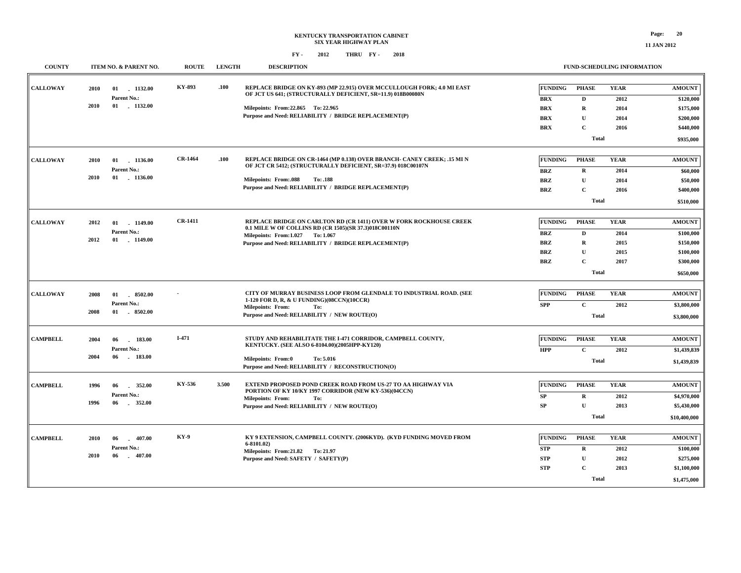**11 JAN 2012**

| <b>COUNTY</b>   | ITEM NO. & PARENT NO.                                       |                          | <b>ROUTE</b>   | <b>LENGTH</b> | <b>DESCRIPTION</b>                                                                                                                                                |                                                                         |                                                                        | FUND-SCHEDULING INFORMATION                                          |                                             |                                                                                |
|-----------------|-------------------------------------------------------------|--------------------------|----------------|---------------|-------------------------------------------------------------------------------------------------------------------------------------------------------------------|-------------------------------------------------------------------------|------------------------------------------------------------------------|----------------------------------------------------------------------|---------------------------------------------|--------------------------------------------------------------------------------|
| <b>CALLOWAY</b> | 2010<br>Parent No.:<br>2010                                 | 01 1132.00<br>01 1132.00 | KY-893         | .100          | OF JCT US 641; (STRUCTURALLY DEFICIENT, SR=11.9) 018B00080N<br>Milepoints: From: 22.865 To: 22.965<br>Purpose and Need: RELIABILITY / BRIDGE REPLACEMENT(P)       | REPLACE BRIDGE ON KY-893 (MP 22.915) OVER MCCULLOUGH FORK; 4.0 MI EAST  | <b>FUNDING</b><br><b>BRX</b><br><b>BRX</b><br><b>BRX</b><br><b>BRX</b> | <b>PHASE</b><br>$\mathbf D$<br>$\bf R$<br>$\mathbf U$<br>$\mathbf C$ | <b>YEAR</b><br>2012<br>2014<br>2014<br>2016 | <b>AMOUNT</b><br>\$120,000<br>\$175,000<br>\$200,000<br>\$440,000              |
|                 |                                                             |                          |                |               |                                                                                                                                                                   |                                                                         |                                                                        | <b>Total</b>                                                         |                                             | \$935,000                                                                      |
| <b>CALLOWAY</b> | 2010<br>01<br>Parent No.:<br>2010<br>01                     | 1136.00<br>1136.00       | <b>CR-1464</b> | .100          | OF JCT CR 5412; (STRUCTURALLY DEFICIENT, SR=37.9) 018C00107N<br><b>Milepoints: From:.088</b><br>To: .188<br>Purpose and Need: RELIABILITY / BRIDGE REPLACEMENT(P) | REPLACE BRIDGE ON CR-1464 (MP 0.138) OVER BRANCH- CANEY CREEK; .15 MI N | <b>FUNDING</b><br><b>BRZ</b><br><b>BRZ</b><br><b>BRZ</b>               | <b>PHASE</b><br>$\mathbf R$<br>$\mathbf U$<br>$\mathbf C$            | <b>YEAR</b><br>2014<br>2014<br>2016         | <b>AMOUNT</b><br>\$60,000<br>\$50,000<br>\$400,000                             |
|                 |                                                             |                          |                |               |                                                                                                                                                                   |                                                                         | <b>Total</b>                                                           |                                                                      |                                             | \$510,000                                                                      |
| <b>CALLOWAY</b> | 2012<br>01<br>Parent No.:<br>2012<br>01                     | $-1149.00$<br>$-1149.00$ | <b>CR-1411</b> |               | 0.1 MILE W OF COLLINS RD (CR 1505)(SR 37.3)018C00110N<br>Milepoints: From:1.027 To:1.067<br>Purpose and Need: RELIABILITY / BRIDGE REPLACEMENT(P)                 | REPLACE BRIDGE ON CARLTON RD (CR 1411) OVER W FORK ROCKHOUSE CREEK      | <b>FUNDING</b><br><b>BRZ</b><br><b>BRZ</b><br><b>BRZ</b><br><b>BRZ</b> | <b>PHASE</b><br>D<br>$\bf R$<br>U<br>$\mathbf C$<br><b>Total</b>     | <b>YEAR</b><br>2014<br>2015<br>2015<br>2017 | <b>AMOUNT</b><br>\$100,000<br>\$150,000<br>\$100,000<br>\$300,000<br>\$650,000 |
| <b>CALLOWAY</b> | 2008<br>01<br>Parent No.:<br>2008<br>01                     | 8502.00<br>8502.00       |                |               | 1-120 FOR D, R, & U FUNDING)(08CCN)(10CCR)<br><b>Milepoints: From:</b><br>To:<br>Purpose and Need: RELIABILITY / NEW ROUTE(O)                                     | CITY OF MURRAY BUSINESS LOOP FROM GLENDALE TO INDUSTRIAL ROAD. (SEE     | <b>FUNDING</b><br><b>SPP</b>                                           | <b>PHASE</b><br>$\mathbf C$<br><b>Total</b>                          | <b>YEAR</b><br>2012                         | <b>AMOUNT</b><br>\$3,800,000<br>\$3,800,000                                    |
| <b>CAMPBELL</b> | 2004<br>06<br>Parent No.:<br>2004<br>06                     | 183.00<br>$-183.00$      | I-471          |               | KENTUCKY. (SEE ALSO 6-8104.00)(2005HPP-KY120)<br>Milepoints: From:0<br>To: 5.016<br>Purpose and Need: RELIABILITY / RECONSTRUCTION(O)                             | STUDY AND REHABILITATE THE I-471 CORRIDOR, CAMPBELL COUNTY,             | <b>FUNDING</b><br><b>HPP</b>                                           | <b>PHASE</b><br>$\mathbf C$<br><b>Total</b>                          | <b>YEAR</b><br>2012                         | <b>AMOUNT</b><br>\$1,439,839<br>\$1,439,839                                    |
| <b>CAMPBELL</b> | 1996<br>06<br>$\sim$<br>Parent No.:<br>1996<br>06<br>$\sim$ | 352.00<br>352.00         | KY-536         | 3.500         | PORTION OF KY 10/KY 1997 CORRIDOR (NEW KY-536)(04CCN)<br><b>Milepoints: From:</b><br>To:<br>Purpose and Need: RELIABILITY / NEW ROUTE(O)                          | EXTEND PROPOSED POND CREEK ROAD FROM US-27 TO AA HIGHWAY VIA            | <b>FUNDING</b><br>${\bf SP}$<br>SP                                     | <b>PHASE</b><br>$\mathbf R$<br>$\mathbf{U}$<br><b>Total</b>          | <b>YEAR</b><br>2012<br>2013                 | <b>AMOUNT</b><br>\$4,970,000<br>\$5,430,000<br>\$10,400,000                    |
| <b>CAMPBELL</b> | 2010<br>06<br>Parent No.:<br>2010<br>06                     | $-407.00$<br>$-407.00$   | <b>KY-9</b>    |               | $6-8101.02$<br>Milepoints: From: 21.82 To: 21.97<br>Purpose and Need: SAFETY / SAFETY(P)                                                                          | KY 9 EXTENSION, CAMPBELL COUNTY. (2006KYD). (KYD FUNDING MOVED FROM     | <b>FUNDING</b><br><b>STP</b><br><b>STP</b><br><b>STP</b>               | <b>PHASE</b><br>R<br>$\mathbf{U}$<br>$\mathbf C$<br><b>Total</b>     | <b>YEAR</b><br>2012<br>2012<br>2013         | <b>AMOUNT</b><br>\$100,000<br>\$275,000<br>\$1,100,000<br>\$1,475,000          |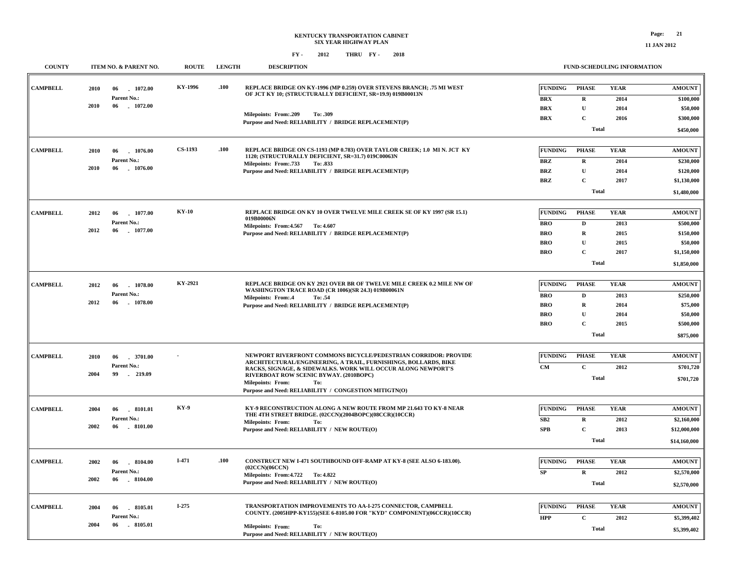| <b>COUNTY</b>   | <b>ITEM NO. &amp; PARENT NO.</b>        | <b>ROUTE</b>   | <b>LENGTH</b> | <b>DESCRIPTION</b>                                                                                                                  |                   |                            | FUND-SCHEDULING INFORMATION |               |
|-----------------|-----------------------------------------|----------------|---------------|-------------------------------------------------------------------------------------------------------------------------------------|-------------------|----------------------------|-----------------------------|---------------|
| <b>CAMPBELL</b> | 1072.00<br>2010<br>06                   | KY-1996        | .100          | REPLACE BRIDGE ON KY-1996 (MP 0.259) OVER STEVENS BRANCH; .75 MI WEST<br>OF JCT KY 10; (STRUCTURALLY DEFICIENT, SR=19.9) 019B00013N | <b>FUNDING</b>    | <b>PHASE</b>               | <b>YEAR</b>                 | <b>AMOUNT</b> |
|                 | Parent No.:<br>2010<br>$-1072.00$<br>06 |                |               |                                                                                                                                     | <b>BRX</b>        | $\mathbf R$                | 2014                        | \$100,000     |
|                 |                                         |                |               | Milepoints: From:.209<br>To: .309                                                                                                   | <b>BRX</b>        | U                          | 2014                        | \$50,000      |
|                 |                                         |                |               | Purpose and Need: RELIABILITY / BRIDGE REPLACEMENT(P)                                                                               | <b>BRX</b>        | $\mathbf C$                | 2016                        | \$300,000     |
|                 |                                         |                |               |                                                                                                                                     |                   | <b>Total</b>               |                             | \$450,000     |
|                 |                                         | <b>CS-1193</b> | .100          | REPLACE BRIDGE ON CS-1193 (MP 0.783) OVER TAYLOR CREEK; 1.0 MI N. JCT KY                                                            | <b>FUNDING</b>    | <b>PHASE</b>               | <b>YEAR</b>                 | <b>AMOUNT</b> |
| <b>CAMPBELL</b> | 2010<br>06<br>1076.00                   |                |               | 1120; (STRUCTURALLY DEFICIENT, SR=31.7) 019C00063N                                                                                  |                   |                            |                             |               |
|                 | Parent No.:<br>2010<br>06<br>1076.00    |                |               | Milepoints: From: 733<br>To: .833                                                                                                   | <b>BRZ</b>        | $\mathbf R$                | 2014                        | \$230,000     |
|                 |                                         |                |               | Purpose and Need: RELIABILITY / BRIDGE REPLACEMENT(P)                                                                               | <b>BRZ</b>        | $\mathbf U$                | 2014                        | \$120,000     |
|                 |                                         |                |               |                                                                                                                                     | <b>BRZ</b>        | $\mathbf C$                | 2017                        | \$1,130,000   |
|                 |                                         |                |               |                                                                                                                                     |                   | <b>Total</b>               |                             | \$1,480,000   |
| <b>CAMPBELL</b> | 2012<br>1077.00<br>06                   | <b>KY-10</b>   |               | REPLACE BRIDGE ON KY 10 OVER TWELVE MILE CREEK SE OF KY 1997 (SR 15.1)                                                              | <b>FUNDING</b>    | <b>PHASE</b>               | <b>YEAR</b>                 | <b>AMOUNT</b> |
|                 | Parent No.:                             |                |               | 019B00006N                                                                                                                          | <b>BRO</b>        | $\mathbf{D}$               | 2013                        | \$500,000     |
|                 | 2012<br>06<br>$-1077.00$                |                |               | Milepoints: From: 4.567 To: 4.607<br>Purpose and Need: RELIABILITY / BRIDGE REPLACEMENT(P)                                          | <b>BRO</b>        | $\mathbf R$                | 2015                        | \$150,000     |
|                 |                                         |                |               |                                                                                                                                     | <b>BRO</b>        | $\mathbf{U}$               | 2015                        | \$50,000      |
|                 |                                         |                |               |                                                                                                                                     | <b>BRO</b>        | $\mathbf{C}$               | 2017                        | \$1,150,000   |
|                 |                                         |                |               |                                                                                                                                     |                   | <b>Total</b>               |                             | \$1,850,000   |
|                 |                                         |                |               |                                                                                                                                     |                   |                            |                             |               |
| <b>CAMPBELL</b> | 2012<br>06<br>1078.00                   | KY-2921        |               | REPLACE BRIDGE ON KY 2921 OVER BR OF TWELVE MILE CREEK 0.2 MILE NW OF                                                               | <b>FUNDING</b>    | <b>PHASE</b>               | <b>YEAR</b>                 | <b>AMOUNT</b> |
|                 | Parent No.:                             |                |               | WASHINGTON TRACE ROAD (CR 1006)(SR 24.3) 019B00061N<br>Milepoints: From:.4<br>To: .54                                               | <b>BRO</b>        | $\mathbf D$                | 2013                        | \$250,000     |
|                 | 2012<br>06<br>1078.00                   |                |               | Purpose and Need: RELIABILITY / BRIDGE REPLACEMENT(P)                                                                               | <b>BRO</b>        | $\mathbf R$                | 2014                        | \$75,000      |
|                 |                                         |                |               |                                                                                                                                     | <b>BRO</b>        | $\mathbf{U}$               | 2014                        | \$50,000      |
|                 |                                         |                |               |                                                                                                                                     | <b>BRO</b>        | $\mathbf C$                | 2015                        | \$500,000     |
|                 |                                         |                |               |                                                                                                                                     |                   | Total                      |                             | \$875,000     |
|                 |                                         |                |               |                                                                                                                                     |                   |                            |                             |               |
| <b>CAMPBELL</b> | 2010<br>06<br>3701.00                   |                |               | NEWPORT RIVERFRONT COMMONS BICYCLE/PEDESTRIAN CORRIDOR: PROVIDE                                                                     | <b>FUNDING</b>    | <b>PHASE</b>               | <b>YEAR</b>                 | <b>AMOUNT</b> |
|                 | Parent No.:                             |                |               | ARCHITECTURAL/ENGINEERING, A TRAIL, FURNISHINGS, BOLLARDS, BIKE<br>RACKS, SIGNAGE, & SIDEWALKS. WORK WILL OCCUR ALONG NEWPORT'S     | CM                | $\mathbf C$                | 2012                        | \$701,720     |
|                 | 2004<br>99<br>$-219.09$                 |                |               | RIVERBOAT ROW SCENIC BYWAY. (2010BOPC)<br><b>Milepoints: From:</b><br>To:                                                           |                   | <b>Total</b>               |                             | \$701,720     |
|                 |                                         |                |               | Purpose and Need: RELIABILITY / CONGESTION MITIGTN(O)                                                                               |                   |                            |                             |               |
| <b>CAMPBELL</b> |                                         | KY-9           |               | KY-9 RECONSTRUCTION ALONG A NEW ROUTE FROM MP 21.643 TO KY-8 NEAR                                                                   | <b>FUNDING</b>    | <b>PHASE</b>               | <b>YEAR</b>                 | <b>AMOUNT</b> |
|                 | 2004<br>06<br>.8101.01<br>Parent No.:   |                |               | THE 4TH STREET BRIDGE. (02CCN)(2004BOPC)(08CCR)(10CCR)                                                                              |                   |                            |                             |               |
|                 | 2002<br>06<br>$-8101.00$                |                |               | <b>Milepoints: From:</b><br>To:                                                                                                     | SB2<br><b>SPB</b> | $\mathbf R$<br>$\mathbf C$ | 2012                        | \$2,160,000   |
|                 |                                         |                |               | Purpose and Need: RELIABILITY / NEW ROUTE(O)                                                                                        |                   | Total                      | 2013                        | \$12,000,000  |
|                 |                                         |                |               |                                                                                                                                     |                   |                            |                             | \$14,160,000  |
| <b>CAMPBELL</b> | 2002<br>8104.00<br>06                   | I-471          | .100          | CONSTRUCT NEW I-471 SOUTHBOUND OFF-RAMP AT KY-8 (SEE ALSO 6-183.00).                                                                | <b>FUNDING</b>    | <b>PHASE</b>               | <b>YEAR</b>                 | <b>AMOUNT</b> |
|                 | Parent No.:                             |                |               | (02CCN)(06CCN)<br>Milepoints: From: 4.722 To: 4.822                                                                                 | SP                | $\mathbf R$                | 2012                        | \$2,570,000   |
|                 | 2002<br>06<br>$-8104.00$                |                |               | Purpose and Need: RELIABILITY / NEW ROUTE(O)                                                                                        |                   | <b>Total</b>               |                             | \$2,570,000   |
|                 |                                         |                |               |                                                                                                                                     |                   |                            |                             |               |
| <b>CAMPBELL</b> | 2004<br>8105.01<br>06                   | I-275          |               | TRANSPORTATION IMPROVEMENTS TO AA-I-275 CONNECTOR, CAMPBELL                                                                         | <b>FUNDING</b>    | <b>PHASE</b>               | <b>YEAR</b>                 | <b>AMOUNT</b> |
|                 | Parent No.:                             |                |               | COUNTY. (2005HPP-KY155)(SEE 6-8105.00 FOR "KYD" COMPONENT)(06CCR)(10CCR)                                                            | <b>HPP</b>        | $\mathbf C$                | 2012                        | \$5,399,402   |
|                 | 2004<br>06<br>8105.01                   |                |               | <b>Milepoints: From:</b><br>To:<br>Purpose and Need: RELIABILITY / NEW ROUTE(O)                                                     |                   | <b>Total</b>               |                             | \$5,399,402   |
|                 |                                         |                |               |                                                                                                                                     |                   |                            |                             |               |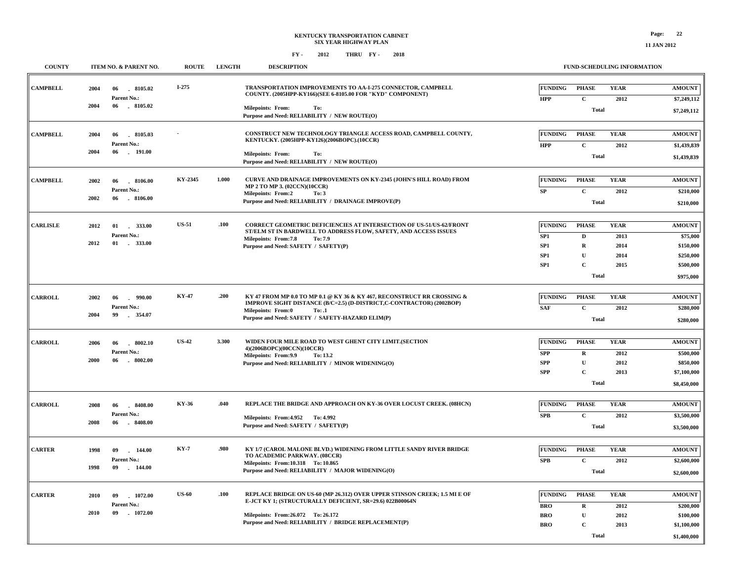| <b>COUNTY</b>   | ITEM NO. & PARENT NO.                                                    | <b>ROUTE</b> | <b>LENGTH</b> | <b>DESCRIPTION</b>                                                                                                                                                                                                                         |                                                          |                                                                                        | FUND-SCHEDULING INFORMATION                 |                                                                               |
|-----------------|--------------------------------------------------------------------------|--------------|---------------|--------------------------------------------------------------------------------------------------------------------------------------------------------------------------------------------------------------------------------------------|----------------------------------------------------------|----------------------------------------------------------------------------------------|---------------------------------------------|-------------------------------------------------------------------------------|
| <b>CAMPBELL</b> | 8105.02<br>2004<br>06<br>Parent No.:<br>2004<br>06<br>$-8105.02$         | $I-275$      |               | TRANSPORTATION IMPROVEMENTS TO AA-I-275 CONNECTOR, CAMPBELL<br>COUNTY. (2005HPP-KY166)(SEE 6-8105.00 FOR "KYD" COMPONENT)<br><b>Milepoints: From:</b><br>To:                                                                               | <b>FUNDING</b><br><b>HPP</b>                             | <b>PHASE</b><br>$\mathbf{C}$<br>Total                                                  | <b>YEAR</b><br>2012                         | <b>AMOUNT</b><br>\$7,249,112<br>\$7,249,112                                   |
| <b>CAMPBELL</b> | 8105.03<br>2004<br>06<br>Parent No.:<br>2004<br>06<br>$-191.00$          |              |               | Purpose and Need: RELIABILITY / NEW ROUTE(O)<br>CONSTRUCT NEW TECHNOLOGY TRIANGLE ACCESS ROAD, CAMPBELL COUNTY,<br>KENTUCKY. (2005HPP-KY126)(2006BOPC).(10CCR)<br>Milepoints: From:<br>To:<br>Purpose and Need: RELIABILITY / NEW ROUTE(O) | <b>FUNDING</b><br><b>HPP</b>                             | <b>PHASE</b><br>$\mathbf C$<br><b>Total</b>                                            | <b>YEAR</b><br>2012                         | <b>AMOUNT</b><br>\$1,439,839<br>\$1,439,839                                   |
| <b>CAMPBELL</b> | 2002<br>06<br>.8106.00<br><b>Parent No.:</b><br>2002<br>06<br>$-8106.00$ | KY-2345      | 1.000         | <b>CURVE AND DRAINAGE IMPROVEMENTS ON KY-2345 (JOHN'S HILL ROAD) FROM</b><br>MP 2 TO MP 3. (02CCN)(10CCR)<br><b>Milepoints: From:2</b><br>To: 3<br>Purpose and Need: RELIABILITY / DRAINAGE IMPROVE(P)                                     | <b>FUNDING</b><br>${\bf SP}$                             | <b>PHASE</b><br>$\mathbf C$<br><b>Total</b>                                            | <b>YEAR</b><br>2012                         | <b>AMOUNT</b><br>\$210,000<br>\$210,000                                       |
| <b>CARLISLE</b> | 2012<br>01<br>333.00<br>Parent No.:<br>2012<br>01 . 333.00               | <b>US-51</b> | .100          | CORRECT GEOMETRIC DEFICIENCIES AT INTERSECTION OF US-51/US-62/FRONT<br>ST/ELM ST IN BARDWELL TO ADDRESS FLOW, SAFETY, AND ACCESS ISSUES<br>Milepoints: From:7.8<br>To: 7.9<br>Purpose and Need: SAFETY / SAFETY(P)                         | <b>FUNDING</b><br>SP1<br>${\bf SP1}$<br>SP1<br>SP1       | <b>PHASE</b><br>$\mathbf D$<br>${\bf R}$<br>$\mathbf U$<br>$\mathbf C$<br><b>Total</b> | <b>YEAR</b><br>2013<br>2014<br>2014<br>2015 | <b>AMOUNT</b><br>\$75,000<br>\$150,000<br>\$250,000<br>\$500,000<br>\$975,000 |
| <b>CARROLL</b>  | 2002<br>06<br>990.00<br>$\sim$<br>Parent No.:<br>2004<br>99<br>354.07    | <b>KY-47</b> | .200          | KY 47 FROM MP 0.0 TO MP 0.1 @ KY 36 & KY 467, RECONSTRUCT RR CROSSING &<br>IMPROVE SIGHT DISTANCE (B/C=2.5) (D-DISTRICT,C-CONTRACTOR) (2002BOP)<br><b>Milepoints: From:0</b><br>To: .1<br>Purpose and Need: SAFETY / SAFETY-HAZARD ELIM(P) | <b>FUNDING</b><br><b>SAF</b>                             | <b>PHASE</b><br>$\mathbf C$<br>Total                                                   | <b>YEAR</b><br>2012                         | $\boldsymbol{\mathrm{AMOUNT}}$<br>\$280,000<br>\$280,000                      |
| <b>CARROLL</b>  | 2006<br>06<br>8002.10<br>Parent No.:<br>2000<br>$-8002.00$<br>06         | <b>US-42</b> | 3.300         | WIDEN FOUR MILE ROAD TO WEST GHENT CITY LIMIT.(SECTION<br>4)(2006BOPC)(00CCN)(10CCR)<br>Milepoints: From: 9.9<br>To: 13.2<br>Purpose and Need: RELIABILITY / MINOR WIDENING(O)                                                             | <b>FUNDING</b><br><b>SPP</b><br><b>SPP</b><br><b>SPP</b> | <b>PHASE</b><br>${\bf R}$<br>$\mathbf U$<br>$\mathbf C$<br>Total                       | <b>YEAR</b><br>2012<br>2012<br>2013         | <b>AMOUNT</b><br>\$500,000<br>\$850,000<br>\$7,100,000<br>\$8,450,000         |
| <b>CARROLL</b>  | $-8408.00$<br>2008<br>06<br>Parent No.:<br>2008<br>$-8408.00$<br>06      | KY-36        | .040          | REPLACE THE BRIDGE AND APPROACH ON KY-36 OVER LOCUST CREEK. (08HCN)<br>Milepoints: From: 4.952 To: 4.992<br>Purpose and Need: SAFETY / SAFETY(P)                                                                                           | <b>FUNDING</b><br><b>SPB</b>                             | <b>PHASE</b><br>$\mathbf C$<br><b>Total</b>                                            | <b>YEAR</b><br>2012                         | <b>AMOUNT</b><br>\$3,500,000<br>\$3,500,000                                   |
| <b>CARTER</b>   | 1998<br>09<br>144.00<br>Parent No.:<br>1998<br>09<br>$-144.00$           | <b>KY-7</b>  | .980          | KY 1/7 (CAROL MALONE BLVD.) WIDENING FROM LITTLE SANDY RIVER BRIDGE<br>TO ACADEMIC PARKWAY. (08CCR)<br>Milepoints: From:10.318 To: 10.865<br>Purpose and Need: RELIABILITY / MAJOR WIDENING(O)                                             | <b>FUNDING</b><br><b>SPB</b>                             | <b>PHASE</b><br>$\mathbf C$<br><b>Total</b>                                            | <b>YEAR</b><br>2012                         | <b>AMOUNT</b><br>\$2,600,000<br>\$2,600,000                                   |
| <b>CARTER</b>   | 2010<br>09<br>$-1072.00$<br>Parent No.:<br>2010<br>09<br>$-1072.00$      | <b>US-60</b> | .100          | REPLACE BRIDGE ON US-60 (MP 26.312) OVER UPPER STINSON CREEK; 1.5 MI E OF<br>E-JCT KY 1; (STRUCTURALLY DEFICIENT, SR=29.6) 022B00064N<br>Milepoints: From: 26.072 To: 26.172<br>Purpose and Need: RELIABILITY / BRIDGE REPLACEMENT(P)      | <b>FUNDING</b><br><b>BRO</b><br><b>BRO</b><br><b>BRO</b> | <b>PHASE</b><br>${\bf R}$<br>$\mathbf U$<br>$\mathbf{C}$<br><b>Total</b>               | <b>YEAR</b><br>2012<br>2012<br>2013         | <b>AMOUNT</b><br>\$200,000<br>\$100,000<br>\$1,100,000<br>\$1,400,000         |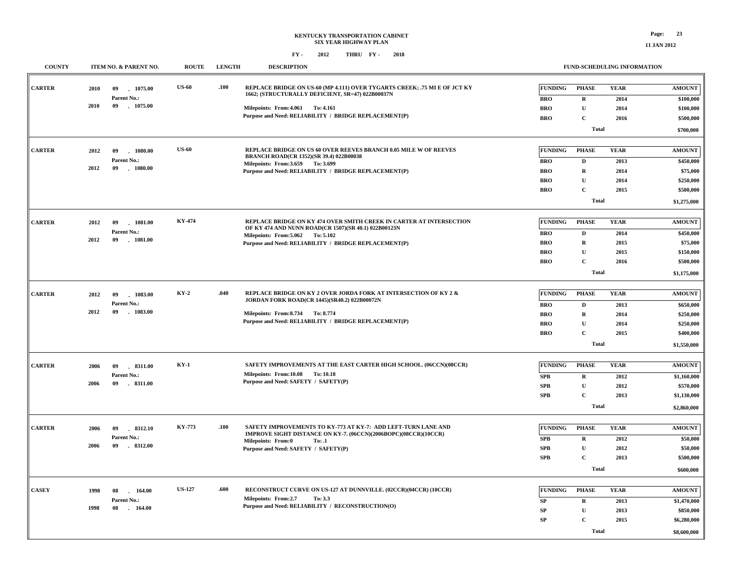| <b>COUNTY</b> |      | ITEM NO. & PARENT NO.           | <b>ROUTE</b>  | <b>LENGTH</b> | <b>DESCRIPTION</b>                                                                                                               |                | <b>FUND-SCHEDULING INFORMATION</b> |             |               |
|---------------|------|---------------------------------|---------------|---------------|----------------------------------------------------------------------------------------------------------------------------------|----------------|------------------------------------|-------------|---------------|
| <b>CARTER</b> | 2010 | 09<br>1075.00                   | <b>US-60</b>  | .100          | REPLACE BRIDGE ON US-60 (MP 4.111) OVER TYGARTS CREEK; .75 MI E OF JCT KY<br>1662; (STRUCTURALLY DEFICIENT, SR=47) 022B00037N    | <b>FUNDING</b> | <b>PHASE</b>                       | <b>YEAR</b> | <b>AMOUNT</b> |
|               |      | Parent No.:                     |               |               |                                                                                                                                  | <b>BRO</b>     | $\mathbf R$                        | 2014        | \$100,000     |
|               | 2010 | 09<br>1075.00                   |               |               | Milepoints: From: 4.061 To: 4.161                                                                                                | <b>BRO</b>     | $\mathbf U$                        | 2014        | \$100,000     |
|               |      |                                 |               |               | Purpose and Need: RELIABILITY / BRIDGE REPLACEMENT(P)                                                                            | <b>BRO</b>     | $\mathbf{C}$                       | 2016        | \$500,000     |
|               |      |                                 |               |               |                                                                                                                                  |                | <b>Total</b>                       |             | \$700,000     |
|               |      |                                 |               |               |                                                                                                                                  |                |                                    |             |               |
| <b>CARTER</b> | 2012 | 1080.00<br>09                   | <b>US-60</b>  |               | REPLACE BRIDGE ON US 60 OVER REEVES BRANCH 0.05 MILE W OF REEVES<br><b>BRANCH ROAD(CR 1352)(SR 39.4) 022B00038</b>               | <b>FUNDING</b> | <b>PHASE</b>                       | <b>YEAR</b> | <b>AMOUNT</b> |
|               |      | Parent No.:                     |               |               | Milepoints: From: 3.659 To: 3.699                                                                                                | <b>BRO</b>     | D                                  | 2013        | \$450,000     |
|               | 2012 | $-1080.00$<br>09                |               |               | Purpose and Need: RELIABILITY / BRIDGE REPLACEMENT(P)                                                                            | <b>BRO</b>     | $\mathbf R$                        | 2014        | \$75,000      |
|               |      |                                 |               |               |                                                                                                                                  | <b>BRO</b>     | ${\bf U}$                          | 2014        | \$250,000     |
|               |      |                                 |               |               |                                                                                                                                  | <b>BRO</b>     | C                                  | 2015        | \$500,000     |
|               |      |                                 |               |               |                                                                                                                                  |                | <b>Total</b>                       |             | \$1,275,000   |
|               |      |                                 |               |               |                                                                                                                                  |                |                                    |             |               |
| <b>CARTER</b> | 2012 | $-1081.00$<br>09                | KY-474        |               | REPLACE BRIDGE ON KY 474 OVER SMITH CREEK IN CARTER AT INTERSECTION<br>OF KY 474 AND NUNN ROAD(CR 1507)(SR 40.1) 022B00123N      | <b>FUNDING</b> | <b>PHASE</b>                       | <b>YEAR</b> | <b>AMOUNT</b> |
|               | 2012 | Parent No.:<br>09<br>$-1081.00$ |               |               | Milepoints: From: 5.062 To: 5.102                                                                                                | <b>BRO</b>     | $\mathbf D$                        | 2014        | \$450,000     |
|               |      |                                 |               |               | Purpose and Need: RELIABILITY / BRIDGE REPLACEMENT(P)                                                                            | <b>BRO</b>     | $\mathbf R$                        | 2015        | \$75,000      |
|               |      |                                 |               |               |                                                                                                                                  | <b>BRO</b>     | $\mathbf{U}$                       | 2015        | \$150,000     |
|               |      |                                 |               |               |                                                                                                                                  | <b>BRO</b>     | $\mathbf{C}$                       | 2016        | \$500,000     |
|               |      |                                 |               |               |                                                                                                                                  |                | <b>Total</b>                       |             | \$1,175,000   |
|               |      |                                 |               |               |                                                                                                                                  |                |                                    |             |               |
| <b>CARTER</b> | 2012 | $-1083.00$<br>09                | $KY-2$        | .040          | REPLACE BRIDGE ON KY 2 OVER JORDA FORK AT INTERSECTION OF KY 2 &<br>JORDAN FORK ROAD(CR 1445)(SR40.2) 022B00072N                 | <b>FUNDING</b> | <b>PHASE</b>                       | <b>YEAR</b> | <b>AMOUNT</b> |
|               |      | Parent No.:                     |               |               |                                                                                                                                  | <b>BRO</b>     | $\mathbf D$                        | 2013        | \$650,000     |
|               | 2012 | 09<br>$-1083.00$                |               |               | Milepoints: From: 8.734 To: 8.774                                                                                                | <b>BRO</b>     | $\mathbf R$                        | 2014        | \$250,000     |
|               |      |                                 |               |               | Purpose and Need: RELIABILITY / BRIDGE REPLACEMENT(P)                                                                            | <b>BRO</b>     | ${\bf U}$                          | 2014        | \$250,000     |
|               |      |                                 |               |               |                                                                                                                                  | <b>BRO</b>     | $\mathbf{C}$                       | 2015        | \$400,000     |
|               |      |                                 |               |               |                                                                                                                                  |                | <b>Total</b>                       |             | \$1,550,000   |
|               |      |                                 |               |               |                                                                                                                                  |                |                                    |             |               |
| <b>CARTER</b> | 2006 | .8311.00<br>09                  | $KY-1$        |               | SAFETY IMPROVEMENTS AT THE EAST CARTER HIGH SCHOOL. (06CCN)(08CCR)                                                               | <b>FUNDING</b> | <b>PHASE</b>                       | <b>YEAR</b> | <b>AMOUNT</b> |
|               |      | Parent No.:                     |               |               | Milepoints: From:10.08 To:10.18<br>Purpose and Need: SAFETY / SAFETY(P)                                                          | <b>SPB</b>     | $\mathbf{R}$                       | 2012        | \$1,160,000   |
|               | 2006 | 09<br>$-8311.00$                |               |               |                                                                                                                                  | <b>SPB</b>     | $\mathbf{U}$                       | 2012        | \$570,000     |
|               |      |                                 |               |               |                                                                                                                                  | <b>SPB</b>     | $\mathbf{C}$                       | 2013        | \$1,130,000   |
|               |      |                                 |               |               |                                                                                                                                  |                | <b>Total</b>                       |             | \$2,860,000   |
|               |      |                                 |               |               |                                                                                                                                  |                |                                    |             |               |
| <b>CARTER</b> | 2006 | 09<br>8312.10                   | <b>KY-773</b> | .100          | SAFETY IMPROVEMENTS TO KY-773 AT KY-7: ADD LEFT-TURN LANE AND<br>IMPROVE SIGHT DISTANCE ON KY-7. (06CCN)(2006BOPC)(08CCR)(10CCR) | <b>FUNDING</b> | <b>PHASE</b>                       | <b>YEAR</b> | <b>AMOUNT</b> |
|               | 2006 | Parent No.:<br>09               |               |               | Milepoints: From:0<br>To: .1                                                                                                     | SPB            | $\mathbf R$                        | 2012        | \$50,000      |
|               |      | $-8312.00$                      |               |               | Purpose and Need: SAFETY / SAFETY(P)                                                                                             | SPB            | U                                  | 2012        | \$50,000      |
|               |      |                                 |               |               |                                                                                                                                  | <b>SPB</b>     | C                                  | 2013        | \$500,000     |
|               |      |                                 |               |               |                                                                                                                                  |                | <b>Total</b>                       |             | \$600,000     |
| <b>CASEY</b>  |      |                                 | <b>US-127</b> | .600          | RECONSTRUCT CURVE ON US-127 AT DUNNVILLE. (02CCR)(04CCR) (10CCR)                                                                 | <b>FUNDING</b> | <b>PHASE</b>                       | <b>YEAR</b> | <b>AMOUNT</b> |
|               | 1998 | 164.00<br>08                    |               |               | Milepoints: From:2.7<br>To: 3.3                                                                                                  |                |                                    |             |               |
|               | 1998 | Parent No.:<br>-08<br>$-164.00$ |               |               | Purpose and Need: RELIABILITY / RECONSTRUCTION(O)                                                                                | SP             | $\bf{R}$                           | 2013        | \$1,470,000   |
|               |      |                                 |               |               |                                                                                                                                  | <b>SP</b>      | ${\bf U}$                          | 2013        | \$850,000     |
|               |      |                                 |               |               |                                                                                                                                  | <b>SP</b>      | $\mathbf{C}$                       | 2015        | \$6,280,000   |
|               |      |                                 |               |               |                                                                                                                                  |                | <b>Total</b>                       |             | \$8,600,000   |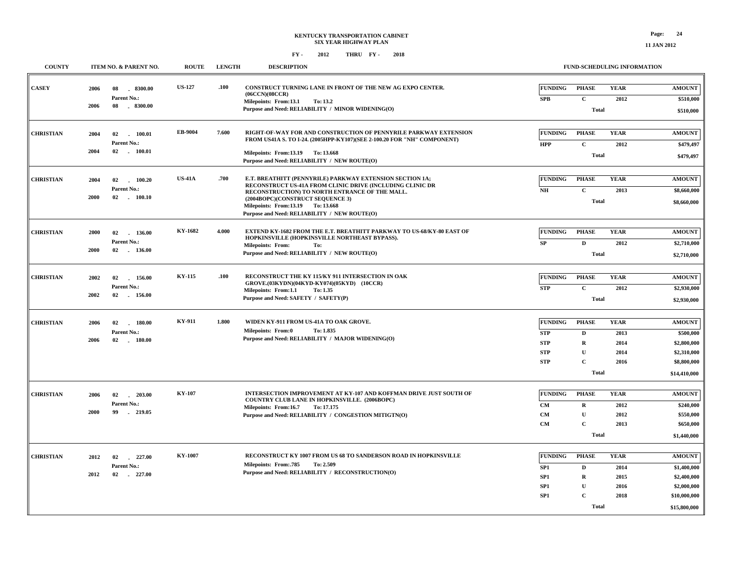| <b>COUNTY</b>    |            | ITEM NO. & PARENT NO.      | <b>ROUTE</b>  | <b>LENGTH</b> | <b>DESCRIPTION</b>                                                                                                                                                      |                              | FUND-SCHEDULING INFORMATION  |                     |                              |
|------------------|------------|----------------------------|---------------|---------------|-------------------------------------------------------------------------------------------------------------------------------------------------------------------------|------------------------------|------------------------------|---------------------|------------------------------|
| <b>CASEY</b>     | 2006<br>08 | 8300.00<br>Parent No.:     | <b>US-127</b> | .100          | CONSTRUCT TURNING LANE IN FRONT OF THE NEW AG EXPO CENTER.<br>(06CCN)(08CCR)<br>Milepoints: From:13.1<br>To: 13.2                                                       | <b>FUNDING</b><br><b>SPB</b> | <b>PHASE</b><br>$\mathbf{C}$ | <b>YEAR</b><br>2012 | <b>AMOUNT</b><br>\$510,000   |
|                  | 2006<br>08 | $-8300.00$                 |               |               | Purpose and Need: RELIABILITY / MINOR WIDENING(O)                                                                                                                       |                              | Total                        |                     | \$510,000                    |
| <b>CHRISTIAN</b> | 2004<br>02 | 100.01                     | EB-9004       | 7.600         | RIGHT-OF-WAY FOR AND CONSTRUCTION OF PENNYRILE PARKWAY EXTENSION<br>FROM US41A S. TO I-24. (2005HPP-KY107)(SEE 2-100.20 FOR "NH" COMPONENT)                             | <b>FUNDING</b>               | <b>PHASE</b>                 | <b>YEAR</b>         | <b>AMOUNT</b>                |
|                  | 2004<br>02 | Parent No.:<br>100.01      |               |               | Milepoints: From:13.19 To: 13.668<br>Purpose and Need: RELIABILITY / NEW ROUTE(O)                                                                                       | <b>HPP</b>                   | $\mathbf{C}$<br><b>Total</b> | 2012                | \$479,497<br>\$479,497       |
| <b>CHRISTIAN</b> | 2004<br>02 | 100.20                     | <b>US-41A</b> | .700          | E.T. BREATHITT (PENNYRILE) PARKWAY EXTENSION SECTION 1A;<br>RECONSTRUCT US-41A FROM CLINIC DRIVE (INCLUDING CLINIC DR                                                   | <b>FUNDING</b>               | <b>PHASE</b>                 | <b>YEAR</b>         | <b>AMOUNT</b>                |
|                  | 2000<br>02 | Parent No.:<br>100.10      |               |               | RECONSTRUCTION) TO NORTH ENTRANCE OF THE MALL.<br>(2004BOPC)(CONSTRUCT SEQUENCE 3)<br>Milepoints: From:13.19 To: 13.668<br>Purpose and Need: RELIABILITY / NEW ROUTE(O) | NH                           | $\mathbf C$<br><b>Total</b>  | 2013                | \$8,660,000<br>\$8,660,000   |
| <b>CHRISTIAN</b> | 2000<br>02 | 136.00<br>Parent No.:      | KY-1682       | 4.000         | EXTEND KY-1682 FROM THE E.T. BREATHITT PARKWAY TO US-68/KY-80 EAST OF<br>HOPKINSVILLE (HOPKINSVILLE NORTHEAST BYPASS).                                                  | <b>FUNDING</b><br>SP         | <b>PHASE</b><br>$\mathbf{D}$ | <b>YEAR</b><br>2012 | <b>AMOUNT</b>                |
|                  | 2000       | 02 136.00                  |               |               | <b>Milepoints: From:</b><br>To:<br>Purpose and Need: RELIABILITY / NEW ROUTE(O)                                                                                         |                              | <b>Total</b>                 |                     | \$2,710,000<br>\$2,710,000   |
| <b>CHRISTIAN</b> | 2002<br>02 | 156.00<br>Parent No.:      | KY-115        | .100          | RECONSTRUCT THE KY 115/KY 911 INTERSECTION IN OAK<br>GROVE.(03KYDN)(04KYD-KY074)(05KYD) (10CCR)                                                                         | FUNDING                      | <b>PHASE</b>                 | <b>YEAR</b>         | <b>AMOUNT</b>                |
|                  | 2002       | 02 156.00                  |               |               | Milepoints: From:1.1<br>To: 1.35<br>Purpose and Need: SAFETY / SAFETY(P)                                                                                                | <b>STP</b>                   | $\mathbf{C}$<br><b>Total</b> | 2012                | \$2,930,000<br>\$2,930,000   |
| <b>CHRISTIAN</b> | 2006<br>02 | 180.00                     | <b>KY-911</b> | 1.800         | WIDEN KY-911 FROM US-41A TO OAK GROVE.<br>Milepoints: From:0<br>To: 1.835                                                                                               | <b>FUNDING</b>               | <b>PHASE</b>                 | <b>YEAR</b>         | <b>AMOUNT</b>                |
|                  | 2006       | Parent No.:<br>$02$ 180.00 |               |               | Purpose and Need: RELIABILITY / MAJOR WIDENING(O)                                                                                                                       | <b>STP</b><br><b>STP</b>     | $\mathbf D$<br>$\mathbf R$   | 2013<br>2014        | \$500,000<br>\$2,800,000     |
|                  |            |                            |               |               |                                                                                                                                                                         | <b>STP</b><br><b>STP</b>     | $\mathbf U$<br>$\mathbf C$   | 2014<br>2016        | \$2,310,000<br>\$8,800,000   |
|                  |            |                            |               |               |                                                                                                                                                                         |                              | <b>Total</b>                 |                     | \$14,410,000                 |
| <b>CHRISTIAN</b> | 2006<br>02 | $-203.00$<br>Parent No.:   | <b>KY-107</b> |               | <b>INTERSECTION IMPROVEMENT AT KY-107 AND KOFFMAN DRIVE JUST SOUTH OF</b><br>COUNTRY CLUB LANE IN HOPKINSVILLE. (2006BOPC)<br>Milepoints: From:16.7 To: 17.175          | <b>FUNDING</b><br><b>CM</b>  | <b>PHASE</b><br>R            | <b>YEAR</b><br>2012 | <b>AMOUNT</b><br>\$240,000   |
|                  | 2000<br>99 | 219.05                     |               |               | Purpose and Need: RELIABILITY / CONGESTION MITIGTN(O)                                                                                                                   | CM<br>CM                     | $\mathbf U$<br>$\mathbf C$   | 2012<br>2013        | \$550,000<br>\$650,000       |
|                  |            |                            |               |               |                                                                                                                                                                         |                              | <b>Total</b>                 |                     | \$1,440,000                  |
| <b>CHRISTIAN</b> | 2012<br>02 | 227.00<br>Parent No.:      | KY-1007       |               | RECONSTRUCT KY 1007 FROM US 68 TO SANDERSON ROAD IN HOPKINSVILLE<br>Milepoints: From: 785<br>To: 2.509                                                                  | <b>FUNDING</b><br>SP1        | <b>PHASE</b><br>D            | <b>YEAR</b><br>2014 | <b>AMOUNT</b><br>\$1,400,000 |
|                  | 2012<br>02 | $-227.00$                  |               |               | Purpose and Need: RELIABILITY / RECONSTRUCTION(O)                                                                                                                       | SP1<br>SP1                   | $\mathbf R$<br>$\mathbf U$   | 2015<br>2016        | \$2,400,000<br>\$2,000,000   |
|                  |            |                            |               |               |                                                                                                                                                                         | SP1                          | $\mathbf C$<br><b>Total</b>  | 2018                | \$10,000,000<br>\$15,800,000 |
|                  |            |                            |               |               |                                                                                                                                                                         |                              |                              |                     |                              |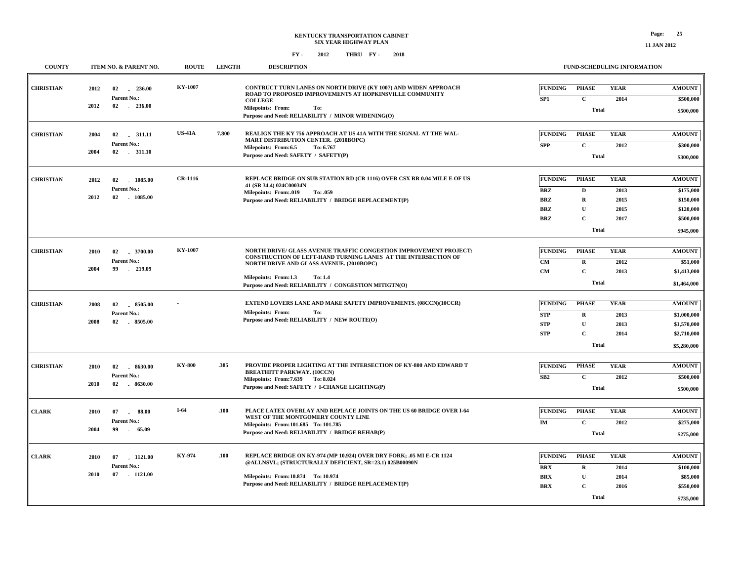| <b>COUNTY</b>    |              | <b>ITEM NO. &amp; PARENT NO.</b>                   | <b>ROUTE</b>   | <b>LENGTH</b> | <b>DESCRIPTION</b>                                                                                                                                                                     |                              |                                             | <b>FUND-SCHEDULING INFORMATION</b> |                                         |
|------------------|--------------|----------------------------------------------------|----------------|---------------|----------------------------------------------------------------------------------------------------------------------------------------------------------------------------------------|------------------------------|---------------------------------------------|------------------------------------|-----------------------------------------|
| <b>CHRISTIAN</b> | 2012         | $-236.00$<br>02<br>Parent No.:                     | KY-1007        |               | <b>CONTRUCT TURN LANES ON NORTH DRIVE (KY 1007) AND WIDEN APPROACH</b><br>ROAD TO PROPOSED IMPROVEMENTS AT HOPKINSVILLE COMMUNITY                                                      | <b>FUNDING</b><br>SP1        | <b>PHASE</b><br>$\mathbf c$                 | <b>YEAR</b><br>2014                | <b>AMOUNT</b><br>\$500,000              |
|                  | 2012         | 02 236.00                                          |                |               | <b>COLLEGE</b><br>Milepoints: From:<br>To:<br>Purpose and Need: RELIABILITY / MINOR WIDENING(O)                                                                                        |                              | <b>Total</b>                                |                                    | \$500,000                               |
| <b>CHRISTIAN</b> | 2004<br>2004 | 02<br>.311.11<br>Parent No.:<br>$02 \qquad 311.10$ | <b>US-41A</b>  | 7.800         | REALIGN THE KY 756 APPROACH AT US 41A WITH THE SIGNAL AT THE WAL-<br>MART DISTRIBUTION CENTER. (2010BOPC)<br>Milepoints: From:6.5<br>To: 6.767<br>Purpose and Need: SAFETY / SAFETY(P) | <b>FUNDING</b><br><b>SPP</b> | <b>PHASE</b><br>$\mathbf c$<br><b>Total</b> | <b>YEAR</b><br>2012                | <b>AMOUNT</b><br>\$300,000<br>\$300,000 |
|                  |              |                                                    |                |               |                                                                                                                                                                                        |                              |                                             |                                    |                                         |
| <b>CHRISTIAN</b> | 2012         | 1085.00<br>02<br>Parent No.:                       | <b>CR-1116</b> |               | REPLACE BRIDGE ON SUB STATION RD (CR 1116) OVER CSX RR 0.04 MILE E OF US<br>41 (SR 34.4) 024C00034N                                                                                    | <b>FUNDING</b><br><b>BRZ</b> | <b>PHASE</b><br>D                           | <b>YEAR</b><br>2013                | <b>AMOUNT</b><br>\$175,000              |
|                  | 2012         | $-1085.00$<br>02                                   |                |               | Milepoints: From:.019<br>To: .059<br>Purpose and Need: RELIABILITY / BRIDGE REPLACEMENT(P)                                                                                             | <b>BRZ</b><br><b>BRZ</b>     | $\mathbf R$<br>$\mathbf{U}$                 | 2015<br>2015                       | \$150,000<br>\$120,000                  |
|                  |              |                                                    |                |               |                                                                                                                                                                                        | <b>BRZ</b>                   | $\mathbf C$<br>Total                        | 2017                               | \$500,000<br>\$945,000                  |
|                  |              |                                                    |                |               |                                                                                                                                                                                        |                              |                                             |                                    |                                         |
| <b>CHRISTIAN</b> | 2010         | 02<br>$-3700.00$<br>Parent No.:                    | <b>KY-1007</b> |               | NORTH DRIVE/ GLASS AVENUE TRAFFIC CONGESTION IMPROVEMENT PROJECT:<br>CONSTRUCTION OF LEFT-HAND TURNING LANES AT THE INTERSECTION OF                                                    | <b>FUNDING</b>               | <b>PHASE</b>                                | <b>YEAR</b>                        | <b>AMOUNT</b>                           |
|                  | 2004         | 99<br>219.09                                       |                |               | NORTH DRIVE AND GLASS AVENUE. (2010BOPC)<br>Milepoints: From:1.3<br>To: 1.4                                                                                                            | <b>CM</b><br><b>CM</b>       | $\mathbf R$<br>$\mathbf C$                  | 2012<br>2013                       | \$51,000<br>\$1,413,000                 |
|                  |              |                                                    |                |               | Purpose and Need: RELIABILITY / CONGESTION MITIGTN(O)                                                                                                                                  |                              | <b>Total</b>                                |                                    | \$1,464,000                             |
| <b>CHRISTIAN</b> | 2008         | 02<br>8505.00                                      |                |               | EXTEND LOVERS LANE AND MAKE SAFETY IMPROVEMENTS. (08CCN)(10CCR)                                                                                                                        | <b>FUNDING</b>               | <b>PHASE</b>                                | <b>YEAR</b>                        | <b>AMOUNT</b>                           |
|                  | 2008         | Parent No.:<br>02<br>$-8505.00$                    |                |               | <b>Milepoints: From:</b><br>To:<br>Purpose and Need: RELIABILITY / NEW ROUTE(O)                                                                                                        | <b>STP</b><br><b>STP</b>     | $\bf R$<br>$\mathbf U$                      | 2013<br>2013                       | \$1,000,000<br>\$1,570,000              |
|                  |              |                                                    |                |               |                                                                                                                                                                                        | <b>STP</b>                   | $\mathbf C$<br><b>Total</b>                 | 2014                               | \$2,710,000<br>\$5,280,000              |
|                  |              |                                                    |                |               |                                                                                                                                                                                        |                              |                                             |                                    |                                         |
| <b>CHRISTIAN</b> | 2010         | 8630.00<br>02<br>Parent No.:                       | <b>KY-800</b>  | .385          | PROVIDE PROPER LIGHTING AT THE INTERSECTION OF KY-800 AND EDWARD T<br><b>BREATHITT PARKWAY. (10CCN)</b>                                                                                | <b>FUNDING</b><br>SB2        | <b>PHASE</b><br>$\mathbf C$                 | <b>YEAR</b><br>2012                | <b>AMOUNT</b><br>\$500,000              |
|                  | 2010         | 02 . 8630.00                                       |                |               | Milepoints: From: 7.639 To: 8.024<br>Purpose and Need: SAFETY / I-CHANGE LIGHTING(P)                                                                                                   |                              | <b>Total</b>                                |                                    | \$500,000                               |
| <b>CLARK</b>     | 2010         | 88.00<br>07<br>$\sim$                              | $I-64$         | .100          | PLACE LATEX OVERLAY AND REPLACE JOINTS ON THE US 60 BRIDGE OVER I-64                                                                                                                   | <b>FUNDING</b>               | <b>PHASE</b>                                | <b>YEAR</b>                        | <b>AMOUNT</b>                           |
|                  | 2004         | Parent No.:<br>99<br>65.09                         |                |               | WEST OF THE MONTGOMERY COUNTY LINE<br>Milepoints: From:101.685 To: 101.785<br>Purpose and Need: RELIABILITY / BRIDGE REHAB(P)                                                          | IM                           | $\mathbf C$<br><b>Total</b>                 | 2012                               | \$275,000                               |
|                  |              |                                                    |                |               |                                                                                                                                                                                        |                              |                                             |                                    | \$275,000                               |
| <b>CLARK</b>     | 2010         | 07 1121.00<br>Parent No.:                          | KY-974         | .100          | REPLACE BRIDGE ON KY-974 (MP 10.924) OVER DRY FORK; .05 MI E-CR 1124<br>@ALLNSVL; (STRUCTURALLY DEFICIENT, SR=23.1) 025B00090N                                                         | <b>FUNDING</b>               | <b>PHASE</b>                                | <b>YEAR</b>                        | <b>AMOUNT</b>                           |
|                  | 2010         | $-1121.00$<br>07                                   |                |               | Milepoints: From:10.874 To: 10.974                                                                                                                                                     | <b>BRX</b><br><b>BRX</b>     | $\mathbf R$<br>$\mathbf U$                  | 2014<br>2014                       | \$100,000<br>\$85,000                   |
|                  |              |                                                    |                |               | Purpose and Need: RELIABILITY / BRIDGE REPLACEMENT(P)                                                                                                                                  | <b>BRX</b>                   | C                                           | 2016                               | \$550,000                               |
|                  |              |                                                    |                |               |                                                                                                                                                                                        |                              | <b>Total</b>                                |                                    | \$735,000                               |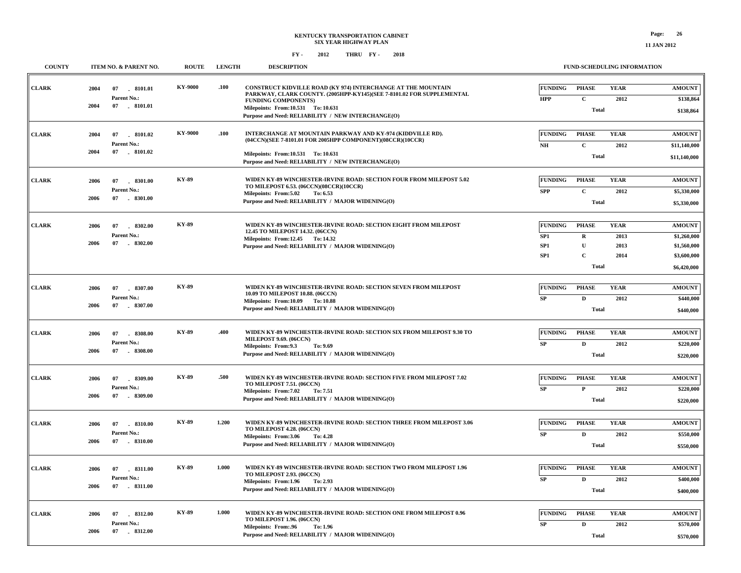| <b>COUNTY</b> | ITEM NO. & PARENT NO.                                               | <b>ROUTE</b>   | <b>LENGTH</b> | <b>DESCRIPTION</b>                                                                                                                                                                                                                                              | <b>FUND-SCHEDULING INFORMATION</b>                                                                                                                                                         |                                                                           |
|---------------|---------------------------------------------------------------------|----------------|---------------|-----------------------------------------------------------------------------------------------------------------------------------------------------------------------------------------------------------------------------------------------------------------|--------------------------------------------------------------------------------------------------------------------------------------------------------------------------------------------|---------------------------------------------------------------------------|
| <b>CLARK</b>  | 07 8101.01<br>2004<br>Parent No.:<br>2004<br>07 . 8101.01           | <b>KY-9000</b> | .100          | CONSTRUCT KIDVILLE ROAD (KY 974) INTERCHANGE AT THE MOUNTAIN<br>PARKWAY, CLARK COUNTY. (2005HPP-KY145)(SEE 7-8101.02 FOR SUPPLEMENTAL<br><b>FUNDING COMPONENTS)</b><br>Milepoints: From:10.531 To: 10.631<br>Purpose and Need: RELIABILITY / NEW INTERCHANGE(O) | <b>FUNDING</b><br><b>YEAR</b><br><b>PHASE</b><br><b>HPP</b><br>$\mathbf{C}$<br>2012<br><b>Total</b>                                                                                        | <b>AMOUNT</b><br>\$138,864<br>\$138,864                                   |
| <b>CLARK</b>  | 2004<br>07 8101.02<br>Parent No.:<br>2004<br>07 8101.02             | KY-9000        | .100          | INTERCHANGE AT MOUNTAIN PARKWAY AND KY-974 (KIDDVILLE RD).<br>(04CCN)(SEE 7-8101.01 FOR 2005HPP COMPONENT)(08CCR)(10CCR)<br>Milepoints: From:10.531 To:10.631<br>Purpose and Need: RELIABILITY / NEW INTERCHANGE(O)                                             | <b>FUNDING</b><br><b>PHASE</b><br><b>YEAR</b><br>$\mathbf{C}$<br>2012<br>NH<br><b>Total</b>                                                                                                | <b>AMOUNT</b><br>\$11,140,000<br>\$11,140,000                             |
| <b>CLARK</b>  | 2006<br>07<br>8301.00<br>Parent No.:<br>2006<br>07 . 8301.00        | <b>KY-89</b>   |               | WIDEN KY-89 WINCHESTER-IRVINE ROAD: SECTION FOUR FROM MILEPOST 5.02<br>TO MILEPOST 6.53. (06CCN)(08CCR)(10CCR)<br>Milepoints: From: 5.02<br>To: 6.53<br>Purpose and Need: RELIABILITY / MAJOR WIDENING(O)                                                       | <b>FUNDING</b><br><b>PHASE</b><br><b>YEAR</b><br>$\mathbf C$<br><b>SPP</b><br>2012<br><b>Total</b>                                                                                         | <b>AMOUNT</b><br>\$5,330,000<br>\$5,330,000                               |
| <b>CLARK</b>  | 2006<br>07<br>8302.00<br>Parent No.:<br>2006<br>07<br>8302.00       | <b>KY-89</b>   |               | WIDEN KY-89 WINCHESTER-IRVINE ROAD: SECTION EIGHT FROM MILEPOST<br>12.45 TO MILEPOST 14.32. (06CCN)<br>Milepoints: From:12.45 To:14.32<br>Purpose and Need: RELIABILITY / MAJOR WIDENING(O)                                                                     | <b>FUNDING</b><br><b>PHASE</b><br><b>YEAR</b><br>$\mathbf R$<br>2013<br>SP <sub>1</sub><br>${\bf U}$<br>SP <sub>1</sub><br>2013<br>$\mathbf{C}$<br>SP <sub>1</sub><br>2014<br><b>Total</b> | <b>AMOUNT</b><br>\$1,260,000<br>\$1,560,000<br>\$3,600,000<br>\$6,420,000 |
| <b>CLARK</b>  | 2006<br>07<br>8307.00<br>Parent No.:<br>2006<br>07 . 8307.00        | <b>KY-89</b>   |               | WIDEN KY-89 WINCHESTER-IRVINE ROAD: SECTION SEVEN FROM MILEPOST<br>10.09 TO MILEPOST 10.88. (06CCN)<br>Milepoints: From:10.09 To:10.88<br>Purpose and Need: RELIABILITY / MAJOR WIDENING(O)                                                                     | <b>FUNDING</b><br><b>PHASE</b><br><b>YEAR</b><br>SP<br>D<br>2012<br><b>Total</b>                                                                                                           | <b>AMOUNT</b><br>\$440,000<br>\$440,000                                   |
| <b>CLARK</b>  | 2006<br>07<br>$-8308.00$<br>Parent No.:<br>2006<br>07<br>$-8308.00$ | <b>KY-89</b>   | .400          | WIDEN KY-89 WINCHESTER-IRVINE ROAD: SECTION SIX FROM MILEPOST 9.30 TO<br>MILEPOST 9.69. (06CCN)<br>Milepoints: From:9.3<br>To: 9.69<br>Purpose and Need: RELIABILITY / MAJOR WIDENING(O)                                                                        | <b>FUNDING</b><br><b>PHASE</b><br><b>YEAR</b><br>SP<br>D<br>2012<br><b>Total</b>                                                                                                           | <b>AMOUNT</b><br>\$220,000<br>\$220,000                                   |
| <b>CLARK</b>  | 2006<br>07<br>$-8309.00$<br>Parent No.:<br>2006<br>07<br>$-8309.00$ | <b>KY-89</b>   | .500          | WIDEN KY-89 WINCHESTER-IRVINE ROAD: SECTION FIVE FROM MILEPOST 7.02<br>TO MILEPOST 7.51. (06CCN)<br>Milepoints: From: 7.02<br>To: 7.51<br>Purpose and Need: RELIABILITY / MAJOR WIDENING(O)                                                                     | <b>FUNDING</b><br><b>PHASE</b><br><b>YEAR</b><br>${\bf SP}$<br>$\mathbf{P}$<br>2012<br><b>Total</b>                                                                                        | <b>AMOUNT</b><br>\$220,000<br>\$220,000                                   |
| <b>CLARK</b>  | 2006<br>07<br>8310.00<br>Parent No.:<br>2006<br>07<br>$-8310.00$    | <b>KY-89</b>   | 1.200         | WIDEN KY-89 WINCHESTER-IRVINE ROAD: SECTION THREE FROM MILEPOST 3.06<br>TO MILEPOST 4.28. (06CCN)<br>Milepoints: From:3.06<br>To: 4.28<br>Purpose and Need: RELIABILITY / MAJOR WIDENING(O)                                                                     | <b>FUNDING</b><br><b>PHASE</b><br><b>YEAR</b><br>SP<br>$\mathbf D$<br>2012<br><b>Total</b>                                                                                                 | <b>AMOUNT</b><br>\$550,000<br>\$550,000                                   |
| <b>CLARK</b>  | 2006<br>07<br>8311.00<br>Parent No.:<br>2006<br>07 . 8311.00        | <b>KY-89</b>   | 1.000         | WIDEN KY-89 WINCHESTER-IRVINE ROAD: SECTION TWO FROM MILEPOST 1.96<br>TO MILEPOST 2.93. (06CCN)<br>Milepoints: From:1.96<br>To: 2.93<br>Purpose and Need: RELIABILITY / MAJOR WIDENING(O)                                                                       | <b>FUNDING</b><br><b>PHASE</b><br><b>YEAR</b><br>SP<br>$\mathbf D$<br>2012<br><b>Total</b>                                                                                                 | <b>AMOUNT</b><br>\$400,000<br>\$400,000                                   |
| <b>CLARK</b>  | 2006<br>07<br>8312.00<br>Parent No.:<br>2006<br>07 8312.00          | <b>KY-89</b>   | 1.000         | WIDEN KY-89 WINCHESTER-IRVINE ROAD: SECTION ONE FROM MILEPOST 0.96<br>TO MILEPOST 1.96. (06CCN)<br>Milepoints: From:.96<br>To: 1.96<br>Purpose and Need: RELIABILITY / MAJOR WIDENING(O)                                                                        | <b>FUNDING</b><br><b>PHASE</b><br><b>YEAR</b><br>2012<br>SP<br>D<br>Total                                                                                                                  | <b>AMOUNT</b><br>\$570,000<br>\$570,000                                   |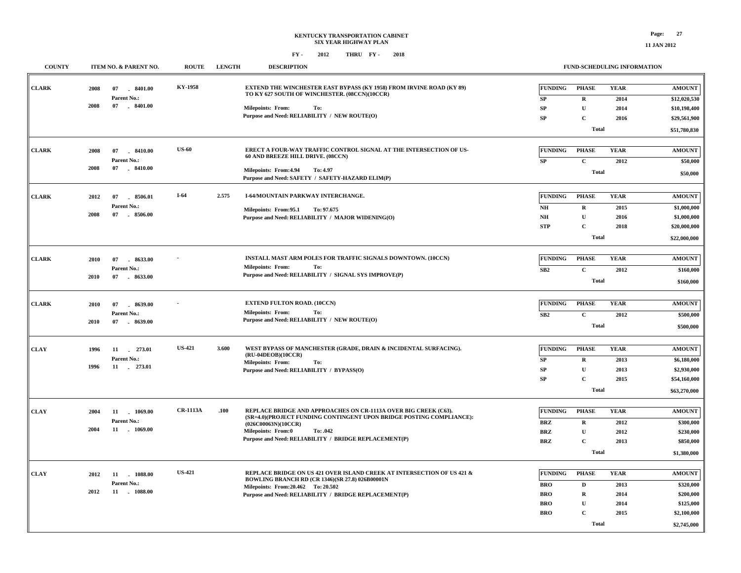### **KENTUCKY TRANSPORTATION CABINET SIX YEAR HIGHWAY PLAN FY - FY - 2012 2018 THRU**

| <b>COUNTY</b> |      | ITEM NO. & PARENT NO.            | <b>ROUTE</b>    | <b>LENGTH</b> | <b>DESCRIPTION</b>                                                                                                           |                          | FUND-SCHEDULING INFORMATION |              |                              |
|---------------|------|----------------------------------|-----------------|---------------|------------------------------------------------------------------------------------------------------------------------------|--------------------------|-----------------------------|--------------|------------------------------|
| <b>CLARK</b>  | 2008 | 07<br>8401.00                    | KY-1958         |               | <b>EXTEND THE WINCHESTER EAST BYPASS (KY 1958) FROM IRVINE ROAD (KY 89)</b><br>TO KY 627 SOUTH OF WINCHESTER. (08CCN)(10CCR) | <b>FUNDING</b>           | <b>PHASE</b>                | <b>YEAR</b>  | <b>AMOUNT</b>                |
|               | 2008 | Parent No.:<br>07<br>$-8401.00$  |                 |               | Milepoints: From:<br>To:                                                                                                     | SP<br>${\bf SP}$         | ${\bf R}$<br>$\mathbf U$    | 2014<br>2014 | \$12,020,530                 |
|               |      |                                  |                 |               | Purpose and Need: RELIABILITY / NEW ROUTE(O)                                                                                 | SP                       | $\mathbf C$                 | 2016         | \$10,198,400<br>\$29,561,900 |
|               |      |                                  |                 |               |                                                                                                                              |                          | <b>Total</b>                |              | \$51,780,830                 |
|               |      |                                  |                 |               |                                                                                                                              |                          |                             |              |                              |
| <b>CLARK</b>  | 2008 | 07<br>8410.00                    | <b>US-60</b>    |               | ERECT A FOUR-WAY TRAFFIC CONTROL SIGNAL AT THE INTERSECTION OF US-                                                           | FUNDING                  | <b>PHASE</b>                | <b>YEAR</b>  | <b>AMOUNT</b>                |
|               |      | Parent No.:                      |                 |               | 60 AND BREEZE HILL DRIVE. (08CCN)                                                                                            | ${\bf SP}$               | $\mathbf C$                 | 2012         | \$50,000                     |
|               | 2008 | 07   8410.00                     |                 |               | Milepoints: From: 4.94<br>To: 4.97<br>Purpose and Need: SAFETY / SAFETY-HAZARD ELIM(P)                                       |                          | <b>Total</b>                |              | \$50,000                     |
|               |      |                                  |                 |               |                                                                                                                              |                          |                             |              |                              |
| <b>CLARK</b>  | 2012 | 07<br>8506.01                    | $I-64$          | 2.575         | <b>I-64/MOUNTAIN PARKWAY INTERCHANGE.</b>                                                                                    | <b>FUNDING</b>           | <b>PHASE</b>                | <b>YEAR</b>  | <b>AMOUNT</b>                |
|               | 2008 | Parent No.:<br>07<br>8506.00     |                 |               | Milepoints: From:95.1<br>To: 97.675                                                                                          | NH                       | $\mathbf R$                 | 2015         | \$1,000,000                  |
|               |      |                                  |                 |               | Purpose and Need: RELIABILITY / MAJOR WIDENING(O)                                                                            | $\mathbf{N}\mathbf{H}$   | $\mathbf{U}$                | 2016         | \$1,000,000                  |
|               |      |                                  |                 |               |                                                                                                                              | <b>STP</b>               | $\mathbf C$                 | 2018         | \$20,000,000                 |
|               |      |                                  |                 |               |                                                                                                                              |                          | <b>Total</b>                |              | \$22,000,000                 |
| <b>CLARK</b>  | 2010 | 07<br>8633.00                    |                 |               | INSTALL MAST ARM POLES FOR TRAFFIC SIGNALS DOWNTOWN. (10CCN)                                                                 | <b>FUNDING</b>           | <b>PHASE</b>                | <b>YEAR</b>  | <b>AMOUNT</b>                |
|               |      | Parent No.:                      |                 |               | <b>Milepoints: From:</b><br>To:                                                                                              | ${\bf SB2}$              | $\mathbf C$                 | 2012         | \$160,000                    |
|               | 2010 | 07<br>$-8633.00$                 |                 |               | Purpose and Need: RELIABILITY / SIGNAL SYS IMPROVE(P)                                                                        |                          | <b>Total</b>                |              | \$160,000                    |
|               |      |                                  |                 |               |                                                                                                                              |                          |                             |              |                              |
| <b>CLARK</b>  | 2010 | 07<br>8639.00<br>$\sim$          |                 |               | <b>EXTEND FULTON ROAD. (10CCN)</b>                                                                                           | <b>FUNDING</b>           | <b>PHASE</b>                | <b>YEAR</b>  | <b>AMOUNT</b>                |
|               | 2010 | Parent No.:<br>$-8639.00$<br>07  |                 |               | <b>Milepoints: From:</b><br>To:<br>Purpose and Need: RELIABILITY / NEW ROUTE(O)                                              | SB2                      | $\mathbf C$                 | 2012         | \$500,000                    |
|               |      |                                  |                 |               |                                                                                                                              |                          | <b>Total</b>                |              | \$500,000                    |
| <b>CLAY</b>   | 1996 | 11 273.01                        | <b>US-421</b>   | 3.600         | WEST BYPASS OF MANCHESTER (GRADE, DRAIN & INCIDENTAL SURFACING).                                                             | <b>FUNDING</b>           | <b>PHASE</b>                | <b>YEAR</b>  | <b>AMOUNT</b>                |
|               |      | Parent No.:                      |                 |               | (RU-04DEOB)(10CCR)                                                                                                           | ${\bf SP}$               | $\mathbf R$                 | 2013         | \$6,180,000                  |
|               | 1996 | 11 . 273.01                      |                 |               | <b>Milepoints: From:</b><br>To:<br>Purpose and Need: RELIABILITY / BYPASS(O)                                                 | SP                       | $\mathbf{U}$                | 2013         | \$2,930,000                  |
|               |      |                                  |                 |               |                                                                                                                              | SP                       | $\mathbf C$                 | 2015         | \$54,160,000                 |
|               |      |                                  |                 |               |                                                                                                                              |                          | <b>Total</b>                |              | \$63,270,000                 |
|               |      |                                  | <b>CR-1113A</b> |               | REPLACE BRIDGE AND APPROACHES ON CR-1113A OVER BIG CREEK (C63).                                                              |                          |                             |              |                              |
| <b>CLAY</b>   | 2004 | 11 1069.00<br><b>Parent No.:</b> |                 | .100          | (SR=4.0)(PROJECT FUNDING CONTINGENT UPON BRIDGE POSTING COMPLIANCE):                                                         | <b>FUNDING</b>           | <b>PHASE</b>                | <b>YEAR</b>  | <b>AMOUNT</b>                |
|               | 2004 | 11 1069.00                       |                 |               | (026C00063N)(10CCR)<br>Milepoints: From:0<br>To: .042                                                                        | <b>BRZ</b><br><b>BRZ</b> | R<br>$\mathbf U$            | 2012<br>2012 | \$300,000<br>\$230,000       |
|               |      |                                  |                 |               | Purpose and Need: RELIABILITY / BRIDGE REPLACEMENT(P)                                                                        | <b>BRZ</b>               | $\mathbf{C}$                | 2013         | \$850,000                    |
|               |      |                                  |                 |               |                                                                                                                              |                          | <b>Total</b>                |              | \$1,380,000                  |
|               |      |                                  |                 |               |                                                                                                                              |                          |                             |              |                              |
| <b>CLAY</b>   | 2012 | 11 1088.00                       | <b>US-421</b>   |               | REPLACE BRIDGE ON US 421 OVER ISLAND CREEK AT INTERSECTION OF US 421 &<br>BOWLING BRANCH RD (CR 1346)(SR 27.8) 026B00001N    | <b>FUNDING</b>           | <b>PHASE</b>                | <b>YEAR</b>  | <b>AMOUNT</b>                |
|               | 2012 | Parent No.:<br>11 . 1088.00      |                 |               | Milepoints: From: 20.462 To: 20.502                                                                                          | <b>BRO</b>               | $\mathbf D$                 | 2013         | \$320,000                    |
|               |      |                                  |                 |               | Purpose and Need: RELIABILITY / BRIDGE REPLACEMENT(P)                                                                        | <b>BRO</b>               | $\mathbf R$                 | 2014         | \$200,000                    |
|               |      |                                  |                 |               |                                                                                                                              | <b>BRO</b><br><b>BRO</b> | $\mathbf U$<br>$\mathbf C$  | 2014<br>2015 | \$125,000<br>\$2,100,000     |
|               |      |                                  |                 |               |                                                                                                                              |                          | Total                       |              |                              |
|               |      |                                  |                 |               |                                                                                                                              |                          |                             |              | \$2,745,000                  |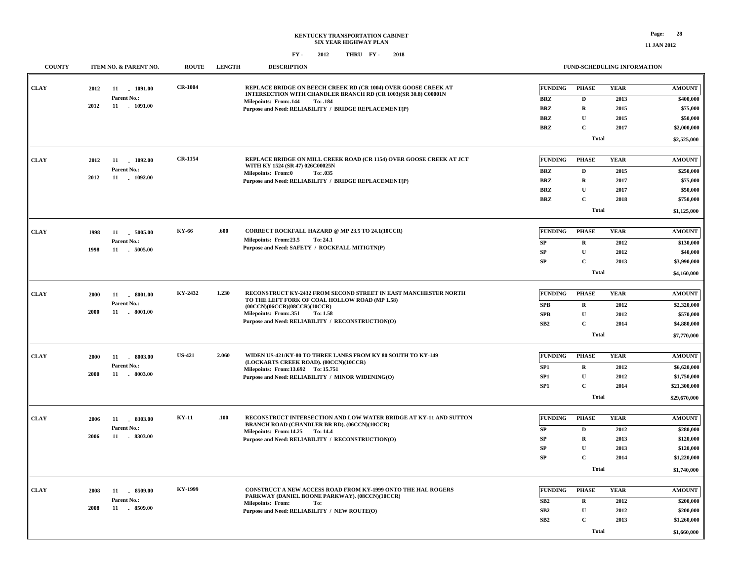| <b>COUNTY</b> | ITEM NO. & PARENT NO.             | <b>ROUTE</b>   | <b>LENGTH</b> | <b>DESCRIPTION</b>                                                                                                                |                       | FUND-SCHEDULING INFORMATION |                     |                            |
|---------------|-----------------------------------|----------------|---------------|-----------------------------------------------------------------------------------------------------------------------------------|-----------------------|-----------------------------|---------------------|----------------------------|
| <b>CLAY</b>   | 2012<br>11 1091.00<br>Parent No.: | <b>CR-1004</b> |               | REPLACE BRIDGE ON BEECH CREEK RD (CR 1004) OVER GOOSE CREEK AT<br>INTERSECTION WITH CHANDLER BRANCH RD (CR 1003)(SR 30.8) C00001N | FUNDING<br><b>BRZ</b> | <b>PHASE</b><br>D           | <b>YEAR</b><br>2013 | <b>AMOUNT</b><br>\$400,000 |
|               | 2012<br>11 . 1091.00              |                |               | Milepoints: From: 144<br>To: .184<br>Purpose and Need: RELIABILITY / BRIDGE REPLACEMENT(P)                                        | <b>BRZ</b>            | $\mathbf R$                 | 2015                | \$75,000                   |
|               |                                   |                |               |                                                                                                                                   | <b>BRZ</b>            | U                           | 2015                | \$50,000                   |
|               |                                   |                |               |                                                                                                                                   | <b>BRZ</b>            | $\mathbf{C}$                | 2017                | \$2,000,000                |
|               |                                   |                |               |                                                                                                                                   |                       | <b>Total</b>                |                     | \$2,525,000                |
|               |                                   |                |               |                                                                                                                                   |                       |                             |                     |                            |
| CLAY          | 2012<br>11 1092.00                | <b>CR-1154</b> |               | REPLACE BRIDGE ON MILL CREEK ROAD (CR 1154) OVER GOOSE CREEK AT JCT<br>WITH KY 1524 (SR 47) 026C00025N                            | <b>FUNDING</b>        | <b>PHASE</b>                | <b>YEAR</b>         | <b>AMOUNT</b>              |
|               | Parent No.:<br>2012<br>11 1092.00 |                |               | <b>Milepoints: From:0</b><br>To: .035                                                                                             | <b>BRZ</b>            | $\mathbf{D}$                | 2015                | \$250,000                  |
|               |                                   |                |               | Purpose and Need: RELIABILITY / BRIDGE REPLACEMENT(P)                                                                             | <b>BRZ</b>            | $\mathbf R$                 | 2017                | \$75,000                   |
|               |                                   |                |               |                                                                                                                                   | <b>BRZ</b>            | $\mathbf{U}$                | 2017                | \$50,000                   |
|               |                                   |                |               |                                                                                                                                   | <b>BRZ</b>            | $\mathbf{C}$                | 2018                | \$750,000                  |
|               |                                   |                |               |                                                                                                                                   |                       | <b>Total</b>                |                     | \$1,125,000                |
| <b>CLAY</b>   | 1998<br>5005.00<br>11             | KY-66          | .600          | CORRECT ROCKFALL HAZARD @ MP 23.5 TO 24.1(10CCR)                                                                                  | <b>FUNDING</b>        | <b>PHASE</b>                | <b>YEAR</b>         | <b>AMOUNT</b>              |
|               | Parent No.:                       |                |               | Milepoints: From:23.5<br>To: 24.1<br>Purpose and Need: SAFETY / ROCKFALL MITIGTN(P)                                               | SP                    | $\mathbf R$                 | 2012                | \$130,000                  |
|               | 1998<br>11 . 5005.00              |                |               |                                                                                                                                   | ${\bf SP}$            | $\mathbf U$                 | 2012                | \$40,000                   |
|               |                                   |                |               |                                                                                                                                   | ${\bf SP}$            | $\mathbf C$                 | 2013                | \$3,990,000                |
|               |                                   |                |               |                                                                                                                                   |                       | <b>Total</b>                |                     | \$4,160,000                |
|               |                                   |                |               |                                                                                                                                   |                       |                             |                     |                            |
| <b>CLAY</b>   | 2000<br>. 8001.00<br>11           | KY-2432        | 1.230         | RECONSTRUCT KY-2432 FROM SECOND STREET IN EAST MANCHESTER NORTH<br>TO THE LEFT FORK OF COAL HOLLOW ROAD (MP 1.58)                 | <b>FUNDING</b>        | <b>PHASE</b>                | <b>YEAR</b>         | <b>AMOUNT</b>              |
|               | Parent No.:                       |                |               | (00CCN)(06CCR)(08CCR)(10CCR)                                                                                                      | <b>SPB</b>            | $\mathbf R$                 | 2012                | \$2,320,000                |
|               | 2000<br>11 . 8001.00              |                |               | Milepoints: From: 351<br>To: 1.58                                                                                                 | <b>SPB</b>            | $\mathbf{U}$                | 2012                | \$570,000                  |
|               |                                   |                |               | Purpose and Need: RELIABILITY / RECONSTRUCTION(O)                                                                                 | SB2                   | $\mathbf{C}$                | 2014                | \$4,880,000                |
|               |                                   |                |               |                                                                                                                                   |                       | <b>Total</b>                |                     | \$7,770,000                |
|               |                                   |                |               |                                                                                                                                   |                       |                             |                     |                            |
| CLAY          | 2000<br>11<br>8003.00             | <b>US-421</b>  | 2.060         | WIDEN US-421/KY-80 TO THREE LANES FROM KY 80 SOUTH TO KY-149                                                                      | <b>FUNDING</b>        | <b>PHASE</b>                | <b>YEAR</b>         | <b>AMOUNT</b>              |
|               | Parent No.:                       |                |               | (LOCKARTS CREEK ROAD). (00CCN)(10CCR)<br>Milepoints: From:13.692 To: 15.751                                                       | SP1                   | $\mathbf R$                 | 2012                | \$6,620,000                |
|               | 2000<br>11 . 8003.00              |                |               | Purpose and Need: RELIABILITY / MINOR WIDENING(O)                                                                                 | SP1                   | $\mathbf{U}$                | 2012                | \$1,750,000                |
|               |                                   |                |               |                                                                                                                                   | SP <sub>1</sub>       | $\mathbf C$                 | 2014                | \$21,300,000               |
|               |                                   |                |               |                                                                                                                                   |                       | <b>Total</b>                |                     | \$29,670,000               |
|               |                                   |                |               |                                                                                                                                   |                       |                             |                     |                            |
| CLAY          | 2006<br>11 . 8303.00              | <b>KY-11</b>   | .100          | RECONSTRUCT INTERSECTION AND LOW WATER BRIDGE AT KY-11 AND SUTTON<br><b>BRANCH ROAD (CHANDLER BR RD). (06CCN)(10CCR)</b>          | <b>FUNDING</b>        | <b>PHASE</b>                | <b>YEAR</b>         | <b>AMOUNT</b>              |
|               | Parent No.:<br>2006<br>11 8303.00 |                |               | Milepoints: From:14.25 To:14.4                                                                                                    | SP                    | D                           | 2012                | \$280,000                  |
|               |                                   |                |               | Purpose and Need: RELIABILITY / RECONSTRUCTION(O)                                                                                 | SP                    | $\mathbf R$                 | 2013                | \$120,000                  |
|               |                                   |                |               |                                                                                                                                   | SP                    | $\mathbf U$                 | 2013                | \$120,000                  |
|               |                                   |                |               |                                                                                                                                   | ${\bf SP}$            | $\mathbf C$                 | 2014                | \$1,220,000                |
|               |                                   |                |               |                                                                                                                                   |                       | <b>Total</b>                |                     | \$1,740,000                |
|               |                                   |                |               |                                                                                                                                   |                       |                             |                     |                            |
| CLAY          | 11<br>8509.00<br>2008             | KY-1999        |               | CONSTRUCT A NEW ACCESS ROAD FROM KY-1999 ONTO THE HAL ROGERS<br>PARKWAY (DANIEL BOONE PARKWAY). (08CCN)(10CCR)                    | <b>FUNDING</b>        | <b>PHASE</b>                | <b>YEAR</b>         | <b>AMOUNT</b>              |
|               | Parent No.:                       |                |               | <b>Milepoints: From:</b><br>To:                                                                                                   | SB2                   | $\mathbf R$                 | 2012                | \$200,000                  |
|               | 2008<br>11 8509.00                |                |               | Purpose and Need: RELIABILITY / NEW ROUTE(O)                                                                                      | SB2                   | $\mathbf{U}$                | 2012                | \$200,000                  |
|               |                                   |                |               |                                                                                                                                   | SB2                   | $\mathbf{C}$                | 2013                | \$1,260,000                |
|               |                                   |                |               |                                                                                                                                   |                       | <b>Total</b>                |                     | \$1,660,000                |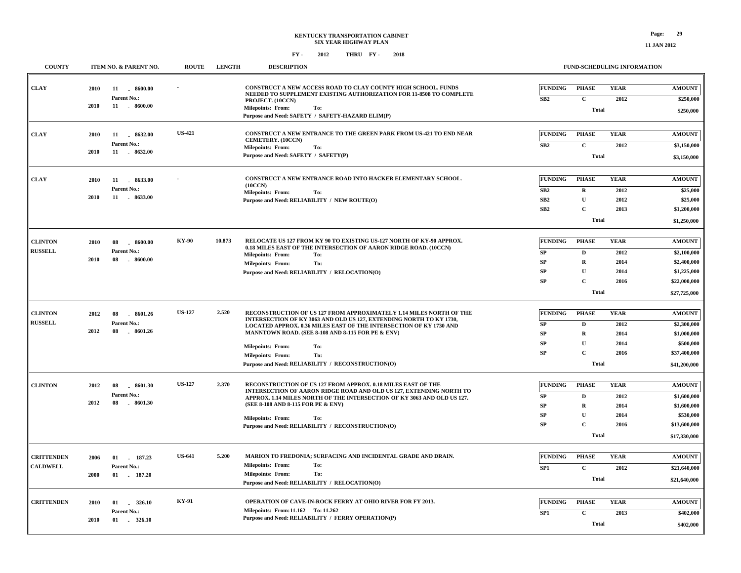| <b>COUNTY</b>                        | ITEM NO. & PARENT NO.                                               | <b>ROUTE</b>  | <b>LENGTH</b> | <b>DESCRIPTION</b>                                                                                                                                                                                                                                                                                                                                                                               | <b>FUND-SCHEDULING INFORMATION</b>                                                                                                                                                                                                                                                           |
|--------------------------------------|---------------------------------------------------------------------|---------------|---------------|--------------------------------------------------------------------------------------------------------------------------------------------------------------------------------------------------------------------------------------------------------------------------------------------------------------------------------------------------------------------------------------------------|----------------------------------------------------------------------------------------------------------------------------------------------------------------------------------------------------------------------------------------------------------------------------------------------|
| <b>CLAY</b>                          | 2010<br>11<br>$-8600.00$<br>Parent No.:<br>2010<br>11 . 8600.00     |               |               | CONSTRUCT A NEW ACCESS ROAD TO CLAY COUNTY HIGH SCHOOL. FUNDS<br>NEEDED TO SUPPLEMENT EXISTING AUTHORIZATION FOR 11-8508 TO COMPLETE<br>PROJECT. (10CCN)<br><b>Milepoints: From:</b><br>To:                                                                                                                                                                                                      | <b>FUNDING</b><br><b>YEAR</b><br><b>AMOUNT</b><br><b>PHASE</b><br>SB2<br>$\mathbf{C}$<br>2012<br>\$250,000<br><b>Total</b><br>\$250,000                                                                                                                                                      |
| <b>CLAY</b>                          | 2010<br>11 8632.00<br>Parent No.:<br>2010<br>11 . 8632.00           | <b>US-421</b> |               | Purpose and Need: SAFETY / SAFETY-HAZARD ELIM(P)<br>CONSTRUCT A NEW ENTRANCE TO THE GREEN PARK FROM US-421 TO END NEAR<br>CEMETERY. (10CCN)<br><b>Milepoints: From:</b><br>To:<br>Purpose and Need: SAFETY / SAFETY(P)                                                                                                                                                                           | <b>FUNDING</b><br><b>PHASE</b><br><b>YEAR</b><br><b>AMOUNT</b><br>$\mathbf{C}$<br>SB2<br>2012<br>\$3,150,000<br><b>Total</b><br>\$3,150,000                                                                                                                                                  |
| <b>CLAY</b>                          | 2010<br>11<br>8633.00<br>Parent No.:<br>2010<br>11 . 8633.00        |               |               | CONSTRUCT A NEW ENTRANCE ROAD INTO HACKER ELEMENTARY SCHOOL.<br>(10CCN)<br><b>Milepoints: From:</b><br>To:<br>Purpose and Need: RELIABILITY / NEW ROUTE(O)                                                                                                                                                                                                                                       | <b>FUNDING</b><br><b>PHASE</b><br><b>YEAR</b><br><b>AMOUNT</b><br>SB2<br>$\mathbf R$<br>2012<br>\$25,000<br>SB2<br>$\mathbf U$<br>\$25,000<br>2012<br>$\mathbf C$<br>SB2<br>2013<br>\$1,200,000<br><b>Total</b><br>\$1,250,000                                                               |
| <b>CLINTON</b><br><b>RUSSELL</b>     | 2010<br>08<br>.8600.00<br>Parent No.:<br>2010<br>08<br>$-8600.00$   | <b>KY-90</b>  | 10.873        | RELOCATE US 127 FROM KY 90 TO EXISTING US-127 NORTH OF KY-90 APPROX.<br>0.18 MILES EAST OF THE INTERSECTION OF AARON RIDGE ROAD. (10CCN)<br>Milepoints: From:<br>To:<br><b>Milepoints: From:</b><br>To:<br>Purpose and Need: RELIABILITY / RELOCATION(O)                                                                                                                                         | <b>FUNDING</b><br><b>PHASE</b><br><b>YEAR</b><br><b>AMOUNT</b><br><b>SP</b><br>D<br>2012<br>\$2,100,000<br>SP<br>$\mathbf R$<br>2014<br>\$2,400,000<br>SP<br>$\mathbf U$<br>2014<br>\$1,225,000<br>$\mathbf C$<br>SP<br>2016<br>\$22,000,000<br><b>Total</b><br>\$27,725,000                 |
| <b>CLINTON</b><br><b>RUSSELL</b>     | $-8601.26$<br>2012<br>08<br>Parent No.:<br>2012<br>08<br>$-8601.26$ | <b>US-127</b> | 2.520         | RECONSTRUCTION OF US 127 FROM APPROXIMATELY 1.14 MILES NORTH OF THE<br>INTERSECTION OF KY 3063 AND OLD US 127, EXTENDING NORTH TO KY 1730,<br>LOCATED APPROX. 0.36 MILES EAST OF THE INTERSECTION OF KY 1730 AND<br>MANNTOWN ROAD. (SEE 8-108 AND 8-115 FOR PE & ENV)<br><b>Milepoints: From:</b><br>To:<br>To:<br><b>Milepoints: From:</b><br>Purpose and Need: RELIABILITY / RECONSTRUCTION(O) | <b>YEAR</b><br><b>FUNDING</b><br><b>PHASE</b><br><b>AMOUNT</b><br>SP<br>$\mathbf D$<br>2012<br>\$2,300,000<br>SP<br>$\mathbf R$<br>2014<br>\$1,000,000<br>$\mathbf U$<br><b>SP</b><br>2014<br>\$500,000<br><b>SP</b><br>$\mathbf{C}$<br>2016<br>\$37,400,000<br><b>Total</b><br>\$41,200,000 |
| <b>CLINTON</b>                       | 2012<br>$-8601.30$<br>08<br>Parent No.:<br>2012<br>08<br>$-8601.30$ | <b>US-127</b> | 2.370         | RECONSTRUCTION OF US 127 FROM APPROX. 0.18 MILES EAST OF THE<br>INTERSECTION OF AARON RIDGE ROAD AND OLD US 127, EXTENDING NORTH TO<br>APPROX. 1.14 MILES NORTH OF THE INTERSECTION OF KY 3063 AND OLD US 127.<br>(SEE 8-108 AND 8-115 FOR PE & ENV)<br><b>Milepoints: From:</b><br>To:<br>Purpose and Need: RELIABILITY / RECONSTRUCTION(O)                                                     | <b>FUNDING</b><br><b>PHASE</b><br><b>YEAR</b><br><b>AMOUNT</b><br>$\mathbf D$<br>2012<br>SP<br>\$1,600,000<br><b>SP</b><br>$\mathbf R$<br>2014<br>\$1,600,000<br>U<br><b>SP</b><br>2014<br>\$530,000<br>$\mathbf C$<br><b>SP</b><br>2016<br>\$13,600,000<br><b>Total</b><br>\$17,330,000     |
| <b>CRITTENDEN</b><br><b>CALDWELL</b> | 2006<br>01<br>187.23<br>Parent No.:<br>2000<br>$-187.20$<br>01      | <b>US-641</b> | 5.200         | MARION TO FREDONIA; SURFACING AND INCIDENTAL GRADE AND DRAIN.<br>Milepoints: From:<br>To:<br><b>Milepoints: From:</b><br>To:<br>Purpose and Need: RELIABILITY / RELOCATION(O)                                                                                                                                                                                                                    | <b>PHASE</b><br><b>YEAR</b><br><b>FUNDING</b><br><b>AMOUNT</b><br>SP1<br>$\mathbf C$<br>2012<br>\$21,640,000<br><b>Total</b><br>\$21,640,000                                                                                                                                                 |
| <b>CRITTENDEN</b>                    | $-326.10$<br>2010<br>01<br>Parent No.:<br>01<br>2010<br>326.10      | KY-91         |               | OPERATION OF CAVE-IN-ROCK FERRY AT OHIO RIVER FOR FY 2013.<br>Milepoints: From:11.162 To: 11.262<br>Purpose and Need: RELIABILITY / FERRY OPERATION(P)                                                                                                                                                                                                                                           | <b>FUNDING</b><br><b>PHASE</b><br><b>YEAR</b><br><b>AMOUNT</b><br>SP <sub>1</sub><br>C<br>2013<br>\$402,000<br><b>Total</b><br>\$402,000                                                                                                                                                     |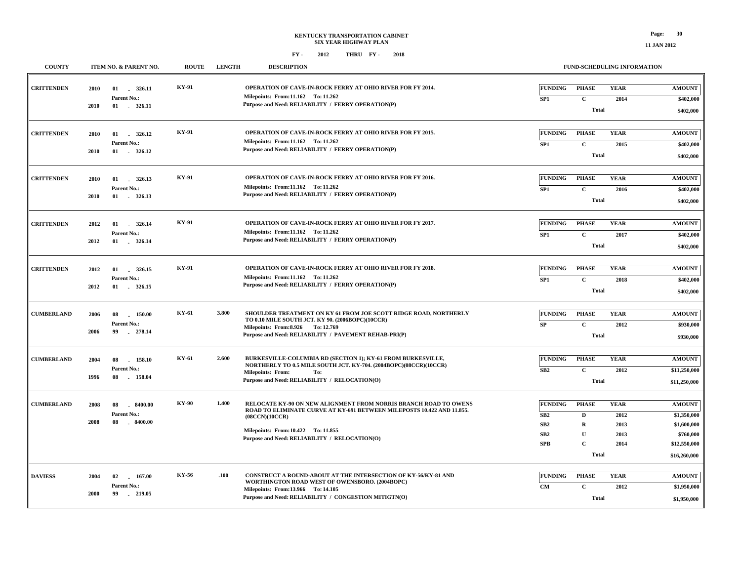#### **FY - FY - 2012 2018 THRU**

**11 JAN 2012**

| <b>COUNTY</b>     |              | ITEM NO. & PARENT NO.                            | <b>ROUTE</b> | <b>LENGTH</b> | <b>DESCRIPTION</b>                                                                                                                                                                                                                                   |                                            | FUND-SCHEDULING INFORMATION                                                                |                                             |                                                                                          |
|-------------------|--------------|--------------------------------------------------|--------------|---------------|------------------------------------------------------------------------------------------------------------------------------------------------------------------------------------------------------------------------------------------------------|--------------------------------------------|--------------------------------------------------------------------------------------------|---------------------------------------------|------------------------------------------------------------------------------------------|
| <b>CRITTENDEN</b> | 2010<br>2010 | Parent No.:<br>$01$ . 326.11                     | <b>KY-91</b> |               | OPERATION OF CAVE-IN-ROCK FERRY AT OHIO RIVER FOR FY 2014.<br>Milepoints: From:11.162 To: 11.262<br>Purpose and Need: RELIABILITY / FERRY OPERATION(P)                                                                                               | <b>FUNDING</b><br>SP1                      | <b>PHASE</b><br>$\mathbf{C}$<br><b>Total</b>                                               | <b>YEAR</b><br>2014                         | <b>AMOUNT</b><br>\$402,000<br>\$402,000                                                  |
| <b>CRITTENDEN</b> | 2010<br>2010 | 01<br>326.12<br>Parent No.:<br>01 . 326.12       | KY-91        |               | OPERATION OF CAVE-IN-ROCK FERRY AT OHIO RIVER FOR FY 2015.<br>Milepoints: From:11.162 To: 11.262<br>Purpose and Need: RELIABILITY / FERRY OPERATION(P)                                                                                               | <b>FUNDING</b><br>SP1                      | <b>PHASE</b><br>$\mathbf c$<br><b>Total</b>                                                | <b>YEAR</b><br>2015                         | <b>AMOUNT</b><br>\$402,000<br>\$402,000                                                  |
| <b>CRITTENDEN</b> | 2010<br>2010 | 01 326.13<br>Parent No.:<br>01 . 326.13          | KY-91        |               | OPERATION OF CAVE-IN-ROCK FERRY AT OHIO RIVER FOR FY 2016.<br>Milepoints: From:11.162 To: 11.262<br>Purpose and Need: RELIABILITY / FERRY OPERATION(P)                                                                                               | <b>FUNDING</b><br>SP1                      | <b>PHASE</b><br>$\mathbf C$<br><b>Total</b>                                                | <b>YEAR</b><br>2016                         | <b>AMOUNT</b><br>\$402,000<br>\$402,000                                                  |
| <b>CRITTENDEN</b> | 2012<br>2012 | 01<br>326.14<br>Parent No.:<br>01<br>326.14      | KY-91        |               | OPERATION OF CAVE-IN-ROCK FERRY AT OHIO RIVER FOR FY 2017.<br>Milepoints: From:11.162 To: 11.262<br>Purpose and Need: RELIABILITY / FERRY OPERATION(P)                                                                                               | <b>FUNDING</b><br>SP1                      | <b>PHASE</b><br>$\mathbf C$<br><b>Total</b>                                                | <b>YEAR</b><br>2017                         | <b>AMOUNT</b><br>\$402,000<br>\$402,000                                                  |
| <b>CRITTENDEN</b> | 2012<br>2012 | 01<br>326.15<br>Parent No.:<br>01 . 326.15       | <b>KY-91</b> |               | <b>OPERATION OF CAVE-IN-ROCK FERRY AT OHIO RIVER FOR FY 2018.</b><br>Milepoints: From:11.162 To: 11.262<br>Purpose and Need: RELIABILITY / FERRY OPERATION(P)                                                                                        | <b>FUNDING</b><br>SP1                      | <b>PHASE</b><br>$\mathbf C$<br><b>Total</b>                                                | <b>YEAR</b><br>2018                         | <b>AMOUNT</b><br>\$402,000<br>\$402,000                                                  |
| <b>CUMBERLAND</b> | 2006<br>2006 | 08<br>150.00<br>Parent No.:<br>99<br>278.14      | KY-61        | 3.800         | SHOULDER TREATMENT ON KY 61 FROM JOE SCOTT RIDGE ROAD, NORTHERLY<br>TO 0.10 MILE SOUTH JCT. KY 90. (2006BOPC)(10CCR)<br>Milepoints: From: 8.926 To: 12.769<br>Purpose and Need: RELIABILITY / PAVEMENT REHAB-PRI(P)                                  | <b>FUNDING</b><br>SP                       | <b>PHASE</b><br>$\mathbf C$<br><b>Total</b>                                                | <b>YEAR</b><br>2012                         | <b>AMOUNT</b><br>\$930,000<br>\$930,000                                                  |
| <b>CUMBERLAND</b> | 2004<br>1996 | 158.10<br>08<br>Parent No.:<br>08<br>158.04      | KY-61        | 2.600         | BURKESVILLE-COLUMBIA RD (SECTION 1); KY-61 FROM BURKESVILLE,<br>NORTHERLY TO 0.5 MILE SOUTH JCT. KY-704. (2004BOPC)(08CCR)(10CCR)<br><b>Milepoints: From:</b><br>To:<br>Purpose and Need: RELIABILITY / RELOCATION(O)                                | <b>FUNDING</b><br>SB2                      | <b>PHASE</b><br>$\mathbf C$<br><b>Total</b>                                                | <b>YEAR</b><br>2012                         | <b>AMOUNT</b><br>\$11,250,000<br>\$11,250,000                                            |
| <b>CUMBERLAND</b> | 2008<br>2008 | 8400.00<br>08<br>Parent No.:<br>08<br>$-8400.00$ | KY-90        | 1.400         | RELOCATE KY-90 ON NEW ALIGNMENT FROM NORRIS BRANCH ROAD TO OWENS<br>ROAD TO ELIMINATE CURVE AT KY-691 BETWEEN MILEPOSTS 10.422 AND 11.855.<br>(08CCN)(10CCR)<br>Milepoints: From: 10.422 To: 11.855<br>Purpose and Need: RELIABILITY / RELOCATION(O) | <b>FUNDING</b><br>SB2<br>SB2<br>SB2<br>SPB | <b>PHASE</b><br>$\mathbf{D}$<br>$\mathbf R$<br>$\mathbf{U}$<br>$\mathbf C$<br><b>Total</b> | <b>YEAR</b><br>2012<br>2013<br>2013<br>2014 | <b>AMOUNT</b><br>\$1,350,000<br>\$1,600,000<br>\$760,000<br>\$12,550,000<br>\$16,260,000 |
| <b>DAVIESS</b>    | 2004<br>2000 | 167.00<br>02<br>Parent No.:<br>99<br>$-219.05$   | KY-56        | .100          | CONSTRUCT A ROUND-ABOUT AT THE INTERSECTION OF KY-56/KY-81 AND<br>WORTHINGTON ROAD WEST OF OWENSBORO. (2004BOPC)<br>Milepoints: From:13.966 To:14.105<br>Purpose and Need: RELIABILITY / CONGESTION MITIGTN(O)                                       | <b>FUNDING</b><br>CM                       | <b>PHASE</b><br>$\mathbf C$<br><b>Total</b>                                                | <b>YEAR</b><br>2012                         | <b>AMOUNT</b><br>\$1,950,000<br>\$1,950,000                                              |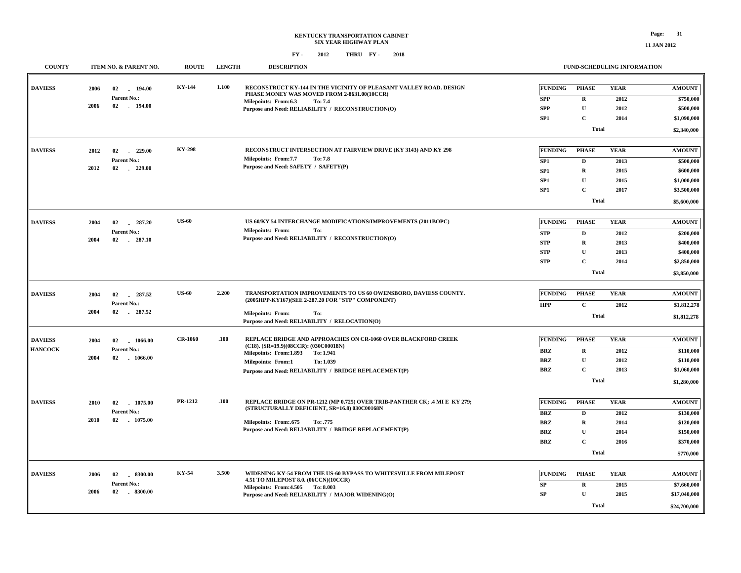### **KENTUCKY TRANSPORTATION CABINET SIX YEAR HIGHWAY PLAN FY - FY - 2012 2018 THRU**

| <b>COUNTY</b>                    | ITEM NO. & PARENT NO.                                                    | <b>ROUTE</b>   | <b>LENGTH</b> | <b>DESCRIPTION</b>                                                                                                                                                                                                                               |                                                                        |                                                                                           | <b>FUND-SCHEDULING INFORMATION</b>          |                                                                                      |
|----------------------------------|--------------------------------------------------------------------------|----------------|---------------|--------------------------------------------------------------------------------------------------------------------------------------------------------------------------------------------------------------------------------------------------|------------------------------------------------------------------------|-------------------------------------------------------------------------------------------|---------------------------------------------|--------------------------------------------------------------------------------------|
| <b>DAVIESS</b>                   | 2006<br>02<br>194.00<br>Parent No.:<br>2006<br>$02 \quad . \quad 194.00$ | KY-144         | 1.100         | RECONSTRUCT KY-144 IN THE VICINITY OF PLEASANT VALLEY ROAD. DESIGN<br>PHASE MONEY WAS MOVED FROM 2-8631.00(10CCR)<br>Milepoints: From:6.3<br>To: 7.4<br>Purpose and Need: RELIABILITY / RECONSTRUCTION(O)                                        | <b>FUNDING</b><br><b>SPP</b><br><b>SPP</b>                             | <b>PHASE</b><br>$\mathbf R$<br>$\mathbf U$                                                | <b>YEAR</b><br>2012<br>2012                 | <b>AMOUNT</b><br>\$750,000<br>\$500,000                                              |
|                                  |                                                                          |                |               |                                                                                                                                                                                                                                                  | SP1                                                                    | $\mathbf C$<br><b>Total</b>                                                               | 2014                                        | \$1,090,000<br>\$2,340,000                                                           |
| <b>DAVIESS</b>                   | 2012<br>02<br>229.00<br>Parent No.:<br>2012<br>02<br>$-229.00$           | <b>KY-298</b>  |               | RECONSTRUCT INTERSECTION AT FAIRVIEW DRIVE (KY 3143) AND KY 298<br>Milepoints: From:7.7<br>To: 7.8<br>Purpose and Need: SAFETY / SAFETY(P)                                                                                                       | <b>FUNDING</b><br>SP1<br>SP1<br>SP <sub>1</sub><br>SP <sub>1</sub>     | <b>PHASE</b><br>D<br>$\mathbf R$<br>$\mathbf{U}$<br>$\mathbf{C}$<br><b>Total</b>          | <b>YEAR</b><br>2013<br>2015<br>2015<br>2017 | <b>AMOUNT</b><br>\$500,000<br>\$600,000<br>\$1,000,000<br>\$3,500,000<br>\$5,600,000 |
| <b>DAVIESS</b>                   | 2004<br>02<br>$-287.20$<br>Parent No.:<br>2004<br>02<br>$-287.10$        | <b>US-60</b>   |               | US 60/KY 54 INTERCHANGE MODIFICATIONS/IMPROVEMENTS (2011BOPC)<br><b>Milepoints: From:</b><br>To:<br>Purpose and Need: RELIABILITY / RECONSTRUCTION(O)                                                                                            | <b>FUNDING</b><br><b>STP</b><br><b>STP</b><br><b>STP</b><br><b>STP</b> | <b>PHASE</b><br>$\mathbf D$<br>$\mathbf R$<br>$\mathbf{U}$<br>$\mathbf C$<br><b>Total</b> | <b>YEAR</b><br>2012<br>2013<br>2013<br>2014 | <b>AMOUNT</b><br>\$200,000<br>\$400,000<br>\$400,000<br>\$2,850,000<br>\$3,850,000   |
| <b>DAVIESS</b>                   | 2004<br>02<br>287.52<br>Parent No.:<br>2004<br>02 287.52                 | <b>US-60</b>   | 2.200         | TRANSPORTATION IMPROVEMENTS TO US 60 OWENSBORO, DAVIESS COUNTY.<br>(2005HPP-KY167)(SEE 2-287.20 FOR "STP" COMPONENT)<br><b>Milepoints: From:</b><br>To:<br>Purpose and Need: RELIABILITY / RELOCATION(O)                                         | <b>FUNDING</b><br><b>HPP</b>                                           | <b>PHASE</b><br>$\mathbf C$<br><b>Total</b>                                               | <b>YEAR</b><br>2012                         | <b>AMOUNT</b><br>\$1,812,278<br>\$1,812,278                                          |
| <b>DAVIESS</b><br><b>HANCOCK</b> | 2004<br>02<br>1066.00<br>Parent No.:<br>2004<br>02<br>1066.00            | <b>CR-1060</b> | .100          | REPLACE BRIDGE AND APPROACHES ON CR-1060 OVER BLACKFORD CREEK<br>(C18). (SR=19.9)(08CCR): (030C00018N)<br>Milepoints: From:1.893<br>To: 1.941<br><b>Milepoints: From:1</b><br>To: 1.039<br>Purpose and Need: RELIABILITY / BRIDGE REPLACEMENT(P) | <b>FUNDING</b><br>BRZ<br><b>BRZ</b><br><b>BRZ</b>                      | <b>PHASE</b><br>R<br>$\mathbf{U}$<br>$\mathbf C$<br><b>Total</b>                          | <b>YEAR</b><br>2012<br>2012<br>2013         | <b>AMOUNT</b><br>\$110,000<br>\$110,000<br>\$1,060,000<br>\$1,280,000                |
| <b>DAVIESS</b>                   | 02<br>1075.00<br>2010<br>Parent No.:<br>2010<br>02<br>1075.00            | PR-1212        | .100          | REPLACE BRIDGE ON PR-1212 (MP 0.725) OVER TRIB-PANTHER CK; .4 MI E KY 279;<br>(STRUCTURALLY DEFICIENT, SR=16.8) 030C00168N<br>Milepoints: From:.675<br>To: .775<br>Purpose and Need: RELIABILITY / BRIDGE REPLACEMENT(P)                         | <b>FUNDING</b><br><b>BRZ</b><br><b>BRZ</b><br><b>BRZ</b><br>BRZ        | <b>PHASE</b><br>$\mathbf D$<br>$\mathbf R$<br>$\mathbf{U}$<br>$\mathbf C$<br><b>Total</b> | <b>YEAR</b><br>2012<br>2014<br>2014<br>2016 | <b>AMOUNT</b><br>\$130,000<br>\$120,000<br>\$150,000<br>\$370,000<br>\$770,000       |
| <b>DAVIESS</b>                   | $-8300.00$<br>2006<br>02<br>Parent No.:<br>02<br>$-8300.00$<br>2006      | KY-54          | 3.500         | WIDENING KY-54 FROM THE US-60 BYPASS TO WHITESVILLE FROM MILEPOST<br>4.51 TO MILEPOST 8.0. (06CCN)(10CCR)<br>Milepoints: From: 4.505 To: 8.003<br>Purpose and Need: RELIABILITY / MAJOR WIDENING(O)                                              | <b>FUNDING</b><br>SP<br>${\bf SP}$                                     | <b>PHASE</b><br>$\mathbf R$<br>$\mathbf U$<br>Total                                       | <b>YEAR</b><br>2015<br>2015                 | <b>AMOUNT</b><br>\$7,660,000<br>\$17,040,000<br>\$24,700,000                         |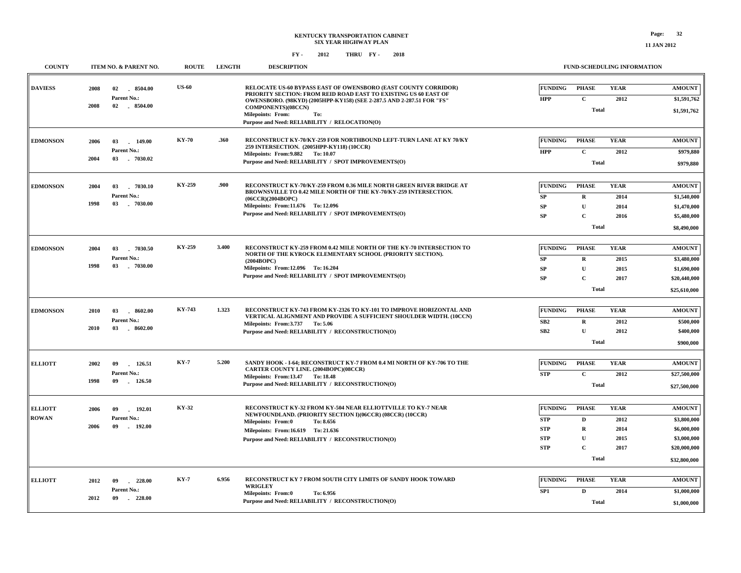| <b>COUNTY</b>   | <b>ITEM NO. &amp; PARENT NO.</b>        | <b>ROUTE</b> | <b>LENGTH</b> | <b>DESCRIPTION</b>                                                                                                                                                       |                              | <b>FUND-SCHEDULING INFORMATION</b> |                     |                              |
|-----------------|-----------------------------------------|--------------|---------------|--------------------------------------------------------------------------------------------------------------------------------------------------------------------------|------------------------------|------------------------------------|---------------------|------------------------------|
| <b>DAVIESS</b>  | 8504.00<br>2008<br>02<br>Parent No.:    | <b>US-60</b> |               | RELOCATE US-60 BYPASS EAST OF OWENSBORO (EAST COUNTY CORRIDOR)<br>PRIORITY SECTION: FROM REID ROAD EAST TO EXISTING US 60 EAST OF                                        | <b>FUNDING</b><br><b>HPP</b> | <b>PHASE</b><br>$\mathbf{C}$       | <b>YEAR</b><br>2012 | <b>AMOUNT</b><br>\$1,591,762 |
|                 | 2008<br>02 8504.00                      |              |               | OWENSBORO. (98KYD) (2005HPP-KY158) (SEE 2-287.5 AND 2-287.51 FOR "FS"<br>COMPONENTS)(08CCN)<br>Milepoints: From:<br>To:<br>Purpose and Need: RELIABILITY / RELOCATION(O) |                              | <b>Total</b>                       |                     | \$1,591,762                  |
| <b>EDMONSON</b> | 2006<br>03<br>149.00<br>Parent No.:     | <b>KY-70</b> | .360          | RECONSTRUCT KY-70/KY-259 FOR NORTHBOUND LEFT-TURN LANE AT KY 70/KY<br>259 INTERSECTION. (2005HPP-KY118) (10CCR)                                                          | <b>FUNDING</b>               | <b>PHASE</b>                       | <b>YEAR</b>         | <b>AMOUNT</b>                |
|                 | 2004<br>03<br>$-7030.02$                |              |               | Milepoints: From: 9.882 To: 10.07<br>Purpose and Need: RELIABILITY / SPOT IMPROVEMENTS(O)                                                                                | <b>HPP</b>                   | $\mathbf C$<br><b>Total</b>        | 2012                | \$979,880<br>\$979,880       |
| <b>EDMONSON</b> | 03<br>2004<br>$-7030.10$                | KY-259       | .900          | RECONSTRUCT KY-70/KY-259 FROM 0.36 MILE NORTH GREEN RIVER BRIDGE AT                                                                                                      | <b>FUNDING</b>               | <b>PHASE</b>                       | <b>YEAR</b>         | <b>AMOUNT</b>                |
|                 | Parent No.:<br>1998<br>03<br>$-7030.00$ |              |               | BROWNSVILLE TO 0.42 MILE NORTH OF THE KY-70/KY-259 INTERSECTION.<br>(06CCR)(2004BOPC)<br>Milepoints: From:11.676 To: 12.096                                              | ${\bf SP}$<br><b>SP</b>      | $\mathbf R$<br>U                   | 2014<br>2014        | \$1,540,000<br>\$1,470,000   |
|                 |                                         |              |               | Purpose and Need: RELIABILITY / SPOT IMPROVEMENTS(O)                                                                                                                     | <b>SP</b>                    | $\mathbf C$<br><b>Total</b>        | 2016                | \$5,480,000                  |
|                 |                                         |              |               |                                                                                                                                                                          |                              |                                    |                     | \$8,490,000                  |
| <b>EDMONSON</b> | 2004<br>03<br>7030.50                   | KY-259       | 3.400         | RECONSTRUCT KY-259 FROM 0.42 MILE NORTH OF THE KY-70 INTERSECTION TO<br>NORTH OF THE KYROCK ELEMENTARY SCHOOL (PRIORITY SECTION).                                        | <b>FUNDING</b>               | <b>PHASE</b>                       | <b>YEAR</b>         | <b>AMOUNT</b>                |
|                 | Parent No.:<br>1998<br>03<br>$-7030.00$ |              |               | (2004BOPC)                                                                                                                                                               | SP                           | $\mathbf R$                        | 2015                | \$3,480,000                  |
|                 |                                         |              |               | Milepoints: From:12.096 To:16.204<br>Purpose and Need: RELIABILITY / SPOT IMPROVEMENTS(O)                                                                                | <b>SP</b><br><b>SP</b>       | U<br>$\mathbf C$                   | 2015<br>2017        | \$1,690,000<br>\$20,440,000  |
|                 |                                         |              |               |                                                                                                                                                                          |                              | <b>Total</b>                       |                     | \$25,610,000                 |
| <b>EDMONSON</b> | 2010<br>03<br>$-8602.00$                | KY-743       | 1.323         | RECONSTRUCT KY-743 FROM KY-2326 TO KY-101 TO IMPROVE HORIZONTAL AND                                                                                                      | <b>FUNDING</b>               | <b>PHASE</b>                       | <b>YEAR</b>         | <b>AMOUNT</b>                |
|                 | Parent No.:                             |              |               | VERTICAL ALIGNMENT AND PROVIDE A SUFFICIENT SHOULDER WIDTH. (10CCN)<br>Milepoints: From:3.737 To: 5.06                                                                   | SB <sub>2</sub>              | $\mathbf R$                        | 2012                | \$500,000                    |
|                 | 2010<br>03<br>8602.00                   |              |               | Purpose and Need: RELIABILITY / RECONSTRUCTION(O)                                                                                                                        | SB2                          | U                                  | 2012                | \$400,000                    |
|                 |                                         |              |               |                                                                                                                                                                          |                              | <b>Total</b>                       |                     | \$900,000                    |
| <b>ELLIOTT</b>  | 2002<br>09<br>126.51                    | <b>KY-7</b>  | 5.200         | SANDY HOOK - I-64; RECONSTRUCT KY-7 FROM 0.4 MI NORTH OF KY-706 TO THE<br>CARTER COUNTY LINE. (2004BOPC)(08CCR)                                                          | <b>FUNDING</b>               | <b>PHASE</b>                       | <b>YEAR</b>         | <b>AMOUNT</b>                |
|                 | Parent No.:<br>1998<br>09<br>126.50     |              |               | Milepoints: From:13.47 To: 18.48                                                                                                                                         | <b>STP</b>                   | $\mathbf C$                        | 2012                | \$27,500,000                 |
|                 |                                         |              |               | Purpose and Need: RELIABILITY / RECONSTRUCTION(O)                                                                                                                        |                              | <b>Total</b>                       |                     | \$27,500,000                 |
| <b>ELLIOTT</b>  | 2006<br>09<br>192.01                    | KY-32        |               | RECONSTRUCT KY-32 FROM KY-504 NEAR ELLIOTTVILLE TO KY-7 NEAR                                                                                                             | <b>FUNDING</b>               | <b>PHASE</b>                       | <b>YEAR</b>         | <b>AMOUNT</b>                |
| <b>ROWAN</b>    | Parent No.:                             |              |               | NEWFOUNDLAND. (PRIORITY SECTION I)(06CCR) (08CCR) (10CCR)<br><b>Milepoints: From:0</b><br>To: 8.656                                                                      | <b>STP</b>                   | D                                  | 2012                | \$3,800,000                  |
|                 | 2006<br>09<br>$-192.00$                 |              |               | Milepoints: From:16.619 To: 21.636                                                                                                                                       | <b>STP</b>                   | $\mathbf R$                        | 2014                | \$6,000,000                  |
|                 |                                         |              |               | Purpose and Need: RELIABILITY / RECONSTRUCTION(O)                                                                                                                        | <b>STP</b>                   | U                                  | 2015                | \$3,000,000                  |
|                 |                                         |              |               |                                                                                                                                                                          | <b>STP</b>                   | $\mathbf C$<br><b>Total</b>        | 2017                | \$20,000,000<br>\$32,800,000 |
|                 |                                         |              |               |                                                                                                                                                                          |                              |                                    |                     |                              |
| <b>ELLIOTT</b>  | 2012<br>09<br>$-228.00$                 | <b>KY-7</b>  | 6.956         | RECONSTRUCT KY 7 FROM SOUTH CITY LIMITS OF SANDY HOOK TOWARD<br><b>WRIGLEY</b>                                                                                           | <b>FUNDING</b>               | <b>PHASE</b>                       | <b>YEAR</b>         | <b>AMOUNT</b>                |
|                 | Parent No.:<br>2012<br>09<br>$-228.00$  |              |               | Milepoints: From:0<br>To: 6.956                                                                                                                                          | SP1                          | $\mathbf D$                        | 2014                | \$1,000,000                  |
|                 |                                         |              |               | Purpose and Need: RELIABILITY / RECONSTRUCTION(O)                                                                                                                        |                              | <b>Total</b>                       |                     | \$1,000,000                  |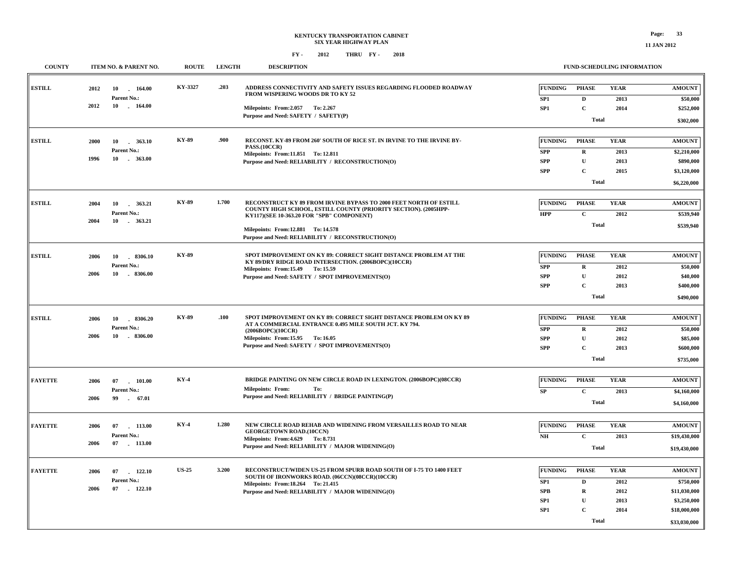| <b>COUNTY</b>  | ITEM NO. & PARENT NO.               | <b>ROUTE</b> | <b>LENGTH</b> | <b>DESCRIPTION</b>                                                                                                       |                |                            | <b>FUND-SCHEDULING INFORMATION</b> |                          |
|----------------|-------------------------------------|--------------|---------------|--------------------------------------------------------------------------------------------------------------------------|----------------|----------------------------|------------------------------------|--------------------------|
| <b>ESTILL</b>  | 2012<br>10<br>164.00                | KY-3327      | .203          | ADDRESS CONNECTIVITY AND SAFETY ISSUES REGARDING FLOODED ROADWAY<br>FROM WISPERING WOODS DR TO KY 52                     | <b>FUNDING</b> | <b>PHASE</b>               | <b>YEAR</b>                        | <b>AMOUNT</b>            |
|                | Parent No.:<br>2012<br>10<br>164.00 |              |               |                                                                                                                          | SP1            | $\mathbf{D}$               | 2013                               | \$50,000                 |
|                |                                     |              |               | Milepoints: From: 2.057 To: 2.267<br>Purpose and Need: SAFETY / SAFETY(P)                                                | SP1            | $\mathbf C$                | 2014                               | \$252,000                |
|                |                                     |              |               |                                                                                                                          |                | <b>Total</b>               |                                    | \$302,000                |
| <b>ESTILL</b>  |                                     | <b>KY-89</b> | .900          | RECONST. KY-89 FROM 260' SOUTH OF RICE ST. IN IRVINE TO THE IRVINE BY-                                                   | <b>FUNDING</b> | <b>PHASE</b>               | <b>YEAR</b>                        | <b>AMOUNT</b>            |
|                | 2000<br>10<br>363.10<br>Parent No.: |              |               | PASS.(10CCR)                                                                                                             | <b>SPP</b>     |                            |                                    |                          |
|                | 1996<br>363.00<br>10                |              |               | Milepoints: From:11.851 To: 12.811<br>Purpose and Need: RELIABILITY / RECONSTRUCTION(O)                                  | <b>SPP</b>     | $\mathbf R$<br>$\mathbf U$ | 2013<br>2013                       | \$2,210,000<br>\$890,000 |
|                |                                     |              |               |                                                                                                                          | <b>SPP</b>     | $\mathbf{C}$               | 2015                               | \$3,120,000              |
|                |                                     |              |               |                                                                                                                          |                | <b>Total</b>               |                                    | \$6,220,000              |
|                |                                     |              |               |                                                                                                                          |                |                            |                                    |                          |
| <b>ESTILL</b>  | 2004<br>363.21<br>10                | <b>KY-89</b> | 1.700         | RECONSTRUCT KY 89 FROM IRVINE BYPASS TO 2000 FEET NORTH OF ESTILL                                                        | <b>FUNDING</b> | <b>PHASE</b>               | <b>YEAR</b>                        | <b>AMOUNT</b>            |
|                | Parent No.:                         |              |               | COUNTY HIGH SCHOOL, ESTILL COUNTY (PRIORITY SECTION). (2005HPP-<br>KY117)(SEE 10-363.20 FOR "SPB" COMPONENT)             | <b>HPP</b>     | $\mathbf{C}$               | 2012                               | \$539,940                |
|                | 2004<br>10 . 363.21                 |              |               |                                                                                                                          |                | <b>Total</b>               |                                    | \$539,940                |
|                |                                     |              |               | Milepoints: From:12.881 To: 14.578<br>Purpose and Need: RELIABILITY / RECONSTRUCTION(O)                                  |                |                            |                                    |                          |
|                |                                     |              |               |                                                                                                                          |                |                            |                                    |                          |
| <b>ESTILL</b>  | 2006<br>10<br>$-8306.10$            | KY-89        |               | SPOT IMPROVEMENT ON KY 89: CORRECT SIGHT DISTANCE PROBLEM AT THE<br>KY 89/DRY RIDGE ROAD INTERSECTION. (2006BOPC)(10CCR) | <b>FUNDING</b> | <b>PHASE</b>               | <b>YEAR</b>                        | <b>AMOUNT</b>            |
|                | Parent No.:                         |              |               | Milepoints: From:15.49 To: 15.59                                                                                         | <b>SPP</b>     | $\bf{R}$                   | 2012                               | \$50,000                 |
|                | 10<br>$-8306.00$<br>2006            |              |               | Purpose and Need: SAFETY / SPOT IMPROVEMENTS(O)                                                                          | <b>SPP</b>     | $\mathbf U$                | 2012                               | \$40,000                 |
|                |                                     |              |               |                                                                                                                          | <b>SPP</b>     | $\mathbf C$                | 2013                               | \$400,000                |
|                |                                     |              |               |                                                                                                                          |                | <b>Total</b>               |                                    | \$490,000                |
| <b>ESTILL</b>  | 8306.20<br>2006<br>10               | <b>KY-89</b> | .100          | SPOT IMPROVEMENT ON KY 89: CORRECT SIGHT DISTANCE PROBLEM ON KY 89                                                       | <b>FUNDING</b> | <b>PHASE</b>               | <b>YEAR</b>                        | <b>AMOUNT</b>            |
|                | Parent No.:                         |              |               | AT A COMMERCIAL ENTRANCE 0.495 MILE SOUTH JCT. KY 794.<br>(2006BOPC)(10CCR)                                              | <b>SPP</b>     | $\mathbf R$                | 2012                               | \$50,000                 |
|                | 2006<br>10<br>8306.00               |              |               | Milepoints: From:15.95 To: 16.05                                                                                         | <b>SPP</b>     | $\mathbf U$                | 2012                               | \$85,000                 |
|                |                                     |              |               | Purpose and Need: SAFETY / SPOT IMPROVEMENTS(O)                                                                          | <b>SPP</b>     | $\mathbf C$                | 2013                               | \$600,000                |
|                |                                     |              |               |                                                                                                                          |                | <b>Total</b>               |                                    | \$735,000                |
|                |                                     |              |               |                                                                                                                          |                |                            |                                    |                          |
| <b>FAYETTE</b> | 2006<br>07<br>101.00                | <b>KY-4</b>  |               | <b>BRIDGE PAINTING ON NEW CIRCLE ROAD IN LEXINGTON. (2006BOPC)(08CCR)</b>                                                | <b>FUNDING</b> | <b>PHASE</b>               | <b>YEAR</b>                        | <b>AMOUNT</b>            |
|                | Parent No.:                         |              |               | <b>Milepoints: From:</b><br>To:<br>Purpose and Need: RELIABILITY / BRIDGE PAINTING(P)                                    | ${\bf SP}$     | $\mathbf{C}$               | 2013                               | \$4,160,000              |
|                | 2006<br>99<br>$-67.01$              |              |               |                                                                                                                          |                | <b>Total</b>               |                                    | \$4,160,000              |
|                |                                     |              |               |                                                                                                                          |                |                            |                                    |                          |
| <b>FAYETTE</b> | 2006<br>07 113.00                   | $KY-4$       | 1.280         | NEW CIRCLE ROAD REHAB AND WIDENING FROM VERSAILLES ROAD TO NEAR<br><b>GEORGETOWN ROAD.(10CCN)</b>                        | <b>FUNDING</b> | <b>PHASE</b>               | <b>YEAR</b>                        | <b>AMOUNT</b>            |
|                | Parent No.:                         |              |               | Milepoints: From: 4.629 To: 8.731                                                                                        | N <sub>H</sub> | $\mathbf C$                | 2013                               | \$19,430,000             |
|                | 2006<br>07 113.00                   |              |               | Purpose and Need: RELIABILITY / MAJOR WIDENING(O)                                                                        |                | <b>Total</b>               |                                    | \$19,430,000             |
|                |                                     |              |               |                                                                                                                          |                |                            |                                    |                          |
| <b>FAYETTE</b> | 122.10<br>2006<br>07                | <b>US-25</b> | 3.200         | RECONSTRUCT/WIDEN US-25 FROM SPURR ROAD SOUTH OF I-75 TO 1400 FEET<br>SOUTH OF IRONWORKS ROAD. (06CCN)(08CCR)(10CCR)     | <b>FUNDING</b> | <b>PHASE</b>               | <b>YEAR</b>                        | <b>AMOUNT</b>            |
|                | Parent No.:                         |              |               | Milepoints: From: 18.264 To: 21.415                                                                                      | SP1            | D                          | 2012                               | \$750,000                |
|                | 2006<br>$07$ 122.10                 |              |               | Purpose and Need: RELIABILITY / MAJOR WIDENING(O)                                                                        | <b>SPB</b>     | $\mathbf R$                | 2012                               | \$11,030,000             |
|                |                                     |              |               |                                                                                                                          | SP1            | $\mathbf U$                | 2013                               | \$3,250,000              |
|                |                                     |              |               |                                                                                                                          | SP1            | $\mathbf C$                | 2014                               | \$18,000,000             |
|                |                                     |              |               |                                                                                                                          |                | <b>Total</b>               |                                    | \$33,030,000             |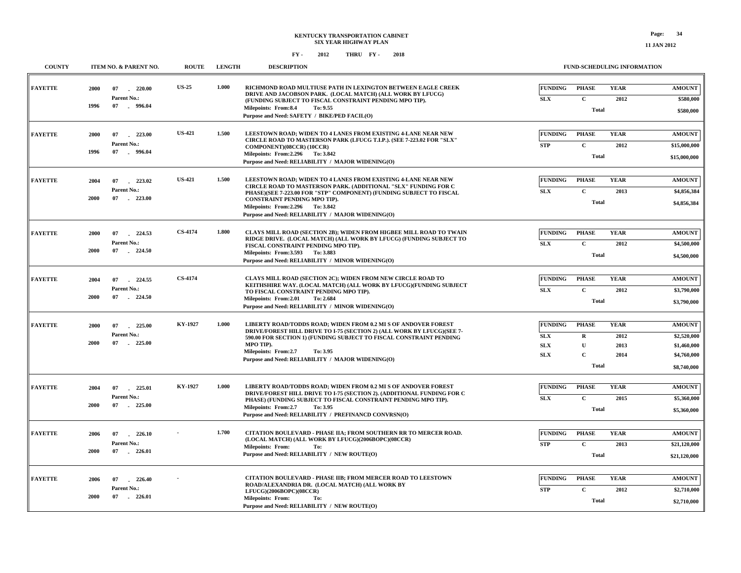| <b>COUNTY</b>  | ITEM NO. & PARENT NO.                  | <b>ROUTE</b>   | <b>LENGTH</b> | <b>DESCRIPTION</b>                                                                                                                                                                                                                                                        | <b>FUND-SCHEDULING INFORMATION</b> |              |             |               |
|----------------|----------------------------------------|----------------|---------------|---------------------------------------------------------------------------------------------------------------------------------------------------------------------------------------------------------------------------------------------------------------------------|------------------------------------|--------------|-------------|---------------|
| <b>FAYETTE</b> | 2000<br>07<br>$-220.00$                | <b>US-25</b>   | 1.000         | RICHMOND ROAD MULTIUSE PATH IN LEXINGTON BETWEEN EAGLE CREEK<br>DRIVE AND JACOBSON PARK. (LOCAL MATCH) (ALL WORK BY LFUCG)                                                                                                                                                | <b>FUNDING</b>                     | <b>PHASE</b> | <b>YEAR</b> | <b>AMOUNT</b> |
|                | Parent No.:                            |                |               | (FUNDING SUBJECT TO FISCAL CONSTRAINT PENDING MPO TIP).                                                                                                                                                                                                                   | <b>SLX</b>                         | $\mathbf C$  | 2012        | \$580,000     |
|                | 07 . 996.04<br>1996                    |                |               | Milepoints: From:8.4<br>To: 9.55<br>Purpose and Need: SAFETY / BIKE/PED FACIL(O)                                                                                                                                                                                          |                                    | <b>Total</b> |             | \$580,000     |
| <b>FAYETTE</b> | 2000<br>07<br>223.00                   | <b>US-421</b>  | 1.500         | LEESTOWN ROAD; WIDEN TO 4 LANES FROM EXISTING 4-LANE NEAR NEW<br>CIRCLE ROAD TO MASTERSON PARK (LFUCG T.I.P.). (SEE 7-223.02 FOR "SLX"<br>COMPONENT)(08CCR) (10CCR)<br>Milepoints: From: 2.296 To: 3.842<br>Purpose and Need: RELIABILITY / MAJOR WIDENING(O)             | <b>FUNDING</b>                     | <b>PHASE</b> | <b>YEAR</b> | <b>AMOUNT</b> |
|                | Parent No.:                            |                |               |                                                                                                                                                                                                                                                                           | <b>STP</b>                         | $\mathbf{C}$ | 2012        | \$15,000,000  |
|                | $-996.04$<br>1996<br>07                |                |               |                                                                                                                                                                                                                                                                           |                                    | <b>Total</b> |             | \$15,000,000  |
| <b>FAYETTE</b> | 223.02<br>2004<br>07                   | <b>US-421</b>  | 1.500         | LEESTOWN ROAD; WIDEN TO 4 LANES FROM EXISTING 4-LANE NEAR NEW                                                                                                                                                                                                             | <b>FUNDING</b>                     | <b>PHASE</b> | <b>YEAR</b> | <b>AMOUNT</b> |
|                | Parent No.:                            |                |               | CIRCLE ROAD TO MASTERSON PARK. (ADDITIONAL "SLX" FUNDING FOR C<br>PHASE)(SEE 7-223.00 FOR "STP" COMPONENT) (FUNDING SUBJECT TO FISCAL                                                                                                                                     | <b>SLX</b>                         | $\mathbf C$  | 2013        | \$4,856,384   |
|                | $-223.00$<br>2000<br>07                |                |               | CONSTRAINT PENDING MPO TIP).<br>Milepoints: From: 2.296 To: 3.842<br>Purpose and Need: RELIABILITY / MAJOR WIDENING(O)                                                                                                                                                    |                                    | <b>Total</b> |             | \$4,856,384   |
| <b>FAYETTE</b> | 2000<br>07<br>224.53                   | CS-4174        | 1.800         | CLAYS MILL ROAD (SECTION 2B); WIDEN FROM HIGBEE MILL ROAD TO TWAIN<br>RIDGE DRIVE. (LOCAL MATCH) (ALL WORK BY LFUCG) (FUNDING SUBJECT TO<br>FISCAL CONSTRAINT PENDING MPO TIP).<br>Milepoints: From: 3.593 To: 3.883<br>Purpose and Need: RELIABILITY / MINOR WIDENING(O) | <b>FUNDING</b>                     | <b>PHASE</b> | <b>YEAR</b> | <b>AMOUNT</b> |
|                | Parent No.:                            |                |               |                                                                                                                                                                                                                                                                           | <b>SLX</b>                         | $\mathbf{C}$ | 2012        | \$4,500,000   |
|                | 2000<br>07<br>$-224.50$                |                |               |                                                                                                                                                                                                                                                                           |                                    | <b>Total</b> |             | \$4,500,000   |
| <b>FAYETTE</b> | 2004<br>07<br>224.55                   | <b>CS-4174</b> |               | CLAYS MILL ROAD (SECTION 2C); WIDEN FROM NEW CIRCLE ROAD TO<br>KEITHSHIRE WAY, (LOCAL MATCH) (ALL WORK BY LFUCG)(FUNDING SUBJECT<br>TO FISCAL CONSTRAINT PENDING MPO TIP).<br>Milepoints: From: 2.01<br>To: 2.684<br>Purpose and Need: RELIABILITY / MINOR WIDENING(O)    | <b>FUNDING</b>                     | <b>PHASE</b> | <b>YEAR</b> | <b>AMOUNT</b> |
|                | Parent No.:                            |                |               |                                                                                                                                                                                                                                                                           | <b>SLX</b>                         | $\mathbf{C}$ | 2012        | \$3,790,000   |
|                | 2000<br>07<br>$-224.50$                |                |               |                                                                                                                                                                                                                                                                           |                                    | <b>Total</b> |             | \$3,790,000   |
| <b>FAYETTE</b> | 2000<br>07<br>225.00<br>$\sim$         | KY-1927        | 1.000         | LIBERTY ROAD/TODDS ROAD; WIDEN FROM 0.2 MI S OF ANDOVER FOREST<br>DRIVE/FOREST HILL DRIVE TO I-75 (SECTION 2) (ALL WORK BY LFUCG)(SEE 7-<br>590.00 FOR SECTION 1) (FUNDING SUBJECT TO FISCAL CONSTRAINT PENDING<br>MPO TIP).<br>Milepoints: From:2.7<br>To: 3.95          | <b>FUNDING</b>                     | <b>PHASE</b> | <b>YEAR</b> | <b>AMOUNT</b> |
|                | Parent No.:                            |                |               |                                                                                                                                                                                                                                                                           | <b>SLX</b>                         | $\bf{R}$     | 2012        | \$2,520,000   |
|                | 2000<br>225.00<br>07                   |                |               |                                                                                                                                                                                                                                                                           | ${\bf SLX}$                        | $\mathbf U$  | 2013        | \$1,460,000   |
|                |                                        |                |               | Purpose and Need: RELIABILITY / MAJOR WIDENING(O)                                                                                                                                                                                                                         | <b>SLX</b>                         | $\mathbf{C}$ | 2014        | \$4,760,000   |
|                |                                        |                |               |                                                                                                                                                                                                                                                                           |                                    | <b>Total</b> |             | \$8,740,000   |
| <b>FAYETTE</b> | 07<br>225.01<br>2004                   | KY-1927        | 1.000         | LIBERTY ROAD/TODDS ROAD; WIDEN FROM 0.2 MI S OF ANDOVER FOREST<br>DRIVE/FOREST HILL DRIVE TO I-75 (SECTION 2). (ADDITIONAL FUNDING FOR C                                                                                                                                  | <b>FUNDING</b>                     | <b>PHASE</b> | <b>YEAR</b> | <b>AMOUNT</b> |
|                | Parent No.:<br>2000<br>07<br>$-225.00$ |                |               | PHASE) (FUNDING SUBJECT TO FISCAL CONSTRAINT PENDING MPO TIP).                                                                                                                                                                                                            | <b>SLX</b>                         | $\mathbf{C}$ | 2015        | \$5,360,000   |
|                |                                        |                |               | Milepoints: From:2.7<br>To: 3.95<br>Purpose and Need: RELIABILITY / PREFINANCD CONVRSN(O)                                                                                                                                                                                 |                                    | <b>Total</b> |             | \$5,360,000   |
| <b>FAYETTE</b> | 2006<br>07<br>226.10<br>$\sim$         |                | 1.700         | CITATION BOULEVARD - PHASE IIA; FROM SOUTHERN RR TO MERCER ROAD.<br>(LOCAL MATCH) (ALL WORK BY LFUCG)(2006BOPC)(08CCR)<br><b>Milepoints: From:</b><br>To:<br>Purpose and Need: RELIABILITY / NEW ROUTE(O)                                                                 | <b>FUNDING</b>                     | <b>PHASE</b> | <b>YEAR</b> | <b>AMOUNT</b> |
|                | Parent No.:                            |                |               |                                                                                                                                                                                                                                                                           | <b>STP</b>                         | $\mathbf{C}$ | 2013        | \$21,120,000  |
|                | 2000<br>07<br>226.01                   |                |               |                                                                                                                                                                                                                                                                           |                                    | <b>Total</b> |             | \$21,120,000  |
| <b>FAYETTE</b> | 2006<br>07<br>226.40                   | $-226.01$      |               | <b>CITATION BOULEVARD - PHASE IIB; FROM MERCER ROAD TO LEESTOWN</b><br>ROAD/ALEXANDRIA DR. (LOCAL MATCH) (ALL WORK BY                                                                                                                                                     | <b>FUNDING</b>                     | <b>PHASE</b> | <b>YEAR</b> | <b>AMOUNT</b> |
|                | Parent No.:                            |                |               | LFUCG)(2006BOPC)(08CCR)                                                                                                                                                                                                                                                   | <b>STP</b>                         | $\mathbf{C}$ | 2012        | \$2,710,000   |
|                | 2000<br>07                             |                |               | <b>Milepoints: From:</b><br>To:<br>Purpose and Need: RELIABILITY / NEW ROUTE(O)                                                                                                                                                                                           |                                    | <b>Total</b> |             | \$2,710,000   |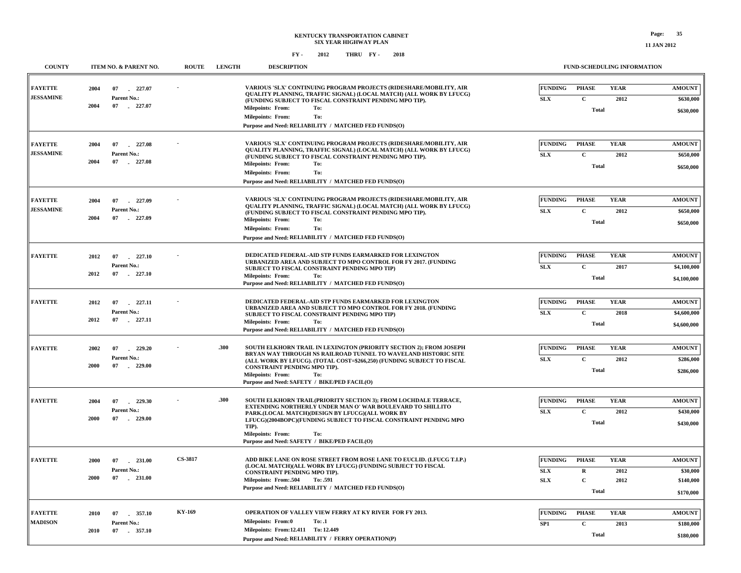| <b>COUNTY</b>                      |                                     | ITEM NO. & PARENT NO.                          | <b>ROUTE</b> | <b>LENGTH</b> | <b>DESCRIPTION</b>                                                                                                                                                                                                                                                                                                                                | FUND-SCHEDULING INFORMATION  |                              |                     |                            |
|------------------------------------|-------------------------------------|------------------------------------------------|--------------|---------------|---------------------------------------------------------------------------------------------------------------------------------------------------------------------------------------------------------------------------------------------------------------------------------------------------------------------------------------------------|------------------------------|------------------------------|---------------------|----------------------------|
| <b>FAYETTE</b><br><b>JESSAMINE</b> | 227.07<br>2004<br>07<br>Parent No.: |                                                |              |               | VARIOUS 'SLX' CONTINUING PROGRAM PROJECTS (RIDESHARE/MOBILITY, AIR<br>QUALITY PLANNING, TRAFFIC SIGNAL) (LOCAL MATCH) (ALL WORK BY LFUCG)<br>(FUNDING SUBJECT TO FISCAL CONSTRAINT PENDING MPO TIP).                                                                                                                                              | <b>FUNDING</b><br><b>SLX</b> | <b>PHASE</b><br>$\mathbf C$  | <b>YEAR</b><br>2012 | <b>AMOUNT</b><br>\$630,000 |
|                                    | 2004<br>07                          | $-227.07$                                      |              |               | <b>Milepoints: From:</b><br>To:<br>To:<br>Milepoints: From:<br>Purpose and Need: RELIABILITY / MATCHED FED FUNDS(O)                                                                                                                                                                                                                               |                              | <b>Total</b>                 |                     | \$630,000                  |
| <b>FAYETTE</b>                     | 2004<br>07                          | 227.08                                         |              |               | VARIOUS 'SLX' CONTINUING PROGRAM PROJECTS (RIDESHARE/MOBILITY, AIR<br>QUALITY PLANNING, TRAFFIC SIGNAL) (LOCAL MATCH) (ALL WORK BY LFUCG)                                                                                                                                                                                                         | <b>FUNDING</b>               | <b>PHASE</b>                 | <b>YEAR</b>         | <b>AMOUNT</b>              |
| <b>JESSAMINE</b>                   | 2004<br>07                          | Parent No.:<br>$-227.08$                       |              |               | (FUNDING SUBJECT TO FISCAL CONSTRAINT PENDING MPO TIP).<br><b>Milepoints: From:</b><br>To:<br>To:<br><b>Milepoints: From:</b><br>Purpose and Need: RELIABILITY / MATCHED FED FUNDS(O)                                                                                                                                                             | <b>SLX</b>                   | $\mathbf C$<br><b>Total</b>  | 2012                | \$650,000<br>\$650,000     |
|                                    |                                     |                                                |              |               |                                                                                                                                                                                                                                                                                                                                                   |                              |                              |                     |                            |
| <b>FAYETTE</b><br><b>JESSAMINE</b> | 2004<br>07                          | 227.09                                         |              |               | VARIOUS 'SLX' CONTINUING PROGRAM PROJECTS (RIDESHARE/MOBILITY, AIR<br><b>OUALITY PLANNING, TRAFFIC SIGNAL) (LOCAL MATCH) (ALL WORK BY LFUCG)</b><br>(FUNDING SUBJECT TO FISCAL CONSTRAINT PENDING MPO TIP).<br><b>Milepoints: From:</b><br>To:<br><b>Milepoints: From:</b><br>To:<br>Purpose and Need: RELIABILITY / MATCHED FED FUNDS(O)         | <b>FUNDING</b>               | <b>PHASE</b>                 | <b>YEAR</b>         | <b>AMOUNT</b>              |
|                                    | Parent No.:<br>2004<br>07           | $-227.09$                                      |              |               |                                                                                                                                                                                                                                                                                                                                                   | <b>SLX</b>                   | $\mathbf C$<br><b>Total</b>  | 2012                | \$650,000<br>\$650,000     |
|                                    |                                     |                                                |              |               |                                                                                                                                                                                                                                                                                                                                                   |                              |                              |                     |                            |
| <b>FAYETTE</b>                     | 2012<br>07                          | 227.10                                         |              |               | DEDICATED FEDERAL-AID STP FUNDS EARMARKED FOR LEXINGTON<br>URBANIZED AREA AND SUBJECT TO MPO CONTROL FOR FY 2017. (FUNDING<br>SUBJECT TO FISCAL CONSTRAINT PENDING MPO TIP)<br>Milepoints: From:<br>To:                                                                                                                                           | FUNDING                      | <b>PHASE</b>                 | <b>YEAR</b>         | <b>AMOUNT</b>              |
|                                    | Parent No.:<br>2012<br>07           | $-227.10$                                      |              |               |                                                                                                                                                                                                                                                                                                                                                   | <b>SLX</b>                   | $\mathbf{C}$<br><b>Total</b> | 2017                | \$4,100,000<br>\$4,100,000 |
|                                    |                                     |                                                |              |               | Purpose and Need: RELIABILITY / MATCHED FED FUNDS(O)                                                                                                                                                                                                                                                                                              |                              |                              |                     |                            |
| <b>FAYETTE</b>                     | 2012<br>07                          | 227.11                                         |              |               | DEDICATED FEDERAL-AID STP FUNDS EARMARKED FOR LEXINGTON<br>URBANIZED AREA AND SUBJECT TO MPO CONTROL FOR FY 2018. (FUNDING<br>SUBJECT TO FISCAL CONSTRAINT PENDING MPO TIP)<br><b>Milepoints: From:</b><br>To:<br>Purpose and Need: RELIABILITY / MATCHED FED FUNDS(O)                                                                            | FUNDING                      | <b>PHASE</b>                 | <b>YEAR</b>         | <b>AMOUNT</b>              |
|                                    | Parent No.:<br>2012<br>07           | $-227.11$                                      |              |               |                                                                                                                                                                                                                                                                                                                                                   | SLX                          | $\mathbf C$<br><b>Total</b>  | 2018                | \$4,600,000<br>\$4,600,000 |
| <b>FAYETTE</b>                     | 2002<br>07                          | 229.20<br>n.<br>Parent No.:<br>07<br>$-229.00$ |              | .300          | SOUTH ELKHORN TRAIL IN LEXINGTON (PRIORITY SECTION 2): FROM JOSEPH<br>BRYAN WAY THROUGH NS RAILROAD TUNNEL TO WAVELAND HISTORIC SITE<br>(ALL WORK BY LFUCG). (TOTAL COST=\$266,250) (FUNDING SUBJECT TO FISCAL<br>CONSTRAINT PENDING MPO TIP).<br><b>Milepoints: From:</b><br>To:<br>Purpose and Need: SAFETY / BIKE/PED FACIL(O)                 | <b>FUNDING</b>               | <b>PHASE</b>                 | <b>YEAR</b>         | <b>AMOUNT</b>              |
|                                    | 2000                                |                                                |              |               |                                                                                                                                                                                                                                                                                                                                                   | <b>SLX</b>                   | $\mathbf{C}$<br><b>Total</b> | 2012                | \$286,000                  |
|                                    |                                     |                                                |              |               |                                                                                                                                                                                                                                                                                                                                                   |                              |                              |                     | \$286,000                  |
| <b>FAYETTE</b>                     | 07<br>2004                          | 229.30                                         |              | .300          | SOUTH ELKHORN TRAIL(PRIORITY SECTION 3); FROM LOCHDALE TERRACE,<br>EXTENDING NORTHERLY UNDER MAN O' WAR BOULEVARD TO SHILLITO<br>PARK.(LOCAL MATCH)(DESIGN BY LFUCG)(ALL WORK BY<br>LFUCG)(2004BOPC)(FUNDING SUBJECT TO FISCAL CONSTRAINT PENDING MPO<br>TIP).<br><b>Milepoints: From:</b><br>To:<br>Purpose and Need: SAFETY / BIKE/PED FACIL(O) | <b>FUNDING</b>               | <b>PHASE</b>                 | <b>YEAR</b>         | <b>AMOUNT</b>              |
|                                    | 2000<br>07                          | Parent No.:<br>$-229.00$                       |              |               |                                                                                                                                                                                                                                                                                                                                                   | SLX                          | $\mathbf{C}$<br><b>Total</b> | 2012                | \$430,000<br>\$430,000     |
|                                    |                                     |                                                |              |               |                                                                                                                                                                                                                                                                                                                                                   |                              |                              |                     |                            |
| <b>FAYETTE</b>                     | 2000<br>07                          | $-231.00$<br>Parent No.:<br>07<br>$-231.00$    | CS-3817      |               | ADD BIKE LANE ON ROSE STREET FROM ROSE LANE TO EUCLID. (LFUCG T.I.P.)<br>(LOCAL MATCH)(ALL WORK BY LFUCG) (FUNDING SUBJECT TO FISCAL<br>CONSTRAINT PENDING MPO TIP).<br>Milepoints: From:.504<br>To: .591<br>Purpose and Need: RELIABILITY / MATCHED FED FUNDS(O)                                                                                 | <b>FUNDING</b>               | <b>PHASE</b>                 | <b>YEAR</b>         | <b>AMOUNT</b>              |
|                                    | 2000                                |                                                |              |               |                                                                                                                                                                                                                                                                                                                                                   | <b>SLX</b>                   | $\mathbf R$                  | 2012                | \$30,000                   |
|                                    |                                     |                                                |              |               |                                                                                                                                                                                                                                                                                                                                                   | <b>SLX</b>                   | C<br><b>Total</b>            | 2012                | \$140,000<br>\$170,000     |
| <b>FAYETTE</b>                     | 2010<br>07                          | 357.10                                         | KY-169       |               | OPERATION OF VALLEY VIEW FERRY AT KY RIVER FOR FY 2013.                                                                                                                                                                                                                                                                                           | <b>FUNDING</b>               | <b>PHASE</b>                 | <b>YEAR</b>         | <b>AMOUNT</b>              |
| <b>MADISON</b>                     | Parent No.:                         |                                                |              |               | Milepoints: From:0<br>To: .1                                                                                                                                                                                                                                                                                                                      | SP <sub>1</sub>              | C                            | 2013                | \$180,000                  |
|                                    | 2010<br>07                          | 357.10                                         |              |               | Milepoints: From:12.411 To: 12.449<br>Purpose and Need: RELIABILITY / FERRY OPERATION(P)                                                                                                                                                                                                                                                          |                              | <b>Total</b>                 |                     | \$180,000                  |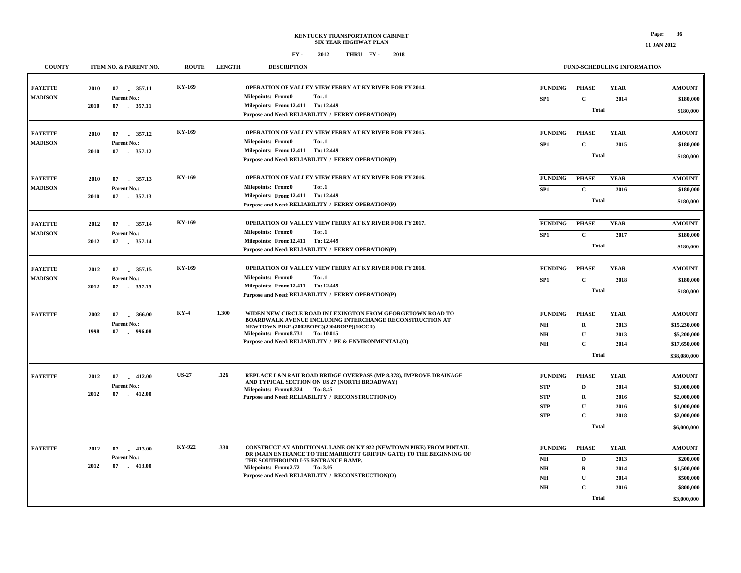| <b>COUNTY</b>                    |              | ITEM NO. & PARENT NO.                                             | <b>ROUTE</b> | <b>LENGTH</b>                                                                                                                                                      | <b>DESCRIPTION</b>                                                                                                                                                                                          |                                                                                                                                                                                                            |                                                          | FUND-SCHEDULING INFORMATION                   |                                             |                                                        |
|----------------------------------|--------------|-------------------------------------------------------------------|--------------|--------------------------------------------------------------------------------------------------------------------------------------------------------------------|-------------------------------------------------------------------------------------------------------------------------------------------------------------------------------------------------------------|------------------------------------------------------------------------------------------------------------------------------------------------------------------------------------------------------------|----------------------------------------------------------|-----------------------------------------------|---------------------------------------------|--------------------------------------------------------|
| <b>FAYETTE</b><br><b>MADISON</b> | 2010         | 07 357.11<br>Parent No.:                                          | KY-169       |                                                                                                                                                                    | Milepoints: From:0                                                                                                                                                                                          | OPERATION OF VALLEY VIEW FERRY AT KY RIVER FOR FY 2014.<br>To: .1                                                                                                                                          | <b>FUNDING</b><br>SP1                                    | <b>PHASE</b><br>$\mathbf{C}$                  | <b>YEAR</b><br>2014                         | <b>AMOUNT</b><br>\$180,000                             |
|                                  | 2010         | 07 . 357.11                                                       |              |                                                                                                                                                                    | Milepoints: From:12.411 To: 12.449                                                                                                                                                                          | Purpose and Need: RELIABILITY / FERRY OPERATION(P)                                                                                                                                                         |                                                          | <b>Total</b>                                  |                                             | \$180,000                                              |
| <b>FAYETTE</b><br><b>MADISON</b> | 2010         | 07<br>357.12<br>Parent No.:                                       | KY-169       |                                                                                                                                                                    | <b>Milepoints: From:0</b>                                                                                                                                                                                   | OPERATION OF VALLEY VIEW FERRY AT KY RIVER FOR FY 2015.<br>To: .1                                                                                                                                          | <b>FUNDING</b>                                           | <b>PHASE</b>                                  | <b>YEAR</b>                                 | <b>AMOUNT</b><br>\$180,000                             |
|                                  | 2010         | 07 . 357.12                                                       |              |                                                                                                                                                                    | Milepoints: From:12.411 To: 12.449<br>Purpose and Need: RELIABILITY / FERRY OPERATION(P)                                                                                                                    |                                                                                                                                                                                                            | SP1<br>$\mathbf{C}$<br>2015<br><b>Total</b>              |                                               |                                             |                                                        |
| <b>FAYETTE</b><br><b>MADISON</b> | 2010         | 07 357.13                                                         | KY-169       |                                                                                                                                                                    | <b>Milepoints: From:0</b>                                                                                                                                                                                   | OPERATION OF VALLEY VIEW FERRY AT KY RIVER FOR FY 2016.<br>To: .1                                                                                                                                          | <b>FUNDING</b>                                           | <b>PHASE</b>                                  | <b>YEAR</b>                                 | <b>AMOUNT</b><br>\$180,000                             |
|                                  | 2010         | Parent No.:<br>07 357.13                                          |              |                                                                                                                                                                    | Milepoints: From:12.411 To: 12.449<br>Purpose and Need: RELIABILITY / FERRY OPERATION(P)                                                                                                                    |                                                                                                                                                                                                            | $\mathbf C$<br>SP1<br>2016<br><b>Total</b>               |                                               |                                             |                                                        |
| <b>FAYETTE</b><br><b>MADISON</b> | 2012         | 07<br>357.14<br>Parent No.:                                       | KY-169       |                                                                                                                                                                    | <b>Milepoints: From:0</b>                                                                                                                                                                                   | OPERATION OF VALLEY VIEW FERRY AT KY RIVER FOR FY 2017.<br>To: .1                                                                                                                                          | <b>FUNDING</b><br>SP <sub>1</sub>                        | <b>PHASE</b><br>$\mathbf{C}$                  | <b>YEAR</b><br>2017                         | <b>AMOUNT</b><br>\$180,000                             |
|                                  | 2012         | 07 357.14                                                         |              |                                                                                                                                                                    | Milepoints: From:12.411 To: 12.449<br>Purpose and Need: RELIABILITY / FERRY OPERATION(P)                                                                                                                    |                                                                                                                                                                                                            |                                                          | <b>Total</b>                                  |                                             | \$180,000                                              |
| <b>FAYETTE</b><br><b>MADISON</b> | 2012         | 07<br>357.15<br>Parent No.:                                       | KY-169       |                                                                                                                                                                    | Milepoints: From:0                                                                                                                                                                                          | OPERATION OF VALLEY VIEW FERRY AT KY RIVER FOR FY 2018.<br>To: .1                                                                                                                                          | <b>FUNDING</b><br>SP <sub>1</sub>                        | <b>PHASE</b><br>$\mathbf C$                   | <b>YEAR</b><br>2018                         | <b>AMOUNT</b><br>\$180,000                             |
|                                  | 2012         | 07 . 357.15                                                       |              |                                                                                                                                                                    | Milepoints: From:12.411 To: 12.449<br>Purpose and Need: RELIABILITY / FERRY OPERATION(P)                                                                                                                    |                                                                                                                                                                                                            |                                                          | <b>Total</b>                                  |                                             |                                                        |
| <b>FAYETTE</b>                   | 2002<br>1998 | KY-4<br>07<br>366.00<br>Parent No.:<br>07<br>$-996.08$            | 1.300        | WIDEN NEW CIRCLE ROAD IN LEXINGTON FROM GEORGETOWN ROAD TO<br>BOARDWALK AVENUE INCLUDING INTERCHANGE RECONSTRUCTION AT<br>NEWTOWN PIKE.(2002BOPC)(2004BOPP)(10CCR) | <b>FUNDING</b><br>$N\!H$                                                                                                                                                                                    | <b>PHASE</b><br>$\mathbf R$                                                                                                                                                                                | <b>YEAR</b><br>2013                                      | <b>AMOUNT</b><br>\$15,230,000                 |                                             |                                                        |
|                                  |              |                                                                   |              |                                                                                                                                                                    | Milepoints: From: 8.731 To: 10.015<br>Purpose and Need: RELIABILITY / PE & ENVIRONMENTAL(O)                                                                                                                 | $\mathbf{N}\mathbf{H}$<br>$\mathbf{N}\mathbf{H}$                                                                                                                                                           | $\mathbf{U}$<br>$\mathbf C$                              | 2013<br>2014                                  | \$5,200,000<br>\$17,650,000                 |                                                        |
|                                  |              |                                                                   |              |                                                                                                                                                                    |                                                                                                                                                                                                             |                                                                                                                                                                                                            | <b>Total</b>                                             |                                               |                                             |                                                        |
| <b>FAYETTE</b>                   | 2012<br>2012 | <b>US-27</b><br>07<br>$-412.00$<br>Parent No.:<br>07<br>$-412.00$ |              | .126                                                                                                                                                               | REPLACE L&N RAILROAD BRIDGE OVERPASS (MP 8.378), IMPROVE DRAINAGE<br>AND TYPICAL SECTION ON US 27 (NORTH BROADWAY)<br>Milepoints: From: 8.324 To: 8.45<br>Purpose and Need: RELIABILITY / RECONSTRUCTION(O) | <b>FUNDING</b><br><b>STP</b><br><b>STP</b>                                                                                                                                                                 | <b>PHASE</b><br>$\mathbf D$<br>$\mathbf R$               | <b>YEAR</b><br>2014<br>2016                   | <b>AMOUNT</b><br>\$1,000,000<br>\$2,000,000 |                                                        |
|                                  |              |                                                                   |              |                                                                                                                                                                    |                                                                                                                                                                                                             |                                                                                                                                                                                                            | <b>STP</b><br><b>STP</b>                                 | $\mathbf U$<br>$\mathbf C$                    | 2016<br>2018                                | \$1,000,000<br>\$2,000,000<br>\$6,000,000              |
|                                  |              |                                                                   |              |                                                                                                                                                                    |                                                                                                                                                                                                             |                                                                                                                                                                                                            | <b>Total</b>                                             |                                               |                                             |                                                        |
| <b>FAYETTE</b>                   | 2012<br>2012 | 07<br>$-413.00$<br>Parent No.:<br>07<br>$-413.00$                 | KY-922       | .330                                                                                                                                                               | THE SOUTHBOUND I-75 ENTRANCE RAMP.<br>Milepoints: From: 2.72                                                                                                                                                | CONSTRUCT AN ADDITIONAL LANE ON KY 922 (NEWTOWN PIKE) FROM PINTAIL<br>DR (MAIN ENTRANCE TO THE MARRIOTT GRIFFIN GATE) TO THE BEGINNING OF<br>To: 3.05<br>Purpose and Need: RELIABILITY / RECONSTRUCTION(O) | <b>FUNDING</b><br>$N\!H$<br>NH<br>$\mathbf{N}\mathbf{H}$ | <b>PHASE</b><br>D<br>${\bf R}$<br>$\mathbf U$ | <b>YEAR</b><br>2013<br>2014<br>2014         | <b>AMOUNT</b><br>\$200,000<br>\$1,500,000<br>\$500,000 |
|                                  |              |                                                                   |              |                                                                                                                                                                    |                                                                                                                                                                                                             | <b>NH</b>                                                                                                                                                                                                  | $\mathbf{C}$<br><b>Total</b>                             | 2016                                          | \$800,000<br>\$3,000,000                    |                                                        |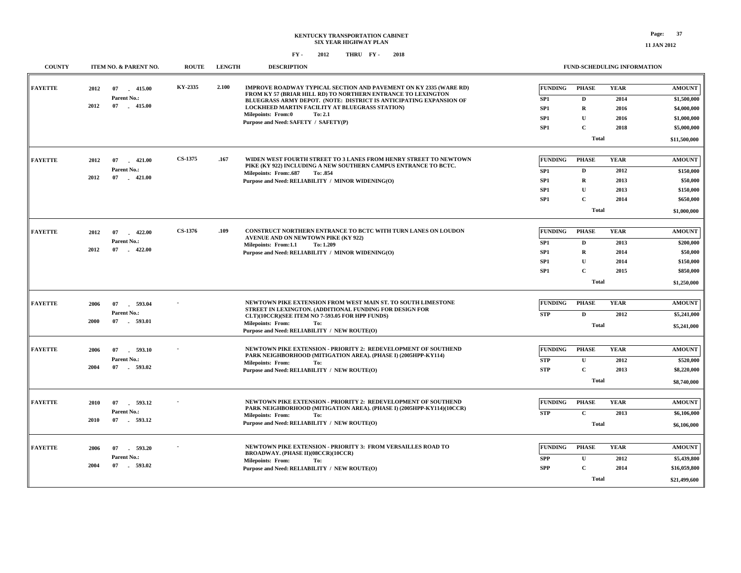| <b>COUNTY</b>  | ITEM NO. & PARENT NO.                  | <b>ROUTE</b>   | <b>LENGTH</b> | <b>DESCRIPTION</b>                                                                                                                                                                                      |                       | FUND-SCHEDULING INFORMATION |                     |                              |
|----------------|----------------------------------------|----------------|---------------|---------------------------------------------------------------------------------------------------------------------------------------------------------------------------------------------------------|-----------------------|-----------------------------|---------------------|------------------------------|
| <b>FAYETTE</b> | 2012<br>07<br>415.00<br>Parent No.:    | KY-2335        | 2.100         | IMPROVE ROADWAY TYPICAL SECTION AND PAVEMENT ON KY 2335 (WARE RD)<br>FROM KY 57 (BRIAR HILL RD) TO NORTHERN ENTRANCE TO LEXINGTON<br>BLUEGRASS ARMY DEPOT. (NOTE: DISTRICT IS ANTICIPATING EXPANSION OF | <b>FUNDING</b><br>SP1 | <b>PHASE</b><br>D           | <b>YEAR</b><br>2014 | <b>AMOUNT</b><br>\$1,500,000 |
|                | 2012<br>07<br>415.00                   |                |               | LOCKHEED MARTIN FACILITY AT BLUEGRASS STATION)                                                                                                                                                          | SP1                   | $\mathbf R$                 | 2016                | \$4,000,000                  |
|                |                                        |                |               | Milepoints: From:0<br>To: 2.1<br>Purpose and Need: SAFETY / SAFETY(P)                                                                                                                                   | SP <sub>1</sub>       | U                           | 2016                | \$1,000,000                  |
|                |                                        |                |               |                                                                                                                                                                                                         | SP1                   | $\mathbf C$                 | 2018                | \$5,000,000                  |
|                |                                        |                |               |                                                                                                                                                                                                         |                       | <b>Total</b>                |                     | \$11,500,000                 |
|                |                                        |                |               |                                                                                                                                                                                                         |                       |                             |                     |                              |
| <b>FAYETTE</b> | 2012<br>07<br>$-421.00$                | <b>CS-1375</b> | .167          | WIDEN WEST FOURTH STREET TO 3 LANES FROM HENRY STREET TO NEWTOWN<br>PIKE (KY 922) INCLUDING A NEW SOUTHERN CAMPUS ENTRANCE TO BCTC.                                                                     | <b>FUNDING</b>        | <b>PHASE</b>                | <b>YEAR</b>         | <b>AMOUNT</b>                |
|                | Parent No.:<br>2012<br>07<br>$-421.00$ |                |               | <b>Milepoints: From:.687</b><br>To: .854                                                                                                                                                                | SP1                   | $\mathbf{D}$                | 2012                | \$150,000                    |
|                |                                        |                |               | Purpose and Need: RELIABILITY / MINOR WIDENING(O)                                                                                                                                                       | SP1                   | $\mathbf R$                 | 2013                | \$50,000                     |
|                |                                        |                |               |                                                                                                                                                                                                         | SP1                   | $\mathbf U$                 | 2013                | \$150,000                    |
|                |                                        |                |               |                                                                                                                                                                                                         | SP1                   | $\mathbf C$                 | 2014                | \$650,000                    |
|                |                                        |                |               |                                                                                                                                                                                                         |                       | <b>Total</b>                |                     | \$1,000,000                  |
| <b>FAYETTE</b> | 2012<br>07<br>$-422.00$                | CS-1376        | .109          | CONSTRUCT NORTHERN ENTRANCE TO BCTC WITH TURN LANES ON LOUDON                                                                                                                                           | <b>FUNDING</b>        | <b>PHASE</b>                | <b>YEAR</b>         | <b>AMOUNT</b>                |
|                | Parent No.:                            |                |               | AVENUE AND ON NEWTOWN PIKE (KY 922)                                                                                                                                                                     | SP1                   | $\mathbf D$                 | 2013                | \$200,000                    |
|                | 2012<br>07<br>$-422.00$                |                |               | Milepoints: From:1.1<br>To: 1.209<br>Purpose and Need: RELIABILITY / MINOR WIDENING(O)                                                                                                                  | SP1                   | $\bf R$                     | 2014                | \$50,000                     |
|                |                                        |                |               |                                                                                                                                                                                                         | SP1                   | $\mathbf{U}$                | 2014                | \$150,000                    |
|                |                                        |                |               |                                                                                                                                                                                                         | SP1                   | $\mathbf{C}$                | 2015                | \$850,000                    |
|                |                                        |                |               |                                                                                                                                                                                                         |                       | <b>Total</b>                |                     | \$1,250,000                  |
|                |                                        |                |               |                                                                                                                                                                                                         |                       |                             |                     |                              |
| <b>FAYETTE</b> | 2006<br>07<br>593.04                   |                |               | NEWTOWN PIKE EXTENSION FROM WEST MAIN ST. TO SOUTH LIMESTONE                                                                                                                                            | <b>FUNDING</b>        | <b>PHASE</b>                | <b>YEAR</b>         | <b>AMOUNT</b>                |
|                | Parent No.:                            |                |               | STREET IN LEXINGTON. (ADDITIONAL FUNDING FOR DESIGN FOR<br>CLT)(10CCR)(SEE ITEM NO 7-593.05 FOR HPP FUNDS)                                                                                              | <b>STP</b>            | $\mathbf{D}$                | 2012                | \$5,241,000                  |
|                | 2000<br>07<br>593.01                   |                |               | <b>Milepoints: From:</b><br>To:                                                                                                                                                                         |                       | <b>Total</b>                |                     | \$5,241,000                  |
|                |                                        |                |               | Purpose and Need: RELIABILITY / NEW ROUTE(O)                                                                                                                                                            |                       |                             |                     |                              |
| <b>FAYETTE</b> | 07<br>593.10<br>2006                   |                |               | NEWTOWN PIKE EXTENSION - PRIORITY 2: REDEVELOPMENT OF SOUTHEND                                                                                                                                          | <b>FUNDING</b>        | <b>PHASE</b>                | <b>YEAR</b>         | <b>AMOUNT</b>                |
|                | Parent No.:                            |                |               | PARK NEIGHBORHOOD (MITIGATION AREA). (PHASE I) (2005HPP-KY114)                                                                                                                                          | <b>STP</b>            | $\mathbf U$                 | 2012                | \$520,000                    |
|                | 2004<br>07<br>593.02                   |                |               | Milepoints: From:<br>To:<br>Purpose and Need: RELIABILITY / NEW ROUTE(O)                                                                                                                                | <b>STP</b>            | $\mathbf C$                 | 2013                | \$8,220,000                  |
|                |                                        |                |               |                                                                                                                                                                                                         |                       | <b>Total</b>                |                     | \$8,740,000                  |
|                |                                        |                |               |                                                                                                                                                                                                         |                       |                             |                     |                              |
| <b>FAYETTE</b> | 2010<br>07<br>593.12                   |                |               | NEWTOWN PIKE EXTENSION - PRIORITY 2: REDEVELOPMENT OF SOUTHEND                                                                                                                                          | <b>FUNDING</b>        | <b>PHASE</b>                | <b>YEAR</b>         | <b>AMOUNT</b>                |
|                | Parent No.:                            |                |               | PARK NEIGHBORHOOD (MITIGATION AREA). (PHASE I) (2005HPP-KY114)(10CCR)<br><b>Milepoints: From:</b><br>To:                                                                                                | <b>STP</b>            | $\mathbf C$                 | 2013                | \$6,106,000                  |
|                | 2010<br>07<br>593.12                   |                |               | Purpose and Need: RELIABILITY / NEW ROUTE(O)                                                                                                                                                            |                       | <b>Total</b>                |                     | \$6,106,000                  |
|                |                                        |                |               |                                                                                                                                                                                                         |                       |                             |                     |                              |
| <b>FAYETTE</b> | 2006<br>07<br>593.20                   |                |               | NEWTOWN PIKE EXTENSION - PRIORITY 3: FROM VERSAILLES ROAD TO<br>BROADWAY. (PHASE II)(08CCR)(10CCR)                                                                                                      | <b>FUNDING</b>        | <b>PHASE</b>                | <b>YEAR</b>         | <b>AMOUNT</b>                |
|                | Parent No.:                            |                |               | <b>Milepoints: From:</b><br>To:                                                                                                                                                                         | <b>SPP</b>            | $\mathbf U$                 | 2012                | \$5,439,800                  |
|                | 2004<br>07<br>- 593.02                 |                |               | Purpose and Need: RELIABILITY / NEW ROUTE(O)                                                                                                                                                            | <b>SPP</b>            | $\mathbf C$                 | 2014                | \$16,059,800                 |
|                |                                        |                |               |                                                                                                                                                                                                         |                       | Total                       |                     | \$21,499,600                 |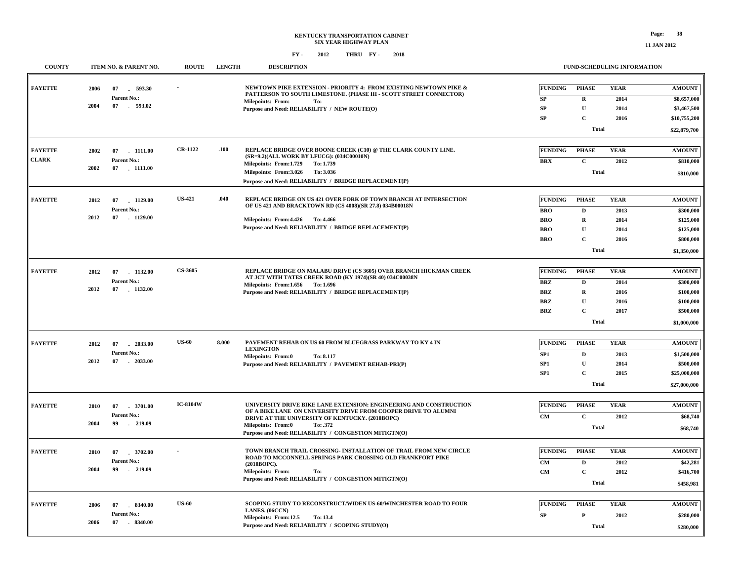**11 JAN 2012**

| <b>COUNTY</b>  | ITEM NO. & PARENT NO.                   | <b>ROUTE</b>    | <b>LENGTH</b> | <b>DESCRIPTION</b>                                                                                                                      |                      | <b>FUND-SCHEDULING INFORMATION</b> |                     |                                |
|----------------|-----------------------------------------|-----------------|---------------|-----------------------------------------------------------------------------------------------------------------------------------------|----------------------|------------------------------------|---------------------|--------------------------------|
| <b>FAYETTE</b> | 2006<br>07<br>593.30<br>Parent No.:     |                 |               | NEWTOWN PIKE EXTENSION - PRIORITY 4: FROM EXISTING NEWTOWN PIKE &<br>PATTERSON TO SOUTH LIMESTONE. (PHASE III - SCOTT STREET CONNECTOR) | <b>FUNDING</b><br>SP | <b>PHASE</b><br>$\mathbf R$        | <b>YEAR</b><br>2014 | <b>AMOUNT</b><br>\$8,657,000   |
|                | 2004<br>07 . 593.02                     |                 |               | <b>Milepoints: From:</b><br>To:<br>Purpose and Need: RELIABILITY / NEW ROUTE(O)                                                         | SP                   | ${\bf U}$                          | 2014                | \$3,467,500                    |
|                |                                         |                 |               |                                                                                                                                         | SP                   | $\mathbf C$                        | 2016                | \$10,755,200                   |
|                |                                         |                 |               |                                                                                                                                         |                      | <b>Total</b>                       |                     |                                |
|                |                                         |                 |               |                                                                                                                                         |                      |                                    |                     | \$22,879,700                   |
| <b>FAYETTE</b> | . 1111.00<br>2002<br>07                 | <b>CR-1122</b>  | .100          | REPLACE BRIDGE OVER BOONE CREEK (C10) @ THE CLARK COUNTY LINE.<br>(SR=9.2)(ALL WORK BY LFUCG): (034C00010N)                             | <b>FUNDING</b>       | <b>PHASE</b>                       | <b>YEAR</b>         | $\boldsymbol{\mathrm{AMOUNT}}$ |
| <b>CLARK</b>   | Parent No.:                             |                 |               | Milepoints: From:1.729<br>To: 1.739                                                                                                     | <b>BRX</b>           | $\mathbf C$                        | 2012                | \$810,000                      |
|                | 2002<br>07<br>1111.00                   |                 |               | Milepoints: From:3.026<br>To: 3.036                                                                                                     |                      | <b>Total</b>                       |                     | \$810,000                      |
|                |                                         |                 |               | Purpose and Need: RELIABILITY / BRIDGE REPLACEMENT(P)                                                                                   |                      |                                    |                     |                                |
| <b>FAYETTE</b> | 2012<br>07<br>1129.00                   | <b>US-421</b>   | .040          | REPLACE BRIDGE ON US 421 OVER FORK OF TOWN BRANCH AT INTERSECTION                                                                       | <b>FUNDING</b>       | <b>PHASE</b>                       | <b>YEAR</b>         | <b>AMOUNT</b>                  |
|                | Parent No.:                             |                 |               | OF US 421 AND BRACKTOWN RD (CS 4008)(SR 27.8) 034B00018N                                                                                | <b>BRO</b>           | D                                  | 2013                | \$300,000                      |
|                | 2012<br>$-1129.00$<br>07                |                 |               | Milepoints: From: 4.426 To: 4.466                                                                                                       | <b>BRO</b>           | $\mathbf R$                        | 2014                | \$125,000                      |
|                |                                         |                 |               | Purpose and Need: RELIABILITY / BRIDGE REPLACEMENT(P)                                                                                   | <b>BRO</b>           | $\mathbf{U}$                       | 2014                | \$125,000                      |
|                |                                         |                 |               |                                                                                                                                         | <b>BRO</b>           | $\mathbf{C}$                       | 2016                | \$800,000                      |
|                |                                         |                 |               |                                                                                                                                         |                      | <b>Total</b>                       |                     | \$1,350,000                    |
|                |                                         |                 |               |                                                                                                                                         |                      |                                    |                     |                                |
| <b>FAYETTE</b> | 2012<br>07<br>1132.00                   | <b>CS-3605</b>  |               | REPLACE BRIDGE ON MALABU DRIVE (CS 3605) OVER BRANCH HICKMAN CREEK<br>AT JCT WITH TATES CREEK ROAD (KY 1974)(SR 40) 034C00038N          | <b>FUNDING</b>       | <b>PHASE</b>                       | <b>YEAR</b>         | <b>AMOUNT</b>                  |
|                | Parent No.:                             |                 |               | Milepoints: From: 1.656 To: 1.696                                                                                                       | $\mathbf{BRZ}$       | $\mathbf D$                        | 2014                | \$300,000                      |
|                | 2012<br>07<br>$-1132.00$                |                 |               | Purpose and Need: RELIABILITY / BRIDGE REPLACEMENT(P)                                                                                   | $\mathbf{BRZ}$       | ${\bf R}$                          | 2016                | \$100,000                      |
|                |                                         |                 |               |                                                                                                                                         | <b>BRZ</b>           | $\mathbf U$                        | 2016                | \$100,000                      |
|                |                                         |                 |               |                                                                                                                                         | $\mathbf{BRZ}$       | $\mathbf C$                        | 2017                | \$500,000                      |
|                |                                         |                 |               |                                                                                                                                         |                      | <b>Total</b>                       |                     | \$1,000,000                    |
|                |                                         | <b>US-60</b>    | 8.000         | PAVEMENT REHAB ON US 60 FROM BLUEGRASS PARKWAY TO KY 4 IN                                                                               |                      |                                    |                     |                                |
| <b>FAYETTE</b> | 2012<br>07<br>$-2033.00$                |                 |               | <b>LEXINGTON</b>                                                                                                                        | <b>FUNDING</b>       | <b>PHASE</b>                       | <b>YEAR</b>         | <b>AMOUNT</b>                  |
|                | Parent No.:<br>2012<br>07<br>$-2033.00$ |                 |               | <b>Milepoints: From:0</b><br>To: 8.117                                                                                                  | SP1                  | $\mathbf D$                        | 2013                | \$1,500,000                    |
|                |                                         |                 |               | Purpose and Need: RELIABILITY / PAVEMENT REHAB-PRI(P)                                                                                   | SP1                  | $\mathbf U$<br>$\mathbf C$         | 2014                | \$500,000                      |
|                |                                         |                 |               |                                                                                                                                         | SP1                  |                                    | 2015                | \$25,000,000                   |
|                |                                         |                 |               |                                                                                                                                         |                      | <b>Total</b>                       |                     | \$27,000,000                   |
| <b>FAYETTE</b> | 07<br>.3701.00<br>2010                  | <b>IC-8104W</b> |               | UNIVERSITY DRIVE BIKE LANE EXTENSION: ENGINEERING AND CONSTRUCTION                                                                      | <b>FUNDING</b>       | <b>PHASE</b>                       | <b>YEAR</b>         | <b>AMOUNT</b>                  |
|                | Parent No.:                             |                 |               | OF A BIKE LANE ON UNIVERSITY DRIVE FROM COOPER DRIVE TO ALUMNI<br>DRIVE AT THE UNIVERSITY OF KENTUCKY. (2010BOPC)                       | <b>CM</b>            | $\mathbf C$                        | 2012                | \$68,740                       |
|                | 2004<br>99<br>219.09                    |                 |               | <b>Milepoints: From:0</b><br>To: .372                                                                                                   |                      | <b>Total</b>                       |                     | \$68,740                       |
|                |                                         |                 |               | Purpose and Need: RELIABILITY / CONGESTION MITIGTN(O)                                                                                   |                      |                                    |                     |                                |
| <b>FAYETTE</b> | 2010<br>07<br>3702.00                   |                 |               | TOWN BRANCH TRAIL CROSSING- INSTALLATION OF TRAIL FROM NEW CIRCLE                                                                       | <b>FUNDING</b>       | <b>PHASE</b>                       | <b>YEAR</b>         | <b>AMOUNT</b>                  |
|                | Parent No.:                             |                 |               | ROAD TO MCCONNELL SPRINGS PARK CROSSING OLD FRANKFORT PIKE<br>(2010BOPC).                                                               | ${\bf CM}$           | $\mathbf D$                        | 2012                | \$42,281                       |
|                | 2004<br>99<br>$-219.09$                 |                 |               | Milepoints: From:<br>To:                                                                                                                | CM                   | $\mathbf C$                        | 2012                | \$416,700                      |
|                |                                         |                 |               | Purpose and Need: RELIABILITY / CONGESTION MITIGTN(O)                                                                                   |                      | <b>Total</b>                       |                     | \$458,981                      |
|                |                                         |                 |               |                                                                                                                                         |                      |                                    |                     |                                |
| <b>FAYETTE</b> | 8340.00<br>2006<br>07                   | <b>US-60</b>    |               | SCOPING STUDY TO RECONSTRUCT/WIDEN US-60/WINCHESTER ROAD TO FOUR<br>LANES. (06CCN)                                                      | <b>FUNDING</b>       | <b>PHASE</b>                       | <b>YEAR</b>         | <b>AMOUNT</b>                  |
|                | Parent No.:                             |                 |               | Milepoints: From:12.5<br><b>To: 13.4</b>                                                                                                | SP                   | P                                  | 2012                | \$280,000                      |
|                | 2006<br>07<br>$-8340.00$                |                 |               | Purpose and Need: RELIABILITY / SCOPING STUDY(O)                                                                                        |                      | <b>Total</b>                       |                     | \$280,000                      |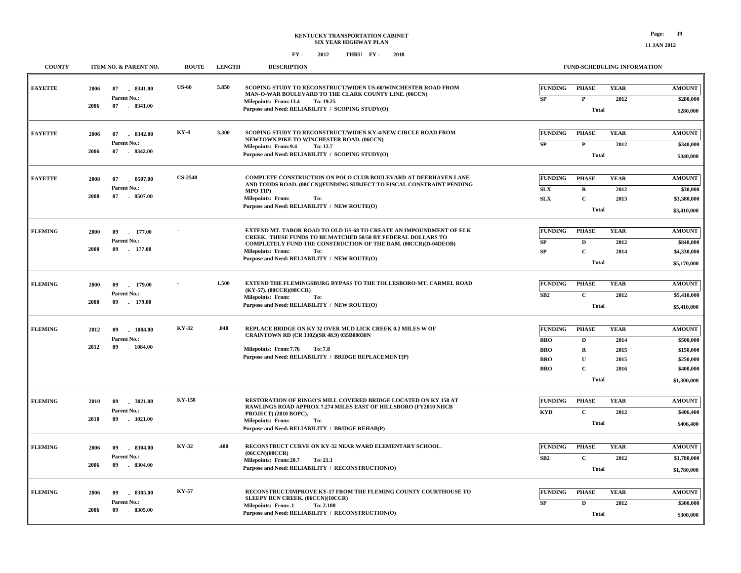| <b>COUNTY</b>  | ITEM NO. & PARENT NO.                                            | <b>ROUTE</b>   | <b>LENGTH</b> | <b>DESCRIPTION</b>                                                                                                                                                                                                                                                                      | FUND-SCHEDULING INFORMATION                                                                                                                                                                                         |                                                                                  |
|----------------|------------------------------------------------------------------|----------------|---------------|-----------------------------------------------------------------------------------------------------------------------------------------------------------------------------------------------------------------------------------------------------------------------------------------|---------------------------------------------------------------------------------------------------------------------------------------------------------------------------------------------------------------------|----------------------------------------------------------------------------------|
| <b>FAYETTE</b> | 07<br>8341.00<br>2006<br>Parent No.:<br>2006<br>07 . 8341.00     | <b>US-60</b>   | 5.850         | SCOPING STUDY TO RECONSTRUCT/WIDEN US-60/WINCHESTER ROAD FROM<br>MAN-O-WAR BOULEVARD TO THE CLARK COUNTY LINE. (06CCN)<br>Milepoints: From:13.4<br>To: 19.25<br>Purpose and Need: RELIABILITY / SCOPING STUDY(O)                                                                        | <b>FUNDING</b><br><b>PHASE</b><br><b>YEAR</b><br>$\mathbf{P}$<br>2012<br>SP<br>Total                                                                                                                                | <b>AMOUNT</b><br>\$280,000<br>\$280,000                                          |
| <b>FAYETTE</b> | 07<br>8342.00<br>2006<br>Parent No.:<br>2006<br>07 . 8342.00     | $KY-4$         | 3.300         | SCOPING STUDY TO RECONSTRUCT/WIDEN KY-4/NEW CIRCLE ROAD FROM<br>NEWTOWN PIKE TO WINCHESTER ROAD. (06CCN)<br>Milepoints: From: 9.4<br>To: 12.7<br>Purpose and Need: RELIABILITY / SCOPING STUDY(O)                                                                                       | <b>FUNDING</b><br><b>YEAR</b><br><b>PHASE</b><br>$\mathbf P$<br>${\bf SP}$<br>2012<br><b>Total</b>                                                                                                                  | <b>AMOUNT</b><br>\$340,000<br>\$340,000                                          |
| <b>FAYETTE</b> | 2008<br>07<br>8507.00<br>Parent No.:<br>2008<br>07<br>8507.00    | <b>CS-2548</b> |               | <b>COMPLETE CONSTRUCTION ON POLO CLUB BOULEVARD AT DEERHAVEN LANE</b><br>AND TODDS ROAD. (08CCN)(FUNDING SUBJECT TO FISCAL CONSTRAINT PENDING<br>MPO TIP)<br><b>Milepoints: From:</b><br>To:<br>Purpose and Need: RELIABILITY / NEW ROUTE(O)                                            | <b>FUNDING</b><br><b>PHASE</b><br><b>YEAR</b><br><b>SLX</b><br>R<br>2012<br>$\mathbf C$<br><b>SLX</b><br>2013<br>Total                                                                                              | <b>AMOUNT</b><br>\$30,000<br>\$3,380,000<br>\$3,410,000                          |
| <b>FLEMING</b> | 2000<br>09<br>177.00<br>Parent No.:<br>2000<br>09<br>177.00      |                |               | EXTEND MT. TABOR ROAD TO OLD US-68 TO CREATE AN IMPOUNDMENT OF ELK<br>CREEK. THESE FUNDS TO BE MATCHED 50/50 BY FEDERAL DOLLARS TO<br>COMPLETELY FUND THE CONSTRUCTION OF THE DAM. (00CCR)(D-04DEOB)<br><b>Milepoints: From:</b><br>To:<br>Purpose and Need: RELIABILITY / NEW ROUTE(O) | <b>FUNDING</b><br><b>YEAR</b><br><b>PHASE</b><br>SP<br>D<br>2012<br>$\mathbf C$<br>SP<br>2014<br><b>Total</b>                                                                                                       | <b>AMOUNT</b><br>\$840,000<br>\$4,330,000<br>\$5,170,000                         |
| <b>FLEMING</b> | 09<br>179.00<br>2000<br>Parent No.:<br>2000<br>09<br>179.00      |                | 1.500         | EXTEND THE FLEMINGSBURG BYPASS TO THE TOLLESBORO-MT. CARMEL ROAD<br>(KY-57). (00CCR)(08CCR)<br><b>Milepoints: From:</b><br>To:<br>Purpose and Need: RELIABILITY / NEW ROUTE(O)                                                                                                          | <b>FUNDING</b><br><b>PHASE</b><br><b>YEAR</b><br>SB2<br>$\mathbf{C}$<br>2012<br><b>Total</b>                                                                                                                        | <b>AMOUNT</b><br>\$5,410,000<br>\$5,410,000                                      |
| <b>FLEMING</b> | 1084.00<br>2012<br>09<br>Parent No.:<br>2012<br>09<br>$-1084.00$ | KY-32          | .040          | REPLACE BRIDGE ON KY 32 OVER MUD LICK CREEK 0.2 MILES W OF<br>CRAINTOWN RD (CR 1302)(SR 48.9) 035B00038N<br>Milepoints: From: 7.76<br>To: 7.8<br>Purpose and Need: RELIABILITY / BRIDGE REPLACEMENT(P)                                                                                  | <b>FUNDING</b><br><b>YEAR</b><br><b>PHASE</b><br><b>BRO</b><br>$\mathbf{D}$<br>2014<br>$\mathbf R$<br><b>BRO</b><br>2015<br>$\mathbf{U}$<br><b>BRO</b><br>2015<br>$\mathbf C$<br><b>BRO</b><br>2016<br><b>Total</b> | <b>AMOUNT</b><br>\$500,000<br>\$150,000<br>\$250,000<br>\$400,000<br>\$1,300,000 |
| <b>FLEMING</b> | 09<br>.3021.00<br>2010<br>Parent No.:<br>2010<br>09<br>.3021.00  | <b>KY-158</b>  |               | RESTORATION OF RINGO'S MILL COVERED BRIDGE LOCATED ON KY 158 AT<br>RAWLINGS ROAD APPROX 7.274 MILES EAST OF HILLSBORO (FY2010 NHCB<br>PROJECT) (2010 BOPC).<br><b>Milepoints: From:</b><br>To:<br>Purpose and Need: RELIABILITY / BRIDGE REHAB(P)                                       | <b>FUNDING</b><br><b>PHASE</b><br><b>YEAR</b><br><b>KYD</b><br>$\mathbf C$<br>2012<br><b>Total</b>                                                                                                                  | <b>AMOUNT</b><br>\$406,400<br>\$406,400                                          |
| <b>FLEMING</b> | 2006<br>09<br>8304.00<br>Parent No.:<br>2006<br>09<br>$-8304.00$ | KY-32          | .400          | RECONSTRUCT CURVE ON KY-32 NEAR WARD ELEMENTARY SCHOOL.<br>(06CCN)(08CCR)<br>Milepoints: From:20.7<br><b>To: 21.1</b><br>Purpose and Need: RELIABILITY / RECONSTRUCTION(O)                                                                                                              | <b>FUNDING</b><br><b>PHASE</b><br><b>YEAR</b><br>SB2<br>$\mathbf C$<br>2012<br>Total                                                                                                                                | <b>AMOUNT</b><br>\$1,780,000<br>\$1,780,000                                      |
| <b>FLEMING</b> | 8305.00<br>2006<br>09<br>Parent No.:<br>2006<br>09<br>$-8305.00$ | <b>KY-57</b>   |               | RECONSTRUCT/IMPROVE KY-57 FROM THE FLEMING COUNTY COURTHOUSE TO<br>SLEEPY RUN CREEK. (06CCN)(10CCR)<br>Milepoints: From:.1<br>To: 2.108<br>Purpose and Need: RELIABILITY / RECONSTRUCTION(O)                                                                                            | <b>FUNDING</b><br><b>PHASE</b><br><b>YEAR</b><br>SP<br>$\mathbf D$<br>2012<br>Total                                                                                                                                 | <b>AMOUNT</b><br>\$300,000<br>\$300,000                                          |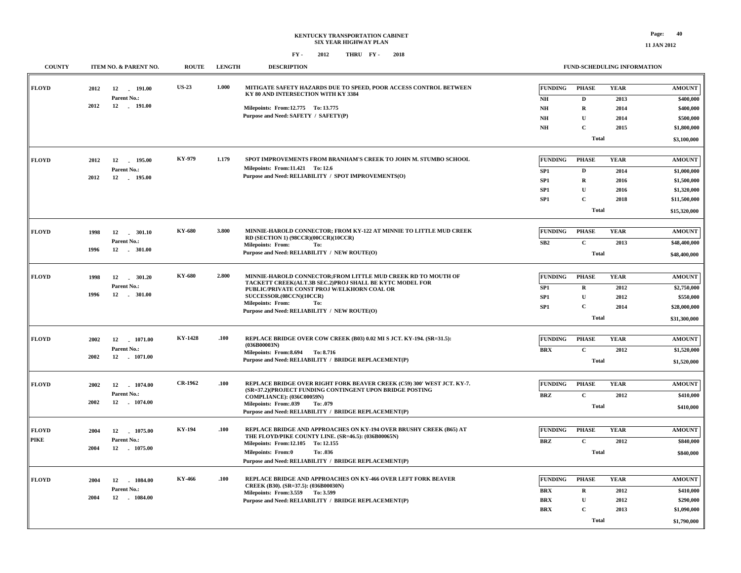#### **KENTUCKY TRANSPORTATION CABINET SIX YEAR HIGHWAY PLAN FY - FY - 2012 2018 THRU**

| <b>COUNTY</b>               | ITEM NO. & PARENT NO.                                            | <b>ROUTE</b>   | <b>LENGTH</b> | <b>DESCRIPTION</b>                                                                                                                                                                                                                                                                    |                                                                                | FUND-SCHEDULING INFORMATION                                                              |                                             |                                                                                            |
|-----------------------------|------------------------------------------------------------------|----------------|---------------|---------------------------------------------------------------------------------------------------------------------------------------------------------------------------------------------------------------------------------------------------------------------------------------|--------------------------------------------------------------------------------|------------------------------------------------------------------------------------------|---------------------------------------------|--------------------------------------------------------------------------------------------|
| <b>FLOYD</b>                | 2012<br>12 191.00<br>Parent No.:                                 | <b>US-23</b>   | 1.000         | MITIGATE SAFETY HAZARDS DUE TO SPEED, POOR ACCESS CONTROL BETWEEN<br>KY 80 AND INTERSECTION WITH KY 3384                                                                                                                                                                              | <b>FUNDING</b><br>NH                                                           | <b>PHASE</b><br>D                                                                        | <b>YEAR</b><br>2013                         | <b>AMOUNT</b><br>\$400,000                                                                 |
|                             | 2012<br>12 191.00                                                |                |               | Milepoints: From:12.775 To: 13.775<br>Purpose and Need: SAFETY / SAFETY(P)                                                                                                                                                                                                            | $N\!H$<br>$N\!H$<br>$N\!H$                                                     | $\mathbf R$<br>$\mathbf{U}$<br>$\mathbf C$<br><b>Total</b>                               | 2014<br>2014<br>2015                        | \$400,000<br>\$500,000<br>\$1,800,000<br>\$3,100,000                                       |
| <b>FLOYD</b>                | 2012<br>12<br>195.00<br>Parent No.:<br>2012<br>12 195.00         | KY-979         | 1.179         | SPOT IMPROVEMENTS FROM BRANHAM'S CREEK TO JOHN M. STUMBO SCHOOL<br>Milepoints: From:11.421 To:12.6<br>Purpose and Need: RELIABILITY / SPOT IMPROVEMENTS(O)                                                                                                                            | <b>FUNDING</b><br>SP <sub>1</sub><br>SP1<br>SP <sub>1</sub><br>SP <sub>1</sub> | <b>PHASE</b><br>$\mathbf D$<br>$\mathbf R$<br>$\mathbf U$<br>$\mathbf C$<br><b>Total</b> | <b>YEAR</b><br>2014<br>2016<br>2016<br>2018 | <b>AMOUNT</b><br>\$1,000,000<br>\$1,500,000<br>\$1,320,000<br>\$11,500,000<br>\$15,320,000 |
| <b>FLOYD</b>                | 1998<br>Parent No.:<br>$-301.00$<br>1996<br>12                   | KY-680         | 3.800         | MINNIE-HAROLD CONNECTOR; FROM KY-122 AT MINNIE TO LITTLE MUD CREEK<br>RD (SECTION 1) (98CCR)(00CCR)(10CCR)<br><b>Milepoints: From:</b><br>To:<br>Purpose and Need: RELIABILITY / NEW ROUTE(O)                                                                                         | <b>FUNDING</b><br>SB2                                                          | <b>PHASE</b><br>$\mathbf C$<br><b>Total</b>                                              | <b>YEAR</b><br>2013                         | <b>AMOUNT</b><br>\$48,400,000<br>\$48,400,000                                              |
| <b>FLOYD</b>                | 1998<br>12<br>301.20<br>Parent No.:<br>1996<br>12<br>$-301.00$   | KY-680         | 2.800         | MINNIE-HAROLD CONNECTOR;FROM LITTLE MUD CREEK RD TO MOUTH OF<br>TACKETT CREEK(ALT.3B SEC.2)PROJ SHALL BE KYTC MODEL FOR<br>PUBLIC/PRIVATE CONST PROJ W/ELKHORN COAL OR<br>SUCCESSOR.(08CCN)(10CCR)<br><b>Milepoints: From:</b><br>To:<br>Purpose and Need: RELIABILITY / NEW ROUTE(O) | <b>FUNDING</b><br>SP1<br>SP <sub>1</sub><br>SP <sub>1</sub>                    | <b>PHASE</b><br>$\mathbf R$<br>$\mathbf{U}$<br>$\mathbf C$<br><b>Total</b>               | <b>YEAR</b><br>2012<br>2012<br>2014         | <b>AMOUNT</b><br>\$2,750,000<br>\$550,000<br>\$28,000,000<br>\$31,300,000                  |
| <b>FLOYD</b>                | 2002<br>12 1071.00<br>Parent No.:<br>2002<br>12 - 1071.00        | <b>KY-1428</b> | .100          | REPLACE BRIDGE OVER COW CREEK (B03) 0.02 MI S JCT. KY-194. (SR=31.5):<br>(036B00003N)<br>Milepoints: From: 8.694 To: 8.716<br>Purpose and Need: RELIABILITY / BRIDGE REPLACEMENT(P)                                                                                                   | <b>FUNDING</b><br><b>BRX</b>                                                   | <b>PHASE</b><br>$\mathbf C$<br><b>Total</b>                                              | <b>YEAR</b><br>2012                         | <b>AMOUNT</b><br>\$1,520,000<br>\$1,520,000                                                |
| <b>FLOYD</b>                | 2002<br>12<br>1074.00<br>Parent No.:<br>2002<br>12 - 1074.00     | CR-1962        | .100          | REPLACE BRIDGE OVER RIGHT FORK BEAVER CREEK (C59) 300' WEST JCT. KY-7.<br>(SR=37.2)(PROJECT FUNDING CONTINGENT UPON BRIDGE POSTING<br><b>COMPLIANCE: (036C00059N)</b><br>Milepoints: From:.039<br>To: .079<br>Purpose and Need: RELIABILITY / BRIDGE REPLACEMENT(P)                   | <b>FUNDING</b><br><b>BRZ</b>                                                   | <b>PHASE</b><br>$\mathbf C$<br>Total                                                     | <b>YEAR</b><br>2012                         | <b>AMOUNT</b><br>\$410,000<br>\$410,000                                                    |
| <b>FLOYD</b><br><b>PIKE</b> | 2004<br>12<br>1075.00<br>Parent No.:<br>2004<br>12<br>1075.00    | KY-194         | .100          | REPLACE BRIDGE AND APPROACHES ON KY-194 OVER BRUSHY CREEK (B65) AT<br>THE FLOYD/PIKE COUNTY LINE. (SR=46.5): (036B00065N)<br>Milepoints: From:12.105 To: 12.155<br><b>Milepoints: From:0</b><br>To: .036<br>Purpose and Need: RELIABILITY / BRIDGE REPLACEMENT(P)                     | <b>FUNDING</b><br><b>BRZ</b>                                                   | <b>PHASE</b><br>$\mathbf{C}$<br><b>Total</b>                                             | <b>YEAR</b><br>2012                         | <b>AMOUNT</b><br>\$840,000<br>\$840,000                                                    |
| <b>FLOYD</b>                | 1084.00<br>2004<br>12<br>Parent No.:<br>12<br>2004<br>$-1084.00$ | KY-466         | .100          | REPLACE BRIDGE AND APPROACHES ON KY-466 OVER LEFT FORK BEAVER<br>CREEK (B30). (SR=37.5): (036B00030N)<br>Milepoints: From: 3.559 To: 3.599<br>Purpose and Need: RELIABILITY / BRIDGE REPLACEMENT(P)                                                                                   | <b>FUNDING</b><br><b>BRX</b><br><b>BRX</b><br><b>BRX</b>                       | <b>PHASE</b><br>$\mathbf R$<br>$\mathbf U$<br>$\mathbf C$<br><b>Total</b>                | <b>YEAR</b><br>2012<br>2012<br>2013         | <b>AMOUNT</b><br>\$410,000<br>\$290,000<br>\$1,090,000<br>\$1,790,000                      |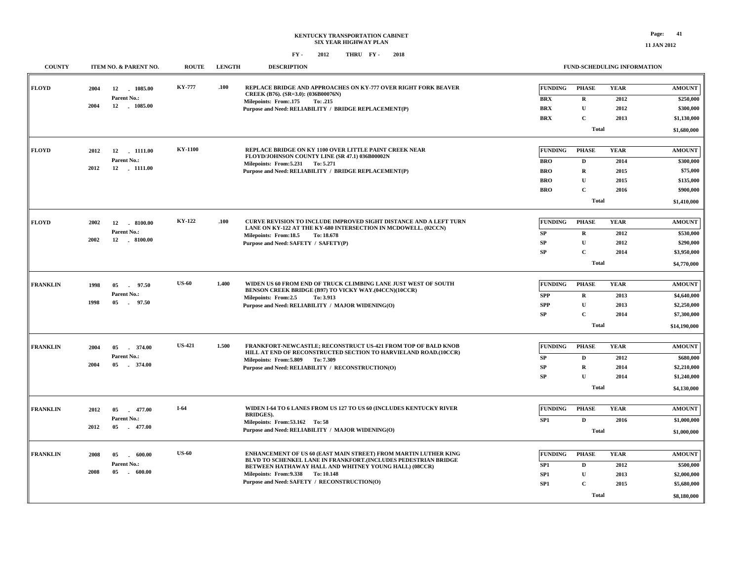| <b>COUNTY</b>   |      | ITEM NO. & PARENT NO.                    | <b>ROUTE</b>  | <b>LENGTH</b> | <b>DESCRIPTION</b>                                                                                                      |                                    |                              | <b>FUND-SCHEDULING INFORMATION</b> |                            |
|-----------------|------|------------------------------------------|---------------|---------------|-------------------------------------------------------------------------------------------------------------------------|------------------------------------|------------------------------|------------------------------------|----------------------------|
| <b>FLOYD</b>    | 2004 | 12 1085.00<br>Parent No.:                | <b>KY-777</b> | .100          | REPLACE BRIDGE AND APPROACHES ON KY-777 OVER RIGHT FORK BEAVER<br>CREEK (B76). (SR=3.0): (036B00076N)                   | <b>FUNDING</b><br><b>BRX</b>       | <b>PHASE</b><br>$\mathbf R$  | <b>YEAR</b><br>2012                | <b>AMOUNT</b><br>\$250,000 |
|                 | 2004 | 12 . 1085.00                             |               |               | Milepoints: From: 175<br>To: .215<br>Purpose and Need: RELIABILITY / BRIDGE REPLACEMENT(P)                              | <b>BRX</b>                         | ${\bf U}$                    | 2012                               | \$300,000                  |
|                 |      |                                          |               |               |                                                                                                                         | <b>BRX</b>                         | $\mathbf C$                  | 2013                               | \$1,130,000                |
|                 |      |                                          |               |               |                                                                                                                         |                                    | <b>Total</b>                 |                                    | \$1,680,000                |
|                 |      |                                          |               |               |                                                                                                                         |                                    |                              |                                    |                            |
| FLOYD           | 2012 | 12<br>$-1111.00$                         | KY-1100       |               | REPLACE BRIDGE ON KY 1100 OVER LITTLE PAINT CREEK NEAR<br>FLOYD/JOHNSON COUNTY LINE (SR 47.1) 036B00002N                | FUNDING                            | <b>PHASE</b>                 | <b>YEAR</b>                        | <b>AMOUNT</b>              |
|                 |      | Parent No.:                              |               |               | Milepoints: From: 5.231 To: 5.271                                                                                       | <b>BRO</b>                         | D                            | 2014                               | \$300,000                  |
|                 | 2012 | 12 1111.00                               |               |               | Purpose and Need: RELIABILITY / BRIDGE REPLACEMENT(P)                                                                   | <b>BRO</b>                         | $\mathbf R$                  | 2015                               | \$75,000                   |
|                 |      |                                          |               |               |                                                                                                                         | <b>BRO</b>                         | $\mathbf{U}$                 | 2015                               | \$135,000                  |
|                 |      |                                          |               |               |                                                                                                                         | <b>BRO</b>                         | $\mathbf C$                  | 2016                               | \$900,000                  |
|                 |      |                                          |               |               |                                                                                                                         |                                    | <b>Total</b>                 |                                    | \$1,410,000                |
| <b>FLOYD</b>    | 2002 | 8100.00<br>12                            | <b>KY-122</b> | .100          | <b>CURVE REVISION TO INCLUDE IMPROVED SIGHT DISTANCE AND A LEFT TURN</b>                                                | FUNDING                            | <b>PHASE</b>                 | <b>YEAR</b>                        | <b>AMOUNT</b>              |
|                 |      | Parent No.:                              |               |               | LANE ON KY-122 AT THE KY-680 INTERSECTION IN MCDOWELL. (02CCN)                                                          | <b>SP</b>                          | $\bf{R}$                     | 2012                               | \$530,000                  |
|                 | 2002 | 12<br>$-8100.00$                         |               |               | Milepoints: From:18.5<br>To: 18.678<br>Purpose and Need: SAFETY / SAFETY(P)                                             | <b>SP</b>                          | $\mathbf U$                  | 2012                               | \$290,000                  |
|                 |      |                                          |               |               |                                                                                                                         | <b>SP</b>                          | $\mathbf{C}$                 | 2014                               | \$3,950,000                |
|                 |      |                                          |               |               |                                                                                                                         |                                    | <b>Total</b>                 |                                    | \$4,770,000                |
|                 |      |                                          |               |               |                                                                                                                         |                                    |                              |                                    |                            |
| <b>FRANKLIN</b> | 1998 | 05<br>97.50                              | <b>US-60</b>  | 1.400         | WIDEN US 60 FROM END OF TRUCK CLIMBING LANE JUST WEST OF SOUTH<br>BENSON CREEK BRIDGE (B97) TO VICKY WAY.(04CCN)(10CCR) | FUNDING                            | <b>PHASE</b>                 | <b>YEAR</b>                        | <b>AMOUNT</b>              |
|                 | 1998 | Parent No.:<br>05<br>97.50               |               |               | Milepoints: From:2.5<br>To: 3.913                                                                                       | <b>SPP</b>                         | $\mathbf R$                  | 2013                               | \$4,640,000                |
|                 |      |                                          |               |               | Purpose and Need: RELIABILITY / MAJOR WIDENING(O)                                                                       | <b>SPP</b>                         | ${\bf U}$                    | 2013                               | \$2,250,000                |
|                 |      |                                          |               |               |                                                                                                                         | SP                                 | $\mathbf C$                  | 2014                               | \$7,300,000                |
|                 |      |                                          |               |               |                                                                                                                         |                                    | <b>Total</b>                 |                                    | \$14,190,000               |
| <b>FRANKLIN</b> | 2004 | 05<br>374.00                             | <b>US-421</b> | 1.500         | FRANKFORT-NEWCASTLE; RECONSTRUCT US-421 FROM TOP OF BALD KNOB                                                           | FUNDING                            | <b>PHASE</b>                 | <b>YEAR</b>                        | <b>AMOUNT</b>              |
|                 |      | Parent No.:                              |               |               | HILL AT END OF RECONSTRUCTED SECTION TO HARVIELAND ROAD.(10CCR)<br>Milepoints: From: 5.809 To: 7.309                    | SP                                 | D                            | 2012                               | \$680,000                  |
|                 | 2004 | 05<br>374.00                             |               |               | Purpose and Need: RELIABILITY / RECONSTRUCTION(O)                                                                       | SP                                 | $\mathbf R$                  | 2014                               | \$2,210,000                |
|                 |      |                                          |               |               |                                                                                                                         | <b>SP</b>                          | $\mathbf{U}$                 | 2014                               | \$1,240,000                |
|                 |      |                                          |               |               |                                                                                                                         |                                    | <b>Total</b>                 |                                    | \$4,130,000                |
| <b>FRANKLIN</b> | 2012 | 05<br>477.00                             | $I-64$        |               | WIDEN I-64 TO 6 LANES FROM US 127 TO US 60 (INCLUDES KENTUCKY RIVER                                                     | FUNDING                            | <b>PHASE</b>                 | <b>YEAR</b>                        | <b>AMOUNT</b>              |
|                 |      | Parent No.:                              |               |               | <b>BRIDGES).</b><br>Milepoints: From: 53.162 To: 58                                                                     | SP <sub>1</sub>                    | D                            | 2016                               | \$1,000,000                |
|                 | 2012 | 05<br>477.00                             |               |               | Purpose and Need: RELIABILITY / MAJOR WIDENING(O)                                                                       |                                    | <b>Total</b>                 |                                    | \$1,000,000                |
|                 |      |                                          | <b>US-60</b>  |               | ENHANCEMENT OF US 60 (EAST MAIN STREET) FROM MARTIN LUTHER KING                                                         | FUNDING                            | <b>PHASE</b>                 | <b>YEAR</b>                        | <b>AMOUNT</b>              |
| <b>FRANKLIN</b> | 2008 | 600.00<br>05<br>$\sim 10$<br>Parent No.: |               |               | BLVD TO SCHENKEL LANE IN FRANKFORT.(INCLUDES PEDESTRIAN BRIDGE                                                          |                                    |                              |                                    |                            |
|                 | 2008 | 05<br>$-600.00$                          |               |               | BETWEEN HATHAWAY HALL AND WHITNEY YOUNG HALL) (08CCR)<br>Milepoints: From: 9.338 To: 10.148                             | SP1                                | D                            | 2012                               | \$500,000                  |
|                 |      |                                          |               |               | Purpose and Need: SAFETY / RECONSTRUCTION(O)                                                                            | SP <sub>1</sub><br>SP <sub>1</sub> | $\mathbf{U}$<br>$\mathbf{C}$ | 2013<br>2015                       | \$2,000,000<br>\$5,680,000 |
|                 |      |                                          |               |               |                                                                                                                         |                                    |                              |                                    |                            |
|                 |      |                                          |               |               |                                                                                                                         |                                    | <b>Total</b>                 |                                    | \$8,180,000                |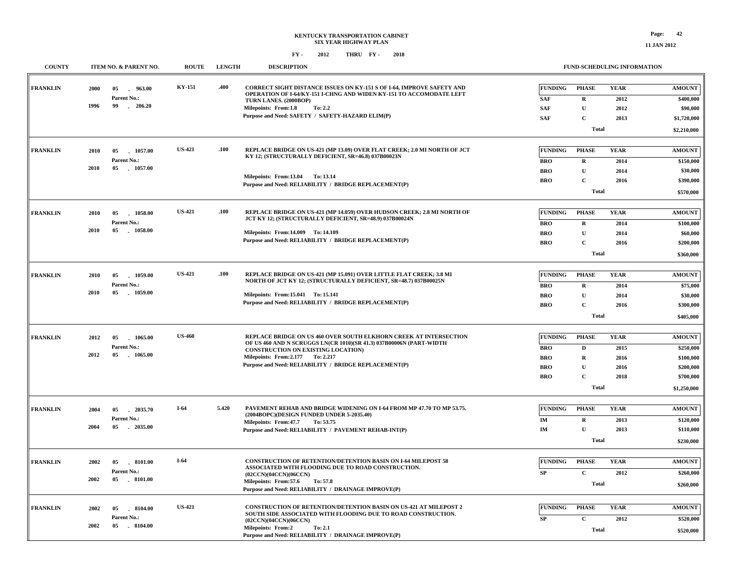#### **KENTUCKY TRANSPORTATION CABINET SIX YEAR HIGHWAY PLAN FY - FY - 2012 2018 THRU**

#### **FUND-SCHEDULING INFORMATION**

| <b>COUNTY</b>   | ITEM NO. & PARENT NO.                   | <b>ROUTE</b>  | <b>LENGTH</b> | <b>DESCRIPTION</b>                                                                                                                           |                          | <b>FUND-SCHEDULING INFORMATION</b> |              |                       |
|-----------------|-----------------------------------------|---------------|---------------|----------------------------------------------------------------------------------------------------------------------------------------------|--------------------------|------------------------------------|--------------|-----------------------|
| <b>FRANKLIN</b> | 2000<br>05<br>963.00                    | KY-151        | .400          | CORRECT SIGHT DISTANCE ISSUES ON KY-151 S OF I-64, IMPROVE SAFETY AND<br>OPERATION OF I-64/KY-151 I-CHNG AND WIDEN KY-151 TO ACCOMODATE LEFT | <b>FUNDING</b>           | <b>PHASE</b>                       | <b>YEAR</b>  | <b>AMOUNT</b>         |
|                 | Parent No.:<br>1996<br>99<br>$-206.20$  |               |               | TURN LANES. (2000BOP)                                                                                                                        | <b>SAF</b>               | $\mathbf R$                        | 2012         | \$400,000             |
|                 |                                         |               |               | Milepoints: From:1.8<br>To: 2.2                                                                                                              | <b>SAF</b>               | ${\bf U}$                          | 2012         | \$90,000              |
|                 |                                         |               |               | Purpose and Need: SAFETY / SAFETY-HAZARD ELIM(P)                                                                                             | <b>SAF</b>               | $\mathbf{C}$                       | 2013         | \$1,720,000           |
|                 |                                         |               |               |                                                                                                                                              |                          | <b>Total</b>                       |              | \$2,210,000           |
| <b>FRANKLIN</b> | 2010<br>05 1057.00                      | <b>US-421</b> | .100          | REPLACE BRIDGE ON US-421 (MP 13.09) OVER FLAT CREEK; 2.0 MI NORTH OF JCT                                                                     | <b>FUNDING</b>           | <b>PHASE</b>                       | <b>YEAR</b>  | <b>AMOUNT</b>         |
|                 | Parent No.:                             |               |               | KY 12; (STRUCTURALLY DEFICIENT, SR=46.8) 037B00023N                                                                                          |                          |                                    |              |                       |
|                 | 2010<br>05<br>1057.00                   |               |               |                                                                                                                                              | <b>BRO</b><br><b>BRO</b> | $\bf{R}$<br>${\bf U}$              | 2014<br>2014 | \$150,000<br>\$30,000 |
|                 |                                         |               |               | Milepoints: From:13.04 To: 13.14                                                                                                             |                          | $\mathbf{C}$                       | 2016         |                       |
|                 |                                         |               |               | Purpose and Need: RELIABILITY / BRIDGE REPLACEMENT(P)                                                                                        | <b>BRO</b>               |                                    |              | \$390,000             |
|                 |                                         |               |               |                                                                                                                                              |                          | <b>Total</b>                       |              | \$570,000             |
| <b>FRANKLIN</b> | 05<br>1058.00<br>2010                   | <b>US-421</b> | .100          | REPLACE BRIDGE ON US-421 (MP 14.059) OVER HUDSON CREEK; 2.8 MI NORTH OF                                                                      | <b>FUNDING</b>           | <b>PHASE</b>                       | <b>YEAR</b>  | <b>AMOUNT</b>         |
|                 | Parent No.:                             |               |               | JCT KY 12; (STRUCTURALLY DEFICIENT, SR=48.9) 037B00024N                                                                                      | <b>BRO</b>               | $\mathbf R$                        | 2014         | \$100,000             |
|                 | 2010<br>05 1058.00                      |               |               | Milepoints: From:14.009 To:14.109                                                                                                            | <b>BRO</b>               | ${\bf U}$                          | 2014         | \$60,000              |
|                 |                                         |               |               | Purpose and Need: RELIABILITY / BRIDGE REPLACEMENT(P)                                                                                        | <b>BRO</b>               | $\mathbf{C}$                       | 2016         | \$200,000             |
|                 |                                         |               |               |                                                                                                                                              |                          | <b>Total</b>                       |              | \$360,000             |
|                 |                                         |               |               |                                                                                                                                              |                          |                                    |              |                       |
| <b>FRANKLIN</b> | 05 1059.00<br>2010                      | <b>US-421</b> | .100          | REPLACE BRIDGE ON US-421 (MP 15.091) OVER LITTLE FLAT CREEK; 3.8 MI<br>NORTH OF JCT KY 12; (STRUCTURALLY DEFICIENT, SR=48.7) 037B00025N      | <b>FUNDING</b>           | <b>PHASE</b>                       | <b>YEAR</b>  | <b>AMOUNT</b>         |
|                 | Parent No.:                             |               |               |                                                                                                                                              | <b>BRO</b>               | $\mathbf R$                        | 2014         | \$75,000              |
|                 | 2010<br>05<br>. 1059.00                 |               |               | Milepoints: From: 15.041 To: 15.141                                                                                                          | <b>BRO</b>               | ${\bf U}$                          | 2014         | \$30,000              |
|                 |                                         |               |               | Purpose and Need: RELIABILITY / BRIDGE REPLACEMENT(P)                                                                                        | <b>BRO</b>               | $\mathbf{C}$                       | 2016         | \$300,000             |
|                 |                                         |               |               |                                                                                                                                              |                          | <b>Total</b>                       |              | \$405,000             |
|                 |                                         |               |               |                                                                                                                                              |                          |                                    |              |                       |
| <b>FRANKLIN</b> | 2012<br>05<br>1065.00                   | <b>US-460</b> |               | REPLACE BRIDGE ON US 460 OVER SOUTH ELKHORN CREEK AT INTERSECTION<br>OF US 460 AND N SCRUGGS LN(CR 1010)(SR 41.3) 037B00006N (PART-WIDTH     | <b>FUNDING</b>           | <b>PHASE</b>                       | <b>YEAR</b>  | <b>AMOUNT</b>         |
|                 | Parent No.:                             |               |               | <b>CONSTRUCTION ON EXISTING LOCATION)</b>                                                                                                    | <b>BRO</b>               | D                                  | 2015         | \$250,000             |
|                 | 2012<br>05<br>$-1065.00$                |               |               | Milepoints: From: 2.177 To: 2.217                                                                                                            | <b>BRO</b>               | $\mathbf R$                        | 2016         | \$100,000             |
|                 |                                         |               |               | Purpose and Need: RELIABILITY / BRIDGE REPLACEMENT(P)                                                                                        | <b>BRO</b>               | ${\bf U}$                          | 2016         | \$200,000             |
|                 |                                         |               |               |                                                                                                                                              | <b>BRO</b>               | $\mathbf C$                        | 2018         | \$700,000             |
|                 |                                         |               |               |                                                                                                                                              |                          | <b>Total</b>                       |              | \$1,250,000           |
|                 |                                         |               |               | PAVEMENT REHAB AND BRIDGE WIDENING ON I-64 FROM MP 47.70 TO MP 53.75.                                                                        |                          |                                    |              |                       |
| <b>FRANKLIN</b> | 2004<br>05<br>2035.70                   | $I-64$        | 5.420         | (2004BOPC)(DESIGN FUNDED UNDER 5-2035.40)                                                                                                    | <b>FUNDING</b>           | <b>PHASE</b>                       | <b>YEAR</b>  | <b>AMOUNT</b>         |
|                 | Parent No.:<br>2004<br>05 2035.00       |               |               | Milepoints: From: 47.7<br>To: 53.75                                                                                                          | IM                       | $\bf{R}$                           | 2013         | \$120,000             |
|                 |                                         |               |               | Purpose and Need: RELIABILITY / PAVEMENT REHAB-INT(P)                                                                                        | IM                       | $\mathbf U$                        | 2013         | \$110,000             |
|                 |                                         |               |               |                                                                                                                                              |                          | <b>Total</b>                       |              | \$230,000             |
| <b>FRANKLIN</b> | 2002<br>05<br>.8101.00                  | $I-64$        |               | CONSTRUCTION OF RETENTION/DETENTION BASIN ON I-64 MILEPOST 58                                                                                | <b>FUNDING</b>           | <b>PHASE</b>                       | <b>YEAR</b>  | <b>AMOUNT</b>         |
|                 | Parent No.:                             |               |               | ASSOCIATED WITH FLOODING DUE TO ROAD CONSTRUCTION.                                                                                           | SP                       | $\mathbf C$                        | 2012         | \$260,000             |
|                 | 2002<br>05<br>$-8101.00$                |               |               | (02CCN)(04CCN)(06CCN)<br>Milepoints: From:57.6<br>To: 57.8                                                                                   |                          |                                    |              |                       |
|                 |                                         |               |               | Purpose and Need: RELIABILITY / DRAINAGE IMPROVE(P)                                                                                          |                          | <b>Total</b>                       |              | \$260,000             |
|                 |                                         | <b>US-421</b> |               | <b>CONSTRUCTION OF RETENTION/DETENTION BASIN ON US-421 AT MILEPOST 2</b>                                                                     |                          |                                    |              |                       |
| <b>FRANKLIN</b> | 2002<br>05<br>$-8104.00$                |               |               | SOUTH SIDE ASSOCIATED WITH FLOODING DUE TO ROAD CONSTRUCTION.                                                                                | <b>FUNDING</b>           | <b>PHASE</b>                       | <b>YEAR</b>  | <b>AMOUNT</b>         |
|                 | Parent No.:<br>2002<br>05<br>$-8104.00$ |               |               | (02CCN)(04CCN)(06CCN)<br><b>Milepoints: From:2</b><br>To: 2.1                                                                                | SP                       | $\mathbf C$                        | 2012         | \$520,000             |
|                 |                                         |               |               | Purpose and Need: RELIABILITY / DRAINAGE IMPROVE(P)                                                                                          |                          | <b>Total</b>                       |              | \$520,000             |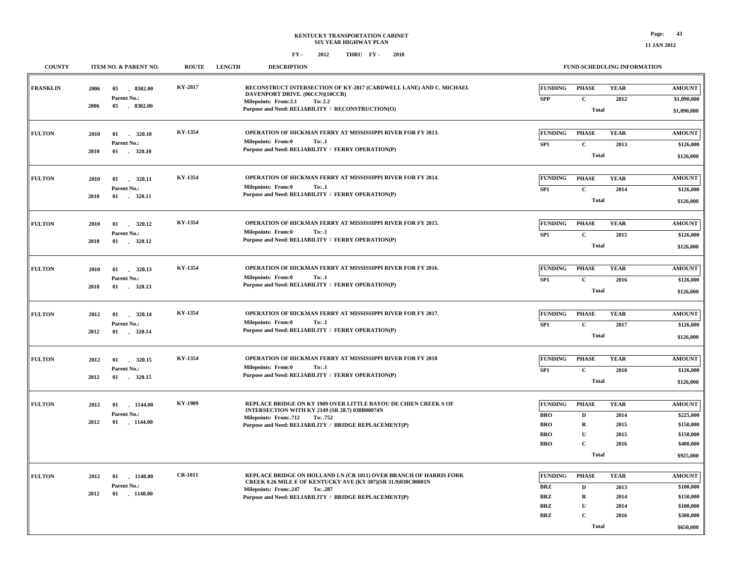#### **FY - FY - 2012 2018 THRU**

**FRANKLIN**

**FULTON**

**FULTON**

**FULTON**

**FULTON**

**FULTON**

**FULTON**

**FULTON**

|               |                                                                       |         | 40 L 4<br>THING LI-                                                                                                                                                                                                    |                                                                                                                                                                                                                                             |
|---------------|-----------------------------------------------------------------------|---------|------------------------------------------------------------------------------------------------------------------------------------------------------------------------------------------------------------------------|---------------------------------------------------------------------------------------------------------------------------------------------------------------------------------------------------------------------------------------------|
| <b>COUNTY</b> | ITEM NO. & PARENT NO.                                                 |         | ROUTE LENGTH<br><b>DESCRIPTION</b>                                                                                                                                                                                     | <b>FUND-SCHEDULING INFORMATION</b>                                                                                                                                                                                                          |
| NKLIN         | $-8302.00$<br>2006<br>05<br>Parent No.:<br>$-8302.00$<br>2006<br>05   | KY-2817 | RECONSTRUCT INTERSECTION OF KY-2817 (CARDWELL LANE) AND C. MICHAEL<br>DAVENPORT DRIVE. (06CCN)(10CCR)<br>Milepoints: From:2.1<br>To: 2.2<br>Purpose and Need: RELIABILITY / RECONSTRUCTION(O)                          | <b>FUNDING</b><br><b>PHASE</b><br><b>YEAR</b><br><b>AMOUNT</b><br><b>SPP</b><br>$\mathbf{C}$<br>2012<br>\$1,090,000<br>Total<br>\$1,090,000                                                                                                 |
| TON           | 320.10<br>2010<br>01<br>Parent No.:<br>$-320.10$<br>2010<br>01        | KY-1354 | OPERATION OF HICKMAN FERRY AT MISSISSIPPI RIVER FOR FY 2013.<br>To: .1<br>Milepoints: From:0<br>Purpose and Need: RELIABILITY / FERRY OPERATION(P)                                                                     | <b>FUNDING</b><br><b>PHASE</b><br><b>YEAR</b><br><b>AMOUNT</b><br>$\mathbf{C}$<br>2013<br>SP <sub>1</sub><br>\$126,000<br>Total<br>\$126,000                                                                                                |
| <b>TON</b>    | 01<br>320.11<br>2010<br>Parent No.:<br>2010                           | KY-1354 | <b>OPERATION OF HICKMAN FERRY AT MISSISSIPPI RIVER FOR FY 2014.</b><br><b>Milepoints: From:0</b><br>To: .1<br>Purpose and Need: RELIABILITY / FERRY OPERATION(P)                                                       | <b>FUNDING</b><br><b>YEAR</b><br>PHASE<br><b>AMOUNT</b><br>$\mathbf{C}$<br>SP1<br>2014<br>\$126,000<br>Total<br>\$126,000                                                                                                                   |
| TON           | 320.12<br>2010<br>01<br>Parent No.:<br>2010                           | KY-1354 | OPERATION OF HICKMAN FERRY AT MISSISSIPPI RIVER FOR FY 2015.<br>To: .1<br>Milepoints: From:0<br>Purpose and Need: RELIABILITY / FERRY OPERATION(P)                                                                     | <b>FUNDING</b><br><b>YEAR</b><br><b>AMOUNT</b><br>PHASE<br>$\mathbf{C}$<br>SP <sub>1</sub><br>2015<br>\$126,000<br>Total<br>\$126,000                                                                                                       |
| TON           | 01<br>320.13<br>2010<br>$\sim$<br>Parent No.:<br>01<br>320.13<br>2010 | KY-1354 | <b>OPERATION OF HICKMAN FERRY AT MISSISSIPPI RIVER FOR FY 2016.</b><br>Milepoints: From:0<br>To: .1<br>Purpose and Need: RELIABILITY / FERRY OPERATION(P)                                                              | <b>YEAR</b><br><b>FUNDING</b><br><b>PHASE</b><br><b>AMOUNT</b><br>$\mathbf C$<br>SP1<br>2016<br>\$126,000<br>Total<br>\$126,000                                                                                                             |
| TON           | 320.14<br>2012<br>01<br>Parent No.:<br>01 . 320.14<br>2012            | KY-1354 | <b>OPERATION OF HICKMAN FERRY AT MISSISSIPPI RIVER FOR FY 2017.</b><br><b>Milepoints: From:0</b><br>To: .1<br>Purpose and Need: RELIABILITY / FERRY OPERATION(P)                                                       | <b>FUNDING</b><br><b>PHASE</b><br><b>YEAR</b><br><b>AMOUNT</b><br>$\mathbf C$<br>SP1<br>2017<br>\$126,000<br>Total<br>\$126,000                                                                                                             |
| TON           | 01<br>320.15<br>2012<br>Parent No.:<br>320.15<br>2012<br>01           | KY-1354 | <b>OPERATION OF HICKMAN FERRY AT MISSISSIPPI RIVER FOR FY 2018</b><br>To: .1<br>Milepoints: From:0<br>Purpose and Need: RELIABILITY / FERRY OPERATION(P)                                                               | <b>YEAR</b><br><b>FUNDING</b><br><b>PHASE</b><br><b>AMOUNT</b><br>$\mathbf C$<br>SP1<br>2018<br>\$126,000<br>Total<br>\$126,000                                                                                                             |
| TON           | 01<br>1144.00<br>2012<br>Parent No.:<br>2012<br>01<br>$-1144.00$      | KY-1909 | REPLACE BRIDGE ON KY 1909 OVER LITTLE BAYOU DE CHIEN CREEK S OF<br>INTERSECTION WITH KY 2149 (SR 28.7) 038B00074N<br><b>Milepoints: From:.712</b><br>To: .752<br>Purpose and Need: RELIABILITY / BRIDGE REPLACEMENT(P) | <b>FUNDING</b><br><b>YEAR</b><br><b>PHASE</b><br><b>AMOUNT</b><br><b>BRO</b><br>D<br>2014<br>\$225,000<br><b>BRO</b><br>$\mathbf R$<br>\$150,000<br>2015<br>U<br>\$150,000<br>BRO<br>2015<br>$\mathbf C$<br>\$400,000<br><b>BRO</b><br>2016 |

|                                                                                                                                                                                                                                                                                                                                                              |                                                          | Total                                    |                                      | \$925,000                                                                      |
|--------------------------------------------------------------------------------------------------------------------------------------------------------------------------------------------------------------------------------------------------------------------------------------------------------------------------------------------------------------|----------------------------------------------------------|------------------------------------------|--------------------------------------|--------------------------------------------------------------------------------|
| <b>CR-1011</b><br><b>REPLACE BRIDGE ON HOLLAND LN (CR 1011) OVER BRANCH OF HARRIS FORK</b><br><b>FULTON</b><br>1148.00<br>2012<br>01<br>CREEK 0.26 MILE E OF KENTUCKY AVE (KY 307)(SR 31.9)038C00001N<br><b>Parent No.:</b><br><b>Milepoints: From:.247</b><br>To: .287<br>$-1148.00$<br>2012<br>01<br>Purpose and Need: RELIABILITY / BRIDGE REPLACEMENT(P) | FUNDING<br>BRZ<br><b>BRZ</b><br><b>BRZ</b><br><b>BRZ</b> | <b>PHASE</b><br>R<br>$\sqrt{2}$<br>Total | YEAR<br>2013<br>2014<br>2014<br>2016 | <b>AMOUNT</b><br>\$100,000<br>\$150,000<br>\$100,000<br>\$300,000<br>\$650,000 |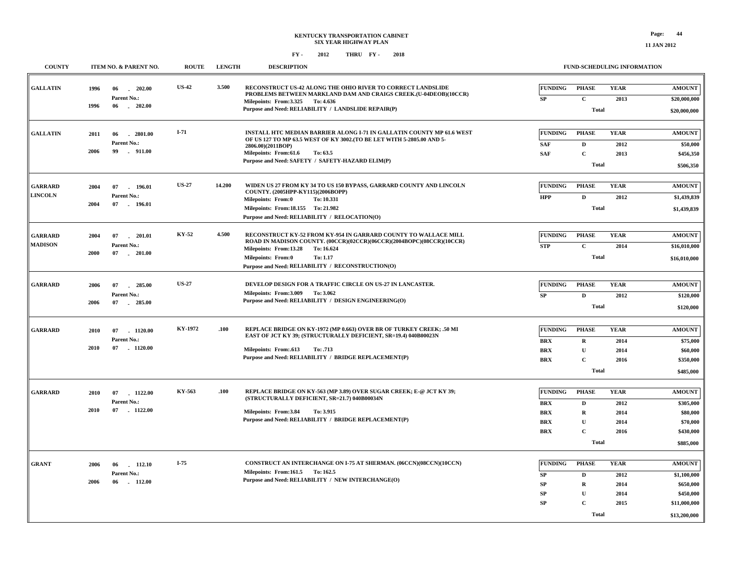| <b>COUNTY</b>                    | ITEM NO. & PARENT NO.                                              | <b>ROUTE</b> | <b>LENGTH</b> | <b>DESCRIPTION</b>                                                                                                                                                                                        |                                            | FUND-SCHEDULING INFORMATION       |                             |                                        |
|----------------------------------|--------------------------------------------------------------------|--------------|---------------|-----------------------------------------------------------------------------------------------------------------------------------------------------------------------------------------------------------|--------------------------------------------|-----------------------------------|-----------------------------|----------------------------------------|
| <b>GALLATIN</b>                  | 1996<br>06<br>202.00<br>Parent No.:                                | <b>US-42</b> | 3.500         | RECONSTRUCT US-42 ALONG THE OHIO RIVER TO CORRECT LANDSLIDE<br>PROBLEMS BETWEEN MARKLAND DAM AND CRAIGS CREEK.(U-04DEOB)(10CCR)                                                                           | <b>FUNDING</b><br>SP                       | <b>PHASE</b><br>$\mathbf{C}$      | <b>YEAR</b><br>2013         | <b>AMOUNT</b><br>\$20,000,000          |
|                                  | 1996<br>$-202.00$<br>06                                            |              |               | Milepoints: From: 3.325 To: 4.636<br>Purpose and Need: RELIABILITY / LANDSLIDE REPAIR(P)                                                                                                                  |                                            | <b>Total</b>                      |                             | \$20,000,000                           |
| <b>GALLATIN</b>                  | $-2801.00$<br>2011<br>06<br>Parent No.:<br>2006<br>99<br>$-911.00$ | $I-71$       |               | INSTALL HTC MEDIAN BARRIER ALONG I-71 IN GALLATIN COUNTY MP 61.6 WEST<br>OF US 127 TO MP 63.5 WEST OF KY 3002. (TO BE LET WITH 5-2805.00 AND 5-<br>2806.00)(2011BOP)<br>Milepoints: From:61.6<br>To: 63.5 | <b>FUNDING</b><br><b>SAF</b><br><b>SAF</b> | <b>PHASE</b><br>D<br>$\mathbf{C}$ | <b>YEAR</b><br>2012<br>2013 | <b>AMOUNT</b><br>\$50,000<br>\$456,350 |
|                                  |                                                                    |              |               | Purpose and Need: SAFETY / SAFETY-HAZARD ELIM(P)                                                                                                                                                          |                                            | Total                             |                             | \$506,350                              |
| <b>GARRARD</b><br><b>LINCOLN</b> | 07<br>196.01<br>2004<br>Parent No.:                                | <b>US-27</b> | 14.200        | WIDEN US 27 FROM KY 34 TO US 150 BYPASS, GARRARD COUNTY AND LINCOLN<br>COUNTY. (2005HPP-KY115)(2006BOPP)<br><b>Milepoints: From:0</b><br>To: 10.331                                                       | <b>FUNDING</b><br><b>HPP</b>               | <b>PHASE</b><br>D                 | <b>YEAR</b><br>2012         | <b>AMOUNT</b><br>\$1,439,839           |
|                                  | 2004<br>07<br>196.01                                               |              |               | Milepoints: From:18.155 To: 21.982<br>Purpose and Need: RELIABILITY / RELOCATION(O)                                                                                                                       |                                            | <b>Total</b>                      |                             | \$1,439,839                            |
| <b>GARRARD</b><br><b>MADISON</b> | 2004<br>07<br>$-201.01$<br>Parent No.:<br>2000<br>07<br>$-201.00$  | KY-52        | 4.500         | RECONSTRUCT KY-52 FROM KY-954 IN GARRARD COUNTY TO WALLACE MILL<br>ROAD IN MADISON COUNTY. (00CCR)(02CCR)(06CCR)(2004BOPC)(08CCR)(10CCR)<br>Milepoints: From:13.28<br>To: 16.624                          | <b>FUNDING</b><br><b>STP</b>               | <b>PHASE</b><br>$\mathbf{C}$      | <b>YEAR</b><br>2014         | <b>AMOUNT</b><br>\$16,010,000          |
|                                  |                                                                    |              |               | <b>Milepoints: From:0</b><br>To: 1.17<br>Purpose and Need: RELIABILITY / RECONSTRUCTION(O)                                                                                                                |                                            | <b>Total</b>                      |                             | \$16,010,000                           |
| <b>GARRARD</b>                   | 2006<br>07<br>285.00<br>Parent No.:                                | <b>US-27</b> |               | DEVELOP DESIGN FOR A TRAFFIC CIRCLE ON US-27 IN LANCASTER.<br>Milepoints: From: 3.009 To: 3.062                                                                                                           | <b>FUNDING</b><br>${\bf SP}$               | <b>PHASE</b><br>$\mathbf{D}$      | <b>YEAR</b><br>2012         | <b>AMOUNT</b><br>\$120,000             |
|                                  | 2006<br>07<br>285.00                                               |              |               | Purpose and Need: RELIABILITY / DESIGN ENGINEERING(O)                                                                                                                                                     |                                            | <b>Total</b>                      |                             | \$120,000                              |
| <b>GARRARD</b>                   | 07<br>1120.00<br>2010<br>Parent No.:                               | KY-1972      | .100          | REPLACE BRIDGE ON KY-1972 (MP 0.663) OVER BR OF TURKEY CREEK; .50 MI<br>EAST OF JCT KY 39; (STRUCTURALLY DEFICIENT, SR=19.4) 040B00023N                                                                   | <b>FUNDING</b><br><b>BRX</b>               | <b>PHASE</b><br>$\mathbf R$       | <b>YEAR</b><br>2014         | <b>AMOUNT</b><br>\$75,000              |
|                                  | 2010<br>07 1120.00                                                 |              |               | Milepoints: From:.613<br>To: .713<br>Purpose and Need: RELIABILITY / BRIDGE REPLACEMENT(P)                                                                                                                | <b>BRX</b><br><b>BRX</b>                   | ${\bf U}$<br>$\mathbf{C}$         | 2014<br>2016                | \$60,000<br>\$350,000                  |
|                                  |                                                                    |              |               |                                                                                                                                                                                                           |                                            | <b>Total</b>                      |                             | \$485,000                              |
| <b>GARRARD</b>                   | 1122.00<br>2010<br>07<br>Parent No.:                               | KY-563       | .100          | REPLACE BRIDGE ON KY-563 (MP 3.89) OVER SUGAR CREEK; E-@ JCT KY 39;<br>(STRUCTURALLY DEFICIENT, SR=21.7) 040B00034N                                                                                       | <b>FUNDING</b><br><b>BRX</b>               | <b>PHASE</b><br>D                 | <b>YEAR</b><br>2012         | <b>AMOUNT</b><br>\$305,000             |
|                                  | $-1122.00$<br>2010<br>07                                           |              |               | Milepoints: From:3.84<br>To: 3.915<br>Purpose and Need: RELIABILITY / BRIDGE REPLACEMENT(P)                                                                                                               | <b>BRX</b><br><b>BRX</b>                   | R<br>$\mathbf{U}$<br>$\mathbf{C}$ | 2014<br>2014                | \$80,000<br>\$70,000                   |
|                                  |                                                                    |              |               |                                                                                                                                                                                                           | <b>BRX</b>                                 | <b>Total</b>                      | 2016                        | \$430,000<br>\$885,000                 |
| <b>GRANT</b>                     | 2006<br>06<br>112.10<br>Parent No.:                                | $I-75$       |               | CONSTRUCT AN INTERCHANGE ON I-75 AT SHERMAN. (06CCN)(08CCN)(10CCN)<br>Milepoints: From:161.5 To: 162.5                                                                                                    | <b>FUNDING</b>                             | <b>PHASE</b>                      | <b>YEAR</b>                 | <b>AMOUNT</b>                          |
|                                  | 2006<br>06<br>$-112.00$                                            |              |               | Purpose and Need: RELIABILITY / NEW INTERCHANGE(O)                                                                                                                                                        | SP<br>SP<br>SP                             | D<br>$\mathbf R$<br>U             | 2012<br>2014<br>2014        | \$1,100,000<br>\$650,000<br>\$450,000  |
|                                  |                                                                    |              |               |                                                                                                                                                                                                           | ${\bf SP}$                                 | $\mathbf{C}$<br>Total             | 2015                        | \$11,000,000<br>\$13,200,000           |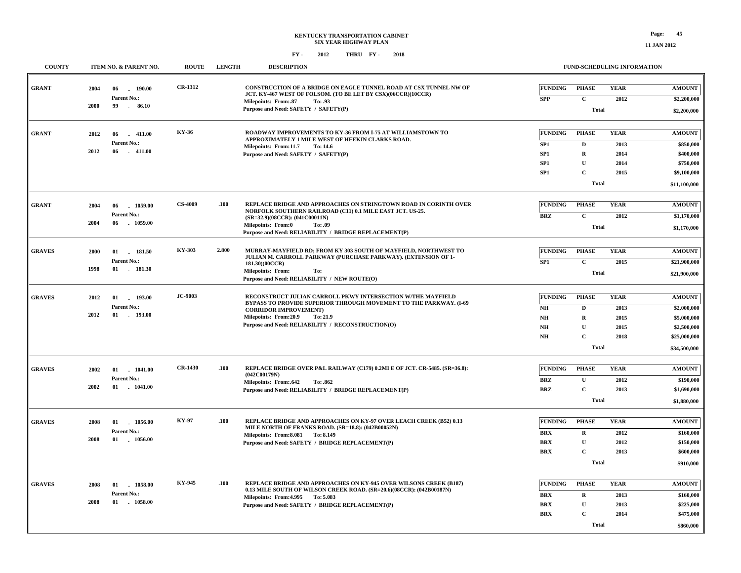**\$860,000**

 **\$475,000**

**Total**

**2014**

**C**

**BRX**

| <b>COUNTY</b> | <b>ITEM NO. &amp; PARENT NO.</b>       | <b>ROUTE</b>   | <b>LENGTH</b> | <b>DESCRIPTION</b>                                                                                                                        |                              |                             | <b>FUND-SCHEDULING INFORMATION</b> |                              |
|---------------|----------------------------------------|----------------|---------------|-------------------------------------------------------------------------------------------------------------------------------------------|------------------------------|-----------------------------|------------------------------------|------------------------------|
| <b>GRANT</b>  | $-190.00$<br>2004<br>06<br>Parent No.: | <b>CR-1312</b> |               | CONSTRUCTION OF A BRIDGE ON EAGLE TUNNEL ROAD AT CSX TUNNEL NW OF<br>JCT. KY-467 WEST OF FOLSOM. (TO BE LET BY CSX)(06CCR)(10CCR)         | <b>FUNDING</b><br><b>SPP</b> | <b>PHASE</b><br>$\mathbf C$ | <b>YEAR</b><br>2012                | <b>AMOUNT</b><br>\$2,200,000 |
|               | 99<br>2000<br>86.10                    |                |               | Milepoints: From:.87<br>To: .93<br>Purpose and Need: SAFETY / SAFETY(P)                                                                   |                              |                             |                                    |                              |
|               |                                        |                |               |                                                                                                                                           |                              | Total                       |                                    | \$2,200,000                  |
|               |                                        | KY-36          |               | ROADWAY IMPROVEMENTS TO KY-36 FROM I-75 AT WILLIAMSTOWN TO                                                                                | <b>FUNDING</b>               | <b>PHASE</b>                | <b>YEAR</b>                        | <b>AMOUNT</b>                |
| <b>GRANT</b>  | 2012<br>06<br>$-411.00$<br>Parent No.: |                |               | APPROXIMATELY 1 MILE WEST OF HEEKIN CLARKS ROAD.                                                                                          |                              | $\mathbf D$                 |                                    |                              |
|               | 2012<br>06<br>$-411.00$                |                |               | Milepoints: From:11.7<br>To: 14.6<br>Purpose and Need: SAFETY / SAFETY(P)                                                                 | SP1<br>SP1                   | $\mathbf R$                 | 2013<br>2014                       | \$850,000<br>\$400,000       |
|               |                                        |                |               |                                                                                                                                           | SP <sub>1</sub>              | ${\bf U}$                   | 2014                               | \$750,000                    |
|               |                                        |                |               |                                                                                                                                           | SP1                          | $\mathbf{C}$                | 2015                               | \$9,100,000                  |
|               |                                        |                |               |                                                                                                                                           |                              | <b>Total</b>                |                                    | \$11,100,000                 |
|               |                                        |                |               |                                                                                                                                           |                              |                             |                                    |                              |
| <b>GRANT</b>  | 2004<br>06<br>1059.00                  | <b>CS-4009</b> | .100          | REPLACE BRIDGE AND APPROACHES ON STRINGTOWN ROAD IN CORINTH OVER                                                                          | <b>FUNDING</b>               | <b>PHASE</b>                | <b>YEAR</b>                        | <b>AMOUNT</b>                |
|               | Parent No.:                            |                |               | NORFOLK SOUTHERN RAILROAD (C11) 0.1 MILE EAST JCT. US-25.<br>(SR=32.9)(08CCR): (041C00011N)                                               | <b>BRZ</b>                   | $\mathbf C$                 | 2012                               | \$1,170,000                  |
|               | 2004<br>06<br>1059.00                  |                |               | Milepoints: From:0<br>To: .09<br>Purpose and Need: RELIABILITY / BRIDGE REPLACEMENT(P)                                                    |                              | <b>Total</b>                |                                    | \$1,170,000                  |
|               |                                        |                |               |                                                                                                                                           |                              |                             |                                    |                              |
| <b>GRAVES</b> | 2000<br>181.50<br>01                   | KY-303         | 2.800         | MURRAY-MAYFIELD RD; FROM KY 303 SOUTH OF MAYFIELD, NORTHWEST TO<br>JULIAN M. CARROLL PARKWAY (PURCHASE PARKWAY). (EXTENSION OF 1-         | <b>FUNDING</b>               | <b>PHASE</b>                | <b>YEAR</b>                        | <b>AMOUNT</b>                |
|               | Parent No.:                            |                |               | 181.30)(00CCR)                                                                                                                            | SP1                          | $\mathbf C$                 | 2015                               | \$21,900,000                 |
|               | 1998<br>01 181.30                      |                |               | <b>Milepoints: From:</b><br>To:<br>Purpose and Need: RELIABILITY / NEW ROUTE(O)                                                           |                              | Total                       |                                    | \$21,900,000                 |
|               |                                        |                |               |                                                                                                                                           |                              |                             |                                    |                              |
| <b>GRAVES</b> | 01 193.00<br>2012                      | <b>JC-9003</b> |               | RECONSTRUCT JULIAN CARROLL PKWY INTERSECTION W/THE MAYFIELD                                                                               | <b>FUNDING</b>               | <b>PHASE</b>                | <b>YEAR</b>                        | <b>AMOUNT</b>                |
|               | Parent No.:                            |                |               | <b>BYPASS TO PROVIDE SUPERIOR THROUGH MOVEMENT TO THE PARKWAY, (I-69</b><br><b>CORRIDOR IMPROVEMENT)</b>                                  | NH                           | D                           | 2013                               | \$2,000,000                  |
|               | 2012<br>01<br>$-193.00$                |                |               | Milepoints: From:20.9<br>To: 21.9                                                                                                         | N <sub>H</sub>               | $\mathbf R$                 | 2015                               | \$5,000,000                  |
|               |                                        |                |               | Purpose and Need: RELIABILITY / RECONSTRUCTION(O)                                                                                         | $\mathbf{N}\mathbf{H}$       | $\mathbf U$                 | 2015                               | \$2,500,000                  |
|               |                                        |                |               |                                                                                                                                           | NH                           | $\mathbf C$                 | 2018                               | \$25,000,000                 |
|               |                                        |                |               |                                                                                                                                           |                              | <b>Total</b>                |                                    | \$34,500,000                 |
|               |                                        | <b>CR-1430</b> | .100          | REPLACE BRIDGE OVER P&L RAILWAY (C179) 0.2MI E OF JCT. CR-5485. (SR=36.8):                                                                | <b>FUNDING</b>               | <b>PHASE</b>                | <b>YEAR</b>                        | <b>AMOUNT</b>                |
| <b>GRAVES</b> | $01$ 1041.00<br>2002<br>Parent No.:    |                |               | (042C00179N)                                                                                                                              |                              |                             |                                    |                              |
|               | 2002<br>01<br>1041.00                  |                |               | <b>Milepoints: From:.642</b><br>To: .862<br>Purpose and Need: RELIABILITY / BRIDGE REPLACEMENT(P)                                         | <b>BRZ</b><br><b>BRZ</b>     | ${\bf U}$<br>$\mathbf C$    | 2012<br>2013                       | \$190,000<br>\$1,690,000     |
|               |                                        |                |               |                                                                                                                                           |                              | <b>Total</b>                |                                    | \$1,880,000                  |
|               |                                        |                |               |                                                                                                                                           |                              |                             |                                    |                              |
| <b>GRAVES</b> | 1056.00<br>2008<br>01                  | <b>KY-97</b>   | .100          | REPLACE BRIDGE AND APPROACHES ON KY-97 OVER LEACH CREEK (B52) 0.13                                                                        | <b>FUNDING</b>               | <b>PHASE</b>                | <b>YEAR</b>                        | <b>AMOUNT</b>                |
|               | Parent No.:                            |                |               | MILE NORTH OF FRANKS ROAD. (SR=18.8): (042B00052N)<br>Milepoints: From: 8.081 To: 8.149                                                   | <b>BRX</b>                   | $\mathbf R$                 | 2012                               | \$160,000                    |
|               | 2008<br>01<br>$-1056.00$               |                |               | Purpose and Need: SAFETY / BRIDGE REPLACEMENT(P)                                                                                          | <b>BRX</b>                   | $\mathbf{U}$                | 2012                               | \$150,000                    |
|               |                                        |                |               |                                                                                                                                           | <b>BRX</b>                   | $\mathbf C$                 | 2013                               | \$600,000                    |
|               |                                        |                |               |                                                                                                                                           |                              | <b>Total</b>                |                                    | \$910,000                    |
|               |                                        |                |               |                                                                                                                                           |                              |                             |                                    |                              |
| <b>GRAVES</b> | 01 1058.00<br>2008                     | KY-945         | .100          | REPLACE BRIDGE AND APPROACHES ON KY-945 OVER WILSONS CREEK (B187)<br>0.13 MILE SOUTH OF WILSON CREEK ROAD. (SR=20.6)(08CCR): (042B00187N) | <b>FUNDING</b>               | <b>PHASE</b>                | <b>YEAR</b>                        | <b>AMOUNT</b>                |
|               | Parent No.:                            |                |               | Milepoints: From: 4.995 To: 5.083                                                                                                         | <b>BRX</b>                   | $\mathbf R$                 | 2013                               | \$160,000                    |
|               | 2008<br>01 1058.00                     |                |               | Purpose and Need: SAFETY / BRIDGE REPLACEMENT(P)                                                                                          | <b>BRX</b>                   | $\mathbf{U}$                | 2013                               | \$225,000                    |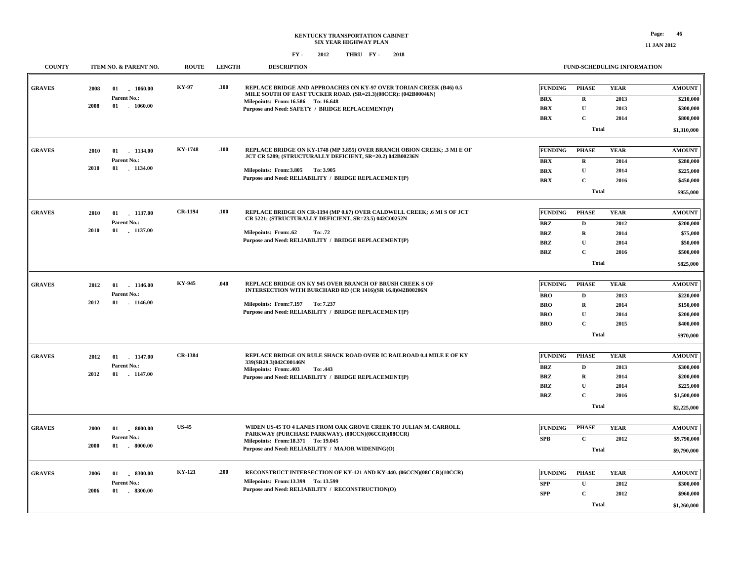**11 JAN 2012**

| <b>COUNTY</b> | ITEM NO. & PARENT NO.                | <b>ROUTE</b>   | <b>LENGTH</b> | <b>DESCRIPTION</b>                                                                                                                          |                |              | FUND-SCHEDULING INFORMATION |               |
|---------------|--------------------------------------|----------------|---------------|---------------------------------------------------------------------------------------------------------------------------------------------|----------------|--------------|-----------------------------|---------------|
| <b>GRAVES</b> | 2008<br>01<br>1060.00                | KY-97          | .100          | <b>REPLACE BRIDGE AND APPROACHES ON KY-97 OVER TORIAN CREEK (B46) 0.5</b><br>MILE SOUTH OF EAST TUCKER ROAD. (SR=21.3)(08CCR): (042B00046N) | <b>FUNDING</b> | <b>PHASE</b> | <b>YEAR</b>                 | <b>AMOUNT</b> |
|               | Parent No.:                          |                |               | Milepoints: From:16.586 To:16.648                                                                                                           | <b>BRX</b>     | $\mathbf R$  | 2013                        | \$210,000     |
|               | 2008<br>$01$ $1060.00$               |                |               | Purpose and Need: SAFETY / BRIDGE REPLACEMENT(P)                                                                                            | <b>BRX</b>     | $\mathbf{U}$ | 2013                        | \$300,000     |
|               |                                      |                |               |                                                                                                                                             | <b>BRX</b>     | $\mathbf{C}$ | 2014                        | \$800,000     |
|               |                                      |                |               |                                                                                                                                             |                | <b>Total</b> |                             | \$1,310,000   |
| <b>GRAVES</b> | 2010<br>$-1134.00$<br>01             | <b>KY-1748</b> | .100          | REPLACE BRIDGE ON KY-1748 (MP 3.855) OVER BRANCH OBION CREEK; .3 MI E OF<br>JCT CR 5289; (STRUCTURALLY DEFICIENT, SR=20.2) 042B00236N       | <b>FUNDING</b> | <b>PHASE</b> | <b>YEAR</b>                 | <b>AMOUNT</b> |
|               | Parent No.:<br>1134.00<br>2010<br>01 |                |               |                                                                                                                                             | <b>BRX</b>     | $\mathbf R$  | 2014                        | \$280,000     |
|               |                                      |                |               | Milepoints: From: 3.805 To: 3.905                                                                                                           | <b>BRX</b>     | ${\bf U}$    | 2014                        | \$225,000     |
|               |                                      |                |               | Purpose and Need: RELIABILITY / BRIDGE REPLACEMENT(P)                                                                                       | <b>BRX</b>     | $\mathbf{C}$ | 2016                        | \$450,000     |
|               |                                      |                |               |                                                                                                                                             |                | <b>Total</b> |                             | \$955,000     |
| <b>GRAVES</b> | 01<br>1137.00<br>2010                | <b>CR-1194</b> | .100          | REPLACE BRIDGE ON CR-1194 (MP 0.67) OVER CALDWELL CREEK; .6 MI S OF JCT                                                                     | <b>FUNDING</b> | <b>PHASE</b> | <b>YEAR</b>                 | <b>AMOUNT</b> |
|               | Parent No.:                          |                |               | CR 5221; (STRUCTURALLY DEFICIENT, SR=23.5) 042C00252N                                                                                       | <b>BRZ</b>     | D            | 2012                        | \$200,000     |
|               | 2010<br>01<br>$-1137.00$             |                |               | Milepoints: From:.62<br>To: .72                                                                                                             | <b>BRZ</b>     | R            | 2014                        | \$75,000      |
|               |                                      |                |               | Purpose and Need: RELIABILITY / BRIDGE REPLACEMENT(P)                                                                                       | <b>BRZ</b>     | ${\bf U}$    | 2014                        | \$50,000      |
|               |                                      |                |               |                                                                                                                                             | <b>BRZ</b>     | $\mathbf C$  | 2016                        | \$500,000     |
|               |                                      |                |               |                                                                                                                                             |                | <b>Total</b> |                             | \$825,000     |
|               |                                      |                |               |                                                                                                                                             |                |              |                             |               |
| <b>GRAVES</b> | 2012<br>01 1146.00                   | KY-945         | .040          | REPLACE BRIDGE ON KY 945 OVER BRANCH OF BRUSH CREEK S OF<br>INTERSECTION WITH BURCHARD RD (CR 1416)(SR 16.8)042B00206N                      | <b>FUNDING</b> | <b>PHASE</b> | <b>YEAR</b>                 | <b>AMOUNT</b> |
|               | Parent No.:                          |                |               |                                                                                                                                             | <b>BRO</b>     | D            | 2013                        | \$220,000     |
|               | 2012<br>01<br>$-1146.00$             |                |               | Milepoints: From: 7.197 To: 7.237                                                                                                           | <b>BRO</b>     | $\mathbf R$  | 2014                        | \$150,000     |
|               |                                      |                |               | Purpose and Need: RELIABILITY / BRIDGE REPLACEMENT(P)                                                                                       | <b>BRO</b>     | U            | 2014                        | \$200,000     |
|               |                                      |                |               |                                                                                                                                             | <b>BRO</b>     | $\mathbf C$  | 2015                        | \$400,000     |
|               |                                      |                |               |                                                                                                                                             |                | <b>Total</b> |                             | \$970,000     |
| <b>GRAVES</b> | 2012<br>01 1147.00                   | <b>CR-1384</b> |               | REPLACE BRIDGE ON RULE SHACK ROAD OVER IC RAILROAD 0.4 MILE E OF KY                                                                         | <b>FUNDING</b> | <b>PHASE</b> | <b>YEAR</b>                 | <b>AMOUNT</b> |
|               | Parent No.:                          |                |               | 339(SR29.3)042C00146N                                                                                                                       | <b>BRZ</b>     | D            | 2013                        | \$300,000     |
|               | 2012<br>01 1147.00                   |                |               | Milepoints: From: 403<br>To: .443<br>Purpose and Need: RELIABILITY / BRIDGE REPLACEMENT(P)                                                  | <b>BRZ</b>     | R            | 2014                        | \$200,000     |
|               |                                      |                |               |                                                                                                                                             | <b>BRZ</b>     | U            | 2014                        | \$225,000     |
|               |                                      |                |               |                                                                                                                                             | <b>BRZ</b>     | $\mathbf{C}$ | 2016                        | \$1,500,000   |
|               |                                      |                |               |                                                                                                                                             |                | <b>Total</b> |                             | \$2,225,000   |
|               |                                      |                |               |                                                                                                                                             |                |              |                             |               |
| <b>GRAVES</b> | . 8000.00<br>2000<br>01              | <b>US-45</b>   |               | WIDEN US-45 TO 4 LANES FROM OAK GROVE CREEK TO JULIAN M. CARROLL                                                                            | <b>FUNDING</b> | <b>PHASE</b> | <b>YEAR</b>                 | <b>AMOUNT</b> |
|               | Parent No.:                          |                |               | PARKWAY (PURCHASE PARKWAY). (00CCN)(06CCR)(08CCR)<br>Milepoints: From:18.371 To: 19.045                                                     | <b>SPB</b>     | $\mathbf{C}$ | 2012                        | \$9,790,000   |
|               | 2000<br>01<br>. 8000.00              |                |               | Purpose and Need: RELIABILITY / MAJOR WIDENING(O)                                                                                           |                | <b>Total</b> |                             | \$9,790,000   |
|               |                                      |                |               |                                                                                                                                             |                |              |                             |               |
| <b>GRAVES</b> | 2006<br>$-8300.00$<br>01             | <b>KY-121</b>  | .200          | RECONSTRUCT INTERSECTION OF KY-121 AND KY-440. (06CCN)(08CCR)(10CCR)                                                                        | <b>FUNDING</b> | <b>PHASE</b> | <b>YEAR</b>                 | <b>AMOUNT</b> |
|               | Parent No.:                          |                |               | Milepoints: From:13.399 To: 13.599                                                                                                          | <b>SPP</b>     | ${\bf U}$    | 2012                        | \$300,000     |
|               | 2006<br>01<br>$-8300.00$             |                |               | Purpose and Need: RELIABILITY / RECONSTRUCTION(O)                                                                                           | <b>SPP</b>     | $\mathbf C$  | 2012                        | \$960,000     |
|               |                                      |                |               |                                                                                                                                             |                | Total        |                             | \$1,260,000   |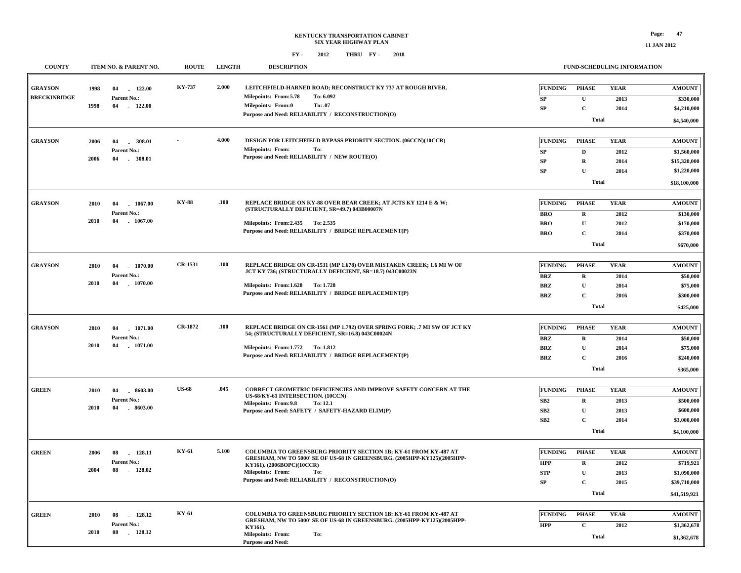| <b>FUND-SCHEDULING INFORMATION</b> |  |
|------------------------------------|--|

| <b>COUNTY</b>                         |              | ITEM NO. & PARENT NO.                             | <b>ROUTE</b>   | <b>LENGTH</b> | <b>DESCRIPTION</b>                                                                                                                                                                                                                                                |                                            | FUND-SCHEDULING INFORMATION                 |                             |                                           |
|---------------------------------------|--------------|---------------------------------------------------|----------------|---------------|-------------------------------------------------------------------------------------------------------------------------------------------------------------------------------------------------------------------------------------------------------------------|--------------------------------------------|---------------------------------------------|-----------------------------|-------------------------------------------|
| <b>GRAYSON</b><br><b>BRECKINRIDGE</b> | 1998<br>1998 | $-122.00$<br>04<br>Parent No.:<br>04<br>$-122.00$ | KY-737         | 2.000         | LEITCHFIELD-HARNED ROAD; RECONSTRUCT KY 737 AT ROUGH RIVER.<br>To: 6.092<br>Milepoints: From: 5.78<br><b>Milepoints: From:0</b><br>To: .07                                                                                                                        | <b>FUNDING</b><br>SP<br>SP                 | <b>PHASE</b><br>$\mathbf{U}$<br>$\mathbf C$ | <b>YEAR</b><br>2013<br>2014 | <b>AMOUNT</b><br>\$330,000<br>\$4,210,000 |
|                                       |              |                                                   |                |               | Purpose and Need: RELIABILITY / RECONSTRUCTION(O)                                                                                                                                                                                                                 |                                            | <b>Total</b>                                |                             | \$4,540,000                               |
| <b>GRAYSON</b>                        | 2006         | 04<br>308.01<br>Parent No.:                       |                | 4.000         | DESIGN FOR LEITCHFIELD BYPASS PRIORITY SECTION. (06CCN)(10CCR)<br><b>Milepoints: From:</b><br>To:                                                                                                                                                                 | <b>FUNDING</b><br>SP                       | <b>PHASE</b><br>D                           | <b>YEAR</b><br>2012         | <b>AMOUNT</b><br>\$1,560,000              |
|                                       | 2006         | 04<br>308.01                                      |                |               | Purpose and Need: RELIABILITY / NEW ROUTE(O)                                                                                                                                                                                                                      | SP<br>SP                                   | $\mathbf R$<br>$\mathbf U$                  | 2014<br>2014                | \$15,320,000<br>\$1,220,000               |
|                                       |              |                                                   |                |               |                                                                                                                                                                                                                                                                   |                                            | <b>Total</b>                                |                             | \$18,100,000                              |
| <b>GRAYSON</b>                        | 2010<br>2010 | 04<br>1067.00<br>Parent No.:<br>04<br>$-1067.00$  | <b>KY-88</b>   | .100          | REPLACE BRIDGE ON KY-88 OVER BEAR CREEK: AT JCTS KY 1214 E & W:<br>(STRUCTURALLY DEFICIENT, SR=49.7) 043B00007N<br>Milepoints: From: 2.435 To: 2.535                                                                                                              | <b>FUNDING</b><br><b>BRO</b><br><b>BRO</b> | <b>PHASE</b><br>$\mathbf R$<br>$\mathbf{U}$ | <b>YEAR</b><br>2012<br>2012 | <b>AMOUNT</b><br>\$130,000<br>\$170,000   |
|                                       |              |                                                   |                |               | Purpose and Need: RELIABILITY / BRIDGE REPLACEMENT(P)                                                                                                                                                                                                             | <b>BRO</b>                                 | $\mathbf C$<br><b>Total</b>                 | 2014                        | \$370,000<br>\$670,000                    |
| <b>GRAYSON</b>                        | 2010         | 04<br>1070.00<br>Parent No.:                      | CR-1531        | .100          | REPLACE BRIDGE ON CR-1531 (MP 1.678) OVER MISTAKEN CREEK; 1.6 MI W OF<br>JCT KY 736; (STRUCTURALLY DEFICIENT, SR=18.7) 043C00023N                                                                                                                                 | <b>FUNDING</b><br>BRZ                      | <b>PHASE</b><br>$\mathbf R$                 | <b>YEAR</b><br>2014         | <b>AMOUNT</b><br>\$50,000                 |
|                                       | 2010         | 04<br>1070.00                                     |                |               | Milepoints: From: 1.628 To: 1.728<br>Purpose and Need: RELIABILITY / BRIDGE REPLACEMENT(P)                                                                                                                                                                        | <b>BRZ</b><br><b>BRZ</b>                   | $\mathbf U$<br>$\mathbf C$                  | 2014<br>2016                | \$75,000<br>\$300,000                     |
|                                       |              |                                                   |                |               |                                                                                                                                                                                                                                                                   |                                            | Total                                       |                             | \$425,000                                 |
| <b>GRAYSON</b>                        | 2010<br>2010 | 04<br>1071.00<br>Parent No.:<br>04<br>$-1071.00$  | <b>CR-1872</b> | .100          | REPLACE BRIDGE ON CR-1561 (MP 1.792) OVER SPRING FORK: .7 MI SW OF JCT KY<br>54; (STRUCTURALLY DEFICIENT, SR=16.8) 043C00024N                                                                                                                                     | <b>FUNDING</b><br><b>BRZ</b>               | <b>PHASE</b><br>$\mathbf R$                 | <b>YEAR</b><br>2014         | <b>AMOUNT</b><br>\$50,000                 |
|                                       |              |                                                   |                |               | Milepoints: From:1.772 To: 1.812<br>Purpose and Need: RELIABILITY / BRIDGE REPLACEMENT(P)                                                                                                                                                                         | <b>BRZ</b><br><b>BRZ</b>                   | U<br>$\mathbf C$<br><b>Total</b>            | 2014<br>2016                | \$75,000<br>\$240,000<br>\$365,000        |
| <b>GREEN</b>                          | 2010         | 04<br>8603.00                                     | <b>US-68</b>   | .045          | <b>CORRECT GEOMETRIC DEFICIENCIES AND IMPROVE SAFETY CONCERN AT THE</b><br>US-68/KY-61 INTERSECTION. (10CCN)                                                                                                                                                      | <b>FUNDING</b>                             | <b>PHASE</b>                                | <b>YEAR</b>                 | <b>AMOUNT</b>                             |
|                                       | 2010         | Parent No.:<br>04<br>8603.00                      |                |               | <b>Milepoints: From:9.8</b><br>To: 12.1<br>Purpose and Need: SAFETY / SAFETY-HAZARD ELIM(P)                                                                                                                                                                       | ${\bf SB2}$<br>SB <sub>2</sub><br>SB2      | $\mathbf R$<br>$\mathbf U$<br>$\mathbf C$   | 2013<br>2013<br>2014        | \$500,000<br>\$600,000<br>\$3,000,000     |
|                                       |              |                                                   |                |               |                                                                                                                                                                                                                                                                   |                                            | <b>Total</b>                                |                             | \$4,100,000                               |
| <b>GREEN</b>                          | 2006<br>2004 | 08<br>128.11<br>Parent No.:<br>$-128.02$<br>08    | KY-61          | 5.100         | COLUMBIA TO GREENSBURG PRIORITY SECTION 1B: KY-61 FROM KY-487 AT<br>GRESHAM, NW TO 5000' SE OF US-68 IN GREENSBURG. (2005HPP-KY125)(2005HPP-<br>KY161). (2006BOPC)(10CCR)<br><b>Milepoints: From:</b><br>To:<br>Purpose and Need: RELIABILITY / RECONSTRUCTION(O) | <b>FUNDING</b><br><b>HPP</b><br><b>STP</b> | <b>PHASE</b><br>${\bf R}$<br>$\mathbf{U}$   | <b>YEAR</b><br>2012<br>2013 | <b>AMOUNT</b><br>\$719,921<br>\$1,090,000 |
|                                       |              |                                                   |                |               |                                                                                                                                                                                                                                                                   | ${\bf SP}$                                 | $\mathbf C$<br><b>Total</b>                 | 2015                        | \$39,710,000<br>\$41,519,921              |
| <b>GREEN</b>                          | 2010         | 128.12<br>08<br>Parent No.:                       | <b>KY-61</b>   |               | COLUMBIA TO GREENSBURG PRIORITY SECTION 1B: KY-61 FROM KY-487 AT<br>GRESHAM, NW TO 5000' SE OF US-68 IN GREENSBURG. (2005HPP-KY125)(2005HPP-                                                                                                                      | <b>FUNDING</b><br><b>HPP</b>               | <b>PHASE</b><br>$\mathbf C$                 | <b>YEAR</b><br>2012         | <b>AMOUNT</b><br>\$1,362,678              |
|                                       | 2010         | 08<br>128.12                                      |                |               | KY161).<br>Milepoints: From:<br>To:<br><b>Purpose and Need:</b>                                                                                                                                                                                                   |                                            | <b>Total</b>                                |                             | \$1,362,678                               |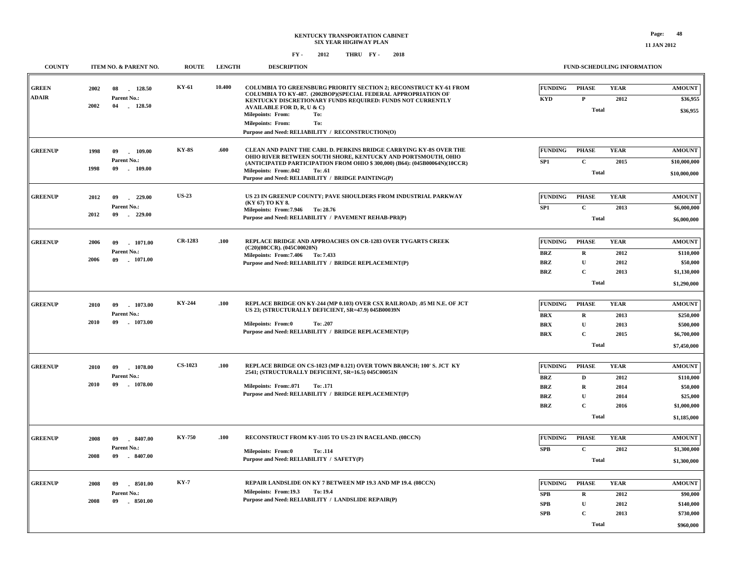| <b>COUNTY</b>                | ITEM NO. & PARENT NO.                                             | <b>ROUTE</b>   | <b>LENGTH</b> | <b>DESCRIPTION</b>                                                                                                                                                                                                                                                                                                 |                                                                        | FUND-SCHEDULING INFORMATION                                                 |                                             |                                                                                  |
|------------------------------|-------------------------------------------------------------------|----------------|---------------|--------------------------------------------------------------------------------------------------------------------------------------------------------------------------------------------------------------------------------------------------------------------------------------------------------------------|------------------------------------------------------------------------|-----------------------------------------------------------------------------|---------------------------------------------|----------------------------------------------------------------------------------|
| <b>GREEN</b><br><b>ADAIR</b> | 128.50<br>2002<br>08<br>Parent No.:                               | KY-61          | 10.400        | COLUMBIA TO GREENSBURG PRIORITY SECTION 2; RECONSTRUCT KY-61 FROM<br>COLUMBIA TO KY-487. (2002BOP)(SPECIAL FEDERAL APPROPRIATION OF<br>KENTUCKY DISCRETIONARY FUNDS REQUIRED: FUNDS NOT CURRENTLY                                                                                                                  | <b>FUNDING</b><br><b>KYD</b>                                           | <b>PHASE</b><br>$\mathbf P$                                                 | <b>YEAR</b><br>2012                         | <b>AMOUNT</b><br>\$36,955                                                        |
|                              | 2002<br>04<br>$-128.50$                                           |                |               | <b>AVAILABLE FOR D, R, U &amp; C)</b><br><b>Milepoints: From:</b><br>To:<br><b>Milepoints: From:</b><br>To:<br>Purpose and Need: RELIABILITY / RECONSTRUCTION(O)                                                                                                                                                   |                                                                        | <b>Total</b>                                                                |                                             | \$36,955                                                                         |
| <b>GREENUP</b>               | 1998<br>09<br>109.00<br>Parent No.:<br>1998<br>09<br>109.00       | <b>KY-8S</b>   | .600          | CLEAN AND PAINT THE CARL D. PERKINS BRIDGE CARRYING KY-8S OVER THE<br>OHIO RIVER BETWEEN SOUTH SHORE, KENTUCKY AND PORTSMOUTH, OHIO<br>(ANTICIPATED PARTICIPATION FROM OHIO \$300,000) (B64): (045B00064N)(10CCR)<br><b>Milepoints: From:.042</b><br>To: .61<br>Purpose and Need: RELIABILITY / BRIDGE PAINTING(P) | <b>FUNDING</b><br>SP1                                                  | <b>PHASE</b><br>$\mathbf{C}$<br><b>Total</b>                                | <b>YEAR</b><br>2015                         | <b>AMOUNT</b><br>\$10,000,000<br>\$10,000,000                                    |
| <b>GREENUP</b>               | $-229.00$<br>2012<br>09<br>Parent No.:<br>2012<br>09<br>$-229.00$ | <b>US-23</b>   |               | US 23 IN GREENUP COUNTY; PAVE SHOULDERS FROM INDUSTRIAL PARKWAY<br>(KY 67) TO KY 8.<br>Milepoints: From: 7.946 To: 28.76<br>Purpose and Need: RELIABILITY / PAVEMENT REHAB-PRI(P)                                                                                                                                  | <b>FUNDING</b><br>SP1                                                  | <b>PHASE</b><br>$\mathbf C$<br><b>Total</b>                                 | <b>YEAR</b><br>2013                         | <b>AMOUNT</b><br>\$6,000,000<br>\$6,000,000                                      |
| <b>GREENUP</b>               | 2006<br>09<br>1071.00<br>Parent No.:<br>2006<br>09<br>$-1071.00$  | CR-1283        | .100          | REPLACE BRIDGE AND APPROACHES ON CR-1283 OVER TYGARTS CREEK<br>(C20)(08CCR). (045C00020N)<br>Milepoints: From: 7.406 To: 7.433<br>Purpose and Need: RELIABILITY / BRIDGE REPLACEMENT(P)                                                                                                                            | <b>FUNDING</b><br><b>BRZ</b><br><b>BRZ</b><br><b>BRZ</b>               | <b>PHASE</b><br>$\mathbf R$<br>$\mathbf{U}$<br>$\mathbf{C}$<br><b>Total</b> | <b>YEAR</b><br>2012<br>2012<br>2013         | <b>AMOUNT</b><br>\$110,000<br>\$50,000<br>\$1,130,000<br>\$1,290,000             |
| <b>GREENUP</b>               | 2010<br>09<br>1073.00<br>Parent No.:<br>2010<br>09<br>$-1073.00$  | <b>KY-244</b>  | .100          | REPLACE BRIDGE ON KY-244 (MP 0.103) OVER CSX RAILROAD; .05 MI N.E. OF JCT<br>US 23; (STRUCTURALLY DEFICIENT, SR=47.9) 045B00039N<br><b>Milepoints: From:0</b><br>To: .207<br>Purpose and Need: RELIABILITY / BRIDGE REPLACEMENT(P)                                                                                 | <b>FUNDING</b><br><b>BRX</b><br><b>BRX</b><br><b>BRX</b>               | <b>PHASE</b><br>$\mathbf R$<br>$\mathbf{U}$<br>$\mathbf{C}$<br><b>Total</b> | <b>YEAR</b><br>2013<br>2013<br>2015         | <b>AMOUNT</b><br>\$250,000<br>\$500,000<br>\$6,700,000<br>\$7,450,000            |
| <b>GREENUP</b>               | 2010<br>09<br>1078.00<br>Parent No.:<br>2010<br>09<br>1078.00     | <b>CS-1023</b> | .100          | REPLACE BRIDGE ON CS-1023 (MP 0.121) OVER TOWN BRANCH; 100' S. JCT KY<br>2541; (STRUCTURALLY DEFICIENT, SR=16.5) 045C00051N<br><b>Milepoints: From:.071</b><br>To: .171<br>Purpose and Need: RELIABILITY / BRIDGE REPLACEMENT(P)                                                                                   | <b>FUNDING</b><br><b>BRZ</b><br><b>BRZ</b><br><b>BRZ</b><br><b>BRZ</b> | <b>PHASE</b><br>D<br>${\bf R}$<br>${\bf U}$<br>$\mathbf{C}$<br><b>Total</b> | <b>YEAR</b><br>2012<br>2014<br>2014<br>2016 | <b>AMOUNT</b><br>\$110,000<br>\$50,000<br>\$25,000<br>\$1,000,000<br>\$1,185,000 |
| <b>GREENUP</b>               | 2008<br>09<br>8407.00<br>Parent No.:<br>$-8407.00$<br>2008<br>09  | KY-750         | .100          | RECONSTRUCT FROM KY-3105 TO US-23 IN RACELAND. (08CCN)<br>Milepoints: From:0<br>To: .114<br>Purpose and Need: RELIABILITY / SAFETY(P)                                                                                                                                                                              | <b>FUNDING</b><br>SPB                                                  | <b>PHASE</b><br>$\mathbf{C}$<br><b>Total</b>                                | <b>YEAR</b><br>2012                         | <b>AMOUNT</b><br>\$1,300,000<br>\$1,300,000                                      |
| <b>GREENUP</b>               | 2008<br>09<br>$-8501.00$<br>Parent No.:<br>09<br>2008<br>8501.00  | <b>KY-7</b>    |               | REPAIR LANDSLIDE ON KY 7 BETWEEN MP 19.3 AND MP 19.4. (08CCN)<br>Milepoints: From:19.3<br>To: 19.4<br>Purpose and Need: RELIABILITY / LANDSLIDE REPAIR(P)                                                                                                                                                          | <b>FUNDING</b><br>SPB<br>SPB<br>SPB                                    | <b>PHASE</b><br>$\mathbf R$<br>$\mathbf U$<br>C<br><b>Total</b>             | <b>YEAR</b><br>2012<br>2012<br>2013         | <b>AMOUNT</b><br>\$90,000<br>\$140,000<br>\$730,000<br>\$960,000                 |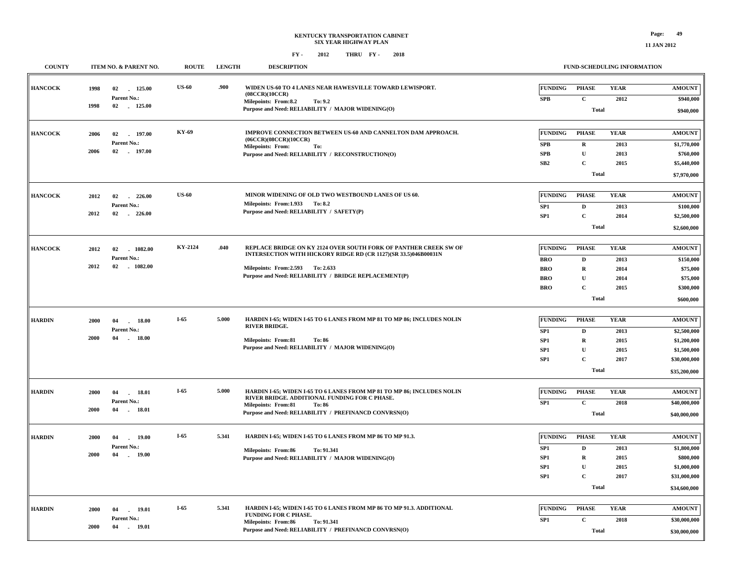| <b>11 JAN 2012</b> |  |  |  |  |
|--------------------|--|--|--|--|
|--------------------|--|--|--|--|

| <b>COUNTY</b>  |      | ITEM NO. & PARENT NO.                | <b>ROUTE</b> | <b>LENGTH</b> | <b>DESCRIPTION</b>                                                                                                                  |                          | FUND-SCHEDULING INFORMATION  |                     |                              |
|----------------|------|--------------------------------------|--------------|---------------|-------------------------------------------------------------------------------------------------------------------------------------|--------------------------|------------------------------|---------------------|------------------------------|
| <b>HANCOCK</b> | 1998 | 02 125.00<br>Parent No.:             | <b>US-60</b> | .900          | WIDEN US-60 TO 4 LANES NEAR HAWESVILLE TOWARD LEWISPORT.<br>(08CCR)(10CCR)                                                          | <b>FUNDING</b><br>SPB    | <b>PHASE</b><br>$\mathbf{C}$ | <b>YEAR</b><br>2012 | <b>AMOUNT</b><br>\$940,000   |
|                | 1998 | 02 125.00                            |              |               | Milepoints: From:8.2<br>To: 9.2<br>Purpose and Need: RELIABILITY / MAJOR WIDENING(O)                                                |                          | <b>Total</b>                 |                     | \$940,000                    |
| <b>HANCOCK</b> | 2006 | 02 197.00<br>Parent No.:             | KY-69        |               | IMPROVE CONNECTION BETWEEN US-60 AND CANNELTON DAM APPROACH.<br>(06CCR)(08CCR)(10CCR)                                               | <b>FUNDING</b>           | <b>PHASE</b><br>${\bf R}$    | <b>YEAR</b><br>2013 | <b>AMOUNT</b><br>\$1,770,000 |
|                | 2006 | 02 197.00                            |              |               | Milepoints: From:<br>To:<br>Purpose and Need: RELIABILITY / RECONSTRUCTION(O)                                                       | SPB<br>SPB               | ${\bf U}$                    | 2013                | \$760,000                    |
|                |      |                                      |              |               |                                                                                                                                     | SB <sub>2</sub>          | $\mathbf C$                  | 2015                | \$5,440,000                  |
|                |      |                                      |              |               |                                                                                                                                     |                          | <b>Total</b>                 |                     | \$7,970,000                  |
| <b>HANCOCK</b> | 2012 | 02<br>226.00                         | <b>US-60</b> |               | MINOR WIDENING OF OLD TWO WESTBOUND LANES OF US 60.                                                                                 | <b>FUNDING</b>           | <b>PHASE</b>                 | <b>YEAR</b>         | <b>AMOUNT</b>                |
|                |      | Parent No.:                          |              |               | Milepoints: From:1.933 To:8.2                                                                                                       | SP1                      | $\mathbf D$                  | 2013                | \$100,000                    |
|                | 2012 | 02<br>$-226.00$                      |              |               | Purpose and Need: RELIABILITY / SAFETY(P)                                                                                           | SP1                      | $\mathbf C$                  | 2014                | \$2,500,000                  |
|                |      |                                      |              |               |                                                                                                                                     |                          | <b>Total</b>                 |                     | \$2,600,000                  |
|                |      |                                      | KY-2124      | .040          |                                                                                                                                     |                          |                              |                     |                              |
| <b>HANCOCK</b> | 2012 | 02<br>$-1082.00$<br>Parent No.:      |              |               | REPLACE BRIDGE ON KY 2124 OVER SOUTH FORK OF PANTHER CREEK SW OF<br>INTERSECTION WITH HICKORY RIDGE RD (CR 1127)(SR 33.5)046B00031N | <b>FUNDING</b>           | <b>PHASE</b>                 | <b>YEAR</b>         | <b>AMOUNT</b>                |
|                | 2012 | 02<br>$-1082.00$                     |              |               | Milepoints: From: 2.593 To: 2.633                                                                                                   | <b>BRO</b><br><b>BRO</b> | $\mathbf D$<br>$\mathbf R$   | 2013<br>2014        | \$150,000<br>\$75,000        |
|                |      |                                      |              |               | Purpose and Need: RELIABILITY / BRIDGE REPLACEMENT(P)                                                                               | <b>BRO</b>               | ${\bf U}$                    | 2014                | \$75,000                     |
|                |      |                                      |              |               |                                                                                                                                     | <b>BRO</b>               | $\mathbf C$                  | 2015                | \$300,000                    |
|                |      |                                      |              |               |                                                                                                                                     |                          | Total                        |                     | \$600,000                    |
|                |      |                                      | $I-65$       | 5.000         | HARDIN I-65; WIDEN I-65 TO 6 LANES FROM MP 81 TO MP 86; INCLUDES NOLIN                                                              | <b>FUNDING</b>           | <b>PHASE</b>                 | <b>YEAR</b>         |                              |
| <b>HARDIN</b>  | 2000 | 04<br>18.00<br>$\sim$<br>Parent No.: |              |               | <b>RIVER BRIDGE.</b>                                                                                                                | SP <sub>1</sub>          | D                            | 2013                | <b>AMOUNT</b><br>\$2,500,000 |
|                | 2000 | 04<br>18.00<br>$\sim$                |              |               | Milepoints: From:81<br>To: 86                                                                                                       | SP <sub>1</sub>          | $\mathbf R$                  | 2015                | \$1,200,000                  |
|                |      |                                      |              |               | Purpose and Need: RELIABILITY / MAJOR WIDENING(O)                                                                                   | SP <sub>1</sub>          | U                            | 2015                | \$1,500,000                  |
|                |      |                                      |              |               |                                                                                                                                     | SP <sub>1</sub>          | $\mathbf C$                  | 2017                | \$30,000,000                 |
|                |      |                                      |              |               |                                                                                                                                     |                          | Total                        |                     | \$35,200,000                 |
| <b>HARDIN</b>  | 2000 | 04<br>18.01                          | $I-65$       | 5.000         | HARDIN I-65; WIDEN I-65 TO 6 LANES FROM MP 81 TO MP 86; INCLUDES NOLIN                                                              | <b>FUNDING</b>           | <b>PHASE</b>                 | <b>YEAR</b>         | <b>AMOUNT</b>                |
|                |      | Parent No.:                          |              |               | RIVER BRIDGE. ADDITIONAL FUNDING FOR C PHASE.                                                                                       | SP1                      | $\mathbf{C}$                 | 2018                | \$40,000,000                 |
|                | 2000 | 04<br>$-18.01$                       |              |               | <b>Milepoints: From:81</b><br>To: 86<br>Purpose and Need: RELIABILITY / PREFINANCD CONVRSN(O)                                       |                          | <b>Total</b>                 |                     | \$40,000,000                 |
|                |      |                                      |              |               |                                                                                                                                     |                          |                              |                     |                              |
| <b>HARDIN</b>  | 2000 | 19.00<br>04                          | $I-65$       | 5.341         | HARDIN I-65; WIDEN I-65 TO 6 LANES FROM MP 86 TO MP 91.3.                                                                           | <b>FUNDING</b>           | <b>PHASE</b>                 | <b>YEAR</b>         | <b>AMOUNT</b>                |
|                |      | Parent No.:                          |              |               | Milepoints: From:86<br>To: 91.341                                                                                                   | SP1                      | D                            | 2013                | \$1,800,000                  |
|                | 2000 | $-19.00$<br>04                       |              |               | Purpose and Need: RELIABILITY / MAJOR WIDENING(O)                                                                                   | SP <sub>1</sub>          | R                            | 2015                | \$800,000                    |
|                |      |                                      |              |               |                                                                                                                                     | SP1                      | $\mathbf U$<br>$\mathbf{C}$  | 2015                | \$1,000,000                  |
|                |      |                                      |              |               |                                                                                                                                     | SP <sub>1</sub>          | <b>Total</b>                 | 2017                | \$31,000,000<br>\$34,600,000 |
|                |      |                                      |              |               |                                                                                                                                     |                          |                              |                     |                              |
| <b>HARDIN</b>  | 2000 | 19.01<br>04                          | I-65         | 5.341         | HARDIN I-65; WIDEN I-65 TO 6 LANES FROM MP 86 TO MP 91.3. ADDITIONAL<br>FUNDING FOR C PHASE.                                        | <b>FUNDING</b>           | <b>PHASE</b>                 | <b>YEAR</b>         | <b>AMOUNT</b>                |
|                | 2000 | Parent No.:<br>04<br>19.01           |              |               | <b>Milepoints: From:86</b><br>To: 91.341                                                                                            | SP1                      | $\mathbf{C}$                 | 2018                | \$30,000,000                 |
|                |      |                                      |              |               | Purpose and Need: RELIABILITY / PREFINANCD CONVRSN(O)                                                                               |                          | <b>Total</b>                 |                     | \$30,000,000                 |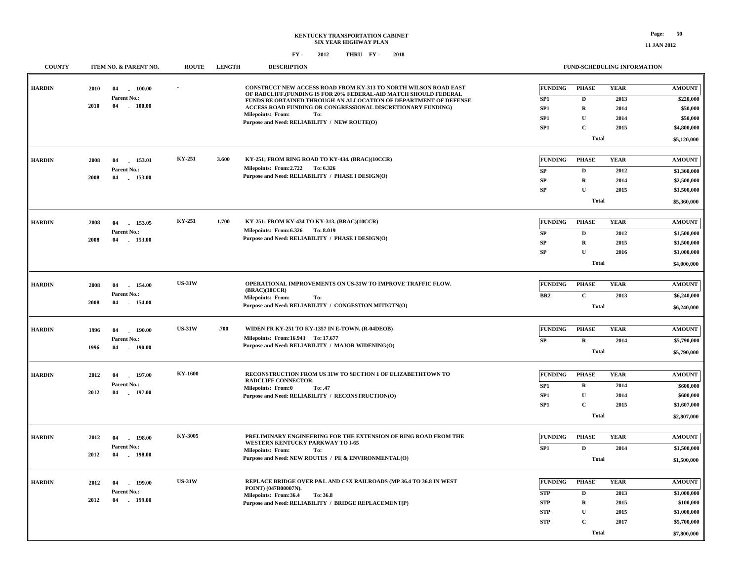| <b>COUNTY</b> | ITEM NO. & PARENT NO.                                                    | <b>ROUTE</b>  | <b>LENGTH</b> | <b>DESCRIPTION</b>                                                                                                                                                                                                                                                                                                                                 |                                                                  |                                                                                           | FUND-SCHEDULING INFORMATION                 |                                                                                        |
|---------------|--------------------------------------------------------------------------|---------------|---------------|----------------------------------------------------------------------------------------------------------------------------------------------------------------------------------------------------------------------------------------------------------------------------------------------------------------------------------------------------|------------------------------------------------------------------|-------------------------------------------------------------------------------------------|---------------------------------------------|----------------------------------------------------------------------------------------|
| <b>HARDIN</b> | 100.00<br>2010<br>04<br><b>Parent No.:</b><br>2010<br>04<br>$-100.00$    |               |               | CONSTRUCT NEW ACCESS ROAD FROM KY-313 TO NORTH WILSON ROAD EAST<br>OF RADCLIFF.(FUNDING IS FOR 20% FEDERAL-AID MATCH SHOULD FEDERAL<br>FUNDS BE OBTAINED THROUGH AN ALLOCATION OF DEPARTMENT OF DEFENSE<br>ACCESS ROAD FUNDING OR CONGRESSIONAL DISCRETIONARY FUNDING)<br>Milepoints: From:<br>To:<br>Purpose and Need: RELIABILITY / NEW ROUTE(O) | <b>FUNDING</b><br>SP <sub>1</sub><br>SP1<br>SP1<br>SP1           | <b>PHASE</b><br>$\mathbf D$<br>$\mathbf R$<br>$\mathbf{U}$<br>$\mathbf C$<br><b>Total</b> | <b>YEAR</b><br>2013<br>2014<br>2014<br>2015 | <b>AMOUNT</b><br>\$220,000<br>\$50,000<br>\$50,000<br>\$4,800,000<br>\$5,120,000       |
| <b>HARDIN</b> | 2008<br>153.01<br>04<br>Parent No.:<br>2008<br>04<br>153.00              | KY-251        | 3.600         | KY-251; FROM RING ROAD TO KY-434. (BRAC)(10CCR)<br>Milepoints: From: 2.722 To: 6.326<br>Purpose and Need: RELIABILITY / PHASE I DESIGN(O)                                                                                                                                                                                                          | <b>FUNDING</b><br>SP<br>${\bf SP}$<br>${\bf SP}$                 | <b>PHASE</b><br>$\mathbf D$<br>$\mathbf R$<br>$\mathbf U$<br>Total                        | <b>YEAR</b><br>2012<br>2014<br>2015         | <b>AMOUNT</b><br>\$1,360,000<br>\$2,500,000<br>\$1,500,000<br>\$5,360,000              |
| <b>HARDIN</b> | 2008<br>04<br>153.05<br>Parent No.:<br>04<br>2008<br>$-153.00$           | KY-251        | 1.700         | KY-251; FROM KY-434 TO KY-313. (BRAC)(10CCR)<br>Milepoints: From: 6.326 To: 8.019<br>Purpose and Need: RELIABILITY / PHASE I DESIGN(O)                                                                                                                                                                                                             | <b>FUNDING</b><br>SP<br>${\bf SP}$<br>${\bf SP}$                 | <b>PHASE</b><br>D<br>$\mathbf R$<br>$\mathbf U$<br><b>Total</b>                           | <b>YEAR</b><br>2012<br>2015<br>2016         | <b>AMOUNT</b><br>\$1,500,000<br>\$1,500,000<br>\$1,000,000<br>\$4,000,000              |
| <b>HARDIN</b> | 2008<br>04<br>154.00<br>Parent No.:<br>2008<br>154.00<br>04              | <b>US-31W</b> |               | OPERATIONAL IMPROVEMENTS ON US-31W TO IMPROVE TRAFFIC FLOW.<br>(BRAC)(10CCR)<br>Milepoints: From:<br>To:<br>Purpose and Need: RELIABILITY / CONGESTION MITIGTN(O)                                                                                                                                                                                  | <b>FUNDING</b><br>BR2                                            | <b>PHASE</b><br>$\mathbf C$<br><b>Total</b>                                               | <b>YEAR</b><br>2013                         | $\boldsymbol{\mathsf{AMOUNT}}$<br>\$6,240,000<br>\$6,240,000                           |
| <b>HARDIN</b> | 190.00<br>1996<br>04<br>Parent No.:<br>1996<br>04<br>$-190.00$           | <b>US-31W</b> | .700          | WIDEN FR KY-251 TO KY-1357 IN E-TOWN. (R-04DEOB)<br>Milepoints: From:16.943 To: 17.677<br>Purpose and Need: RELIABILITY / MAJOR WIDENING(O)                                                                                                                                                                                                        | <b>FUNDING</b><br>SP                                             | <b>PHASE</b><br>$\mathbf R$<br><b>Total</b>                                               | <b>YEAR</b><br>2014                         | <b>AMOUNT</b><br>\$5,790,000<br>\$5,790,000                                            |
| <b>HARDIN</b> | 197.00<br>2012<br>04<br>Parent No.:<br>2012<br>04<br>$-197.00$           | KY-1600       |               | RECONSTRUCTION FROM US 31W TO SECTION 1 OF ELIZABETHTOWN TO<br><b>RADCLIFF CONNECTOR.</b><br><b>Milepoints: From:0</b><br>To: .47<br>Purpose and Need: RELIABILITY / RECONSTRUCTION(O)                                                                                                                                                             | <b>FUNDING</b><br>SP1<br>SP1<br>SP1                              | <b>PHASE</b><br>$\mathbf R$<br>$\mathbf U$<br>$\mathbf C$<br><b>Total</b>                 | <b>YEAR</b><br>2014<br>2014<br>2015         | <b>AMOUNT</b><br>\$600,000<br>\$600,000<br>\$1,607,000<br>\$2,807,000                  |
| <b>HARDIN</b> | 2012<br>04<br>198.00<br>$\sim$<br>Parent No.:<br>2012<br>04<br>$-198.00$ | KY-3005       |               | PRELIMINARY ENGINEERING FOR THE EXTENSION OF RING ROAD FROM THE<br>WESTERN KENTUCKY PARKWAY TO I-65<br><b>Milepoints: From:</b><br>To:<br>Purpose and Need: NEW ROUTES / PE & ENVIRONMENTAL(O)                                                                                                                                                     | <b>FUNDING</b><br>SP <sub>1</sub>                                | <b>PHASE</b><br>$\mathbf{D}$<br><b>Total</b>                                              | <b>YEAR</b><br>2014                         | $\boldsymbol{\mathsf{AMOUNT}}$<br>\$1,500,000<br>\$1,500,000                           |
| <b>HARDIN</b> | 2012<br>199.00<br>04<br>Parent No.:<br>2012<br>04<br>$-199.00$           | <b>US-31W</b> |               | REPLACE BRIDGE OVER P&L AND CSX RAILROADS (MP 36.4 TO 36.8 IN WEST<br>POINT) (047B00007N).<br>Milepoints: From:36.4<br>To: 36.8<br>Purpose and Need: RELIABILITY / BRIDGE REPLACEMENT(P)                                                                                                                                                           | <b>FUNDING</b><br>${\bf STP}$<br><b>STP</b><br><b>STP</b><br>STP | <b>PHASE</b><br>D<br>$\mathbf R$<br>$\mathbf U$<br>$\mathbf C$<br><b>Total</b>            | <b>YEAR</b><br>2013<br>2015<br>2015<br>2017 | <b>AMOUNT</b><br>\$1,000,000<br>\$100,000<br>\$1,000,000<br>\$5,700,000<br>\$7,800,000 |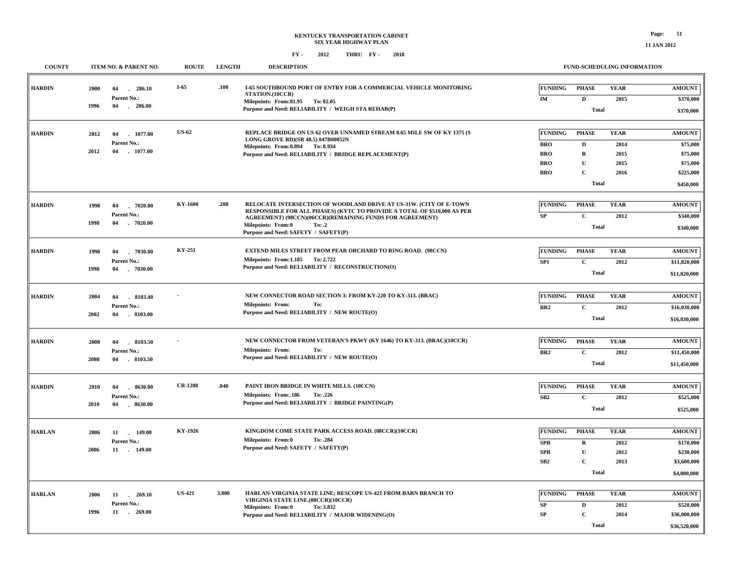| <b>COUNTY</b> |              | <b>ITEM NO. &amp; PARENT NO.</b>               | <b>ROUTE</b>   | <b>LENGTH</b> | <b>DESCRIPTION</b>                                                                                                                                                                   |                 |                                   | <b>FUND-SCHEDULING INFORMATION</b> |                                         |
|---------------|--------------|------------------------------------------------|----------------|---------------|--------------------------------------------------------------------------------------------------------------------------------------------------------------------------------------|-----------------|-----------------------------------|------------------------------------|-----------------------------------------|
| <b>HARDIN</b> | 2000<br>1996 | 04<br>286.10<br>Parent No.:<br>$-286.00$<br>04 | $I-65$         | .100          | <b>I-65 SOUTHBOUND PORT OF ENTRY FOR A COMMERCIAL VEHICLE MONITORING</b><br>STATION.(10CCR)<br>Milepoints: From:81.95 To:82.05<br>Purpose and Need: RELIABILITY / WEIGH STA REHAB(P) | FUNDING<br>IM   | <b>PHASE</b><br>D<br><b>Total</b> | <b>YEAR</b><br>2015                | <b>AMOUNT</b><br>\$370,000<br>\$370,000 |
| <b>HARDIN</b> | 2012         | 1077.00<br>04                                  | <b>US-62</b>   |               | REPLACE BRIDGE ON US 62 OVER UNNAMED STREAM 0.65 MILE SW OF KY 1375 (S                                                                                                               | <b>FUNDING</b>  | <b>PHASE</b>                      | <b>YEAR</b>                        | <b>AMOUNT</b>                           |
|               |              | Parent No.:                                    |                |               | LONG GROVE RD)(SR 48.5) 047B00052N<br>Milepoints: From: 8.894 To: 8.934                                                                                                              | <b>BRO</b>      | D                                 | 2014                               | \$75,000                                |
|               | 2012         | 04<br>$-1077.00$                               |                |               | Purpose and Need: RELIABILITY / BRIDGE REPLACEMENT(P)                                                                                                                                | <b>BRO</b>      | $\mathbf R$                       | 2015                               | \$75,000                                |
|               |              |                                                |                |               |                                                                                                                                                                                      | <b>BRO</b>      | $\mathbf{U}$                      | 2015                               | \$75,000                                |
|               |              |                                                |                |               |                                                                                                                                                                                      | <b>BRO</b>      | $\mathbf C$                       | 2016                               | \$225,000                               |
|               |              |                                                |                |               |                                                                                                                                                                                      |                 | Total                             |                                    | \$450,000                               |
| <b>HARDIN</b> | 1998         | 04<br>$-7020.00$                               | KY-1600        | .200          | RELOCATE INTERSECTION OF WOODLAND DRIVE AT US-31W. (CITY OF E-TOWN                                                                                                                   | <b>FUNDING</b>  | <b>PHASE</b>                      | <b>YEAR</b>                        | <b>AMOUNT</b>                           |
|               |              | Parent No.:                                    |                |               | RESPONSIBLE FOR ALL PHASES) (KYTC TO PROVIDE A TOTAL OF \$510,000 AS PER                                                                                                             | SP              | $\mathbf{C}$                      | 2012                               | \$340,000                               |
|               | 1998         | 04<br>$-7020.00$                               |                |               | AGREEMENT) (98CCN)(06CCR)(REMAINING FUNDS FOR AGREEMENT)<br><b>Milepoints: From:0</b><br>To: .2                                                                                      |                 | <b>Total</b>                      |                                    |                                         |
|               |              |                                                |                |               | Purpose and Need: SAFETY / SAFETY(P)                                                                                                                                                 |                 |                                   |                                    | \$340,000                               |
| <b>HARDIN</b> | 1998         | $-7030.00$<br>04                               | KY-251         |               | EXTEND MILES STREET FROM PEAR ORCHARD TO RING ROAD. (98CCN)                                                                                                                          | FUNDING         | <b>PHASE</b>                      | <b>YEAR</b>                        | <b>AMOUNT</b>                           |
|               |              | Parent No.:                                    |                |               | Milepoints: From:1.185 To: 2.722                                                                                                                                                     | SP <sub>1</sub> | $\mathbf C$                       | 2012                               | \$11,820,000                            |
|               | 1998         | $-7030.00$<br>04                               |                |               | Purpose and Need: RELIABILITY / RECONSTRUCTION(O)                                                                                                                                    |                 | <b>Total</b>                      |                                    | \$11,820,000                            |
|               |              |                                                |                |               |                                                                                                                                                                                      |                 |                                   |                                    |                                         |
| <b>HARDIN</b> | 2004         | $-8103.40$<br>04                               |                |               | NEW CONNECTOR ROAD SECTION 3: FROM KY-220 TO KY-313. (BRAC)                                                                                                                          | <b>FUNDING</b>  | <b>PHASE</b>                      | <b>YEAR</b>                        | <b>AMOUNT</b>                           |
|               |              | Parent No.:                                    |                |               | <b>Milepoints: From:</b><br>To:<br>Purpose and Need: RELIABILITY / NEW ROUTE(O)                                                                                                      | BR2             | $\mathbf C$                       | 2012                               | \$16,030,000                            |
|               | 2002         | $-8103.00$<br>04                               |                |               |                                                                                                                                                                                      |                 | <b>Total</b>                      |                                    | \$16,030,000                            |
|               |              |                                                |                |               |                                                                                                                                                                                      |                 |                                   |                                    |                                         |
| <b>HARDIN</b> | 2008         | 04<br>8103.50                                  |                |               | NEW CONNECTOR FROM VETERAN'S PKWY (KY 1646) TO KY-313. (BRAC)(10CCR)<br><b>Milepoints: From:</b><br>To:                                                                              | <b>FUNDING</b>  | <b>PHASE</b>                      | <b>YEAR</b>                        | <b>AMOUNT</b>                           |
|               | 2008         | Parent No.:<br>$-8103.50$<br>04                |                |               | Purpose and Need: RELIABILITY / NEW ROUTE(O)                                                                                                                                         | BR <sub>2</sub> | $\mathbf C$                       | 2012                               | \$11,450,000                            |
|               |              |                                                |                |               |                                                                                                                                                                                      |                 | <b>Total</b>                      |                                    | \$11,450,000                            |
| <b>HARDIN</b> | 2010         | 04<br>$-8630.00$                               | <b>CR-1288</b> | .040          | PAINT IRON BRIDGE IN WHITE MILLS. (10CCN)                                                                                                                                            | <b>FUNDING</b>  | <b>PHASE</b>                      | <b>YEAR</b>                        | <b>AMOUNT</b>                           |
|               |              | Parent No.:                                    |                |               | Milepoints: From:.186<br>To: .226                                                                                                                                                    | SB2             | $\mathbf C$                       | 2012                               | \$525,000                               |
|               | 2010         | 04<br>$-8630.00$                               |                |               | Purpose and Need: RELIABILITY / BRIDGE PAINTING(P)                                                                                                                                   |                 | <b>Total</b>                      |                                    | \$525,000                               |
|               |              |                                                |                |               |                                                                                                                                                                                      |                 |                                   |                                    |                                         |
| <b>HARLAN</b> | 2006         | 11 149.00                                      | KY-1926        |               | KINGDOM COME STATE PARK ACCESS ROAD. (08CCR)(10CCR)                                                                                                                                  | FUNDING         | <b>PHASE</b>                      | <b>YEAR</b>                        | <b>AMOUNT</b>                           |
|               |              | Parent No.:                                    |                |               | <b>Milepoints: From:0</b><br>To: .284<br>Purpose and Need: SAFETY / SAFETY(P)                                                                                                        | SPB             | R                                 | 2012                               | \$170,000                               |
|               | 2006         | 11 . 149.00                                    |                |               |                                                                                                                                                                                      | <b>SPB</b>      | $\mathbf{U}$                      | 2012                               | \$230,000                               |
|               |              |                                                |                |               |                                                                                                                                                                                      | SB <sub>2</sub> | $\mathbf C$                       | 2013                               | \$3,600,000                             |
|               |              |                                                |                |               |                                                                                                                                                                                      |                 | <b>Total</b>                      |                                    | \$4,000,000                             |
| <b>HARLAN</b> | 2006         | $-269.10$                                      | <b>US-421</b>  | 3.800         | HARLAN-VIRGINIA STATE LINE; RESCOPE US-421 FROM BARN BRANCH TO                                                                                                                       | <b>FUNDING</b>  | <b>PHASE</b>                      | <b>YEAR</b>                        | <b>AMOUNT</b>                           |
|               |              | 11<br>Parent No.:                              |                |               | VIRGINIA STATE LINE.(08CCR)(10CCR)                                                                                                                                                   | <b>SP</b>       | D                                 | 2012                               | \$520,000                               |
|               | 1996         | 11<br>$-269.00$                                |                |               | To: 3.832<br>Milepoints: From:0<br>Purpose and Need: RELIABILITY / MAJOR WIDENING(O)                                                                                                 | <b>SP</b>       | $\mathbf C$                       | 2014                               | \$36,000,000                            |
|               |              |                                                |                |               |                                                                                                                                                                                      |                 | Total                             |                                    | \$36,520,000                            |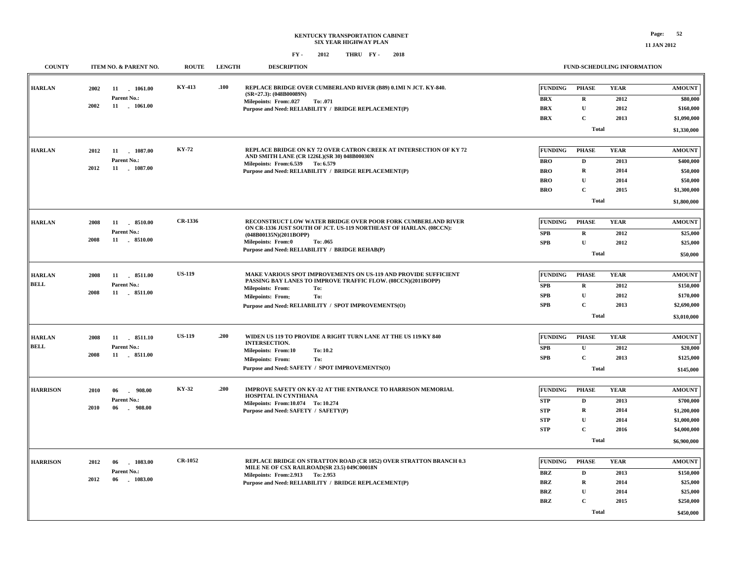| <b>COUNTY</b>   | ITEM NO. & PARENT NO.             | <b>ROUTE</b>   | <b>LENGTH</b> | <b>DESCRIPTION</b>                                                                                                              |                |                | FUND-SCHEDULING INFORMATION |               |
|-----------------|-----------------------------------|----------------|---------------|---------------------------------------------------------------------------------------------------------------------------------|----------------|----------------|-----------------------------|---------------|
| <b>HARLAN</b>   | 2002<br>11 1061.00                | KY-413         | .100          | REPLACE BRIDGE OVER CUMBERLAND RIVER (B89) 0.1MI N JCT. KY-840.<br>$(SR=27.3)$ : (048B00089N)                                   | <b>FUNDING</b> | <b>PHASE</b>   | <b>YEAR</b>                 | <b>AMOUNT</b> |
|                 | Parent No.:                       |                |               | <b>Milepoints: From:.027</b><br>To: .071                                                                                        | <b>BRX</b>     | $\mathbf R$    | 2012                        | \$80,000      |
|                 | 2002<br>11 . 1061.00              |                |               | Purpose and Need: RELIABILITY / BRIDGE REPLACEMENT(P)                                                                           | <b>BRX</b>     | $\mathbf{U}$   | 2012                        | \$160,000     |
|                 |                                   |                |               |                                                                                                                                 | <b>BRX</b>     | $\mathbf{C}$   | 2013                        | \$1,090,000   |
|                 |                                   |                |               |                                                                                                                                 |                | <b>Total</b>   |                             | \$1,330,000   |
| <b>HARLAN</b>   | 2012<br>11 1087.00                | KY-72          |               | REPLACE BRIDGE ON KY 72 OVER CATRON CREEK AT INTERSECTION OF KY 72                                                              | <b>FUNDING</b> | <b>PHASE</b>   | <b>YEAR</b>                 | <b>AMOUNT</b> |
|                 | Parent No.:                       |                |               | AND SMITH LANE (CR 1226L)(SR 30) 048B00030N<br>Milepoints: From: 6.539 To: 6.579                                                | <b>BRO</b>     | $\mathbf{D}$   | 2013                        | \$400,000     |
|                 | 2012<br>11 1087.00                |                |               | Purpose and Need: RELIABILITY / BRIDGE REPLACEMENT(P)                                                                           | <b>BRO</b>     | ${\bf R}$      | 2014                        | \$50,000      |
|                 |                                   |                |               |                                                                                                                                 | <b>BRO</b>     | $\mathbf{U}$   | 2014                        | \$50,000      |
|                 |                                   |                |               |                                                                                                                                 | <b>BRO</b>     | $\mathbf{C}$   | 2015                        | \$1,300,000   |
|                 |                                   |                |               |                                                                                                                                 |                | Total          |                             | \$1,800,000   |
| <b>HARLAN</b>   | 2008<br>11 8510.00                | CR-1336        |               | RECONSTRUCT LOW WATER BRIDGE OVER POOR FORK CUMBERLAND RIVER                                                                    | FUNDING        | <b>PHASE</b>   | <b>YEAR</b>                 | <b>AMOUNT</b> |
|                 | Parent No.:                       |                |               | ON CR-1336 JUST SOUTH OF JCT. US-119 NORTHEAST OF HARLAN. (08CCN):                                                              | SPB            | $\mathbf R$    | 2012                        | \$25,000      |
|                 | 2008<br>11 8510.00                |                |               | (048B00135N)(2011BOPP)<br><b>Milepoints: From:0</b><br>To: .065                                                                 | SPB            | ${\bf U}$      | 2012                        | \$25,000      |
|                 |                                   |                |               | Purpose and Need: RELIABILITY / BRIDGE REHAB(P)                                                                                 |                | <b>Total</b>   |                             | \$50,000      |
|                 |                                   |                |               |                                                                                                                                 |                |                |                             |               |
| <b>HARLAN</b>   | 2008<br>11<br>8511.00             | <b>US-119</b>  |               | MAKE VARIOUS SPOT IMPROVEMENTS ON US-119 AND PROVIDE SUFFICIENT<br>PASSING BAY LANES TO IMPROVE TRAFFIC FLOW. (08CCN)(2011BOPP) | <b>FUNDING</b> | <b>PHASE</b>   | <b>YEAR</b>                 | <b>AMOUNT</b> |
| <b>BELL</b>     | Parent No.:<br>11 8511.00<br>2008 |                |               | <b>Milepoints: From:</b><br>To:                                                                                                 | <b>SPB</b>     | R              | 2012                        | \$150,000     |
|                 |                                   |                |               | <b>Milepoints: From:</b><br>To:                                                                                                 | SPB            | ${\bf U}$      | 2012                        | \$170,000     |
|                 |                                   |                |               | Purpose and Need: RELIABILITY / SPOT IMPROVEMENTS(O)                                                                            | SPB            | $\mathbf C$    | 2013                        | \$2,690,000   |
|                 |                                   |                |               |                                                                                                                                 |                | <b>Total</b>   |                             | \$3,010,000   |
| <b>HARLAN</b>   | 11 8511.10<br>2008                | <b>US-119</b>  | .200          | WIDEN US 119 TO PROVIDE A RIGHT TURN LANE AT THE US 119/KY 840                                                                  | FUNDING        | <b>PHASE</b>   | <b>YEAR</b>                 | <b>AMOUNT</b> |
| <b>BELL</b>     | Parent No.:                       |                |               | <b>INTERSECTION.</b><br>Milepoints: From:10<br>To: 10.2                                                                         | SPB            | $\mathbf U$    | 2012                        | \$20,000      |
|                 | 2008<br>11<br>$. \t8511.00$       |                |               | <b>Milepoints: From:</b><br>To:                                                                                                 | SPB            | $\mathbf C$    | 2013                        | \$125,000     |
|                 |                                   |                |               | Purpose and Need: SAFETY / SPOT IMPROVEMENTS(O)                                                                                 |                | <b>Total</b>   |                             | \$145,000     |
| <b>HARRISON</b> | 2010<br>$-908.00$<br>06           | KY-32          | .200          | IMPROVE SAFETY ON KY-32 AT THE ENTRANCE TO HARRISON MEMORIAL                                                                    | <b>FUNDING</b> | <b>PHASE</b>   | <b>YEAR</b>                 | <b>AMOUNT</b> |
|                 | Parent No.:                       |                |               | HOSPITAL IN CYNTHIANA                                                                                                           | <b>STP</b>     | $\mathbf D$    | 2013                        | \$700,000     |
|                 | 2010<br>06<br>.908.00             |                |               | Milepoints: From:10.074 To: 10.274                                                                                              | <b>STP</b>     | $\mathbf R$    | 2014                        | \$1,200,000   |
|                 |                                   |                |               | Purpose and Need: SAFETY / SAFETY(P)                                                                                            | <b>STP</b>     | $\mathbf U$    | 2014                        | \$1,000,000   |
|                 |                                   |                |               |                                                                                                                                 | <b>STP</b>     | $\overline{c}$ | 2016                        | \$4,000,000   |
|                 |                                   |                |               |                                                                                                                                 |                | <b>Total</b>   |                             | \$6,900,000   |
|                 |                                   |                |               |                                                                                                                                 |                |                |                             |               |
| <b>HARRISON</b> | 2012<br>06<br>1083.00             | <b>CR-1052</b> |               | REPLACE BRIDGE ON STRATTON ROAD (CR 1052) OVER STRATTON BRANCH 0.3<br>MILE NE OF CSX RAILROAD(SR 23.5) 049C00018N               | <b>FUNDING</b> | <b>PHASE</b>   | <b>YEAR</b>                 | <b>AMOUNT</b> |
|                 | Parent No.:                       |                |               | Milepoints: From: 2.913 To: 2.953                                                                                               | <b>BRZ</b>     | $\mathbf D$    | 2013                        | \$150,000     |
|                 | 2012<br>06<br>$-1083.00$          |                |               | Purpose and Need: RELIABILITY / BRIDGE REPLACEMENT(P)                                                                           | <b>BRZ</b>     | $\mathbf R$    | 2014                        | \$25,000      |
|                 |                                   |                |               |                                                                                                                                 | <b>BRZ</b>     | $\mathbf{U}$   | 2014                        | \$25,000      |
|                 |                                   |                |               |                                                                                                                                 | BRZ            | $\mathbf C$    | 2015                        | \$250,000     |
|                 |                                   |                |               |                                                                                                                                 |                | <b>Total</b>   |                             | \$450,000     |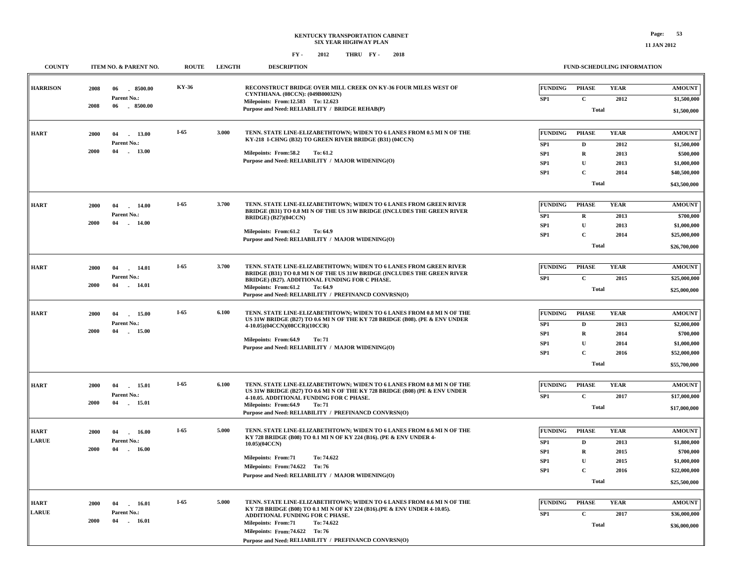**COUNTY ITEM NO. & PARENT NO. ROUTE LENGTH DESCRIPTION**

# **FUND-SCHEDULING INFORMATION**

| RECONSTRUCT BRIDGE OVER MILL CREEK ON KY-36 FOUR MILES WEST OF<br>KY-36<br><b>FUNDING</b><br><b>YEAR</b><br><b>HARRISON</b><br><b>PHASE</b><br><b>AMOUNT</b><br>2008<br>8500.00<br>06<br>CYNTHIANA. (08CCN): (049B00032N)<br>Parent No.:<br>$\mathbf C$<br>SP <sub>1</sub><br>2012<br>\$1,500,000<br>Milepoints: From:12.583 To: 12.623<br>2008<br>06<br>$-8500.00$<br>Purpose and Need: RELIABILITY / BRIDGE REHAB(P)<br><b>Total</b><br>\$1,500,000<br>$I-65$<br>3.000<br>TENN. STATE LINE-ELIZABETHTOWN; WIDEN TO 6 LANES FROM 0.5 MI N OF THE<br><b>FUNDING</b><br><b>PHASE</b><br><b>YEAR</b><br><b>HART</b><br><b>AMOUNT</b><br>13.00<br>2000<br>04<br>$\sim$<br>KY-218 I-CHNG (B32) TO GREEN RIVER BRIDGE (B31) (04CCN)<br>Parent No.:<br>SP1<br>$\mathbf{D}$<br>2012<br>\$1,500,000<br>2000<br>04<br>13.00<br>Milepoints: From:58.2<br>To: 61.2<br>SP1<br>$\mathbf R$<br>2013<br>\$500,000<br>Purpose and Need: RELIABILITY / MAJOR WIDENING(O)<br>$\mathbf{U}$<br>SP <sub>1</sub><br>2013<br>\$1,000,000<br>$\mathbf C$<br>SP1<br>2014<br>\$40,500,000<br>Total<br>\$43,500,000<br>$I-65$<br>3.700<br>TENN. STATE LINE-ELIZABETHTOWN; WIDEN TO 6 LANES FROM GREEN RIVER<br><b>FUNDING</b><br><b>PHASE</b><br><b>YEAR</b><br><b>AMOUNT</b><br><b>HART</b><br>14.00<br>2000<br>04<br>BRIDGE (B31) TO 0.8 MI N OF THE US 31W BRIDGE (INCLUDES THE GREEN RIVER<br>Parent No.:<br>SP1<br>$\mathbf R$<br>2013<br>\$700,000<br><b>BRIDGE</b> ) (B27)(04CCN)<br>2000<br>04<br>14.00<br>n.<br>SP <sub>1</sub><br>$\mathbf{U}$<br>2013<br>\$1,000,000<br>Milepoints: From:61.2<br>To: 64.9<br>$\mathbf C$<br>SP1<br>2014<br>\$25,000,000<br>Purpose and Need: RELIABILITY / MAJOR WIDENING(O)<br><b>Total</b><br>\$26,700,000<br>$I-65$<br>3.700<br><b>YEAR</b><br>TENN. STATE LINE-ELIZABETHTOWN; WIDEN TO 6 LANES FROM GREEN RIVER<br><b>FUNDING</b><br><b>PHASE</b><br><b>AMOUNT</b><br><b>HART</b><br>2000<br>04<br>14.01<br>BRIDGE (B31) TO 0.8 MI N OF THE US 31W BRIDGE (INCLUDES THE GREEN RIVER<br>Parent No.:<br>SP1<br>$\mathbf C$<br>2015<br>\$25,000,000<br>BRIDGE) (B27). ADDITIONAL FUNDING FOR C PHASE.<br>2000<br>04<br>14.01<br>$\sim$<br>Milepoints: From:61.2<br>To: 64.9<br><b>Total</b><br>\$25,000,000<br>Purpose and Need: RELIABILITY / PREFINANCD CONVRSN(O)<br>$I-65$<br>TENN. STATE LINE-ELIZABETHTOWN; WIDEN TO 6 LANES FROM 0.8 MI N OF THE<br>6.100<br><b>FUNDING</b><br><b>PHASE</b><br><b>YEAR</b><br><b>AMOUNT</b><br><b>HART</b><br>2000<br>04<br>15.00<br>US 31W BRIDGE (B27) TO 0.6 MI N OF THE KY 728 BRIDGE (B08). (PE & ENV UNDER<br>Parent No.:<br>\$2,000,000<br>SP <sub>1</sub><br>D<br>2013<br>4-10.05)(04CCN)(08CCR)(10CCR)<br>2000<br>04<br>15.00<br>SP1<br>$\bf R$<br>2014<br>\$700,000<br>Milepoints: From:64.9<br>To: 71<br>SP <sub>1</sub><br>U<br>2014<br>\$1,000,000<br>Purpose and Need: RELIABILITY / MAJOR WIDENING(O)<br>$\mathbf C$<br>SP <sub>1</sub><br>2016<br>\$52,000,000<br><b>Total</b><br>\$55,700,000<br>$I-65$<br>6.100<br>TENN. STATE LINE-ELIZABETHTOWN; WIDEN TO 6 LANES FROM 0.8 MI N OF THE<br><b>FUNDING</b><br><b>PHASE</b><br><b>YEAR</b><br><b>HART</b><br><b>AMOUNT</b><br>2000<br>04<br>15.01<br>US 31W BRIDGE (B27) TO 0.6 MI N OF THE KY 728 BRIDGE (B08) (PE & ENV UNDER<br>Parent No.:<br>$\mathbf C$<br>SP <sub>1</sub><br>2017<br>\$17,000,000<br>4-10.05. ADDITIONAL FUNDING FOR C PHASE.<br>2000<br>04 15.01<br>Milepoints: From:64.9<br>To: 71<br><b>Total</b><br>\$17,000,000<br>Purpose and Need: RELIABILITY / PREFINANCD CONVRSN(O)<br>5.000<br>$I-65$<br>TENN. STATE LINE-ELIZABETHTOWN; WIDEN TO 6 LANES FROM 0.6 MI N OF THE<br><b>YEAR</b><br><b>FUNDING</b><br><b>PHASE</b><br><b>HART</b><br><b>AMOUNT</b><br>2000<br>04<br>16.00<br>KY 728 BRIDGE (B08) TO 0.1 MI N OF KY 224 (B16). (PE & ENV UNDER 4-<br><b>LARUE</b><br>Parent No.:<br>SP <sub>1</sub><br>D<br>2013<br>\$1,800,000<br>10.05)(04CCN)<br>2000<br>04<br>16.00<br>$\overline{\phantom{a}}$<br>SP <sub>1</sub><br>$\bf R$<br>2015<br>\$700,000<br><b>Milepoints: From:71</b><br>To: 74.622<br>$\mathbf{U}$<br>SP <sub>1</sub><br>2015<br>\$1,000,000<br>Milepoints: From: 74.622 To: 76<br>$\mathbf C$<br>SP <sub>1</sub><br>2016<br>\$22,000,000<br>Purpose and Need: RELIABILITY / MAJOR WIDENING(O)<br><b>Total</b><br>\$25,500,000<br>$I-65$<br>TENN. STATE LINE-ELIZABETHTOWN: WIDEN TO 6 LANES FROM 0.6 MI N OF THE<br>5.000<br><b>FUNDING</b><br><b>PHASE</b><br><b>YEAR</b><br><b>AMOUNT</b><br><b>HART</b><br>2000<br>04<br>16.01<br>KY 728 BRIDGE (B08) TO 0.1 MI N OF KY 224 (B16). (PE & ENV UNDER 4-10.05).<br><b>LARUE</b><br>Parent No.:<br>$\mathbf{C}$<br>2017<br>\$36,000,000<br>SP <sub>1</sub><br>ADDITIONAL FUNDING FOR C PHASE.<br>2000<br>04<br>16.01<br>Milepoints: From:71<br>To: 74.622<br><b>Total</b><br>\$36,000,000<br>Milepoints: From: 74.622 To: 76<br>Purpose and Need: RELIABILITY / PREFINANCD CONVRSN(O) |  |  |  |  |  |
|--------------------------------------------------------------------------------------------------------------------------------------------------------------------------------------------------------------------------------------------------------------------------------------------------------------------------------------------------------------------------------------------------------------------------------------------------------------------------------------------------------------------------------------------------------------------------------------------------------------------------------------------------------------------------------------------------------------------------------------------------------------------------------------------------------------------------------------------------------------------------------------------------------------------------------------------------------------------------------------------------------------------------------------------------------------------------------------------------------------------------------------------------------------------------------------------------------------------------------------------------------------------------------------------------------------------------------------------------------------------------------------------------------------------------------------------------------------------------------------------------------------------------------------------------------------------------------------------------------------------------------------------------------------------------------------------------------------------------------------------------------------------------------------------------------------------------------------------------------------------------------------------------------------------------------------------------------------------------------------------------------------------------------------------------------------------------------------------------------------------------------------------------------------------------------------------------------------------------------------------------------------------------------------------------------------------------------------------------------------------------------------------------------------------------------------------------------------------------------------------------------------------------------------------------------------------------------------------------------------------------------------------------------------------------------------------------------------------------------------------------------------------------------------------------------------------------------------------------------------------------------------------------------------------------------------------------------------------------------------------------------------------------------------------------------------------------------------------------------------------------------------------------------------------------------------------------------------------------------------------------------------------------------------------------------------------------------------------------------------------------------------------------------------------------------------------------------------------------------------------------------------------------------------------------------------------------------------------------------------------------------------------------------------------------------------------------------------------------------------------------------------------------------------------------------------------------------------------------------------------------------------------------------------------------------------------------------------------------------------------------------------------------------------------------------------------------------------------------------------------------------------------------------------------------------------------------------------------------------------------------------------------------------------------------------------------------------------------------------------------------------------------------------------------------------------------------------------------------------------------------------------------------------------------------------------------------------------------------------------------------------------------------------------------------------------------------------------------------------------------------------------------------------------------------------------------------------------------------------------------------------------------------------------|--|--|--|--|--|
|                                                                                                                                                                                                                                                                                                                                                                                                                                                                                                                                                                                                                                                                                                                                                                                                                                                                                                                                                                                                                                                                                                                                                                                                                                                                                                                                                                                                                                                                                                                                                                                                                                                                                                                                                                                                                                                                                                                                                                                                                                                                                                                                                                                                                                                                                                                                                                                                                                                                                                                                                                                                                                                                                                                                                                                                                                                                                                                                                                                                                                                                                                                                                                                                                                                                                                                                                                                                                                                                                                                                                                                                                                                                                                                                                                                                                                                                                                                                                                                                                                                                                                                                                                                                                                                                                                                                                                                                                                                                                                                                                                                                                                                                                                                                                                                                                                                                                                              |  |  |  |  |  |
|                                                                                                                                                                                                                                                                                                                                                                                                                                                                                                                                                                                                                                                                                                                                                                                                                                                                                                                                                                                                                                                                                                                                                                                                                                                                                                                                                                                                                                                                                                                                                                                                                                                                                                                                                                                                                                                                                                                                                                                                                                                                                                                                                                                                                                                                                                                                                                                                                                                                                                                                                                                                                                                                                                                                                                                                                                                                                                                                                                                                                                                                                                                                                                                                                                                                                                                                                                                                                                                                                                                                                                                                                                                                                                                                                                                                                                                                                                                                                                                                                                                                                                                                                                                                                                                                                                                                                                                                                                                                                                                                                                                                                                                                                                                                                                                                                                                                                                              |  |  |  |  |  |
|                                                                                                                                                                                                                                                                                                                                                                                                                                                                                                                                                                                                                                                                                                                                                                                                                                                                                                                                                                                                                                                                                                                                                                                                                                                                                                                                                                                                                                                                                                                                                                                                                                                                                                                                                                                                                                                                                                                                                                                                                                                                                                                                                                                                                                                                                                                                                                                                                                                                                                                                                                                                                                                                                                                                                                                                                                                                                                                                                                                                                                                                                                                                                                                                                                                                                                                                                                                                                                                                                                                                                                                                                                                                                                                                                                                                                                                                                                                                                                                                                                                                                                                                                                                                                                                                                                                                                                                                                                                                                                                                                                                                                                                                                                                                                                                                                                                                                                              |  |  |  |  |  |
|                                                                                                                                                                                                                                                                                                                                                                                                                                                                                                                                                                                                                                                                                                                                                                                                                                                                                                                                                                                                                                                                                                                                                                                                                                                                                                                                                                                                                                                                                                                                                                                                                                                                                                                                                                                                                                                                                                                                                                                                                                                                                                                                                                                                                                                                                                                                                                                                                                                                                                                                                                                                                                                                                                                                                                                                                                                                                                                                                                                                                                                                                                                                                                                                                                                                                                                                                                                                                                                                                                                                                                                                                                                                                                                                                                                                                                                                                                                                                                                                                                                                                                                                                                                                                                                                                                                                                                                                                                                                                                                                                                                                                                                                                                                                                                                                                                                                                                              |  |  |  |  |  |
|                                                                                                                                                                                                                                                                                                                                                                                                                                                                                                                                                                                                                                                                                                                                                                                                                                                                                                                                                                                                                                                                                                                                                                                                                                                                                                                                                                                                                                                                                                                                                                                                                                                                                                                                                                                                                                                                                                                                                                                                                                                                                                                                                                                                                                                                                                                                                                                                                                                                                                                                                                                                                                                                                                                                                                                                                                                                                                                                                                                                                                                                                                                                                                                                                                                                                                                                                                                                                                                                                                                                                                                                                                                                                                                                                                                                                                                                                                                                                                                                                                                                                                                                                                                                                                                                                                                                                                                                                                                                                                                                                                                                                                                                                                                                                                                                                                                                                                              |  |  |  |  |  |
|                                                                                                                                                                                                                                                                                                                                                                                                                                                                                                                                                                                                                                                                                                                                                                                                                                                                                                                                                                                                                                                                                                                                                                                                                                                                                                                                                                                                                                                                                                                                                                                                                                                                                                                                                                                                                                                                                                                                                                                                                                                                                                                                                                                                                                                                                                                                                                                                                                                                                                                                                                                                                                                                                                                                                                                                                                                                                                                                                                                                                                                                                                                                                                                                                                                                                                                                                                                                                                                                                                                                                                                                                                                                                                                                                                                                                                                                                                                                                                                                                                                                                                                                                                                                                                                                                                                                                                                                                                                                                                                                                                                                                                                                                                                                                                                                                                                                                                              |  |  |  |  |  |
|                                                                                                                                                                                                                                                                                                                                                                                                                                                                                                                                                                                                                                                                                                                                                                                                                                                                                                                                                                                                                                                                                                                                                                                                                                                                                                                                                                                                                                                                                                                                                                                                                                                                                                                                                                                                                                                                                                                                                                                                                                                                                                                                                                                                                                                                                                                                                                                                                                                                                                                                                                                                                                                                                                                                                                                                                                                                                                                                                                                                                                                                                                                                                                                                                                                                                                                                                                                                                                                                                                                                                                                                                                                                                                                                                                                                                                                                                                                                                                                                                                                                                                                                                                                                                                                                                                                                                                                                                                                                                                                                                                                                                                                                                                                                                                                                                                                                                                              |  |  |  |  |  |
|                                                                                                                                                                                                                                                                                                                                                                                                                                                                                                                                                                                                                                                                                                                                                                                                                                                                                                                                                                                                                                                                                                                                                                                                                                                                                                                                                                                                                                                                                                                                                                                                                                                                                                                                                                                                                                                                                                                                                                                                                                                                                                                                                                                                                                                                                                                                                                                                                                                                                                                                                                                                                                                                                                                                                                                                                                                                                                                                                                                                                                                                                                                                                                                                                                                                                                                                                                                                                                                                                                                                                                                                                                                                                                                                                                                                                                                                                                                                                                                                                                                                                                                                                                                                                                                                                                                                                                                                                                                                                                                                                                                                                                                                                                                                                                                                                                                                                                              |  |  |  |  |  |
|                                                                                                                                                                                                                                                                                                                                                                                                                                                                                                                                                                                                                                                                                                                                                                                                                                                                                                                                                                                                                                                                                                                                                                                                                                                                                                                                                                                                                                                                                                                                                                                                                                                                                                                                                                                                                                                                                                                                                                                                                                                                                                                                                                                                                                                                                                                                                                                                                                                                                                                                                                                                                                                                                                                                                                                                                                                                                                                                                                                                                                                                                                                                                                                                                                                                                                                                                                                                                                                                                                                                                                                                                                                                                                                                                                                                                                                                                                                                                                                                                                                                                                                                                                                                                                                                                                                                                                                                                                                                                                                                                                                                                                                                                                                                                                                                                                                                                                              |  |  |  |  |  |
|                                                                                                                                                                                                                                                                                                                                                                                                                                                                                                                                                                                                                                                                                                                                                                                                                                                                                                                                                                                                                                                                                                                                                                                                                                                                                                                                                                                                                                                                                                                                                                                                                                                                                                                                                                                                                                                                                                                                                                                                                                                                                                                                                                                                                                                                                                                                                                                                                                                                                                                                                                                                                                                                                                                                                                                                                                                                                                                                                                                                                                                                                                                                                                                                                                                                                                                                                                                                                                                                                                                                                                                                                                                                                                                                                                                                                                                                                                                                                                                                                                                                                                                                                                                                                                                                                                                                                                                                                                                                                                                                                                                                                                                                                                                                                                                                                                                                                                              |  |  |  |  |  |
|                                                                                                                                                                                                                                                                                                                                                                                                                                                                                                                                                                                                                                                                                                                                                                                                                                                                                                                                                                                                                                                                                                                                                                                                                                                                                                                                                                                                                                                                                                                                                                                                                                                                                                                                                                                                                                                                                                                                                                                                                                                                                                                                                                                                                                                                                                                                                                                                                                                                                                                                                                                                                                                                                                                                                                                                                                                                                                                                                                                                                                                                                                                                                                                                                                                                                                                                                                                                                                                                                                                                                                                                                                                                                                                                                                                                                                                                                                                                                                                                                                                                                                                                                                                                                                                                                                                                                                                                                                                                                                                                                                                                                                                                                                                                                                                                                                                                                                              |  |  |  |  |  |
|                                                                                                                                                                                                                                                                                                                                                                                                                                                                                                                                                                                                                                                                                                                                                                                                                                                                                                                                                                                                                                                                                                                                                                                                                                                                                                                                                                                                                                                                                                                                                                                                                                                                                                                                                                                                                                                                                                                                                                                                                                                                                                                                                                                                                                                                                                                                                                                                                                                                                                                                                                                                                                                                                                                                                                                                                                                                                                                                                                                                                                                                                                                                                                                                                                                                                                                                                                                                                                                                                                                                                                                                                                                                                                                                                                                                                                                                                                                                                                                                                                                                                                                                                                                                                                                                                                                                                                                                                                                                                                                                                                                                                                                                                                                                                                                                                                                                                                              |  |  |  |  |  |
|                                                                                                                                                                                                                                                                                                                                                                                                                                                                                                                                                                                                                                                                                                                                                                                                                                                                                                                                                                                                                                                                                                                                                                                                                                                                                                                                                                                                                                                                                                                                                                                                                                                                                                                                                                                                                                                                                                                                                                                                                                                                                                                                                                                                                                                                                                                                                                                                                                                                                                                                                                                                                                                                                                                                                                                                                                                                                                                                                                                                                                                                                                                                                                                                                                                                                                                                                                                                                                                                                                                                                                                                                                                                                                                                                                                                                                                                                                                                                                                                                                                                                                                                                                                                                                                                                                                                                                                                                                                                                                                                                                                                                                                                                                                                                                                                                                                                                                              |  |  |  |  |  |
|                                                                                                                                                                                                                                                                                                                                                                                                                                                                                                                                                                                                                                                                                                                                                                                                                                                                                                                                                                                                                                                                                                                                                                                                                                                                                                                                                                                                                                                                                                                                                                                                                                                                                                                                                                                                                                                                                                                                                                                                                                                                                                                                                                                                                                                                                                                                                                                                                                                                                                                                                                                                                                                                                                                                                                                                                                                                                                                                                                                                                                                                                                                                                                                                                                                                                                                                                                                                                                                                                                                                                                                                                                                                                                                                                                                                                                                                                                                                                                                                                                                                                                                                                                                                                                                                                                                                                                                                                                                                                                                                                                                                                                                                                                                                                                                                                                                                                                              |  |  |  |  |  |
|                                                                                                                                                                                                                                                                                                                                                                                                                                                                                                                                                                                                                                                                                                                                                                                                                                                                                                                                                                                                                                                                                                                                                                                                                                                                                                                                                                                                                                                                                                                                                                                                                                                                                                                                                                                                                                                                                                                                                                                                                                                                                                                                                                                                                                                                                                                                                                                                                                                                                                                                                                                                                                                                                                                                                                                                                                                                                                                                                                                                                                                                                                                                                                                                                                                                                                                                                                                                                                                                                                                                                                                                                                                                                                                                                                                                                                                                                                                                                                                                                                                                                                                                                                                                                                                                                                                                                                                                                                                                                                                                                                                                                                                                                                                                                                                                                                                                                                              |  |  |  |  |  |
|                                                                                                                                                                                                                                                                                                                                                                                                                                                                                                                                                                                                                                                                                                                                                                                                                                                                                                                                                                                                                                                                                                                                                                                                                                                                                                                                                                                                                                                                                                                                                                                                                                                                                                                                                                                                                                                                                                                                                                                                                                                                                                                                                                                                                                                                                                                                                                                                                                                                                                                                                                                                                                                                                                                                                                                                                                                                                                                                                                                                                                                                                                                                                                                                                                                                                                                                                                                                                                                                                                                                                                                                                                                                                                                                                                                                                                                                                                                                                                                                                                                                                                                                                                                                                                                                                                                                                                                                                                                                                                                                                                                                                                                                                                                                                                                                                                                                                                              |  |  |  |  |  |
|                                                                                                                                                                                                                                                                                                                                                                                                                                                                                                                                                                                                                                                                                                                                                                                                                                                                                                                                                                                                                                                                                                                                                                                                                                                                                                                                                                                                                                                                                                                                                                                                                                                                                                                                                                                                                                                                                                                                                                                                                                                                                                                                                                                                                                                                                                                                                                                                                                                                                                                                                                                                                                                                                                                                                                                                                                                                                                                                                                                                                                                                                                                                                                                                                                                                                                                                                                                                                                                                                                                                                                                                                                                                                                                                                                                                                                                                                                                                                                                                                                                                                                                                                                                                                                                                                                                                                                                                                                                                                                                                                                                                                                                                                                                                                                                                                                                                                                              |  |  |  |  |  |
|                                                                                                                                                                                                                                                                                                                                                                                                                                                                                                                                                                                                                                                                                                                                                                                                                                                                                                                                                                                                                                                                                                                                                                                                                                                                                                                                                                                                                                                                                                                                                                                                                                                                                                                                                                                                                                                                                                                                                                                                                                                                                                                                                                                                                                                                                                                                                                                                                                                                                                                                                                                                                                                                                                                                                                                                                                                                                                                                                                                                                                                                                                                                                                                                                                                                                                                                                                                                                                                                                                                                                                                                                                                                                                                                                                                                                                                                                                                                                                                                                                                                                                                                                                                                                                                                                                                                                                                                                                                                                                                                                                                                                                                                                                                                                                                                                                                                                                              |  |  |  |  |  |
|                                                                                                                                                                                                                                                                                                                                                                                                                                                                                                                                                                                                                                                                                                                                                                                                                                                                                                                                                                                                                                                                                                                                                                                                                                                                                                                                                                                                                                                                                                                                                                                                                                                                                                                                                                                                                                                                                                                                                                                                                                                                                                                                                                                                                                                                                                                                                                                                                                                                                                                                                                                                                                                                                                                                                                                                                                                                                                                                                                                                                                                                                                                                                                                                                                                                                                                                                                                                                                                                                                                                                                                                                                                                                                                                                                                                                                                                                                                                                                                                                                                                                                                                                                                                                                                                                                                                                                                                                                                                                                                                                                                                                                                                                                                                                                                                                                                                                                              |  |  |  |  |  |
|                                                                                                                                                                                                                                                                                                                                                                                                                                                                                                                                                                                                                                                                                                                                                                                                                                                                                                                                                                                                                                                                                                                                                                                                                                                                                                                                                                                                                                                                                                                                                                                                                                                                                                                                                                                                                                                                                                                                                                                                                                                                                                                                                                                                                                                                                                                                                                                                                                                                                                                                                                                                                                                                                                                                                                                                                                                                                                                                                                                                                                                                                                                                                                                                                                                                                                                                                                                                                                                                                                                                                                                                                                                                                                                                                                                                                                                                                                                                                                                                                                                                                                                                                                                                                                                                                                                                                                                                                                                                                                                                                                                                                                                                                                                                                                                                                                                                                                              |  |  |  |  |  |
|                                                                                                                                                                                                                                                                                                                                                                                                                                                                                                                                                                                                                                                                                                                                                                                                                                                                                                                                                                                                                                                                                                                                                                                                                                                                                                                                                                                                                                                                                                                                                                                                                                                                                                                                                                                                                                                                                                                                                                                                                                                                                                                                                                                                                                                                                                                                                                                                                                                                                                                                                                                                                                                                                                                                                                                                                                                                                                                                                                                                                                                                                                                                                                                                                                                                                                                                                                                                                                                                                                                                                                                                                                                                                                                                                                                                                                                                                                                                                                                                                                                                                                                                                                                                                                                                                                                                                                                                                                                                                                                                                                                                                                                                                                                                                                                                                                                                                                              |  |  |  |  |  |
|                                                                                                                                                                                                                                                                                                                                                                                                                                                                                                                                                                                                                                                                                                                                                                                                                                                                                                                                                                                                                                                                                                                                                                                                                                                                                                                                                                                                                                                                                                                                                                                                                                                                                                                                                                                                                                                                                                                                                                                                                                                                                                                                                                                                                                                                                                                                                                                                                                                                                                                                                                                                                                                                                                                                                                                                                                                                                                                                                                                                                                                                                                                                                                                                                                                                                                                                                                                                                                                                                                                                                                                                                                                                                                                                                                                                                                                                                                                                                                                                                                                                                                                                                                                                                                                                                                                                                                                                                                                                                                                                                                                                                                                                                                                                                                                                                                                                                                              |  |  |  |  |  |
|                                                                                                                                                                                                                                                                                                                                                                                                                                                                                                                                                                                                                                                                                                                                                                                                                                                                                                                                                                                                                                                                                                                                                                                                                                                                                                                                                                                                                                                                                                                                                                                                                                                                                                                                                                                                                                                                                                                                                                                                                                                                                                                                                                                                                                                                                                                                                                                                                                                                                                                                                                                                                                                                                                                                                                                                                                                                                                                                                                                                                                                                                                                                                                                                                                                                                                                                                                                                                                                                                                                                                                                                                                                                                                                                                                                                                                                                                                                                                                                                                                                                                                                                                                                                                                                                                                                                                                                                                                                                                                                                                                                                                                                                                                                                                                                                                                                                                                              |  |  |  |  |  |
|                                                                                                                                                                                                                                                                                                                                                                                                                                                                                                                                                                                                                                                                                                                                                                                                                                                                                                                                                                                                                                                                                                                                                                                                                                                                                                                                                                                                                                                                                                                                                                                                                                                                                                                                                                                                                                                                                                                                                                                                                                                                                                                                                                                                                                                                                                                                                                                                                                                                                                                                                                                                                                                                                                                                                                                                                                                                                                                                                                                                                                                                                                                                                                                                                                                                                                                                                                                                                                                                                                                                                                                                                                                                                                                                                                                                                                                                                                                                                                                                                                                                                                                                                                                                                                                                                                                                                                                                                                                                                                                                                                                                                                                                                                                                                                                                                                                                                                              |  |  |  |  |  |
|                                                                                                                                                                                                                                                                                                                                                                                                                                                                                                                                                                                                                                                                                                                                                                                                                                                                                                                                                                                                                                                                                                                                                                                                                                                                                                                                                                                                                                                                                                                                                                                                                                                                                                                                                                                                                                                                                                                                                                                                                                                                                                                                                                                                                                                                                                                                                                                                                                                                                                                                                                                                                                                                                                                                                                                                                                                                                                                                                                                                                                                                                                                                                                                                                                                                                                                                                                                                                                                                                                                                                                                                                                                                                                                                                                                                                                                                                                                                                                                                                                                                                                                                                                                                                                                                                                                                                                                                                                                                                                                                                                                                                                                                                                                                                                                                                                                                                                              |  |  |  |  |  |
|                                                                                                                                                                                                                                                                                                                                                                                                                                                                                                                                                                                                                                                                                                                                                                                                                                                                                                                                                                                                                                                                                                                                                                                                                                                                                                                                                                                                                                                                                                                                                                                                                                                                                                                                                                                                                                                                                                                                                                                                                                                                                                                                                                                                                                                                                                                                                                                                                                                                                                                                                                                                                                                                                                                                                                                                                                                                                                                                                                                                                                                                                                                                                                                                                                                                                                                                                                                                                                                                                                                                                                                                                                                                                                                                                                                                                                                                                                                                                                                                                                                                                                                                                                                                                                                                                                                                                                                                                                                                                                                                                                                                                                                                                                                                                                                                                                                                                                              |  |  |  |  |  |
|                                                                                                                                                                                                                                                                                                                                                                                                                                                                                                                                                                                                                                                                                                                                                                                                                                                                                                                                                                                                                                                                                                                                                                                                                                                                                                                                                                                                                                                                                                                                                                                                                                                                                                                                                                                                                                                                                                                                                                                                                                                                                                                                                                                                                                                                                                                                                                                                                                                                                                                                                                                                                                                                                                                                                                                                                                                                                                                                                                                                                                                                                                                                                                                                                                                                                                                                                                                                                                                                                                                                                                                                                                                                                                                                                                                                                                                                                                                                                                                                                                                                                                                                                                                                                                                                                                                                                                                                                                                                                                                                                                                                                                                                                                                                                                                                                                                                                                              |  |  |  |  |  |
|                                                                                                                                                                                                                                                                                                                                                                                                                                                                                                                                                                                                                                                                                                                                                                                                                                                                                                                                                                                                                                                                                                                                                                                                                                                                                                                                                                                                                                                                                                                                                                                                                                                                                                                                                                                                                                                                                                                                                                                                                                                                                                                                                                                                                                                                                                                                                                                                                                                                                                                                                                                                                                                                                                                                                                                                                                                                                                                                                                                                                                                                                                                                                                                                                                                                                                                                                                                                                                                                                                                                                                                                                                                                                                                                                                                                                                                                                                                                                                                                                                                                                                                                                                                                                                                                                                                                                                                                                                                                                                                                                                                                                                                                                                                                                                                                                                                                                                              |  |  |  |  |  |
|                                                                                                                                                                                                                                                                                                                                                                                                                                                                                                                                                                                                                                                                                                                                                                                                                                                                                                                                                                                                                                                                                                                                                                                                                                                                                                                                                                                                                                                                                                                                                                                                                                                                                                                                                                                                                                                                                                                                                                                                                                                                                                                                                                                                                                                                                                                                                                                                                                                                                                                                                                                                                                                                                                                                                                                                                                                                                                                                                                                                                                                                                                                                                                                                                                                                                                                                                                                                                                                                                                                                                                                                                                                                                                                                                                                                                                                                                                                                                                                                                                                                                                                                                                                                                                                                                                                                                                                                                                                                                                                                                                                                                                                                                                                                                                                                                                                                                                              |  |  |  |  |  |
|                                                                                                                                                                                                                                                                                                                                                                                                                                                                                                                                                                                                                                                                                                                                                                                                                                                                                                                                                                                                                                                                                                                                                                                                                                                                                                                                                                                                                                                                                                                                                                                                                                                                                                                                                                                                                                                                                                                                                                                                                                                                                                                                                                                                                                                                                                                                                                                                                                                                                                                                                                                                                                                                                                                                                                                                                                                                                                                                                                                                                                                                                                                                                                                                                                                                                                                                                                                                                                                                                                                                                                                                                                                                                                                                                                                                                                                                                                                                                                                                                                                                                                                                                                                                                                                                                                                                                                                                                                                                                                                                                                                                                                                                                                                                                                                                                                                                                                              |  |  |  |  |  |
|                                                                                                                                                                                                                                                                                                                                                                                                                                                                                                                                                                                                                                                                                                                                                                                                                                                                                                                                                                                                                                                                                                                                                                                                                                                                                                                                                                                                                                                                                                                                                                                                                                                                                                                                                                                                                                                                                                                                                                                                                                                                                                                                                                                                                                                                                                                                                                                                                                                                                                                                                                                                                                                                                                                                                                                                                                                                                                                                                                                                                                                                                                                                                                                                                                                                                                                                                                                                                                                                                                                                                                                                                                                                                                                                                                                                                                                                                                                                                                                                                                                                                                                                                                                                                                                                                                                                                                                                                                                                                                                                                                                                                                                                                                                                                                                                                                                                                                              |  |  |  |  |  |
|                                                                                                                                                                                                                                                                                                                                                                                                                                                                                                                                                                                                                                                                                                                                                                                                                                                                                                                                                                                                                                                                                                                                                                                                                                                                                                                                                                                                                                                                                                                                                                                                                                                                                                                                                                                                                                                                                                                                                                                                                                                                                                                                                                                                                                                                                                                                                                                                                                                                                                                                                                                                                                                                                                                                                                                                                                                                                                                                                                                                                                                                                                                                                                                                                                                                                                                                                                                                                                                                                                                                                                                                                                                                                                                                                                                                                                                                                                                                                                                                                                                                                                                                                                                                                                                                                                                                                                                                                                                                                                                                                                                                                                                                                                                                                                                                                                                                                                              |  |  |  |  |  |
|                                                                                                                                                                                                                                                                                                                                                                                                                                                                                                                                                                                                                                                                                                                                                                                                                                                                                                                                                                                                                                                                                                                                                                                                                                                                                                                                                                                                                                                                                                                                                                                                                                                                                                                                                                                                                                                                                                                                                                                                                                                                                                                                                                                                                                                                                                                                                                                                                                                                                                                                                                                                                                                                                                                                                                                                                                                                                                                                                                                                                                                                                                                                                                                                                                                                                                                                                                                                                                                                                                                                                                                                                                                                                                                                                                                                                                                                                                                                                                                                                                                                                                                                                                                                                                                                                                                                                                                                                                                                                                                                                                                                                                                                                                                                                                                                                                                                                                              |  |  |  |  |  |
|                                                                                                                                                                                                                                                                                                                                                                                                                                                                                                                                                                                                                                                                                                                                                                                                                                                                                                                                                                                                                                                                                                                                                                                                                                                                                                                                                                                                                                                                                                                                                                                                                                                                                                                                                                                                                                                                                                                                                                                                                                                                                                                                                                                                                                                                                                                                                                                                                                                                                                                                                                                                                                                                                                                                                                                                                                                                                                                                                                                                                                                                                                                                                                                                                                                                                                                                                                                                                                                                                                                                                                                                                                                                                                                                                                                                                                                                                                                                                                                                                                                                                                                                                                                                                                                                                                                                                                                                                                                                                                                                                                                                                                                                                                                                                                                                                                                                                                              |  |  |  |  |  |
|                                                                                                                                                                                                                                                                                                                                                                                                                                                                                                                                                                                                                                                                                                                                                                                                                                                                                                                                                                                                                                                                                                                                                                                                                                                                                                                                                                                                                                                                                                                                                                                                                                                                                                                                                                                                                                                                                                                                                                                                                                                                                                                                                                                                                                                                                                                                                                                                                                                                                                                                                                                                                                                                                                                                                                                                                                                                                                                                                                                                                                                                                                                                                                                                                                                                                                                                                                                                                                                                                                                                                                                                                                                                                                                                                                                                                                                                                                                                                                                                                                                                                                                                                                                                                                                                                                                                                                                                                                                                                                                                                                                                                                                                                                                                                                                                                                                                                                              |  |  |  |  |  |
|                                                                                                                                                                                                                                                                                                                                                                                                                                                                                                                                                                                                                                                                                                                                                                                                                                                                                                                                                                                                                                                                                                                                                                                                                                                                                                                                                                                                                                                                                                                                                                                                                                                                                                                                                                                                                                                                                                                                                                                                                                                                                                                                                                                                                                                                                                                                                                                                                                                                                                                                                                                                                                                                                                                                                                                                                                                                                                                                                                                                                                                                                                                                                                                                                                                                                                                                                                                                                                                                                                                                                                                                                                                                                                                                                                                                                                                                                                                                                                                                                                                                                                                                                                                                                                                                                                                                                                                                                                                                                                                                                                                                                                                                                                                                                                                                                                                                                                              |  |  |  |  |  |
|                                                                                                                                                                                                                                                                                                                                                                                                                                                                                                                                                                                                                                                                                                                                                                                                                                                                                                                                                                                                                                                                                                                                                                                                                                                                                                                                                                                                                                                                                                                                                                                                                                                                                                                                                                                                                                                                                                                                                                                                                                                                                                                                                                                                                                                                                                                                                                                                                                                                                                                                                                                                                                                                                                                                                                                                                                                                                                                                                                                                                                                                                                                                                                                                                                                                                                                                                                                                                                                                                                                                                                                                                                                                                                                                                                                                                                                                                                                                                                                                                                                                                                                                                                                                                                                                                                                                                                                                                                                                                                                                                                                                                                                                                                                                                                                                                                                                                                              |  |  |  |  |  |
|                                                                                                                                                                                                                                                                                                                                                                                                                                                                                                                                                                                                                                                                                                                                                                                                                                                                                                                                                                                                                                                                                                                                                                                                                                                                                                                                                                                                                                                                                                                                                                                                                                                                                                                                                                                                                                                                                                                                                                                                                                                                                                                                                                                                                                                                                                                                                                                                                                                                                                                                                                                                                                                                                                                                                                                                                                                                                                                                                                                                                                                                                                                                                                                                                                                                                                                                                                                                                                                                                                                                                                                                                                                                                                                                                                                                                                                                                                                                                                                                                                                                                                                                                                                                                                                                                                                                                                                                                                                                                                                                                                                                                                                                                                                                                                                                                                                                                                              |  |  |  |  |  |
|                                                                                                                                                                                                                                                                                                                                                                                                                                                                                                                                                                                                                                                                                                                                                                                                                                                                                                                                                                                                                                                                                                                                                                                                                                                                                                                                                                                                                                                                                                                                                                                                                                                                                                                                                                                                                                                                                                                                                                                                                                                                                                                                                                                                                                                                                                                                                                                                                                                                                                                                                                                                                                                                                                                                                                                                                                                                                                                                                                                                                                                                                                                                                                                                                                                                                                                                                                                                                                                                                                                                                                                                                                                                                                                                                                                                                                                                                                                                                                                                                                                                                                                                                                                                                                                                                                                                                                                                                                                                                                                                                                                                                                                                                                                                                                                                                                                                                                              |  |  |  |  |  |
|                                                                                                                                                                                                                                                                                                                                                                                                                                                                                                                                                                                                                                                                                                                                                                                                                                                                                                                                                                                                                                                                                                                                                                                                                                                                                                                                                                                                                                                                                                                                                                                                                                                                                                                                                                                                                                                                                                                                                                                                                                                                                                                                                                                                                                                                                                                                                                                                                                                                                                                                                                                                                                                                                                                                                                                                                                                                                                                                                                                                                                                                                                                                                                                                                                                                                                                                                                                                                                                                                                                                                                                                                                                                                                                                                                                                                                                                                                                                                                                                                                                                                                                                                                                                                                                                                                                                                                                                                                                                                                                                                                                                                                                                                                                                                                                                                                                                                                              |  |  |  |  |  |
|                                                                                                                                                                                                                                                                                                                                                                                                                                                                                                                                                                                                                                                                                                                                                                                                                                                                                                                                                                                                                                                                                                                                                                                                                                                                                                                                                                                                                                                                                                                                                                                                                                                                                                                                                                                                                                                                                                                                                                                                                                                                                                                                                                                                                                                                                                                                                                                                                                                                                                                                                                                                                                                                                                                                                                                                                                                                                                                                                                                                                                                                                                                                                                                                                                                                                                                                                                                                                                                                                                                                                                                                                                                                                                                                                                                                                                                                                                                                                                                                                                                                                                                                                                                                                                                                                                                                                                                                                                                                                                                                                                                                                                                                                                                                                                                                                                                                                                              |  |  |  |  |  |
|                                                                                                                                                                                                                                                                                                                                                                                                                                                                                                                                                                                                                                                                                                                                                                                                                                                                                                                                                                                                                                                                                                                                                                                                                                                                                                                                                                                                                                                                                                                                                                                                                                                                                                                                                                                                                                                                                                                                                                                                                                                                                                                                                                                                                                                                                                                                                                                                                                                                                                                                                                                                                                                                                                                                                                                                                                                                                                                                                                                                                                                                                                                                                                                                                                                                                                                                                                                                                                                                                                                                                                                                                                                                                                                                                                                                                                                                                                                                                                                                                                                                                                                                                                                                                                                                                                                                                                                                                                                                                                                                                                                                                                                                                                                                                                                                                                                                                                              |  |  |  |  |  |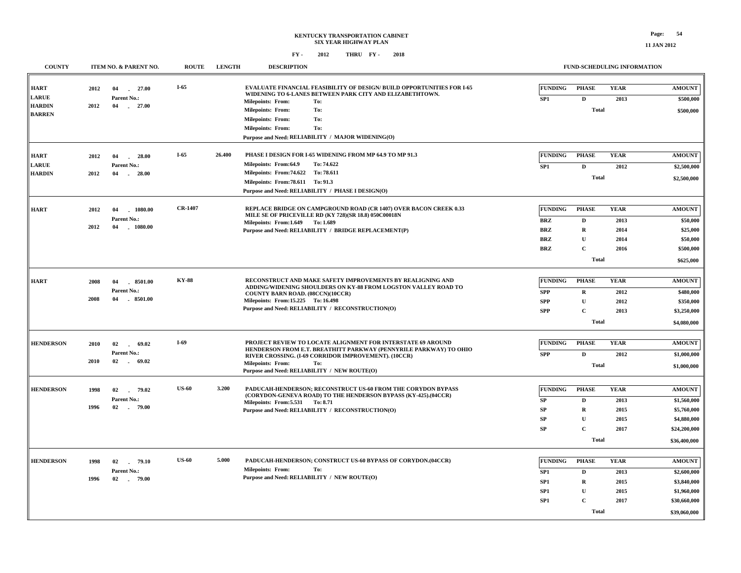| <b>COUNTY</b>                                  |              | ITEM NO. & PARENT NO.                               | <b>ROUTE</b>   | <b>LENGTH</b> | <b>DESCRIPTION</b>                                                                                                                                                                                                                                                          |                                                                        |                                                                                            | <b>FUND-SCHEDULING INFORMATION</b>          |                                                                                            |
|------------------------------------------------|--------------|-----------------------------------------------------|----------------|---------------|-----------------------------------------------------------------------------------------------------------------------------------------------------------------------------------------------------------------------------------------------------------------------------|------------------------------------------------------------------------|--------------------------------------------------------------------------------------------|---------------------------------------------|--------------------------------------------------------------------------------------------|
| <b>HART</b>                                    | 2012         | 04<br>$-27.00$                                      | $I-65$         |               | <b>EVALUATE FINANCIAL FEASIBILITY OF DESIGN/ BUILD OPPORTUNITIES FOR I-65</b><br>WIDENING TO 6-LANES BETWEEN PARK CITY AND ELIZABETHTOWN.                                                                                                                                   | <b>FUNDING</b>                                                         | <b>PHASE</b>                                                                               | <b>YEAR</b>                                 | <b>AMOUNT</b>                                                                              |
| <b>LARUE</b><br><b>HARDIN</b><br><b>BARREN</b> | 2012         | Parent No.:<br>04<br>$-27.00$                       |                |               | Milepoints: From:<br>To:<br><b>Milepoints: From:</b><br>To:<br><b>Milepoints: From:</b><br>To:<br><b>Milepoints: From:</b><br>To:<br>Purpose and Need: RELIABILITY / MAJOR WIDENING(O)                                                                                      | SP1                                                                    | $\mathbf D$<br><b>Total</b>                                                                | 2013                                        | \$500,000<br>\$500,000                                                                     |
| <b>HART</b><br><b>LARUE</b><br><b>HARDIN</b>   | 2012<br>2012 | 04<br>28.00<br>Parent No.:<br>04<br>28.00           | $I-65$         | 26.400        | PHASE I DESIGN FOR I-65 WIDENING FROM MP 64.9 TO MP 91.3<br>To: 74.622<br>Milepoints: From:64.9<br>Milepoints: From: 74.622 To: 78.611<br>Milepoints: From: 78.611 To: 91.3<br>Purpose and Need: RELIABILITY / PHASE I DESIGN(O)                                            | <b>FUNDING</b><br>SP1                                                  | <b>PHASE</b><br>D<br><b>Total</b>                                                          | <b>YEAR</b><br>2012                         | <b>AMOUNT</b><br>\$2,500,000<br>\$2,500,000                                                |
| <b>HART</b>                                    | 2012<br>2012 | 04<br>1080.00<br>Parent No.:<br>1080.00<br>04       | <b>CR-1407</b> |               | REPLACE BRIDGE ON CAMPGROUND ROAD (CR 1407) OVER BACON CREEK 0.33<br>MILE SE OF PRICEVILLE RD (KY 728)(SR 18.8) 050C00018N<br>Milepoints: From: 1.649 To: 1.689<br>Purpose and Need: RELIABILITY / BRIDGE REPLACEMENT(P)                                                    | <b>FUNDING</b><br><b>BRZ</b><br><b>BRZ</b><br><b>BRZ</b><br><b>BRZ</b> | <b>PHASE</b><br>$\mathbf D$<br>$\mathbf R$<br>$\mathbf{U}$<br>$\mathbf{C}$<br><b>Total</b> | <b>YEAR</b><br>2013<br>2014<br>2014<br>2016 | <b>AMOUNT</b><br>\$50,000<br>\$25,000<br>\$50,000<br>\$500,000<br>\$625,000                |
| <b>HART</b>                                    | 2008<br>2008 | 04<br>8501.00<br>Parent No.:<br>$-8501.00$<br>04    | <b>KY-88</b>   |               | RECONSTRUCT AND MAKE SAFETY IMPROVEMENTS BY REALIGNING AND<br>ADDING/WIDENING SHOULDERS ON KY-88 FROM LOGSTON VALLEY ROAD TO<br>COUNTY BARN ROAD. (08CCN)(10CCR)<br>Milepoints: From: 15.225 To: 16.498<br>Purpose and Need: RELIABILITY / RECONSTRUCTION(O)                | <b>FUNDING</b><br><b>SPP</b><br><b>SPP</b><br>SPP                      | <b>PHASE</b><br>$\bf{R}$<br>${\bf U}$<br>$\mathbf C$<br><b>Total</b>                       | <b>YEAR</b><br>2012<br>2012<br>2013         | <b>AMOUNT</b><br>\$480,000<br>\$350,000<br>\$3,250,000<br>\$4,080,000                      |
| <b>HENDERSON</b>                               | 2010<br>2010 | 02<br>69.02<br>$\sim$<br>Parent No.:<br>02<br>69.02 | $I-69$         |               | PROJECT REVIEW TO LOCATE ALIGNMENT FOR INTERSTATE 69 AROUND<br>HENDERSON FROM E.T. BREATHITT PARKWAY (PENNYRILE PARKWAY) TO OHIO<br>RIVER CROSSING. (I-69 CORRIDOR IMPROVEMENT). (10CCR)<br><b>Milepoints: From:</b><br>To:<br>Purpose and Need: RELIABILITY / NEW ROUTE(O) | FUNDING<br><b>SPP</b>                                                  | <b>PHASE</b><br>D<br><b>Total</b>                                                          | <b>YEAR</b><br>2012                         | <b>AMOUNT</b><br>\$1,000,000<br>\$1,000,000                                                |
| <b>HENDERSON</b>                               | 1998<br>1996 | 02<br>79.02<br>Parent No.:<br>02 79.00              | <b>US-60</b>   | 3.200         | PADUCAH-HENDERSON; RECONSTRUCT US-60 FROM THE CORYDON BYPASS<br>(CORYDON-GENEVA ROAD) TO THE HENDERSON BYPASS (KY-425).(04CCR)<br>Milepoints: From: 5.531 To: 8.71<br>Purpose and Need: RELIABILITY / RECONSTRUCTION(O)                                                     | <b>FUNDING</b><br>SP<br>SP<br>SP<br><b>SP</b>                          | <b>PHASE</b><br>$\mathbf D$<br>$\mathbf R$<br>$\mathbf U$<br>$\mathbf{C}$<br><b>Total</b>  | <b>YEAR</b><br>2013<br>2015<br>2015<br>2017 | <b>AMOUNT</b><br>\$1,560,000<br>\$5,760,000<br>\$4,880,000<br>\$24,200,000<br>\$36,400,000 |
| <b>HENDERSON</b>                               | 1998<br>1996 | 02<br>79.10<br>Parent No.:<br>02<br>$-79.00$        | <b>US-60</b>   | 5.000         | PADUCAH-HENDERSON; CONSTRUCT US-60 BYPASS OF CORYDON.(04CCR)<br><b>Milepoints: From:</b><br>To:<br>Purpose and Need: RELIABILITY / NEW ROUTE(O)                                                                                                                             | <b>FUNDING</b><br>SP1<br>SP1<br>SP <sub>1</sub><br>SP1                 | <b>PHASE</b><br>D<br>$\bf{R}$<br>U<br>$\mathbf C$<br><b>Total</b>                          | <b>YEAR</b><br>2013<br>2015<br>2015<br>2017 | <b>AMOUNT</b><br>\$2,600,000<br>\$3,840,000<br>\$1,960,000<br>\$30,660,000<br>\$39,060,000 |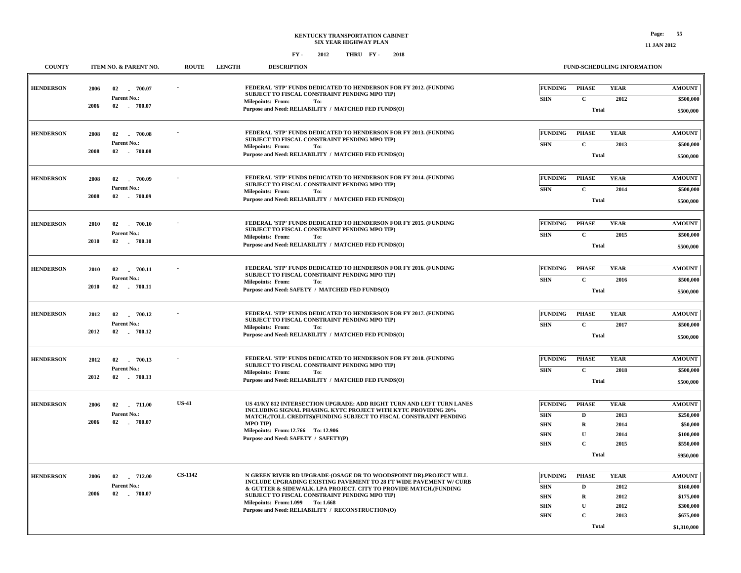| <b>COUNTY</b><br><b>ITEM NO. &amp; PARENT NO.</b><br><b>ROUTE</b> |      |                                   |                | <b>LENGTH</b> | <b>DESCRIPTION</b>                                                                                                                                                                       |                              | FUND-SCHEDULING INFORMATION  |                     |                            |
|-------------------------------------------------------------------|------|-----------------------------------|----------------|---------------|------------------------------------------------------------------------------------------------------------------------------------------------------------------------------------------|------------------------------|------------------------------|---------------------|----------------------------|
| <b>HENDERSON</b>                                                  | 2006 | 02<br>$-700.07$<br>Parent No.:    |                |               | FEDERAL 'STP' FUNDS DEDICATED TO HENDERSON FOR FY 2012. (FUNDING<br>SUBJECT TO FISCAL CONSTRAINT PENDING MPO TIP)                                                                        | <b>FUNDING</b><br><b>SHN</b> | <b>PHASE</b><br>$\mathbf{C}$ | <b>YEAR</b><br>2012 | <b>AMOUNT</b><br>\$500,000 |
|                                                                   | 2006 | 02 700.07                         |                |               | <b>Milepoints: From:</b><br>To:<br>Purpose and Need: RELIABILITY / MATCHED FED FUNDS(O)                                                                                                  |                              | <b>Total</b>                 |                     | \$500,000                  |
| <b>HENDERSON</b>                                                  | 2008 | 02<br>700.08<br>Parent No.:       |                |               | FEDERAL 'STP' FUNDS DEDICATED TO HENDERSON FOR FY 2013. (FUNDING<br>SUBJECT TO FISCAL CONSTRAINT PENDING MPO TIP)<br><b>Milepoints: From:</b><br>To:                                     | <b>FUNDING</b><br><b>SHN</b> | <b>PHASE</b><br>$\mathbf{C}$ | <b>YEAR</b><br>2013 | <b>AMOUNT</b><br>\$500,000 |
|                                                                   | 2008 | 02<br>$-700.08$                   |                |               | Purpose and Need: RELIABILITY / MATCHED FED FUNDS(O)                                                                                                                                     |                              | <b>Total</b>                 |                     | \$500,000                  |
| <b>HENDERSON</b>                                                  | 2008 | $-700.09$<br>02<br>Parent No.:    |                |               | FEDERAL 'STP' FUNDS DEDICATED TO HENDERSON FOR FY 2014. (FUNDING<br>SUBJECT TO FISCAL CONSTRAINT PENDING MPO TIP)<br><b>Milepoints: From:</b><br>To:                                     | <b>FUNDING</b><br><b>SHN</b> | <b>PHASE</b><br>$\mathbf{C}$ | <b>YEAR</b><br>2014 | <b>AMOUNT</b><br>\$500,000 |
|                                                                   | 2008 | 02 700.09                         |                |               | Purpose and Need: RELIABILITY / MATCHED FED FUNDS(O)                                                                                                                                     |                              | <b>Total</b>                 |                     | \$500,000                  |
| <b>HENDERSON</b>                                                  | 2010 | 02 700.10<br>Parent No.:          |                |               | FEDERAL 'STP' FUNDS DEDICATED TO HENDERSON FOR FY 2015. (FUNDING<br>SUBJECT TO FISCAL CONSTRAINT PENDING MPO TIP)                                                                        | <b>FUNDING</b><br><b>SHN</b> | <b>PHASE</b><br>$\mathbf{C}$ | <b>YEAR</b><br>2015 | <b>AMOUNT</b><br>\$500,000 |
|                                                                   | 2010 | 02 . 700.10                       |                |               | <b>Milepoints: From:</b><br>To:<br>Purpose and Need: RELIABILITY / MATCHED FED FUNDS(O)                                                                                                  |                              | <b>Total</b>                 |                     | \$500,000                  |
| <b>HENDERSON</b>                                                  | 2010 | 02<br>$-700.11$<br>Parent No.:    |                |               | FEDERAL 'STP' FUNDS DEDICATED TO HENDERSON FOR FY 2016. (FUNDING<br>SUBJECT TO FISCAL CONSTRAINT PENDING MPO TIP)                                                                        | <b>FUNDING</b><br><b>SHN</b> | <b>PHASE</b><br>$\mathbf C$  | <b>YEAR</b><br>2016 | <b>AMOUNT</b><br>\$500,000 |
|                                                                   | 2010 | 02 . 700.11                       |                |               | <b>Milepoints: From:</b><br>To:<br>Purpose and Need: SAFETY / MATCHED FED FUNDS(O)                                                                                                       |                              | <b>Total</b>                 |                     | \$500,000                  |
| <b>HENDERSON</b>                                                  | 2012 | 02<br>700.12<br>Parent No.:       |                |               | FEDERAL 'STP' FUNDS DEDICATED TO HENDERSON FOR FY 2017. (FUNDING<br>SUBJECT TO FISCAL CONSTRAINT PENDING MPO TIP)                                                                        | <b>FUNDING</b><br><b>SHN</b> | <b>PHASE</b><br>$\mathbf C$  | <b>YEAR</b><br>2017 | <b>AMOUNT</b><br>\$500,000 |
|                                                                   | 2012 | 02 700.12                         |                |               | <b>Milepoints: From:</b><br>To:<br>Purpose and Need: RELIABILITY / MATCHED FED FUNDS(O)                                                                                                  |                              | <b>Total</b>                 |                     | \$500,000                  |
| <b>HENDERSON</b>                                                  | 2012 | 02<br>700.13<br>Parent No.:       |                |               | FEDERAL 'STP' FUNDS DEDICATED TO HENDERSON FOR FY 2018. (FUNDING<br>SUBJECT TO FISCAL CONSTRAINT PENDING MPO TIP)                                                                        | <b>FUNDING</b><br><b>SHN</b> | <b>PHASE</b><br>$\mathbf C$  | <b>YEAR</b><br>2018 | <b>AMOUNT</b><br>\$500,000 |
|                                                                   | 2012 | 02 700.13                         |                |               | <b>Milepoints: From:</b><br>To:<br>Purpose and Need: RELIABILITY / MATCHED FED FUNDS(O)                                                                                                  |                              | <b>Total</b>                 |                     | \$500,000                  |
| <b>HENDERSON</b>                                                  | 2006 | 02<br>$-711.00$<br>Parent No.:    | <b>US-41</b>   |               | US 41/KY 812 INTERSECTION UPGRADE: ADD RIGHT TURN AND LEFT TURN LANES<br><b>INCLUDING SIGNAL PHASING, KYTC PROJECT WITH KYTC PROVIDING 20%</b>                                           | <b>FUNDING</b><br><b>SHN</b> | <b>PHASE</b><br>D            | <b>YEAR</b><br>2013 | <b>AMOUNT</b><br>\$250,000 |
|                                                                   | 2006 | 02 . 700.07                       |                |               | MATCH.(TOLL CREDITS)(FUNDING SUBJECT TO FISCAL CONSTRAINT PENDING<br><b>MPO TIP)</b><br>Milepoints: From:12.766 To: 12.906                                                               | <b>SHN</b><br><b>SHN</b>     | $\mathbf R$<br>$\mathbf U$   | 2014<br>2014        | \$50,000<br>\$100,000      |
|                                                                   |      |                                   |                |               | Purpose and Need: SAFETY / SAFETY(P)                                                                                                                                                     | <b>SHN</b>                   | $\mathbf C$<br><b>Total</b>  | 2015                | \$550,000<br>\$950,000     |
| <b>HENDERSON</b>                                                  | 2006 | $-712.00$<br>02                   | <b>CS-1142</b> |               | N GREEN RIVER RD UPGRADE-(OSAGE DR TO WOODSPOINT DR).PROJECT WILL                                                                                                                        | <b>FUNDING</b>               | <b>PHASE</b>                 | <b>YEAR</b>         | <b>AMOUNT</b>              |
|                                                                   | 2006 | <b>Parent No.:</b><br>02 . 700.07 |                |               | INCLUDE UPGRADING EXISTING PAVEMENT TO 28 FT WIDE PAVEMENT W/ CURB<br>& GUTTER & SIDEWALK. LPA PROJECT. CITY TO PROVIDE MATCH. (FUNDING<br>SUBJECT TO FISCAL CONSTRAINT PENDING MPO TIP) | <b>SHN</b><br><b>SHN</b>     | D<br>R                       | 2012<br>2012        | \$160,000<br>\$175,000     |
|                                                                   |      |                                   |                |               | Milepoints: From: 1.099 To: 1.668<br>Purpose and Need: RELIABILITY / RECONSTRUCTION(O)                                                                                                   | <b>SHN</b><br><b>SHN</b>     | U<br>C                       | 2012<br>2013        | \$300,000<br>\$675,000     |
|                                                                   |      |                                   |                |               |                                                                                                                                                                                          |                              | <b>Total</b>                 |                     | \$1,310,000                |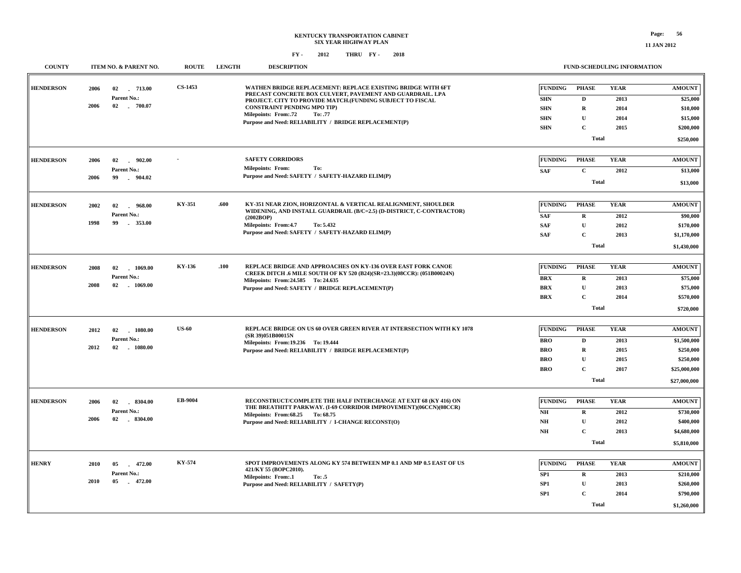| <b>COUNTY</b>    | ITEM NO. & PARENT NO.                                               | <b>ROUTE</b> | <b>LENGTH</b> | <b>DESCRIPTION</b>                                                                                                                                                                                                                                                                                                             |                                                                        |                                                                                            | FUND-SCHEDULING INFORMATION                 |                                                                                        |
|------------------|---------------------------------------------------------------------|--------------|---------------|--------------------------------------------------------------------------------------------------------------------------------------------------------------------------------------------------------------------------------------------------------------------------------------------------------------------------------|------------------------------------------------------------------------|--------------------------------------------------------------------------------------------|---------------------------------------------|----------------------------------------------------------------------------------------|
| <b>HENDERSON</b> | 2006<br>02<br>713.00<br>Parent No.:<br>2006<br>02 700.07            | CS-1453      |               | WATHEN BRIDGE REPLACEMENT: REPLACE EXISTING BRIDGE WITH 6FT<br>PRECAST CONCRETE BOX CULVERT, PAVEMENT AND GUARDRAIL. LPA<br>PROJECT. CITY TO PROVIDE MATCH.(FUNDING SUBJECT TO FISCAL<br><b>CONSTRAINT PENDING MPO TIP)</b><br><b>Milepoints: From:.72</b><br>To: .77<br>Purpose and Need: RELIABILITY / BRIDGE REPLACEMENT(P) | <b>FUNDING</b><br><b>SHN</b><br><b>SHN</b><br><b>SHN</b><br><b>SHN</b> | <b>PHASE</b><br>$\mathbf{D}$<br>$\mathbf R$<br>$\mathbf{U}$<br>$\mathbf C$<br><b>Total</b> | <b>YEAR</b><br>2013<br>2014<br>2014<br>2015 | <b>AMOUNT</b><br>\$25,000<br>\$10,000<br>\$15,000<br>\$200,000<br>\$250,000            |
| <b>HENDERSON</b> | 2006<br>02<br>$-902.00$<br>Parent No.:<br>2006<br>99<br>904.02      |              |               | <b>SAFETY CORRIDORS</b><br>To:<br><b>Milepoints: From:</b><br>Purpose and Need: SAFETY / SAFETY-HAZARD ELIM(P)                                                                                                                                                                                                                 | <b>FUNDING</b><br><b>SAF</b>                                           | <b>PHASE</b><br>$\mathbf{C}$<br><b>Total</b>                                               | <b>YEAR</b><br>2012                         | <b>AMOUNT</b><br>\$13,000<br>\$13,000                                                  |
| <b>HENDERSON</b> | 2002<br>02<br>$-968.00$<br>Parent No.:<br>1998<br>$-353.00$<br>99   | KY-351       | .600          | KY-351 NEAR ZION, HORIZONTAL & VERTICAL REALIGNMENT, SHOULDER<br>WIDENING, AND INSTALL GUARDRAIL (B/C=2.5) (D-DISTRICT, C-CONTRACTOR)<br>(2002BOP)<br>Milepoints: From:4.7<br>To: 5.432<br>Purpose and Need: SAFETY / SAFETY-HAZARD ELIM(P)                                                                                    | <b>FUNDING</b><br><b>SAF</b><br><b>SAF</b><br><b>SAF</b>               | <b>PHASE</b><br>R<br>$\mathbf U$<br>$\mathbf C$<br>Total                                   | <b>YEAR</b><br>2012<br>2012<br>2013         | <b>AMOUNT</b><br>\$90,000<br>\$170,000<br>\$1,170,000<br>\$1,430,000                   |
| <b>HENDERSON</b> | 02<br>1069.00<br>2008<br>Parent No.:<br>2008<br>02 1069.00          | KY-136       | .100          | REPLACE BRIDGE AND APPROACHES ON KY-136 OVER EAST FORK CANOE<br>CREEK DITCH .6 MILE SOUTH OF KY 520 (B24)(SR=23.3)(08CCR): (051B00024N)<br>Milepoints: From: 24.585 To: 24.635<br>Purpose and Need: SAFETY / BRIDGE REPLACEMENT(P)                                                                                             | <b>FUNDING</b><br><b>BRX</b><br><b>BRX</b><br><b>BRX</b>               | <b>PHASE</b><br>R<br>$\mathbf{U}$<br>$\mathbf C$<br><b>Total</b>                           | <b>YEAR</b><br>2013<br>2013<br>2014         | <b>AMOUNT</b><br>\$75,000<br>\$75,000<br>\$570,000<br>\$720,000                        |
| <b>HENDERSON</b> | 2012<br>1080.00<br>02<br>Parent No.:<br>2012<br>02<br>1080.00       | <b>US-60</b> |               | REPLACE BRIDGE ON US 60 OVER GREEN RIVER AT INTERSECTION WITH KY 1078<br>(SR 39)051B00015N<br>Milepoints: From:19.236 To: 19.444<br>Purpose and Need: RELIABILITY / BRIDGE REPLACEMENT(P)                                                                                                                                      | <b>FUNDING</b><br><b>BRO</b><br><b>BRO</b><br><b>BRO</b><br><b>BRO</b> | <b>PHASE</b><br>$\mathbf{D}$<br>$\mathbf R$<br>U<br>$\mathbf C$<br><b>Total</b>            | <b>YEAR</b><br>2013<br>2015<br>2015<br>2017 | <b>AMOUNT</b><br>\$1,500,000<br>\$250,000<br>\$250,000<br>\$25,000,000<br>\$27,000,000 |
| <b>HENDERSON</b> | 02<br>$-8304.00$<br>2006<br>Parent No.:<br>2006<br>$-8304.00$<br>02 | EB-9004      |               | RECONSTRUCT/COMPLETE THE HALF INTERCHANGE AT EXIT 68 (KY 416) ON<br>THE BREATHITT PARKWAY. (I-69 CORRIDOR IMPROVEMENT)(06CCN)(08CCR)<br>Milepoints: From: 68.25 To: 68.75<br>Purpose and Need: RELIABILITY / I-CHANGE RECONST(O)                                                                                               | <b>FUNDING</b><br>N <sub>H</sub><br>NH<br>NH                           | <b>PHASE</b><br>$\mathbf R$<br>$\mathbf U$<br>$\mathbf C$<br><b>Total</b>                  | <b>YEAR</b><br>2012<br>2012<br>2013         | <b>AMOUNT</b><br>\$730,000<br>\$400,000<br>\$4,680,000<br>\$5,810,000                  |
| <b>HENRY</b>     | 2010<br>472.00<br>05<br>Parent No.:<br>2010<br>05<br>$-472.00$      | KY-574       |               | SPOT IMPROVEMENTS ALONG KY 574 BETWEEN MP 0.1 AND MP 0.5 EAST OF US<br>421/KY 55 (BOPC2010).<br><b>Milepoints: From:.1</b><br>To: .5<br>Purpose and Need: RELIABILITY / SAFETY(P)                                                                                                                                              | <b>FUNDING</b><br>SP <sub>1</sub><br>SP1<br>SP <sub>1</sub>            | <b>PHASE</b><br>$\mathbf R$<br>$\mathbf U$<br>$\mathbf C$<br><b>Total</b>                  | <b>YEAR</b><br>2013<br>2013<br>2014         | <b>AMOUNT</b><br>\$210,000<br>\$260,000<br>\$790,000<br>\$1,260,000                    |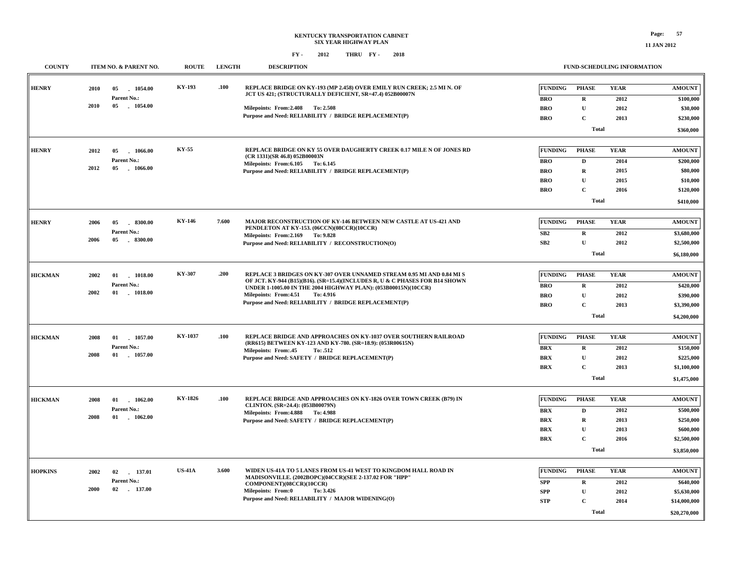| <b>COUNTY</b>  | ITEM NO. & PARENT NO.                       | <b>ROUTE</b>  | <b>LENGTH</b> | <b>DESCRIPTION</b>                                                                                                                                   |                          | FUND-SCHEDULING INFORMATION |              |                       |
|----------------|---------------------------------------------|---------------|---------------|------------------------------------------------------------------------------------------------------------------------------------------------------|--------------------------|-----------------------------|--------------|-----------------------|
| <b>HENRY</b>   | 2010<br>05<br>1054.00<br>Parent No.:        | KY-193        | .100          | REPLACE BRIDGE ON KY-193 (MP 2.458) OVER EMILY RUN CREEK; 2.5 MI N. OF<br>JCT US 421; (STRUCTURALLY DEFICIENT, SR=47.4) 052B00007N                   | <b>FUNDING</b>           | <b>PHASE</b>                | <b>YEAR</b>  | <b>AMOUNT</b>         |
|                | 2010<br>05<br>$-1054.00$                    |               |               | Milepoints: From: 2.408 To: 2.508                                                                                                                    | <b>BRO</b><br><b>BRO</b> | R<br>$\mathbf U$            | 2012<br>2012 | \$100,000<br>\$30,000 |
|                |                                             |               |               | Purpose and Need: RELIABILITY / BRIDGE REPLACEMENT(P)                                                                                                | <b>BRO</b>               | $\mathbf C$                 | 2013         | \$230,000             |
|                |                                             |               |               |                                                                                                                                                      |                          | <b>Total</b>                |              |                       |
|                |                                             |               |               |                                                                                                                                                      |                          |                             |              | \$360,000             |
|                |                                             | KY-55         |               | REPLACE BRIDGE ON KY 55 OVER DAUGHERTY CREEK 0.17 MILE N OF JONES RD                                                                                 |                          |                             |              |                       |
| <b>HENRY</b>   | 2012<br>05<br>$-1066.00$                    |               |               | (CR 1331)(SR 46.8) 052B00003N                                                                                                                        | <b>FUNDING</b>           | <b>PHASE</b>                | <b>YEAR</b>  | <b>AMOUNT</b>         |
|                | <b>Parent No.:</b><br>2012<br>05<br>1066.00 |               |               | Milepoints: From: 6.105 To: 6.145                                                                                                                    | <b>BRO</b>               | D                           | 2014         | \$200,000             |
|                |                                             |               |               | Purpose and Need: RELIABILITY / BRIDGE REPLACEMENT(P)                                                                                                | <b>BRO</b>               | R                           | 2015         | \$80,000              |
|                |                                             |               |               |                                                                                                                                                      | <b>BRO</b>               | U                           | 2015         | \$10,000              |
|                |                                             |               |               |                                                                                                                                                      | <b>BRO</b>               | $\mathbf C$                 | 2016         | \$120,000             |
|                |                                             |               |               |                                                                                                                                                      |                          | <b>Total</b>                |              | \$410,000             |
| <b>HENRY</b>   | 2006<br>05<br>$-8300.00$                    | <b>KY-146</b> | 7.600         | MAJOR RECONSTRUCTION OF KY-146 BETWEEN NEW CASTLE AT US-421 AND                                                                                      | <b>FUNDING</b>           | <b>PHASE</b>                | <b>YEAR</b>  | <b>AMOUNT</b>         |
|                | Parent No.:                                 |               |               | PENDLETON AT KY-153. (06CCN)(08CCR)(10CCR)<br>Milepoints: From: 2.169 To: 9.828                                                                      | SB2                      | R                           | 2012         | \$3,680,000           |
|                | 2006<br>05<br>$-8300.00$                    |               |               | Purpose and Need: RELIABILITY / RECONSTRUCTION(O)                                                                                                    | SB2                      | ${\bf U}$                   | 2012         | \$2,500,000           |
|                |                                             |               |               |                                                                                                                                                      |                          | <b>Total</b>                |              | \$6,180,000           |
|                |                                             |               |               |                                                                                                                                                      |                          |                             |              |                       |
| <b>HICKMAN</b> | 2002<br>01<br>1018.00                       | <b>KY-307</b> | .200          | REPLACE 3 BRIDGES ON KY-307 OVER UNNAMED STREAM 0.95 MI AND 0.84 MI S<br>OF JCT. KY-944 (B15)(B16). (SR=15.4)(INCLUDES R, U & C PHASES FOR B14 SHOWN | <b>FUNDING</b>           | <b>PHASE</b>                | <b>YEAR</b>  | <b>AMOUNT</b>         |
|                | Parent No.:<br>2002<br>$01$ 1018.00         |               |               | UNDER 1-1005.00 IN THE 2004 HIGHWAY PLAN): (053B00015N)(10CCR)                                                                                       | <b>BRO</b>               | $\mathbf R$                 | 2012         | \$420,000             |
|                |                                             |               |               | Milepoints: From: 4.51<br>To: 4.916<br>Purpose and Need: RELIABILITY / BRIDGE REPLACEMENT(P)                                                         | <b>BRO</b>               | $\mathbf{U}$                | 2012         | \$390,000             |
|                |                                             |               |               |                                                                                                                                                      | <b>BRO</b>               | $\mathbf C$                 | 2013         | \$3,390,000           |
|                |                                             |               |               |                                                                                                                                                      |                          | Total                       |              | \$4,200,000           |
| <b>HICKMAN</b> | 2008<br>01<br>1057.00                       | KY-1037       | .100          | REPLACE BRIDGE AND APPROACHES ON KY-1037 OVER SOUTHERN RAILROAD                                                                                      | <b>FUNDING</b>           | <b>PHASE</b>                | <b>YEAR</b>  | <b>AMOUNT</b>         |
|                | Parent No.:                                 |               |               | (RR615) BETWEEN KY-123 AND KY-780. (SR=18.9): (053R00615N)                                                                                           | <b>BRX</b>               | $\mathbf R$                 | 2012         | \$150,000             |
|                | 2008<br>01 1057.00                          |               |               | <b>Milepoints: From:.45</b><br>To: .512<br>Purpose and Need: SAFETY / BRIDGE REPLACEMENT(P)                                                          | <b>BRX</b>               | ${\bf U}$                   | 2012         | \$225,000             |
|                |                                             |               |               |                                                                                                                                                      | <b>BRX</b>               | $\mathbf C$                 | 2013         | \$1,100,000           |
|                |                                             |               |               |                                                                                                                                                      |                          | Total                       |              | \$1,475,000           |
|                |                                             |               |               |                                                                                                                                                      |                          |                             |              |                       |
| <b>HICKMAN</b> | 2008<br>01<br>$-1062.00$                    | KY-1826       | .100          | REPLACE BRIDGE AND APPROACHES ON KY-1826 OVER TOWN CREEK (B79) IN<br>CLINTON. (SR=24.4): (053B00079N)                                                | <b>FUNDING</b>           | <b>PHASE</b>                | <b>YEAR</b>  | <b>AMOUNT</b>         |
|                | Parent No.:<br>01<br>2008<br>1062.00        |               |               | Milepoints: From: 4.888 To: 4.988                                                                                                                    | BRX                      | D                           | 2012         | \$500,000             |
|                |                                             |               |               | Purpose and Need: SAFETY / BRIDGE REPLACEMENT(P)                                                                                                     | <b>BRX</b>               | $\mathbf R$                 | 2013         | \$250,000             |
|                |                                             |               |               |                                                                                                                                                      | <b>BRX</b>               | U                           | 2013         | \$600,000             |
|                |                                             |               |               |                                                                                                                                                      | <b>BRX</b>               | $\mathbf{C}$                | 2016         | \$2,500,000           |
|                |                                             |               |               |                                                                                                                                                      |                          | <b>Total</b>                |              | \$3,850,000           |
| <b>HOPKINS</b> | 2002<br>137.01<br>02                        | <b>US-41A</b> | 3.600         | WIDEN US-41A TO 5 LANES FROM US-41 WEST TO KINGDOM HALL ROAD IN                                                                                      | <b>FUNDING</b>           | <b>PHASE</b>                | <b>YEAR</b>  | <b>AMOUNT</b>         |
|                | Parent No.:                                 |               |               | MADISONVILLE. (2002BOPC)(04CCR)(SEE 2-137.02 FOR "HPP"                                                                                               | <b>SPP</b>               | $\bf R$                     | 2012         | \$640,000             |
|                | 2000<br>02<br>. 137.00                      |               |               | COMPONENT)(08CCR)(10CCR)<br>Milepoints: From:0<br>To: 3.426                                                                                          | <b>SPP</b>               | ${\bf U}$                   | 2012         | \$5,630,000           |
|                |                                             |               |               | Purpose and Need: RELIABILITY / MAJOR WIDENING(O)                                                                                                    | <b>STP</b>               | $\mathbf C$                 | 2014         | \$14,000,000          |
|                |                                             |               |               |                                                                                                                                                      |                          | Total                       |              |                       |
|                |                                             |               |               |                                                                                                                                                      |                          |                             |              | \$20,270,000          |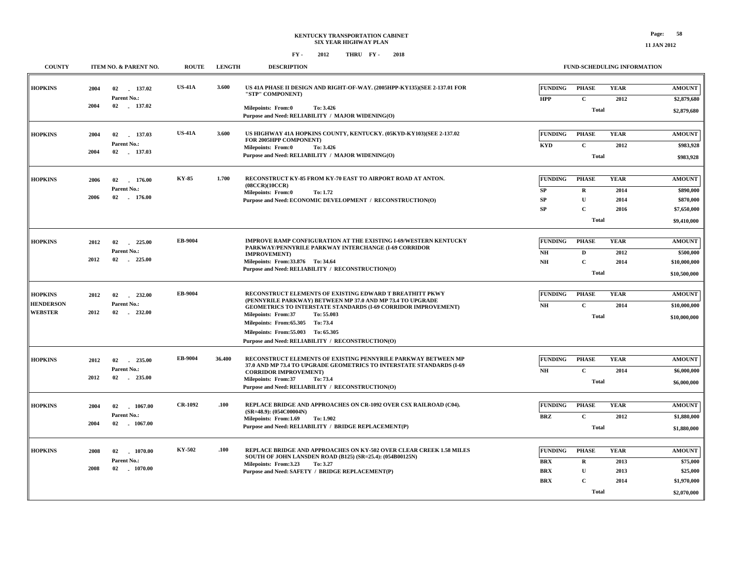| <b>COUNTY</b>                                        | <b>ITEM NO. &amp; PARENT NO.</b>                               | <b>ROUTE</b>   | <b>LENGTH</b> | <b>DESCRIPTION</b>                                                                                                                                                                                                                                                                                                                                                         |                                                          |                                                                     | FUND-SCHEDULING INFORMATION         |                                                                       |
|------------------------------------------------------|----------------------------------------------------------------|----------------|---------------|----------------------------------------------------------------------------------------------------------------------------------------------------------------------------------------------------------------------------------------------------------------------------------------------------------------------------------------------------------------------------|----------------------------------------------------------|---------------------------------------------------------------------|-------------------------------------|-----------------------------------------------------------------------|
| <b>HOPKINS</b>                                       | 2004<br>02<br>137.02<br>Parent No.:<br>02 137.02<br>2004       | <b>US-41A</b>  | 3.600         | US 41A PHASE II DESIGN AND RIGHT-OF-WAY. (2005HPP-KY135)(SEE 2-137.01 FOR<br>"STP" COMPONENT)<br>Milepoints: From:0<br>To: 3.426<br>Purpose and Need: RELIABILITY / MAJOR WIDENING(O)                                                                                                                                                                                      | <b>FUNDING</b><br><b>HPP</b>                             | <b>PHASE</b><br>$\mathbf{C}$<br><b>Total</b>                        | <b>YEAR</b><br>2012                 | <b>AMOUNT</b><br>\$2,879,680<br>\$2,879,680                           |
| <b>HOPKINS</b>                                       | 2004<br>137.03<br>02<br>Parent No.:<br>2004<br>02 137.03       | <b>US-41A</b>  | 3.600         | US HIGHWAY 41A HOPKINS COUNTY, KENTUCKY. (05KYD-KY103)(SEE 2-137.02<br>FOR 2005HPP COMPONENT)<br>Milepoints: From:0<br>To: 3.426<br>Purpose and Need: RELIABILITY / MAJOR WIDENING(O)                                                                                                                                                                                      | <b>FUNDING</b><br>KYD                                    | <b>PHASE</b><br>$\mathbf{C}$<br>Total                               | <b>YEAR</b><br>2012                 | <b>AMOUNT</b><br>\$983,928<br>\$983,928                               |
| <b>HOPKINS</b>                                       | 2006<br>02<br>176.00<br>Parent No.:<br>2006<br>02<br>176.00    | KY-85          | 1.700         | RECONSTRUCT KY-85 FROM KY-70 EAST TO AIRPORT ROAD AT ANTON.<br>(08CCR)(10CCR)<br><b>Milepoints: From:0</b><br>To: 1.72<br>Purpose and Need: ECONOMIC DEVELOPMENT / RECONSTRUCTION(O)                                                                                                                                                                                       | <b>FUNDING</b><br>SP<br><b>SP</b><br><b>SP</b>           | <b>PHASE</b><br>$\mathbf R$<br>$\mathbf{U}$<br>$\mathbf C$<br>Total | <b>YEAR</b><br>2014<br>2014<br>2016 | <b>AMOUNT</b><br>\$890,000<br>\$870,000<br>\$7,650,000<br>\$9,410,000 |
| <b>HOPKINS</b>                                       | 2012<br>02<br>225.00<br>Parent No.:<br>2012<br>02 225.00       | EB-9004        |               | <b>IMPROVE RAMP CONFIGURATION AT THE EXISTING I-69/WESTERN KENTUCKY</b><br>PARKWAY/PENNYRILE PARKWAY INTERCHANGE (I-69 CORRIDOR<br><b>IMPROVEMENT</b> )<br>Milepoints: From: 33.876 To: 34.64<br>Purpose and Need: RELIABILITY / RECONSTRUCTION(O)                                                                                                                         | <b>FUNDING</b><br>N <sub>H</sub><br>NH                   | <b>PHASE</b><br>$\mathbf D$<br>$\mathbf C$<br>Total                 | <b>YEAR</b><br>2012<br>2014         | <b>AMOUNT</b><br>\$500,000<br>\$10,000,000<br>\$10,500,000            |
| <b>HOPKINS</b><br><b>HENDERSON</b><br><b>WEBSTER</b> | 02<br>232.00<br>2012<br>Parent No.:<br>2012<br>02<br>$-232.00$ | EB-9004        |               | RECONSTRUCT ELEMENTS OF EXISTING EDWARD T BREATHITT PKWY<br>(PENNYRILE PARKWAY) BETWEEN MP 37.0 AND MP 73.4 TO UPGRADE<br><b>GEOMETRICS TO INTERSTATE STANDARDS (I-69 CORRIDOR IMPROVEMENT)</b><br><b>Milepoints: From:37</b><br>To: 55.003<br>Milepoints: From:65.305 To:73.4<br>Milepoints: From: 55.003 To: 65.305<br>Purpose and Need: RELIABILITY / RECONSTRUCTION(O) | <b>FUNDING</b><br>NH                                     | <b>PHASE</b><br>$\mathbf{C}$<br><b>Total</b>                        | <b>YEAR</b><br>2014                 | <b>AMOUNT</b><br>\$10,000,000<br>\$10,000,000                         |
| <b>HOPKINS</b>                                       | 235.00<br>2012<br>02<br>Parent No.:<br>2012<br>02<br>$-235.00$ | EB-9004        | 36.400        | RECONSTRUCT ELEMENTS OF EXISTING PENNYRILE PARKWAY BETWEEN MP<br>37.0 AND MP 73.4 TO UPGRADE GEOMETRICS TO INTERSTATE STANDARDS (I-69<br><b>CORRIDOR IMPROVEMENT)</b><br><b>Milepoints: From:37</b><br>To: 73.4<br>Purpose and Need: RELIABILITY / RECONSTRUCTION(O)                                                                                                       | <b>FUNDING</b><br>NH                                     | <b>PHASE</b><br>$\mathbf{C}$<br>Total                               | <b>YEAR</b><br>2014                 | <b>AMOUNT</b><br>\$6,000,000<br>\$6,000,000                           |
| <b>HOPKINS</b>                                       | 2004<br>02<br>1067.00<br>Parent No.:<br>2004<br>02<br>1067.00  | <b>CR-1092</b> | .100          | REPLACE BRIDGE AND APPROACHES ON CR-1092 OVER CSX RAILROAD (C04).<br>$(SR=48.9)$ : $(054C00004N)$<br>Milepoints: From:1.69<br>To: 1.902<br>Purpose and Need: RELIABILITY / BRIDGE REPLACEMENT(P)                                                                                                                                                                           | <b>FUNDING</b><br><b>BRZ</b>                             | <b>PHASE</b><br>$\mathbf{C}$<br><b>Total</b>                        | <b>YEAR</b><br>2012                 | <b>AMOUNT</b><br>\$1,880,000<br>\$1,880,000                           |
| <b>HOPKINS</b>                                       | 2008<br>02<br>1070.00<br>Parent No.:<br>2008<br>02<br>1070.00  | <b>KY-502</b>  | .100          | REPLACE BRIDGE AND APPROACHES ON KY-502 OVER CLEAR CREEK 1.58 MILES<br>SOUTH OF JOHN LANSDEN ROAD (B125) (SR=25.4): (054B00125N)<br>Milepoints: From:3.23<br>To: 3.27<br>Purpose and Need: SAFETY / BRIDGE REPLACEMENT(P)                                                                                                                                                  | <b>FUNDING</b><br><b>BRX</b><br><b>BRX</b><br><b>BRX</b> | <b>PHASE</b><br>R<br>U<br>$\mathbf C$<br>Total                      | <b>YEAR</b><br>2013<br>2013<br>2014 | <b>AMOUNT</b><br>\$75,000<br>\$25,000<br>\$1,970,000<br>\$2,070,000   |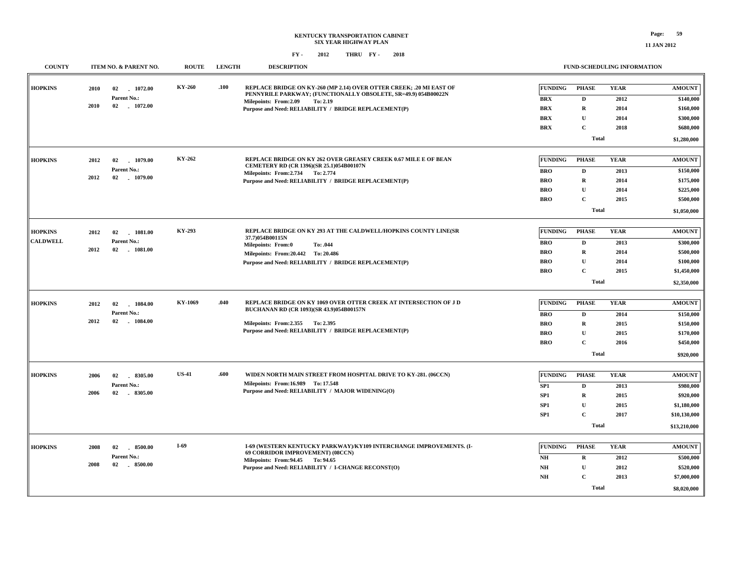| <b>COUNTY</b>                     | ITEM NO. & PARENT NO.                                               | <b>ROUTE</b> | <b>LENGTH</b> | <b>DESCRIPTION</b>                                                                                                                                                                                                                   |                                                                                | <b>FUND-SCHEDULING INFORMATION</b>                                                        |                                             |                                                                                        |
|-----------------------------------|---------------------------------------------------------------------|--------------|---------------|--------------------------------------------------------------------------------------------------------------------------------------------------------------------------------------------------------------------------------------|--------------------------------------------------------------------------------|-------------------------------------------------------------------------------------------|---------------------------------------------|----------------------------------------------------------------------------------------|
| <b>HOPKINS</b>                    | 02<br>2010<br>1072.00<br>Parent No.:<br>2010<br>02 1072.00          | KY-260       | .100          | REPLACE BRIDGE ON KY-260 (MP 2.14) OVER OTTER CREEK; .20 MI EAST OF<br>PENNYRILE PARKWAY; (FUNCTIONALLY OBSOLETE, SR=49.9) 054B00022N<br>Milepoints: From: 2.09<br>To: 2.19<br>Purpose and Need: RELIABILITY / BRIDGE REPLACEMENT(P) | <b>FUNDING</b><br><b>BRX</b><br><b>BRX</b><br><b>BRX</b><br><b>BRX</b>         | PHASE<br>D<br>$\mathbf R$<br>$\mathbf{U}$<br>$\mathbf C$                                  | <b>YEAR</b><br>2012<br>2014<br>2014<br>2018 | <b>AMOUNT</b><br>\$140,000<br>\$160,000<br>\$300,000<br>\$680,000                      |
|                                   |                                                                     |              |               |                                                                                                                                                                                                                                      |                                                                                | Total                                                                                     |                                             | \$1,280,000                                                                            |
| <b>HOPKINS</b>                    | 2012<br>02<br>1079.00<br>Parent No.:<br>2012<br>02 1079.00          | KY-262       |               | REPLACE BRIDGE ON KY 262 OVER GREASEY CREEK 0.67 MILE E OF BEAN<br>CEMETERY RD (CR 1396)(SR 25.1)054B00107N<br>Milepoints: From: 2.734 To: 2.774<br>Purpose and Need: RELIABILITY / BRIDGE REPLACEMENT(P)                            | <b>FUNDING</b><br><b>BRO</b><br><b>BRO</b><br><b>BRO</b><br><b>BRO</b>         | <b>PHASE</b><br>$\mathbf{D}$<br>$\mathbf R$<br>$\mathbf U$<br>$\mathbf C$<br><b>Total</b> | <b>YEAR</b><br>2013<br>2014<br>2014<br>2015 | <b>AMOUNT</b><br>\$150,000<br>\$175,000<br>\$225,000<br>\$500,000<br>\$1,050,000       |
| <b>HOPKINS</b><br><b>CALDWELL</b> | 1081.00<br>2012<br>02<br>Parent No.:<br>2012<br>02<br>$-1081.00$    | KY-293       |               | REPLACE BRIDGE ON KY 293 AT THE CALDWELL/HOPKINS COUNTY LINE(SR<br>37.7)054B00115N<br><b>Milepoints: From:0</b><br>To: .044<br>Milepoints: From: 20.442 To: 20.486<br>Purpose and Need: RELIABILITY / BRIDGE REPLACEMENT(P)          | <b>FUNDING</b><br><b>BRO</b><br><b>BRO</b><br><b>BRO</b><br><b>BRO</b>         | <b>PHASE</b><br>D<br>$\mathbf R$<br>$\mathbf{U}$<br>$\mathbf C$<br><b>Total</b>           | <b>YEAR</b><br>2013<br>2014<br>2014<br>2015 | <b>AMOUNT</b><br>\$300,000<br>\$500,000<br>\$100,000<br>\$1,450,000<br>\$2,350,000     |
| <b>HOPKINS</b>                    | 2012<br>02<br>1084.00<br>Parent No.:<br>2012<br>02<br>1084.00       | KY-1069      | .040          | REPLACE BRIDGE ON KY 1069 OVER OTTER CREEK AT INTERSECTION OF J D<br>BUCHANAN RD (CR 1093)(SR 43.9)054B00157N<br>Milepoints: From: 2.355 To: 2.395<br>Purpose and Need: RELIABILITY / BRIDGE REPLACEMENT(P)                          | <b>FUNDING</b><br><b>BRO</b><br><b>BRO</b><br><b>BRO</b><br><b>BRO</b>         | <b>PHASE</b><br>D<br>$\mathbf R$<br>$\mathbf U$<br>$\mathbf C$<br>Total                   | <b>YEAR</b><br>2014<br>2015<br>2015<br>2016 | <b>AMOUNT</b><br>\$150,000<br>\$150,000<br>\$170,000<br>\$450,000<br>\$920,000         |
| <b>HOPKINS</b>                    | 2006<br>02<br>8305.00<br>Parent No.:<br>02 8305.00<br>2006          | <b>US-41</b> | .600          | WIDEN NORTH MAIN STREET FROM HOSPITAL DRIVE TO KY-281. (06CCN)<br>Milepoints: From:16.989 To: 17.548<br>Purpose and Need: RELIABILITY / MAJOR WIDENING(O)                                                                            | <b>FUNDING</b><br>SP1<br>SP <sub>1</sub><br>SP <sub>1</sub><br>SP <sub>1</sub> | <b>PHASE</b><br>$\mathbf{D}$<br>$\mathbf R$<br>U<br>$\mathbf C$<br><b>Total</b>           | <b>YEAR</b><br>2013<br>2015<br>2015<br>2017 | <b>AMOUNT</b><br>\$980,000<br>\$920,000<br>\$1,180,000<br>\$10,130,000<br>\$13,210,000 |
| <b>HOPKINS</b>                    | 2008<br>$-8500.00$<br>02<br>Parent No.:<br>2008<br>02<br>$-8500.00$ | $I-69$       |               | I-69 (WESTERN KENTUCKY PARKWAY)/KY109 INTERCHANGE IMPROVEMENTS. (I-<br>69 CORRIDOR IMPROVEMENT) (08CCN)<br>Milepoints: From: 94.45 To: 94.65<br>Purpose and Need: RELIABILITY / I-CHANGE RECONST(O)                                  | <b>FUNDING</b><br>NH<br>NH<br>$\mathbf{N} \mathbf{H}$                          | <b>PHASE</b><br>$\mathbf R$<br>$\mathbf U$<br>$\mathbf C$<br>Total                        | <b>YEAR</b><br>2012<br>2012<br>2013         | <b>AMOUNT</b><br>\$500,000<br>\$520,000<br>\$7,000,000<br>\$8,020,000                  |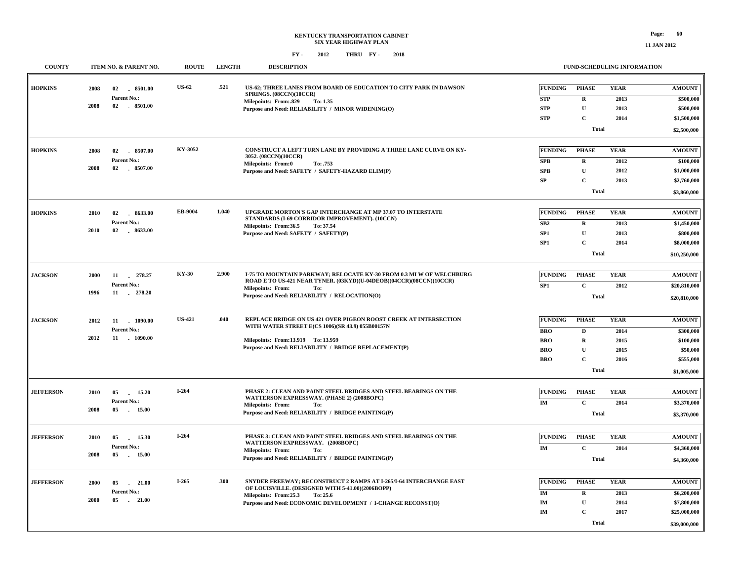#### **KENTUCKY TRANSPORTATION CABINET SIX YEAR HIGHWAY PLAN FY - FY - 2012 2018 THRU**

**11 JAN 2012**

| <b>COUNTY</b>    |      | ITEM NO. & PARENT NO. | <b>ROUTE</b>  | <b>LENGTH</b> | <b>DESCRIPTION</b>                                                                                                                         |                 | FUND-SCHEDULING INFORMATION |             |               |
|------------------|------|-----------------------|---------------|---------------|--------------------------------------------------------------------------------------------------------------------------------------------|-----------------|-----------------------------|-------------|---------------|
| <b>HOPKINS</b>   | 2008 | 02<br>8501.00         | <b>US-62</b>  | .521          | US-62; THREE LANES FROM BOARD OF EDUCATION TO CITY PARK IN DAWSON<br>SPRINGS. (08CCN)(10CCR)                                               | FUNDING         | <b>PHASE</b>                | <b>YEAR</b> | <b>AMOUNT</b> |
|                  |      | Parent No.:           |               |               | <b>Milepoints: From:.829</b><br>To: 1.35                                                                                                   | <b>STP</b>      | $\mathbf R$                 | 2013        | \$500,000     |
|                  | 2008 | 02 8501.00            |               |               | Purpose and Need: RELIABILITY / MINOR WIDENING(O)                                                                                          | <b>STP</b>      | $\mathbf{U}$                | 2013        | \$500,000     |
|                  |      |                       |               |               |                                                                                                                                            | <b>STP</b>      | $\mathbf C$                 | 2014        | \$1,500,000   |
|                  |      |                       |               |               |                                                                                                                                            |                 | <b>Total</b>                |             | \$2,500,000   |
| <b>HOPKINS</b>   | 2008 | 02 8507.00            | KY-3052       |               | CONSTRUCT A LEFT TURN LANE BY PROVIDING A THREE LANE CURVE ON KY-<br>3052. (08CCN)(10CCR)                                                  | FUNDING         | <b>PHASE</b>                | <b>YEAR</b> | <b>AMOUNT</b> |
|                  |      | Parent No.:           |               |               | Milepoints: From:0<br>To: .753                                                                                                             | <b>SPB</b>      | R                           | 2012        | \$100,000     |
|                  | 2008 | 02 8507.00            |               |               | Purpose and Need: SAFETY / SAFETY-HAZARD ELIM(P)                                                                                           | <b>SPB</b>      | $\mathbf{U}$                | 2012        | \$1,000,000   |
|                  |      |                       |               |               |                                                                                                                                            | SP              | $\mathbf{C}$                | 2013        | \$2,760,000   |
|                  |      |                       |               |               |                                                                                                                                            |                 | Total                       |             | \$3,860,000   |
| <b>HOPKINS</b>   | 2010 | 8633.00<br>02         | EB-9004       | 1.040         | UPGRADE MORTON'S GAP INTERCHANGE AT MP 37.07 TO INTERSTATE                                                                                 | FUNDING         | <b>PHASE</b>                | <b>YEAR</b> | <b>AMOUNT</b> |
|                  |      | Parent No.:           |               |               | STANDARDS (I-69 CORRIDOR IMPROVEMENT). (10CCN)<br>Milepoints: From:36.5<br>To: 37.54                                                       | SB <sub>2</sub> | $\mathbf R$                 | 2013        | \$1,450,000   |
|                  | 2010 | 02 . 8633.00          |               |               | Purpose and Need: SAFETY / SAFETY(P)                                                                                                       | SP1             | ${\bf U}$                   | 2013        | \$800,000     |
|                  |      |                       |               |               |                                                                                                                                            | SP <sub>1</sub> | $\mathbf C$                 | 2014        | \$8,000,000   |
|                  |      |                       |               |               |                                                                                                                                            |                 | <b>Total</b>                |             | \$10,250,000  |
|                  |      |                       |               |               |                                                                                                                                            |                 |                             |             |               |
| <b>JACKSON</b>   | 2000 | 11 278.27             | <b>KY-30</b>  | 2.900         | I-75 TO MOUNTAIN PARKWAY; RELOCATE KY-30 FROM 0.3 MI W OF WELCHBURG<br>ROAD E TO US-421 NEAR TYNER. (03KYD)(U-04DEOB)(04CCR)(08CCN)(10CCR) | FUNDING         | <b>PHASE</b>                | <b>YEAR</b> | <b>AMOUNT</b> |
|                  |      | Parent No.:           |               |               | <b>Milepoints: From:</b><br>To:                                                                                                            | SP <sub>1</sub> | $\mathbf{C}$                | 2012        | \$20,810,000  |
|                  | 1996 | 11 278.20             |               |               | Purpose and Need: RELIABILITY / RELOCATION(O)                                                                                              |                 | <b>Total</b>                |             | \$20,810,000  |
| <b>JACKSON</b>   | 2012 | 11 1090.00            | <b>US-421</b> | .040          | REPLACE BRIDGE ON US 421 OVER PIGEON ROOST CREEK AT INTERSECTION                                                                           | <b>FUNDING</b>  | <b>PHASE</b>                | <b>YEAR</b> | <b>AMOUNT</b> |
|                  |      | Parent No.:           |               |               | WITH WATER STREET E(CS 1006)(SR 43.9) 055B00157N                                                                                           | <b>BRO</b>      | D                           | 2014        | \$300,000     |
|                  | 2012 | 11<br>$-1090.00$      |               |               | Milepoints: From:13.919 To: 13.959                                                                                                         | <b>BRO</b>      | R                           | 2015        | \$100,000     |
|                  |      |                       |               |               | Purpose and Need: RELIABILITY / BRIDGE REPLACEMENT(P)                                                                                      | <b>BRO</b>      | ${\bf U}$                   | 2015        | \$50,000      |
|                  |      |                       |               |               |                                                                                                                                            | <b>BRO</b>      | $\mathbf C$                 | 2016        | \$555,000     |
|                  |      |                       |               |               |                                                                                                                                            |                 | <b>Total</b>                |             | \$1,005,000   |
|                  |      |                       |               |               |                                                                                                                                            |                 |                             |             |               |
| <b>JEFFERSON</b> | 2010 | 05<br>15.20<br>$\sim$ | $I-264$       |               | PHASE 2: CLEAN AND PAINT STEEL BRIDGES AND STEEL BEARINGS ON THE<br>WATTERSON EXPRESSWAY. (PHASE 2) (2008BOPC)                             | <b>FUNDING</b>  | <b>PHASE</b>                | <b>YEAR</b> | <b>AMOUNT</b> |
|                  |      | Parent No.:           |               |               | <b>Milepoints: From:</b><br>To:                                                                                                            | IM              | $\mathbf C$                 | 2014        | \$3,370,000   |
|                  | 2008 | 15.00<br>05           |               |               | Purpose and Need: RELIABILITY / BRIDGE PAINTING(P)                                                                                         |                 | <b>Total</b>                |             | \$3,370,000   |
| <b>JEFFERSON</b> | 2010 | 05<br>15.30           | $I-264$       |               | PHASE 3: CLEAN AND PAINT STEEL BRIDGES AND STEEL BEARINGS ON THE                                                                           | FUNDING         | <b>PHASE</b>                | <b>YEAR</b> | <b>AMOUNT</b> |
|                  |      | Parent No.:           |               |               | WATTERSON EXPRESSWAY. (2008BOPC)                                                                                                           | IM              |                             |             |               |
|                  | 2008 | 05<br>15.00           |               |               | Milepoints: From:<br>To:                                                                                                                   |                 | $\mathbf{C}$                | 2014        | \$4,360,000   |
|                  |      |                       |               |               | Purpose and Need: RELIABILITY / BRIDGE PAINTING(P)                                                                                         |                 | Total                       |             | \$4,360,000   |
| <b>JEFFERSON</b> | 2000 | 21.00<br>05           | $I-265$       | .300          | SNYDER FREEWAY; RECONSTRUCT 2 RAMPS AT I-265/I-64 INTERCHANGE EAST                                                                         | FUNDING         | <b>PHASE</b>                | <b>YEAR</b> | <b>AMOUNT</b> |
|                  |      | Parent No.:           |               |               | OF LOUISVILLE. (DESIGNED WITH 5-41.00)(2006BOPP)                                                                                           | <b>IM</b>       | R                           | 2013        | \$6,200,000   |
|                  | 2000 | 05<br>21.00<br>$\sim$ |               |               | Milepoints: From:25.3<br>To: 25.6                                                                                                          | IM              | ${\bf U}$                   | 2014        | \$7,800,000   |
|                  |      |                       |               |               | Purpose and Need: ECONOMIC DEVELOPMENT / I-CHANGE RECONST(O)                                                                               | IM              | $\mathbf C$                 | 2017        | \$25,000,000  |
|                  |      |                       |               |               |                                                                                                                                            |                 |                             |             |               |
|                  |      |                       |               |               |                                                                                                                                            |                 | Total                       |             | \$39,000,000  |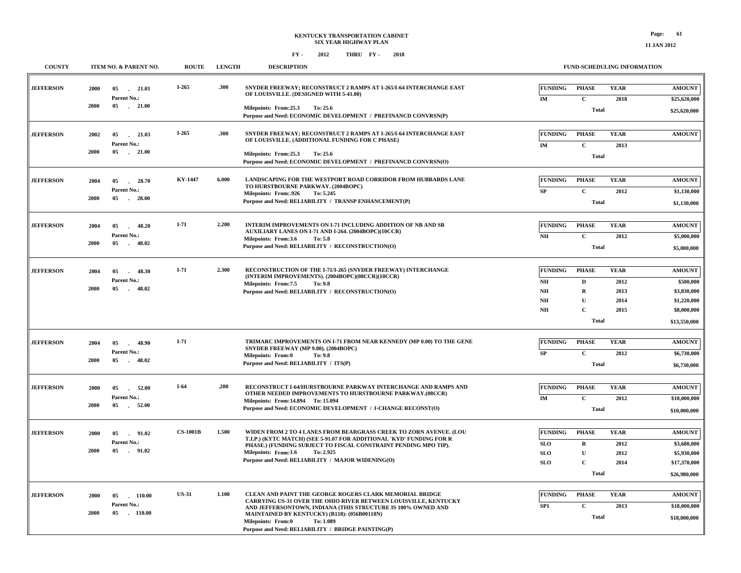**FUND-SCHEDULING INFORMATION**

#### **FY - FY - 2012 2018 THRU**

**COUNTY ITEM NO. & PARENT NO. ROUTE LENGTH DESCRIPTION**

| <b>JEFFERSON</b> | 2000 | 05<br>21.01<br>Parent No.:           | $I-265$         | .300  | SNYDER FREEWAY; RECONSTRUCT 2 RAMPS AT I-265/I-64 INTERCHANGE EAST<br>OF LOUISVILLE. (DESIGNED WITH 5-41.00)                                                          | <b>FUNDING</b>                   | <b>PHASE</b>                 | <b>YEAR</b>         | <b>AMOUNT</b>                |
|------------------|------|--------------------------------------|-----------------|-------|-----------------------------------------------------------------------------------------------------------------------------------------------------------------------|----------------------------------|------------------------------|---------------------|------------------------------|
|                  | 2000 | 05 21.00                             |                 |       | Milepoints: From:25.3<br>To: 25.6<br>Purpose and Need: ECONOMIC DEVELOPMENT / PREFINANCD CONVRSN(P)                                                                   | IM                               | $\mathbf{C}$<br>Total        | 2018                | \$25,620,000<br>\$25,620,000 |
| <b>JEFFERSON</b> | 2002 | 05<br>21.03<br>Parent No.:           | $I-265$         | .300  | SNYDER FREEWAY; RECONSTRUCT 2 RAMPS AT I-265/I-64 INTERCHANGE EAST<br>OF LOUISVILLE. (ADDITIONAL FUNDING FOR C PHASE)                                                 | <b>FUNDING</b><br>IM             | <b>PHASE</b><br>$\mathbf C$  | <b>YEAR</b><br>2013 | <b>AMOUNT</b>                |
|                  | 2000 | 05<br>21.00                          |                 |       | Milepoints: From:25.3<br>To: 25.6<br>Purpose and Need: ECONOMIC DEVELOPMENT / PREFINANCD CONVRSN(O)                                                                   |                                  | <b>Total</b>                 |                     |                              |
| <b>JEFFERSON</b> | 2004 | 05<br>28.70<br>$\sim$<br>Parent No.: | <b>KY-1447</b>  | 6.000 | <b>LANDSCAPING FOR THE WESTPORT ROAD CORRIDOR FROM HUBBARDS LANE</b><br>TO HURSTBOURNE PARKWAY. (2004BOPC)                                                            | <b>FUNDING</b><br>SP             | <b>PHASE</b><br>$\mathbf{C}$ | <b>YEAR</b><br>2012 | <b>AMOUNT</b><br>\$1,130,000 |
|                  | 2000 | 05<br>$-28.00$                       |                 |       | Milepoints: From: 926<br>To: 5.245<br>Purpose and Need: RELIABILITY / TRANSP ENHANCEMENT(P)                                                                           |                                  | <b>Total</b>                 |                     | \$1,130,000                  |
| <b>JEFFERSON</b> | 2004 | 05<br>48.20<br>Parent No.:           | $I-71$          | 2.200 | <b>INTERIM IMPROVEMENTS ON I-71 INCLUDING ADDITION OF NB AND SB</b><br>AUXILIARY LANES ON I-71 AND I-264. (2004BOPC)(10CCR)                                           | <b>FUNDING</b><br>NH             | <b>PHASE</b><br>$\mathbf{C}$ | <b>YEAR</b><br>2012 | <b>AMOUNT</b><br>\$5,000,000 |
|                  | 2000 | 05<br>$-48.02$                       |                 |       | Milepoints: From:3.6<br>To: 5.8<br>Purpose and Need: RELIABILITY / RECONSTRUCTION(O)                                                                                  |                                  | Total                        |                     | \$5,000,000                  |
| <b>JEFFERSON</b> | 2004 | 05<br>48.30<br>Parent No.:           | $I-71$          | 2.300 | RECONSTRUCTION OF THE I-71/I-265 (SNYDER FREEWAY) INTERCHANGE<br>(INTERIM IMPROVEMENTS). (2004BOPC)(08CCR)(10CCR)                                                     | <b>FUNDING</b><br>N <sub>H</sub> | <b>PHASE</b><br>D            | <b>YEAR</b><br>2012 | <b>AMOUNT</b><br>\$500,000   |
|                  | 2000 | 05<br>$-48.02$                       |                 |       | Milepoints: From:7.5<br>To: 9.8<br>Purpose and Need: RELIABILITY / RECONSTRUCTION(O)                                                                                  | NH<br>NH                         | R<br>$\mathbf{U}$            | 2013<br>2014        | \$3,830,000<br>\$1,220,000   |
|                  |      |                                      |                 |       |                                                                                                                                                                       | <b>NH</b>                        | $\mathbf C$<br><b>Total</b>  | 2015                | \$8,000,000<br>\$13,550,000  |
|                  |      |                                      |                 |       |                                                                                                                                                                       |                                  |                              |                     |                              |
| <b>JEFFERSON</b> | 2004 | 48.90<br>05<br>$\sim$                | $I-71$          |       | TRIMARC IMPROVEMENTS ON I-71 FROM NEAR KENNEDY (MP 0.00) TO THE GENE<br>SNYDER FREEWAY (MP 9.80). (2004BOPC)                                                          | <b>FUNDING</b>                   | <b>PHASE</b>                 | <b>YEAR</b>         | <b>AMOUNT</b>                |
|                  | 2000 | Parent No.:<br>05<br>48.02           |                 |       | <b>Milepoints: From:0</b><br>To: 9.8<br>Purpose and Need: RELIABILITY / ITS(P)                                                                                        | SP                               | $\mathbf C$<br><b>Total</b>  | 2012                | \$6,730,000<br>\$6,730,000   |
| <b>JEFFERSON</b> | 2000 | 05<br>52.00<br>$\sim$                | I-64            | .200  | RECONSTRUCT I-64/HURSTBOURNE PARKWAY INTERCHANGE AND RAMPS AND                                                                                                        | <b>FUNDING</b>                   | <b>PHASE</b>                 | <b>YEAR</b>         | <b>AMOUNT</b>                |
|                  | 2000 | Parent No.:<br>05<br>52.00           |                 |       | <b>OTHER NEEDED IMPROVEMENTS TO HURSTBOURNE PARKWAY.(08CCR)</b><br>Milepoints: From:14.894 To: 15.094<br>Purpose and Need: ECONOMIC DEVELOPMENT / I-CHANGE RECONST(O) | IM                               | $\mathbf C$<br>Total         | 2012                | \$10,000,000<br>\$10,000,000 |
|                  |      |                                      |                 |       |                                                                                                                                                                       |                                  |                              |                     |                              |
| <b>JEFFERSON</b> | 2000 | 05<br>91.02<br>$\sim$                | <b>CS-1001B</b> | 1.500 | WIDEN FROM 2 TO 4 LANES FROM BEARGRASS CREEK TO ZORN AVENUE. (LOU<br>T.I.P.) (KYTC MATCH) (SEE 5-91.07 FOR ADDITIONAL 'KYD' FUNDING FOR R                             | <b>FUNDING</b>                   | <b>PHASE</b>                 | <b>YEAR</b>         | <b>AMOUNT</b>                |
|                  | 2000 | Parent No.:<br>05<br>91.02           |                 |       | PHASE.) (FUNDING SUBJECT TO FISCAL CONSTRAINT PENDING MPO TIP).<br>Milepoints: From:1.6<br>To: 2.925                                                                  | <b>SLO</b>                       | $\mathbf R$<br>$\mathbf U$   | 2012                | \$3,680,000                  |
|                  |      |                                      |                 |       | Purpose and Need: RELIABILITY / MAJOR WIDENING(O)                                                                                                                     | <b>SLO</b><br><b>SLO</b>         | $\mathbf C$                  | 2012<br>2014        | \$5,930,000<br>\$17,370,000  |
|                  |      |                                      |                 |       |                                                                                                                                                                       |                                  | Total                        |                     | \$26,980,000                 |
|                  |      |                                      |                 |       |                                                                                                                                                                       |                                  |                              |                     |                              |
| <b>JEFFERSON</b> | 2000 | 05<br>110.00                         | <b>US-31</b>    | 1.100 | CLEAN AND PAINT THE GEORGE ROGERS CLARK MEMORIAL BRIDGE<br>CARRYING US-31 OVER THE OHIO RIVER BETWEEN LOUISVILLE, KENTUCKY                                            | <b>FUNDING</b>                   | <b>PHASE</b>                 | <b>YEAR</b>         | <b>AMOUNT</b>                |
|                  | 2000 | Parent No.:<br>05 110.00             |                 |       | AND JEFFERSONTOWN, INDIANA (THIS STRUCTURE IS 100% OWNED AND<br>MAINTAINED BY KENTUCKY) (B118): (056B00118N)<br>Milepoints: From:0<br>To: 1.089                       | SP <sub>1</sub>                  | $\mathbf{C}$<br><b>Total</b> | 2013                | \$18,000,000<br>\$18,000,000 |
|                  |      |                                      |                 |       |                                                                                                                                                                       |                                  |                              |                     |                              |

**Purpose and Need: RELIABILITY / BRIDGE PAINTING(P)**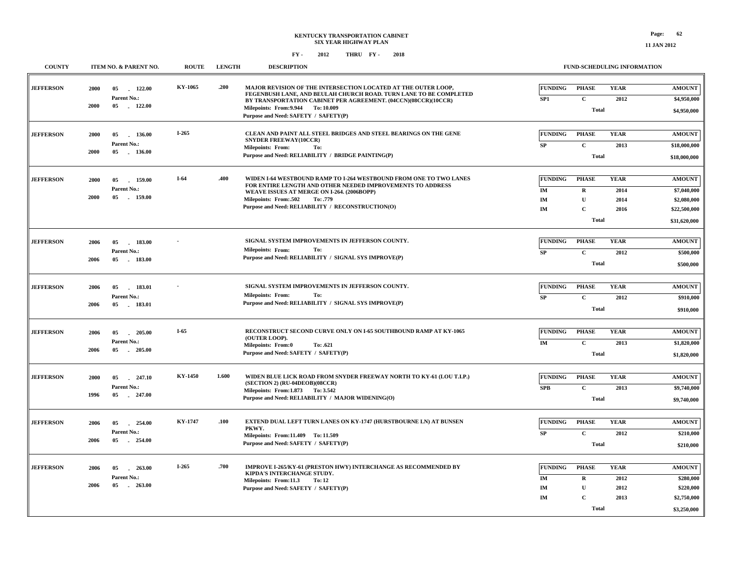| <b>COUNTY</b>    |      | ITEM NO. & PARENT NO.          | <b>ROUTE</b> | <b>LENGTH</b> | <b>DESCRIPTION</b>                                                                                                                           |                                   |                              | <b>FUND-SCHEDULING INFORMATION</b> |                              |
|------------------|------|--------------------------------|--------------|---------------|----------------------------------------------------------------------------------------------------------------------------------------------|-----------------------------------|------------------------------|------------------------------------|------------------------------|
| <b>JEFFERSON</b> | 2000 | 122.00<br>05<br>Parent No.:    | KY-1065      | .200          | MAJOR REVISION OF THE INTERSECTION LOCATED AT THE OUTER LOOP,<br>FEGENBUSH LANE, AND BEULAH CHURCH ROAD. TURN LANE TO BE COMPLETED           | <b>FUNDING</b><br>SP <sub>1</sub> | <b>PHASE</b><br>$\mathbf{C}$ | <b>YEAR</b><br>2012                | <b>AMOUNT</b><br>\$4,950,000 |
|                  | 2000 | 05 122.00                      |              |               | BY TRANSPORTATION CABINET PER AGREEMENT. (04CCN)(08CCR)(10CCR)<br>Milepoints: From: 9.944 To: 10.009<br>Purpose and Need: SAFETY / SAFETY(P) |                                   | <b>Total</b>                 |                                    | \$4,950,000                  |
| <b>JEFFERSON</b> | 2000 | 05<br>136.00                   | I-265        |               | CLEAN AND PAINT ALL STEEL BRIDGES AND STEEL BEARINGS ON THE GENE<br><b>SNYDER FREEWAY(10CCR)</b>                                             | <b>FUNDING</b>                    | <b>PHASE</b>                 | <b>YEAR</b>                        | <b>AMOUNT</b>                |
|                  | 2000 | Parent No.:<br>05 136.00       |              |               | <b>Milepoints: From:</b><br>To:<br>Purpose and Need: RELIABILITY / BRIDGE PAINTING(P)                                                        | <b>SP</b>                         | $\mathbf{C}$<br><b>Total</b> | 2013                               | \$18,000,000<br>\$18,000,000 |
| <b>JEFFERSON</b> | 2000 | 05<br>159.00                   | I-64         | .400          | WIDEN I-64 WESTBOUND RAMP TO I-264 WESTBOUND FROM ONE TO TWO LANES<br>FOR ENTIRE LENGTH AND OTHER NEEDED IMPROVEMENTS TO ADDRESS             | FUNDING                           | <b>PHASE</b>                 | <b>YEAR</b>                        | <b>AMOUNT</b>                |
|                  | 2000 | Parent No.:<br>05<br>159.00    |              |               | WEAVE ISSUES AT MERGE ON I-264. (2006BOPP)<br>Milepoints: From:.502<br>To: .779                                                              | IM<br>IM                          | $\mathbf R$<br>U             | 2014<br>2014                       | \$7,040,000<br>\$2,080,000   |
|                  |      |                                |              |               | Purpose and Need: RELIABILITY / RECONSTRUCTION(O)                                                                                            | IM                                | C<br><b>Total</b>            | 2016                               | \$22,500,000                 |
|                  |      |                                |              |               |                                                                                                                                              |                                   |                              |                                    | \$31,620,000                 |
| <b>JEFFERSON</b> | 2006 | 05<br>$-183.00$<br>Parent No.: |              |               | SIGNAL SYSTEM IMPROVEMENTS IN JEFFERSON COUNTY.<br><b>Milepoints: From:</b><br>To:                                                           | <b>FUNDING</b><br><b>SP</b>       | <b>PHASE</b><br>$\mathbf C$  | <b>YEAR</b><br>2012                | <b>AMOUNT</b><br>\$500,000   |
|                  | 2006 | 05 183.00                      |              |               | Purpose and Need: RELIABILITY / SIGNAL SYS IMPROVE(P)                                                                                        |                                   | <b>Total</b>                 |                                    | \$500,000                    |
| <b>JEFFERSON</b> | 2006 | 05<br>183.01                   |              |               | SIGNAL SYSTEM IMPROVEMENTS IN JEFFERSON COUNTY.                                                                                              | <b>FUNDING</b>                    | <b>PHASE</b>                 | <b>YEAR</b>                        | <b>AMOUNT</b>                |
|                  | 2006 | Parent No.:<br>05 183.01       |              |               | To:<br><b>Milepoints: From:</b><br>Purpose and Need: RELIABILITY / SIGNAL SYS IMPROVE(P)                                                     | <b>SP</b>                         | $\mathbf C$<br><b>Total</b>  | 2012                               | \$910,000<br>\$910,000       |
|                  |      |                                |              |               |                                                                                                                                              |                                   |                              |                                    |                              |
| <b>JEFFERSON</b> | 2006 | 205.00<br>05<br>Parent No.:    | I-65         |               | RECONSTRUCT SECOND CURVE ONLY ON I-65 SOUTHBOUND RAMP AT KY-1065<br>(OUTER LOOP).<br><b>Milepoints: From:0</b><br>To: .621                   | <b>FUNDING</b><br>IM              | <b>PHASE</b><br>$\mathbf C$  | <b>YEAR</b><br>2013                | <b>AMOUNT</b><br>\$1,820,000 |
|                  | 2006 | 05<br>$-205.00$                |              |               | Purpose and Need: SAFETY / SAFETY(P)                                                                                                         |                                   | <b>Total</b>                 |                                    | \$1,820,000                  |
| <b>JEFFERSON</b> | 2000 | 05<br>247.10                   | KY-1450      | 1.600         | WIDEN BLUE LICK ROAD FROM SNYDER FREEWAY NORTH TO KY-61 (LOU T.I.P.)                                                                         | <b>FUNDING</b>                    | <b>PHASE</b>                 | <b>YEAR</b>                        | <b>AMOUNT</b>                |
|                  | 1996 | Parent No.:<br>05<br>247.00    |              |               | (SECTION 2) (RU-04DEOB)(08CCR)<br>Milepoints: From: 1.873 To: 3.542<br>Purpose and Need: RELIABILITY / MAJOR WIDENING(O)                     | <b>SPB</b>                        | $\mathbf C$<br><b>Total</b>  | 2013                               | \$9,740,000<br>\$9,740,000   |
|                  |      |                                |              |               |                                                                                                                                              |                                   |                              |                                    |                              |
| <b>JEFFERSON</b> | 2006 | 05<br>254.00<br>Parent No.:    | KY-1747      | .100          | <b>EXTEND DUAL LEFT TURN LANES ON KY-1747 (HURSTBOURNE LN) AT BUNSEN</b><br>PKWY.                                                            | <b>FUNDING</b><br><b>SP</b>       | <b>PHASE</b><br>$\mathbf C$  | <b>YEAR</b><br>2012                | <b>AMOUNT</b><br>\$210,000   |
|                  | 2006 | 05<br>254.00                   |              |               | Milepoints: From:11.409 To: 11.509<br>Purpose and Need: SAFETY / SAFETY(P)                                                                   |                                   | <b>Total</b>                 |                                    | \$210,000                    |
| <b>JEFFERSON</b> | 2006 | 263.00<br>05                   | I-265        | .700          | IMPROVE I-265/KY-61 (PRESTON HWY) INTERCHANGE AS RECOMMENDED BY                                                                              | <b>FUNDING</b>                    | <b>PHASE</b>                 | <b>YEAR</b>                        | <b>AMOUNT</b>                |
|                  | 2006 | Parent No.:<br>05<br>$-263.00$ |              |               | KIPDA'S INTERCHANGE STUDY.<br>Milepoints: From:11.3<br>To: 12<br>Purpose and Need: SAFETY / SAFETY(P)                                        | IM<br>IM                          | $\mathbf R$<br>$\mathbf{U}$  | 2012<br>2012                       | \$280,000<br>\$220,000       |
|                  |      |                                |              |               |                                                                                                                                              | IM                                | $\mathbf C$                  | 2013                               | \$2,750,000                  |
|                  |      |                                |              |               |                                                                                                                                              |                                   | <b>Total</b>                 |                                    | \$3,250,000                  |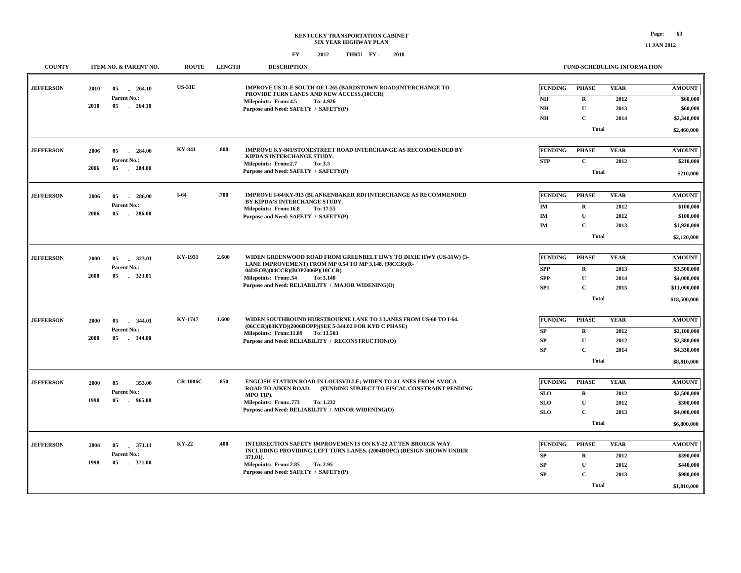**11 JAN 2012**

| <b>COUNTY</b>    |      | ITEM NO. & PARENT NO.          | <b>ROUTE</b>    | <b>LENGTH</b>                                                                             | <b>DESCRIPTION</b>                                                                                                |                |              | FUND-SCHEDULING INFORMATION |               |  |  |
|------------------|------|--------------------------------|-----------------|-------------------------------------------------------------------------------------------|-------------------------------------------------------------------------------------------------------------------|----------------|--------------|-----------------------------|---------------|--|--|
| <b>JEFFERSON</b> | 2010 | 05<br>264.10                   | <b>US-31E</b>   |                                                                                           | <b>IMPROVE US 31-E SOUTH OF I-265 (BARDSTOWN ROAD)INTERCHANGE TO</b><br>PROVIDE TURN LANES AND NEW ACCESS.(10CCR) | <b>FUNDING</b> | <b>PHASE</b> | <b>YEAR</b>                 | <b>AMOUNT</b> |  |  |
|                  | 2010 | Parent No.:<br>05<br>$-264.10$ |                 |                                                                                           | Milepoints: From: 4.5<br>To: 4.926                                                                                | NH             | $\mathbf{R}$ | 2012                        | \$60,000      |  |  |
|                  |      |                                |                 |                                                                                           | Purpose and Need: SAFETY / SAFETY(P)                                                                              | N <sub>H</sub> | U            | 2013                        | \$60,000      |  |  |
|                  |      |                                |                 |                                                                                           |                                                                                                                   | N <sub>H</sub> | $\mathbf C$  | 2014                        | \$2,340,000   |  |  |
|                  |      |                                |                 |                                                                                           |                                                                                                                   |                | Total        |                             | \$2,460,000   |  |  |
|                  |      |                                |                 |                                                                                           |                                                                                                                   |                |              |                             |               |  |  |
| <b>JEFFERSON</b> | 2006 | 05<br>$-284.00$                | <b>KY-841</b>   | .800                                                                                      | <b>IMPROVE KY-841/STONESTREET ROAD INTERCHANGE AS RECOMMENDED BY</b><br>KIPDA'S INTERCHANGE STUDY.                | <b>FUNDING</b> | <b>PHASE</b> | <b>YEAR</b>                 | <b>AMOUNT</b> |  |  |
|                  |      | Parent No.:<br>05              |                 |                                                                                           | Milepoints: From:2.7<br>To: 3.5                                                                                   | <b>STP</b>     | $\mathbf{C}$ | 2012                        | \$210,000     |  |  |
|                  | 2006 | $-284.00$                      |                 |                                                                                           | Purpose and Need: SAFETY / SAFETY(P)                                                                              |                | <b>Total</b> |                             | \$210,000     |  |  |
|                  |      |                                |                 |                                                                                           |                                                                                                                   |                |              |                             |               |  |  |
| <b>JEFFERSON</b> | 2006 | 286.00<br>05                   | $I-64$          | .700                                                                                      | <b>IMPROVE I-64/KY-913 (BLANKENBAKER RD) INTERCHANGE AS RECOMMENDED</b>                                           | <b>FUNDING</b> | <b>PHASE</b> | <b>YEAR</b>                 | <b>AMOUNT</b> |  |  |
|                  |      | Parent No.:                    |                 |                                                                                           | BY KIPDA'S INTERCHANGE STUDY.<br>Milepoints: From:16.8<br>To: 17.55                                               | IM             | $\mathbf{R}$ | 2012                        | \$100,000     |  |  |
|                  | 2006 | 05<br>$-286.00$                |                 |                                                                                           | Purpose and Need: SAFETY / SAFETY(P)                                                                              | <b>IM</b>      | $\mathbf{U}$ | 2012                        | \$100,000     |  |  |
|                  |      |                                |                 |                                                                                           |                                                                                                                   | IM             | $\mathbf C$  | 2013                        | \$1,920,000   |  |  |
|                  |      |                                |                 |                                                                                           |                                                                                                                   |                | Total        |                             |               |  |  |
|                  |      |                                |                 |                                                                                           |                                                                                                                   |                |              |                             | \$2,120,000   |  |  |
| <b>JEFFERSON</b> | 2000 | 323.01<br>05                   | KY-1931         | 2.600                                                                                     | WIDEN GREENWOOD ROAD FROM GREENBELT HWY TO DIXIE HWY (US-31W) (3-                                                 | <b>FUNDING</b> | <b>PHASE</b> | <b>YEAR</b>                 | <b>AMOUNT</b> |  |  |
|                  |      | Parent No.:                    |                 | LANE IMPROVEMENT) FROM MP 0.54 TO MP 3.148. (98CCR)(R-<br>04DEOB)(04CCR)(BOP2006P)(10CCR) | <b>SPP</b>                                                                                                        | $\mathbf R$    | 2013         | \$3,500,000                 |               |  |  |
|                  | 2000 | 05 323.01                      |                 |                                                                                           | Milepoints: From:.54<br>To: 3.148                                                                                 | <b>SPP</b>     | $\mathbf{U}$ | 2014                        | \$4,000,000   |  |  |
|                  |      |                                |                 |                                                                                           | Purpose and Need: RELIABILITY / MAJOR WIDENING(O)                                                                 | SP1            | $\mathbf{C}$ | 2015                        | \$11,000,000  |  |  |
|                  |      |                                |                 |                                                                                           |                                                                                                                   |                | <b>Total</b> |                             | \$18,500,000  |  |  |
|                  |      |                                |                 |                                                                                           |                                                                                                                   |                |              |                             |               |  |  |
| <b>JEFFERSON</b> | 2000 | 05<br>$-344.01$                | KY-1747         | 1.600                                                                                     | WIDEN SOUTHBOUND HURSTBOURNE LANE TO 3 LANES FROM US-60 TO 1-64.                                                  | <b>FUNDING</b> | <b>PHASE</b> | <b>YEAR</b>                 | <b>AMOUNT</b> |  |  |
|                  |      | Parent No.:                    |                 |                                                                                           | (06CCR)(03KYD)(2006BOPP)(SEE 5-344.02 FOR KYD C PHASE)<br>Milepoints: From:11.89 To: 13.503                       | SP             | $\mathbf{R}$ | 2012                        | \$2,100,000   |  |  |
|                  | 2000 | 05<br>. 344.00                 |                 |                                                                                           | Purpose and Need: RELIABILITY / RECONSTRUCTION(O)                                                                 | SP             | $\mathbf U$  | 2012                        | \$2,380,000   |  |  |
|                  |      |                                |                 |                                                                                           |                                                                                                                   | SP             | $\mathbf C$  | 2014                        | \$4,330,000   |  |  |
|                  |      |                                |                 |                                                                                           |                                                                                                                   |                | Total        |                             | \$8,810,000   |  |  |
|                  |      |                                |                 |                                                                                           |                                                                                                                   |                |              |                             |               |  |  |
| <b>JEFFERSON</b> | 2000 | 05<br>353.00                   | <b>CR-1006C</b> | .850                                                                                      | ENGLISH STATION ROAD IN LOUISVILLE; WIDEN TO 3 LANES FROM AVOCA                                                   | <b>FUNDING</b> | <b>PHASE</b> | <b>YEAR</b>                 | <b>AMOUNT</b> |  |  |
|                  |      | Parent No.:                    |                 |                                                                                           | ROAD TO AIKEN ROAD. (FUNDING SUBJECT TO FISCAL CONSTRAINT PENDING<br>MPO TIP).                                    | <b>SLO</b>     | $\bf{R}$     | 2012                        | \$2,500,000   |  |  |
|                  | 1998 | $-965.08$<br>05                |                 |                                                                                           | Milepoints: From: 773<br>To: 1.232                                                                                | <b>SLO</b>     | U            | 2012                        | \$300,000     |  |  |
|                  |      |                                |                 |                                                                                           | Purpose and Need: RELIABILITY / MINOR WIDENING(O)                                                                 | <b>SLO</b>     | $\mathbf C$  | 2013                        | \$4,000,000   |  |  |
|                  |      |                                |                 |                                                                                           |                                                                                                                   |                | <b>Total</b> |                             | \$6,800,000   |  |  |
|                  |      |                                |                 |                                                                                           |                                                                                                                   |                |              |                             |               |  |  |
| <b>JEFFERSON</b> | 2004 | 05<br>.371.11                  | KY-22           | .400                                                                                      | <b>INTERSECTION SAFETY IMPROVEMENTS ON KY-22 AT TEN BROECK WAY</b>                                                | <b>FUNDING</b> | <b>PHASE</b> | <b>YEAR</b>                 | <b>AMOUNT</b> |  |  |
|                  |      | Parent No.:                    |                 |                                                                                           | INCLUDING PROVIDING LEFT TURN LANES. (2004BOPC) (DESIGN SHOWN UNDER<br>371.01).                                   | SP             | $\mathbf R$  | 2012                        | \$390,000     |  |  |
|                  | 1998 | 05 371.00                      |                 |                                                                                           | Milepoints: From: 2.85<br>To: 2.95                                                                                | ${\bf SP}$     | ${\bf U}$    | 2012                        | \$440,000     |  |  |
|                  |      |                                |                 |                                                                                           | Purpose and Need: SAFETY / SAFETY(P)                                                                              | SP             | $\mathbf C$  | 2013                        | \$980,000     |  |  |
|                  |      |                                |                 |                                                                                           |                                                                                                                   |                | Total        |                             | \$1,810,000   |  |  |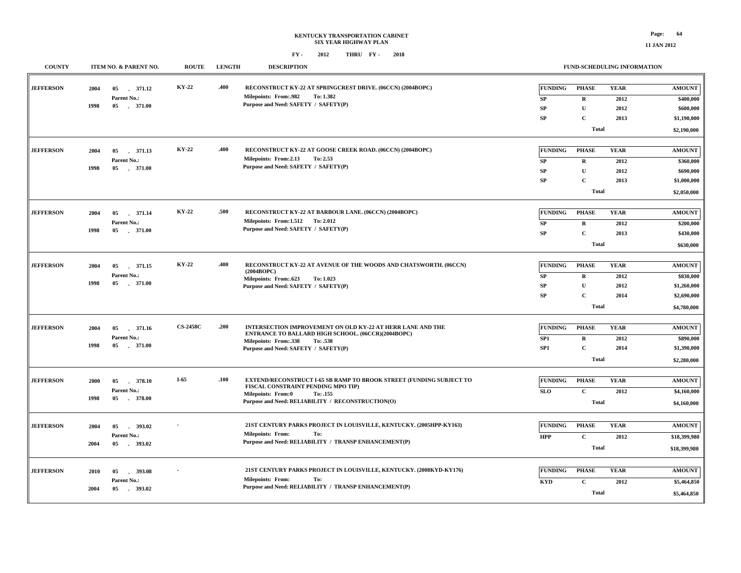#### **KENTUCKY TRANSPORTATION CABINET SIX YEAR HIGHWAY PLAN FY - FY - 2012 2018 THRU**

| <b>COUNTY</b>    |      | ITEM NO. & PARENT NO.       | <b>ROUTE</b>    | <b>LENGTH</b> | <b>DESCRIPTION</b>                                                                       |                |                             | FUND-SCHEDULING INFORMATION |                              |
|------------------|------|-----------------------------|-----------------|---------------|------------------------------------------------------------------------------------------|----------------|-----------------------------|-----------------------------|------------------------------|
| <b>JEFFERSON</b> | 2004 | 05<br>371.12                | KY-22           | .400          | RECONSTRUCT KY-22 AT SPRINGCREST DRIVE. (06CCN) (2004BOPC)                               | <b>FUNDING</b> | <b>PHASE</b>                | <b>YEAR</b>                 | <b>AMOUNT</b>                |
|                  |      | Parent No.:                 |                 |               | <b>Milepoints: From:.982</b><br>To: 1.382                                                | SP             | $\mathbf R$                 | 2012                        | \$400,000                    |
|                  | 1998 | 05 . 371.00                 |                 |               | Purpose and Need: SAFETY / SAFETY(P)                                                     | ${\bf SP}$     | $\mathbf U$                 | 2012                        | \$600,000                    |
|                  |      |                             |                 |               |                                                                                          | ${\bf SP}$     | $\mathbf C$                 | 2013                        | \$1,190,000                  |
|                  |      |                             |                 |               |                                                                                          |                | <b>Total</b>                |                             | \$2,190,000                  |
| <b>JEFFERSON</b> | 2004 | 05<br>371.13                | KY-22           | .400          | RECONSTRUCT KY-22 AT GOOSE CREEK ROAD. (06CCN) (2004BOPC)                                | <b>FUNDING</b> | <b>PHASE</b>                | <b>YEAR</b>                 | <b>AMOUNT</b>                |
|                  |      | Parent No.:                 |                 |               | Milepoints: From:2.13<br>To: 2.53                                                        | ${\bf SP}$     | R                           | 2012                        | \$360,000                    |
|                  | 1998 | 05<br>$-371.00$             |                 |               | Purpose and Need: SAFETY / SAFETY(P)                                                     | SP             | $\mathbf U$                 | 2012                        | \$690,000                    |
|                  |      |                             |                 |               |                                                                                          | ${\bf SP}$     | $\mathbf C$                 | 2013                        | \$1,000,000                  |
|                  |      |                             |                 |               |                                                                                          |                | <b>Total</b>                |                             | \$2,050,000                  |
| <b>JEFFERSON</b> | 2004 | 371.14<br>05                | KY-22           | .500          | RECONSTRUCT KY-22 AT BARBOUR LANE. (06CCN) (2004BOPC)                                    | <b>FUNDING</b> | <b>PHASE</b>                | <b>YEAR</b>                 | <b>AMOUNT</b>                |
|                  |      | Parent No.:                 |                 |               | Milepoints: From:1.512 To: 2.012                                                         | ${\bf SP}$     | $\mathbf R$                 | 2012                        | \$200,000                    |
|                  | 1998 | .371.00<br>05               |                 |               | Purpose and Need: SAFETY / SAFETY(P)                                                     | ${\bf SP}$     | $\mathbf C$                 | 2013                        | \$430,000                    |
|                  |      |                             |                 |               |                                                                                          |                | <b>Total</b>                |                             | \$630,000                    |
|                  |      |                             |                 |               |                                                                                          |                |                             |                             |                              |
| <b>JEFFERSON</b> | 2004 | 05<br>371.15                | KY-22           | .400          | RECONSTRUCT KY-22 AT AVENUE OF THE WOODS AND CHATSWORTH. (06CCN)                         | <b>FUNDING</b> | <b>PHASE</b>                | <b>YEAR</b>                 | <b>AMOUNT</b>                |
|                  |      | Parent No.:                 |                 |               | (2004BOPC)<br>Milepoints: From:.623<br>To: 1.023                                         | ${\bf SP}$     | $\mathbf R$                 | 2012                        | \$830,000                    |
|                  | 1998 | 05<br>.371.00               |                 |               | Purpose and Need: SAFETY / SAFETY(P)                                                     | SP             | $\mathbf{U}$                | 2012                        | \$1,260,000                  |
|                  |      |                             |                 |               |                                                                                          | ${\bf SP}$     | $\mathbf C$                 | 2014                        | \$2,690,000                  |
|                  |      |                             |                 |               |                                                                                          |                | <b>Total</b>                |                             | \$4,780,000                  |
| <b>JEFFERSON</b> | 2004 | 05 371.16                   | <b>CS-2458C</b> | .200          | INTERSECTION IMPROVEMENT ON OLD KY-22 AT HERR LANE AND THE                               | <b>FUNDING</b> | <b>PHASE</b>                | <b>YEAR</b>                 | <b>AMOUNT</b>                |
|                  |      | Parent No.:                 |                 |               | ENTRANCE TO BALLARD HIGH SCHOOL. (06CCR)(2004BOPC)                                       | SP1            | $\mathbf R$                 | 2012                        | \$890,000                    |
|                  | 1998 | .371.00<br>05               |                 |               | Milepoints: From: 338<br>To: .538                                                        | SP1            | $\mathbf C$                 | 2014                        | \$1,390,000                  |
|                  |      |                             |                 |               | Purpose and Need: SAFETY / SAFETY(P)                                                     |                | <b>Total</b>                |                             | \$2,280,000                  |
|                  |      |                             |                 |               |                                                                                          |                |                             |                             |                              |
| <b>JEFFERSON</b> | 2000 | 05<br>378.10                | $I-65$          | .100          | EXTEND/RECONSTRUCT I-65 SB RAMP TO BROOK STREET (FUNDING SUBJECT TO                      | <b>FUNDING</b> | <b>PHASE</b>                | <b>YEAR</b>                 | <b>AMOUNT</b>                |
|                  |      | Parent No.:                 |                 |               | FISCAL CONSTRAINT PENDING MPO TIP)<br>Milepoints: From:0<br>To: .155                     | <b>SLO</b>     | $\mathbf C$                 | 2012                        | \$4,160,000                  |
|                  | 1998 | 05 378.00                   |                 |               | Purpose and Need: RELIABILITY / RECONSTRUCTION(O)                                        |                | <b>Total</b>                |                             | \$4,160,000                  |
| <b>JEFFERSON</b> |      |                             |                 |               | 21ST CENTURY PARKS PROJECT IN LOUISVILLE, KENTUCKY. (2005HPP-KY163)                      | <b>FUNDING</b> | <b>PHASE</b>                | <b>YEAR</b>                 | <b>AMOUNT</b>                |
|                  | 2004 | 05<br>393.02<br>Parent No.: |                 |               | <b>Milepoints: From:</b><br>To:                                                          |                |                             |                             |                              |
|                  | 2004 | 05 393.02                   |                 |               | Purpose and Need: RELIABILITY / TRANSP ENHANCEMENT(P)                                    | <b>HPP</b>     | $\mathbf C$<br><b>Total</b> | 2012                        | \$18,399,980<br>\$18,399,980 |
|                  |      |                             |                 |               |                                                                                          |                |                             |                             |                              |
| <b>JEFFERSON</b> | 2010 | 05<br>393.08                |                 |               | 21ST CENTURY PARKS PROJECT IN LOUISVILLE, KENTUCKY. (2008KYD-KY176)                      | <b>FUNDING</b> | <b>PHASE</b>                | <b>YEAR</b>                 | <b>AMOUNT</b>                |
|                  |      | Parent No.:                 |                 |               | <b>Milepoints: From:</b><br>To:<br>Purpose and Need: RELIABILITY / TRANSP ENHANCEMENT(P) | <b>KYD</b>     | $\mathbf C$                 | 2012                        | \$5,464,850                  |
|                  | 2004 | 05 393.02                   |                 |               |                                                                                          |                | <b>Total</b>                |                             | \$5,464,850                  |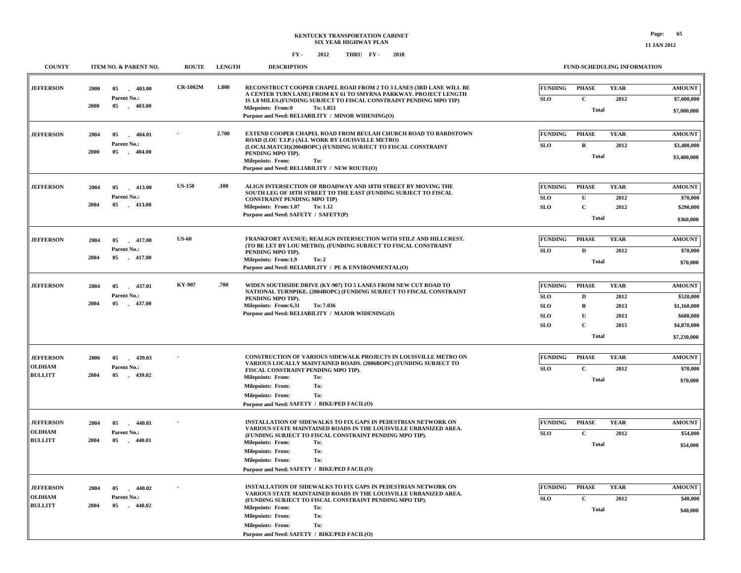| <b>COUNTY</b>                                       |              | ITEM NO. & PARENT NO.                                    | <b>ROUTE</b>    | <b>LENGTH</b> | <b>DESCRIPTION</b>                                                                                                                                                                                                                                                                                                                                     | FUND-SCHEDULING INFORMATION                                                                                                                                                                                                                                                               |                      |
|-----------------------------------------------------|--------------|----------------------------------------------------------|-----------------|---------------|--------------------------------------------------------------------------------------------------------------------------------------------------------------------------------------------------------------------------------------------------------------------------------------------------------------------------------------------------------|-------------------------------------------------------------------------------------------------------------------------------------------------------------------------------------------------------------------------------------------------------------------------------------------|----------------------|
| <b>JEFFERSON</b>                                    | 2000<br>2000 | $-403.00$<br>05<br>Parent No.:<br>05<br>$-403.00$        | <b>CR-1002M</b> | 1.800         | RECONSTRUCT COOPER CHAPEL ROAD FROM 2 TO 3 LANES (3RD LANE WILL BE<br>A CENTER TURN LANE) FROM KY 61 TO SMYRNA PARKWAY. PROJECT LENGTH<br>IS 1.8 MILES.(FUNDING SUBJECT TO FISCAL CONSTRAINT PENDING MPO TIP)<br>Milepoints: From:0<br>To: 1.853<br>Purpose and Need: RELIABILITY / MINOR WIDENING(O)                                                  | <b>YEAR</b><br><b>FUNDING</b><br><b>PHASE</b><br><b>AMOUNT</b><br><b>SLO</b><br>$\mathbf{C}$<br>2012<br>\$7,000,000<br><b>Total</b><br>\$7,000,000                                                                                                                                        |                      |
| <b>JEFFERSON</b>                                    | 2004<br>2000 | 05<br>$-404.01$<br>Parent No.:<br>05<br>$-404.00$        |                 | 2.700         | EXTEND COOPER CHAPEL ROAD FROM BEULAH CHURCH ROAD TO BARDSTOWN<br>ROAD (LOU T.I.P.) (ALL WORK BY LOUISVILLE METRO)<br>(LOCALMATCH)(2004BOPC) (FUNDING SUBJECT TO FISCAL CONSTRAINT<br>PENDING MPO TIP).<br>Milepoints: From:<br>To:<br>Purpose and Need: RELIABILITY / NEW ROUTE(O)                                                                    | <b>FUNDING</b><br><b>PHASE</b><br><b>YEAR</b><br><b>AMOUNT</b><br><b>SLO</b><br>$\mathbf R$<br>2012<br>\$3,400,000<br><b>Total</b><br>\$3,400,000                                                                                                                                         |                      |
| <b>JEFFERSON</b>                                    | 2004<br>2004 | 05<br>$-413.00$<br>Parent No.:<br>05<br>$-413.00$        | <b>US-150</b>   | .100          | ALIGN INTERSECTION OF BROADWAY AND 18TH STREET BY MOVING THE<br>SOUTH LEG OF 18TH STREET TO THE EAST (FUNDING SUBJECT TO FISCAL<br><b>CONSTRAINT PENDING MPO TIP)</b><br>Milepoints: From:1.07<br><b>To: 1.12</b><br>Purpose and Need: SAFETY / SAFETY(P)                                                                                              | <b>FUNDING</b><br><b>YEAR</b><br><b>PHASE</b><br><b>AMOUNT</b><br><b>SLO</b><br>$\mathbf{U}$<br>2012<br>$\mathbf C$<br><b>SLO</b><br>2012<br>\$290,000<br><b>Total</b><br>\$360,000                                                                                                       | \$70,000             |
| <b>JEFFERSON</b>                                    | 2004<br>2004 | $-417.00$<br>05<br>Parent No.:<br>05 417.00              | <b>US-60</b>    |               | FRANKFORT AVENUE; REALIGN INTERSECTION WITH STILZ AND HILLCREST.<br>(TO BE LET BY LOU METRO). (FUNDING SUBJECT TO FISCAL CONSTRAINT<br>PENDING MPO TIP).<br>Milepoints: From:1.9<br>To: 2<br>Purpose and Need: RELIABILITY / PE & ENVIRONMENTAL(O)                                                                                                     | <b>FUNDING</b><br><b>PHASE</b><br><b>YEAR</b><br><b>AMOUNT</b><br>SLO<br>$\mathbf{D}$<br>2012<br>Total<br>\$70,000                                                                                                                                                                        | \$70,000             |
| <b>JEFFERSON</b>                                    | 2004<br>2004 | 05<br>437.01<br>Parent No.:<br>05<br>437.00              | KY-907          | .700          | WIDEN SOUTHSIDE DRIVE (KY-907) TO 5 LANES FROM NEW CUT ROAD TO<br>NATIONAL TURNPIKE. (2004BOPC) (FUNDING SUBJECT TO FISCAL CONSTRAINT<br>PENDING MPO TIP).<br>Milepoints: From:6.31<br>To: 7.036<br>Purpose and Need: RELIABILITY / MAJOR WIDENING(O)                                                                                                  | <b>FUNDING</b><br><b>YEAR</b><br><b>PHASE</b><br><b>AMOUNT</b><br><b>SLO</b><br>$\mathbf{D}$<br>2012<br>\$520,000<br><b>SLO</b><br>$\mathbf R$<br>2013<br>\$1,160,000<br><b>SLO</b><br>U<br>2013<br>\$680,000<br>$\mathbf C$<br><b>SLO</b><br>2015<br>\$4,870,000<br>Total<br>\$7,230,000 |                      |
| <b>JEFFERSON</b><br><b>OLDHAM</b><br><b>BULLITT</b> | 2006<br>2004 | $-439.03$<br>05<br>Parent No.:<br>05<br>439.02           |                 |               | CONSTRUCTION OF VARIOUS SIDEWALK PROJECTS IN LOUISVILLE METRO ON<br>VARIOUS LOCALLY MAINTAINED ROADS. (2006BOPC) (FUNDING SUBJECT TO<br>FISCAL CONSTRAINT PENDING MPO TIP).<br><b>Milepoints: From:</b><br>To:<br><b>Milepoints: From:</b><br>To:<br><b>Milepoints: From:</b><br>To:<br>Purpose and Need: SAFETY / BIKE/PED FACIL(O)                   | <b>FUNDING</b><br><b>PHASE</b><br><b>YEAR</b><br><b>AMOUNT</b><br>$\mathbf{C}$<br><b>SLO</b><br>2012<br><b>Total</b><br>\$70,000                                                                                                                                                          | \$70,000             |
| <b>JEFFERSON</b><br><b>OLDHAM</b><br><b>BULLITT</b> | 2004<br>2004 | 05<br>$-440.01$<br>Parent No.:<br>05<br>$-440.01$        |                 |               | INSTALLATION OF SIDEWALKS TO FIX GAPS IN PEDESTRIAN NETWORK ON<br>VARIOUS STATE MAINTAINED ROADS IN THE LOUISVILLE URBANIZED AREA.<br>(FUNDING SUBJECT TO FISCAL CONSTRAINT PENDING MPO TIP).<br><b>Milepoints: From:</b><br>To:<br>To:<br><b>Milepoints: From:</b><br><b>Milepoints: From:</b><br>To:<br>Purpose and Need: SAFETY / BIKE/PED FACIL(O) | <b>FUNDING</b><br><b>YEAR</b><br><b>PHASE</b><br><b>AMOUNT</b><br><b>SLO</b><br>$\mathbf C$<br>2012<br><b>Total</b>                                                                                                                                                                       | \$54,000<br>\$54,000 |
| <b>JEFFERSON</b><br><b>OLDHAM</b><br><b>BULLITT</b> | 2004<br>2004 | 05<br>440.02<br>$\sim$<br>Parent No.:<br>05<br>$-440.02$ |                 |               | INSTALLATION OF SIDEWALKS TO FIX GAPS IN PEDESTRIAN NETWORK ON<br>VARIOUS STATE MAINTAINED ROADS IN THE LOUISVILLE URBANIZED AREA.<br>(FUNDING SUBJECT TO FISCAL CONSTRAINT PENDING MPO TIP).<br><b>Milepoints: From:</b><br>To:<br>To:<br><b>Milepoints: From:</b><br><b>Milepoints: From:</b><br>To:<br>Purpose and Need: SAFETY / BIKE/PED FACIL(O) | <b>FUNDING</b><br><b>PHASE</b><br><b>YEAR</b><br><b>AMOUNT</b><br>SLO<br>$\mathbf C$<br>2012<br><b>Total</b>                                                                                                                                                                              | \$40,000<br>\$40,000 |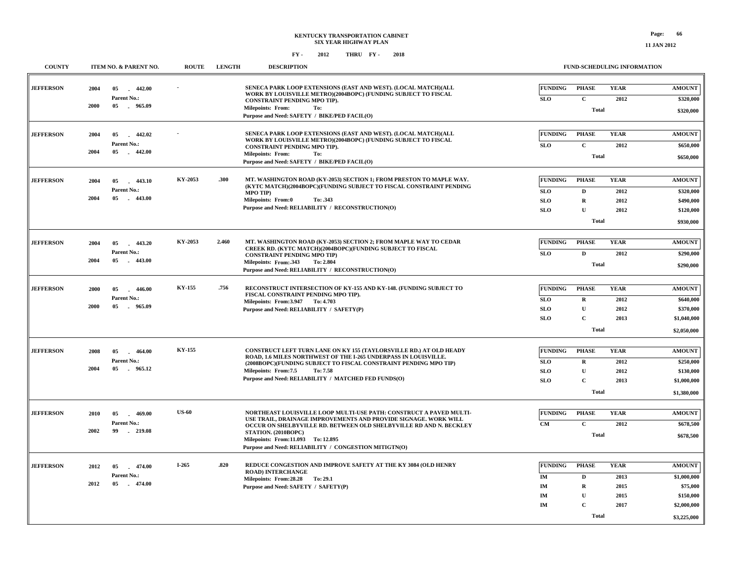| <b>COUNTY</b>    |             | ITEM NO. & PARENT NO.          | <b>ROUTE</b> | <b>LENGTH</b>                                                            | <b>DESCRIPTION</b>                                                                                                                           |                | FUND-SCHEDULING INFORMATION |             |               |
|------------------|-------------|--------------------------------|--------------|--------------------------------------------------------------------------|----------------------------------------------------------------------------------------------------------------------------------------------|----------------|-----------------------------|-------------|---------------|
| <b>JEFFERSON</b> | 2004        | 05<br>$-442.00$                |              |                                                                          | SENECA PARK LOOP EXTENSIONS (EAST AND WEST). (LOCAL MATCH)(ALL                                                                               | <b>FUNDING</b> | <b>PHASE</b>                | <b>YEAR</b> | <b>AMOUNT</b> |
|                  |             | Parent No.:                    |              |                                                                          | WORK BY LOUISVILLE METRO)(2004BOPC) (FUNDING SUBJECT TO FISCAL<br>CONSTRAINT PENDING MPO TIP).                                               | <b>SLO</b>     | $\mathbf{C}$                | 2012        | \$320,000     |
|                  | 2000        | 05<br>. 965.09                 |              |                                                                          | <b>Milepoints: From:</b><br>To:<br>Purpose and Need: SAFETY / BIKE/PED FACIL(O)                                                              |                | <b>Total</b>                |             | \$320,000     |
| <b>JEFFERSON</b> | 2004        | 442.02<br>05                   |              |                                                                          | SENECA PARK LOOP EXTENSIONS (EAST AND WEST). (LOCAL MATCH)(ALL<br>WORK BY LOUISVILLE METRO)(2004BOPC) (FUNDING SUBJECT TO FISCAL             | <b>FUNDING</b> | <b>PHASE</b>                | <b>YEAR</b> | <b>AMOUNT</b> |
|                  | 2004        | Parent No.:<br>05<br>$-442.00$ |              |                                                                          | CONSTRAINT PENDING MPO TIP).                                                                                                                 | <b>SLO</b>     | $\mathbf{C}$                | 2012        | \$650,000     |
|                  |             |                                |              |                                                                          | <b>Milepoints: From:</b><br>To:<br>Purpose and Need: SAFETY / BIKE/PED FACIL(O)                                                              |                | <b>Total</b>                |             | \$650,000     |
| <b>JEFFERSON</b> | 2004        | 05<br>$-443.10$                | KY-2053      | .300                                                                     | MT. WASHINGTON ROAD (KY-2053) SECTION 1; FROM PRESTON TO MAPLE WAY.<br>(KYTC MATCH)(2004BOPC)(FUNDING SUBJECT TO FISCAL CONSTRAINT PENDING   | <b>FUNDING</b> | <b>PHASE</b>                | <b>YEAR</b> | <b>AMOUNT</b> |
|                  |             | Parent No.:                    |              |                                                                          | <b>MPO TIP)</b>                                                                                                                              | <b>SLO</b>     | D                           | 2012        | \$320,000     |
|                  | 2004        | 05<br>$-443.00$                |              |                                                                          | <b>Milepoints: From:0</b><br>To: .343                                                                                                        | <b>SLO</b>     | $\mathbf R$                 | 2012        | \$490,000     |
|                  |             |                                |              |                                                                          | Purpose and Need: RELIABILITY / RECONSTRUCTION(O)                                                                                            | SLO            | ${\bf U}$                   | 2012        | \$120,000     |
|                  |             |                                |              |                                                                          |                                                                                                                                              |                | Total                       |             | \$930,000     |
| <b>JEFFERSON</b> | 2004        | 443.20<br>05                   | KY-2053      | 2.460                                                                    | MT. WASHINGTON ROAD (KY-2053) SECTION 2; FROM MAPLE WAY TO CEDAR<br>CREEK RD. (KYTC MATCH)(2004BOPC)(FUNDING SUBJECT TO FISCAL               | <b>FUNDING</b> | <b>PHASE</b>                | <b>YEAR</b> | <b>AMOUNT</b> |
|                  |             | Parent No.:                    |              |                                                                          | <b>CONSTRAINT PENDING MPO TIP)</b>                                                                                                           | <b>SLO</b>     | D                           | 2012        | \$290,000     |
|                  | 2004        | 05<br>$-443.00$                |              |                                                                          | Milepoints: From: 343<br>To: 2.804<br>Purpose and Need: RELIABILITY / RECONSTRUCTION(O)                                                      |                | <b>Total</b>                |             | \$290,000     |
| <b>JEFFERSON</b> | 2000        | 05<br>446.00                   | KY-155       | .756                                                                     | RECONSTRUCT INTERSECTION OF KY-155 AND KY-148. (FUNDING SUBJECT TO                                                                           | <b>FUNDING</b> | <b>PHASE</b>                | <b>YEAR</b> | <b>AMOUNT</b> |
|                  | Parent No.: |                                |              | FISCAL CONSTRAINT PENDING MPO TIP).<br>Milepoints: From: 3.947 To: 4.703 | <b>SLO</b>                                                                                                                                   | $\mathbf R$    | 2012                        | \$640,000   |               |
|                  | 2000        | 05<br>965.09                   |              |                                                                          | Purpose and Need: RELIABILITY / SAFETY(P)                                                                                                    | <b>SLO</b>     | U                           | 2012        | \$370,000     |
|                  |             |                                |              |                                                                          |                                                                                                                                              | <b>SLO</b>     | $\mathbf C$                 | 2013        | \$1,040,000   |
|                  |             |                                |              |                                                                          |                                                                                                                                              |                | Total                       |             | \$2,050,000   |
| <b>JEFFERSON</b> | 2008        | 05<br>$-464.00$                | KY-155       |                                                                          | <b>CONSTRUCT LEFT TURN LANE ON KY 155 (TAYLORSVILLE RD.) AT OLD HEADY</b><br>ROAD, 1.6 MILES NORTHWEST OF THE I-265 UNDERPASS IN LOUISVILLE. | <b>FUNDING</b> | <b>PHASE</b>                | <b>YEAR</b> | <b>AMOUNT</b> |
|                  |             | Parent No.:                    |              |                                                                          | (2008BOPC)(FUNDING SUBJECT TO FISCAL CONSTRAINT PENDING MPO TIP)                                                                             | <b>SLO</b>     | R                           | 2012        | \$250,000     |
|                  | 2004        | 05<br>965.12                   |              |                                                                          | Milepoints: From:7.5<br>To: 7.58                                                                                                             | <b>SLO</b>     | $\mathbf{U}$                | 2012        | \$130,000     |
|                  |             |                                |              |                                                                          | Purpose and Need: RELIABILITY / MATCHED FED FUNDS(O)                                                                                         | <b>SLO</b>     | $\mathbf C$                 | 2013        | \$1,000,000   |
|                  |             |                                |              |                                                                          |                                                                                                                                              |                | <b>Total</b>                |             | \$1,380,000   |
| <b>JEFFERSON</b> | 2010        | 05<br>469.00                   | <b>US-60</b> |                                                                          | NORTHEAST LOUISVILLE LOOP MULTI-USE PATH: CONSTRUCT A PAVED MULTI-<br>USE TRAIL, DRAINAGE IMPROVEMENTS AND PROVIDE SIGNAGE. WORK WILL        | <b>FUNDING</b> | <b>PHASE</b>                | <b>YEAR</b> | <b>AMOUNT</b> |
|                  |             | Parent No.:                    |              |                                                                          | OCCUR ON SHELBYVILLE RD. BETWEEN OLD SHELBYVILLE RD AND N. BECKLEY                                                                           | <b>CM</b>      | $\mathbf{C}$                | 2012        | \$678,500     |
|                  | 2002        | 99<br>$-219.08$                |              |                                                                          | STATION. (2010BOPC)<br>Milepoints: From:11.093 To: 12.895<br>Purpose and Need: RELIABILITY / CONGESTION MITIGTN(O)                           |                | Total                       |             | \$678,500     |
|                  |             |                                |              |                                                                          |                                                                                                                                              |                |                             |             |               |
| <b>JEFFERSON</b> | 2012        | 474.00<br>05<br>n.             | I-265        | .820                                                                     | REDUCE CONGESTION AND IMPROVE SAFETY AT THE KY 3084 (OLD HENRY<br><b>ROAD) INTERCHANGE</b>                                                   | <b>FUNDING</b> | <b>PHASE</b>                | <b>YEAR</b> | <b>AMOUNT</b> |
|                  | 2012        | Parent No.:<br>$-474.00$<br>05 |              |                                                                          | Milepoints: From: 28.28 To: 29.1                                                                                                             | IM             | D                           | 2013        | \$1,000,000   |
|                  |             |                                |              |                                                                          | Purpose and Need: SAFETY / SAFETY(P)                                                                                                         | IM             | $\mathbf R$                 | 2015        | \$75,000      |
|                  |             |                                |              |                                                                          |                                                                                                                                              | IM             | U                           | 2015        | \$150,000     |
|                  |             |                                |              |                                                                          |                                                                                                                                              | IM             | $\mathbf C$                 | 2017        | \$2,000,000   |
|                  |             |                                |              |                                                                          |                                                                                                                                              |                | Total                       |             | \$3,225,000   |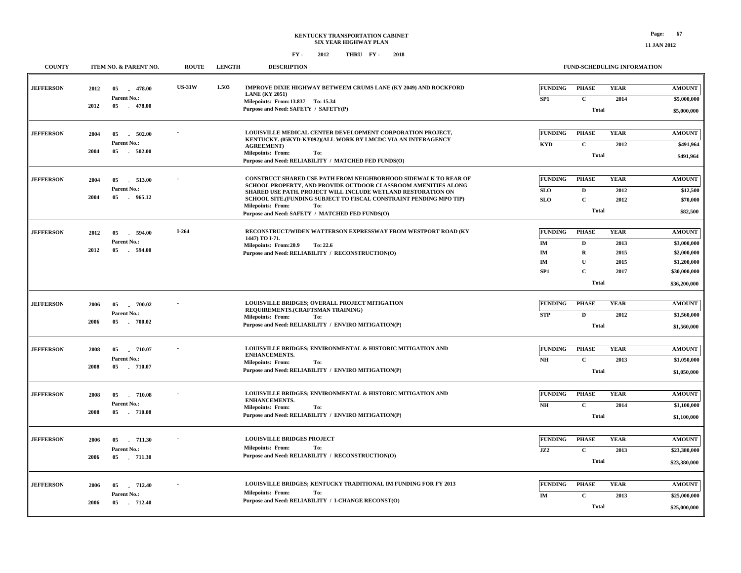| <b>COUNTY</b>    |              | ITEM NO. & PARENT NO.                           | <b>ROUTE</b>  | <b>LENGTH</b> | <b>DESCRIPTION</b>                                                                                                                                                                                                                                                                                                                                             |                                                            |                                                                                  | <b>FUND-SCHEDULING INFORMATION</b>          |                                                                                            |
|------------------|--------------|-------------------------------------------------|---------------|---------------|----------------------------------------------------------------------------------------------------------------------------------------------------------------------------------------------------------------------------------------------------------------------------------------------------------------------------------------------------------------|------------------------------------------------------------|----------------------------------------------------------------------------------|---------------------------------------------|--------------------------------------------------------------------------------------------|
| <b>JEFFERSON</b> | 2012<br>2012 | $-478.00$<br>05<br>Parent No.:<br>05 478.00     | <b>US-31W</b> | 1.503         | <b>IMPROVE DIXIE HIGHWAY BETWEEM CRUMS LANE (KY 2049) AND ROCKFORD</b><br><b>LANE</b> (KY 2051)<br>Milepoints: From:13.837 To: 15.34<br>Purpose and Need: SAFETY / SAFETY(P)                                                                                                                                                                                   | <b>FUNDING</b><br>SP1                                      | <b>PHASE</b><br>$\mathbf{C}$<br><b>Total</b>                                     | <b>YEAR</b><br>2014                         | <b>AMOUNT</b><br>\$5,000,000<br>\$5,000,000                                                |
| <b>JEFFERSON</b> | 2004<br>2004 | 502.00<br>05<br><b>Parent No.:</b><br>05 502.00 |               |               | LOUISVILLE MEDICAL CENTER DEVELOPMENT CORPORATION PROJECT,<br>KENTUCKY. (05KYD-KY092)(ALL WORK BY LMCDC VIA AN INTERAGENCY<br><b>AGREEMENT</b> )<br><b>Milepoints: From:</b><br>To:<br>Purpose and Need: RELIABILITY / MATCHED FED FUNDS(O)                                                                                                                    | FUNDING<br><b>KYD</b>                                      | <b>PHASE</b><br>$\mathbf{C}$<br><b>Total</b>                                     | <b>YEAR</b><br>2012                         | <b>AMOUNT</b><br>\$491,964<br>\$491,964                                                    |
| <b>JEFFERSON</b> | 2004<br>2004 | 513.00<br>05<br>Parent No.:<br>05 965.12        |               |               | CONSTRUCT SHARED USE PATH FROM NEIGHBORHOOD SIDEWALK TO REAR OF<br>SCHOOL PROPERTY, AND PROVIDE OUTDOOR CLASSROOM AMENITIES ALONG<br>SHARED USE PATH. PROJECT WILL INCLUDE WETLAND RESTORATION ON<br>SCHOOL SITE. (FUNDING SUBJECT TO FISCAL CONSTRAINT PENDING MPO TIP)<br><b>Milepoints: From:</b><br>To:<br>Purpose and Need: SAFETY / MATCHED FED FUNDS(O) | <b>FUNDING</b><br>SLO<br><b>SLO</b>                        | <b>PHASE</b><br>$\mathbf D$<br>$\mathbf{C}$<br><b>Total</b>                      | <b>YEAR</b><br>2012<br>2012                 | <b>AMOUNT</b><br>\$12,500<br>\$70,000<br>\$82,500                                          |
| <b>JEFFERSON</b> | 2012<br>2012 | 05<br>- 594.00<br>Parent No.:<br>594.00<br>05   | $I-264$       |               | RECONSTRUCT/WIDEN WATTERSON EXPRESSWAY FROM WESTPORT ROAD (KY<br>1447) TO I-71.<br><b>Milepoints: From:20.9</b><br>To: 22.6<br>Purpose and Need: RELIABILITY / RECONSTRUCTION(O)                                                                                                                                                                               | <b>FUNDING</b><br>IM<br>IM<br><b>IM</b><br>SP <sub>1</sub> | <b>PHASE</b><br>D<br>$\mathbf R$<br>$\mathbf{U}$<br>$\mathbf{C}$<br><b>Total</b> | <b>YEAR</b><br>2013<br>2015<br>2015<br>2017 | <b>AMOUNT</b><br>\$3,000,000<br>\$2,000,000<br>\$1,200,000<br>\$30,000,000<br>\$36,200,000 |
| <b>JEFFERSON</b> | 2006<br>2006 | $-700.02$<br>05<br>Parent No.:<br>05 700.02     |               |               | LOUISVILLE BRIDGES; OVERALL PROJECT MITIGATION<br>REQUIREMENTS.(CRAFTSMAN TRAINING)<br><b>Milepoints: From:</b><br>To:<br>Purpose and Need: RELIABILITY / ENVIRO MITIGATION(P)                                                                                                                                                                                 | <b>FUNDING</b><br><b>STP</b>                               | <b>PHASE</b><br>D<br><b>Total</b>                                                | <b>YEAR</b><br>2012                         | <b>AMOUNT</b><br>\$1,560,000<br>\$1,560,000                                                |
| <b>JEFFERSON</b> | 2008<br>2008 | 05<br>710.07<br>Parent No.:<br>05 710.07        |               |               | LOUISVILLE BRIDGES; ENVIRONMENTAL & HISTORIC MITIGATION AND<br><b>ENHANCEMENTS.</b><br><b>Milepoints: From:</b><br>To:<br>Purpose and Need: RELIABILITY / ENVIRO MITIGATION(P)                                                                                                                                                                                 | <b>FUNDING</b><br>N <sub>H</sub>                           | <b>PHASE</b><br>$\mathbf C$<br><b>Total</b>                                      | <b>YEAR</b><br>2013                         | <b>AMOUNT</b><br>\$1,050,000<br>\$1,050,000                                                |
| <b>JEFFERSON</b> | 2008<br>2008 | 710.08<br>05<br>Parent No.:<br>05<br>$-710.08$  |               |               | LOUISVILLE BRIDGES; ENVIRONMENTAL & HISTORIC MITIGATION AND<br><b>ENHANCEMENTS.</b><br><b>Milepoints: From:</b><br>To:<br>Purpose and Need: RELIABILITY / ENVIRO MITIGATION(P)                                                                                                                                                                                 | FUNDING<br>N <sub>H</sub>                                  | <b>PHASE</b><br>$\mathbf{C}$<br><b>Total</b>                                     | <b>YEAR</b><br>2014                         | <b>AMOUNT</b><br>\$1,100,000<br>\$1,100,000                                                |
| <b>JEFFERSON</b> | 2006<br>2006 | 05<br>711.30<br>Parent No.:<br>05 . 711.30      |               |               | <b>LOUISVILLE BRIDGES PROJECT</b><br><b>Milepoints: From:</b><br>To:<br>Purpose and Need: RELIABILITY / RECONSTRUCTION(O)                                                                                                                                                                                                                                      | <b>FUNDING</b><br>JZ2                                      | <b>PHASE</b><br>$\mathbf{C}$<br><b>Total</b>                                     | <b>YEAR</b><br>2013                         | <b>AMOUNT</b><br>\$23,380,000<br>\$23,380,000                                              |
| <b>JEFFERSON</b> | 2006<br>2006 | 712.40<br>05<br>Parent No.:<br>05 712.40        |               |               | <b>LOUISVILLE BRIDGES; KENTUCKY TRADITIONAL IM FUNDING FOR FY 2013</b><br><b>Milepoints: From:</b><br>To:<br>Purpose and Need: RELIABILITY / I-CHANGE RECONST(O)                                                                                                                                                                                               | FUNDING<br>$\mathbf{IM}$                                   | <b>PHASE</b><br>$\mathbf{C}$<br><b>Total</b>                                     | <b>YEAR</b><br>2013                         | <b>AMOUNT</b><br>\$25,000,000<br>\$25,000,000                                              |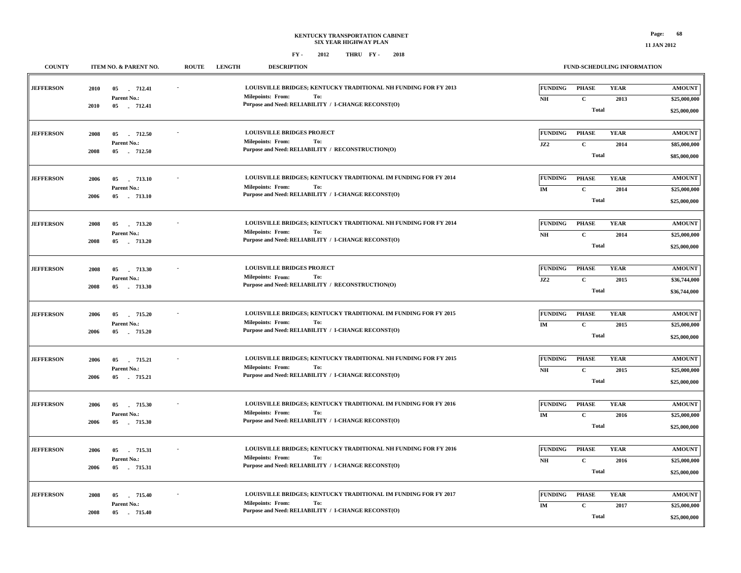**11 JAN 2012**

| <b>COUNTY</b>    | ITEM NO. & PARENT NO.                                          | <b>DESCRIPTION</b><br><b>ROUTE</b><br><b>LENGTH</b>                                                                                                       | FUND-SCHEDULING INFORMATION                                                                    |                                               |
|------------------|----------------------------------------------------------------|-----------------------------------------------------------------------------------------------------------------------------------------------------------|------------------------------------------------------------------------------------------------|-----------------------------------------------|
| <b>JEFFERSON</b> | 2010<br>05<br>712.41<br>Parent No.:<br>2010<br>05 712.41       | LOUISVILLE BRIDGES; KENTUCKY TRADITIONAL NH FUNDING FOR FY 2013<br>Milepoints: From:<br>To:<br>Purpose and Need: RELIABILITY / I-CHANGE RECONST(O)        | <b>FUNDING</b><br><b>PHASE</b><br><b>YEAR</b><br>$\mathbf C$<br>NH<br>2013<br><b>Total</b>     | <b>AMOUNT</b><br>\$25,000,000<br>\$25,000,000 |
| <b>JEFFERSON</b> | 2008<br>712.50<br>05<br>Parent No.:<br>2008<br>05<br>$-712.50$ | <b>LOUISVILLE BRIDGES PROJECT</b><br><b>Milepoints: From:</b><br>To:<br>Purpose and Need: RELIABILITY / RECONSTRUCTION(O)                                 | <b>FUNDING</b><br><b>YEAR</b><br><b>PHASE</b><br>JZ2<br>$\mathbf C$<br>2014<br><b>Total</b>    | <b>AMOUNT</b><br>\$85,000,000<br>\$85,000,000 |
| <b>JEFFERSON</b> | 05<br>713.10<br>2006<br>Parent No.:<br>05<br>2006<br>713.10    | LOUISVILLE BRIDGES; KENTUCKY TRADITIONAL IM FUNDING FOR FY 2014<br><b>Milepoints: From:</b><br>To:<br>Purpose and Need: RELIABILITY / I-CHANGE RECONST(O) | <b>YEAR</b><br><b>FUNDING</b><br><b>PHASE</b><br>IM<br>$\mathbf{C}$<br>2014<br><b>Total</b>    | <b>AMOUNT</b><br>\$25,000,000<br>\$25,000,000 |
| <b>JEFFERSON</b> | 05<br>713.20<br>2008<br>Parent No.:<br>2008<br>05 . 713.20     | LOUISVILLE BRIDGES; KENTUCKY TRADITIONAL NH FUNDING FOR FY 2014<br>To:<br><b>Milepoints: From:</b><br>Purpose and Need: RELIABILITY / I-CHANGE RECONST(O) | <b>FUNDING</b><br><b>PHASE</b><br><b>YEAR</b><br>$\mathbf C$<br>NH<br>2014<br><b>Total</b>     | <b>AMOUNT</b><br>\$25,000,000<br>\$25,000,000 |
| <b>JEFFERSON</b> | 2008<br>05<br>713.30<br>Parent No.:<br>2008<br>05 . 713.30     | <b>LOUISVILLE BRIDGES PROJECT</b><br><b>Milepoints: From:</b><br>To:<br>Purpose and Need: RELIABILITY / RECONSTRUCTION(O)                                 | <b>FUNDING</b><br><b>PHASE</b><br><b>YEAR</b><br>JZ2<br>$\mathbf{C}$<br>2015<br>Total          | <b>AMOUNT</b><br>\$36,744,000<br>\$36,744,000 |
| <b>JEFFERSON</b> | 2006<br>05<br>715.20<br>Parent No.:<br>05<br>2006<br>715.20    | LOUISVILLE BRIDGES; KENTUCKY TRADITIONAL IM FUNDING FOR FY 2015<br>Milepoints: From:<br>To:<br>Purpose and Need: RELIABILITY / I-CHANGE RECONST(O)        | <b>YEAR</b><br><b>FUNDING</b><br><b>PHASE</b><br>IM<br>$\mathbf C$<br>2015<br><b>Total</b>     | <b>AMOUNT</b><br>\$25,000,000<br>\$25,000,000 |
| <b>JEFFERSON</b> | 2006<br>05<br>715.21<br>Parent No.:<br>2006<br>05 715.21       | LOUISVILLE BRIDGES; KENTUCKY TRADITIONAL NH FUNDING FOR FY 2015<br><b>Milepoints: From:</b><br>To:<br>Purpose and Need: RELIABILITY / I-CHANGE RECONST(O) | <b>FUNDING</b><br><b>PHASE</b><br><b>YEAR</b><br>$N\!H$<br>$\mathbf C$<br>2015<br><b>Total</b> | <b>AMOUNT</b><br>\$25,000,000<br>\$25,000,000 |
| <b>JEFFERSON</b> | 715.30<br>2006<br>05<br>Parent No.:<br>2006<br>05<br>715.30    | LOUISVILLE BRIDGES; KENTUCKY TRADITIONAL IM FUNDING FOR FY 2016<br><b>Milepoints: From:</b><br>To:<br>Purpose and Need: RELIABILITY / I-CHANGE RECONST(O) | <b>FUNDING</b><br><b>PHASE</b><br><b>YEAR</b><br>$\mathbf{IM}$<br>$\mathbf C$<br>2016<br>Total | <b>AMOUNT</b><br>\$25,000,000<br>\$25,000,000 |
| <b>JEFFERSON</b> | 2006<br>05<br>715.31<br>Parent No.:<br>05<br>2006<br>715.31    | LOUISVILLE BRIDGES; KENTUCKY TRADITIONAL NH FUNDING FOR FY 2016<br>To:<br><b>Milepoints: From:</b><br>Purpose and Need: RELIABILITY / I-CHANGE RECONST(O) | <b>PHASE</b><br><b>FUNDING</b><br><b>YEAR</b><br>NH<br>$\mathbf C$<br>2016<br><b>Total</b>     | <b>AMOUNT</b><br>\$25,000,000<br>\$25,000,000 |
| <b>JEFFERSON</b> | 2008<br>05<br>715.40<br>Parent No.:<br>2008<br>05<br>715.40    | LOUISVILLE BRIDGES; KENTUCKY TRADITIONAL IM FUNDING FOR FY 2017<br><b>Milepoints: From:</b><br>To:<br>Purpose and Need: RELIABILITY / I-CHANGE RECONST(O) | <b>FUNDING</b><br><b>PHASE</b><br><b>YEAR</b><br>IM<br>${\bf C}$<br>2017<br><b>Total</b>       | <b>AMOUNT</b><br>\$25,000,000<br>\$25,000,000 |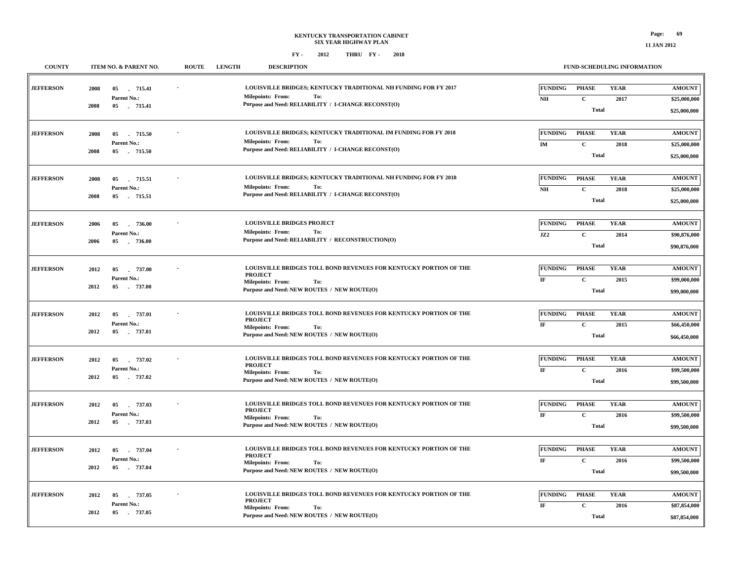**11 JAN 2012**

| <b>COUNTY</b>    | ITEM NO. & PARENT NO.                                       | <b>LENGTH</b><br><b>ROUTE</b><br><b>DESCRIPTION</b>                                                                                                                   | FUND-SCHEDULING INFORMATION                                                                              |                                               |
|------------------|-------------------------------------------------------------|-----------------------------------------------------------------------------------------------------------------------------------------------------------------------|----------------------------------------------------------------------------------------------------------|-----------------------------------------------|
| <b>JEFFERSON</b> | 05 715.41<br>2008<br>Parent No.:<br>2008<br>05 715.41       | LOUISVILLE BRIDGES; KENTUCKY TRADITIONAL NH FUNDING FOR FY 2017<br><b>Milepoints: From:</b><br>To:<br>Purpose and Need: RELIABILITY / I-CHANGE RECONST(O)             | <b>FUNDING</b><br><b>PHASE</b><br><b>YEAR</b><br>$\mathbf{NH}{}$<br>$\mathbf{C}$<br>2017<br><b>Total</b> | <b>AMOUNT</b><br>\$25,000,000<br>\$25,000,000 |
| <b>JEFFERSON</b> | 2008<br>05<br>715.50<br>Parent No.:<br>2008<br>05 715.50    | LOUISVILLE BRIDGES; KENTUCKY TRADITIONAL IM FUNDING FOR FY 2018<br><b>Milepoints: From:</b><br>To:<br>Purpose and Need: RELIABILITY / I-CHANGE RECONST(O)             | <b>FUNDING</b><br><b>PHASE</b><br><b>YEAR</b><br>$\mathbf{C}$<br>IM<br>2018<br><b>Total</b>              | <b>AMOUNT</b><br>\$25,000,000<br>\$25,000,000 |
| <b>JEFFERSON</b> | 2008<br>05<br>715.51<br>Parent No.:<br>05<br>2008<br>715.51 | LOUISVILLE BRIDGES; KENTUCKY TRADITIONAL NH FUNDING FOR FY 2018<br><b>Milepoints: From:</b><br>To:<br>Purpose and Need: RELIABILITY / I-CHANGE RECONST(O)             | <b>PHASE</b><br><b>YEAR</b><br><b>FUNDING</b><br>$\mathbf{NH}{}$<br>$\mathbf{C}$<br>2018<br><b>Total</b> | <b>AMOUNT</b><br>\$25,000,000<br>\$25,000,000 |
| <b>JEFFERSON</b> | 2006<br>05<br>736.00<br>Parent No.:<br>2006<br>05 736.00    | <b>LOUISVILLE BRIDGES PROJECT</b><br><b>Milepoints: From:</b><br>To:<br>Purpose and Need: RELIABILITY / RECONSTRUCTION(O)                                             | <b>FUNDING</b><br><b>PHASE</b><br><b>YEAR</b><br>JZ2<br>$\mathbf C$<br>2014<br><b>Total</b>              | <b>AMOUNT</b><br>\$90,876,000<br>\$90,876,000 |
| <b>JEFFERSON</b> | 2012<br>05<br>. 737.00<br>Parent No.:<br>2012<br>05 737.00  | LOUISVILLE BRIDGES TOLL BOND REVENUES FOR KENTUCKY PORTION OF THE<br><b>PROJECT</b><br><b>Milepoints: From:</b><br>To:<br>Purpose and Need: NEW ROUTES / NEW ROUTE(O) | <b>FUNDING</b><br><b>PHASE</b><br><b>YEAR</b><br>$\mathbf C$<br>$\rm I\!F$<br>2015<br><b>Total</b>       | <b>AMOUNT</b><br>\$99,000,000<br>\$99,000,000 |
| <b>JEFFERSON</b> | 2012<br>05<br>737.01<br>Parent No.:<br>2012<br>05 737.01    | LOUISVILLE BRIDGES TOLL BOND REVENUES FOR KENTUCKY PORTION OF THE<br><b>PROJECT</b><br><b>Milepoints: From:</b><br>To:<br>Purpose and Need: NEW ROUTES / NEW ROUTE(O) | <b>PHASE</b><br><b>YEAR</b><br><b>FUNDING</b><br>$\mathbf C$<br>$\rm I\!F$<br>2015<br><b>Total</b>       | <b>AMOUNT</b><br>\$66,450,000<br>\$66,450,000 |
| <b>JEFFERSON</b> | 05 737.02<br>2012<br>Parent No.:<br>2012<br>05 737.02       | LOUISVILLE BRIDGES TOLL BOND REVENUES FOR KENTUCKY PORTION OF THE<br><b>PROJECT</b><br><b>Milepoints: From:</b><br>To:<br>Purpose and Need: NEW ROUTES / NEW ROUTE(O) | <b>FUNDING</b><br><b>PHASE</b><br><b>YEAR</b><br>$\mathbf C$<br>$\rm I\!F$<br>2016<br><b>Total</b>       | <b>AMOUNT</b><br>\$99,500,000<br>\$99,500,000 |
| <b>JEFFERSON</b> | 2012<br>05 737.03<br>Parent No.:<br>2012<br>05 737.03       | LOUISVILLE BRIDGES TOLL BOND REVENUES FOR KENTUCKY PORTION OF THE<br><b>PROJECT</b><br>Milepoints: From:<br>To:<br>Purpose and Need: NEW ROUTES / NEW ROUTE(O)        | <b>FUNDING</b><br><b>PHASE</b><br><b>YEAR</b><br>$\mathbf C$<br>$\rm I\!F$<br>2016<br><b>Total</b>       | <b>AMOUNT</b><br>\$99,500,000<br>\$99,500,000 |
| <b>JEFFERSON</b> | 2012<br>05<br>737.04<br>Parent No.:<br>2012<br>05 737.04    | LOUISVILLE BRIDGES TOLL BOND REVENUES FOR KENTUCKY PORTION OF THE<br><b>PROJECT</b><br><b>Milepoints: From:</b><br>To:<br>Purpose and Need: NEW ROUTES / NEW ROUTE(O) | <b>FUNDING</b><br><b>PHASE</b><br><b>YEAR</b><br>$\mathbf C$<br>$_{\rm IF}$<br>2016<br><b>Total</b>      | <b>AMOUNT</b><br>\$99,500,000<br>\$99,500,000 |
| <b>JEFFERSON</b> | 2012<br>05<br>737.05<br>Parent No.:<br>05<br>2012<br>737.05 | LOUISVILLE BRIDGES TOLL BOND REVENUES FOR KENTUCKY PORTION OF THE<br><b>PROJECT</b><br><b>Milepoints: From:</b><br>To:<br>Purpose and Need: NEW ROUTES / NEW ROUTE(O) | <b>YEAR</b><br><b>FUNDING</b><br><b>PHASE</b><br>$\bf I\bf F$<br>$\mathbf{C}$<br>2016<br><b>Total</b>    | <b>AMOUNT</b><br>\$87,854,000<br>\$87,854,000 |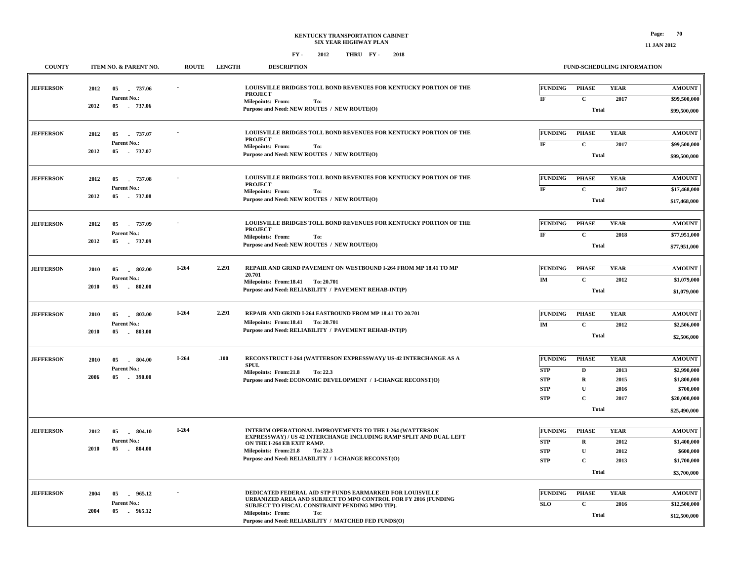| <b>COUNTY</b>    |      | ITEM NO. & PARENT NO.         | <b>ROUTE</b>                                                                                                                          | <b>LENGTH</b>                                                                           | <b>DESCRIPTION</b>                                                                                                                                                           | <b>FUND-SCHEDULING INFORMATION</b> |                             |                     |                               |
|------------------|------|-------------------------------|---------------------------------------------------------------------------------------------------------------------------------------|-----------------------------------------------------------------------------------------|------------------------------------------------------------------------------------------------------------------------------------------------------------------------------|------------------------------------|-----------------------------|---------------------|-------------------------------|
| <b>JEFFERSON</b> | 2012 | . 737.06<br>05<br>Parent No.: |                                                                                                                                       |                                                                                         | LOUISVILLE BRIDGES TOLL BOND REVENUES FOR KENTUCKY PORTION OF THE<br><b>PROJECT</b><br><b>Milepoints: From:</b><br>To:                                                       | <b>FUNDING</b><br>$_{\rm IF}$      | <b>PHASE</b><br>$\mathbf C$ | <b>YEAR</b><br>2017 | <b>AMOUNT</b><br>\$99,500,000 |
|                  | 2012 | 05 737.06                     |                                                                                                                                       |                                                                                         | Purpose and Need: NEW ROUTES / NEW ROUTE(O)                                                                                                                                  |                                    | <b>Total</b>                |                     | \$99,500,000                  |
| <b>JEFFERSON</b> | 2012 | 05 737.07                     |                                                                                                                                       |                                                                                         | LOUISVILLE BRIDGES TOLL BOND REVENUES FOR KENTUCKY PORTION OF THE<br><b>PROJECT</b>                                                                                          | <b>FUNDING</b>                     | <b>PHASE</b>                | <b>YEAR</b>         | <b>AMOUNT</b>                 |
|                  | 2012 | Parent No.:<br>05 737.07      |                                                                                                                                       |                                                                                         | <b>Milepoints: From:</b><br>To:                                                                                                                                              | IF                                 | $\mathbf{C}$                | 2017                | \$99,500,000                  |
|                  |      |                               |                                                                                                                                       |                                                                                         | Purpose and Need: NEW ROUTES / NEW ROUTE(O)                                                                                                                                  |                                    | <b>Total</b>                |                     | \$99,500,000                  |
| <b>JEFFERSON</b> | 2012 | 05<br>737.08                  |                                                                                                                                       |                                                                                         | LOUISVILLE BRIDGES TOLL BOND REVENUES FOR KENTUCKY PORTION OF THE<br><b>PROJECT</b>                                                                                          | <b>FUNDING</b>                     | <b>PHASE</b>                | <b>YEAR</b>         | <b>AMOUNT</b>                 |
|                  | 2012 | Parent No.:<br>05 737.08      |                                                                                                                                       |                                                                                         | <b>Milepoints: From:</b><br>To:                                                                                                                                              | $\rm I\!F$                         | $\mathbf C$                 | 2017                | \$17,468,000                  |
|                  |      |                               |                                                                                                                                       |                                                                                         | Purpose and Need: NEW ROUTES / NEW ROUTE(O)                                                                                                                                  |                                    | <b>Total</b>                |                     | \$17,468,000                  |
| <b>JEFFERSON</b> | 2012 | 737.09<br>05                  |                                                                                                                                       |                                                                                         | LOUISVILLE BRIDGES TOLL BOND REVENUES FOR KENTUCKY PORTION OF THE                                                                                                            | FUNDING                            | <b>PHASE</b>                | <b>YEAR</b>         | <b>AMOUNT</b>                 |
|                  |      | Parent No.:                   |                                                                                                                                       |                                                                                         | <b>PROJECT</b><br><b>Milepoints: From:</b><br>To:                                                                                                                            | IF                                 | $\mathbf C$                 | 2018                | \$77,951,000                  |
|                  | 2012 | 05 737.09                     |                                                                                                                                       |                                                                                         | Purpose and Need: NEW ROUTES / NEW ROUTE(O)                                                                                                                                  |                                    | <b>Total</b>                |                     |                               |
| <b>JEFFERSON</b> | 2010 | 05<br>802.00                  | $I-264$                                                                                                                               | 2.291                                                                                   | REPAIR AND GRIND PAVEMENT ON WESTBOUND I-264 FROM MP 18.41 TO MP                                                                                                             | <b>FUNDING</b>                     | <b>PHASE</b>                | <b>YEAR</b>         | <b>AMOUNT</b>                 |
|                  |      | Parent No.:                   |                                                                                                                                       |                                                                                         | 20.701<br>Milepoints: From:18.41 To: 20.701                                                                                                                                  | <b>IM</b>                          | $\mathbf{C}$                | 2012                | \$1,079,000                   |
|                  | 2010 | 05<br>$-802.00$               |                                                                                                                                       |                                                                                         | Purpose and Need: RELIABILITY / PAVEMENT REHAB-INT(P)                                                                                                                        |                                    | <b>Total</b>                |                     | \$1,079,000                   |
| <b>JEFFERSON</b> | 2010 | 05<br>803.00                  | $I-264$                                                                                                                               | 2.291                                                                                   | REPAIR AND GRIND I-264 EASTBOUND FROM MP 18.41 TO 20.701<br>Milepoints: From:18.41 To: 20.701                                                                                | <b>FUNDING</b>                     | <b>PHASE</b>                | <b>YEAR</b>         | <b>AMOUNT</b>                 |
|                  |      | Parent No.:                   |                                                                                                                                       |                                                                                         |                                                                                                                                                                              | $\mathbf{IM}$                      | $\mathbf C$                 | 2012                | \$2,506,000                   |
|                  | 2010 | $-803.00$<br>05               |                                                                                                                                       |                                                                                         | Purpose and Need: RELIABILITY / PAVEMENT REHAB-INT(P)                                                                                                                        |                                    | <b>Total</b>                |                     |                               |
| <b>JEFFERSON</b> | 2010 | 05<br>804.00                  | $I-264$                                                                                                                               | .100                                                                                    | RECONSTRUCT I-264 (WATTERSON EXPRESSWAY)/ US-42 INTERCHANGE AS A                                                                                                             | FUNDING                            | <b>PHASE</b>                | <b>YEAR</b>         | <b>AMOUNT</b>                 |
|                  |      | Parent No.:                   |                                                                                                                                       |                                                                                         | SPUI.<br>Milepoints: From:21.8<br>To: 22.3                                                                                                                                   | <b>STP</b>                         | D                           | 2013                | \$2,990,000                   |
|                  | 2006 | 05<br>$-390.00$               |                                                                                                                                       |                                                                                         | Purpose and Need: ECONOMIC DEVELOPMENT / I-CHANGE RECONST(O)                                                                                                                 | <b>STP</b>                         | $\mathbf R$                 | 2015                | \$1,800,000                   |
|                  |      |                               |                                                                                                                                       |                                                                                         |                                                                                                                                                                              | <b>STP</b>                         | $\mathbf U$                 | 2016                | \$700,000                     |
|                  |      |                               |                                                                                                                                       |                                                                                         |                                                                                                                                                                              | <b>STP</b>                         | $\mathbf C$                 | 2017                | \$20,000,000                  |
|                  |      |                               |                                                                                                                                       |                                                                                         |                                                                                                                                                                              |                                    | <b>Total</b>                |                     | \$25,490,000                  |
| <b>JEFFERSON</b> | 2012 | $I-264$<br>05<br>804.10       | <b>INTERIM OPERATIONAL IMPROVEMENTS TO THE I-264 (WATTERSON</b><br>EXPRESSWAY) / US 42 INTERCHANGE INCLUDING RAMP SPLIT AND DUAL LEFT | <b>FUNDING</b>                                                                          | <b>PHASE</b>                                                                                                                                                                 | <b>YEAR</b>                        | <b>AMOUNT</b>               |                     |                               |
|                  |      | Parent No.:                   |                                                                                                                                       |                                                                                         | ON THE I-264 EB EXIT RAMP.                                                                                                                                                   | <b>STP</b>                         | $\mathbf R$                 | 2012                | \$1,400,000                   |
|                  | 2010 | 05<br>$-804.00$               |                                                                                                                                       |                                                                                         | Milepoints: From:21.8<br>To: 22.3                                                                                                                                            | <b>STP</b>                         | $\mathbf U$                 | 2012                | \$600,000                     |
|                  |      |                               |                                                                                                                                       |                                                                                         | Purpose and Need: RELIABILITY / I-CHANGE RECONST(O)                                                                                                                          | <b>STP</b>                         | $\mathbf{C}$                | 2013                | \$1,700,000                   |
|                  |      |                               |                                                                                                                                       |                                                                                         |                                                                                                                                                                              |                                    | <b>Total</b>                |                     | \$3,700,000                   |
| <b>JEFFERSON</b> | 2004 | 965.12<br>05                  | . 965.12                                                                                                                              |                                                                                         | DEDICATED FEDERAL AID STP FUNDS EARMARKED FOR LOUISVILLE<br>URBANIZED AREA AND SUBJECT TO MPO CONTROL FOR FY 2016 (FUNDING<br>SUBJECT TO FISCAL CONSTRAINT PENDING MPO TIP). | <b>FUNDING</b>                     | <b>PHASE</b>                | <b>YEAR</b>         | <b>AMOUNT</b>                 |
|                  |      | Parent No.:                   |                                                                                                                                       |                                                                                         |                                                                                                                                                                              | <b>SLO</b>                         | $\mathbf{C}$                | 2016                | \$12,500,000                  |
|                  | 2004 | 05                            |                                                                                                                                       | <b>Milepoints: From:</b><br>To:<br>Purpose and Need: RELIABILITY / MATCHED FED FUNDS(O) |                                                                                                                                                                              | <b>Total</b>                       |                             |                     | \$12,500,000                  |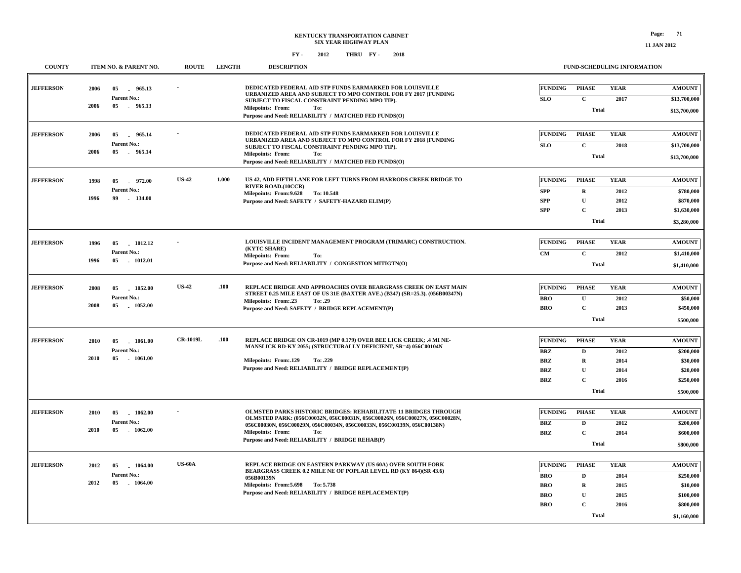| <b>COUNTY</b>    |              | ITEM NO. & PARENT NO.                    | <b>ROUTE</b>    | <b>LENGTH</b> | <b>DESCRIPTION</b>                                                                                                                                                                  | <b>FUND-SCHEDULING INFORMATION</b> |                              |                     |                               |  |
|------------------|--------------|------------------------------------------|-----------------|---------------|-------------------------------------------------------------------------------------------------------------------------------------------------------------------------------------|------------------------------------|------------------------------|---------------------|-------------------------------|--|
| <b>JEFFERSON</b> | 2006<br>2006 | 05<br>965.13<br>Parent No.:<br>05 965.13 |                 |               | <b>DEDICATED FEDERAL AID STP FUNDS EARMARKED FOR LOUISVILLE</b><br>URBANIZED AREA AND SUBJECT TO MPO CONTROL FOR FY 2017 (FUNDING<br>SUBJECT TO FISCAL CONSTRAINT PENDING MPO TIP). | <b>FUNDING</b><br>SLO              | <b>PHASE</b><br>$\mathbf{C}$ | <b>YEAR</b><br>2017 | <b>AMOUNT</b><br>\$13,700,000 |  |
|                  |              |                                          |                 |               | <b>Milepoints: From:</b><br>To:<br>Purpose and Need: RELIABILITY / MATCHED FED FUNDS(O)                                                                                             |                                    | <b>Total</b>                 |                     | \$13,700,000                  |  |
| <b>JEFFERSON</b> | 2006         | 05<br>965.14                             |                 |               | DEDICATED FEDERAL AID STP FUNDS EARMARKED FOR LOUISVILLE<br>URBANIZED AREA AND SUBJECT TO MPO CONTROL FOR FY 2018 (FUNDING                                                          | <b>FUNDING</b>                     | <b>PHASE</b>                 | <b>YEAR</b>         | <b>AMOUNT</b>                 |  |
|                  |              | Parent No.:                              |                 |               | SUBJECT TO FISCAL CONSTRAINT PENDING MPO TIP).                                                                                                                                      | <b>SLO</b>                         | $\mathbf{C}$                 | 2018                | \$13,700,000                  |  |
|                  | 2006         | 05<br>965.14                             |                 |               | <b>Milepoints: From:</b><br>To:<br>Purpose and Need: RELIABILITY / MATCHED FED FUNDS(O)                                                                                             |                                    | Total                        |                     |                               |  |
|                  |              |                                          |                 |               |                                                                                                                                                                                     |                                    |                              |                     |                               |  |
| <b>JEFFERSON</b> | 1998         | 05<br>$-972.00$<br>Parent No.:           | <b>US-42</b>    | 1.000         | US 42, ADD FIFTH LANE FOR LEFT TURNS FROM HARRODS CREEK BRIDGE TO<br><b>RIVER ROAD.(10CCR)</b>                                                                                      | <b>FUNDING</b>                     | <b>PHASE</b>                 | <b>YEAR</b>         | <b>AMOUNT</b>                 |  |
|                  | 1996         | 99<br>$-134.00$                          |                 |               | Milepoints: From: 9.628<br>To: 10.548<br>Purpose and Need: SAFETY / SAFETY-HAZARD ELIM(P)                                                                                           | <b>SPP</b><br><b>SPP</b>           | $\mathbf R$<br>U             | 2012<br>2012        | \$780,000<br>\$870,000        |  |
|                  |              |                                          |                 |               |                                                                                                                                                                                     | <b>SPP</b>                         | $\mathbf C$                  | 2013                | \$1,630,000                   |  |
|                  |              |                                          |                 |               |                                                                                                                                                                                     |                                    | \$3,280,000                  |                     |                               |  |
|                  |              |                                          |                 |               |                                                                                                                                                                                     |                                    |                              |                     |                               |  |
| <b>JEFFERSON</b> | 1996         | 1012.12<br>05                            |                 |               | LOUISVILLE INCIDENT MANAGEMENT PROGRAM (TRIMARC) CONSTRUCTION.<br>(KYTC SHARE)                                                                                                      | <b>FUNDING</b>                     | <b>PHASE</b>                 | <b>YEAR</b>         | <b>AMOUNT</b>                 |  |
|                  | 1996         | Parent No.:<br>05<br>1012.01             |                 |               | <b>Milepoints: From:</b><br>To:                                                                                                                                                     | CM                                 | $\mathbf{C}$<br><b>Total</b> | 2012                | \$1,410,000                   |  |
|                  |              |                                          |                 |               | Purpose and Need: RELIABILITY / CONGESTION MITIGTN(O)                                                                                                                               |                                    | \$1,410,000                  |                     |                               |  |
| <b>JEFFERSON</b> | 2008         | 05<br>1052.00                            | <b>US-42</b>    | .100          | REPLACE BRIDGE AND APPROACHES OVER BEARGRASS CREEK ON EAST MAIN                                                                                                                     | <b>FUNDING</b>                     | <b>PHASE</b>                 | <b>YEAR</b>         | <b>AMOUNT</b>                 |  |
|                  |              | Parent No.:                              |                 |               | STREET 0.25 MILE EAST OF US 31E (BAXTER AVE.) (B347) (SR=25.3). (056B00347N)<br>Milepoints: From:.23<br>To: .29                                                                     | <b>BRO</b>                         | $\mathbf{U}$                 | 2012                | \$50,000                      |  |
|                  | 2008         | 05 1052.00                               |                 |               | Purpose and Need: SAFETY / BRIDGE REPLACEMENT(P)                                                                                                                                    | <b>BRO</b>                         | $\mathbf{C}$                 | 2013                | \$450,000                     |  |
|                  |              |                                          |                 |               |                                                                                                                                                                                     |                                    | <b>Total</b>                 |                     |                               |  |
|                  |              | 05<br>1061.00<br>Parent No.:             | <b>CR-1019L</b> | .100          | REPLACE BRIDGE ON CR-1019 (MP 0.179) OVER BEE LICK CREEK; .4 MI NE-<br>MANSLICK RD-KY 2055; (STRUCTURALLY DEFICIENT, SR=4) 056C00104N                                               |                                    |                              |                     |                               |  |
| <b>JEFFERSON</b> | 2010         |                                          |                 |               |                                                                                                                                                                                     | <b>FUNDING</b>                     | <b>PHASE</b>                 | <b>YEAR</b>         | <b>AMOUNT</b>                 |  |
|                  | 2010         | 05<br>$-1061.00$                         |                 |               | Milepoints: From: 129<br>To: .229                                                                                                                                                   | <b>BRZ</b><br><b>BRZ</b>           | D<br>$\mathbf R$             | 2012<br>2014        | \$200,000<br>\$30,000         |  |
|                  |              |                                          |                 |               | Purpose and Need: RELIABILITY / BRIDGE REPLACEMENT(P)                                                                                                                               | <b>BRZ</b>                         | U                            | 2014                | \$20,000                      |  |
|                  |              |                                          |                 |               |                                                                                                                                                                                     | <b>BRZ</b>                         | $\mathbf C$                  | 2016                | \$250,000                     |  |
|                  |              |                                          |                 |               |                                                                                                                                                                                     |                                    | \$500,000                    |                     |                               |  |
|                  |              |                                          |                 |               | <b>OLMSTED PARKS HISTORIC BRIDGES: REHABILITATE 11 BRIDGES THROUGH</b>                                                                                                              | <b>FUNDING</b>                     | <b>PHASE</b>                 | <b>YEAR</b>         | <b>AMOUNT</b>                 |  |
| <b>JEFFERSON</b> | 2010         | 1062.00<br>05<br>Parent No.:             |                 |               | OLMSTED PARK: (056C00032N, 056C00031N, 056C00026N, 056C00027N, 056C00028N,                                                                                                          | <b>BRZ</b>                         | D                            | 2012                | \$200,000                     |  |
|                  | 2010         | 05<br>$-1062.00$                         |                 |               | 056C00030N, 056C00029N, 056C00034N, 056C00033N, 056C00139N, 056C00138N)<br><b>Milepoints: From:</b><br>To:                                                                          | <b>BRZ</b>                         | $\mathbf C$                  | 2014                | \$600,000                     |  |
|                  |              |                                          |                 |               | Purpose and Need: RELIABILITY / BRIDGE REHAB(P)                                                                                                                                     |                                    | <b>Total</b>                 |                     | \$800,000                     |  |
|                  |              |                                          |                 |               |                                                                                                                                                                                     |                                    |                              |                     |                               |  |
| <b>JEFFERSON</b> | 2012         | 05<br>1064.00                            | <b>US-60A</b>   |               | REPLACE BRIDGE ON EASTERN PARKWAY (US 60A) OVER SOUTH FORK<br>BEARGRASS CREEK 0.2 MILE NE OF POPLAR LEVEL RD (KY 864)(SR 43.6)                                                      | <b>FUNDING</b>                     | <b>PHASE</b>                 | <b>YEAR</b>         | <b>AMOUNT</b>                 |  |
|                  | 2012         | Parent No.:<br>05                        |                 |               | 056B00139N                                                                                                                                                                          | <b>BRO</b>                         | D                            | 2014                | \$250,000                     |  |
|                  |              | 1064.00                                  |                 |               | Milepoints: From: 5.698 To: 5.738<br>Purpose and Need: RELIABILITY / BRIDGE REPLACEMENT(P)                                                                                          | <b>BRO</b>                         | $\bf R$                      | 2015                | \$10,000                      |  |
|                  |              |                                          |                 |               |                                                                                                                                                                                     | <b>BRO</b><br><b>BRO</b>           | U<br>$\mathbf C$             | 2015<br>2016        | \$100,000<br>\$800,000        |  |
|                  |              |                                          |                 |               |                                                                                                                                                                                     |                                    | <b>Total</b>                 |                     |                               |  |
|                  |              |                                          |                 |               |                                                                                                                                                                                     |                                    |                              |                     | \$1,160,000                   |  |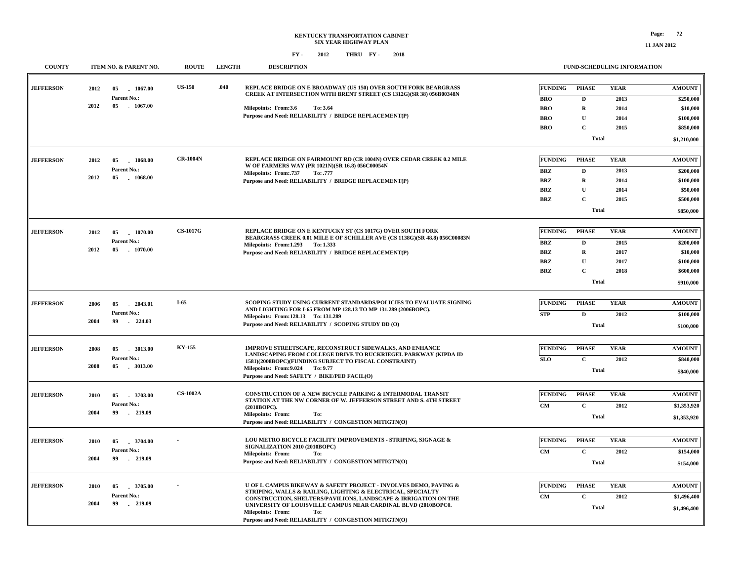| <b>COUNTY</b>    |      | <b>LENGTH</b><br>ITEM NO. & PARENT NO.<br><b>ROUTE</b><br><b>DESCRIPTION</b> |                  |                                                                                                                                      |                                                                                                                                                            | FUND-SCHEDULING INFORMATION                                                                                                             |                          |                              |                             |                        |                            |
|------------------|------|------------------------------------------------------------------------------|------------------|--------------------------------------------------------------------------------------------------------------------------------------|------------------------------------------------------------------------------------------------------------------------------------------------------------|-----------------------------------------------------------------------------------------------------------------------------------------|--------------------------|------------------------------|-----------------------------|------------------------|----------------------------|
| <b>JEFFERSON</b> | 2012 | 05<br>1067.00<br>Parent No.:                                                 | <b>US-150</b>    | .040                                                                                                                                 |                                                                                                                                                            | REPLACE BRIDGE ON E BROADWAY (US 150) OVER SOUTH FORK BEARGRASS<br>CREEK AT INTERSECTION WITH BRENT STREET (CS 1312G)(SR 38) 056B00348N |                          | <b>FUNDING</b><br><b>BRO</b> | <b>PHASE</b><br>$\mathbf D$ | <b>YEAR</b><br>2013    | <b>AMOUNT</b><br>\$250,000 |
|                  | 2012 | 05 1067.00                                                                   |                  |                                                                                                                                      | Milepoints: From:3.6                                                                                                                                       | To: 3.64                                                                                                                                |                          | <b>BRO</b>                   | $\mathbf R$                 | 2014                   | \$10,000                   |
|                  |      |                                                                              |                  |                                                                                                                                      |                                                                                                                                                            | Purpose and Need: RELIABILITY / BRIDGE REPLACEMENT(P)                                                                                   |                          | <b>BRO</b>                   | $\mathbf U$                 | 2014                   | \$100,000                  |
|                  |      |                                                                              |                  |                                                                                                                                      |                                                                                                                                                            |                                                                                                                                         |                          | <b>BRO</b>                   | $\mathbf C$                 | 2015                   | \$850,000                  |
|                  |      |                                                                              |                  |                                                                                                                                      |                                                                                                                                                            |                                                                                                                                         |                          | <b>Total</b>                 |                             | \$1,210,000            |                            |
|                  |      |                                                                              |                  |                                                                                                                                      |                                                                                                                                                            |                                                                                                                                         |                          |                              |                             |                        |                            |
| <b>JEFFERSON</b> | 2012 | 05<br>1068.00<br>Parent No.:<br>05<br>1068.00                                | <b>CR-1004N</b>  |                                                                                                                                      | REPLACE BRIDGE ON FAIRMOUNT RD (CR 1004N) OVER CEDAR CREEK 0.2 MILE<br>W OF FARMERS WAY (PR 1021N)(SR 16.8) 056C00054N                                     |                                                                                                                                         |                          | <b>FUNDING</b>               | <b>PHASE</b>                | <b>YEAR</b>            | <b>AMOUNT</b>              |
|                  | 2012 |                                                                              |                  | <b>Milepoints: From: 737</b><br>To: .777                                                                                             |                                                                                                                                                            |                                                                                                                                         |                          | <b>BRZ</b>                   | $\mathbf D$                 | 2013                   | \$200,000                  |
|                  |      |                                                                              |                  |                                                                                                                                      |                                                                                                                                                            | Purpose and Need: RELIABILITY / BRIDGE REPLACEMENT(P)                                                                                   |                          | <b>BRZ</b>                   | $\mathbf R$<br>$\mathbf{U}$ | 2014                   | \$100,000                  |
|                  |      |                                                                              |                  |                                                                                                                                      |                                                                                                                                                            |                                                                                                                                         | <b>BRZ</b><br><b>BRZ</b> | $\mathbf{C}$                 | 2014<br>2015                | \$50,000<br>\$500,000  |                            |
|                  |      |                                                                              |                  |                                                                                                                                      |                                                                                                                                                            |                                                                                                                                         |                          |                              | <b>Total</b>                |                        |                            |
|                  |      |                                                                              |                  |                                                                                                                                      |                                                                                                                                                            |                                                                                                                                         |                          | \$850,000                    |                             |                        |                            |
| <b>JEFFERSON</b> | 2012 | 1070.00<br>05                                                                | <b>CS-1017G</b>  |                                                                                                                                      | <b>REPLACE BRIDGE ON E KENTUCKY ST (CS 1017G) OVER SOUTH FORK</b><br>BEARGRASS CREEK 0.01 MILE E OF SCHILLER AVE (CS 1138G)(SR 48.8) 056C00083N            |                                                                                                                                         | <b>FUNDING</b>           | <b>PHASE</b>                 | <b>YEAR</b>                 | <b>AMOUNT</b>          |                            |
|                  | 2012 | Parent No.:<br>05<br>$-1070.00$                                              |                  |                                                                                                                                      | Milepoints: From:1.293 To:1.333                                                                                                                            |                                                                                                                                         |                          | <b>BRZ</b>                   | $\mathbf D$                 | 2015                   | \$200,000                  |
|                  |      |                                                                              |                  |                                                                                                                                      |                                                                                                                                                            | Purpose and Need: RELIABILITY / BRIDGE REPLACEMENT(P)                                                                                   |                          | <b>BRZ</b>                   | $\mathbf R$                 | 2017                   | \$10,000                   |
|                  |      |                                                                              |                  |                                                                                                                                      |                                                                                                                                                            |                                                                                                                                         |                          | <b>BRZ</b>                   | $\mathbf{U}$                | 2017                   | \$100,000                  |
|                  |      |                                                                              |                  |                                                                                                                                      |                                                                                                                                                            |                                                                                                                                         | <b>BRZ</b>               | $\mathbf C$                  | 2018                        | \$600,000<br>\$910,000 |                            |
|                  |      |                                                                              |                  |                                                                                                                                      |                                                                                                                                                            |                                                                                                                                         | Total                    |                              |                             |                        |                            |
|                  |      | 05<br>$-2043.01$<br>Parent No.:<br>$-224.03$<br>99                           | $I-65$           |                                                                                                                                      |                                                                                                                                                            |                                                                                                                                         |                          |                              |                             |                        |                            |
| <b>JEFFERSON</b> | 2006 |                                                                              |                  | SCOPING STUDY USING CURRENT STANDARDS/POLICIES TO EVALUATE SIGNING<br>AND LIGHTING FOR I-65 FROM MP 128.13 TO MP 131.289 (2006BOPC). |                                                                                                                                                            |                                                                                                                                         |                          | <b>FUNDING</b>               | <b>PHASE</b>                | <b>YEAR</b>            | <b>AMOUNT</b>              |
|                  | 2004 |                                                                              |                  | Milepoints: From:128.13 To: 131.289                                                                                                  |                                                                                                                                                            |                                                                                                                                         | <b>STP</b>               | $\mathbf{D}$                 | 2012                        | \$100,000              |                            |
|                  |      |                                                                              |                  |                                                                                                                                      | Purpose and Need: RELIABILITY / SCOPING STUDY DD (O)                                                                                                       |                                                                                                                                         | Total                    |                              |                             | \$100,000              |                            |
|                  |      |                                                                              |                  |                                                                                                                                      |                                                                                                                                                            |                                                                                                                                         |                          |                              |                             |                        |                            |
| <b>JEFFERSON</b> | 2008 | 05<br>3013.00                                                                | <b>KY-155</b>    |                                                                                                                                      |                                                                                                                                                            | <b>IMPROVE STREETSCAPE, RECONSTRUCT SIDEWALKS, AND ENHANCE</b><br>LANDSCAPING FROM COLLEGE DRIVE TO RUCKRIEGEL PARKWAY (KIPDA ID        |                          | <b>FUNDING</b>               | <b>PHASE</b>                | <b>YEAR</b>            | <b>AMOUNT</b>              |
|                  |      | Parent No.:                                                                  | 05<br>$-3013.00$ |                                                                                                                                      | 1581)(2008BOPC)(FUNDING SUBJECT TO FISCAL CONSTRAINT)                                                                                                      |                                                                                                                                         | <b>SLO</b>               | $\mathbf C$                  | 2012                        | \$840,000              |                            |
|                  | 2008 |                                                                              |                  | Milepoints: From: 9.024 To: 9.77<br>Purpose and Need: SAFETY / BIKE/PED FACIL(O)                                                     |                                                                                                                                                            | <b>Total</b>                                                                                                                            |                          |                              | \$840,000                   |                        |                            |
|                  |      |                                                                              |                  |                                                                                                                                      |                                                                                                                                                            |                                                                                                                                         |                          |                              |                             |                        |                            |
| <b>JEFFERSON</b> | 2010 | 3703.00<br>05<br>Parent No.:<br>99<br>219.09                                 | <b>CS-1002A</b>  |                                                                                                                                      | CONSTRUCTION OF A NEW BICYCLE PARKING & INTERMODAL TRANSIT<br>STATION AT THE NW CORNER OF W. JEFFERSON STREET AND S. 4TH STREET                            |                                                                                                                                         | <b>FUNDING</b>           | <b>PHASE</b>                 | <b>YEAR</b>                 | <b>AMOUNT</b>          |                            |
|                  | 2004 |                                                                              |                  |                                                                                                                                      | (2010BOPC).                                                                                                                                                |                                                                                                                                         |                          | CM                           | $\mathbf C$                 | 2012                   | \$1,353,920                |
|                  |      |                                                                              |                  |                                                                                                                                      | Milepoints: From:<br>To:<br>Purpose and Need: RELIABILITY / CONGESTION MITIGTN(O)                                                                          |                                                                                                                                         | <b>Total</b>             |                              |                             | \$1,353,920            |                            |
|                  |      |                                                                              |                  |                                                                                                                                      |                                                                                                                                                            |                                                                                                                                         |                          |                              |                             |                        |                            |
| <b>JEFFERSON</b> | 2010 | 05<br>.3704.00                                                               | $-219.09$        |                                                                                                                                      | LOU METRO BICYCLE FACILITY IMPROVEMENTS - STRIPING, SIGNAGE &                                                                                              |                                                                                                                                         | <b>FUNDING</b>           | <b>PHASE</b>                 | <b>YEAR</b>                 | <b>AMOUNT</b>          |                            |
|                  |      | Parent No.:<br>99                                                            |                  | SIGNALIZATION 2010 (2010BOPC)<br><b>Milepoints: From:</b><br>To:                                                                     |                                                                                                                                                            |                                                                                                                                         |                          | CM                           | $\mathbf C$                 | 2012                   | \$154,000                  |
|                  | 2004 |                                                                              |                  |                                                                                                                                      |                                                                                                                                                            | Purpose and Need: RELIABILITY / CONGESTION MITIGTN(O)                                                                                   |                          |                              | <b>Total</b>                |                        | \$154,000                  |
|                  |      |                                                                              |                  |                                                                                                                                      |                                                                                                                                                            |                                                                                                                                         |                          |                              |                             |                        |                            |
| <b>JEFFERSON</b> | 2010 | 3705.00<br>05                                                                | . 219.09         | U OF L CAMPUS BIKEWAY & SAFETY PROJECT - INVOLVES DEMO, PAVING &<br>STRIPING, WALLS & RAILING, LIGHTING & ELECTRICAL, SPECIALTY      |                                                                                                                                                            |                                                                                                                                         |                          | <b>FUNDING</b>               | <b>PHASE</b>                | <b>YEAR</b>            | <b>AMOUNT</b>              |
|                  |      | Parent No.:                                                                  |                  |                                                                                                                                      |                                                                                                                                                            | CONSTRUCTION, SHELTERS/PAVILIONS, LANDSCAPE & IRRIGATION ON THE                                                                         |                          | $\mathbf{CM}$                | $\mathbf C$                 | 2012                   | \$1,496,400                |
|                  | 2004 | 99                                                                           |                  |                                                                                                                                      | UNIVERSITY OF LOUISVILLE CAMPUS NEAR CARDINAL BLVD (2010BOPC0.<br><b>Milepoints: From:</b><br>To:<br>Purpose and Need: RELIABILITY / CONGESTION MITIGTN(O) |                                                                                                                                         |                          | <b>Total</b>                 |                             | \$1,496,400            |                            |
|                  |      |                                                                              |                  |                                                                                                                                      |                                                                                                                                                            |                                                                                                                                         |                          |                              |                             |                        |                            |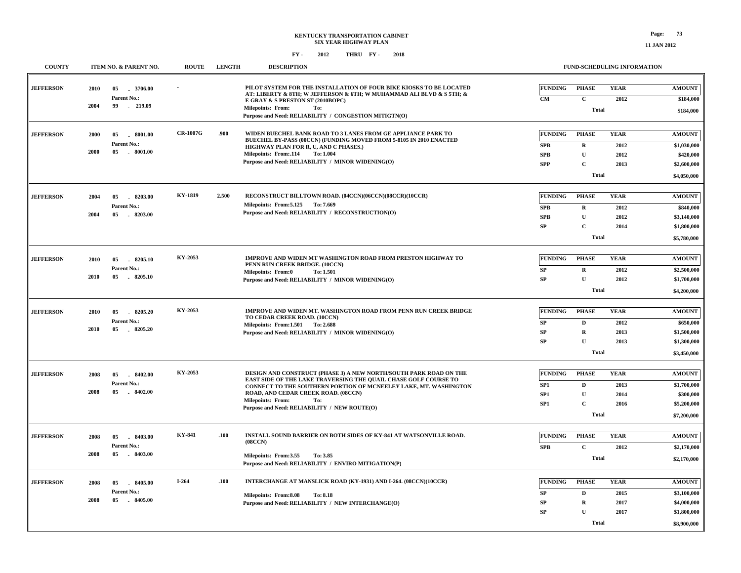| <b>COUNTY</b>    | <b>ITEM NO. &amp; PARENT NO.</b>                                 | <b>ROUTE</b>    | <b>LENGTH</b> | <b>DESCRIPTION</b>                                                                                                                                                              |                         |                             | <b>FUND-SCHEDULING INFORMATION</b> |                            |
|------------------|------------------------------------------------------------------|-----------------|---------------|---------------------------------------------------------------------------------------------------------------------------------------------------------------------------------|-------------------------|-----------------------------|------------------------------------|----------------------------|
| <b>JEFFERSON</b> | 2010<br>05<br>.3706.00<br>Parent No.:<br>2004<br>99<br>$-219.09$ |                 |               | PILOT SYSTEM FOR THE INSTALLATION OF FOUR BIKE KIOSKS TO BE LOCATED<br>AT: LIBERTY & 8TH; W JEFFERSON & 6TH; W MUHAMMAD ALI BLVD & S 5TH; &<br>E GRAY & S PRESTON ST (2010BOPC) | <b>FUNDING</b><br>CM    | <b>PHASE</b><br>$\mathbf C$ | <b>YEAR</b><br>2012                | <b>AMOUNT</b><br>\$184,000 |
|                  |                                                                  |                 |               | <b>Milepoints: From:</b><br>To:<br>Purpose and Need: RELIABILITY / CONGESTION MITIGTN(O)                                                                                        |                         | Total                       |                                    | \$184,000                  |
|                  |                                                                  |                 |               |                                                                                                                                                                                 |                         |                             |                                    |                            |
| <b>JEFFERSON</b> | 2000<br>05<br>$-8001.00$<br>Parent No.:                          | <b>CR-1007G</b> | .900          | WIDEN BUECHEL BANK ROAD TO 3 LANES FROM GE APPLIANCE PARK TO<br>BUECHEL BY-PASS (00CCN) (FUNDING MOVED FROM 5-8105 IN 2010 ENACTED                                              | <b>FUNDING</b>          | <b>PHASE</b>                | <b>YEAR</b>                        | <b>AMOUNT</b>              |
|                  | 2000<br>05<br>. 8001.00                                          |                 |               | HIGHWAY PLAN FOR R, U, AND C PHASES.)<br>Milepoints: From:.114<br>To: 1.004                                                                                                     | SPB<br><b>SPB</b>       | $\mathbf R$<br>$\mathbf{U}$ | 2012<br>2012                       | \$1,030,000<br>\$420,000   |
|                  |                                                                  |                 |               | Purpose and Need: RELIABILITY / MINOR WIDENING(O)                                                                                                                               | <b>SPP</b>              | $\mathbf C$                 | 2013                               | \$2,600,000                |
|                  |                                                                  |                 |               |                                                                                                                                                                                 |                         | <b>Total</b>                |                                    | \$4,050,000                |
|                  |                                                                  |                 |               |                                                                                                                                                                                 |                         |                             |                                    |                            |
| <b>JEFFERSON</b> | 2004<br>05<br>8203.00                                            | KY-1819         | 2.500         | RECONSTRUCT BILLTOWN ROAD. (04CCN)(06CCN)(08CCR)(10CCR)                                                                                                                         | <b>FUNDING</b>          | <b>PHASE</b>                | <b>YEAR</b>                        | <b>AMOUNT</b>              |
|                  | Parent No.:                                                      |                 |               | Milepoints: From: 5.125 To: 7.669<br>Purpose and Need: RELIABILITY / RECONSTRUCTION(O)                                                                                          | <b>SPB</b>              | $\mathbf R$                 | 2012                               | \$840,000                  |
|                  | 2004<br>05<br>$-8203.00$                                         |                 |               |                                                                                                                                                                                 | <b>SPB</b>              | $\mathbf{U}$                | 2012                               | \$3,140,000                |
|                  |                                                                  |                 |               |                                                                                                                                                                                 | ${\bf SP}$              | $\mathbf C$                 | 2014                               | \$1,800,000                |
|                  |                                                                  |                 |               |                                                                                                                                                                                 |                         | <b>Total</b>                |                                    | \$5,780,000                |
|                  |                                                                  |                 |               |                                                                                                                                                                                 |                         |                             |                                    |                            |
| <b>JEFFERSON</b> | 8205.10<br>2010<br>05<br>Parent No.:                             | KY-2053         |               | <b>IMPROVE AND WIDEN MT WASHINGTON ROAD FROM PRESTON HIGHWAY TO</b><br>PENN RUN CREEK BRIDGE. (10CCN)                                                                           | <b>FUNDING</b>          | <b>PHASE</b>                | <b>YEAR</b>                        | <b>AMOUNT</b>              |
|                  | 2010<br>05<br>8205.10                                            |                 |               | <b>Milepoints: From:0</b><br>To: 1.501                                                                                                                                          | ${\bf SP}$<br><b>SP</b> | $\mathbf R$<br>$\mathbf{U}$ | 2012<br>2012                       | \$2,500,000                |
|                  |                                                                  |                 |               | Purpose and Need: RELIABILITY / MINOR WIDENING(O)                                                                                                                               |                         | Total                       |                                    | \$1,700,000                |
|                  |                                                                  |                 |               |                                                                                                                                                                                 |                         |                             |                                    | \$4,200,000                |
| <b>JEFFERSON</b> | 2010<br>05<br>8205.20                                            | KY-2053         |               | IMPROVE AND WIDEN MT. WASHINGTON ROAD FROM PENN RUN CREEK BRIDGE                                                                                                                | <b>FUNDING</b>          | <b>PHASE</b>                | <b>YEAR</b>                        | <b>AMOUNT</b>              |
|                  | Parent No.:                                                      |                 |               | TO CEDAR CREEK ROAD. (10CCN)<br>Milepoints: From:1.501 To: 2.688                                                                                                                | SP                      | D                           | 2012                               | \$650,000                  |
|                  | 2010<br>05 8205.20                                               |                 |               | Purpose and Need: RELIABILITY / MINOR WIDENING(O)                                                                                                                               | SP                      | $\mathbf R$                 | 2013                               | \$1,500,000                |
|                  |                                                                  |                 |               |                                                                                                                                                                                 | SP                      | Ū                           | 2013                               | \$1,300,000                |
|                  |                                                                  |                 |               |                                                                                                                                                                                 |                         | Total                       |                                    | \$3,450,000                |
|                  |                                                                  |                 |               |                                                                                                                                                                                 |                         |                             |                                    |                            |
| <b>JEFFERSON</b> | 8402.00<br>2008<br>05                                            | KY-2053         |               | DESIGN AND CONSTRUCT (PHASE 3) A NEW NORTH/SOUTH PARK ROAD ON THE<br>EAST SIDE OF THE LAKE TRAVERSING THE QUAIL CHASE GOLF COURSE TO                                            | <b>FUNDING</b>          | <b>PHASE</b>                | <b>YEAR</b>                        | <b>AMOUNT</b>              |
|                  | Parent No.:<br>2008<br>$-8402.00$<br>05                          |                 |               | CONNECT TO THE SOUTHERN PORTION OF MCNEELEY LAKE, MT. WASHINGTON                                                                                                                | SP1                     | $\mathbf{D}$                | 2013                               | \$1,700,000                |
|                  |                                                                  |                 |               | ROAD, AND CEDAR CREEK ROAD. (08CCN)<br><b>Milepoints: From:</b><br>To:                                                                                                          | SP <sub>1</sub><br>SP1  | ${\bf U}$<br>$\mathbf C$    | 2014                               | \$300,000                  |
|                  |                                                                  |                 |               | Purpose and Need: RELIABILITY / NEW ROUTE(O)                                                                                                                                    |                         | Total                       | 2016                               | \$5,200,000                |
|                  |                                                                  |                 |               |                                                                                                                                                                                 |                         |                             |                                    | \$7,200,000                |
| <b>JEFFERSON</b> | $-8403.00$<br>2008<br>05                                         | KY-841          | .100          | INSTALL SOUND BARRIER ON BOTH SIDES OF KY-841 AT WATSONVILLE ROAD.                                                                                                              | <b>FUNDING</b>          | <b>PHASE</b>                | <b>YEAR</b>                        | <b>AMOUNT</b>              |
|                  | Parent No.:                                                      |                 |               | (08CCN)                                                                                                                                                                         | <b>SPB</b>              | $\mathbf C$                 | 2012                               | \$2,170,000                |
|                  | 05<br>$-8403.00$<br>2008                                         |                 |               | Milepoints: From:3.55<br>To: 3.85                                                                                                                                               |                         | Total                       |                                    | \$2,170,000                |
|                  |                                                                  |                 |               | Purpose and Need: RELIABILITY / ENVIRO MITIGATION(P)                                                                                                                            |                         |                             |                                    |                            |
| <b>JEFFERSON</b> | 8405.00<br>2008                                                  | $I-264$         | .100          | INTERCHANGE AT MANSLICK ROAD (KY-1931) AND I-264. (08CCN)(10CCR)                                                                                                                | FUNDING                 | <b>PHASE</b>                | <b>YEAR</b>                        | <b>AMOUNT</b>              |
|                  | 05<br>Parent No.:                                                |                 |               |                                                                                                                                                                                 | SP                      | D                           | 2015                               | \$3,100,000                |
|                  | 2008<br>05<br>$-8405.00$                                         |                 |               | Milepoints: From:8.08<br><b>To: 8.18</b><br>Purpose and Need: RELIABILITY / NEW INTERCHANGE(O)                                                                                  | SP                      | $\mathbf R$                 | 2017                               | \$4,000,000                |
|                  |                                                                  |                 |               |                                                                                                                                                                                 | <b>SP</b>               | $\mathbf{U}$                | 2017                               | \$1,800,000                |
|                  |                                                                  |                 |               |                                                                                                                                                                                 |                         | <b>Total</b>                |                                    | \$8,900,000                |
|                  |                                                                  |                 |               |                                                                                                                                                                                 |                         |                             |                                    |                            |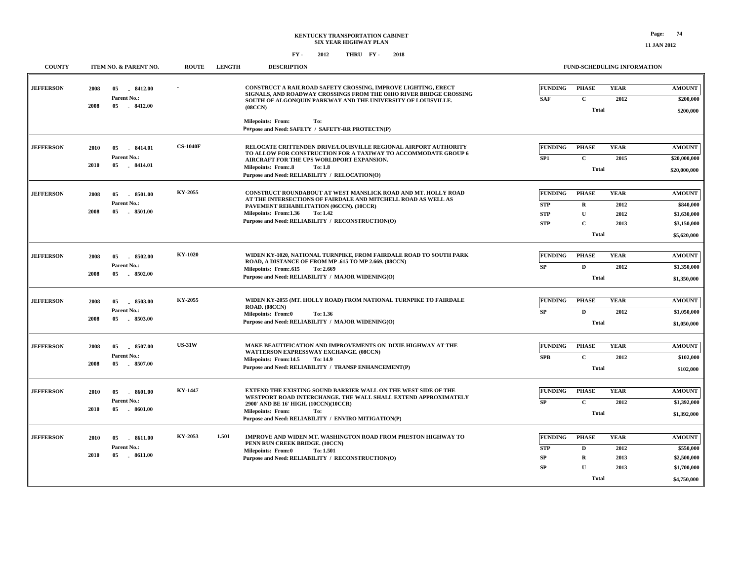| <b>COUNTY</b>    | ITEM NO. & PARENT NO.                                             | <b>ROUTE</b>    | <b>LENGTH</b> | <b>DESCRIPTION</b>                                                                                                                                                                                                                                                              |                                                          |                                                                             | FUND-SCHEDULING INFORMATION         |                                                                         |
|------------------|-------------------------------------------------------------------|-----------------|---------------|---------------------------------------------------------------------------------------------------------------------------------------------------------------------------------------------------------------------------------------------------------------------------------|----------------------------------------------------------|-----------------------------------------------------------------------------|-------------------------------------|-------------------------------------------------------------------------|
| <b>JEFFERSON</b> | 2008<br>8412.00<br>05<br>Parent No.:                              |                 |               | CONSTRUCT A RAILROAD SAFETY CROSSING, IMPROVE LIGHTING, ERECT<br>SIGNALS. AND ROADWAY CROSSINGS FROM THE OHIO RIVER BRIDGE CROSSING<br>SOUTH OF ALGONQUIN PARKWAY AND THE UNIVERSITY OF LOUISVILLE.                                                                             | <b>FUNDING</b><br><b>SAF</b>                             | <b>PHASE</b><br>$\mathbf{C}$                                                | <b>YEAR</b><br>2012                 | <b>AMOUNT</b><br>\$200,000                                              |
|                  | 2008<br>05<br>$-8412.00$                                          |                 |               | (08CCN)<br><b>Milepoints: From:</b><br>To:<br>Purpose and Need: SAFETY / SAFETY-RR PROTECTN(P)                                                                                                                                                                                  |                                                          | <b>Total</b>                                                                |                                     | \$200,000                                                               |
| <b>JEFFERSON</b> | 2010<br>8414.01<br>05<br>Parent No.:<br>05<br>.8414.01<br>2010    | <b>CS-1040F</b> |               | RELOCATE CRITTENDEN DRIVE/LOUISVILLE REGIONAL AIRPORT AUTHORITY<br>TO ALLOW FOR CONSTRUCTION FOR A TAXIWAY TO ACCOMMODATE GROUP 6<br>AIRCRAFT FOR THE UPS WORLDPORT EXPANSION.<br><b>Milepoints: From:.8</b><br><b>To: 1.8</b><br>Purpose and Need: RELIABILITY / RELOCATION(O) | <b>FUNDING</b><br>SP <sub>1</sub>                        | <b>PHASE</b><br>$\mathbf{C}$<br><b>Total</b>                                | <b>YEAR</b><br>2015                 | <b>AMOUNT</b><br>\$20,000,000<br>\$20,000,000                           |
| <b>JEFFERSON</b> | 2008<br>8501.00<br>05<br>Parent No.:<br>2008<br>05<br>8501.00     | KY-2055         |               | CONSTRUCT ROUNDABOUT AT WEST MANSLICK ROAD AND MT. HOLLY ROAD<br>AT THE INTERSECTIONS OF FAIRDALE AND MITCHELL ROAD AS WELL AS<br>PAVEMENT REHABILITATION (06CCN). (10CCR)<br>Milepoints: From:1.36<br>To: 1.42<br>Purpose and Need: RELIABILITY / RECONSTRUCTION(O)            | <b>FUNDING</b><br><b>STP</b><br><b>STP</b><br><b>STP</b> | <b>PHASE</b><br>$\mathbf R$<br>$\mathbf{U}$<br>$\mathbf{C}$<br><b>Total</b> | <b>YEAR</b><br>2012<br>2012<br>2013 | <b>AMOUNT</b><br>\$840,000<br>\$1,630,000<br>\$3,150,000<br>\$5,620,000 |
| <b>JEFFERSON</b> | 8502.00<br>2008<br>05<br>Parent No.:<br>2008<br>05<br>$-8502.00$  | KY-1020         |               | WIDEN KY-1020, NATIONAL TURNPIKE, FROM FAIRDALE ROAD TO SOUTH PARK<br>ROAD, A DISTANCE OF FROM MP .615 TO MP 2.669. (08CCN)<br>Milepoints: From:.615<br>To: 2.669<br>Purpose and Need: RELIABILITY / MAJOR WIDENING(O)                                                          | <b>FUNDING</b><br>SP                                     | <b>PHASE</b><br>D<br><b>Total</b>                                           | <b>YEAR</b><br>2012                 | <b>AMOUNT</b><br>\$1,350,000<br>\$1,350,000                             |
| <b>JEFFERSON</b> | 2008<br>05<br>8503.00<br>Parent No.:<br>2008<br>05<br>$-8503.00$  | KY-2055         |               | WIDEN KY-2055 (MT. HOLLY ROAD) FROM NATIONAL TURNPIKE TO FAIRDALE<br>ROAD. (08CCN)<br><b>Milepoints: From:0</b><br>To: 1.36<br>Purpose and Need: RELIABILITY / MAJOR WIDENING(O)                                                                                                | <b>FUNDING</b><br>SP                                     | <b>PHASE</b><br>D<br><b>Total</b>                                           | <b>YEAR</b><br>2012                 | <b>AMOUNT</b><br>\$1,050,000<br>\$1,050,000                             |
| <b>JEFFERSON</b> | 2008<br>05<br>8507.00<br>Parent No.:<br>2008<br>05<br>8507.00     | <b>US-31W</b>   |               | MAKE BEAUTIFICATION AND IMPROVEMENTS ON DIXIE HIGHWAY AT THE<br>WATTERSON EXPRESSWAY EXCHANGE. (08CCN)<br>Milepoints: From:14.5<br>To: 14.9<br>Purpose and Need: RELIABILITY / TRANSP ENHANCEMENT(P)                                                                            | <b>FUNDING</b><br>SPB                                    | <b>PHASE</b><br>$\mathbf{C}$<br><b>Total</b>                                | <b>YEAR</b><br>2012                 | <b>AMOUNT</b><br>\$102,000<br>\$102,000                                 |
| <b>JEFFERSON</b> | 2010<br>05<br>8601.00<br>Parent No.:<br>05<br>2010<br>8601.00     | KY-1447         |               | EXTEND THE EXISTING SOUND BARRIER WALL ON THE WEST SIDE OF THE<br>WESTPORT ROAD INTERCHANGE. THE WALL SHALL EXTEND APPROXIMATELY<br>2900' AND BE 16' HIGH. (10CCN)(10CCR)<br><b>Milepoints: From:</b><br>To:<br>Purpose and Need: RELIABILITY / ENVIRO MITIGATION(P)            | <b>FUNDING</b><br>${\bf SP}$                             | <b>PHASE</b><br>$\mathbf C$<br><b>Total</b>                                 | <b>YEAR</b><br>2012                 | <b>AMOUNT</b><br>\$1,392,000<br>\$1,392,000                             |
| <b>JEFFERSON</b> | 2010<br>05<br>$-8611.00$<br>Parent No.:<br>05<br>2010<br>.8611.00 | KY-2053         | 1.501         | IMPROVE AND WIDEN MT. WASHINGTON ROAD FROM PRESTON HIGHWAY TO<br>PENN RUN CREEK BRIDGE. (10CCN)<br>Milepoints: From:0<br>To: 1.501<br>Purpose and Need: RELIABILITY / RECONSTRUCTION(O)                                                                                         | <b>FUNDING</b><br><b>STP</b><br>SP<br><b>SP</b>          | <b>PHASE</b><br>D<br>$\mathbf R$<br>$\mathbf{U}$<br>Total                   | <b>YEAR</b><br>2012<br>2013<br>2013 | <b>AMOUNT</b><br>\$550,000<br>\$2,500,000<br>\$1,700,000<br>\$4,750,000 |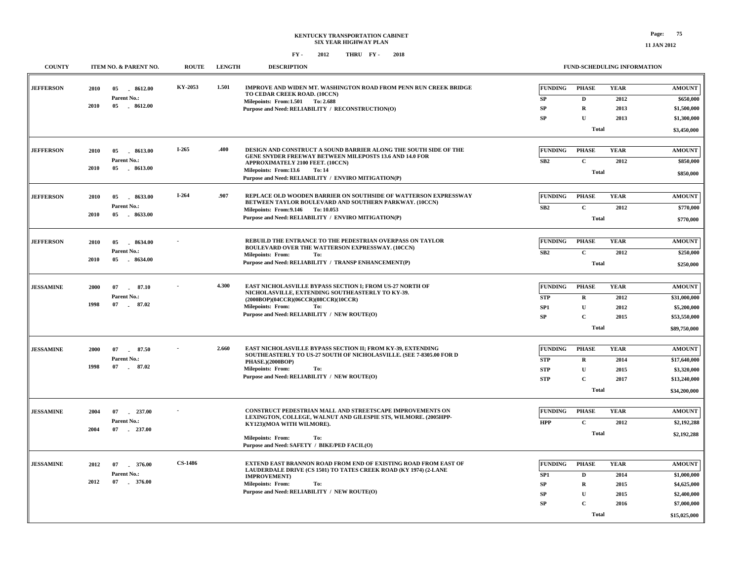| <b>COUNTY</b>    | ITEM NO. & PARENT NO.                   | <b>ROUTE</b>   | <b>LENGTH</b> | <b>DESCRIPTION</b>                                                                                                                  |                          | <b>FUND-SCHEDULING INFORMATION</b> |              |               |
|------------------|-----------------------------------------|----------------|---------------|-------------------------------------------------------------------------------------------------------------------------------------|--------------------------|------------------------------------|--------------|---------------|
| <b>JEFFERSON</b> | 2010<br>05<br>8612.00<br>Parent No.:    | KY-2053        | 1.501         | IMPROVE AND WIDEN MT. WASHINGTON ROAD FROM PENN RUN CREEK BRIDGE<br>TO CEDAR CREEK ROAD. (10CCN)                                    | <b>FUNDING</b>           | <b>PHASE</b>                       | <b>YEAR</b>  | <b>AMOUNT</b> |
|                  | 2010<br>05 8612.00                      |                |               | Milepoints: From:1.501 To: 2.688                                                                                                    | SP                       | $\mathbf D$                        | 2012         | \$650,000     |
|                  |                                         |                |               | Purpose and Need: RELIABILITY / RECONSTRUCTION(O)                                                                                   | SP<br>SP                 | $\bf R$<br>$\mathbf{U}$            | 2013         | \$1,500,000   |
|                  |                                         |                |               |                                                                                                                                     |                          |                                    | 2013         | \$1,300,000   |
|                  |                                         |                |               |                                                                                                                                     |                          | Total                              |              | \$3,450,000   |
|                  |                                         | I-265          | .400          | DESIGN AND CONSTRUCT A SOUND BARRIER ALONG THE SOUTH SIDE OF THE                                                                    | <b>FUNDING</b>           | <b>PHASE</b>                       | <b>YEAR</b>  | <b>AMOUNT</b> |
| <b>JEFFERSON</b> | 2010<br>05<br>8613.00<br>Parent No.:    |                |               | GENE SNYDER FREEWAY BETWEEN MILEPOSTS 13.6 AND 14.0 FOR                                                                             |                          | $\mathbf{C}$                       |              |               |
|                  | 2010<br>05<br>$-8613.00$                |                |               | APPROXIMATELY 2100 FEET. (10CCN)<br>Milepoints: From:13.6<br>To: 14                                                                 | SB2                      |                                    | 2012         | \$850,000     |
|                  |                                         |                |               | Purpose and Need: RELIABILITY / ENVIRO MITIGATION(P)                                                                                |                          | <b>Total</b>                       |              | \$850,000     |
|                  |                                         |                |               |                                                                                                                                     |                          |                                    |              |               |
| <b>JEFFERSON</b> | 2010<br>05<br>8633.00                   | $I-264$        | .907          | REPLACE OLD WOODEN BARRIER ON SOUTHSIDE OF WATTERSON EXPRESSWAY<br>BETWEEN TAYLOR BOULEVARD AND SOUTHERN PARKWAY. (10CCN)           | <b>FUNDING</b>           | <b>PHASE</b>                       | <b>YEAR</b>  | <b>AMOUNT</b> |
|                  | Parent No.:<br>2010<br>$-8633.00$<br>05 |                |               | Milepoints: From: 9.146 To: 10.053                                                                                                  | SB <sub>2</sub>          | $\mathbf{C}$                       | 2012         | \$770,000     |
|                  |                                         |                |               | Purpose and Need: RELIABILITY / ENVIRO MITIGATION(P)                                                                                |                          | <b>Total</b>                       |              | \$770,000     |
|                  |                                         |                |               |                                                                                                                                     |                          |                                    |              |               |
| <b>JEFFERSON</b> | 8634.00<br>2010<br>05                   |                |               | REBUILD THE ENTRANCE TO THE PEDESTRIAN OVERPASS ON TAYLOR<br>BOULEVARD OVER THE WATTERSON EXPRESSWAY. (10CCN)                       | <b>FUNDING</b>           | <b>PHASE</b>                       | <b>YEAR</b>  | <b>AMOUNT</b> |
|                  | Parent No.:<br>2010<br>05<br>8634.00    |                |               | <b>Milepoints: From:</b><br>To:                                                                                                     | SB2                      | $\mathbf{C}$                       | 2012         | \$250,000     |
|                  |                                         |                |               | Purpose and Need: RELIABILITY / TRANSP ENHANCEMENT(P)                                                                               |                          | <b>Total</b>                       |              | \$250,000     |
|                  |                                         |                |               |                                                                                                                                     |                          |                                    |              |               |
| <b>JESSAMINE</b> | 2000<br>07<br>$\sim$                    | 87.10          | 4.300         | EAST NICHOLASVILLE BYPASS SECTION I; FROM US-27 NORTH OF<br>NICHOLASVILLE, EXTENDING SOUTHEASTERLY TO KY-39.                        | <b>FUNDING</b>           | <b>PHASE</b>                       | <b>YEAR</b>  | <b>AMOUNT</b> |
|                  | Parent No.:                             |                |               | (2000BOP)(04CCR)(06CCR)(08CCR)(10CCR)                                                                                               | <b>STP</b>               | $\bf R$                            | 2012         | \$31,000,000  |
|                  | 1998<br>07 87.02                        |                |               | <b>Milepoints: From:</b><br>To:                                                                                                     | SP <sub>1</sub>          | $\mathbf{U}$                       | 2012         | \$5,200,000   |
|                  |                                         |                |               | Purpose and Need: RELIABILITY / NEW ROUTE(O)                                                                                        | SP                       | $\mathbf C$                        | 2015         | \$53,550,000  |
|                  |                                         |                |               |                                                                                                                                     |                          | <b>Total</b>                       |              | \$89,750,000  |
|                  |                                         |                |               |                                                                                                                                     |                          |                                    |              |               |
| <b>JESSAMINE</b> | 2000<br>07<br>$\sim$<br>Parent No.:     | 87.50          | 2.660         | EAST NICHOLASVILLE BYPASS SECTION II; FROM KY-39, EXTENDING<br>SOUTHEASTERLY TO US-27 SOUTH OF NICHOLASVILLE. (SEE 7-8305.00 FOR D  | <b>FUNDING</b>           | <b>PHASE</b>                       | <b>YEAR</b>  | <b>AMOUNT</b> |
|                  | 1998<br>07<br>87.02                     |                |               | <b>PHASE.)(2000BOP)</b><br>Milepoints: From:                                                                                        | <b>STP</b>               | $\mathbf R$                        | 2014         | \$17,640,000  |
|                  |                                         |                |               | To:<br>Purpose and Need: RELIABILITY / NEW ROUTE(O)                                                                                 | <b>STP</b><br><b>STP</b> | $\mathbf U$<br>$\mathbf C$         | 2015<br>2017 | \$3,320,000   |
|                  |                                         |                |               |                                                                                                                                     |                          |                                    |              | \$13,240,000  |
|                  |                                         |                |               |                                                                                                                                     |                          | <b>Total</b>                       |              | \$34,200,000  |
| <b>JESSAMINE</b> | 2004<br>07<br>237.00                    |                |               | CONSTRUCT PEDESTRIAN MALL AND STREETSCAPE IMPROVEMENTS ON                                                                           | <b>FUNDING</b>           | <b>PHASE</b>                       | <b>YEAR</b>  | <b>AMOUNT</b> |
|                  | Parent No.:                             |                |               | LEXINGTON, COLLEGE, WALNUT AND GILESPIE STS, WILMORE. (2005HPP-<br>KY123)(MOA WITH WILMORE).                                        | <b>HPP</b>               | $\mathbf{C}$                       | 2012         | \$2,192,288   |
|                  | 2004<br>07<br>$-237.00$                 |                |               |                                                                                                                                     |                          | Total                              |              | \$2,192,288   |
|                  |                                         |                |               | <b>Milepoints: From:</b><br>To:<br>Purpose and Need: SAFETY / BIKE/PED FACIL(O)                                                     |                          |                                    |              |               |
|                  |                                         |                |               |                                                                                                                                     |                          |                                    |              |               |
| <b>JESSAMINE</b> | 2012<br>07<br>376.00                    | <b>CS-1486</b> |               | EXTEND EAST BRANNON ROAD FROM END OF EXISTING ROAD FROM EAST OF<br>LAUDERDALE DRIVE (CS 1501) TO TATES CREEK ROAD (KY 1974) (2-LANE | <b>FUNDING</b>           | <b>PHASE</b>                       | <b>YEAR</b>  | <b>AMOUNT</b> |
|                  | Parent No.:                             |                |               | <b>IMPROVEMENT</b> )                                                                                                                | SP <sub>1</sub>          | D                                  | 2014         | \$1,000,000   |
|                  | 2012                                    |                |               | <b>Milepoints: From:</b><br>To:                                                                                                     | SP                       | $\mathbf R$                        | 2015         | \$4,625,000   |
|                  |                                         |                |               | Purpose and Need: RELIABILITY / NEW ROUTE(O)                                                                                        | SP                       | $\mathbf U$                        | 2015         | \$2,400,000   |
|                  |                                         |                |               |                                                                                                                                     | SP                       | $\mathbf C$                        | 2016         | \$7,000,000   |
|                  |                                         |                |               |                                                                                                                                     |                          | <b>Total</b>                       |              | \$15,025,000  |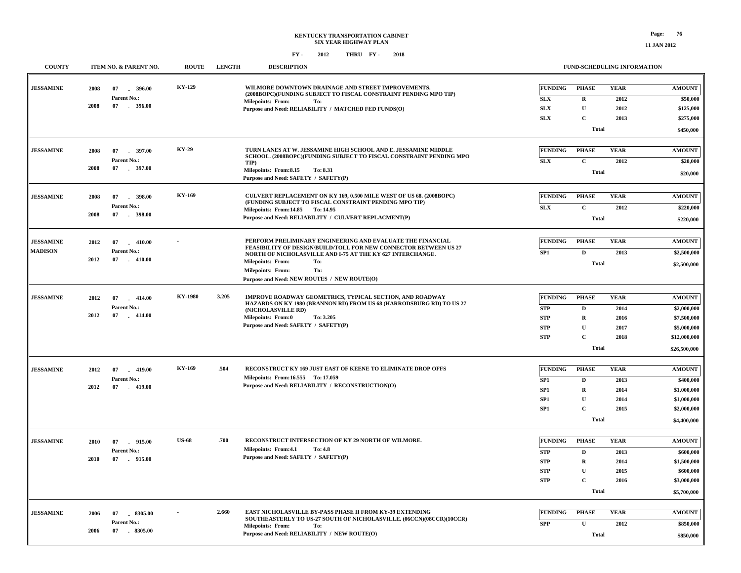### **KENTUCKY TRANSPORTATION CABINET SIX YEAR HIGHWAY PLAN FY - FY - 2012 2018 THRU**

#### **FUND-SCHEDULING INFORMATION**

| <b>COUNTY</b>    |      | ITEM NO. & PARENT NO. | <b>ROUTE</b>   | <b>LENGTH</b> | <b>DESCRIPTION</b>                                                                                                             |                           |                            | FUND-SCHEDULING INFORMATION |                          |
|------------------|------|-----------------------|----------------|---------------|--------------------------------------------------------------------------------------------------------------------------------|---------------------------|----------------------------|-----------------------------|--------------------------|
| <b>JESSAMINE</b> | 2008 | $-396.00$<br>07       | <b>KY-129</b>  |               | WILMORE DOWNTOWN DRAINAGE AND STREET IMPROVEMENTS.<br>(2008BOPC)(FUNDING SUBJECT TO FISCAL CONSTRAINT PENDING MPO TIP)         | FUNDING                   | <b>PHASE</b>               | <b>YEAR</b>                 | <b>AMOUNT</b>            |
|                  |      | Parent No.:           |                |               | <b>Milepoints: From:</b><br>To:                                                                                                | SLX                       | $\mathbf R$                | 2012                        | \$50,000                 |
|                  | 2008 | 07 . 396.00           |                |               | Purpose and Need: RELIABILITY / MATCHED FED FUNDS(O)                                                                           | SLX                       | $\mathbf U$                | 2012                        | \$125,000                |
|                  |      |                       |                |               |                                                                                                                                | SLX                       | $\mathbf C$                | 2013                        | \$275,000                |
|                  |      |                       |                |               |                                                                                                                                |                           | <b>Total</b>               |                             | \$450,000                |
| <b>JESSAMINE</b> | 2008 | 07<br>$-397.00$       | KY-29          |               | TURN LANES AT W. JESSAMINE HIGH SCHOOL AND E. JESSAMINE MIDDLE                                                                 | FUNDING                   | <b>PHASE</b>               | <b>YEAR</b>                 | <b>AMOUNT</b>            |
|                  |      | Parent No.:           |                |               | SCHOOL. (2008BOPC)(FUNDING SUBJECT TO FISCAL CONSTRAINT PENDING MPO                                                            | SLX                       | $\mathbf C$                | 2012                        | \$20,000                 |
|                  | 2008 | 07<br>$-397.00$       |                |               | TIP)<br>Milepoints: From:8.15<br>To: 8.31                                                                                      |                           |                            |                             |                          |
|                  |      |                       |                |               | Purpose and Need: SAFETY / SAFETY(P)                                                                                           |                           | <b>Total</b>               |                             | \$20,000                 |
| <b>JESSAMINE</b> | 2008 | $-398.00$<br>07       | KY-169         |               | CULVERT REPLACEMENT ON KY 169, 0.500 MILE WEST OF US 68. (2008BOPC)                                                            | FUNDING                   | <b>PHASE</b>               | <b>YEAR</b>                 | <b>AMOUNT</b>            |
|                  |      | Parent No.:           |                |               | (FUNDING SUBJECT TO FISCAL CONSTRAINT PENDING MPO TIP)                                                                         | <b>SLX</b>                | $\mathbf C$                | 2012                        | \$220,000                |
|                  | 2008 | 07<br>$-398.00$       |                |               | Milepoints: From:14.85 To: 14.95<br>Purpose and Need: RELIABILITY / CULVERT REPLACMENT(P)                                      |                           | <b>Total</b>               |                             | \$220,000                |
|                  |      |                       |                |               |                                                                                                                                |                           |                            |                             |                          |
| <b>JESSAMINE</b> | 2012 | 07<br>$-410.00$       |                |               | PERFORM PRELIMINARY ENGINEERING AND EVALUATE THE FINANCIAL                                                                     | FUNDING                   | <b>PHASE</b>               | <b>YEAR</b>                 | <b>AMOUNT</b>            |
| <b>MADISON</b>   |      | Parent No.:           |                |               | FEASIBILITY OF DESIGN/BUILD/TOLL FOR NEW CONNECTOR BETWEEN US 27<br>NORTH OF NICHOLASVILLE AND I-75 AT THE KY 627 INTERCHANGE. | SP <sub>1</sub>           | $\mathbf D$                | 2013                        | \$2,500,000              |
|                  | 2012 | 07<br>$-410.00$       |                |               | <b>Milepoints: From:</b><br>To:                                                                                                |                           | <b>Total</b>               |                             | \$2,500,000              |
|                  |      |                       |                |               | Milepoints: From:<br>To:                                                                                                       |                           |                            |                             |                          |
|                  |      |                       |                |               | Purpose and Need: NEW ROUTES / NEW ROUTE(O)                                                                                    |                           |                            |                             |                          |
| <b>JESSAMINE</b> | 2012 | 07<br>$-414.00$       | <b>KY-1980</b> | 3.205         | <b>IMPROVE ROADWAY GEOMETRICS, TYPICAL SECTION, AND ROADWAY</b>                                                                | FUNDING                   | <b>PHASE</b>               | <b>YEAR</b>                 | <b>AMOUNT</b>            |
|                  |      | Parent No.:           |                |               | HAZARDS ON KY 1980 (BRANNON RD) FROM US 68 (HARRODSBURG RD) TO US 27                                                           | <b>STP</b>                | D                          | 2014                        | \$2,000,000              |
|                  | 2012 | 07<br>$-414.00$       |                |               | (NICHOLASVILLE RD)<br><b>Milepoints: From:0</b><br>To: 3.205                                                                   | <b>STP</b>                | $\mathbf R$                | 2016                        | \$7,500,000              |
|                  |      |                       |                |               | Purpose and Need: SAFETY / SAFETY(P)                                                                                           | <b>STP</b>                | $\mathbf U$                | 2017                        | \$5,000,000              |
|                  |      |                       |                |               |                                                                                                                                | <b>STP</b>                | $\mathbf C$                | 2018                        | \$12,000,000             |
|                  |      |                       |                |               |                                                                                                                                |                           | <b>Total</b>               |                             | \$26,500,000             |
|                  |      |                       |                |               |                                                                                                                                |                           |                            |                             |                          |
| <b>JESSAMINE</b> | 2012 | 07<br>$-419.00$       | <b>KY-169</b>  | .504          | RECONSTRUCT KY 169 JUST EAST OF KEENE TO ELIMINATE DROP OFFS                                                                   | <b>FUNDING</b>            | <b>PHASE</b>               | <b>YEAR</b>                 | <b>AMOUNT</b>            |
|                  |      | Parent No.:           |                |               | Milepoints: From:16.555 To: 17.059<br>Purpose and Need: RELIABILITY / RECONSTRUCTION(O)                                        | SP <sub>1</sub>           | D                          | 2013                        | \$400,000                |
|                  | 2012 | 07<br>$-419.00$       |                |               |                                                                                                                                | SP <sub>1</sub>           | $\bf R$                    | 2014                        | \$1,000,000              |
|                  |      |                       |                |               |                                                                                                                                | SP <sub>1</sub>           | $\mathbf U$                | 2014                        | \$1,000,000              |
|                  |      |                       |                |               |                                                                                                                                | SP1                       | $\mathbf C$                | 2015                        | \$2,000,000              |
|                  |      |                       |                |               |                                                                                                                                |                           | <b>Total</b>               |                             | \$4,400,000              |
| <b>JESSAMINE</b> | 2010 | 915.00<br>07          | <b>US-68</b>   | .700          | RECONSTRUCT INTERSECTION OF KY 29 NORTH OF WILMORE.                                                                            | FUNDING                   | <b>PHASE</b>               | <b>YEAR</b>                 | <b>AMOUNT</b>            |
|                  |      | Parent No.:           |                |               | Milepoints: From:4.1<br>To: 4.8                                                                                                |                           |                            |                             |                          |
|                  | 2010 | 07<br>$-915.00$       |                |               | Purpose and Need: SAFETY / SAFETY(P)                                                                                           | <b>STP</b><br>${\bf STP}$ | $\mathbf D$<br>$\mathbf R$ | 2013                        | \$600,000                |
|                  |      |                       |                |               |                                                                                                                                |                           |                            | 2014                        | \$1,500,000              |
|                  |      |                       |                |               |                                                                                                                                | <b>STP</b><br><b>STP</b>  | ${\bf U}$<br>$\mathbf C$   | 2015<br>2016                | \$600,000<br>\$3,000,000 |
|                  |      |                       |                |               |                                                                                                                                |                           | <b>Total</b>               |                             |                          |
|                  |      |                       |                |               |                                                                                                                                |                           |                            |                             | \$5,700,000              |
| <b>JESSAMINE</b> | 2006 | 07<br>8305.00         |                | 2.660         | EAST NICHOLASVILLE BY-PASS PHASE II FROM KY-39 EXTENDING                                                                       | <b>FUNDING</b>            | <b>PHASE</b>               | <b>YEAR</b>                 | <b>AMOUNT</b>            |
|                  |      | <b>Parent No.:</b>    |                |               | SOUTHEASTERLY TO US-27 SOUTH OF NICHOLASVILLE. (06CCN)(08CCR)(10CCR)<br><b>Milepoints: From:</b><br>To:                        | <b>SPP</b>                | ${\bf U}$                  | 2012                        | \$850,000                |
|                  | 2006 | 8305.00<br>07         |                |               | Purpose and Need: RELIABILITY / NEW ROUTE(O)                                                                                   |                           | <b>Total</b>               |                             | \$850,000                |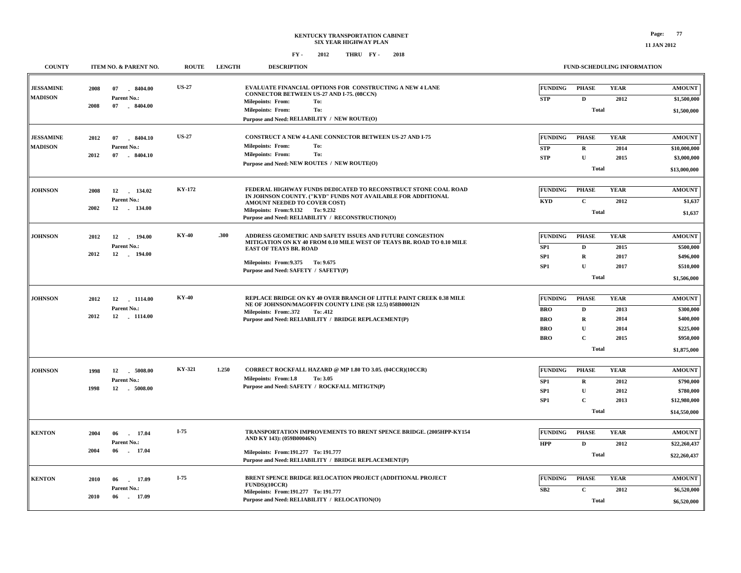#### **FY - FY - 2012 2018 THRU**

**COUNTY ITEM NO. & PARENT NO. ROUTE LENGTH DESCRIPTION**

| <b>JESSAMINE</b> | 2008 | 07<br>$-8404.00$             | <b>US-27</b> |       | <b>EVALUATE FINANCIAL OPTIONS FOR CONSTRUCTING A NEW 4 LANE</b><br><b>CONNECTOR BETWEEN US-27 AND I-75. (08CCN)</b> | <b>FUNDING</b>           | <b>PHASE</b>            | <b>YEAR</b> | <b>AMOUNT</b>               |
|------------------|------|------------------------------|--------------|-------|---------------------------------------------------------------------------------------------------------------------|--------------------------|-------------------------|-------------|-----------------------------|
| <b>MADISON</b>   |      | Parent No.:                  |              |       | <b>Milepoints: From:</b><br>To:                                                                                     | <b>STP</b>               | D                       | 2012        | \$1,500,000                 |
|                  | 2008 | 07<br>$-8404.00$             |              |       | To:<br><b>Milepoints: From:</b>                                                                                     |                          | Total                   |             | \$1,500,000                 |
|                  |      |                              |              |       | Purpose and Need: RELIABILITY / NEW ROUTE(O)                                                                        |                          |                         |             |                             |
| <b>JESSAMINE</b> | 2012 | 07<br>8404.10                | <b>US-27</b> |       | CONSTRUCT A NEW 4-LANE CONNECTOR BETWEEN US-27 AND I-75                                                             | <b>FUNDING</b>           | <b>PHASE</b>            | <b>YEAR</b> | <b>AMOUNT</b>               |
| <b>MADISON</b>   |      | Parent No.:                  |              |       | <b>Milepoints: From:</b><br>To:                                                                                     |                          |                         | 2014        |                             |
|                  | 2012 | 8404.10<br>07                |              |       | <b>Milepoints: From:</b><br>To:                                                                                     | <b>STP</b><br><b>STP</b> | $\bf R$<br>$\mathbf{U}$ | 2015        | \$10,000,000<br>\$3,000,000 |
|                  |      |                              |              |       | Purpose and Need: NEW ROUTES / NEW ROUTE(O)                                                                         |                          |                         |             |                             |
|                  |      |                              |              |       |                                                                                                                     |                          | <b>Total</b>            |             | \$13,000,000                |
| <b>JOHNSON</b>   | 2008 | 12<br>134.02                 | KY-172       |       | FEDERAL HIGHWAY FUNDS DEDICATED TO RECONSTRUCT STONE COAL ROAD                                                      | <b>FUNDING</b>           | <b>PHASE</b>            | <b>YEAR</b> | <b>AMOUNT</b>               |
|                  |      | Parent No.:                  |              |       | IN JOHNSON COUNTY. ("KYD" FUNDS NOT AVAILABLE FOR ADDITIONAL<br>AMOUNT NEEDED TO COVER COST)                        | <b>KYD</b>               | $\mathbf C$             | 2012        | \$1,637                     |
|                  | 2002 | 12 134.00                    |              |       | Milepoints: From: 9.132 To: 9.232                                                                                   |                          | <b>Total</b>            |             | \$1,637                     |
|                  |      |                              |              |       | Purpose and Need: RELIABILITY / RECONSTRUCTION(O)                                                                   |                          |                         |             |                             |
| <b>JOHNSON</b>   | 2012 | 12<br>194.00                 | <b>KY-40</b> | .300  | ADDRESS GEOMETRIC AND SAFETY ISSUES AND FUTURE CONGESTION                                                           | <b>FUNDING</b>           | <b>PHASE</b>            | <b>YEAR</b> | <b>AMOUNT</b>               |
|                  |      | Parent No.:                  |              |       | MITIGATION ON KY 40 FROM 0.10 MILE WEST OF TEAYS BR. ROAD TO 0.10 MILE<br><b>EAST OF TEAYS BR. ROAD</b>             | SP <sub>1</sub>          | D                       | 2015        | \$500,000                   |
|                  | 2012 | 12<br>194.00                 |              |       |                                                                                                                     | SP <sub>1</sub>          | $\mathbf R$             | 2017        | \$496,000                   |
|                  |      |                              |              |       | Milepoints: From: 9.375 To: 9.675                                                                                   | SP <sub>1</sub>          | $\mathbf{U}$            | 2017        | \$510,000                   |
|                  |      |                              |              |       | Purpose and Need: SAFETY / SAFETY(P)                                                                                |                          | <b>Total</b>            |             | \$1,506,000                 |
|                  |      |                              |              |       |                                                                                                                     |                          |                         |             |                             |
| <b>JOHNSON</b>   | 2012 | 12 1114.00                   | <b>KY-40</b> |       | REPLACE BRIDGE ON KY 40 OVER BRANCH OF LITTLE PAINT CREEK 0.38 MILE                                                 | <b>FUNDING</b>           | <b>PHASE</b>            | <b>YEAR</b> | <b>AMOUNT</b>               |
|                  |      | Parent No.:                  |              |       | NE OF JOHNSON/MAGOFFIN COUNTY LINE (SR 12.5) 058B00012N<br>Milepoints: From: 372<br>To: .412                        | <b>BRO</b>               | $\mathbf D$             | 2013        | \$300,000                   |
|                  | 2012 | 12 1114.00                   |              |       | Purpose and Need: RELIABILITY / BRIDGE REPLACEMENT(P)                                                               | <b>BRO</b>               | $\mathbf R$             | 2014        | \$400,000                   |
|                  |      |                              |              |       |                                                                                                                     | <b>BRO</b>               | $\mathbf{U}$            | 2014        | \$225,000                   |
|                  |      |                              |              |       |                                                                                                                     | <b>BRO</b>               | $\mathbf C$             | 2015        | \$950,000                   |
|                  |      |                              |              |       |                                                                                                                     |                          | <b>Total</b>            |             | \$1,875,000                 |
|                  |      |                              |              |       |                                                                                                                     |                          |                         |             |                             |
| <b>JOHNSON</b>   | 1998 | 5008.00<br>12                | KY-321       | 1.250 | CORRECT ROCKFALL HAZARD @ MP 1.80 TO 3.05. (04CCR)(10CCR)<br>Milepoints: From:1.8<br>To: 3.05                       | <b>FUNDING</b>           | <b>PHASE</b>            | <b>YEAR</b> | <b>AMOUNT</b>               |
|                  | 1998 | Parent No.:<br>12<br>5008.00 |              |       | Purpose and Need: SAFETY / ROCKFALL MITIGTN(P)                                                                      | SP1                      | $\mathbf R$             | 2012        | \$790,000                   |
|                  |      |                              |              |       |                                                                                                                     | SP <sub>1</sub>          | $\mathbf U$             | 2012        | \$780,000                   |
|                  |      |                              |              |       |                                                                                                                     | SP1                      | $\mathbf C$             | 2013        | \$12,980,000                |
|                  |      |                              |              |       |                                                                                                                     |                          | <b>Total</b>            |             | \$14,550,000                |
| <b>KENTON</b>    | 2004 | 06<br>17.04                  | $I-75$       |       | TRANSPORTATION IMPROVEMENTS TO BRENT SPENCE BRIDGE. (2005HPP-KY154                                                  | <b>FUNDING</b>           | <b>PHASE</b>            | <b>YEAR</b> | <b>AMOUNT</b>               |
|                  |      | Parent No.:                  |              |       | AND KY 143): (059B00046N)                                                                                           | <b>HPP</b>               | $\mathbf D$             | 2012        | \$22,260,437                |
|                  | 2004 | 17.04<br>06                  |              |       | Milepoints: From: 191.277 To: 191.777                                                                               |                          |                         |             |                             |
|                  |      |                              |              |       | Purpose and Need: RELIABILITY / BRIDGE REPLACEMENT(P)                                                               |                          | <b>Total</b>            |             | \$22,260,437                |
|                  |      |                              | I-75         |       | BRENT SPENCE BRIDGE RELOCATION PROJECT (ADDITIONAL PROJECT                                                          | <b>FUNDING</b>           | <b>PHASE</b>            | <b>YEAR</b> |                             |
| <b>KENTON</b>    | 2010 | 06<br>17.09                  |              |       | $FUNDS$ $(10CCR)$                                                                                                   |                          |                         |             | <b>AMOUNT</b>               |
|                  | 2010 | Parent No.:<br>17.09<br>06   |              |       | Milepoints: From: 191.277 To: 191.777                                                                               | SB <sub>2</sub>          | $\mathbf C$             | 2012        | \$6,520,000                 |
|                  |      |                              |              |       | Purpose and Need: RELIABILITY / RELOCATION(O)                                                                       |                          | <b>Total</b>            |             | \$6,520,000                 |

**FUND-SCHEDULING INFORMATION**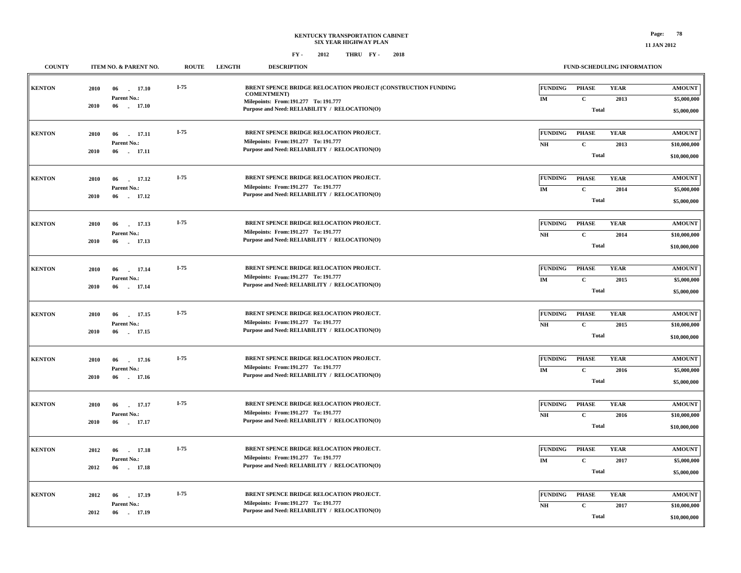| <b>COUNTY</b> |              | ITEM NO. & PARENT NO.                       | <b>ROUTE</b> | <b>LENGTH</b> | <b>DESCRIPTION</b>                                                                                                                |                                  | FUND-SCHEDULING INFORMATION                  |                     |                                               |
|---------------|--------------|---------------------------------------------|--------------|---------------|-----------------------------------------------------------------------------------------------------------------------------------|----------------------------------|----------------------------------------------|---------------------|-----------------------------------------------|
| <b>KENTON</b> | 2010         | 06<br>17.10<br>Parent No.:                  | $I-75$       |               | BRENT SPENCE BRIDGE RELOCATION PROJECT (CONSTRUCTION FUNDING<br><b>COMENTMENT</b> )<br>Milepoints: From: 191.277 To: 191.777      | <b>FUNDING</b><br>IM             | <b>PHASE</b><br>$\mathbf{C}$                 | <b>YEAR</b><br>2013 | <b>AMOUNT</b><br>\$5,000,000                  |
|               | 2010         | 06<br>. 17.10                               |              |               | Purpose and Need: RELIABILITY / RELOCATION(O)                                                                                     |                                  | Total                                        |                     | \$5,000,000                                   |
| <b>KENTON</b> | 2010<br>2010 | 06<br>17.11<br>Parent No.:<br>17.11<br>06   | $I-75$       |               | BRENT SPENCE BRIDGE RELOCATION PROJECT.<br>Milepoints: From: 191.277 To: 191.777<br>Purpose and Need: RELIABILITY / RELOCATION(O) | <b>FUNDING</b><br>N <sub>H</sub> | <b>PHASE</b><br>$\mathbf{C}$<br><b>Total</b> | <b>YEAR</b><br>2013 | <b>AMOUNT</b><br>\$10,000,000<br>\$10,000,000 |
| <b>KENTON</b> | 2010<br>2010 | 06<br>17.12<br>Parent No.:<br>17.12<br>06   | $I-75$       |               | BRENT SPENCE BRIDGE RELOCATION PROJECT.<br>Milepoints: From: 191.277 To: 191.777<br>Purpose and Need: RELIABILITY / RELOCATION(O) | <b>FUNDING</b><br>IM             | <b>PHASE</b><br>$\mathbf C$<br><b>Total</b>  | <b>YEAR</b><br>2014 | <b>AMOUNT</b><br>\$5,000,000<br>\$5,000,000   |
| <b>KENTON</b> | 2010<br>2010 | 17.13<br>06<br>Parent No.:<br>17.13<br>06   | $I-75$       |               | BRENT SPENCE BRIDGE RELOCATION PROJECT.<br>Milepoints: From: 191.277 To: 191.777<br>Purpose and Need: RELIABILITY / RELOCATION(O) | FUNDING<br>NH                    | <b>PHASE</b><br>$\mathbf{C}$<br><b>Total</b> | <b>YEAR</b><br>2014 | <b>AMOUNT</b><br>\$10,000,000<br>\$10,000,000 |
| <b>KENTON</b> | 2010<br>2010 | 17.14<br>06<br>Parent No.:<br>06<br>17.14   | I-75         |               | BRENT SPENCE BRIDGE RELOCATION PROJECT.<br>Milepoints: From: 191.277 To: 191.777<br>Purpose and Need: RELIABILITY / RELOCATION(O) | <b>FUNDING</b><br>IM             | <b>PHASE</b><br>$\mathbf{C}$<br><b>Total</b> | <b>YEAR</b><br>2015 | <b>AMOUNT</b><br>\$5,000,000<br>\$5,000,000   |
| <b>KENTON</b> | 2010<br>2010 | 06<br>17.15<br>Parent No.:<br>06<br>17.15   | I-75         |               | BRENT SPENCE BRIDGE RELOCATION PROJECT.<br>Milepoints: From:191.277 To: 191.777<br>Purpose and Need: RELIABILITY / RELOCATION(O)  | <b>FUNDING</b><br>N <sub>H</sub> | <b>PHASE</b><br>$\mathbf{C}$<br><b>Total</b> | <b>YEAR</b><br>2015 | <b>AMOUNT</b><br>\$10,000,000<br>\$10,000,000 |
| <b>KENTON</b> | 2010<br>2010 | 06<br>17.16<br>Parent No.:<br>06<br>17.16   | $I-75$       |               | BRENT SPENCE BRIDGE RELOCATION PROJECT.<br>Milepoints: From: 191.277 To: 191.777<br>Purpose and Need: RELIABILITY / RELOCATION(O) | <b>FUNDING</b><br>IM             | <b>PHASE</b><br>$\mathbf{C}$<br><b>Total</b> | <b>YEAR</b><br>2016 | <b>AMOUNT</b><br>\$5,000,000<br>\$5,000,000   |
| <b>KENTON</b> | 2010<br>2010 | 06<br>17.17<br>Parent No.:<br>06<br>17.17   | $I-75$       |               | BRENT SPENCE BRIDGE RELOCATION PROJECT.<br>Milepoints: From: 191.277 To: 191.777<br>Purpose and Need: RELIABILITY / RELOCATION(O) | <b>FUNDING</b><br>NH             | <b>PHASE</b><br>$\mathbf{C}$<br><b>Total</b> | <b>YEAR</b><br>2016 | <b>AMOUNT</b><br>\$10,000,000<br>\$10,000,000 |
| <b>KENTON</b> | 2012<br>2012 | 17.18<br>06<br>Parent No.:<br>06<br>17.18   | $I-75$       |               | BRENT SPENCE BRIDGE RELOCATION PROJECT.<br>Milepoints: From: 191.277 To: 191.777<br>Purpose and Need: RELIABILITY / RELOCATION(O) | <b>FUNDING</b><br>IM             | <b>PHASE</b><br>$\mathbf{C}$<br><b>Total</b> | <b>YEAR</b><br>2017 | <b>AMOUNT</b><br>\$5,000,000<br>\$5,000,000   |
| <b>KENTON</b> | 2012<br>2012 | 06<br>17.19<br>Parent No.:<br>. 17.19<br>06 | $I-75$       |               | BRENT SPENCE BRIDGE RELOCATION PROJECT.<br>Milepoints: From: 191.277 To: 191.777<br>Purpose and Need: RELIABILITY / RELOCATION(O) | <b>FUNDING</b><br>NH             | <b>PHASE</b><br>$\mathbf C$<br><b>Total</b>  | <b>YEAR</b><br>2017 | <b>AMOUNT</b><br>\$10,000,000<br>\$10,000,000 |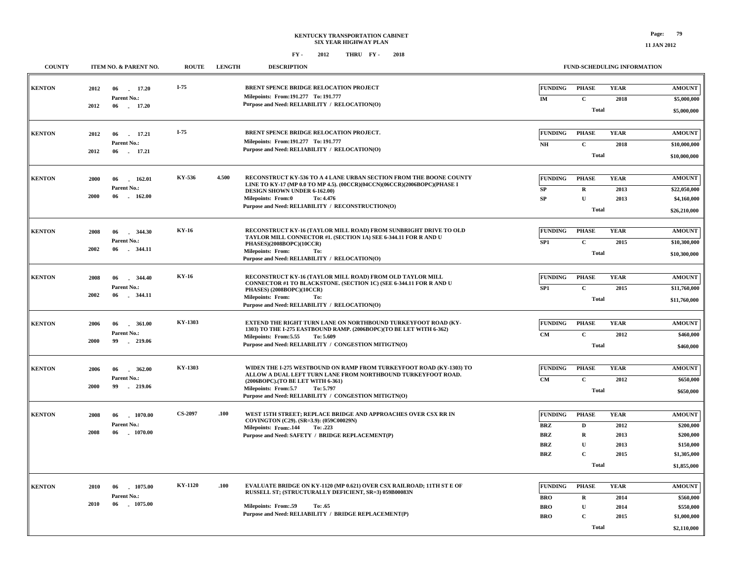| <b>COUNTY</b> |                      | ITEM NO. & PARENT NO.                  | <b>ROUTE</b>   | <b>LENGTH</b>                                                                                                               | <b>DESCRIPTION</b>                                                                                                                                                              |                                        | <b>FUND-SCHEDULING INFORMATION</b> |                             |                                       |
|---------------|----------------------|----------------------------------------|----------------|-----------------------------------------------------------------------------------------------------------------------------|---------------------------------------------------------------------------------------------------------------------------------------------------------------------------------|----------------------------------------|------------------------------------|-----------------------------|---------------------------------------|
| <b>KENTON</b> | 2012                 | 17.20<br>06<br>Parent No.:             | I-75           |                                                                                                                             | BRENT SPENCE BRIDGE RELOCATION PROJECT<br>Milepoints: From: 191.277 To: 191.777                                                                                                 | <b>FUNDING</b>                         | <b>PHASE</b>                       | <b>YEAR</b>                 | <b>AMOUNT</b>                         |
|               | 2012                 | 06 17.20                               |                |                                                                                                                             | Purpose and Need: RELIABILITY / RELOCATION(O)                                                                                                                                   | IM                                     | $\mathbf C$<br><b>Total</b>        | 2018                        | \$5,000,000<br>\$5,000,000            |
| <b>KENTON</b> | 2012                 | 06 17.21<br>Parent No.:                | $I-75$         |                                                                                                                             | BRENT SPENCE BRIDGE RELOCATION PROJECT.<br>Milepoints: From:191.277 To: 191.777                                                                                                 | <b>FUNDING</b><br>NH                   | <b>PHASE</b><br>$\mathbf{C}$       | <b>YEAR</b><br>2018         | <b>AMOUNT</b><br>\$10,000,000         |
|               | 2012                 | 06<br>17.21                            |                |                                                                                                                             | Purpose and Need: RELIABILITY / RELOCATION(O)                                                                                                                                   |                                        | <b>Total</b>                       |                             | \$10,000,000                          |
| <b>KENTON</b> | 2000                 | 06<br>162.01<br>Parent No.:            | KY-536         | 4.500                                                                                                                       | RECONSTRUCT KY-536 TO A 4 LANE URBAN SECTION FROM THE BOONE COUNTY<br>LINE TO KY-17 (MP 0.0 TO MP 4.5). (00CCR)(04CCN)(06CCR)(2006BOPC)(PHASE I                                 | <b>FUNDING</b><br>SP                   | <b>PHASE</b><br>$\mathbf R$        | <b>YEAR</b><br>2013         | <b>AMOUNT</b><br>\$22,050,000         |
|               | 2000<br>06<br>162.00 |                                        |                | DESIGN SHOWN UNDER 6-162.00)<br><b>Milepoints: From:0</b><br>To: 4.476<br>Purpose and Need: RELIABILITY / RECONSTRUCTION(O) | <b>SP</b>                                                                                                                                                                       | ${\bf U}$<br><b>Total</b>              | 2013                               | \$4,160,000<br>\$26,210,000 |                                       |
| <b>KENTON</b> | 2008                 | 344.30<br>06                           | <b>KY-16</b>   |                                                                                                                             | RECONSTRUCT KY-16 (TAYLOR MILL ROAD) FROM SUNBRIGHT DRIVE TO OLD                                                                                                                | <b>FUNDING</b>                         | <b>PHASE</b>                       | <b>YEAR</b>                 | <b>AMOUNT</b>                         |
|               | 2002                 | Parent No.:<br>06<br>344.11            |                |                                                                                                                             | TAYLOR MILL CONNECTOR #1. (SECTION 1A) SEE 6-344.11 FOR R AND U<br>PHASES)(2008BOPC)(10CCR)<br><b>Milepoints: From:</b><br>To:<br>Purpose and Need: RELIABILITY / RELOCATION(O) | SP <sub>1</sub>                        | $\mathbf{C}$<br><b>Total</b>       | 2015                        | \$10,300,000<br>\$10,300,000          |
| <b>KENTON</b> | 2008                 | 344.40<br>06<br>Parent No.:            | <b>KY-16</b>   |                                                                                                                             | RECONSTRUCT KY-16 (TAYLOR MILL ROAD) FROM OLD TAYLOR MILL<br>CONNECTOR #1 TO BLACKSTONE. (SECTION 1C) (SEE 6-344.11 FOR R AND U                                                 | <b>FUNDING</b><br>SP <sub>1</sub>      | <b>PHASE</b><br>$\mathbf C$        | <b>YEAR</b><br>2015         | <b>AMOUNT</b><br>\$11,760,000         |
|               | 2002                 | 344.11<br>06                           |                |                                                                                                                             | PHASES) (2008BOPC)(10CCR)<br><b>Milepoints: From:</b><br>To:<br>Purpose and Need: RELIABILITY / RELOCATION(O)                                                                   |                                        | <b>Total</b>                       |                             | \$11,760,000                          |
| <b>KENTON</b> | 2006                 | 06<br>$-361.00$<br>Parent No.:         | KY-1303        |                                                                                                                             | EXTEND THE RIGHT TURN LANE ON NORTHBOUND TURKEYFOOT ROAD (KY-<br>1303) TO THE I-275 EASTBOUND RAMP. (2006BOPC) (TO BE LET WITH 6-362)                                           | <b>FUNDING</b><br>CM                   | <b>PHASE</b><br>$\mathbf{C}$       | <b>YEAR</b><br>2012         | <b>AMOUNT</b><br>\$460,000            |
|               | 2000                 | 99<br>$-219.06$                        |                |                                                                                                                             | Milepoints: From: 5.55<br>To: 5.609<br>Purpose and Need: RELIABILITY / CONGESTION MITIGTN(O)                                                                                    |                                        | <b>Total</b>                       |                             | \$460,000                             |
| <b>KENTON</b> | 2006                 | 362.00<br>06<br>Parent No.:            | KY-1303        |                                                                                                                             | WIDEN THE I-275 WESTBOUND ON RAMP FROM TURKEYFOOT ROAD (KY-1303) TO<br>ALLOW A DUAL LEFT TURN LANE FROM NORTHBOUND TURKEYFOOT ROAD.<br>(2006BOPC). (TO BE LET WITH 6-361)       | <b>FUNDING</b><br><b>CM</b>            | <b>PHASE</b><br>$\mathbf{C}$       | <b>YEAR</b><br>2012         | <b>AMOUNT</b><br>\$650,000            |
|               | 2000                 | 99<br>$-219.06$                        |                |                                                                                                                             | Milepoints: From:5.7<br>To: 5.797<br>Purpose and Need: RELIABILITY / CONGESTION MITIGTN(O)                                                                                      |                                        | <b>Total</b>                       |                             | \$650,000                             |
| <b>KENTON</b> | 2008                 | $-1070.00$<br>06<br>Parent No.:        | CS-2097        | .100                                                                                                                        | WEST 15TH STREET; REPLACE BRIDGE AND APPROACHES OVER CSX RR IN<br>COVINGTON (C29). (SR=3.9): (059C00029N)                                                                       | <b>FUNDING</b><br><b>BRZ</b>           | <b>PHASE</b><br>D                  | <b>YEAR</b><br>2012         | <b>AMOUNT</b><br>\$200,000            |
|               | 2008                 | 06<br>1070.00                          |                |                                                                                                                             | Milepoints: From:.144 To: .223<br>Purpose and Need: SAFETY / BRIDGE REPLACEMENT(P)                                                                                              | <b>BRZ</b><br><b>BRZ</b>               | $\mathbf R$<br>$\mathbf{U}$        | 2013<br>2013                | \$200,000<br>\$150,000                |
|               |                      |                                        |                |                                                                                                                             |                                                                                                                                                                                 | <b>BRZ</b>                             | $\mathbf C$<br><b>Total</b>        | 2015                        | \$1,305,000<br>\$1,855,000            |
| <b>KENTON</b> | 2010                 | 1075.00<br>06                          | <b>KY-1120</b> | .100                                                                                                                        | <b>EVALUATE BRIDGE ON KY-1120 (MP 0.621) OVER CSX RAILROAD; 11TH ST E OF</b><br>RUSSELL ST; (STRUCTURALLY DEFICIENT, SR=3) 059B00083N                                           | <b>FUNDING</b>                         | <b>PHASE</b>                       | <b>YEAR</b>                 | <b>AMOUNT</b>                         |
|               | 2010                 | <b>Parent No.:</b><br>06<br>$-1075.00$ |                |                                                                                                                             | <b>Milepoints: From:.59</b><br>To: .65<br>Purpose and Need: RELIABILITY / BRIDGE REPLACEMENT(P)                                                                                 | <b>BRO</b><br><b>BRO</b><br><b>BRO</b> | $\mathbf R$<br>U<br>$\mathbf{C}$   | 2014<br>2014<br>2015        | \$560,000<br>\$550,000<br>\$1,000,000 |
|               |                      |                                        |                |                                                                                                                             |                                                                                                                                                                                 |                                        | <b>Total</b>                       |                             | \$2,110,000                           |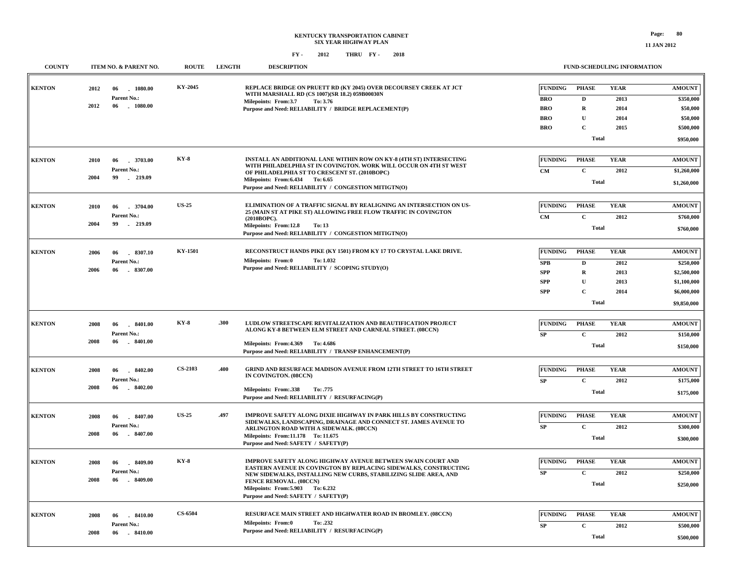### **KENTUCKY TRANSPORTATION CABINET SIX YEAR HIGHWAY PLAN FY - FY - 2012 2018 THRU**

| <b>COUNTY</b> | ITEM NO. & PARENT NO.                   | <b>ROUTE</b>   | <b>LENGTH</b> | <b>DESCRIPTION</b>                                                                                                                   |                | FUND-SCHEDULING INFORMATION |             |                                |
|---------------|-----------------------------------------|----------------|---------------|--------------------------------------------------------------------------------------------------------------------------------------|----------------|-----------------------------|-------------|--------------------------------|
| <b>KENTON</b> | 1080.00<br>2012                         | KY-2045        |               | REPLACE BRIDGE ON PRUETT RD (KY 2045) OVER DECOURSEY CREEK AT JCT                                                                    | <b>FUNDING</b> | <b>PHASE</b>                | <b>YEAR</b> | <b>AMOUNT</b>                  |
|               | 06                                      |                |               | WITH MARSHALL RD (CS 1007)(SR 18.2) 059B00030N                                                                                       |                |                             |             |                                |
|               | Parent No.:<br>2012<br>06<br>$-1080.00$ |                |               | Milepoints: From:3.7<br>To: 3.76                                                                                                     | <b>BRO</b>     | $\mathbf D$                 | 2013        | \$350,000                      |
|               |                                         |                |               | Purpose and Need: RELIABILITY / BRIDGE REPLACEMENT(P)                                                                                | <b>BRO</b>     | $\mathbf R$                 | 2014        | \$50,000                       |
|               |                                         |                |               |                                                                                                                                      | <b>BRO</b>     | $\mathbf U$                 | 2014        | \$50,000                       |
|               |                                         |                |               |                                                                                                                                      | <b>BRO</b>     | $\mathbf C$                 | 2015        | \$500,000                      |
|               |                                         |                |               |                                                                                                                                      |                | <b>Total</b>                |             | \$950,000                      |
| <b>KENTON</b> | 3703.00<br>2010<br>06                   | $KY-8$         |               | INSTALL AN ADDITIONAL LANE WITHIN ROW ON KY-8 (4TH ST) INTERSECTING                                                                  | <b>FUNDING</b> | <b>PHASE</b>                | <b>YEAR</b> | <b>AMOUNT</b>                  |
|               | Parent No.:                             |                |               | WITH PHILADELPHIA ST IN COVINGTON. WORK WILL OCCUR ON 4TH ST WEST                                                                    | <b>CM</b>      | $\mathbf{C}$                | 2012        | \$1,260,000                    |
|               | 2004<br>99<br>$-219.09$                 |                |               | OF PHILADELPHIA ST TO CRESCENT ST. (2010BOPC)<br>Milepoints: From: 6.434 To: 6.65                                                    |                |                             |             |                                |
|               |                                         |                |               | Purpose and Need: RELIABILITY / CONGESTION MITIGTN(O)                                                                                |                | <b>Total</b>                |             | \$1,260,000                    |
| <b>KENTON</b> | .3704.00<br>2010<br>06                  | <b>US-25</b>   |               | ELIMINATION OF A TRAFFIC SIGNAL BY REALIGNING AN INTERSECTION ON US-                                                                 | <b>FUNDING</b> | <b>PHASE</b>                | <b>YEAR</b> | <b>AMOUNT</b>                  |
|               | Parent No.:                             |                |               | 25 (MAIN ST AT PIKE ST) ALLOWING FREE FLOW TRAFFIC IN COVINGTON                                                                      | <b>CM</b>      | $\mathbf C$                 | 2012        | \$760,000                      |
|               | 2004<br>99<br>$-219.09$                 |                |               | (2010BOPC).<br>Milepoints: From:12.8<br>To: 13                                                                                       |                |                             |             |                                |
|               |                                         |                |               | Purpose and Need: RELIABILITY / CONGESTION MITIGTN(O)                                                                                |                | <b>Total</b>                |             | \$760,000                      |
| <b>KENTON</b> | 2006<br>06<br>8307.10                   | KY-1501        |               | RECONSTRUCT HANDS PIKE (KY 1501) FROM KY 17 TO CRYSTAL LAKE DRIVE.                                                                   | <b>FUNDING</b> | <b>PHASE</b>                | <b>YEAR</b> | <b>AMOUNT</b>                  |
|               | Parent No.:                             |                |               | Milepoints: From:0<br>To: 1.032                                                                                                      | <b>SPB</b>     | $\mathbf D$                 | 2012        | \$250,000                      |
|               | $-8307.00$<br>2006<br>06                |                |               | Purpose and Need: RELIABILITY / SCOPING STUDY(O)                                                                                     | <b>SPP</b>     | $\mathbf R$                 | 2013        | \$2,500,000                    |
|               |                                         |                |               |                                                                                                                                      | <b>SPP</b>     | $\mathbf U$                 | 2013        |                                |
|               |                                         |                |               |                                                                                                                                      | <b>SPP</b>     | $\mathbf C$                 |             | \$1,100,000<br>\$6,000,000     |
|               |                                         |                |               |                                                                                                                                      |                |                             | 2014        |                                |
|               |                                         |                |               |                                                                                                                                      |                | Total                       |             | \$9,850,000                    |
| <b>KENTON</b> | $-8401.00$<br>2008<br>06                | $KY-8$         | .300          | LUDLOW STREETSCAPE REVITALIZATION AND BEAUTIFICATION PROJECT                                                                         | <b>FUNDING</b> | <b>PHASE</b>                | <b>YEAR</b> | <b>AMOUNT</b>                  |
|               | Parent No.:                             |                |               | ALONG KY-8 BETWEEN ELM STREET AND CARNEAL STREET. (08CCN)                                                                            | SP             | $\mathbf{C}$                | 2012        | \$150,000                      |
|               | 2008<br>$-8401.00$<br>06                |                |               | Milepoints: From: 4.369 To: 4.686                                                                                                    |                |                             |             |                                |
|               |                                         |                |               | Purpose and Need: RELIABILITY / TRANSP ENHANCEMENT(P)                                                                                |                | <b>Total</b>                |             | \$150,000                      |
| <b>KENTON</b> | $-8402.00$<br>2008<br>06                | <b>CS-2103</b> | .400          | <b>GRIND AND RESURFACE MADISON AVENUE FROM 12TH STREET TO 16TH STREET</b>                                                            | <b>FUNDING</b> | <b>PHASE</b>                | <b>YEAR</b> | <b>AMOUNT</b>                  |
|               | Parent No.:                             |                |               | IN COVINGTON. (08CCN)                                                                                                                | SP             | $\mathbf C$                 | 2012        | \$175,000                      |
|               | 2008<br>06<br>$-8402.00$                |                |               | Milepoints: From: .338<br>To: .775                                                                                                   |                |                             |             |                                |
|               |                                         |                |               | Purpose and Need: RELIABILITY / RESURFACING(P)                                                                                       |                | <b>Total</b>                |             | \$175,000                      |
| <b>KENTON</b> | 2008<br>8407.00<br>06                   | <b>US-25</b>   | .497          | IMPROVE SAFETY ALONG DIXIE HIGHWAY IN PARK HILLS BY CONSTRUCTING                                                                     | <b>FUNDING</b> | <b>PHASE</b>                | <b>YEAR</b> | $\boldsymbol{\mathrm{AMOUNT}}$ |
|               | Parent No.:                             |                |               | SIDEWALKS, LANDSCAPING, DRAINAGE AND CONNECT ST. JAMES AVENUE TO<br>ARLINGTON ROAD WITH A SIDEWALK. (08CCN)                          | SP             | $\mathbf C$                 | 2012        | \$300,000                      |
|               | 2008<br>$-8407.00$<br>06                |                |               | Milepoints: From:11.178 To: 11.675                                                                                                   |                | <b>Total</b>                |             |                                |
|               |                                         |                |               | Purpose and Need: SAFETY / SAFETY(P)                                                                                                 |                |                             |             | \$300,000                      |
| <b>KENTON</b> | 8409.00<br>2008<br>06                   | $KY-8$         |               | IMPROVE SAFETY ALONG HIGHWAY AVENUE BETWEEN SWAIN COURT AND                                                                          | <b>FUNDING</b> | <b>PHASE</b>                | <b>YEAR</b> | <b>AMOUNT</b>                  |
|               | Parent No.:                             |                |               | EASTERN AVENUE IN COVINGTON BY REPLACING SIDEWALKS, CONSTRUCTING<br>NEW SIDEWALKS, INSTALLING NEW CURBS, STABILIZING SLIDE AREA, AND | SP             | $\mathbf C$                 | 2012        | \$250,000                      |
|               | 2008<br>06<br>$-8409.00$                |                |               | FENCE REMOVAL. (08CCN)                                                                                                               |                | Total                       |             |                                |
|               |                                         |                |               | Milepoints: From: 5.903 To: 6.232<br>Purpose and Need: SAFETY / SAFETY(P)                                                            |                |                             |             | \$250,000                      |
|               |                                         |                |               |                                                                                                                                      |                |                             |             |                                |
| <b>KENTON</b> | 2008<br>8410.00<br>06                   | <b>CS-6504</b> |               | RESURFACE MAIN STREET AND HIGHWATER ROAD IN BROMLEY. (08CCN)                                                                         | <b>FUNDING</b> | <b>PHASE</b>                | <b>YEAR</b> | <b>AMOUNT</b>                  |
|               | Parent No.:                             |                |               | <b>Milepoints: From:0</b><br>To: .232<br>Purpose and Need: RELIABILITY / RESURFACING(P)                                              | SP             | $\mathbf C$                 | 2012        | \$500,000                      |
|               | 2008<br>06<br>$-8410.00$                |                |               |                                                                                                                                      |                | Total                       |             | \$500,000                      |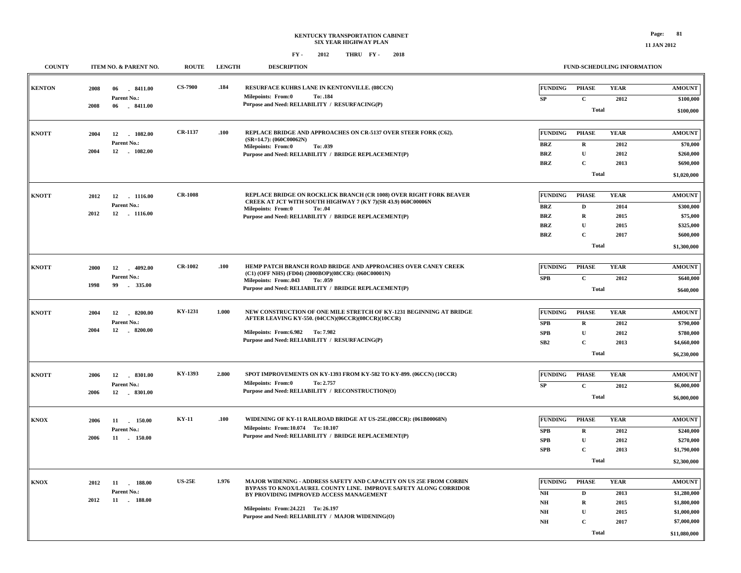| <b>COUNTY</b> | ITEM NO. & PARENT NO.                   | <b>ROUTE</b>   | <b>LENGTH</b> | <b>DESCRIPTION</b>                                                                                                                 |                                  |                             | FUND-SCHEDULING INFORMATION |                          |
|---------------|-----------------------------------------|----------------|---------------|------------------------------------------------------------------------------------------------------------------------------------|----------------------------------|-----------------------------|-----------------------------|--------------------------|
| <b>KENTON</b> | 2008<br>06<br>$-8411.00$<br>Parent No.: | <b>CS-7900</b> | .184          | RESURFACE KUHRS LANE IN KENTONVILLE. (08CCN)<br><b>Milepoints: From:0</b><br>To: .184                                              | <b>FUNDING</b>                   | <b>PHASE</b><br>$\mathbf C$ | <b>YEAR</b>                 | <b>AMOUNT</b>            |
|               | 2008<br>$-8411.00$<br>06                |                |               | Purpose and Need: RELIABILITY / RESURFACING(P)                                                                                     | ${\bf SP}$                       | <b>Total</b>                | 2012                        | \$100,000<br>\$100,000   |
|               |                                         |                |               |                                                                                                                                    |                                  |                             |                             |                          |
| <b>KNOTT</b>  | 2004<br>12<br>1082.00                   | <b>CR-1137</b> | .100          | REPLACE BRIDGE AND APPROACHES ON CR-5137 OVER STEER FORK (C62).<br>$(SR=14.7)$ : (060C00062N)                                      | <b>FUNDING</b>                   | <b>PHASE</b>                | <b>YEAR</b>                 | <b>AMOUNT</b>            |
|               | Parent No.:<br>12<br>. 1082.00<br>2004  |                |               | <b>Milepoints: From:0</b><br>To: .039                                                                                              | $\mathbf{B}\mathbf{R}\mathbf{Z}$ | ${\bf R}$                   | 2012                        | \$70,000                 |
|               |                                         |                |               | Purpose and Need: RELIABILITY / BRIDGE REPLACEMENT(P)                                                                              | <b>BRZ</b><br><b>BRZ</b>         | $\mathbf U$<br>$\mathbf C$  | 2012<br>2013                | \$260,000<br>\$690,000   |
|               |                                         |                |               |                                                                                                                                    |                                  | <b>Total</b>                |                             |                          |
|               |                                         |                |               |                                                                                                                                    |                                  |                             |                             | \$1,020,000              |
| <b>KNOTT</b>  | 2012<br>12<br>$-1116.00$                | <b>CR-1008</b> |               | REPLACE BRIDGE ON ROCKLICK BRANCH (CR 1008) OVER RIGHT FORK BEAVER<br>CREEK AT JCT WITH SOUTH HIGHWAY 7 (KY 7)(SR 43.9) 060C00006N | <b>FUNDING</b>                   | <b>PHASE</b>                | <b>YEAR</b>                 | <b>AMOUNT</b>            |
|               | Parent No.:<br>2012<br>12<br>$-1116.00$ |                |               | <b>Milepoints: From:0</b><br>To: .04                                                                                               | <b>BRZ</b>                       | $\mathbf{D}$                | 2014                        | \$300,000                |
|               |                                         |                |               | Purpose and Need: RELIABILITY / BRIDGE REPLACEMENT(P)                                                                              | <b>BRZ</b>                       | $\bf R$                     | 2015                        | \$75,000                 |
|               |                                         |                |               |                                                                                                                                    | <b>BRZ</b><br><b>BRZ</b>         | $\mathbf U$<br>$\mathbf C$  | 2015<br>2017                | \$325,000<br>\$600,000   |
|               |                                         |                |               |                                                                                                                                    |                                  | <b>Total</b>                |                             |                          |
|               |                                         |                |               |                                                                                                                                    |                                  |                             |                             | \$1,300,000              |
| <b>KNOTT</b>  | 2000<br>12<br>4092.00<br>in 1           | <b>CR-1002</b> | .100          | HEMP PATCH BRANCH ROAD BRIDGE AND APPROACHES OVER CANEY CREEK                                                                      | <b>FUNDING</b>                   | <b>PHASE</b>                | <b>YEAR</b>                 | <b>AMOUNT</b>            |
|               | Parent No.:                             |                |               | (C1) (OFF NHS) (FD04) (2000BOP)(08CCR): (060C00001N)<br><b>Milepoints: From:.043</b><br>To: .059                                   | ${\bf SPB}$                      | $\mathbf C$                 | 2012                        | \$640,000                |
|               | 1998<br>99<br>$-335.00$                 |                |               | Purpose and Need: RELIABILITY / BRIDGE REPLACEMENT(P)                                                                              |                                  | <b>Total</b>                |                             | \$640,000                |
|               |                                         |                |               |                                                                                                                                    |                                  |                             |                             |                          |
| <b>KNOTT</b>  | 12<br>$-8200.00$<br>2004                | KY-1231        | 1.000         | NEW CONSTRUCTION OF ONE MILE STRETCH OF KY-1231 BEGINNING AT BRIDGE<br>AFTER LEAVING KY-550. (04CCN)(06CCR)(08CCR)(10CCR)          | <b>FUNDING</b>                   | <b>PHASE</b>                | <b>YEAR</b>                 | <b>AMOUNT</b>            |
|               | Parent No.:<br>2004<br>12<br>$-8200.00$ |                |               | Milepoints: From: 6.982 To: 7.982                                                                                                  | SPB                              | $\mathbf R$                 | 2012                        | \$790,000                |
|               |                                         |                |               | Purpose and Need: RELIABILITY / RESURFACING(P)                                                                                     | SPB<br>SB2                       | ${\bf U}$<br>$\mathbf C$    | 2012<br>2013                | \$780,000<br>\$4,660,000 |
|               |                                         |                |               |                                                                                                                                    |                                  | Total                       |                             | \$6,230,000              |
|               |                                         |                |               |                                                                                                                                    |                                  |                             |                             |                          |
| <b>KNOTT</b>  | 2006<br>12 8301.00                      | KY-1393        | 2.800         | SPOT IMPROVEMENTS ON KY-1393 FROM KY-582 TO KY-899. (06CCN) (10CCR)                                                                | <b>FUNDING</b>                   | <b>PHASE</b>                | <b>YEAR</b>                 | <b>AMOUNT</b>            |
|               | Parent No.:                             |                |               | <b>Milepoints: From:0</b><br>To: 2.757                                                                                             | ${\bf SP}$                       | $\mathbf{C}$                | 2012                        | \$6,000,000              |
|               | 2006<br>12<br>$-8301.00$                |                |               | Purpose and Need: RELIABILITY / RECONSTRUCTION(O)                                                                                  |                                  | <b>Total</b>                |                             | \$6,000,000              |
|               |                                         |                |               |                                                                                                                                    |                                  |                             |                             |                          |
| <b>KNOX</b>   | 2006<br>11<br>150.00                    | <b>KY-11</b>   | .100          | WIDENING OF KY-11 RAILROAD BRIDGE AT US-25E.(08CCR): (061B00068N)                                                                  | <b>FUNDING</b>                   | <b>PHASE</b>                | <b>YEAR</b>                 | <b>AMOUNT</b>            |
|               | Parent No.:<br>2006<br>11 150.00        |                |               | Milepoints: From:10.074 To: 10.107<br>Purpose and Need: RELIABILITY / BRIDGE REPLACEMENT(P)                                        | SPB                              | $\mathbf R$                 | 2012                        | \$240,000                |
|               |                                         |                |               |                                                                                                                                    | <b>SPB</b><br><b>SPB</b>         | $\mathbf{U}$<br>$\mathbf C$ | 2012<br>2013                | \$270,000<br>\$1,790,000 |
|               |                                         |                |               |                                                                                                                                    |                                  | <b>Total</b>                |                             |                          |
|               |                                         |                |               |                                                                                                                                    |                                  |                             |                             | \$2,300,000              |
| <b>KNOX</b>   | 2012<br>11 188.00                       | <b>US-25E</b>  | 1.976         | MAJOR WIDENING - ADDRESS SAFETY AND CAPACITY ON US 25E FROM CORBIN                                                                 | <b>FUNDING</b>                   | <b>PHASE</b>                | <b>YEAR</b>                 | <b>AMOUNT</b>            |
|               | Parent No.:                             |                |               | BYPASS TO KNOX/LAUREL COUNTY LINE. IMPROVE SAFETY ALONG CORRIDOR<br>BY PROVIDING IMPROVED ACCESS MANAGEMENT                        | N <sub>H</sub>                   | $\mathbf D$                 | 2013                        | \$1,280,000              |
|               | 2012<br>11 . 188.00                     |                |               |                                                                                                                                    | $\mathbf{N}\mathbf{H}$           | $\mathbf R$                 | 2015                        | \$1,800,000              |
|               |                                         |                |               | Milepoints: From: 24.221 To: 26.197<br>Purpose and Need: RELIABILITY / MAJOR WIDENING(O)                                           | $\mathbf{N}\mathbf{H}$           | $\mathbf U$                 | 2015                        | \$1,000,000              |
|               |                                         |                |               |                                                                                                                                    | N <sub>H</sub>                   | $\mathbf C$                 | 2017                        | \$7,000,000              |
|               |                                         |                |               |                                                                                                                                    |                                  | <b>Total</b>                |                             | \$11,080,000             |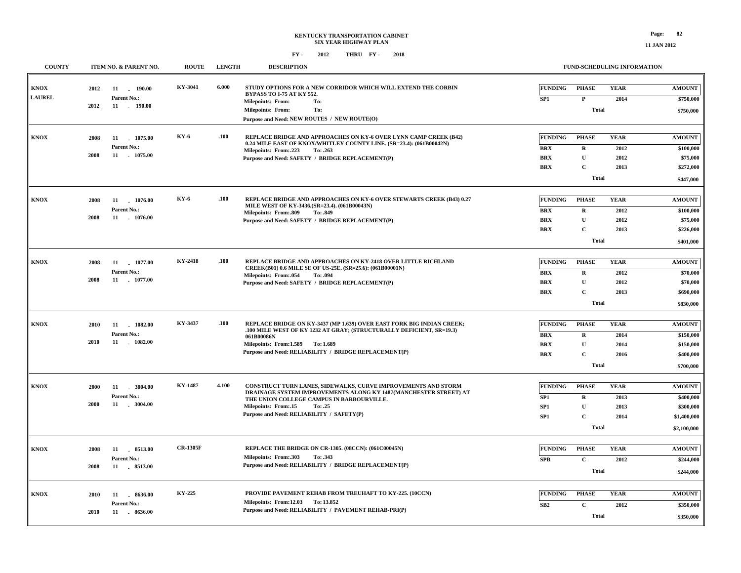#### **FUND-SCHEDULING INFORMATION**

| <b>COUNTY</b>                | ITEM NO. & PARENT NO.                                               | <b>ROUTE</b>    | <b>LENGTH</b> | <b>DESCRIPTION</b>                                                                                                                                                                                                                                             | FUND-SCHEDULING INFORMATION                                                                                                                                                                 |                                                                       |
|------------------------------|---------------------------------------------------------------------|-----------------|---------------|----------------------------------------------------------------------------------------------------------------------------------------------------------------------------------------------------------------------------------------------------------------|---------------------------------------------------------------------------------------------------------------------------------------------------------------------------------------------|-----------------------------------------------------------------------|
| <b>KNOX</b><br><b>LAUREL</b> | 2012<br>11<br>190.00<br>Parent No.:<br>2012<br>11 . 190.00          | KY-3041         | 6.000         | STUDY OPTIONS FOR A NEW CORRIDOR WHICH WILL EXTEND THE CORBIN<br><b>BYPASS TO I-75 AT KY 552.</b><br><b>Milepoints: From:</b><br>To:<br><b>Milepoints: From:</b><br>To:<br>Purpose and Need: NEW ROUTES / NEW ROUTE(O)                                         | <b>FUNDING</b><br>PHASE<br><b>YEAR</b><br>SP <sub>1</sub><br>$\mathbf P$<br>2014<br>Total                                                                                                   | <b>AMOUNT</b><br>\$750,000<br>\$750,000                               |
| <b>KNOX</b>                  | 11 1075.00<br>2008<br>Parent No.:<br>2008<br>11 1075.00             | <b>KY-6</b>     | .100          | REPLACE BRIDGE AND APPROACHES ON KY-6 OVER LYNN CAMP CREEK (B42)<br>0.24 MILE EAST OF KNOX/WHITLEY COUNTY LINE. (SR=23.4): (061B00042N)<br>Milepoints: From:.223<br>To: .263<br>Purpose and Need: SAFETY / BRIDGE REPLACEMENT(P)                               | <b>FUNDING</b><br><b>PHASE</b><br><b>YEAR</b><br><b>BRX</b><br>$\mathbf R$<br>2012<br>$\mathbf{B}\mathbf{R}\mathbf{X}$<br>U<br>2012<br><b>BRX</b><br>$\mathbf C$<br>2013<br>Total           | <b>AMOUNT</b><br>\$100,000<br>\$75,000<br>\$272,000<br>\$447,000      |
| <b>KNOX</b>                  | 2008<br>11 1076.00<br>Parent No.:<br>2008<br>11 . 1076.00           | <b>KY-6</b>     | .100          | REPLACE BRIDGE AND APPROACHES ON KY-6 OVER STEWARTS CREEK (B43) 0.27<br>MILE WEST OF KY-3436.(SR=23.4). (061B00043N)<br><b>Milepoints: From:.809</b><br>To: .849<br>Purpose and Need: SAFETY / BRIDGE REPLACEMENT(P)                                           | <b>FUNDING</b><br><b>PHASE</b><br><b>YEAR</b><br><b>BRX</b><br>$\mathbf R$<br>2012<br>BRX<br>$\mathbf U$<br>2012<br>$\mathbf C$<br><b>BRX</b><br>2013<br><b>Total</b>                       | <b>AMOUNT</b><br>\$100,000<br>\$75,000<br>\$226,000<br>\$401,000      |
| <b>KNOX</b>                  | 2008<br>11 1077.00<br>Parent No.:<br>2008<br>11 . 1077.00           | KY-2418         | .100          | REPLACE BRIDGE AND APPROACHES ON KY-2418 OVER LITTLE RICHLAND<br>CREEK(B01) 0.6 MILE SE OF US-25E. (SR=25.6): (061B00001N)<br>Milepoints: From:.054<br>To: .094<br>Purpose and Need: SAFETY / BRIDGE REPLACEMENT(P)                                            | <b>FUNDING</b><br><b>YEAR</b><br><b>PHASE</b><br><b>BRX</b><br>$\mathbf R$<br>2012<br><b>BRX</b><br>U<br>2012<br><b>BRX</b><br>$\mathbf C$<br>2013<br><b>Total</b>                          | <b>AMOUNT</b><br>\$70,000<br>\$70,000<br>\$690,000<br>\$830,000       |
| <b>KNOX</b>                  | 2010<br>11<br>$-1082.00$<br>Parent No.:<br>2010<br>11<br>$-1082.00$ | KY-3437         | .100          | REPLACE BRIDGE ON KY-3437 (MP 1.639) OVER EAST FORK BIG INDIAN CREEK;<br>.100 MILE WEST OF KY 1232 AT GRAY; (STRUCTURALLY DEFICIENT, SR=19.3)<br>061B00086N<br>Milepoints: From: 1.589 To: 1.689<br>Purpose and Need: RELIABILITY / BRIDGE REPLACEMENT(P)      | <b>FUNDING</b><br><b>PHASE</b><br><b>YEAR</b><br>$\mathbf{B}\mathbf{R}\mathbf{X}$<br>2014<br>$\mathbf R$<br>$\mathbf U$<br><b>BRX</b><br>2014<br>$\mathbf C$<br><b>BRX</b><br>2016<br>Total | <b>AMOUNT</b><br>\$150,000<br>\$150,000<br>\$400,000<br>\$700,000     |
| <b>KNOX</b>                  | 2000<br>11<br>.3004.00<br>Parent No.:<br>2000                       | <b>KY-1487</b>  | 4.100         | CONSTRUCT TURN LANES, SIDEWALKS, CURVE IMPROVEMENTS AND STORM<br>DRAINAGE SYSTEM IMPROVEMENTS ALONG KY 1487(MANCHESTER STREET) AT<br>THE UNION COLLEGE CAMPUS IN BARBOURVILLE.<br>Milepoints: From:.15<br>To: .25<br>Purpose and Need: RELIABILITY / SAFETY(P) | <b>FUNDING</b><br><b>PHASE</b><br><b>YEAR</b><br>SP1<br>$\mathbf R$<br>2013<br>$\mathbf{U}$<br>SP <sub>1</sub><br>2013<br>$\mathbf C$<br>SP <sub>1</sub><br>2014<br><b>Total</b>            | <b>AMOUNT</b><br>\$400,000<br>\$300,000<br>\$1,400,000<br>\$2,100,000 |
| <b>KNOX</b>                  | 2008<br>8513.00<br>11<br>Parent No.:<br>2008<br>11 8513.00          | <b>CR-1305F</b> |               | REPLACE THE BRIDGE ON CR-1305. (08CCN): (061C00045N)<br>Milepoints: From: .303<br>To: .343<br>Purpose and Need: RELIABILITY / BRIDGE REPLACEMENT(P)                                                                                                            | <b>FUNDING</b><br><b>PHASE</b><br><b>YEAR</b><br>$\mathbf{C}$<br><b>SPB</b><br>2012<br>Total                                                                                                | <b>AMOUNT</b><br>\$244,000<br>\$244,000                               |
| <b>KNOX</b>                  | 8636.00<br>2010<br>11<br>Parent No.:<br>2010<br>11 . 8636.00        | <b>KY-225</b>   |               | PROVIDE PAVEMENT REHAB FROM TREUHAFT TO KY-225. (10CCN)<br>Milepoints: From:12.03 To: 13.852<br>Purpose and Need: RELIABILITY / PAVEMENT REHAB-PRI(P)                                                                                                          | <b>FUNDING</b><br><b>PHASE</b><br><b>YEAR</b><br>SB2<br>2012<br>$\mathbf C$<br><b>Total</b>                                                                                                 | <b>AMOUNT</b><br>\$350,000<br>\$350,000                               |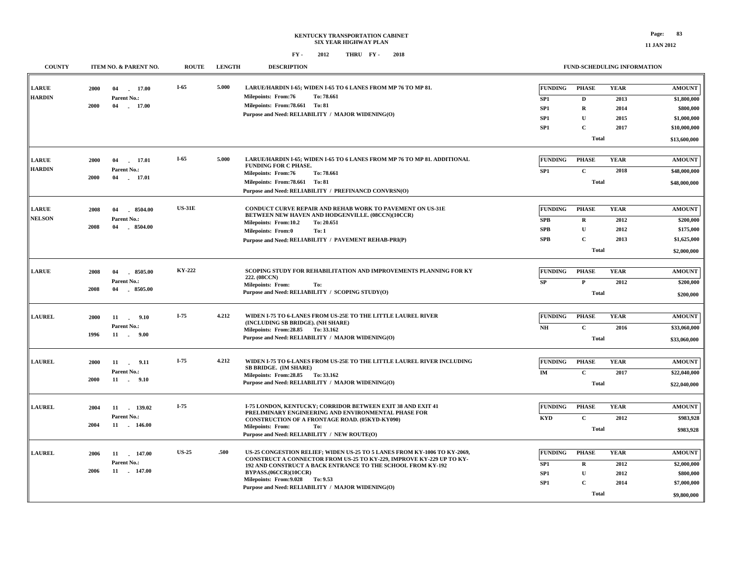**FUND-SCHEDULING INFORMATION**

| <b>COUNTY</b>                                              |      | ITEM NO. & PARENT NO.                | <b>ROUTE</b>  | <b>LENGTH</b> | <b>DESCRIPTION</b>                                                                                        |                                   | <b>FUND-SCHEDULING INFORMATION</b> |                     |                              |  |  |
|------------------------------------------------------------|------|--------------------------------------|---------------|---------------|-----------------------------------------------------------------------------------------------------------|-----------------------------------|------------------------------------|---------------------|------------------------------|--|--|
| ${\bf L} {\bf A} {\bf R} {\bf U} {\bf E}$<br><b>HARDIN</b> | 2000 | 04<br>17.00<br>$\sim$<br>Parent No.: | $I-65$        | 5.000         | LARUE/HARDIN I-65; WIDEN I-65 TO 6 LANES FROM MP 76 TO MP 81.<br><b>Milepoints: From:76</b><br>To: 78.661 | <b>FUNDING</b><br>SP <sub>1</sub> | <b>PHASE</b><br>D                  | <b>YEAR</b><br>2013 | <b>AMOUNT</b><br>\$1,800,000 |  |  |
|                                                            | 2000 | 17.00<br>04                          |               |               | Milepoints: From: 78.661 To: 81                                                                           | SP <sub>1</sub>                   | $\mathbf R$                        | 2014                | \$800,000                    |  |  |
|                                                            |      |                                      |               |               | Purpose and Need: RELIABILITY / MAJOR WIDENING(O)                                                         | SP <sub>1</sub>                   | U                                  | 2015                | \$1,000,000                  |  |  |
|                                                            |      |                                      |               |               |                                                                                                           | SP <sub>1</sub>                   | $\mathbf C$                        | 2017                | \$10,000,000                 |  |  |
|                                                            |      |                                      |               |               |                                                                                                           |                                   | <b>Total</b>                       |                     | \$13,600,000                 |  |  |
| <b>LARUE</b>                                               | 2000 |                                      | $I-65$        | 5.000         | LARUE/HARDIN I-65; WIDEN I-65 TO 6 LANES FROM MP 76 TO MP 81. ADDITIONAL                                  | <b>FUNDING</b>                    | <b>PHASE</b>                       | <b>YEAR</b>         | <b>AMOUNT</b>                |  |  |
| <b>HARDIN</b>                                              |      | 04<br>17.01<br>Parent No.:           |               |               | <b>FUNDING FOR C PHASE.</b>                                                                               |                                   | $\mathbf C$                        |                     |                              |  |  |
|                                                            | 2000 | 04<br>17.01                          |               |               | <b>Milepoints: From:76</b><br>To: 78.661                                                                  | SP <sub>1</sub>                   |                                    | 2018                | \$48,000,000<br>\$48,000,000 |  |  |
|                                                            |      |                                      |               |               | Milepoints: From: 78.661 To: 81                                                                           |                                   | <b>Total</b>                       |                     |                              |  |  |
|                                                            |      |                                      |               |               | Purpose and Need: RELIABILITY / PREFINANCD CONVRSN(O)                                                     |                                   |                                    |                     |                              |  |  |
| <b>LARUE</b>                                               | 2008 | 04<br>$-8504.00$                     | <b>US-31E</b> |               | CONDUCT CURVE REPAIR AND REHAB WORK TO PAVEMENT ON US-31E                                                 | <b>FUNDING</b>                    | <b>PHASE</b>                       | <b>YEAR</b>         | <b>AMOUNT</b>                |  |  |
| <b>NELSON</b>                                              |      | Parent No.:                          |               |               | BETWEEN NEW HAVEN AND HODGENVILLE. (08CCN)(10CCR)<br>To: 20.651<br>Milepoints: From:10.2                  | <b>SPB</b>                        | $\bf{R}$                           | 2012                | \$200,000                    |  |  |
|                                                            | 2008 | 04<br>$-8504.00$                     |               |               | <b>Milepoints: From:0</b><br>To: 1                                                                        | <b>SPB</b>                        | $\mathbf U$                        | 2012                | \$175,000                    |  |  |
|                                                            |      |                                      |               |               | Purpose and Need: RELIABILITY / PAVEMENT REHAB-PRI(P)                                                     | <b>SPB</b>                        | $\mathbf{C}$                       | 2013                | \$1,625,000                  |  |  |
|                                                            |      |                                      |               |               |                                                                                                           |                                   | <b>Total</b>                       |                     | \$2,000,000                  |  |  |
|                                                            |      |                                      |               |               |                                                                                                           |                                   |                                    |                     |                              |  |  |
| <b>LARUE</b>                                               | 2008 | 8505.00<br>04                        | KY-222        |               | SCOPING STUDY FOR REHABILITATION AND IMPROVEMENTS PLANNING FOR KY<br>222. (08CCN)                         | <b>FUNDING</b>                    | <b>PHASE</b>                       | <b>YEAR</b>         | <b>AMOUNT</b>                |  |  |
|                                                            |      | Parent No.:                          |               |               | Milepoints: From:<br>To:                                                                                  | SP                                | $\mathbf{P}$                       | 2012                | \$200,000                    |  |  |
|                                                            | 2008 | 8505.00<br>04                        |               |               | Purpose and Need: RELIABILITY / SCOPING STUDY(O)                                                          |                                   | <b>Total</b>                       |                     | \$200,000                    |  |  |
|                                                            |      |                                      |               |               |                                                                                                           |                                   |                                    |                     |                              |  |  |
| <b>LAUREL</b>                                              | 2000 | 11 . 9.10                            | $I-75$        | 4.212         | WIDEN I-75 TO 6-LANES FROM US-25E TO THE LITTLE LAUREL RIVER<br>(INCLUDING SB BRIDGE). (NH SHARE)         | <b>FUNDING</b>                    | <b>PHASE</b>                       | <b>YEAR</b>         | <b>AMOUNT</b>                |  |  |
|                                                            |      | Parent No.:                          |               |               | Milepoints: From: 28.85 To: 33.162                                                                        | N <sub>H</sub>                    | $\mathbf{C}$                       | 2016                | \$33,060,000                 |  |  |
|                                                            | 1996 | 11 . 9.00                            |               |               | Purpose and Need: RELIABILITY / MAJOR WIDENING(O)                                                         |                                   | <b>Total</b>                       |                     | \$33,060,000                 |  |  |
|                                                            |      |                                      | $I-75$        |               |                                                                                                           |                                   |                                    |                     |                              |  |  |
| <b>LAUREL</b>                                              | 2000 | 11<br>9.11<br>$\sim$                 |               | 4.212         | WIDEN I-75 TO 6-LANES FROM US-25E TO THE LITTLE LAUREL RIVER INCLUDING<br>SB BRIDGE. (IM SHARE)           | <b>FUNDING</b>                    | <b>PHASE</b>                       | <b>YEAR</b>         | <b>AMOUNT</b>                |  |  |
|                                                            | 2000 | Parent No.:<br>11<br>$-9.10$         |               |               | Milepoints: From: 28.85 To: 33.162                                                                        | IM                                | $\mathbf C$                        | 2017                | \$22,040,000                 |  |  |
|                                                            |      |                                      |               |               | Purpose and Need: RELIABILITY / MAJOR WIDENING(O)                                                         |                                   | <b>Total</b>                       |                     | \$22,040,000                 |  |  |
| <b>LAUREL</b>                                              |      |                                      | $I-75$        |               | <b>I-75 LONDON, KENTUCKY: CORRIDOR BETWEEN EXIT 38 AND EXIT 41</b>                                        | <b>FUNDING</b>                    | <b>PHASE</b>                       | <b>YEAR</b>         | <b>AMOUNT</b>                |  |  |
|                                                            | 2004 | 11<br>139.02<br>Parent No.:          |               |               | PRELIMINARY ENGINEERING AND ENVIRONMENTAL PHASE FOR                                                       |                                   |                                    |                     |                              |  |  |
|                                                            | 2004 | 11<br>$-146.00$                      |               |               | <b>CONSTRUCTION OF A FRONTAGE ROAD. (05KYD-KY090)</b><br><b>Milepoints: From:</b>                         | <b>KYD</b>                        | $\mathbf C$                        | 2012                | \$983,928                    |  |  |
|                                                            |      |                                      |               |               | To:<br>Purpose and Need: RELIABILITY / NEW ROUTE(O)                                                       |                                   | <b>Total</b>                       |                     | \$983,928                    |  |  |
|                                                            |      |                                      | <b>US-25</b>  | .500          | US-25 CONGESTION RELIEF; WIDEN US-25 TO 5 LANES FROM KY-1006 TO KY-2069,                                  | <b>FUNDING</b>                    |                                    |                     |                              |  |  |
| <b>LAUREL</b>                                              | 2006 | 11<br>147.00                         |               |               | CONSTRUCT A CONNECTOR FROM US-25 TO KY-229, IMPROVE KY-229 UP TO KY-                                      |                                   | <b>PHASE</b>                       | <b>YEAR</b>         | <b>AMOUNT</b>                |  |  |
|                                                            | 2006 | Parent No.:<br>11 . 147.00           |               |               | 192 AND CONSTRUCT A BACK ENTRANCE TO THE SCHOOL FROM KY-192                                               | SP1                               | $\mathbf R$                        | 2012                | \$2,000,000                  |  |  |
|                                                            |      |                                      |               |               | BYPASS.(06CCR)(10CCR)<br>Milepoints: From: 9.028 To: 9.53                                                 | SP <sub>1</sub>                   | $\mathbf U$                        | 2012                | \$800,000                    |  |  |
|                                                            |      |                                      |               |               | Purpose and Need: RELIABILITY / MAJOR WIDENING(O)                                                         | SP <sub>1</sub>                   | $\mathbf{C}$                       | 2014                | \$7,000,000                  |  |  |
|                                                            |      |                                      |               |               |                                                                                                           |                                   | <b>Total</b>                       |                     | \$9,800,000                  |  |  |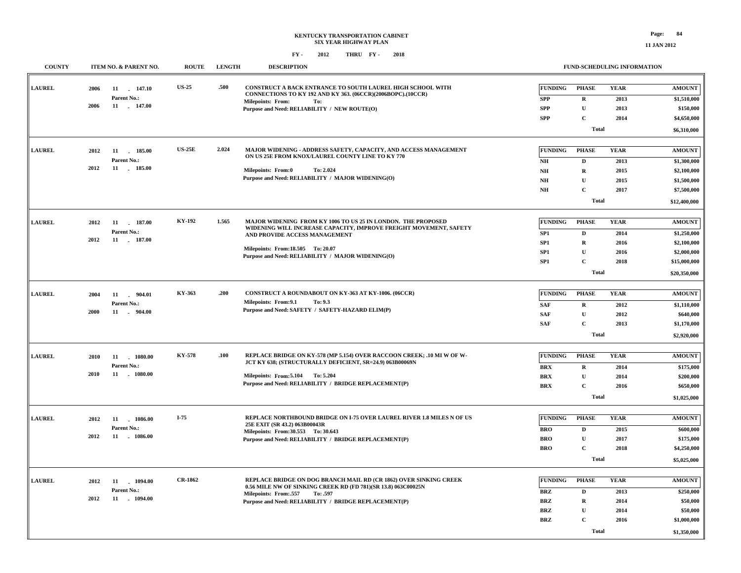### **KENTUCKY TRANSPORTATION CABINET SIX YEAR HIGHWAY PLAN FY - FY - 2012 2018 THRU**

| <b>COUNTY</b> |      | ITEM NO. & PARENT NO.       | <b>ROUTE</b>   | <b>LENGTH</b> | <b>DESCRIPTION</b>                                                                                                                |                        | <b>FUND-SCHEDULING INFORMATION</b> |              |                            |
|---------------|------|-----------------------------|----------------|---------------|-----------------------------------------------------------------------------------------------------------------------------------|------------------------|------------------------------------|--------------|----------------------------|
| <b>LAUREL</b> | 2006 | 11 147.10                   | <b>US-25</b>   | .500          | CONSTRUCT A BACK ENTRANCE TO SOUTH LAUREL HIGH SCHOOL WITH<br>CONNECTIONS TO KY 192 AND KY 363. (06CCR)(2006BOPC).(10CCR)         | <b>FUNDING</b>         | <b>PHASE</b>                       | <b>YEAR</b>  | <b>AMOUNT</b>              |
|               |      | Parent No.:                 |                |               | <b>Milepoints: From:</b><br>To:                                                                                                   | <b>SPP</b>             | $\mathbf R$                        | 2013         | \$1,510,000                |
|               | 2006 | 11 . 147.00                 |                |               | Purpose and Need: RELIABILITY / NEW ROUTE(O)                                                                                      | ${\bf SPP}$            | $\mathbf U$                        | 2013         | \$150,000                  |
|               |      |                             |                |               |                                                                                                                                   | <b>SPP</b>             | $\mathbf C$                        | 2014         | \$4,650,000                |
|               |      |                             |                |               |                                                                                                                                   |                        | <b>Total</b>                       |              | \$6,310,000                |
| <b>LAUREL</b> | 2012 | 11 185.00                   | <b>US-25E</b>  | 2.024         | MAJOR WIDENING - ADDRESS SAFETY, CAPACITY, AND ACCESS MANAGEMENT                                                                  | <b>FUNDING</b>         | <b>PHASE</b>                       | <b>YEAR</b>  | <b>AMOUNT</b>              |
|               |      | Parent No.:                 |                |               | ON US 25E FROM KNOX/LAUREL COUNTY LINE TO KY 770                                                                                  | NH                     | D                                  | 2013         | \$1,300,000                |
|               | 2012 | 11 185.00                   |                |               | Milepoints: From:0<br>To: 2.024                                                                                                   | N <sub>H</sub>         | $\mathbf R$                        | 2015         | \$2,100,000                |
|               |      |                             |                |               | Purpose and Need: RELIABILITY / MAJOR WIDENING(O)                                                                                 | N <sub>H</sub>         | $\mathbf U$                        | 2015         | \$1,500,000                |
|               |      |                             |                |               |                                                                                                                                   | $N\!H$                 | $\mathbf C$                        | 2017         | \$7,500,000                |
|               |      |                             |                |               |                                                                                                                                   |                        | <b>Total</b>                       |              | \$12,400,000               |
|               |      |                             |                |               |                                                                                                                                   |                        |                                    |              |                            |
| <b>LAUREL</b> | 2012 | 187.00<br>11<br>Parent No.: | KY-192         | 1.565         | MAJOR WIDENING FROM KY 1006 TO US 25 IN LONDON. THE PROPOSED<br>WIDENING WILL INCREASE CAPACITY, IMPROVE FREIGHT MOVEMENT, SAFETY | FUNDING                | <b>PHASE</b>                       | <b>YEAR</b>  | <b>AMOUNT</b>              |
|               | 2012 | 11 . 187.00                 |                |               | AND PROVIDE ACCESS MANAGEMENT                                                                                                     | SP <sub>1</sub><br>SP1 | $\mathbf D$<br>$\mathbf R$         | 2014<br>2016 | \$1,250,000                |
|               |      |                             |                |               | Milepoints: From:18.505 To: 20.07                                                                                                 | SP1                    | $\mathbf U$                        | 2016         | \$2,100,000<br>\$2,000,000 |
|               |      |                             |                |               | Purpose and Need: RELIABILITY / MAJOR WIDENING(O)                                                                                 | SP1                    | $\mathbf C$                        | 2018         | \$15,000,000               |
|               |      |                             |                |               |                                                                                                                                   |                        | <b>Total</b>                       |              |                            |
|               |      |                             |                |               |                                                                                                                                   |                        |                                    |              | \$20,350,000               |
| <b>LAUREL</b> | 2004 | 11 . 904.01                 | KY-363         | .200          | CONSTRUCT A ROUNDABOUT ON KY-363 AT KY-1006. (06CCR)                                                                              | <b>FUNDING</b>         | <b>PHASE</b>                       | <b>YEAR</b>  | <b>AMOUNT</b>              |
|               |      | Parent No.:                 |                |               | Milepoints: From: 9.1<br>To: 9.3                                                                                                  | <b>SAF</b>             | $\mathbf R$                        | 2012         | \$1,110,000                |
|               | 2000 | 11 . 904.00                 |                |               | Purpose and Need: SAFETY / SAFETY-HAZARD ELIM(P)                                                                                  | <b>SAF</b>             | $\mathbf{U}$                       | 2012         | \$640,000                  |
|               |      |                             |                |               |                                                                                                                                   | <b>SAF</b>             | $\mathbf{C}$                       | 2013         | \$1,170,000                |
|               |      |                             |                |               |                                                                                                                                   |                        | <b>Total</b>                       |              | \$2,920,000                |
|               |      |                             |                |               |                                                                                                                                   |                        |                                    |              |                            |
| <b>LAUREL</b> | 2010 | 11<br>1080.00               | KY-578         | .100          | REPLACE BRIDGE ON KY-578 (MP 5.154) OVER RACCOON CREEK; .10 MI W OF W-                                                            | <b>FUNDING</b>         | <b>PHASE</b>                       | <b>YEAR</b>  | <b>AMOUNT</b>              |
|               |      | Parent No.:                 |                |               | JCT KY 638; (STRUCTURALLY DEFICIENT, SR=24.9) 063B00069N                                                                          | <b>BRX</b>             | $\mathbf R$                        | 2014         | \$175,000                  |
|               | 2010 | 11 1080.00                  |                |               | Milepoints: From: 5.104 To: 5.204                                                                                                 | <b>BRX</b>             | $\mathbf{U}$                       | 2014         | \$200,000                  |
|               |      |                             |                |               | Purpose and Need: RELIABILITY / BRIDGE REPLACEMENT(P)                                                                             | <b>BRX</b>             | $\mathbf C$                        | 2016         | \$650,000                  |
|               |      |                             |                |               |                                                                                                                                   |                        | <b>Total</b>                       |              | \$1,025,000                |
|               |      |                             |                |               |                                                                                                                                   |                        |                                    |              |                            |
| <b>LAUREL</b> | 2012 | 11<br>1086.00               | $I-75$         |               | REPLACE NORTHBOUND BRIDGE ON I-75 OVER LAUREL RIVER 1.8 MILES N OF US<br>25E EXIT (SR 43.2) 063B00043R                            | <b>FUNDING</b>         | <b>PHASE</b>                       | <b>YEAR</b>  | <b>AMOUNT</b>              |
|               | 2012 | Parent No.:<br>11 1086.00   |                |               | Milepoints: From: 30.553 To: 30.643                                                                                               | <b>BRO</b>             | D                                  | 2015         | \$600,000                  |
|               |      |                             |                |               | Purpose and Need: RELIABILITY / BRIDGE REPLACEMENT(P)                                                                             | <b>BRO</b>             | $\mathbf{U}$                       | 2017         | \$175,000                  |
|               |      |                             |                |               |                                                                                                                                   | <b>BRO</b>             | $\mathbf C$                        | 2018         | \$4,250,000                |
|               |      |                             |                |               |                                                                                                                                   |                        | <b>Total</b>                       |              | \$5,025,000                |
| <b>LAUREL</b> | 2012 | 11 1094.00                  | <b>CR-1862</b> |               | REPLACE BRIDGE ON DOG BRANCH MAIL RD (CR 1862) OVER SINKING CREEK                                                                 | <b>FUNDING</b>         | <b>PHASE</b>                       | <b>YEAR</b>  | <b>AMOUNT</b>              |
|               |      | Parent No.:                 |                |               | 0.56 MILE NW OF SINKING CREEK RD (FD 781)(SR 13.8) 063C00025N                                                                     | <b>BRZ</b>             | D                                  | 2013         | \$250,000                  |
|               | 2012 | 11 1094.00                  |                |               | Milepoints: From:.557<br>To: .597<br>Purpose and Need: RELIABILITY / BRIDGE REPLACEMENT(P)                                        | <b>BRZ</b>             | $\mathbf R$                        | 2014         | \$50,000                   |
|               |      |                             |                |               |                                                                                                                                   | <b>BRZ</b>             | $\mathbf U$                        | 2014         | \$50,000                   |
|               |      |                             |                |               |                                                                                                                                   | <b>BRZ</b>             | $\mathbf C$                        | 2016         | \$1,000,000                |
|               |      |                             |                |               |                                                                                                                                   |                        | <b>Total</b>                       |              |                            |
|               |      |                             |                |               |                                                                                                                                   |                        |                                    |              | \$1,350,000                |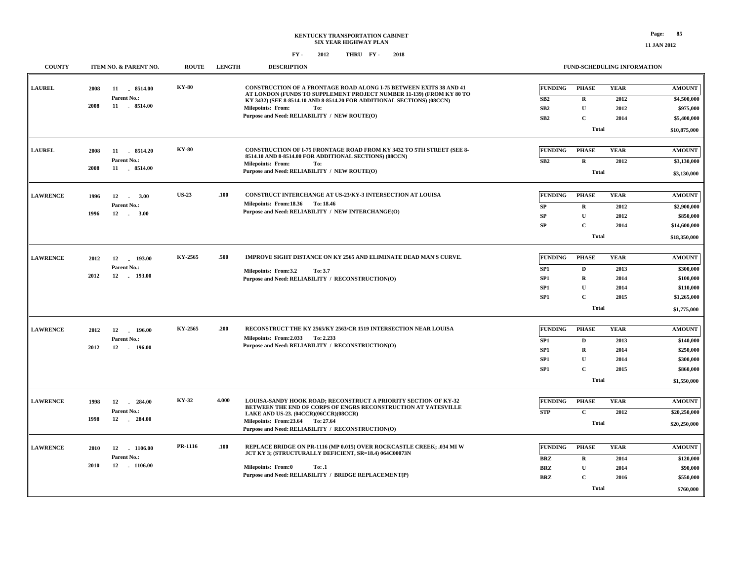| <b>COUNTY</b>   |              | ITEM NO. & PARENT NO.                     | <b>ROUTE</b> | <b>LENGTH</b> | <b>DESCRIPTION</b>                                                                                                                                                                                                          |                                    | FUND-SCHEDULING INFORMATION |                     |                              |
|-----------------|--------------|-------------------------------------------|--------------|---------------|-----------------------------------------------------------------------------------------------------------------------------------------------------------------------------------------------------------------------------|------------------------------------|-----------------------------|---------------------|------------------------------|
| <b>LAUREL</b>   | 2008<br>2008 | 11 8514.00<br>Parent No.:<br>11 . 8514.00 | <b>KY-80</b> |               | <b>CONSTRUCTION OF A FRONTAGE ROAD ALONG I-75 BETWEEN EXITS 38 AND 41</b><br>AT LONDON (FUNDS TO SUPPLEMENT PROJECT NUMBER 11-139) (FROM KY 80 TO<br>KY 3432) (SEE 8-8514.10 AND 8-8514.20 FOR ADDITIONAL SECTIONS) (08CCN) | <b>FUNDING</b><br>SB2              | PHASE<br>$\mathbf{R}$       | <b>YEAR</b><br>2012 | <b>AMOUNT</b><br>\$4,500,000 |
|                 |              |                                           |              |               | <b>Milepoints: From:</b><br>To:<br>Purpose and Need: RELIABILITY / NEW ROUTE(O)                                                                                                                                             | SB <sub>2</sub>                    | U                           | 2012                | \$975,000                    |
|                 |              |                                           |              |               |                                                                                                                                                                                                                             | SB2                                | $\mathbf C$                 | 2014                | \$5,400,000                  |
|                 |              |                                           |              |               |                                                                                                                                                                                                                             |                                    | Total                       |                     | \$10,875,000                 |
| <b>LAUREL</b>   | 2008         | 11 8514.20<br>Parent No.:                 | <b>KY-80</b> |               | <b>CONSTRUCTION OF I-75 FRONTAGE ROAD FROM KY 3432 TO 5TH STREET (SEE 8-</b><br>8514.10 AND 8-8514.00 FOR ADDITIONAL SECTIONS) (08CCN)<br><b>Milepoints: From:</b><br>To:                                                   | <b>FUNDING</b><br>SB <sub>2</sub>  | <b>PHASE</b><br>$\mathbf R$ | <b>YEAR</b><br>2012 | <b>AMOUNT</b><br>\$3,130,000 |
|                 | 2008         | 11 8514.00                                |              |               | Purpose and Need: RELIABILITY / NEW ROUTE(O)                                                                                                                                                                                |                                    | <b>Total</b>                |                     | \$3,130,000                  |
|                 |              |                                           |              |               |                                                                                                                                                                                                                             |                                    |                             |                     |                              |
| <b>LAWRENCE</b> | 1996         | 12<br>3.00<br>Parent No.:                 | <b>US-23</b> | .100          | CONSTRUCT INTERCHANGE AT US-23/KY-3 INTERSECTION AT LOUISA<br>Milepoints: From:18.36 To: 18.46                                                                                                                              | <b>FUNDING</b>                     | <b>PHASE</b>                | <b>YEAR</b>         | <b>AMOUNT</b>                |
|                 | 1996         | 12<br>3.00<br>$\sim$                      |              |               | Purpose and Need: RELIABILITY / NEW INTERCHANGE(O)                                                                                                                                                                          | SP<br>SP                           | $\mathbf R$<br>$\mathbf U$  | 2012<br>2012        | \$2,900,000<br>\$850,000     |
|                 |              |                                           |              |               |                                                                                                                                                                                                                             | SP                                 | $\mathbf{C}$                | 2014                | \$14,600,000                 |
|                 |              |                                           |              |               |                                                                                                                                                                                                                             |                                    | <b>Total</b>                |                     | \$18,350,000                 |
|                 |              |                                           |              |               |                                                                                                                                                                                                                             |                                    |                             |                     |                              |
| <b>LAWRENCE</b> | 2012         | 12<br>193.00                              | KY-2565      | .500          | IMPROVE SIGHT DISTANCE ON KY 2565 AND ELIMINATE DEAD MAN'S CURVE.                                                                                                                                                           | <b>FUNDING</b>                     | <b>PHASE</b>                | <b>YEAR</b>         | <b>AMOUNT</b>                |
|                 | 2012         | Parent No.:<br>12<br>193.00               |              |               | Milepoints: From:3.2<br>To: 3.7                                                                                                                                                                                             | SP1                                | D                           | 2013                | \$300,000                    |
|                 |              |                                           |              |               | Purpose and Need: RELIABILITY / RECONSTRUCTION(O)                                                                                                                                                                           | SP <sub>1</sub>                    | $\mathbf R$                 | 2014                | \$100,000                    |
|                 |              |                                           |              |               |                                                                                                                                                                                                                             | SP <sub>1</sub><br>SP <sub>1</sub> | $\mathbf{U}$<br>$\mathbf C$ | 2014<br>2015        | \$110,000<br>\$1,265,000     |
|                 |              |                                           |              |               |                                                                                                                                                                                                                             |                                    | Total                       |                     |                              |
|                 |              |                                           |              |               |                                                                                                                                                                                                                             |                                    |                             |                     | \$1,775,000                  |
| <b>LAWRENCE</b> | 2012         | 12<br>196.00                              | KY-2565      | .200          | RECONSTRUCT THE KY 2565/KY 2563/CR 1519 INTERSECTION NEAR LOUISA                                                                                                                                                            | <b>FUNDING</b>                     | <b>PHASE</b>                | <b>YEAR</b>         | <b>AMOUNT</b>                |
|                 | 2012         | Parent No.:<br>12 196.00                  |              |               | Milepoints: From: 2.033 To: 2.233<br>Purpose and Need: RELIABILITY / RECONSTRUCTION(O)                                                                                                                                      | SP1                                | D                           | 2013                | \$140,000                    |
|                 |              |                                           |              |               |                                                                                                                                                                                                                             | SP1                                | R                           | 2014                | \$250,000                    |
|                 |              |                                           |              |               |                                                                                                                                                                                                                             | SP <sub>1</sub><br>SP <sub>1</sub> | $\mathbf{U}$<br>$\mathbf C$ | 2014<br>2015        | \$300,000<br>\$860,000       |
|                 |              |                                           |              |               |                                                                                                                                                                                                                             |                                    |                             |                     |                              |
|                 |              |                                           |              |               |                                                                                                                                                                                                                             |                                    | Total                       |                     | \$1,550,000                  |
| <b>LAWRENCE</b> | 1998         | 12<br>284.00<br>$\sim$                    | KY-32        | 4.000         | <b>LOUISA-SANDY HOOK ROAD; RECONSTRUCT A PRIORITY SECTION OF KY-32</b><br>BETWEEN THE END OF CORPS OF ENGRS RECONSTRUCTION AT YATESVILLE                                                                                    | <b>FUNDING</b>                     | <b>PHASE</b>                | <b>YEAR</b>         | <b>AMOUNT</b>                |
|                 |              | Parent No.:                               |              |               | LAKE AND US-23. (04CCR)(06CCR)(08CCR)                                                                                                                                                                                       | <b>STP</b>                         | $\mathbf{C}$                | 2012                | \$20,250,000                 |
|                 | 1998         | 12 284.00                                 |              |               | Milepoints: From: 23.64 To: 27.64<br>Purpose and Need: RELIABILITY / RECONSTRUCTION(O)                                                                                                                                      |                                    | Total                       |                     | \$20,250,000                 |
|                 |              |                                           |              |               |                                                                                                                                                                                                                             |                                    |                             |                     |                              |
| <b>LAWRENCE</b> | 2010         | 12<br>$-1106.00$                          | PR-1116      | .100          | REPLACE BRIDGE ON PR-1116 (MP 0.015) OVER ROCKCASTLE CREEK; .034 MI W<br>JCT KY 3; (STRUCTURALLY DEFICIENT, SR=18.4) 064C00073N                                                                                             | <b>FUNDING</b>                     | <b>PHASE</b>                | <b>YEAR</b>         | <b>AMOUNT</b>                |
|                 | <b>2010</b>  | Parent No.:<br>12 1106.00                 |              |               |                                                                                                                                                                                                                             | <b>BRZ</b>                         | $\mathbf R$                 | 2014                | \$120,000                    |
|                 |              |                                           |              |               | <b>Milepoints: From:0</b><br>To: .1<br>Purpose and Need: RELIABILITY / BRIDGE REPLACEMENT(P)                                                                                                                                | <b>BRZ</b><br><b>BRZ</b>           | ${\bf U}$<br>$\mathbf C$    | 2014                | \$90,000<br>\$550,000        |
|                 |              |                                           |              |               |                                                                                                                                                                                                                             |                                    |                             | 2016                |                              |
|                 |              |                                           |              |               |                                                                                                                                                                                                                             |                                    | <b>Total</b>                |                     | \$760,000                    |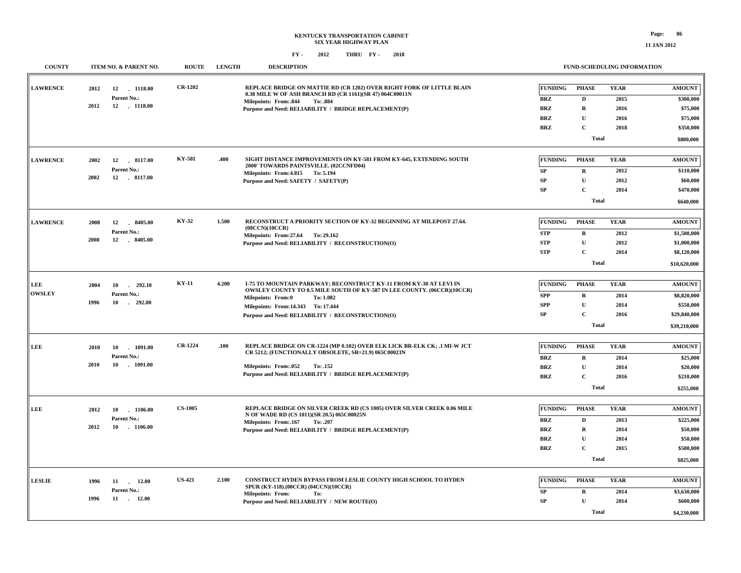**11 JAN 2012**

| <b>COUNTY</b>   |      | ITEM NO. & PARENT NO. | <b>ROUTE</b>   | <b>LENGTH</b> | <b>DESCRIPTION</b>                                                                                                                                  |                | FUND-SCHEDULING INFORMATION |             |               |
|-----------------|------|-----------------------|----------------|---------------|-----------------------------------------------------------------------------------------------------------------------------------------------------|----------------|-----------------------------|-------------|---------------|
| <b>LAWRENCE</b> | 2012 | 12 1118.00            | <b>CR-1202</b> |               | REPLACE BRIDGE ON MATTIE RD (CR 1202) OVER RIGHT FORK OF LITTLE BLAIN<br>0.38 MILE W OF ASH BRANCH RD (CR 1161)(SR 47) 064C00011N                   | <b>FUNDING</b> | <b>PHASE</b>                | <b>YEAR</b> | <b>AMOUNT</b> |
|                 | 2012 | Parent No.:           |                |               | Milepoints: From:.844<br>To: .884                                                                                                                   | <b>BRZ</b>     | D                           | 2015        | \$300,000     |
|                 |      | 12 1118.00            |                |               | Purpose and Need: RELIABILITY / BRIDGE REPLACEMENT(P)                                                                                               | <b>BRZ</b>     | $\mathbf R$                 | 2016        | \$75,000      |
|                 |      |                       |                |               |                                                                                                                                                     | <b>BRZ</b>     | $\mathbf U$                 | 2016        | \$75,000      |
|                 |      |                       |                |               |                                                                                                                                                     | <b>BRZ</b>     | $\mathbf C$                 | 2018        | \$350,000     |
|                 |      |                       |                |               |                                                                                                                                                     |                | <b>Total</b>                |             | \$800,000     |
|                 |      |                       |                |               |                                                                                                                                                     |                |                             |             |               |
| <b>LAWRENCE</b> | 2002 | 12 8117.00            | KY-581         | .400          | SIGHT DISTANCE IMPROVEMENTS ON KY-581 FROM KY-645, EXTENDING SOUTH<br>2000' TOWARDS PAINTSVILLE. (02CCNFD04)                                        | <b>FUNDING</b> | <b>PHASE</b>                | <b>YEAR</b> | <b>AMOUNT</b> |
|                 |      | Parent No.:           |                |               | Milepoints: From: 4.815 To: 5.194                                                                                                                   | <b>SP</b>      | $\mathbf R$                 | 2012        | \$110,000     |
|                 | 2002 | 12 . 8117.00          |                |               | Purpose and Need: SAFETY / SAFETY(P)                                                                                                                | ${\bf SP}$     | $\mathbf U$                 | 2012        | \$60,000      |
|                 |      |                       |                |               |                                                                                                                                                     | SP             | $\mathbf C$                 | 2014        | \$470,000     |
|                 |      |                       |                |               |                                                                                                                                                     |                | <b>Total</b>                |             | \$640,000     |
|                 |      |                       |                |               |                                                                                                                                                     |                |                             |             |               |
| <b>LAWRENCE</b> | 2008 | 8405.00<br>12         | KY-32          | 1.500         | RECONSTRUCT A PRIORITY SECTION OF KY-32 BEGINNING AT MILEPOST 27.64.<br>(08CCN)(10CCR)                                                              | FUNDING        | <b>PHASE</b>                | <b>YEAR</b> | <b>AMOUNT</b> |
|                 |      | Parent No.:           |                |               | Milepoints: From: 27.64 To: 29.162                                                                                                                  | <b>STP</b>     | $\mathbf R$                 | 2012        | \$1,500,000   |
|                 | 2008 | 12 8405.00            |                |               | Purpose and Need: RELIABILITY / RECONSTRUCTION(O)                                                                                                   | <b>STP</b>     | U                           | 2012        | \$1,000,000   |
|                 |      |                       |                |               |                                                                                                                                                     | <b>STP</b>     | $\mathbf C$                 | 2014        | \$8,120,000   |
|                 |      |                       |                |               |                                                                                                                                                     |                | <b>Total</b>                |             | \$10,620,000  |
|                 |      |                       |                |               |                                                                                                                                                     |                |                             |             |               |
| LEE             | 2004 | 10<br>$-292.10$       | <b>KY-11</b>   | 4.200         | <b>I-75 TO MOUNTAIN PARKWAY: RECONSTRUCT KY-11 FROM KY-30 AT LEVI IN</b><br>OWSLEY COUNTY TO 0.5 MILE SOUTH OF KY-587 IN LEE COUNTY. (06CCR)(10CCR) | <b>FUNDING</b> | <b>PHASE</b>                | <b>YEAR</b> | <b>AMOUNT</b> |
| <b>OWSLEY</b>   |      | Parent No.:           |                |               | <b>Milepoints: From:0</b><br>To: 1.082                                                                                                              | <b>SPP</b>     | $\mathbf R$                 | 2014        | \$8,820,000   |
|                 | 1996 | 10<br>$-292.00$       |                |               | Milepoints: From: 14.343 To: 17.444                                                                                                                 | <b>SPP</b>     | $\mathbf{U}$                | 2014        | \$550,000     |
|                 |      |                       |                |               | Purpose and Need: RELIABILITY / RECONSTRUCTION(O)                                                                                                   | ${\bf SP}$     | $\mathbf C$                 | 2016        | \$29,840,000  |
|                 |      |                       |                |               |                                                                                                                                                     |                | <b>Total</b>                |             | \$39,210,000  |
|                 |      |                       |                |               |                                                                                                                                                     |                |                             |             |               |
| <b>LEE</b>      | 2010 | 10<br>$-1091.00$      | <b>CR-1224</b> | .100          | REPLACE BRIDGE ON CR-1224 (MP 0.102) OVER ELK LICK BR-ELK CK; .1 MI-W JCT                                                                           | <b>FUNDING</b> | <b>PHASE</b>                | <b>YEAR</b> | <b>AMOUNT</b> |
|                 |      | Parent No.:           |                |               | CR 5212; (FUNCTIONALLY OBSOLETE, SR=21.9) 065C00023N                                                                                                | <b>BRZ</b>     | $\mathbf R$                 | 2014        | \$25,000      |
|                 | 2010 | $-1091.00$<br>10      |                |               | Milepoints: From:.052<br>To: .152                                                                                                                   | <b>BRZ</b>     | $\mathbf{U}$                | 2014        | \$20,000      |
|                 |      |                       |                |               | Purpose and Need: RELIABILITY / BRIDGE REPLACEMENT(P)                                                                                               | <b>BRZ</b>     | $\mathbf C$                 | 2016        | \$210,000     |
|                 |      |                       |                |               |                                                                                                                                                     |                | <b>Total</b>                |             | \$255,000     |
|                 |      |                       |                |               |                                                                                                                                                     |                |                             |             |               |
| LEE             | 2012 | 10<br>1106.00         | <b>CS-1005</b> |               | REPLACE BRIDGE ON SILVER CREEK RD (CS 1005) OVER SILVER CREEK 0.06 MILE                                                                             | FUNDING        | <b>PHASE</b>                | <b>YEAR</b> | <b>AMOUNT</b> |
|                 |      | Parent No.:           |                |               | N OF WADE RD (CS 1011)(SR 20.5) 065C00025N<br>Milepoints: From: 167<br>To: .207                                                                     | <b>BRZ</b>     | D                           | 2013        | \$225,000     |
|                 | 2012 | 10<br>$-1106.00$      |                |               | Purpose and Need: RELIABILITY / BRIDGE REPLACEMENT(P)                                                                                               | BRZ            | $\mathbf R$                 | 2014        | \$50,000      |
|                 |      |                       |                |               |                                                                                                                                                     | <b>BRZ</b>     | U                           | 2014        | \$50,000      |
|                 |      |                       |                |               |                                                                                                                                                     | <b>BRZ</b>     | $\mathbf C$                 | 2015        | \$500,000     |
|                 |      |                       |                |               |                                                                                                                                                     |                | <b>Total</b>                |             | \$825,000     |
|                 |      |                       |                |               |                                                                                                                                                     |                |                             |             |               |
| <b>LESLIE</b>   | 1996 | 11 12.00              | <b>US-421</b>  | 2.100         | <b>CONSTRUCT HYDEN BYPASS FROM LESLIE COUNTY HIGH SCHOOL TO HYDEN</b>                                                                               | FUNDING        | <b>PHASE</b>                | <b>YEAR</b> | <b>AMOUNT</b> |
|                 |      | Parent No.:           |                |               | SPUR (KY-118).(00CCR) (04CCN)(10CCR)<br><b>Milepoints: From:</b><br>To:                                                                             | <b>SP</b>      | $\mathbf R$                 | 2014        | \$3,630,000   |
|                 | 1996 | 11 12.00              |                |               | Purpose and Need: RELIABILITY / NEW ROUTE(O)                                                                                                        | SP             | ${\bf U}$                   | 2014        | \$600,000     |
|                 |      |                       |                |               |                                                                                                                                                     |                | <b>Total</b>                |             | \$4,230,000   |
|                 |      |                       |                |               |                                                                                                                                                     |                |                             |             |               |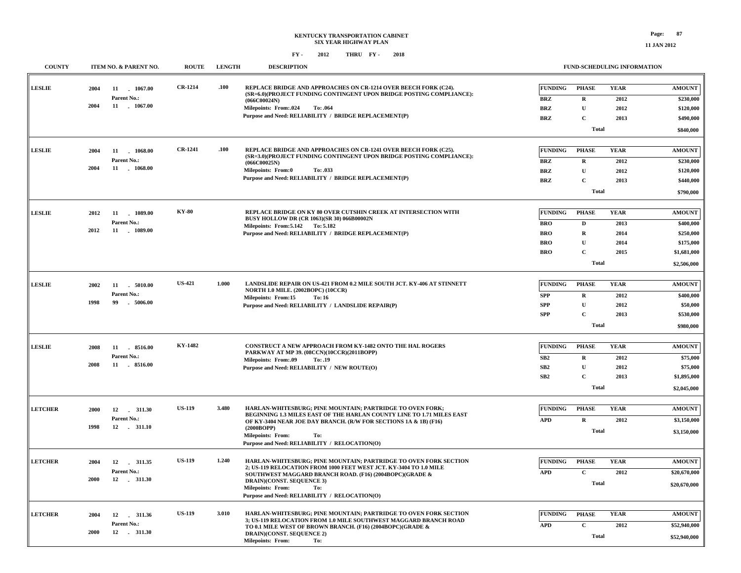### **KENTUCKY TRANSPORTATION CABINET SIX YEAR HIGHWAY PLAN FY - FY - 2012 2018 THRU**

### **FUND-SCHEDULING INFORMATION**

| <b>COUNTY</b>  |      | ITEM NO. & PARENT NO.           | <b>ROUTE</b>   | <b>LENGTH</b> | <b>DESCRIPTION</b>                                                                                                                      |                | FUND-SCHEDULING INFORMATION |             |                              |
|----------------|------|---------------------------------|----------------|---------------|-----------------------------------------------------------------------------------------------------------------------------------------|----------------|-----------------------------|-------------|------------------------------|
| <b>LESLIE</b>  | 2004 | 11 1067.00<br>Parent No.:       | <b>CR-1214</b> | .100          | REPLACE BRIDGE AND APPROACHES ON CR-1214 OVER BEECH FORK (C24).<br>(SR=6.0)(PROJECT FUNDING CONTINGENT UPON BRIDGE POSTING COMPLIANCE): | <b>FUNDING</b> | <b>PHASE</b>                | <b>YEAR</b> | <b>AMOUNT</b>                |
|                | 2004 | 11 . 1067.00                    |                |               | (066C00024N)                                                                                                                            | <b>BRZ</b>     | $\mathbf R$                 | 2012        | \$230,000                    |
|                |      |                                 |                |               | <b>Milepoints: From:.024</b><br>To: .064<br>Purpose and Need: RELIABILITY / BRIDGE REPLACEMENT(P)                                       | BRZ            | ${\bf U}$                   | 2012        | \$120,000                    |
|                |      |                                 |                |               |                                                                                                                                         | <b>BRZ</b>     | C                           | 2013        | \$490,000                    |
|                |      |                                 |                |               |                                                                                                                                         |                | <b>Total</b>                |             | \$840,000                    |
| <b>LESLIE</b>  | 2004 | 11<br>1068.00                   | <b>CR-1241</b> | .100          | REPLACE BRIDGE AND APPROACHES ON CR-1241 OVER BEECH FORK (C25).                                                                         | <b>FUNDING</b> | <b>PHASE</b>                | <b>YEAR</b> | <b>AMOUNT</b>                |
|                |      | Parent No.:                     |                |               | (SR=3.0)(PROJECT FUNDING CONTINGENT UPON BRIDGE POSTING COMPLIANCE):<br>(066C00025N)                                                    | <b>BRZ</b>     | $\mathbf R$                 | 2012        | \$230,000                    |
|                | 2004 | 11 1068.00                      |                |               | <b>Milepoints: From:0</b><br>To: .033                                                                                                   | <b>BRZ</b>     | $\mathbf{U}$                | 2012        | \$120,000                    |
|                |      |                                 |                |               | Purpose and Need: RELIABILITY / BRIDGE REPLACEMENT(P)                                                                                   | <b>BRZ</b>     | $\mathbf C$                 | 2013        | \$440,000                    |
|                |      |                                 |                |               |                                                                                                                                         |                | <b>Total</b>                |             | \$790,000                    |
|                |      |                                 |                |               |                                                                                                                                         |                |                             |             |                              |
| <b>LESLIE</b>  | 2012 | 11 1089.00                      | <b>KY-80</b>   |               | REPLACE BRIDGE ON KY 80 OVER CUTSHIN CREEK AT INTERSECTION WITH<br>BUSY HOLLOW DR (CR 1063)(SR 30) 066B00002N                           | <b>FUNDING</b> | <b>PHASE</b>                | <b>YEAR</b> | <b>AMOUNT</b>                |
|                |      | Parent No.:                     |                |               | Milepoints: From: 5.142 To: 5.182                                                                                                       | <b>BRO</b>     | $\mathbf D$                 | 2013        | \$400,000                    |
|                | 2012 | 11 . 1089.00                    |                |               | Purpose and Need: RELIABILITY / BRIDGE REPLACEMENT(P)                                                                                   | <b>BRO</b>     | $\mathbf R$                 | 2014        | \$250,000                    |
|                |      |                                 |                |               |                                                                                                                                         | <b>BRO</b>     | ${\bf U}$                   | 2014        | \$175,000                    |
|                |      |                                 |                |               |                                                                                                                                         | <b>BRO</b>     | C                           | 2015        | \$1,681,000                  |
|                |      |                                 |                |               |                                                                                                                                         |                | <b>Total</b>                |             | \$2,506,000                  |
|                |      |                                 |                |               |                                                                                                                                         |                |                             |             |                              |
| <b>LESLIE</b>  | 2002 | 11 5010.00                      | <b>US-421</b>  | 1.000         | LANDSLIDE REPAIR ON US-421 FROM 0.2 MILE SOUTH JCT. KY-406 AT STINNETT<br>NORTH 1.0 MILE. (2002BOPC) (10CCR)                            | <b>FUNDING</b> | <b>PHASE</b>                | <b>YEAR</b> | <b>AMOUNT</b>                |
|                | 1998 | Parent No.:<br>$-5006.00$<br>99 |                |               | Milepoints: From:15<br>To: 16                                                                                                           | <b>SPP</b>     | $\mathbf R$                 | 2012        | \$400,000                    |
|                |      |                                 |                |               | Purpose and Need: RELIABILITY / LANDSLIDE REPAIR(P)                                                                                     | <b>SPP</b>     | U                           | 2012        | \$50,000                     |
|                |      |                                 |                |               |                                                                                                                                         | <b>SPP</b>     | $\mathbf{C}$                | 2013        | \$530,000                    |
|                |      |                                 |                |               |                                                                                                                                         |                | <b>Total</b>                |             | \$980,000                    |
| <b>LESLIE</b>  | 2008 | 11 8516.00                      | KY-1482        |               | CONSTRUCT A NEW APPROACH FROM KY-1482 ONTO THE HAL ROGERS                                                                               | <b>FUNDING</b> | <b>PHASE</b>                | <b>YEAR</b> | <b>AMOUNT</b>                |
|                |      | Parent No.:                     |                |               | PARKWAY AT MP 39. (08CCN)(10CCR)(2011BOPP)                                                                                              | SB2            | $\mathbf R$                 | 2012        | \$75,000                     |
|                | 2008 | 11 8516.00                      |                |               | <b>Milepoints: From:.09</b><br>To: .19<br>Purpose and Need: RELIABILITY / NEW ROUTE(O)                                                  | ${\bf SB2}$    | $\mathbf U$                 | 2012        | \$75,000                     |
|                |      |                                 |                |               |                                                                                                                                         | SB2            | $\mathbf{C}$                | 2013        | \$1,895,000                  |
|                |      |                                 |                |               |                                                                                                                                         |                | <b>Total</b>                |             | \$2,045,000                  |
|                |      |                                 |                |               |                                                                                                                                         |                |                             |             |                              |
| <b>LETCHER</b> | 2000 |                                 | <b>US-119</b>  | 3.480         | HARLAN-WHITESBURG; PINE MOUNTAIN; PARTRIDGE TO OVEN FORK;<br>BEGINNING 1.3 MILES EAST OF THE HARLAN COUNTY LINE TO 1.71 MILES EAST      | <b>FUNDING</b> | <b>PHASE</b>                | <b>YEAR</b> | <b>AMOUNT</b>                |
|                | 1998 | Parent No.:<br>12 . 311.10      |                |               | OF KY-3404 NEAR JOE DAY BRANCH. (R/W FOR SECTIONS 1A & 1B) (F16)<br>(2000BOPP)                                                          | <b>APD</b>     | $\mathbf R$                 | 2012        | \$3,150,000                  |
|                |      |                                 |                |               | <b>Milepoints: From:</b><br>To:<br>Purpose and Need: RELIABILITY / RELOCATION(O)                                                        |                | <b>Total</b>                |             | \$3,150,000                  |
|                |      |                                 |                |               |                                                                                                                                         |                |                             |             |                              |
| <b>LETCHER</b> | 2004 |                                 | <b>US-119</b>  | 1.240         | HARLAN-WHITESBURG; PINE MOUNTAIN; PARTRIDGE TO OVEN FORK SECTION<br>2; US-119 RELOCATION FROM 1000 FEET WEST JCT. KY-3404 TO 1.0 MILE   | <b>FUNDING</b> | <b>PHASE</b>                | <b>YEAR</b> | <b>AMOUNT</b>                |
|                |      | Parent No.:                     |                |               | SOUTHWEST MAGGARD BRANCH ROAD. (F16) (2004BOPC)(GRADE &                                                                                 | <b>APD</b>     | $\mathbf C$                 | 2012        | \$20,670,000                 |
|                | 2000 |                                 |                |               | DRAIN)(CONST. SEQUENCE 3)<br>Milepoints: From:<br>To:                                                                                   |                | <b>Total</b>                |             | \$20,670,000                 |
|                |      |                                 |                |               | Purpose and Need: RELIABILITY / RELOCATION(O)                                                                                           |                |                             |             |                              |
| <b>LETCHER</b> | 2004 |                                 | <b>US-119</b>  | 3.010         | HARLAN-WHITESBURG; PINE MOUNTAIN; PARTRIDGE TO OVEN FORK SECTION                                                                        | <b>FUNDING</b> | <b>PHASE</b>                | <b>YEAR</b> | <b>AMOUNT</b>                |
|                |      | Parent No.:                     |                |               | 3; US-119 RELOCATION FROM 1.0 MILE SOUTHWEST MAGGARD BRANCH ROAD                                                                        |                |                             |             |                              |
|                | 2000 |                                 |                |               | TO 0.1 MILE WEST OF BROWN BRANCH. (F16) (2004BOPC)(GRADE &<br>DRAIN)(CONST. SEQUENCE 2)<br>Milepoints: From:<br>To:                     | <b>APD</b>     | $\mathbf C$<br><b>Total</b> | 2012        | \$52,940,000<br>\$52,940,000 |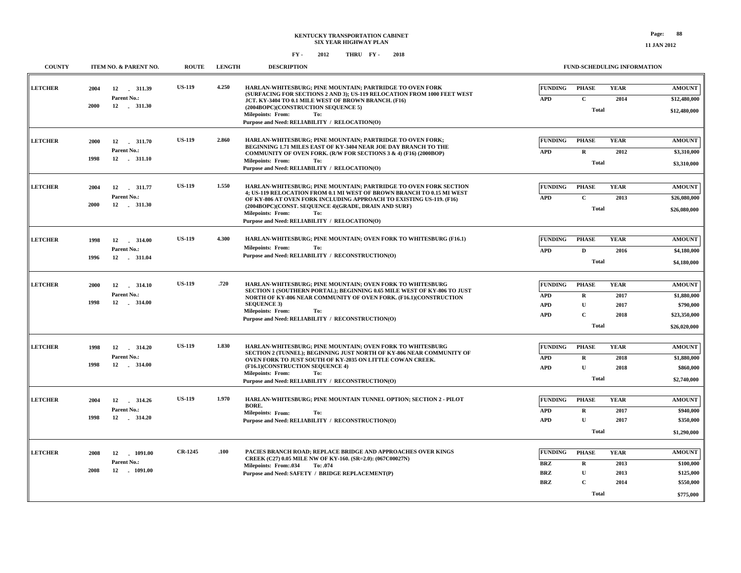| <b>COUNTY</b>  |      | ITEM NO. & PARENT NO.          | <b>ROUTE</b>   | <b>LENGTH</b> | <b>DESCRIPTION</b>                                                                                                                           |                          | FUND-SCHEDULING INFORMATION |              |                          |
|----------------|------|--------------------------------|----------------|---------------|----------------------------------------------------------------------------------------------------------------------------------------------|--------------------------|-----------------------------|--------------|--------------------------|
| <b>LETCHER</b> | 2004 | 12<br>311.39                   | <b>US-119</b>  | 4.250         | HARLAN-WHITESBURG; PINE MOUNTAIN; PARTRIDGE TO OVEN FORK                                                                                     | <b>FUNDING</b>           | PHASE                       | <b>YEAR</b>  | <b>AMOUNT</b>            |
|                |      | Parent No.:                    |                |               | (SURFACING FOR SECTIONS 2 AND 3); US-119 RELOCATION FROM 1000 FEET WEST<br>JCT. KY-3404 TO 0.1 MILE WEST OF BROWN BRANCH. (F16)              | <b>APD</b>               | $\mathbf{C}$                | 2014         | \$12,480,000             |
|                | 2000 | 12 . 311.30                    |                |               | (2004BOPC)(CONSTRUCTION SEQUENCE 5)                                                                                                          |                          | <b>Total</b>                |              | \$12,480,000             |
|                |      |                                |                |               | Milepoints: From:<br>To:<br>Purpose and Need: RELIABILITY / RELOCATION(O)                                                                    |                          |                             |              |                          |
|                |      |                                |                |               |                                                                                                                                              |                          |                             |              |                          |
| <b>LETCHER</b> | 2000 | 12<br>311.70                   | <b>US-119</b>  | 2.860         | HARLAN-WHITESBURG; PINE MOUNTAIN; PARTRIDGE TO OVEN FORK;<br>BEGINNING 1.71 MILES EAST OF KY-3404 NEAR JOE DAY BRANCH TO THE                 | <b>FUNDING</b>           | <b>PHASE</b>                | <b>YEAR</b>  | <b>AMOUNT</b>            |
|                |      | Parent No.:                    |                |               | COMMUNITY OF OVEN FORK. (R/W FOR SECTIONS 3 & 4) (F16) (2000BOP)                                                                             | <b>APD</b>               | $\mathbf R$                 | 2012         | \$3,310,000              |
|                | 1998 | 12 . 311.10                    |                |               | Milepoints: From:<br>To:                                                                                                                     |                          | Total                       |              | \$3,310,000              |
|                |      |                                |                |               | Purpose and Need: RELIABILITY / RELOCATION(O)                                                                                                |                          |                             |              |                          |
| <b>LETCHER</b> | 2004 | 12<br>311.77                   | <b>US-119</b>  | 1.550         | HARLAN-WHITESBURG: PINE MOUNTAIN: PARTRIDGE TO OVEN FORK SECTION                                                                             | <b>FUNDING</b>           | <b>PHASE</b>                | <b>YEAR</b>  | <b>AMOUNT</b>            |
|                |      | Parent No.:                    |                |               | 4; US-119 RELOCATION FROM 0.1 MI WEST OF BROWN BRANCH TO 0.15 MI WEST<br>OF KY-806 AT OVEN FORK INCLUDING APPROACH TO EXISTING US-119. (F16) | <b>APD</b>               | $\mathbf{C}$                | 2013         | \$26,080,000             |
|                | 2000 | 12<br>311.30                   |                |               | (2004BOPC)(CONST. SEQUENCE 4)(GRADE, DRAIN AND SURF)<br>Milepoints: From:<br>To:                                                             |                          | <b>Total</b>                |              | \$26,080,000             |
|                |      |                                |                |               | Purpose and Need: RELIABILITY / RELOCATION(O)                                                                                                |                          |                             |              |                          |
|                |      |                                |                |               |                                                                                                                                              |                          |                             |              |                          |
| <b>LETCHER</b> | 1998 | 12<br>314.00                   | <b>US-119</b>  | 4.300         | HARLAN-WHITESBURG; PINE MOUNTAIN; OVEN FORK TO WHITESBURG (F16.1)                                                                            | <b>FUNDING</b>           | PHASE                       | <b>YEAR</b>  | <b>AMOUNT</b>            |
|                | 1996 | Parent No.:<br>12 . 311.04     |                |               | <b>Milepoints: From:</b><br>To:<br>Purpose and Need: RELIABILITY / RECONSTRUCTION(O)                                                         | <b>APD</b>               | D                           | 2016         | \$4,180,000              |
|                |      |                                |                |               |                                                                                                                                              |                          | <b>Total</b>                |              | \$4,180,000              |
|                |      |                                |                |               |                                                                                                                                              |                          |                             |              |                          |
| <b>LETCHER</b> | 2000 | 12<br>314.10                   | <b>US-119</b>  | .720          | HARLAN-WHITESBURG: PINE MOUNTAIN: OVEN FORK TO WHITESBURG<br>SECTION 1 (SOUTHERN PORTAL); BEGINNING 0.65 MILE WEST OF KY-806 TO JUST         | <b>FUNDING</b>           | <b>PHASE</b>                | <b>YEAR</b>  | <b>AMOUNT</b>            |
|                |      | Parent No.:                    |                |               | NORTH OF KY-806 NEAR COMMUNITY OF OVEN FORK. (F16.1) (CONSTRUCTION                                                                           | <b>APD</b>               | $\bf R$                     | 2017         | \$1,880,000              |
|                | 1998 | 12<br>314.00                   |                |               | <b>SEQUENCE 3)</b><br><b>Milepoints: From:</b><br>To:                                                                                        | <b>APD</b>               | $\mathbf U$                 | 2017         | \$790,000                |
|                |      |                                |                |               | Purpose and Need: RELIABILITY / RECONSTRUCTION(O)                                                                                            | <b>APD</b>               | $\mathbf{C}$                | 2018         | \$23,350,000             |
|                |      |                                |                |               |                                                                                                                                              |                          | <b>Total</b>                |              | \$26,020,000             |
|                |      |                                | <b>US-119</b>  | 1.830         |                                                                                                                                              |                          |                             |              |                          |
| <b>LETCHER</b> | 1998 | 12<br>$-314.20$<br>Parent No.: |                |               | HARLAN-WHITESBURG; PINE MOUNTAIN; OVEN FORK TO WHITESBURG<br>SECTION 2 (TUNNEL); BEGINNING JUST NORTH OF KY-806 NEAR COMMUNITY OF            | <b>FUNDING</b>           | <b>PHASE</b>                | <b>YEAR</b>  | <b>AMOUNT</b>            |
|                | 1998 | 12 . 314.00                    |                |               | OVEN FORK TO JUST SOUTH OF KY-2035 ON LITTLE COWAN CREEK.<br>(F16.1)(CONSTRUCTION SEQUENCE 4)                                                | <b>APD</b><br><b>APD</b> | $\mathbf R$<br>$\mathbf{U}$ | 2018<br>2018 | \$1,880,000<br>\$860,000 |
|                |      |                                |                |               | <b>Milepoints: From:</b><br>To:                                                                                                              |                          | <b>Total</b>                |              |                          |
|                |      |                                |                |               | Purpose and Need: RELIABILITY / RECONSTRUCTION(O)                                                                                            |                          |                             |              | \$2,740,000              |
| <b>LETCHER</b> | 2004 | 12<br>314.26                   | <b>US-119</b>  | 1.970         | HARLAN-WHITESBURG; PINE MOUNTAIN TUNNEL OPTION; SECTION 2 - PILOT                                                                            | <b>FUNDING</b>           | <b>PHASE</b>                | <b>YEAR</b>  | <b>AMOUNT</b>            |
|                |      | Parent No.:                    |                |               | BORE.                                                                                                                                        | <b>APD</b>               | $\mathbf R$                 | 2017         | \$940,000                |
|                | 1998 |                                |                |               | Milepoints: From:<br>To:<br>Purpose and Need: RELIABILITY / RECONSTRUCTION(O)                                                                | <b>APD</b>               | $\mathbf U$                 | 2017         | \$350,000                |
|                |      |                                |                |               |                                                                                                                                              |                          | <b>Total</b>                |              | \$1,290,000              |
|                |      |                                |                |               |                                                                                                                                              |                          |                             |              |                          |
| <b>LETCHER</b> | 2008 | 12<br>$-1091.00$               | <b>CR-1245</b> | .100          | PACIES BRANCH ROAD: REPLACE BRIDGE AND APPROACHES OVER KINGS                                                                                 | <b>FUNDING</b>           | <b>PHASE</b>                | <b>YEAR</b>  | <b>AMOUNT</b>            |
|                |      | Parent No.:                    |                |               | CREEK (C27) 0.05 MILE NW OF KY-160. (SR=2.0): (067C00027N)<br>Milepoints: From:.034<br>To: .074                                              | <b>BRZ</b>               | $\bf{R}$                    | 2013         | \$100,000                |
|                | 2008 | 12<br>$-1091.00$               |                |               | Purpose and Need: SAFETY / BRIDGE REPLACEMENT(P)                                                                                             | <b>BRZ</b>               | U                           | 2013         | \$125,000                |
|                |      |                                |                |               |                                                                                                                                              | <b>BRZ</b>               | $\mathbf C$                 | 2014         | \$550,000                |
|                |      |                                |                |               |                                                                                                                                              |                          | <b>Total</b>                |              | \$775,000                |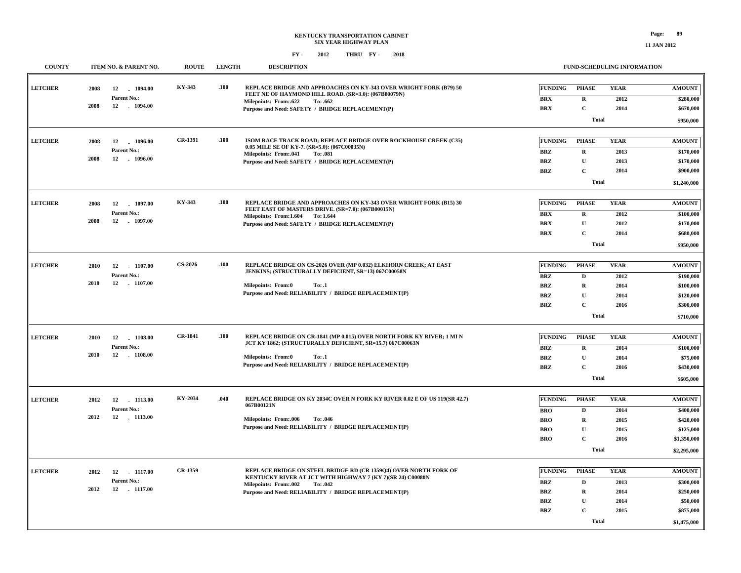| <b>COUNTY</b>  |      | ITEM NO. & PARENT NO.       | <b>ROUTE</b>   | <b>LENGTH</b> | <b>DESCRIPTION</b>                                                                                                        |                                  | <b>FUND-SCHEDULING INFORMATION</b> |              |                          |
|----------------|------|-----------------------------|----------------|---------------|---------------------------------------------------------------------------------------------------------------------------|----------------------------------|------------------------------------|--------------|--------------------------|
| <b>LETCHER</b> | 2008 | 12<br>1094.00               | KY-343         | .100          | REPLACE BRIDGE AND APPROACHES ON KY-343 OVER WRIGHT FORK (B79) 50<br>FEET NE OF HAYMOND HILL ROAD. (SR=3.0): (067B00079N) | <b>FUNDING</b>                   | <b>PHASE</b>                       | <b>YEAR</b>  | <b>AMOUNT</b>            |
|                |      | Parent No.:                 |                |               | <b>Milepoints: From:.622</b><br>To: .662                                                                                  | $\mathbf{B}\mathbf{R}\mathbf{X}$ | $\mathbf R$                        | 2012         | \$280,000                |
|                | 2008 | 12 . 1094.00                |                |               | Purpose and Need: SAFETY / BRIDGE REPLACEMENT(P)                                                                          | <b>BRX</b>                       | $\mathbf C$                        | 2014         | \$670,000                |
|                |      |                             |                |               |                                                                                                                           |                                  | Total                              |              | \$950,000                |
|                |      |                             |                |               |                                                                                                                           |                                  |                                    |              |                          |
| <b>LETCHER</b> | 2008 | 12<br>1096.00               | <b>CR-1391</b> | .100          | ISOM RACE TRACK ROAD; REPLACE BRIDGE OVER ROCKHOUSE CREEK (C35)<br>0.05 MILE SE OF KY-7. (SR=5.0): (067C00035N)           | <b>FUNDING</b>                   | <b>PHASE</b>                       | <b>YEAR</b>  | <b>AMOUNT</b>            |
|                |      | Parent No.:                 |                |               | Milepoints: From:.041<br>To: .081                                                                                         | <b>BRZ</b>                       | $\mathbf R$                        | 2013         | \$170,000                |
|                | 2008 | 12 1096.00                  |                |               | Purpose and Need: SAFETY / BRIDGE REPLACEMENT(P)                                                                          | <b>BRZ</b>                       | U                                  | 2013         | \$170,000                |
|                |      |                             |                |               |                                                                                                                           | <b>BRZ</b>                       | $\mathbf C$                        | 2014         | \$900,000                |
|                |      |                             |                |               |                                                                                                                           |                                  | Total                              |              | \$1,240,000              |
|                |      |                             |                |               |                                                                                                                           |                                  |                                    |              |                          |
| <b>LETCHER</b> | 2008 | 12<br>$-1097.00$            | KY-343         | .100          | REPLACE BRIDGE AND APPROACHES ON KY-343 OVER WRIGHT FORK (B15) 30<br>FEET EAST OF MASTERS DRIVE. (SR=7.0): (067B00015N)   | <b>FUNDING</b>                   | <b>PHASE</b>                       | <b>YEAR</b>  | <b>AMOUNT</b>            |
|                | 2008 | Parent No.:<br>12 . 1097.00 |                |               | Milepoints: From: 1.604 To: 1.644                                                                                         | <b>BRX</b>                       | $\mathbf R$                        | 2012         | \$100,000                |
|                |      |                             |                |               | Purpose and Need: SAFETY / BRIDGE REPLACEMENT(P)                                                                          | <b>BRX</b>                       | $\mathbf{U}$                       | 2012         | \$170,000                |
|                |      |                             |                |               |                                                                                                                           | <b>BRX</b>                       | $\mathbf C$                        | 2014         | \$680,000                |
|                |      |                             |                |               |                                                                                                                           |                                  | Total                              |              | \$950,000                |
| <b>LETCHER</b> | 2010 | 12<br>$-1107.00$            | <b>CS-2026</b> | .100          | REPLACE BRIDGE ON CS-2026 OVER (MP 0.032) ELKHORN CREEK; AT EAST                                                          | <b>FUNDING</b>                   | <b>PHASE</b>                       | <b>YEAR</b>  | <b>AMOUNT</b>            |
|                |      | Parent No.:                 |                |               | JENKINS; (STRUCTURALLY DEFICIENT, SR=13) 067C00058N                                                                       | <b>BRZ</b>                       | D                                  | 2012         | \$190,000                |
|                | 2010 | 12 1107.00                  |                |               | <b>Milepoints: From:0</b><br>To: .1                                                                                       | <b>BRZ</b>                       | R                                  | 2014         | \$100,000                |
|                |      |                             |                |               | Purpose and Need: RELIABILITY / BRIDGE REPLACEMENT(P)                                                                     | <b>BRZ</b>                       | $\mathbf U$                        | 2014         | \$120,000                |
|                |      |                             |                |               |                                                                                                                           | <b>BRZ</b>                       | $\mathbf{C}$                       | 2016         | \$300,000                |
|                |      |                             |                |               |                                                                                                                           |                                  | <b>Total</b>                       |              | \$710,000                |
|                |      |                             |                |               |                                                                                                                           |                                  |                                    |              |                          |
| <b>LETCHER</b> | 2010 | 12<br>$-1108.00$            | <b>CR-1841</b> | .100          | REPLACE BRIDGE ON CR-1841 (MP 0.015) OVER NORTH FORK KY RIVER; 1 MI N                                                     | <b>FUNDING</b>                   | <b>PHASE</b>                       | <b>YEAR</b>  | <b>AMOUNT</b>            |
|                |      | Parent No.:                 |                |               | JCT KY 1862; (STRUCTURALLY DEFICIENT, SR=15.7) 067C00063N                                                                 | <b>BRZ</b>                       | R                                  | 2014         | \$100,000                |
|                | 2010 | 12 - 1108.00                |                |               | Milepoints: From:0<br>To: .1                                                                                              | <b>BRZ</b>                       | $\mathbf U$                        | 2014         | \$75,000                 |
|                |      |                             |                |               | Purpose and Need: RELIABILITY / BRIDGE REPLACEMENT(P)                                                                     | <b>BRZ</b>                       | $\mathbf C$                        | 2016         | \$430,000                |
|                |      |                             |                |               |                                                                                                                           |                                  | Total                              |              | \$605,000                |
|                |      |                             |                |               |                                                                                                                           |                                  |                                    |              |                          |
| <b>LETCHER</b> | 2012 | 12<br>$-1113.00$            | KY-2034        | .040          | REPLACE BRIDGE ON KY 2034C OVER N FORK KY RIVER 0.02 E OF US 119(SR 42.7)<br>067B00121N                                   | <b>FUNDING</b>                   | <b>PHASE</b>                       | <b>YEAR</b>  | <b>AMOUNT</b>            |
|                | 2012 | Parent No.:<br>12 1113.00   |                |               |                                                                                                                           | <b>BRO</b>                       | $\mathbf D$                        | 2014         | \$400,000                |
|                |      |                             |                |               | <b>Milepoints: From:.006</b><br>To: .046<br>Purpose and Need: RELIABILITY / BRIDGE REPLACEMENT(P)                         | <b>BRO</b>                       | $\mathbf R$                        | 2015         | \$420,000                |
|                |      |                             |                |               |                                                                                                                           | <b>BRO</b><br><b>BRO</b>         | $\mathbf{U}$<br>$\mathbf C$        | 2015<br>2016 | \$125,000<br>\$1,350,000 |
|                |      |                             |                |               |                                                                                                                           |                                  | Total                              |              |                          |
|                |      |                             |                |               |                                                                                                                           |                                  |                                    |              | \$2,295,000              |
| <b>LETCHER</b> | 2012 | 12 1117.00                  | CR-1359        |               | REPLACE BRIDGE ON STEEL BRIDGE RD (CR 1359Q4) OVER NORTH FORK OF                                                          | FUNDING                          | <b>PHASE</b>                       | <b>YEAR</b>  | <b>AMOUNT</b>            |
|                |      | Parent No.:                 |                |               | KENTUCKY RIVER AT JCT WITH HIGHWAY 7 (KY 7) (SR 24) C00080N<br>Milepoints: From:.002<br>To: .042                          | <b>BRZ</b>                       | $\mathbf D$                        | 2013         | \$300,000                |
|                | 2012 | 12 1117.00                  |                |               | Purpose and Need: RELIABILITY / BRIDGE REPLACEMENT(P)                                                                     | <b>BRZ</b>                       | $\mathbf R$                        | 2014         | \$250,000                |
|                |      |                             |                |               |                                                                                                                           | <b>BRZ</b>                       | ${\bf U}$                          | 2014         | \$50,000                 |
|                |      |                             |                |               |                                                                                                                           | <b>BRZ</b>                       | $\mathbf C$                        | 2015         | \$875,000                |
|                |      |                             |                |               |                                                                                                                           |                                  | <b>Total</b>                       |              | \$1,475,000              |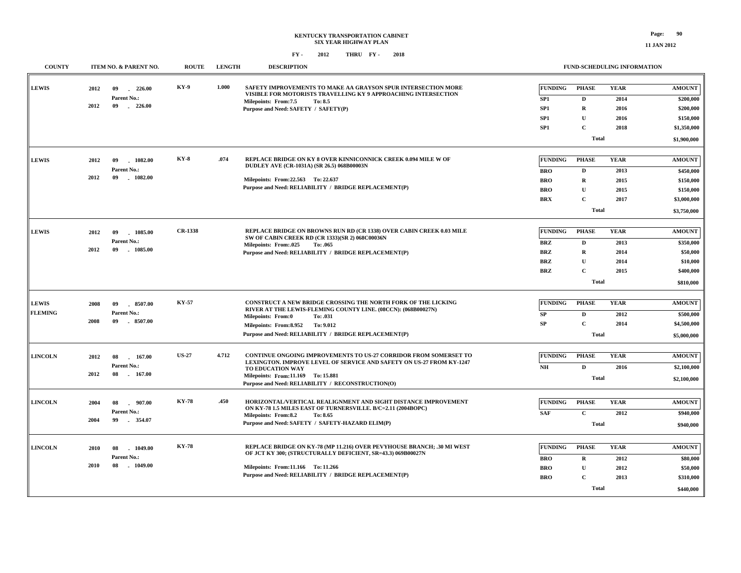**11 JAN 2012**

| <b>COUNTY</b>  |      | ITEM NO. & PARENT NO.          | <b>ROUTE</b>   | <b>LENGTH</b> | <b>DESCRIPTION</b>                                                                                                                                                 |                                   | <b>FUND-SCHEDULING INFORMATION</b> |                     |                            |
|----------------|------|--------------------------------|----------------|---------------|--------------------------------------------------------------------------------------------------------------------------------------------------------------------|-----------------------------------|------------------------------------|---------------------|----------------------------|
| <b>LEWIS</b>   | 2012 | $-226.00$<br>09<br>Parent No.: | KY-9           | 1.000         | SAFETY IMPROVEMENTS TO MAKE AA GRAYSON SPUR INTERSECTION MORE<br>VISIBLE FOR MOTORISTS TRAVELLING KY 9 APPROACHING INTERSECTION<br>Milepoints: From:7.5<br>To: 8.5 | <b>FUNDING</b><br>SP <sub>1</sub> | <b>PHASE</b><br>D                  | <b>YEAR</b><br>2014 | <b>AMOUNT</b><br>\$200,000 |
|                | 2012 | 09<br>$-226.00$                |                |               | Purpose and Need: SAFETY / SAFETY(P)                                                                                                                               | SP <sub>1</sub>                   | $\mathbf R$                        | 2016                | \$200,000                  |
|                |      |                                |                |               |                                                                                                                                                                    | SP <sub>1</sub>                   | $\mathbf{U}$                       | 2016                | \$150,000                  |
|                |      |                                |                |               |                                                                                                                                                                    | SP <sub>1</sub>                   | $\mathbf{C}$                       | 2018                | \$1,350,000                |
|                |      |                                |                |               |                                                                                                                                                                    |                                   | <b>Total</b>                       |                     | \$1,900,000                |
|                |      |                                |                |               |                                                                                                                                                                    |                                   |                                    |                     |                            |
| <b>LEWIS</b>   | 2012 | 09<br>1082.00                  | <b>KY-8</b>    | .074          | REPLACE BRIDGE ON KY 8 OVER KINNICONNICK CREEK 0.094 MILE W OF<br>DUDLEY AVE (CR-1031A) (SR 26.5) 068B00003N                                                       | <b>FUNDING</b>                    | <b>PHASE</b>                       | <b>YEAR</b>         | <b>AMOUNT</b>              |
|                | 2012 | Parent No.:<br>1082.00<br>09   |                |               |                                                                                                                                                                    | <b>BRO</b>                        | D                                  | 2013                | \$450,000                  |
|                |      |                                |                |               | Milepoints: From: 22.563 To: 22.637<br>Purpose and Need: RELIABILITY / BRIDGE REPLACEMENT(P)                                                                       | <b>BRO</b>                        | R                                  | 2015                | \$150,000                  |
|                |      |                                |                |               |                                                                                                                                                                    | <b>BRO</b>                        | $\mathbf{U}$                       | 2015                | \$150,000                  |
|                |      |                                |                |               |                                                                                                                                                                    | <b>BRX</b>                        | $\mathbf{C}$                       | 2017                | \$3,000,000                |
|                |      |                                |                |               |                                                                                                                                                                    |                                   | <b>Total</b>                       |                     | \$3,750,000                |
| <b>LEWIS</b>   | 2012 | 09<br>$-1085.00$               | <b>CR-1338</b> |               | REPLACE BRIDGE ON BROWNS RUN RD (CR 1338) OVER CABIN CREEK 0.03 MILE                                                                                               | <b>FUNDING</b>                    | <b>PHASE</b>                       | <b>YEAR</b>         | <b>AMOUNT</b>              |
|                |      | Parent No.:                    |                |               | SW OF CABIN CREEK RD (CR 1333)(SR 2) 068C00036N<br>Milepoints: From:.025<br>To: .065                                                                               | <b>BRZ</b>                        | D                                  | 2013                | \$350,000                  |
|                | 2012 | 09<br>$-1085.00$               |                |               | Purpose and Need: RELIABILITY / BRIDGE REPLACEMENT(P)                                                                                                              | <b>BRZ</b>                        | $\mathbf R$                        | 2014                | \$50,000                   |
|                |      |                                |                |               |                                                                                                                                                                    | <b>BRZ</b>                        | U                                  | 2014                | \$10,000                   |
|                |      |                                |                |               |                                                                                                                                                                    | <b>BRZ</b>                        | $\mathbf{C}$                       | 2015                | \$400,000                  |
|                |      |                                |                |               |                                                                                                                                                                    |                                   | <b>Total</b>                       |                     | \$810,000                  |
|                |      |                                |                |               |                                                                                                                                                                    |                                   |                                    |                     |                            |
| <b>LEWIS</b>   | 2008 | $-8507.00$<br>09               | <b>KY-57</b>   |               | CONSTRUCT A NEW BRIDGE CROSSING THE NORTH FORK OF THE LICKING<br>RIVER AT THE LEWIS-FLEMING COUNTY LINE. (08CCN): (068B00027N)                                     | <b>FUNDING</b>                    | <b>PHASE</b>                       | <b>YEAR</b>         | <b>AMOUNT</b>              |
| <b>FLEMING</b> |      | Parent No.:                    |                |               | <b>Milepoints: From:0</b><br>To: .031                                                                                                                              | SP                                | $\mathbf D$                        | 2012                | \$500,000                  |
|                | 2008 | 09<br>8507.00                  |                |               | Milepoints: From:8.952<br>To: 9.012                                                                                                                                | SP                                | C                                  | 2014                | \$4,500,000                |
|                |      |                                |                |               | Purpose and Need: RELIABILITY / BRIDGE REPLACEMENT(P)                                                                                                              |                                   | <b>Total</b>                       |                     | \$5,000,000                |
|                |      |                                |                |               |                                                                                                                                                                    |                                   |                                    |                     |                            |
| <b>LINCOLN</b> | 2012 | 08<br>167.00                   | <b>US-27</b>   | 4.712         | CONTINUE ONGOING IMPROVEMENTS TO US-27 CORRIDOR FROM SOMERSET TO<br>LEXINGTON. IMPROVE LEVEL OF SERVICE AND SAFETY ON US-27 FROM KY-1247                           | <b>FUNDING</b>                    | <b>PHASE</b>                       | <b>YEAR</b>         | <b>AMOUNT</b>              |
|                | 2012 | Parent No.:<br>08<br>$-167.00$ |                |               | TO EDUCATION WAY                                                                                                                                                   | $\mathbf{NH}{}$                   | $\mathbf D$                        | 2016                | \$2,100,000                |
|                |      |                                |                |               | Milepoints: From:11.169 To: 15.881<br>Purpose and Need: RELIABILITY / RECONSTRUCTION(O)                                                                            |                                   | <b>Total</b>                       |                     | \$2,100,000                |
|                |      |                                |                |               |                                                                                                                                                                    |                                   |                                    |                     |                            |
| <b>LINCOLN</b> | 2004 | 907.00<br>08                   | <b>KY-78</b>   | .450          | HORIZONTAL/VERTICAL REALIGNMENT AND SIGHT DISTANCE IMPROVEMENT                                                                                                     | <b>FUNDING</b>                    | <b>PHASE</b>                       | <b>YEAR</b>         | <b>AMOUNT</b>              |
|                |      | Parent No.:                    |                |               | ON KY-78 1.5 MILES EAST OF TURNERSVILLE. B/C=2.11 (2004BOPC)<br>Milepoints: From:8.2<br>To: 8.65                                                                   | <b>SAF</b>                        | $\mathbf{C}$                       | 2012                | \$940,000                  |
|                | 2004 | 99<br>354.07                   |                |               | Purpose and Need: SAFETY / SAFETY-HAZARD ELIM(P)                                                                                                                   |                                   | <b>Total</b>                       |                     | \$940,000                  |
|                |      |                                |                |               |                                                                                                                                                                    |                                   |                                    |                     |                            |
| <b>LINCOLN</b> | 2010 | 08<br>1049.00                  | <b>KY-78</b>   |               | REPLACE BRIDGE ON KY-78 (MP 11.216) OVER PEVYHOUSE BRANCH; .30 MI WEST<br>OF JCT KY 300; (STRUCTURALLY DEFICIENT, SR=43.3) 069B00027N                              | FUNDING                           | <b>PHASE</b>                       | <b>YEAR</b>         | <b>AMOUNT</b>              |
|                |      | Parent No.:                    |                |               |                                                                                                                                                                    | <b>BRO</b>                        | $\bf{R}$                           | 2012                | \$80,000                   |
|                | 2010 | $-1049.00$<br>08               |                |               | Milepoints: From:11.166 To: 11.266                                                                                                                                 | <b>BRO</b>                        | ${\bf U}$                          | 2012                | \$50,000                   |
|                |      |                                |                |               | Purpose and Need: RELIABILITY / BRIDGE REPLACEMENT(P)                                                                                                              | <b>BRO</b>                        | $\mathbf{C}$                       | 2013                | \$310,000                  |
|                |      |                                |                |               |                                                                                                                                                                    |                                   | <b>Total</b>                       |                     | \$440,000                  |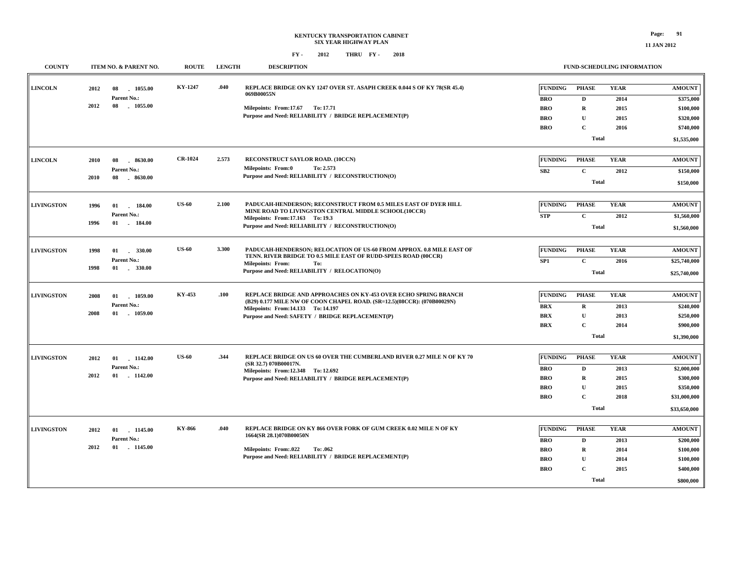### **KENTUCKY TRANSPORTATION CABINET SIX YEAR HIGHWAY PLAN FY - FY - 2012 2018 THRU**

#### **FUND-SCHEDULING INFORMATION**

| <b>COUNTY</b>     | ITEM NO. & PARENT NO.                                            | <b>ROUTE</b>   | <b>LENGTH</b> | <b>DESCRIPTION</b>                                                                                                                                                                                                                   |                                                                        | <b>FUND-SCHEDULING INFORMATION</b>                                                        |                                             |                                                                                        |
|-------------------|------------------------------------------------------------------|----------------|---------------|--------------------------------------------------------------------------------------------------------------------------------------------------------------------------------------------------------------------------------------|------------------------------------------------------------------------|-------------------------------------------------------------------------------------------|---------------------------------------------|----------------------------------------------------------------------------------------|
| <b>LINCOLN</b>    | 2012<br>1055.00<br>08<br>Parent No.:<br>2012<br>08<br>1055.00    | KY-1247        | .040          | REPLACE BRIDGE ON KY 1247 OVER ST. ASAPH CREEK 0.044 S OF KY 78(SR 45.4)<br>069B00055N<br>Milepoints: From:17.67 To: 17.71<br>Purpose and Need: RELIABILITY / BRIDGE REPLACEMENT(P)                                                  | <b>FUNDING</b><br><b>BRO</b><br><b>BRO</b><br><b>BRO</b><br><b>BRO</b> | <b>PHASE</b><br>$\mathbf{D}$<br>$\mathbf R$<br>$\mathbf U$<br>$\mathbf C$<br><b>Total</b> | <b>YEAR</b><br>2014<br>2015<br>2015<br>2016 | <b>AMOUNT</b><br>\$375,000<br>\$100,000<br>\$320,000<br>\$740,000<br>\$1,535,000       |
| <b>LINCOLN</b>    | 8630.00<br>2010<br>08<br>Parent No.:<br>2010<br>08<br>$-8630.00$ | <b>CR-1024</b> | 2.573         | RECONSTRUCT SAYLOR ROAD. (10CCN)<br>Milepoints: From:0<br>To: 2.573<br>Purpose and Need: RELIABILITY / RECONSTRUCTION(O)                                                                                                             | <b>FUNDING</b><br>SB2                                                  | <b>PHASE</b><br>$\mathbf{C}$<br><b>Total</b>                                              | <b>YEAR</b><br>2012                         | <b>AMOUNT</b><br>\$150,000<br>\$150,000                                                |
| <b>LIVINGSTON</b> | 1996<br>01<br>184.00<br>Parent No.:<br>1996<br>01<br>$-184.00$   | <b>US-60</b>   | 2.100         | PADUCAH-HENDERSON; RECONSTRUCT FROM 0.5 MILES EAST OF DYER HILL<br>MINE ROAD TO LIVINGSTON CENTRAL MIDDLE SCHOOL(10CCR)<br>Milepoints: From:17.163 To: 19.3<br>Purpose and Need: RELIABILITY / RECONSTRUCTION(O)                     | <b>FUNDING</b><br><b>STP</b>                                           | <b>PHASE</b><br>$\mathbf C$<br><b>Total</b>                                               | <b>YEAR</b><br>2012                         | <b>AMOUNT</b><br>\$1,560,000<br>\$1,560,000                                            |
| <b>LIVINGSTON</b> | 1998<br>01<br>330.00<br>Parent No.:<br>$-330.00$<br>1998<br>01   | <b>US-60</b>   | 3.300         | PADUCAH-HENDERSON; RELOCATION OF US-60 FROM APPROX. 0.8 MILE EAST OF<br>TENN. RIVER BRIDGE TO 0.5 MILE EAST OF RUDD-SPEES ROAD (00CCR)<br><b>Milepoints: From:</b><br>To:<br>Purpose and Need: RELIABILITY / RELOCATION(O)           | <b>FUNDING</b><br>SP1                                                  | <b>PHASE</b><br>$\mathbf{C}$<br><b>Total</b>                                              | <b>YEAR</b><br>2016                         | <b>AMOUNT</b><br>\$25,740,000<br>\$25,740,000                                          |
| <b>LIVINGSTON</b> | 2008<br>01<br>1059.00<br>Parent No.:<br>2008<br>01 1059.00       | KY-453         | .100          | REPLACE BRIDGE AND APPROACHES ON KY-453 OVER ECHO SPRING BRANCH<br>(B29) 0.177 MILE NW OF COON CHAPEL ROAD. (SR=12.5)(08CCR): (070B00029N)<br>Milepoints: From:14.133 To: 14.197<br>Purpose and Need: SAFETY / BRIDGE REPLACEMENT(P) | <b>FUNDING</b><br><b>BRX</b><br><b>BRX</b><br><b>BRX</b>               | <b>PHASE</b><br>$\mathbf R$<br>$\mathbf U$<br>$\mathbf{C}$<br><b>Total</b>                | <b>YEAR</b><br>2013<br>2013<br>2014         | <b>AMOUNT</b><br>\$240,000<br>\$250,000<br>\$900,000<br>\$1,390,000                    |
| <b>LIVINGSTON</b> | 2012<br>01<br>1142.00<br>Parent No.:<br>2012<br>$01$ . $1142.00$ | <b>US-60</b>   | .344          | REPLACE BRIDGE ON US 60 OVER THE CUMBERLAND RIVER 0.27 MILE N OF KY 70<br>(SR 32.7) 070B00017N.<br>Milepoints: From:12.348 To: 12.692<br>Purpose and Need: RELIABILITY / BRIDGE REPLACEMENT(P)                                       | <b>FUNDING</b><br><b>BRO</b><br><b>BRO</b><br><b>BRO</b><br><b>BRO</b> | <b>PHASE</b><br>D<br>$\mathbf R$<br>U<br>$\mathbf{C}$<br><b>Total</b>                     | <b>YEAR</b><br>2013<br>2015<br>2015<br>2018 | <b>AMOUNT</b><br>\$2,000,000<br>\$300,000<br>\$350,000<br>\$31,000,000<br>\$33,650,000 |
| <b>LIVINGSTON</b> | 2012<br>01 1145.00<br>Parent No.:<br>2012<br>01 1145.00          | KY-866         | .040          | REPLACE BRIDGE ON KY 866 OVER FORK OF GUM CREEK 0.02 MILE N OF KY<br>1664(SR 28.1)070B00050N<br>Milepoints: From:.022<br>To: .062<br>Purpose and Need: RELIABILITY / BRIDGE REPLACEMENT(P)                                           | <b>FUNDING</b><br><b>BRO</b><br><b>BRO</b><br><b>BRO</b><br><b>BRO</b> | <b>PHASE</b><br>D<br>R<br>$\mathbf{U}$<br>$\mathbf C$<br><b>Total</b>                     | <b>YEAR</b><br>2013<br>2014<br>2014<br>2015 | <b>AMOUNT</b><br>\$200,000<br>\$100,000<br>\$100,000<br>\$400,000<br>\$800,000         |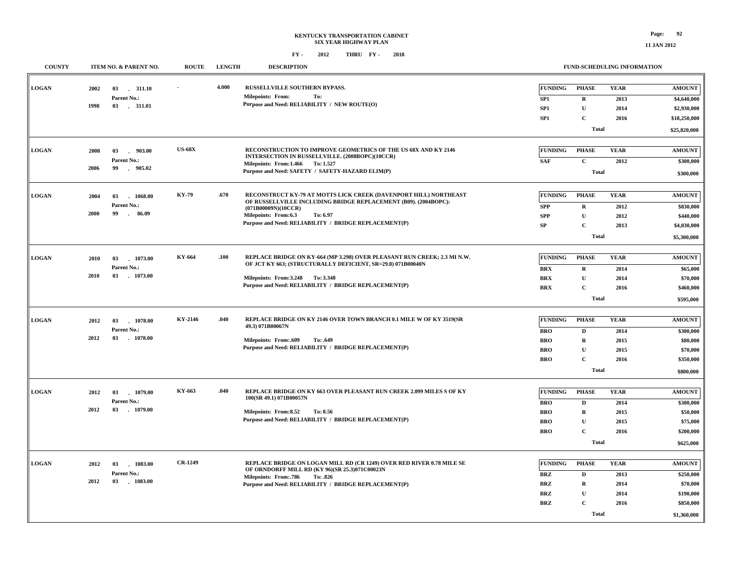### **KENTUCKY TRANSPORTATION CABINET SIX YEAR HIGHWAY PLAN FY - FY - 2012 2018 THRU**

| <b>COUNTY</b> |      | ITEM NO. & PARENT NO.          | <b>ROUTE</b>   | <b>LENGTH</b> | <b>DESCRIPTION</b>                                                                                                                      |                 | FUND-SCHEDULING INFORMATION |             |               |
|---------------|------|--------------------------------|----------------|---------------|-----------------------------------------------------------------------------------------------------------------------------------------|-----------------|-----------------------------|-------------|---------------|
|               |      |                                |                |               |                                                                                                                                         |                 |                             |             |               |
| <b>LOGAN</b>  | 2002 | 03 . 311.10                    |                | 4.000         | RUSSELLVILLE SOUTHERN BYPASS.<br>Milepoints: From:<br>To:                                                                               | <b>FUNDING</b>  | <b>PHASE</b>                | <b>YEAR</b> | <b>AMOUNT</b> |
|               | 1998 | Parent No.:<br>03 - 311.01     |                |               | Purpose and Need: RELIABILITY / NEW ROUTE(O)                                                                                            | SP <sub>1</sub> | $\bf{R}$                    | 2013        | \$4,640,000   |
|               |      |                                |                |               |                                                                                                                                         | SP1             | ${\bf U}$                   | 2014        | \$2,930,000   |
|               |      |                                |                |               |                                                                                                                                         | SP <sub>1</sub> | $\mathbf{C}$                | 2016        | \$18,250,000  |
|               |      |                                |                |               |                                                                                                                                         |                 | <b>Total</b>                |             | \$25,820,000  |
| <b>LOGAN</b>  |      |                                | $US-68X$       |               | RECONSTRUCTION TO IMPROVE GEOMETRICS OF THE US 68X AND KY 2146                                                                          | <b>FUNDING</b>  | <b>PHASE</b>                | <b>YEAR</b> | <b>AMOUNT</b> |
|               | 2008 | 03<br>$-903.00$<br>Parent No.: |                |               | INTERSECTION IN RUSSELLVILLE. (2008BOPC)(10CCR)                                                                                         | <b>SAF</b>      | $\mathbf{C}$                | 2012        | \$300,000     |
|               | 2006 | 99<br>905.02                   |                |               | Milepoints: From: 1.466 To: 1.527<br>Purpose and Need: SAFETY / SAFETY-HAZARD ELIM(P)                                                   |                 |                             |             |               |
|               |      |                                |                |               |                                                                                                                                         |                 | <b>Total</b>                |             | \$300,000     |
| <b>LOGAN</b>  | 2004 | 1068.00<br>03                  | <b>KY-79</b>   | .670          | RECONSTRUCT KY-79 AT MOTTS LICK CREEK (DAVENPORT HILL) NORTHEAST                                                                        | <b>FUNDING</b>  | <b>PHASE</b>                | <b>YEAR</b> | <b>AMOUNT</b> |
|               |      | Parent No.:                    |                |               | OF RUSSELLVILLE INCLUDING BRIDGE REPLACEMENT (B09). (2004BOPC):                                                                         | <b>SPP</b>      | $\mathbf{R}$                | 2012        | \$830,000     |
|               | 2000 | 99<br>$\sim$<br>86.09          |                |               | (071B00009N)(10CCR)<br>Milepoints: From:6.3<br>To: 6.97                                                                                 | <b>SPP</b>      | $\mathbf{U}$                | 2012        | \$440,000     |
|               |      |                                |                |               | Purpose and Need: RELIABILITY / BRIDGE REPLACEMENT(P)                                                                                   | <b>SP</b>       | $\mathbf{C}$                | 2013        | \$4,030,000   |
|               |      |                                |                |               |                                                                                                                                         |                 | <b>Total</b>                |             | \$5,300,000   |
|               |      |                                |                |               |                                                                                                                                         |                 |                             |             |               |
| <b>LOGAN</b>  | 2010 | 1073.00<br>03                  | KY-664         | .100          | REPLACE BRIDGE ON KY-664 (MP 3.298) OVER PLEASANT RUN CREEK; 2.3 MI N.W.<br>OF JCT KY 663; (STRUCTURALLY DEFICIENT, SR=29.8) 071B00040N | <b>FUNDING</b>  | <b>PHASE</b>                | <b>YEAR</b> | <b>AMOUNT</b> |
|               |      | Parent No.:                    |                |               |                                                                                                                                         | <b>BRX</b>      | $\mathbf R$                 | 2014        | \$65,000      |
|               | 2010 | 03<br>$-1073.00$               |                |               | Milepoints: From: 3.248 To: 3.348                                                                                                       | <b>BRX</b>      | ${\bf U}$                   | 2014        | \$70,000      |
|               |      |                                |                |               | Purpose and Need: RELIABILITY / BRIDGE REPLACEMENT(P)                                                                                   | <b>BRX</b>      | C                           | 2016        | \$460,000     |
|               |      |                                |                |               |                                                                                                                                         |                 | <b>Total</b>                |             | \$595,000     |
|               |      |                                |                |               |                                                                                                                                         |                 |                             |             |               |
| <b>LOGAN</b>  | 2012 | 03<br>1078.00                  | KY-2146        | .040          | REPLACE BRIDGE ON KY 2146 OVER TOWN BRANCH 0.1 MILE W OF KY 3519(SR<br>49.3) 071B00067N                                                 | <b>FUNDING</b>  | <b>PHASE</b>                | <b>YEAR</b> | <b>AMOUNT</b> |
|               |      | Parent No.:                    |                |               |                                                                                                                                         | <b>BRO</b>      | D                           | 2014        | \$300,000     |
|               | 2012 | 03 1078.00                     |                |               | <b>Milepoints: From:.609</b><br>To: .649                                                                                                | <b>BRO</b>      | $\mathbf R$                 | 2015        | \$80,000      |
|               |      |                                |                |               | Purpose and Need: RELIABILITY / BRIDGE REPLACEMENT(P)                                                                                   | BRO             | U                           | 2015        | \$70,000      |
|               |      |                                |                |               |                                                                                                                                         | <b>BRO</b>      | $\mathbf{C}$                | 2016        | \$350,000     |
|               |      |                                |                |               |                                                                                                                                         |                 | <b>Total</b>                |             | \$800,000     |
| <b>LOGAN</b>  | 2012 | 03<br>1079.00                  | KY-663         | .040          | REPLACE BRIDGE ON KY 663 OVER PLEASANT RUN CREEK 2.099 MILES S OF KY                                                                    | <b>FUNDING</b>  | <b>PHASE</b>                | <b>YEAR</b> | <b>AMOUNT</b> |
|               |      | <b>Parent No.:</b>             |                |               | 100(SR 49.1) 071B00057N                                                                                                                 | <b>BRO</b>      | D                           | 2014        | \$300,000     |
|               | 2012 | 03<br>$-1079.00$               |                |               | Milepoints: From:8.52<br>To: 8.56                                                                                                       | <b>BRO</b>      | $\mathbf R$                 | 2015        | \$50,000      |
|               |      |                                |                |               | Purpose and Need: RELIABILITY / BRIDGE REPLACEMENT(P)                                                                                   | <b>BRO</b>      | $\mathbf{U}$                | 2015        | \$75,000      |
|               |      |                                |                |               |                                                                                                                                         | <b>BRO</b>      | $\mathbf{C}$                | 2016        | \$200,000     |
|               |      |                                |                |               |                                                                                                                                         |                 | <b>Total</b>                |             | \$625,000     |
|               |      |                                |                |               |                                                                                                                                         |                 |                             |             |               |
| <b>LOGAN</b>  | 2012 | 03<br>1083.00                  | <b>CR-1249</b> |               | REPLACE BRIDGE ON LOGAN MILL RD (CR 1249) OVER RED RIVER 0.78 MILE SE<br>OF ORNDORFF MILL RD (KY 96)(SR 25.3)071C00023N                 | <b>FUNDING</b>  | <b>PHASE</b>                | <b>YEAR</b> | <b>AMOUNT</b> |
|               |      | Parent No.:                    |                |               | <b>Milepoints: From: 786</b><br>To: .826                                                                                                | <b>BRZ</b>      | $\mathbf D$                 | 2013        | \$250,000     |
|               | 2012 | 03 1083.00                     |                |               | Purpose and Need: RELIABILITY / BRIDGE REPLACEMENT(P)                                                                                   | <b>BRZ</b>      | $\mathbf R$                 | 2014        | \$70,000      |
|               |      |                                |                |               |                                                                                                                                         | <b>BRZ</b>      | $\mathbf{U}$                | 2014        | \$190,000     |
|               |      |                                |                |               |                                                                                                                                         | <b>BRZ</b>      | C                           | 2016        | \$850,000     |
|               |      |                                |                |               |                                                                                                                                         |                 | <b>Total</b>                |             | \$1,360,000   |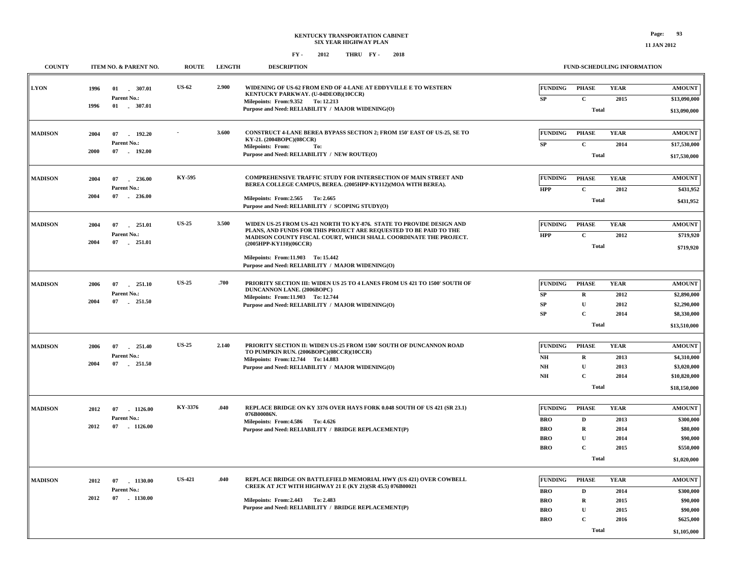| <b>COUNTY</b>  | ITEM NO. & PARENT NO.                   | <b>ROUTE</b>  | <b>LENGTH</b> | <b>DESCRIPTION</b>                                                                                                                                   |                                          |                                            | FUND-SCHEDULING INFORMATION |                               |
|----------------|-----------------------------------------|---------------|---------------|------------------------------------------------------------------------------------------------------------------------------------------------------|------------------------------------------|--------------------------------------------|-----------------------------|-------------------------------|
| <b>LYON</b>    | 1996<br>01 307.01<br>Parent No.:        | <b>US-62</b>  | 2.900         | WIDENING OF US-62 FROM END OF 4-LANE AT EDDYVILLE E TO WESTERN<br>KENTUCKY PARKWAY. (U-04DEOB)(10CCR)                                                | <b>FUNDING</b><br><b>SP</b>              | <b>PHASE</b><br>$\mathbf C$                | <b>YEAR</b><br>2015         | <b>AMOUNT</b><br>\$13,090,000 |
|                | 1996<br>$01$ . 307.01                   |               |               | Milepoints: From: 9.352 To: 12.213<br>Purpose and Need: RELIABILITY / MAJOR WIDENING(O)                                                              |                                          | <b>Total</b>                               |                             | \$13,090,000                  |
| <b>MADISON</b> | 2004<br>07<br>192.20<br>Parent No.:     |               | 3.600         | CONSTRUCT 4-LANE BEREA BYPASS SECTION 2; FROM 150' EAST OF US-25, SE TO<br>KY-21. (2004BOPC)(08CCR)                                                  | <b>FUNDING</b><br><b>SP</b>              | <b>PHASE</b><br>$\mathbf{C}$               | <b>YEAR</b><br>2014         | <b>AMOUNT</b><br>\$17,530,000 |
|                | 07<br>2000<br>$-192.00$                 |               |               | Milepoints: From:<br>To:<br>Purpose and Need: RELIABILITY / NEW ROUTE(O)                                                                             |                                          | <b>Total</b>                               |                             | \$17,530,000                  |
| <b>MADISON</b> | 2004<br>07<br>236.00<br>Parent No.:     | KY-595        |               | COMPREHENSIVE TRAFFIC STUDY FOR INTERSECTION OF MAIN STREET AND<br>BEREA COLLEGE CAMPUS, BEREA. (2005HPP-KY112)(MOA WITH BEREA).                     | FUNDING<br><b>HPP</b>                    | <b>PHASE</b><br>$\mathbf C$                | <b>YEAR</b><br>2012         | <b>AMOUNT</b><br>\$431,952    |
|                | 2004<br>07 236.00                       |               |               | Milepoints: From: 2.565 To: 2.665<br>Purpose and Need: RELIABILITY / SCOPING STUDY(O)                                                                |                                          | <b>Total</b>                               |                             | \$431,952                     |
| <b>MADISON</b> | 2004<br>07 251.01<br>Parent No.:        | <b>US-25</b>  | 3.500         | WIDEN US-25 FROM US-421 NORTH TO KY-876. STATE TO PROVIDE DESIGN AND<br>PLANS, AND FUNDS FOR THIS PROJECT ARE REQUESTED TO BE PAID TO THE            | <b>FUNDING</b><br><b>HPP</b>             | <b>PHASE</b><br>$\mathbf C$                | <b>YEAR</b><br>2012         | <b>AMOUNT</b><br>\$719,920    |
|                | 2004<br>07 251.01                       |               |               | MADISON COUNTY FISCAL COURT, WHICH SHALL COORDINATE THE PROJECT.<br>(2005HPP-KY110)(06CCR)<br>Milepoints: From:11.903 To: 15.442                     |                                          | <b>Total</b>                               |                             | \$719,920                     |
|                |                                         |               |               | Purpose and Need: RELIABILITY / MAJOR WIDENING(O)                                                                                                    |                                          |                                            |                             |                               |
| <b>MADISON</b> | 2006<br>07<br>251.10<br>Parent No.:     | <b>US-25</b>  | .700          | PRIORITY SECTION III: WIDEN US 25 TO 4 LANES FROM US 421 TO 1500' SOUTH OF<br>DUNCANNON LANE. (2006BOPC)<br>Milepoints: From:11.903 To: 12.744       | <b>FUNDING</b><br>${\bf SP}$             | <b>PHASE</b><br>$\mathbf R$                | <b>YEAR</b><br>2012         | <b>AMOUNT</b><br>\$2,890,000  |
|                | 2004<br>07<br>251.50                    |               |               | Purpose and Need: RELIABILITY / MAJOR WIDENING(O)                                                                                                    | <b>SP</b><br><b>SP</b>                   | U<br>$\mathbf C$                           | 2012<br>2014                | \$2,290,000<br>\$8,330,000    |
|                |                                         |               |               |                                                                                                                                                      |                                          | <b>Total</b>                               |                             | \$13,510,000                  |
| <b>MADISON</b> | 2006<br>07<br>251.40<br>Parent No.:     | <b>US-25</b>  | 2.140         | PRIORITY SECTION II: WIDEN US-25 FROM 1500' SOUTH OF DUNCANNON ROAD<br>TO PUMPKIN RUN. (2006BOPC)(08CCR)(10CCR)<br>Milepoints: From:12.744 To:14.883 | <b>FUNDING</b><br>$\mathbf{N}\mathbf{H}$ | <b>PHASE</b><br>$\mathbf R$                | <b>YEAR</b><br>2013         | <b>AMOUNT</b><br>\$4,310,000  |
|                | 2004<br>07 251.50                       |               |               | Purpose and Need: RELIABILITY / MAJOR WIDENING(O)                                                                                                    | NH<br>$\mathbf{NH}{}$                    | $\mathbf U$<br>$\mathbf C$                 | 2013<br>2014                | \$3,020,000<br>\$10,820,000   |
|                |                                         |               |               |                                                                                                                                                      |                                          | <b>Total</b>                               |                             | \$18,150,000                  |
| <b>MADISON</b> | 2012<br>07<br>$-1126.00$<br>Parent No.: | KY-3376       | .040          | REPLACE BRIDGE ON KY 3376 OVER HAYS FORK 0.048 SOUTH OF US 421 (SR 23.1)<br>076B00086N.<br>Milepoints: From: 4.586 To: 4.626                         | <b>FUNDING</b><br><b>BRO</b>             | <b>PHASE</b><br>D                          | <b>YEAR</b><br>2013         | <b>AMOUNT</b><br>\$300,000    |
|                | 2012<br>07 1126.00                      |               |               | Purpose and Need: RELIABILITY / BRIDGE REPLACEMENT(P)                                                                                                | <b>BRO</b><br>BRO                        | ${\bf R}$<br>$\mathbf U$                   | 2014<br>2014                | \$80,000<br>\$90,000          |
|                |                                         |               |               |                                                                                                                                                      | <b>BRO</b>                               | $\mathbf{C}$<br><b>Total</b>               | 2015                        | \$550,000<br>\$1,020,000      |
| <b>MADISON</b> | 2012<br>07<br>1130.00                   | <b>US-421</b> | .040          | REPLACE BRIDGE ON BATTLEFIELD MEMORIAL HWY (US 421) OVER COWBELL<br>CREEK AT JCT WITH HIGHWAY 21 E (KY 21)(SR 45.5) 076B00021                        | <b>FUNDING</b>                           | <b>PHASE</b>                               | <b>YEAR</b>                 | <b>AMOUNT</b>                 |
|                | Parent No.:<br>2012<br>$-1130.00$<br>07 |               |               | Milepoints: From: 2.443 To: 2.483<br>Purpose and Need: RELIABILITY / BRIDGE REPLACEMENT(P)                                                           | <b>BRO</b><br><b>BRO</b>                 | D<br>$\mathbf R$                           | 2014<br>2015                | \$300,000<br>\$90,000         |
|                |                                         |               |               |                                                                                                                                                      | <b>BRO</b><br><b>BRO</b>                 | $\mathbf U$<br>$\mathbf C$<br><b>Total</b> | 2015<br>2016                | \$90,000<br>\$625,000         |
|                |                                         |               |               |                                                                                                                                                      |                                          |                                            |                             | \$1,105,000                   |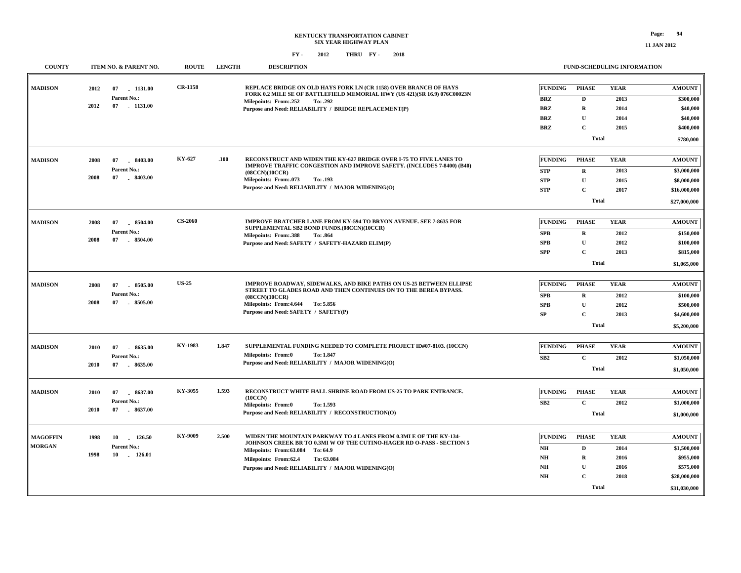**11 JAN 2012**

| <b>COUNTY</b>                    |              | ITEM NO. & PARENT NO.                            | <b>ROUTE</b>   | <b>LENGTH</b> | <b>DESCRIPTION</b>                                                                                                                                                                                                                                                         |                                                                        | <b>FUND-SCHEDULING INFORMATION</b>                                                     |                                             |                                                                                        |
|----------------------------------|--------------|--------------------------------------------------|----------------|---------------|----------------------------------------------------------------------------------------------------------------------------------------------------------------------------------------------------------------------------------------------------------------------------|------------------------------------------------------------------------|----------------------------------------------------------------------------------------|---------------------------------------------|----------------------------------------------------------------------------------------|
| <b>MADISON</b>                   | 2012<br>2012 | 07<br>$-1131.00$<br>Parent No.:<br>07 1131.00    | <b>CR-1158</b> |               | REPLACE BRIDGE ON OLD HAYS FORK LN (CR 1158) OVER BRANCH OF HAYS<br>FORK 0.2 MILE SE OF BATTLEFIELD MEMORIAL HWY (US 421)(SR 16.9) 076C00023N<br>Milepoints: From:.252<br>To: .292<br>Purpose and Need: RELIABILITY / BRIDGE REPLACEMENT(P)                                | <b>FUNDING</b><br><b>BRZ</b><br><b>BRZ</b><br><b>BRZ</b><br><b>BRZ</b> | <b>PHASE</b><br>D<br>$\mathbf R$<br>$\mathbf{U}$<br>$\mathbf{C}$<br><b>Total</b>       | <b>YEAR</b><br>2013<br>2014<br>2014<br>2015 | <b>AMOUNT</b><br>\$300,000<br>\$40,000<br>\$40,000<br>\$400,000<br>\$780,000           |
| <b>MADISON</b>                   | 2008<br>2008 | 8403.00<br>07<br>Parent No.:<br>07<br>8403.00    | KY-627         | .100          | RECONSTRUCT AND WIDEN THE KY-627 BRIDGE OVER I-75 TO FIVE LANES TO<br><b>IMPROVE TRAFFIC CONGESTION AND IMPROVE SAFETY. (INCLUDES 7-8400) (B40)</b><br>(08CCN)(10CCR)<br>Milepoints: From:.073<br>To: .193<br>Purpose and Need: RELIABILITY / MAJOR WIDENING(O)            | <b>FUNDING</b><br><b>STP</b><br><b>STP</b><br><b>STP</b>               | <b>PHASE</b><br>$\bf{R}$<br>$\mathbf U$<br>$\mathbf C$<br><b>Total</b>                 | <b>YEAR</b><br>2013<br>2015<br>2017         | <b>AMOUNT</b><br>\$3,000,000<br>\$8,000,000<br>\$16,000,000<br>\$27,000,000            |
| <b>MADISON</b>                   | 2008<br>2008 | 07<br>8504.00<br>Parent No.:<br>$-8504.00$<br>07 | <b>CS-2060</b> |               | <b>IMPROVE BRATCHER LANE FROM KY-594 TO BRYON AVENUE. SEE 7-8635 FOR</b><br>SUPPLEMENTAL SB2 BOND FUNDS.(08CCN)(10CCR)<br><b>Milepoints: From:.388</b><br>To: .864<br>Purpose and Need: SAFETY / SAFETY-HAZARD ELIM(P)                                                     | <b>FUNDING</b><br><b>SPB</b><br><b>SPB</b><br><b>SPP</b>               | <b>PHASE</b><br>$\mathbf R$<br>$\mathbf U$<br>$\mathbf C$<br><b>Total</b>              | <b>YEAR</b><br>2012<br>2012<br>2013         | <b>AMOUNT</b><br>\$150,000<br>\$100,000<br>\$815,000<br>\$1,065,000                    |
| <b>MADISON</b>                   | 2008<br>2008 | 8505.00<br>07<br>Parent No.:<br>07<br>8505.00    | <b>US-25</b>   |               | IMPROVE ROADWAY, SIDEWALKS, AND BIKE PATHS ON US-25 BETWEEN ELLIPSE<br>STREET TO GLADES ROAD AND THEN CONTINUES ON TO THE BEREA BYPASS.<br>(08CCN)(10CCR)<br>Milepoints: From: 4.644 To: 5.856<br>Purpose and Need: SAFETY / SAFETY(P)                                     | <b>FUNDING</b><br><b>SPB</b><br><b>SPB</b><br>SP                       | <b>PHASE</b><br>$\bf{R}$<br>U<br>$\mathbf{C}$<br><b>Total</b>                          | <b>YEAR</b><br>2012<br>2012<br>2013         | <b>AMOUNT</b><br>\$100,000<br>\$500,000<br>\$4,600,000<br>\$5,200,000                  |
| <b>MADISON</b>                   | 2010<br>2010 | 07<br>8635.00<br>Parent No.:<br>07<br>$-8635.00$ | KY-1983        | 1.847         | SUPPLEMENTAL FUNDING NEEDED TO COMPLETE PROJECT ID#07-8103. (10CCN)<br>Milepoints: From:0<br>To: 1.847<br>Purpose and Need: RELIABILITY / MAJOR WIDENING(O)                                                                                                                | <b>FUNDING</b><br>SB2                                                  | <b>PHASE</b><br>$\mathbf C$<br><b>Total</b>                                            | <b>YEAR</b><br>2012                         | <b>AMOUNT</b><br>\$1,050,000<br>\$1,050,000                                            |
| <b>MADISON</b>                   | 2010<br>2010 | 07<br>8637.00<br>Parent No.:<br>07<br>$-8637.00$ | KY-3055        | 1.593         | RECONSTRUCT WHITE HALL SHRINE ROAD FROM US-25 TO PARK ENTRANCE.<br>(10CCN)<br><b>Milepoints: From:0</b><br>To: 1.593<br>Purpose and Need: RELIABILITY / RECONSTRUCTION(O)                                                                                                  | <b>FUNDING</b><br>SB2                                                  | <b>PHASE</b><br>$\mathbf C$<br><b>Total</b>                                            | <b>YEAR</b><br>2012                         | <b>AMOUNT</b><br>\$1,000,000<br>\$1,000,000                                            |
| <b>MAGOFFIN</b><br><b>MORGAN</b> | 1998<br>1998 | 10 126.50<br>Parent No.:<br>10 126.01            | KY-9009        | 2.500         | WIDEN THE MOUNTAIN PARKWAY TO 4 LANES FROM 0.3MI E OF THE KY-134-<br>JOHNSON CREEK BR TO 0.3MI W OF THE CUTINO-HAGER RD O-PASS - SECTION 5<br>Milepoints: From:63.084 To: 64.9<br>Milepoints: From:62.4<br>To: 63.084<br>Purpose and Need: RELIABILITY / MAJOR WIDENING(O) | <b>FUNDING</b><br>$N\!H$<br>NH<br>NH<br>NH                             | <b>PHASE</b><br>$\mathbf D$<br>$\mathbf R$<br>${\bf U}$<br>$\mathbf C$<br><b>Total</b> | <b>YEAR</b><br>2014<br>2016<br>2016<br>2018 | <b>AMOUNT</b><br>\$1,500,000<br>\$955,000<br>\$575,000<br>\$28,000,000<br>\$31,030,000 |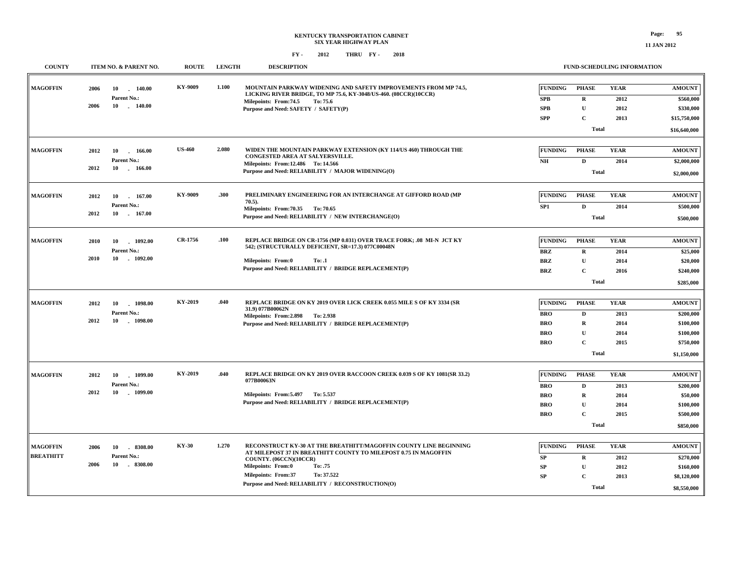| <b>COUNTY</b>                                       | <b>ROUTE</b><br>ITEM NO. & PARENT NO.                              | <b>LENGTH</b> | <b>DESCRIPTION</b>                                                                                                                                                                                                                                                                               |                                                                        |                                                                                            | <b>FUND-SCHEDULING INFORMATION</b>          |                                                                                  |
|-----------------------------------------------------|--------------------------------------------------------------------|---------------|--------------------------------------------------------------------------------------------------------------------------------------------------------------------------------------------------------------------------------------------------------------------------------------------------|------------------------------------------------------------------------|--------------------------------------------------------------------------------------------|---------------------------------------------|----------------------------------------------------------------------------------|
| <b>MAGOFFIN</b><br>2006<br>2006                     | KY-9009<br>10<br>140.00<br>Parent No.:<br>10<br>$-140.00$          | 1.100         | MOUNTAIN PARKWAY WIDENING AND SAFETY IMPROVEMENTS FROM MP 74.5,<br>LICKING RIVER BRIDGE, TO MP 75.6, KY-3048/US-460. (08CCR)(10CCR)<br>Milepoints: From: 74.5<br>To: 75.6<br>Purpose and Need: SAFETY / SAFETY(P)                                                                                | <b>FUNDING</b><br>SPB<br><b>SPB</b><br><b>SPP</b>                      | <b>PHASE</b><br>${\bf R}$<br>$\mathbf{U}$<br>$\mathbf{C}$                                  | <b>YEAR</b><br>2012<br>2012<br>2013         | <b>AMOUNT</b><br>\$560,000<br>\$330,000<br>\$15,750,000                          |
|                                                     |                                                                    |               |                                                                                                                                                                                                                                                                                                  |                                                                        | <b>Total</b>                                                                               |                                             | \$16,640,000                                                                     |
| <b>MAGOFFIN</b><br>2012<br>2012                     | <b>US-460</b><br>10<br>$-166.00$<br>Parent No.:<br>10<br>$-166.00$ | 2.080         | WIDEN THE MOUNTAIN PARKWAY EXTENSION (KY 114/US 460) THROUGH THE<br>CONGESTED AREA AT SALYERSVILLE.<br>Milepoints: From:12.486 To:14.566<br>Purpose and Need: RELIABILITY / MAJOR WIDENING(O)                                                                                                    | <b>FUNDING</b><br>N <sub>H</sub>                                       | <b>PHASE</b><br>$\mathbf D$<br><b>Total</b>                                                | <b>YEAR</b><br>2014                         | <b>AMOUNT</b><br>\$2,000,000<br>\$2,000,000                                      |
| <b>MAGOFFIN</b><br>2012<br>2012                     | KY-9009<br>10<br>167.00<br>Parent No.:<br>10 . 167.00              | .300          | PRELIMINARY ENGINEERING FOR AN INTERCHANGE AT GIFFORD ROAD (MP<br>$70.5$ ).<br>Milepoints: From: 70.35 To: 70.65<br>Purpose and Need: RELIABILITY / NEW INTERCHANGE(O)                                                                                                                           | <b>FUNDING</b><br>SP <sub>1</sub>                                      | <b>PHASE</b><br>$\mathbf{D}$<br><b>Total</b>                                               | <b>YEAR</b><br>2014                         | <b>AMOUNT</b><br>\$500,000<br>\$500,000                                          |
| <b>MAGOFFIN</b><br>2010<br>2010                     | CR-1756<br>1092.00<br>10<br>Parent No.:<br>10<br>$-1092.00$        | .100          | REPLACE BRIDGE ON CR-1756 (MP 0.031) OVER TRACE FORK; .08 MI-N JCT KY<br>542; (STRUCTURALLY DEFICIENT, SR=17.3) 077C00048N<br>Milepoints: From:0<br>To: .1<br>Purpose and Need: RELIABILITY / BRIDGE REPLACEMENT(P)                                                                              | <b>FUNDING</b><br><b>BRZ</b><br><b>BRZ</b><br><b>BRZ</b>               | <b>PHASE</b><br>${\bf R}$<br>$\mathbf{U}$<br>$\mathbf C$<br><b>Total</b>                   | <b>YEAR</b><br>2014<br>2014<br>2016         | <b>AMOUNT</b><br>\$25,000<br>\$20,000<br>\$240,000<br>\$285,000                  |
| <b>MAGOFFIN</b><br>2012<br>2012                     | KY-2019<br>1098.00<br>10<br>Parent No.:<br>10 1098.00              | .040          | REPLACE BRIDGE ON KY 2019 OVER LICK CREEK 0.055 MILE S OF KY 3334 (SR<br>31.9) 077B00062N<br>Milepoints: From: 2.898 To: 2.938<br>Purpose and Need: RELIABILITY / BRIDGE REPLACEMENT(P)                                                                                                          | <b>FUNDING</b><br><b>BRO</b><br><b>BRO</b><br><b>BRO</b><br><b>BRO</b> | <b>PHASE</b><br>$\mathbf D$<br>$\mathbf R$<br>$\mathbf{U}$<br>$\mathbf{C}$<br><b>Total</b> | <b>YEAR</b><br>2013<br>2014<br>2014<br>2015 | <b>AMOUNT</b><br>\$200,000<br>\$100,000<br>\$100,000<br>\$750,000<br>\$1,150,000 |
| <b>MAGOFFIN</b><br>2012<br>2012                     | KY-2019<br>10<br>$-1099.00$<br>Parent No.:<br>10<br>$-1099.00$     | .040          | REPLACE BRIDGE ON KY 2019 OVER RACCOON CREEK 0.039 S OF KY 1081(SR 33.2)<br>077B00063N<br>Milepoints: From: 5.497 To: 5.537<br>Purpose and Need: RELIABILITY / BRIDGE REPLACEMENT(P)                                                                                                             | <b>FUNDING</b><br><b>BRO</b><br><b>BRO</b><br><b>BRO</b><br><b>BRO</b> | <b>PHASE</b><br>D<br>$\mathbf R$<br>U<br>$\mathbf{C}$<br><b>Total</b>                      | <b>YEAR</b><br>2013<br>2014<br>2014<br>2015 | <b>AMOUNT</b><br>\$200,000<br>\$50,000<br>\$100,000<br>\$500,000<br>\$850,000    |
| <b>MAGOFFIN</b><br>2006<br><b>BREATHITT</b><br>2006 | <b>KY-30</b><br>10<br>8308.00<br>Parent No.:<br>10<br>8308.00      | 1.270         | RECONSTRUCT KY-30 AT THE BREATHITT/MAGOFFIN COUNTY LINE BEGINNING<br>AT MILEPOST 37 IN BREATHITT COUNTY TO MILEPOST 0.75 IN MAGOFFIN<br>COUNTY. (06CCN)(10CCR)<br>Milepoints: From:0<br>To: .75<br>To: 37.522<br><b>Milepoints: From:37</b><br>Purpose and Need: RELIABILITY / RECONSTRUCTION(O) | FUNDING<br>SP<br>SP<br>SP                                              | <b>PHASE</b><br>$\mathbf R$<br>$\mathbf U$<br>$\mathbf C$<br><b>Total</b>                  | <b>YEAR</b><br>2012<br>2012<br>2013         | <b>AMOUNT</b><br>\$270,000<br>\$160,000<br>\$8,120,000<br>\$8,550,000            |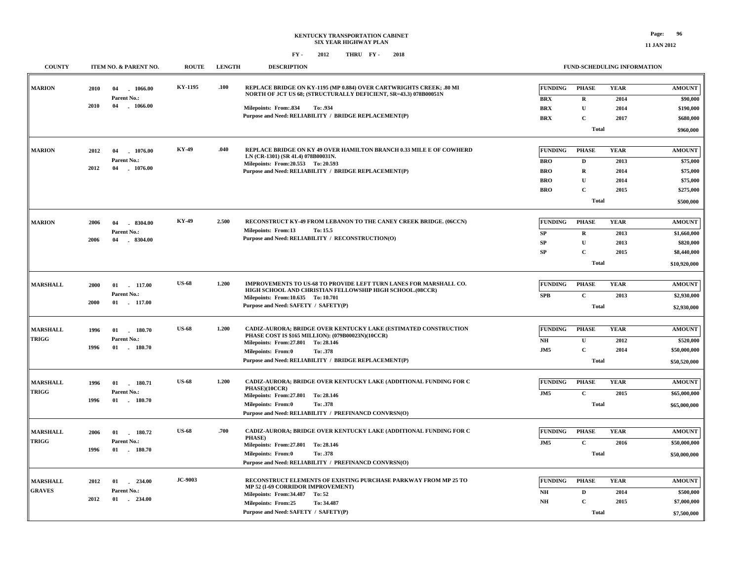**11 JAN 2012**

| <b>COUNTY</b>   | ITEM NO. & PARENT NO.                | <b>ROUTE</b>   | <b>LENGTH</b> | <b>DESCRIPTION</b>                                                                                                            |                 |                  | FUND-SCHEDULING INFORMATION |               |
|-----------------|--------------------------------------|----------------|---------------|-------------------------------------------------------------------------------------------------------------------------------|-----------------|------------------|-----------------------------|---------------|
| <b>MARION</b>   | 2010<br>04<br>1066.00                | KY-1195        | .100          | REPLACE BRIDGE ON KY-1195 (MP 0.884) OVER CARTWRIGHTS CREEK: .80 MI                                                           | <b>FUNDING</b>  | <b>PHASE</b>     | <b>YEAR</b>                 | <b>AMOUNT</b> |
|                 | Parent No.:                          |                |               | NORTH OF JCT US 68; (STRUCTURALLY DEFICIENT, SR=43.3) 078B00051N                                                              | <b>BRX</b>      | $\mathbf R$      | 2014                        | \$90,000      |
|                 | 2010<br>04<br>$-1066.00$             |                |               | Milepoints: From: 834<br>To: .934                                                                                             | <b>BRX</b>      | $\mathbf U$      | 2014                        | \$190,000     |
|                 |                                      |                |               | Purpose and Need: RELIABILITY / BRIDGE REPLACEMENT(P)                                                                         | <b>BRX</b>      | $\mathbf C$      | 2017                        | \$680,000     |
|                 |                                      |                |               |                                                                                                                               |                 | <b>Total</b>     |                             | \$960,000     |
|                 |                                      |                | .040          |                                                                                                                               |                 |                  |                             |               |
| <b>MARION</b>   | 1076.00<br>2012<br>04                | KY-49          |               | REPLACE BRIDGE ON KY 49 OVER HAMILTON BRANCH 0.33 MILE E OF COWHERD<br>LN (CR-1301) (SR 41.4) 078B00031N.                     | <b>FUNDING</b>  | <b>PHASE</b>     | <b>YEAR</b>                 | <b>AMOUNT</b> |
|                 | Parent No.:<br>2012<br>04<br>1076.00 |                |               | Milepoints: From: 20.553 To: 20.593                                                                                           | <b>BRO</b>      | D                | 2013                        | \$75,000      |
|                 |                                      |                |               | Purpose and Need: RELIABILITY / BRIDGE REPLACEMENT(P)                                                                         | <b>BRO</b>      | $\mathbf R$      | 2014                        | \$75,000      |
|                 |                                      |                |               |                                                                                                                               | <b>BRO</b>      | U<br>$\mathbf C$ | 2014                        | \$75,000      |
|                 |                                      |                |               |                                                                                                                               | <b>BRO</b>      |                  | 2015                        | \$275,000     |
|                 |                                      |                |               |                                                                                                                               |                 | <b>Total</b>     |                             | \$500,000     |
| <b>MARION</b>   | 2006<br>04<br>$-8304.00$             | <b>KY-49</b>   | 2.500         | RECONSTRUCT KY-49 FROM LEBANON TO THE CANEY CREEK BRIDGE. (06CCN)                                                             | <b>FUNDING</b>  | <b>PHASE</b>     | <b>YEAR</b>                 | <b>AMOUNT</b> |
|                 | Parent No.:                          |                |               | <b>Milepoints: From:13</b><br>To: 15.5<br>Purpose and Need: RELIABILITY / RECONSTRUCTION(O)                                   | SP              | $\mathbf R$      | 2013                        | \$1,660,000   |
|                 | 2006<br>$-8304.00$<br>04             |                |               |                                                                                                                               | SP              | $\mathbf U$      | 2013                        | \$820,000     |
|                 |                                      |                |               |                                                                                                                               | <b>SP</b>       | $\mathbf C$      | 2015                        | \$8,440,000   |
|                 |                                      |                |               |                                                                                                                               |                 | <b>Total</b>     |                             | \$10,920,000  |
|                 |                                      |                |               |                                                                                                                               |                 |                  |                             |               |
| <b>MARSHALL</b> | 2000<br>01<br>117.00                 | <b>US-68</b>   | 1.200         | IMPROVEMENTS TO US-68 TO PROVIDE LEFT TURN LANES FOR MARSHALL CO.<br>HIGH SCHOOL AND CHRISTIAN FELLOWSHIP HIGH SCHOOL.(08CCR) | <b>FUNDING</b>  | <b>PHASE</b>     | <b>YEAR</b>                 | <b>AMOUNT</b> |
|                 | Parent No.:<br>2000<br>$01$ 117.00   |                |               | Milepoints: From:10.635 To: 10.701                                                                                            | <b>SPB</b>      | $\mathbf C$      | 2013                        | \$2,930,000   |
|                 |                                      |                |               | Purpose and Need: SAFETY / SAFETY(P)                                                                                          |                 | <b>Total</b>     |                             | \$2,930,000   |
|                 |                                      | <b>US-68</b>   |               |                                                                                                                               |                 |                  |                             |               |
| <b>MARSHALL</b> | 180.70<br>1996<br>01                 |                | 1.200         | CADIZ-AURORA; BRIDGE OVER KENTUCKY LAKE (ESTIMATED CONSTRUCTION<br>PHASE COST IS \$165 MILLION): (079B00023N)(10CCR)          | <b>FUNDING</b>  | <b>PHASE</b>     | <b>YEAR</b>                 | <b>AMOUNT</b> |
| <b>TRIGG</b>    | Parent No.:<br>1996<br>01<br>180.70  |                |               | Milepoints: From: 27.801 To: 28.146                                                                                           | NH              | $\mathbf{U}$     | 2012                        | \$520,000     |
|                 |                                      |                |               | <b>Milepoints: From:0</b><br>To: .378                                                                                         | J <sub>M5</sub> | $\mathbf C$      | 2014                        | \$50,000,000  |
|                 |                                      |                |               | Purpose and Need: RELIABILITY / BRIDGE REPLACEMENT(P)                                                                         |                 | <b>Total</b>     |                             | \$50,520,000  |
| <b>MARSHALL</b> | 180.71<br>1996<br>01                 | <b>US-68</b>   | 1.200         | CADIZ-AURORA; BRIDGE OVER KENTUCKY LAKE (ADDITIONAL FUNDING FOR C                                                             | FUNDING         | <b>PHASE</b>     | <b>YEAR</b>                 | <b>AMOUNT</b> |
| <b>TRIGG</b>    | Parent No.:                          |                |               | PHASE)(10CCR)<br>Milepoints: From: 27.801 To: 28.146                                                                          | J <sub>M5</sub> | $\mathbf C$      | 2015                        | \$65,000,000  |
|                 | $-180.70$<br>1996<br>01              |                |               | Milepoints: From:0<br>To: .378                                                                                                |                 | <b>Total</b>     |                             | \$65,000,000  |
|                 |                                      |                |               | Purpose and Need: RELIABILITY / PREFINANCD CONVRSN(O)                                                                         |                 |                  |                             |               |
| <b>MARSHALL</b> | 2006<br>01<br>180.72                 | <b>US-68</b>   | .700          | CADIZ-AURORA; BRIDGE OVER KENTUCKY LAKE (ADDITIONAL FUNDING FOR C                                                             | <b>FUNDING</b>  | <b>PHASE</b>     | <b>YEAR</b>                 | <b>AMOUNT</b> |
| <b>TRIGG</b>    | Parent No.:                          |                |               | <b>PHASE</b> )<br>Milepoints: From: 27.801 To: 28.146                                                                         | J <sub>M5</sub> | $\mathbf C$      | 2016                        | \$50,000,000  |
|                 | 1996<br>01<br>180.70                 |                |               | <b>Milepoints: From:0</b><br>To: .378                                                                                         |                 | <b>Total</b>     |                             | \$50,000,000  |
|                 |                                      |                |               | Purpose and Need: RELIABILITY / PREFINANCD CONVRSN(O)                                                                         |                 |                  |                             |               |
| <b>MARSHALL</b> | 2012<br>01<br>234.00<br>$\sim$       | <b>JC-9003</b> |               | RECONSTRUCT ELEMENTS OF EXISTING PURCHASE PARKWAY FROM MP 25 TO                                                               | <b>FUNDING</b>  | <b>PHASE</b>     | <b>YEAR</b>                 | <b>AMOUNT</b> |
| <b>GRAVES</b>   | Parent No.:                          |                |               | MP 52 (I-69 CORRIDOR IMPROVEMENT)<br>Milepoints: From:34.487                                                                  | NH              | D                | 2014                        | \$500,000     |
|                 | 2012<br>01<br>$-234.00$              |                |               | To: 52<br><b>Milepoints: From:25</b><br>To: 34.487                                                                            | <b>NH</b>       | $\mathbf C$      | 2015                        | \$7,000,000   |
|                 |                                      |                |               | Purpose and Need: SAFETY / SAFETY(P)                                                                                          |                 | <b>Total</b>     |                             | \$7,500,000   |
|                 |                                      |                |               |                                                                                                                               |                 |                  |                             |               |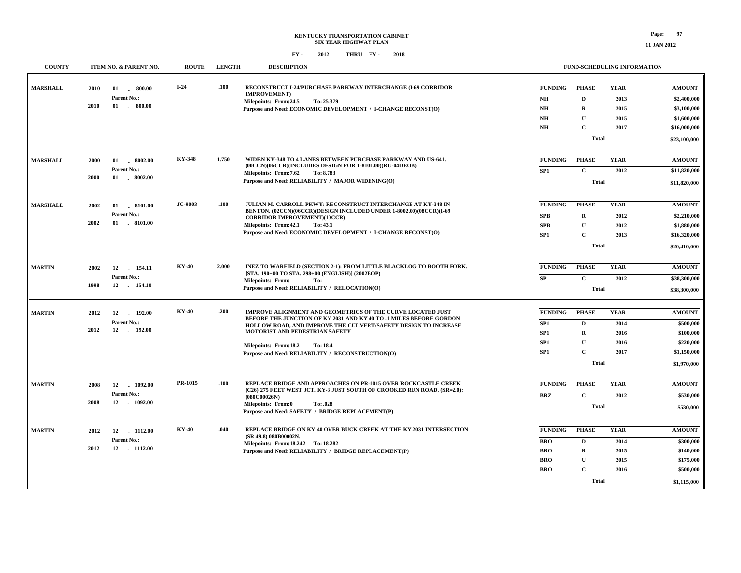#### **FY - FY - 2012 2018 THRU**

| <b>COUNTY</b>   | ITEM NO. & PARENT NO.                                                           | <b>ROUTE</b>   | <b>LENGTH</b> | <b>DESCRIPTION</b>                                                                                                                                                                                                                                                                                                             |                                                                                            | <b>FUND-SCHEDULING INFORMATION</b>                                                         |                                             |                                                                                            |
|-----------------|---------------------------------------------------------------------------------|----------------|---------------|--------------------------------------------------------------------------------------------------------------------------------------------------------------------------------------------------------------------------------------------------------------------------------------------------------------------------------|--------------------------------------------------------------------------------------------|--------------------------------------------------------------------------------------------|---------------------------------------------|--------------------------------------------------------------------------------------------|
| <b>MARSHALL</b> | 2010<br>01<br>800.00<br>$\sim$<br>Parent No.:<br>2010<br>01<br>800.00<br>$\sim$ | $I-24$         | .100          | RECONSTRUCT I-24/PURCHASE PARKWAY INTERCHANGE (I-69 CORRIDOR<br><b>IMPROVEMENT</b> )<br>Milepoints: From:24.5<br>To: 25.379<br>Purpose and Need: ECONOMIC DEVELOPMENT / I-CHANGE RECONST(O)                                                                                                                                    | <b>FUNDING</b><br>NH<br>NH<br><b>NH</b><br>NH                                              | <b>PHASE</b><br>$\mathbf D$<br>$\mathbf R$<br>$\mathbf{U}$<br>$\mathbf C$<br><b>Total</b>  | <b>YEAR</b><br>2013<br>2015<br>2015<br>2017 | <b>AMOUNT</b><br>\$2,400,000<br>\$3,100,000<br>\$1,600,000<br>\$16,000,000<br>\$23,100,000 |
| <b>MARSHALL</b> | $01$ $18002.00$<br>2000<br>Parent No.:<br>2000<br>01 8002.00                    | <b>KY-348</b>  | 1.750         | WIDEN KY-348 TO 4 LANES BETWEEN PURCHASE PARKWAY AND US-641.<br>(00CCN)(06CCR)(INCLUDES DESIGN FOR 1-8101.00)(RU-04DEOB)<br>Milepoints: From: 7.62<br>To: 8.783<br>Purpose and Need: RELIABILITY / MAJOR WIDENING(O)                                                                                                           | <b>FUNDING</b><br>SP <sub>1</sub>                                                          | <b>PHASE</b><br>$\mathbf{C}$<br><b>Total</b>                                               | <b>YEAR</b><br>2012                         | <b>AMOUNT</b><br>\$11,820,000<br>\$11,820,000                                              |
| <b>MARSHALL</b> | 01 8101.00<br>2002<br>Parent No.:<br>2002<br>$01$ . 8101.00                     | <b>JC-9003</b> | .100          | <b>JULIAN M. CARROLL PKWY: RECONSTRUCT INTERCHANGE AT KY-348 IN</b><br>BENTON. (02CCN)(06CCR)(DESIGN INCLUDED UNDER 1-8002.00)(08CCR)(I-69<br><b>CORRIDOR IMPROVEMENT)(10CCR)</b><br>Milepoints: From: 42.1<br>To: 43.1<br>Purpose and Need: ECONOMIC DEVELOPMENT / I-CHANGE RECONST(O)                                        | <b>FUNDING</b><br><b>SPB</b><br><b>SPB</b><br>SP <sub>1</sub>                              | <b>PHASE</b><br>$\mathbf R$<br>$\mathbf{U}$<br>$\mathbf{C}$<br><b>Total</b>                | <b>YEAR</b><br>2012<br>2012<br>2013         | <b>AMOUNT</b><br>\$2,210,000<br>\$1,880,000<br>\$16,320,000<br>\$20,410,000                |
| <b>MARTIN</b>   | 2002<br>12<br>154.11<br>Parent No.:<br>12 154.10<br>1998                        | <b>KY-40</b>   | 2.000         | INEZ TO WARFIELD (SECTION 2-1): FROM LITTLE BLACKLOG TO BOOTH FORK.<br>[STA. 190+00 TO STA. 298+00 (ENGLISH)] (2002BOP)<br><b>Milepoints: From:</b><br>To:<br>Purpose and Need: RELIABILITY / RELOCATION(O)                                                                                                                    | <b>FUNDING</b><br>SP                                                                       | <b>PHASE</b><br>$\mathbf C$<br><b>Total</b>                                                | <b>YEAR</b><br>2012                         | <b>AMOUNT</b><br>\$38,300,000<br>\$38,300,000                                              |
| <b>MARTIN</b>   | 2012<br>12<br>192.00<br>$\sim$<br>Parent No.:<br>2012<br>12<br>192.00           | <b>KY-40</b>   | .200          | IMPROVE ALIGNMENT AND GEOMETRICS OF THE CURVE LOCATED JUST<br>BEFORE THE JUNCTION OF KY 2031 AND KY 40 TO .1 MILES BEFORE GORDON<br>HOLLOW ROAD, AND IMPROVE THE CULVERT/SAFETY DESIGN TO INCREASE<br>MOTORIST AND PEDESTRIAN SAFETY<br>Milepoints: From:18.2<br>To: 18.4<br>Purpose and Need: RELIABILITY / RECONSTRUCTION(O) | <b>FUNDING</b><br>SP <sub>1</sub><br>SP <sub>1</sub><br>SP <sub>1</sub><br>SP <sub>1</sub> | <b>PHASE</b><br>$\mathbf{D}$<br>$\mathbf R$<br>U<br>$\mathbf C$<br><b>Total</b>            | <b>YEAR</b><br>2014<br>2016<br>2016<br>2017 | <b>AMOUNT</b><br>\$500,000<br>\$100,000<br>\$220,000<br>\$1,150,000<br>\$1,970,000         |
| <b>MARTIN</b>   | 12<br>1092.00<br>2008<br>Parent No.:<br>12<br>$-1092.00$<br>2008                | PR-1015        | .100          | <b>REPLACE BRIDGE AND APPROACHES ON PR-1015 OVER ROCKCASTLE CREEK</b><br>(C26) 275 FEET WEST JCT. KY-3 JUST SOUTH OF CROOKED RUN ROAD. (SR=2.0):<br>(080C00026N)<br><b>Milepoints: From:0</b><br>To: .028<br>Purpose and Need: SAFETY / BRIDGE REPLACEMENT(P)                                                                  | <b>FUNDING</b><br><b>BRZ</b>                                                               | <b>PHASE</b><br>$\mathbf C$<br><b>Total</b>                                                | <b>YEAR</b><br>2012                         | <b>AMOUNT</b><br>\$530,000<br>\$530,000                                                    |
| <b>MARTIN</b>   | $-1112.00$<br>2012<br>12<br>Parent No.:<br>2012<br>12 1112.00                   | <b>KY-40</b>   | .040          | REPLACE BRIDGE ON KY 40 OVER BUCK CREEK AT THE KY 2031 INTERSECTION<br>(SR 49.8) 080B00002N.<br>Milepoints: From: 18.242 To: 18.282<br>Purpose and Need: RELIABILITY / BRIDGE REPLACEMENT(P)                                                                                                                                   | <b>FUNDING</b><br><b>BRO</b><br><b>BRO</b><br><b>BRO</b><br><b>BRO</b>                     | <b>PHASE</b><br>$\mathbf{D}$<br>$\mathbf R$<br>$\mathbf U$<br>$\mathbf{C}$<br><b>Total</b> | <b>YEAR</b><br>2014<br>2015<br>2015<br>2016 | <b>AMOUNT</b><br>\$300,000<br>\$140,000<br>\$175,000<br>\$500,000<br>\$1,115,000           |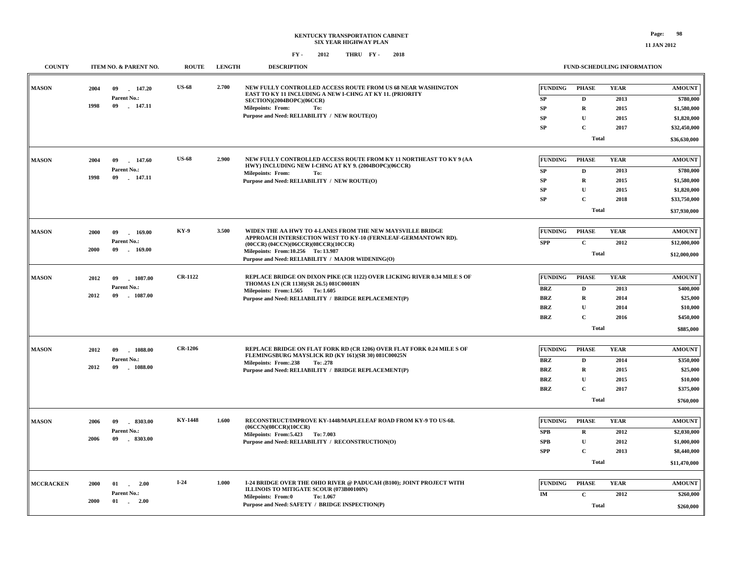**11 JAN 2012**

| <b>COUNTY</b>    |      | ITEM NO. & PARENT NO.           | <b>ROUTE</b>   | <b>LENGTH</b> | <b>DESCRIPTION</b>                                                                                                         |                | FUND-SCHEDULING INFORMATION |             |               |
|------------------|------|---------------------------------|----------------|---------------|----------------------------------------------------------------------------------------------------------------------------|----------------|-----------------------------|-------------|---------------|
| <b>MASON</b>     | 2004 | 147.20<br>09                    | <b>US-68</b>   | 2.700         | NEW FULLY CONTROLLED ACCESS ROUTE FROM US 68 NEAR WASHINGTON                                                               | <b>FUNDING</b> | <b>PHASE</b>                | <b>YEAR</b> | <b>AMOUNT</b> |
|                  |      | Parent No.:                     |                |               | EAST TO KY 11 INCLUDING A NEW I-CHNG AT KY 11. (PRIORITY                                                                   | SP             | D                           | 2013        | \$780,000     |
|                  | 1998 | 09<br>.147.11                   |                |               | SECTION)(2004BOPC)(06CCR)<br>Milepoints: From:<br>To:                                                                      | SP             | $\mathbf R$                 | 2015        | \$1,580,000   |
|                  |      |                                 |                |               | Purpose and Need: RELIABILITY / NEW ROUTE(O)                                                                               | SP             | $\mathbf U$                 | 2015        | \$1,820,000   |
|                  |      |                                 |                |               |                                                                                                                            | <b>SP</b>      | $\mathbf{C}$                | 2017        | \$32,450,000  |
|                  |      |                                 |                |               |                                                                                                                            |                | <b>Total</b>                |             |               |
|                  |      |                                 |                |               |                                                                                                                            |                |                             |             | \$36,630,000  |
| <b>MASON</b>     | 2004 | 09<br>147.60                    | <b>US-68</b>   | 2.900         | NEW FULLY CONTROLLED ACCESS ROUTE FROM KY 11 NORTHEAST TO KY 9 (AA<br>HWY) INCLUDING NEW I-CHNG AT KY 9. (2004BOPC)(06CCR) | <b>FUNDING</b> | <b>PHASE</b>                | <b>YEAR</b> | <b>AMOUNT</b> |
|                  |      | Parent No.:                     |                |               | <b>Milepoints: From:</b><br>To:                                                                                            | SP             | D                           | 2013        | \$780,000     |
|                  | 1998 | 09<br>147.11                    |                |               | Purpose and Need: RELIABILITY / NEW ROUTE(O)                                                                               | SP             | $\mathbf R$                 | 2015        | \$1,580,000   |
|                  |      |                                 |                |               |                                                                                                                            | SP             | $\mathbf U$                 | 2015        | \$1,820,000   |
|                  |      |                                 |                |               |                                                                                                                            | SP             | $\mathbf C$                 | 2018        | \$33,750,000  |
|                  |      |                                 |                |               |                                                                                                                            |                | <b>Total</b>                |             | \$37,930,000  |
| <b>MASON</b>     | 2000 | 09<br>169.00                    | <b>KY-9</b>    | 3.500         | WIDEN THE AA HWY TO 4-LANES FROM THE NEW MAYSVILLE BRIDGE                                                                  | <b>FUNDING</b> | <b>PHASE</b>                | <b>YEAR</b> | <b>AMOUNT</b> |
|                  |      | Parent No.:                     |                |               | APPROACH INTERSECTION WEST TO KY-10 (FERNLEAF-GERMANTOWN RD).                                                              | <b>SPP</b>     | $\mathbf C$                 | 2012        | \$12,000,000  |
|                  | 2000 | $-169.00$<br>09                 |                |               | $(00CCR)$ $(04CCN)$ $(06CCR)$ $(08CCR)$ $(10CCR)$<br>Milepoints: From:10.256 To:13.987                                     |                |                             |             |               |
|                  |      |                                 |                |               | Purpose and Need: RELIABILITY / MAJOR WIDENING(O)                                                                          |                | <b>Total</b>                |             | \$12,000,000  |
|                  |      |                                 | <b>CR-1122</b> |               | REPLACE BRIDGE ON DIXON PIKE (CR 1122) OVER LICKING RIVER 0.34 MILE S OF                                                   |                |                             |             |               |
| <b>MASON</b>     | 2012 | 1087.00<br>09                   |                |               | THOMAS LN (CR 1130)(SR 26.5) 081C00018N                                                                                    | <b>FUNDING</b> | <b>PHASE</b>                | <b>YEAR</b> | <b>AMOUNT</b> |
|                  | 2012 | Parent No.:<br>09<br>$-1087.00$ |                |               | Milepoints: From:1.565 To:1.605                                                                                            | <b>BRZ</b>     | D                           | 2013        | \$400,000     |
|                  |      |                                 |                |               | Purpose and Need: RELIABILITY / BRIDGE REPLACEMENT(P)                                                                      | <b>BRZ</b>     | $\mathbf R$                 | 2014        | \$25,000      |
|                  |      |                                 |                |               |                                                                                                                            | <b>BRZ</b>     | $\mathbf U$                 | 2014        | \$10,000      |
|                  |      |                                 |                |               |                                                                                                                            | <b>BRZ</b>     | $\mathbf C$                 | 2016        | \$450,000     |
|                  |      |                                 |                |               |                                                                                                                            |                | <b>Total</b>                |             | \$885,000     |
| <b>MASON</b>     | 2012 | 09<br>1088.00                   | <b>CR-1206</b> |               | REPLACE BRIDGE ON FLAT FORK RD (CR 1206) OVER FLAT FORK 0.24 MILE S OF                                                     | <b>FUNDING</b> | <b>PHASE</b>                | <b>YEAR</b> | <b>AMOUNT</b> |
|                  |      | Parent No.:                     |                |               | FLEMINGSBURG MAYSLICK RD (KY 161)(SR 30) 081C00025N<br>Milepoints: From: .238<br>To: .278                                  | <b>BRZ</b>     | D                           | 2014        | \$350,000     |
|                  | 2012 | 09<br>$-1088.00$                |                |               | Purpose and Need: RELIABILITY / BRIDGE REPLACEMENT(P)                                                                      | <b>BRZ</b>     | $\mathbf R$                 | 2015        | \$25,000      |
|                  |      |                                 |                |               |                                                                                                                            | <b>BRZ</b>     | $\mathbf U$                 | 2015        | \$10,000      |
|                  |      |                                 |                |               |                                                                                                                            | <b>BRZ</b>     | $\mathbf C$                 | 2017        | \$375,000     |
|                  |      |                                 |                |               |                                                                                                                            |                | <b>Total</b>                |             | \$760,000     |
|                  |      |                                 |                |               |                                                                                                                            |                |                             |             |               |
| <b>MASON</b>     | 2006 | $-8303.00$<br>09                | <b>KY-1448</b> | 1.600         | RECONSTRUCT/IMPROVE KY-1448/MAPLELEAF ROAD FROM KY-9 TO US-68.<br>(06CCN)(08CCR)(10CCR)                                    | <b>FUNDING</b> | <b>PHASE</b>                | <b>YEAR</b> | <b>AMOUNT</b> |
|                  |      | Parent No.:                     |                |               | Milepoints: From: 5.423 To: 7.003                                                                                          | <b>SPB</b>     | $\bf R$                     | 2012        | \$2,030,000   |
|                  | 2006 | 09<br>$-8303.00$                |                |               | Purpose and Need: RELIABILITY / RECONSTRUCTION(O)                                                                          | SPB            | $\mathbf U$                 | 2012        | \$1,000,000   |
|                  |      |                                 |                |               |                                                                                                                            | <b>SPP</b>     | $\mathbf{C}$                | 2013        | \$8,440,000   |
|                  |      |                                 |                |               |                                                                                                                            |                | <b>Total</b>                |             | \$11,470,000  |
| <b>MCCRACKEN</b> | 2000 | 2.00<br>01                      | $I-24$         | 1.000         | I-24 BRIDGE OVER THE OHIO RIVER @ PADUCAH (B100); JOINT PROJECT WITH                                                       | <b>FUNDING</b> | <b>PHASE</b>                | <b>YEAR</b> | <b>AMOUNT</b> |
|                  |      | <b>Parent No.:</b>              |                |               | ILLINOIS TO MITIGATE SCOUR (073B00100N)                                                                                    | IM             | $\mathbf C$                 | 2012        |               |
|                  | 2000 | $01 \t 2.00$                    |                |               | Milepoints: From:0<br>To: 1.067                                                                                            |                |                             |             | \$260,000     |
|                  |      |                                 |                |               | Purpose and Need: SAFETY / BRIDGE INSPECTION(P)                                                                            |                | <b>Total</b>                |             | \$260,000     |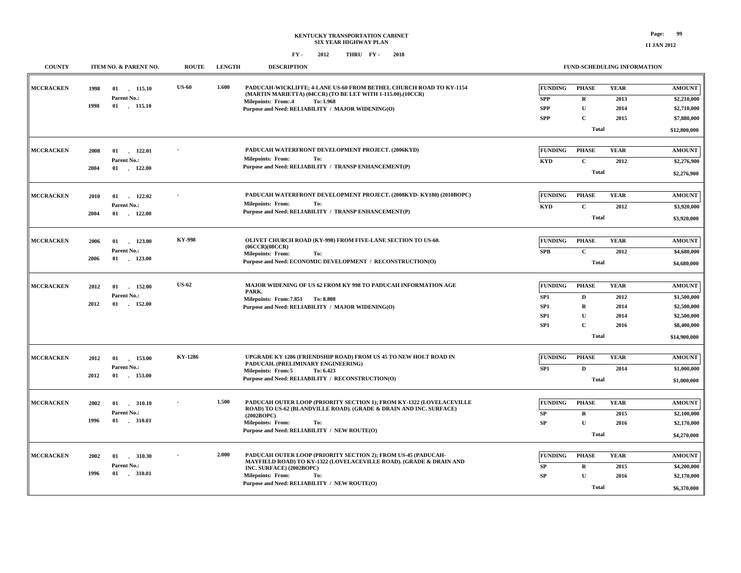**11 JAN 2012**

| <b>COUNTY</b>    |      | ITEM NO. & PARENT NO.          | <b>ROUTE</b>  | <b>LENGTH</b> | <b>DESCRIPTION</b>                                                                                                                  |                                    |                             | FUND-SCHEDULING INFORMATION |               |
|------------------|------|--------------------------------|---------------|---------------|-------------------------------------------------------------------------------------------------------------------------------------|------------------------------------|-----------------------------|-----------------------------|---------------|
| <b>MCCRACKEN</b> | 1998 | $01$ 115.10                    | <b>US-60</b>  | 1.600         | PADUCAH-WICKLIFFE: 4-LANE US-60 FROM BETHEL CHURCH ROAD TO KY-1154<br>(MARTIN MARIETTA) (04CCR) (TO BE LET WITH 1-115.00).(10CCR)   | <b>FUNDING</b>                     | <b>PHASE</b>                | <b>YEAR</b>                 | <b>AMOUNT</b> |
|                  | 1998 | Parent No.:<br>$01$ . $115.10$ |               |               | <b>Milepoints: From:.4</b><br>To: 1.968                                                                                             | <b>SPP</b>                         | $\mathbf R$                 | 2013                        | \$2,210,000   |
|                  |      |                                |               |               | Purpose and Need: RELIABILITY / MAJOR WIDENING(O)                                                                                   | <b>SPP</b>                         | $\mathbf{U}$                | 2014                        | \$2,710,000   |
|                  |      |                                |               |               |                                                                                                                                     | <b>SPP</b>                         | $\mathbf C$                 | 2015                        | \$7,880,000   |
|                  |      |                                |               |               |                                                                                                                                     |                                    | <b>Total</b>                |                             | \$12,800,000  |
|                  |      |                                |               |               |                                                                                                                                     |                                    |                             |                             |               |
| <b>MCCRACKEN</b> | 2008 | 01<br>122.01                   |               |               | PADUCAH WATERFRONT DEVELOPMENT PROJECT. (2006KYD)<br><b>Milepoints: From:</b><br>To:                                                | <b>FUNDING</b>                     | <b>PHASE</b>                | <b>YEAR</b>                 | <b>AMOUNT</b> |
|                  | 2004 | Parent No.:<br>01<br>122.00    |               |               | Purpose and Need: RELIABILITY / TRANSP ENHANCEMENT(P)                                                                               | <b>KYD</b>                         | $\mathbf C$                 | 2012                        | \$2,276,900   |
|                  |      |                                |               |               |                                                                                                                                     |                                    | <b>Total</b>                |                             | \$2,276,900   |
|                  |      |                                |               |               |                                                                                                                                     |                                    |                             |                             |               |
| <b>MCCRACKEN</b> | 2010 | 122.02<br>01                   |               |               | PADUCAH WATERFRONT DEVELOPMENT PROJECT. (2008KYD-KY180) (2010BOPC)<br>Milepoints: From:<br>To:                                      | <b>FUNDING</b>                     | <b>PHASE</b>                | <b>YEAR</b>                 | <b>AMOUNT</b> |
|                  | 2004 | Parent No.:<br>01<br>122.00    |               |               | Purpose and Need: RELIABILITY / TRANSP ENHANCEMENT(P)                                                                               | <b>KYD</b>                         | $\mathbf{C}$                | 2012                        | \$3,920,000   |
|                  |      |                                |               |               |                                                                                                                                     |                                    | <b>Total</b>                |                             | \$3,920,000   |
|                  |      |                                |               |               |                                                                                                                                     |                                    |                             |                             |               |
| <b>MCCRACKEN</b> | 2006 | 123.00<br>01                   | <b>KY-998</b> |               | OLIVET CHURCH ROAD (KY-998) FROM FIVE-LANE SECTION TO US-60.<br>(06CCR)(08CCR)                                                      | <b>FUNDING</b>                     | <b>PHASE</b>                | <b>YEAR</b>                 | <b>AMOUNT</b> |
|                  | 2006 | Parent No.:<br>$01$ . 123.00   |               |               | <b>Milepoints: From:</b><br>To:                                                                                                     | <b>SPB</b>                         | $\mathbf{C}$                | 2012                        | \$4,680,000   |
|                  |      |                                |               |               | Purpose and Need: ECONOMIC DEVELOPMENT / RECONSTRUCTION(O)                                                                          |                                    | <b>Total</b>                |                             | \$4,680,000   |
|                  |      |                                | <b>US-62</b>  |               |                                                                                                                                     |                                    |                             |                             |               |
| <b>MCCRACKEN</b> | 2012 | 01<br>152.00                   |               |               | MAJOR WIDENING OF US 62 FROM KY 998 TO PADUCAH INFORMATION AGE<br>PARK.                                                             | <b>FUNDING</b>                     | <b>PHASE</b>                | <b>YEAR</b>                 | <b>AMOUNT</b> |
|                  | 2012 | Parent No.:<br>01<br>$-152.00$ |               |               | Milepoints: From: 7.851 To: 8.808                                                                                                   | SP <sub>1</sub>                    | $\mathbf{D}$                | 2012                        | \$1,500,000   |
|                  |      |                                |               |               | Purpose and Need: RELIABILITY / MAJOR WIDENING(O)                                                                                   | SP <sub>1</sub>                    | $\mathbf R$<br>$\mathbf{U}$ | 2014                        | \$2,500,000   |
|                  |      |                                |               |               |                                                                                                                                     | SP <sub>1</sub><br>SP <sub>1</sub> | $\mathbf C$                 | 2014                        | \$2,500,000   |
|                  |      |                                |               |               |                                                                                                                                     |                                    |                             | 2016                        | \$8,400,000   |
|                  |      |                                |               |               |                                                                                                                                     |                                    | Total                       |                             | \$14,900,000  |
| <b>MCCRACKEN</b> | 2012 | 01<br>153.00                   | KY-1286       |               | UPGRADE KY 1286 (FRIENDSHIP ROAD) FROM US 45 TO NEW HOLT ROAD IN                                                                    | <b>FUNDING</b>                     | <b>PHASE</b>                | <b>YEAR</b>                 | <b>AMOUNT</b> |
|                  |      | Parent No.:                    |               |               | PADUCAH. (PRELIMINARY ENGINEERING)<br><b>Milepoints: From:5</b><br>To: 6.423                                                        | SP <sub>1</sub>                    | $\mathbf D$                 | 2014                        | \$1,000,000   |
|                  | 2012 | $-153.00$<br>01                |               |               | Purpose and Need: RELIABILITY / RECONSTRUCTION(O)                                                                                   |                                    | <b>Total</b>                |                             | \$1,000,000   |
|                  |      |                                |               |               |                                                                                                                                     |                                    |                             |                             |               |
| <b>MCCRACKEN</b> | 2002 | 01<br>.310.10                  |               | 1.500         | PADUCAH OUTER LOOP (PRIORITY SECTION 1); FROM KY-1322 (LOVELACEVILLE                                                                | <b>FUNDING</b>                     | <b>PHASE</b>                | <b>YEAR</b>                 | <b>AMOUNT</b> |
|                  |      | Parent No.:                    |               |               | ROAD) TO US-62 (BLANDVILLE ROAD). (GRADE & DRAIN AND INC. SURFACE)<br>(2002BOPC)                                                    | ${\bf SP}$                         | ${\bf R}$                   | 2015                        | \$2,100,000   |
|                  | 1996 | $-310.01$<br>01                |               |               | Milepoints: From:<br>To:                                                                                                            | SP                                 | $\mathbf{I}$                | 2016                        | \$2,170,000   |
|                  |      |                                |               |               | Purpose and Need: RELIABILITY / NEW ROUTE(O)                                                                                        |                                    | <b>Total</b>                |                             | \$4,270,000   |
|                  |      |                                |               |               |                                                                                                                                     |                                    |                             |                             |               |
| <b>MCCRACKEN</b> | 2002 | 01<br>310.30                   |               | 2.000         | PADUCAH OUTER LOOP (PRIORITY SECTION 2); FROM US-45 (PADUCAH-<br>MAYFIELD ROAD) TO KY-1322 (LOVELACEVILLE ROAD). (GRADE & DRAIN AND | <b>FUNDING</b>                     | <b>PHASE</b>                | <b>YEAR</b>                 | <b>AMOUNT</b> |
|                  |      | Parent No.:                    |               |               | INC. SURFACE) (2002BOPC)                                                                                                            | ${\bf SP}$                         | $\mathbf R$                 | 2015                        | \$4,200,000   |
|                  | 1996 | 01 . 310.01                    |               |               | <b>Milepoints: From:</b><br>To:                                                                                                     | SP                                 | $\mathbf{U}$                | 2016                        | \$2,170,000   |
|                  |      |                                |               |               | Purpose and Need: RELIABILITY / NEW ROUTE(O)                                                                                        |                                    | Total                       |                             | \$6,370,000   |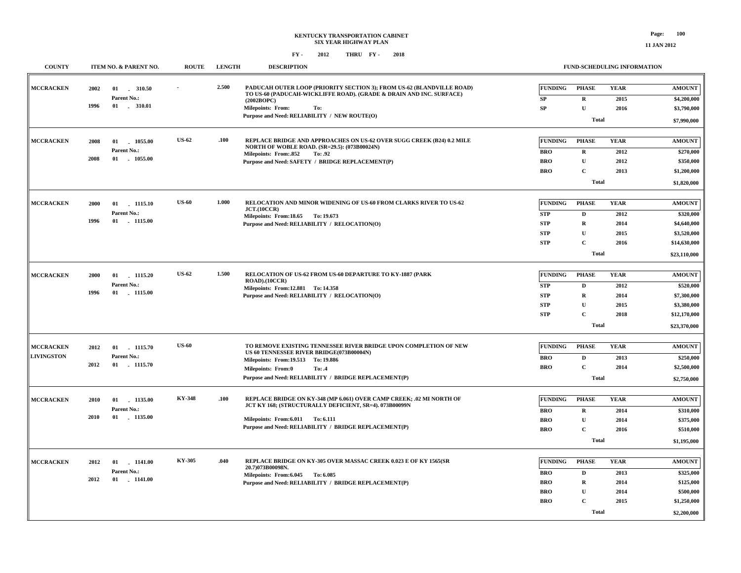| <b>COUNTY</b>     |      | ITEM NO. & PARENT NO.     | <b>ROUTE</b>  | <b>LENGTH</b> | <b>DESCRIPTION</b>                                                                                                    |                |              | <b>FUND-SCHEDULING INFORMATION</b> |                        |
|-------------------|------|---------------------------|---------------|---------------|-----------------------------------------------------------------------------------------------------------------------|----------------|--------------|------------------------------------|------------------------|
| <b>MCCRACKEN</b>  | 2002 |                           |               | 2.500         | PADUCAH OUTER LOOP (PRIORITY SECTION 3); FROM US-62 (BLANDVILLE ROAD)                                                 | <b>FUNDING</b> | <b>PHASE</b> | <b>YEAR</b>                        | <b>AMOUNT</b>          |
|                   |      | Parent No.:               |               |               | TO US-60 (PADUCAH-WICKLIFFE ROAD). (GRADE & DRAIN AND INC. SURFACE)<br>(2002BOPC)                                     | ${\bf SP}$     | $\mathbf{R}$ | 2015                               | \$4,200,000            |
|                   | 1996 | $01$ . 310.01             |               |               | <b>Milepoints: From:</b><br>To:                                                                                       | SP             | $\mathbf U$  | 2016                               | \$3,790,000            |
|                   |      |                           |               |               | Purpose and Need: RELIABILITY / NEW ROUTE(O)                                                                          |                | <b>Total</b> |                                    |                        |
|                   |      |                           |               |               |                                                                                                                       |                |              |                                    | \$7,990,000            |
| <b>MCCRACKEN</b>  | 2008 | 01 1055.00                | <b>US-62</b>  | .100          | REPLACE BRIDGE AND APPROACHES ON US-62 OVER SUGG CREEK (B24) 0.2 MILE<br>NORTH OF WOBLE ROAD. (SR=29.5): (073B00024N) | <b>FUNDING</b> | <b>PHASE</b> | <b>YEAR</b>                        | <b>AMOUNT</b>          |
|                   |      | Parent No.:               |               |               | Milepoints: From: 852<br>To: .92                                                                                      | <b>BRO</b>     | $\mathbf R$  | 2012                               | \$270,000              |
|                   | 2008 | 01 1055.00                |               |               | Purpose and Need: SAFETY / BRIDGE REPLACEMENT(P)                                                                      | <b>BRO</b>     | $\mathbf U$  | 2012                               | \$350,000              |
|                   |      |                           |               |               |                                                                                                                       | <b>BRO</b>     | $\mathbf C$  | 2013                               | \$1,200,000            |
|                   |      |                           |               |               |                                                                                                                       |                | <b>Total</b> |                                    | \$1,820,000            |
|                   |      |                           |               |               |                                                                                                                       |                |              |                                    |                        |
| <b>MCCRACKEN</b>  | 2000 | 01 1115.10                | <b>US-60</b>  | 1.000         | RELOCATION AND MINOR WIDENING OF US-60 FROM CLARKS RIVER TO US-62<br>JCT.(10CCR)                                      | <b>FUNDING</b> | <b>PHASE</b> | <b>YEAR</b>                        | <b>AMOUNT</b>          |
|                   |      | Parent No.:               |               |               | Milepoints: From:18.65 To: 19.673                                                                                     | <b>STP</b>     | $\mathbf{D}$ | 2012                               | \$320,000              |
|                   | 1996 | 01 1115.00                |               |               | Purpose and Need: RELIABILITY / RELOCATION(O)                                                                         | <b>STP</b>     | $\mathbf R$  | 2014                               | \$4,640,000            |
|                   |      |                           |               |               |                                                                                                                       | <b>STP</b>     | ${\bf U}$    | 2015                               | \$3,520,000            |
|                   |      |                           |               |               |                                                                                                                       | <b>STP</b>     | $\mathbf{C}$ | 2016                               | \$14,630,000           |
|                   |      |                           |               |               |                                                                                                                       |                | <b>Total</b> |                                    | \$23,110,000           |
|                   |      |                           |               |               |                                                                                                                       |                |              |                                    |                        |
| <b>MCCRACKEN</b>  | 2000 | 01 1115.20                | <b>US-62</b>  | 1.500         | RELOCATION OF US-62 FROM US-60 DEPARTURE TO KY-1887 (PARK<br>$ROAD$ ). $(10CCR)$                                      | FUNDING        | <b>PHASE</b> | <b>YEAR</b>                        | <b>AMOUNT</b>          |
|                   |      | Parent No.:               |               |               | Milepoints: From:12.881 To:14.358                                                                                     | <b>STP</b>     | D            | 2012                               | \$520,000              |
|                   | 1996 | 01 1115.00                |               |               | Purpose and Need: RELIABILITY / RELOCATION(O)                                                                         | <b>STP</b>     | $\mathbf R$  | 2014                               | \$7,300,000            |
|                   |      |                           |               |               |                                                                                                                       | <b>STP</b>     | $\mathbf{U}$ | 2015                               | \$3,380,000            |
|                   |      |                           |               |               |                                                                                                                       | <b>STP</b>     | $\mathbf C$  | 2018                               | \$12,170,000           |
|                   |      |                           |               |               |                                                                                                                       |                | <b>Total</b> |                                    | \$23,370,000           |
|                   |      |                           | <b>US-60</b>  |               | TO REMOVE EXISTING TENNESSEE RIVER BRIDGE UPON COMPLETION OF NEW                                                      |                |              |                                    |                        |
| <b>MCCRACKEN</b>  | 2012 | 01 1115.70                |               |               | US 60 TENNESSEE RIVER BRIDGE(073B00004N)                                                                              | FUNDING        | <b>PHASE</b> | <b>YEAR</b>                        | <b>AMOUNT</b>          |
| <b>LIVINGSTON</b> | 2012 | Parent No.:<br>01 1115.70 |               |               | Milepoints: From: 19.513 To: 19.886                                                                                   | <b>BRO</b>     | D            | 2013                               | \$250,000              |
|                   |      |                           |               |               | <b>Milepoints: From:0</b><br>To: .4                                                                                   | <b>BRO</b>     | $\mathbf C$  | 2014                               | \$2,500,000            |
|                   |      |                           |               |               | Purpose and Need: RELIABILITY / BRIDGE REPLACEMENT(P)                                                                 |                | <b>Total</b> |                                    | \$2,750,000            |
| <b>MCCRACKEN</b>  |      |                           | <b>KY-348</b> | .100          | REPLACE BRIDGE ON KY-348 (MP 6.061) OVER CAMP CREEK; .02 MI NORTH OF                                                  | <b>FUNDING</b> | <b>PHASE</b> | <b>YEAR</b>                        | <b>AMOUNT</b>          |
|                   | 2010 | 01 1135.00<br>Parent No.: |               |               | JCT KY 168; (STRUCTURALLY DEFICIENT, SR=4). 073B00099N                                                                |                |              |                                    |                        |
|                   | 2010 | 01 1135.00                |               |               |                                                                                                                       | <b>BRO</b>     | $\mathbf R$  | 2014                               | \$310,000              |
|                   |      |                           |               |               | Milepoints: From: 6.011 To: 6.111<br>Purpose and Need: RELIABILITY / BRIDGE REPLACEMENT(P)                            | <b>BRO</b>     | ${\bf U}$    | 2014                               | \$375,000              |
|                   |      |                           |               |               |                                                                                                                       | <b>BRO</b>     | $\mathbf{C}$ | 2016                               | \$510,000              |
|                   |      |                           |               |               |                                                                                                                       |                | Total        |                                    | \$1,195,000            |
| <b>MCCRACKEN</b>  | 2012 | $01$ 1141.00              | KY-305        | .040          | REPLACE BRIDGE ON KY-305 OVER MASSAC CREEK 0.023 E OF KY 1565(SR                                                      | <b>FUNDING</b> | <b>PHASE</b> | <b>YEAR</b>                        | <b>AMOUNT</b>          |
|                   |      | Parent No.:               |               |               | 20.7)073B00098N.                                                                                                      | BRO            | D            | 2013                               | \$325,000              |
|                   | 2012 | $01$ . $1141.00$          |               |               | Milepoints: From: 6.045 To: 6.085                                                                                     | BRO            | $\mathbf R$  | 2014                               |                        |
|                   |      |                           |               |               | Purpose and Need: RELIABILITY / BRIDGE REPLACEMENT(P)                                                                 | <b>BRO</b>     | $\mathbf{U}$ | 2014                               | \$125,000<br>\$500,000 |
|                   |      |                           |               |               |                                                                                                                       | <b>BRO</b>     | $\mathbf{C}$ | 2015                               | \$1,250,000            |
|                   |      |                           |               |               |                                                                                                                       |                |              |                                    |                        |
|                   |      |                           |               |               |                                                                                                                       |                | <b>Total</b> |                                    | \$2,200,000            |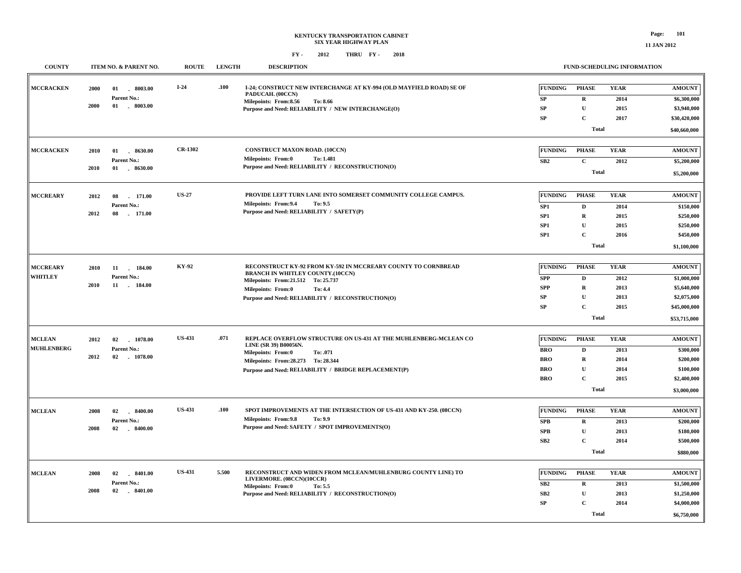| <b>COUNTY</b>     |      | ITEM NO. & PARENT NO. | <b>ROUTE</b>   | <b>LENGTH</b> | <b>DESCRIPTION</b>                                                                                       |                 |              | FUND-SCHEDULING INFORMATION |               |
|-------------------|------|-----------------------|----------------|---------------|----------------------------------------------------------------------------------------------------------|-----------------|--------------|-----------------------------|---------------|
| <b>MCCRACKEN</b>  | 2000 | 01<br>$-8003.00$      | $I-24$         | .100          | I-24; CONSTRUCT NEW INTERCHANGE AT KY-994 (OLD MAYFIELD ROAD) SE OF<br>PADUCAH. (00CCN)                  | <b>FUNDING</b>  | <b>PHASE</b> | <b>YEAR</b>                 | <b>AMOUNT</b> |
|                   |      | Parent No.:           |                |               | Milepoints: From:8.56<br>To: 8.66                                                                        | <b>SP</b>       | $\mathbf R$  | 2014                        | \$6,300,000   |
|                   | 2000 | 01 . 8003.00          |                |               | Purpose and Need: RELIABILITY / NEW INTERCHANGE(O)                                                       | <b>SP</b>       | $\mathbf U$  | 2015                        | \$3,940,000   |
|                   |      |                       |                |               |                                                                                                          | <b>SP</b>       | $\mathbf C$  | 2017                        | \$30,420,000  |
|                   |      |                       |                |               |                                                                                                          |                 | <b>Total</b> |                             | \$40,660,000  |
| <b>MCCRACKEN</b>  | 2010 | 01<br>$-8630.00$      | <b>CR-1302</b> |               | <b>CONSTRUCT MAXON ROAD. (10CCN)</b>                                                                     | <b>FUNDING</b>  | <b>PHASE</b> | <b>YEAR</b>                 | <b>AMOUNT</b> |
|                   |      | Parent No.:           |                |               | <b>Milepoints: From:0</b><br>To: 1.481                                                                   | SB2             | $\mathbf C$  | 2012                        | \$5,200,000   |
|                   | 2010 | 01  8630.00           |                |               | Purpose and Need: RELIABILITY / RECONSTRUCTION(O)                                                        |                 |              |                             |               |
|                   |      |                       |                |               |                                                                                                          |                 | <b>Total</b> |                             | \$5,200,000   |
| <b>MCCREARY</b>   | 2012 | 171.00<br>08          | <b>US-27</b>   |               | PROVIDE LEFT TURN LANE INTO SOMERSET COMMUNITY COLLEGE CAMPUS.                                           | <b>FUNDING</b>  | <b>PHASE</b> | <b>YEAR</b>                 | <b>AMOUNT</b> |
|                   |      | Parent No.:           |                |               | Milepoints: From: 9.4<br>To: 9.5                                                                         | SP <sub>1</sub> | D            | 2014                        | \$150,000     |
|                   | 2012 | 08<br>$-171.00$       |                |               | Purpose and Need: RELIABILITY / SAFETY(P)                                                                | SP <sub>1</sub> | $\mathbf R$  | 2015                        | \$250,000     |
|                   |      |                       |                |               |                                                                                                          | SP1             | $\mathbf U$  | 2015                        | \$250,000     |
|                   |      |                       |                |               |                                                                                                          | SP1             | $\mathbf C$  | 2016                        | \$450,000     |
|                   |      |                       |                |               |                                                                                                          |                 | <b>Total</b> |                             | \$1,100,000   |
|                   |      |                       |                |               |                                                                                                          |                 |              |                             |               |
| <b>MCCREARY</b>   | 2010 | 11<br>184.00          | KY-92          |               | RECONSTRUCT KY-92 FROM KY-592 IN MCCREARY COUNTY TO CORNBREAD<br><b>BRANCH IN WHITLEY COUNTY.(10CCN)</b> | <b>FUNDING</b>  | <b>PHASE</b> | <b>YEAR</b>                 | <b>AMOUNT</b> |
| <b>WHITLEY</b>    |      | Parent No.:           |                |               | Milepoints: From: 21.512 To: 25.737                                                                      | <b>SPP</b>      | $\mathbf D$  | 2012                        | \$1,000,000   |
|                   | 2010 | 11 . 184.00           |                |               | <b>Milepoints: From:0</b><br>To: 4.4                                                                     | <b>SPP</b>      | R            | 2013                        | \$5,640,000   |
|                   |      |                       |                |               | Purpose and Need: RELIABILITY / RECONSTRUCTION(O)                                                        | SP              | $\mathbf U$  | 2013                        | \$2,075,000   |
|                   |      |                       |                |               |                                                                                                          | SP              | $\mathbf C$  | 2015                        | \$45,000,000  |
|                   |      |                       |                |               |                                                                                                          |                 | <b>Total</b> |                             | \$53,715,000  |
|                   |      |                       |                |               |                                                                                                          |                 |              |                             |               |
| <b>MCLEAN</b>     | 2012 | 02<br>1078.00         | <b>US-431</b>  | .071          | REPLACE OVERFLOW STRUCTURE ON US-431 AT THE MUHLENBERG-MCLEAN CO<br>LINE (SR 39) B00056N.                | <b>FUNDING</b>  | <b>PHASE</b> | <b>YEAR</b>                 | <b>AMOUNT</b> |
| <b>MUHLENBERG</b> |      | Parent No.:           |                |               | Milepoints: From:0<br>To: .071                                                                           | <b>BRO</b>      | $\mathbf D$  | 2013                        | \$300,000     |
|                   | 2012 | 02<br>$-1078.00$      |                |               | Milepoints: From: 28.273 To: 28.344                                                                      | <b>BRO</b>      | $\mathbf R$  | 2014                        | \$200,000     |
|                   |      |                       |                |               | Purpose and Need: RELIABILITY / BRIDGE REPLACEMENT(P)                                                    | <b>BRO</b>      | $\mathbf U$  | 2014                        | \$100,000     |
|                   |      |                       |                |               |                                                                                                          | <b>BRO</b>      | $\mathbf C$  | 2015                        | \$2,400,000   |
|                   |      |                       |                |               |                                                                                                          |                 | <b>Total</b> |                             | \$3,000,000   |
| <b>MCLEAN</b>     | 2008 | 02<br>8400.00         | <b>US-431</b>  | .100          | SPOT IMPROVEMENTS AT THE INTERSECTION OF US-431 AND KY-250. (08CCN)                                      | <b>FUNDING</b>  | <b>PHASE</b> | <b>YEAR</b>                 | <b>AMOUNT</b> |
|                   |      | Parent No.:           |                |               | Milepoints: From: 9.8<br>To: 9.9                                                                         | ${\bf SPB}$     | $\mathbf R$  | 2013                        | \$200,000     |
|                   | 2008 | 02<br>$-8400.00$      |                |               | Purpose and Need: SAFETY / SPOT IMPROVEMENTS(O)                                                          | SPB             | $\mathbf U$  | 2013                        | \$180,000     |
|                   |      |                       |                |               |                                                                                                          | SB2             | $\mathbf{C}$ | 2014                        | \$500,000     |
|                   |      |                       |                |               |                                                                                                          |                 |              |                             |               |
|                   |      |                       |                |               |                                                                                                          |                 | <b>Total</b> |                             | \$880,000     |
| <b>MCLEAN</b>     | 2008 | 02<br>$-8401.00$      | <b>US-431</b>  | 5.500         | RECONSTRUCT AND WIDEN FROM MCLEAN/MUHLENBURG COUNTY LINE) TO                                             | <b>FUNDING</b>  | <b>PHASE</b> | <b>YEAR</b>                 | <b>AMOUNT</b> |
|                   |      | Parent No.:           |                |               | LIVERMORE. (08CCN)(10CCR)<br><b>Milepoints: From:0</b><br>To: 5.5                                        | SB <sub>2</sub> | $\mathbf R$  | 2013                        | \$1,500,000   |
|                   | 2008 | 02<br>$-8401.00$      |                |               | Purpose and Need: RELIABILITY / RECONSTRUCTION(O)                                                        | SB2             | $\mathbf U$  | 2013                        | \$1,250,000   |
|                   |      |                       |                |               |                                                                                                          | SP              | $\mathbf C$  | 2014                        | \$4,000,000   |
|                   |      |                       |                |               |                                                                                                          |                 | <b>Total</b> |                             | \$6,750,000   |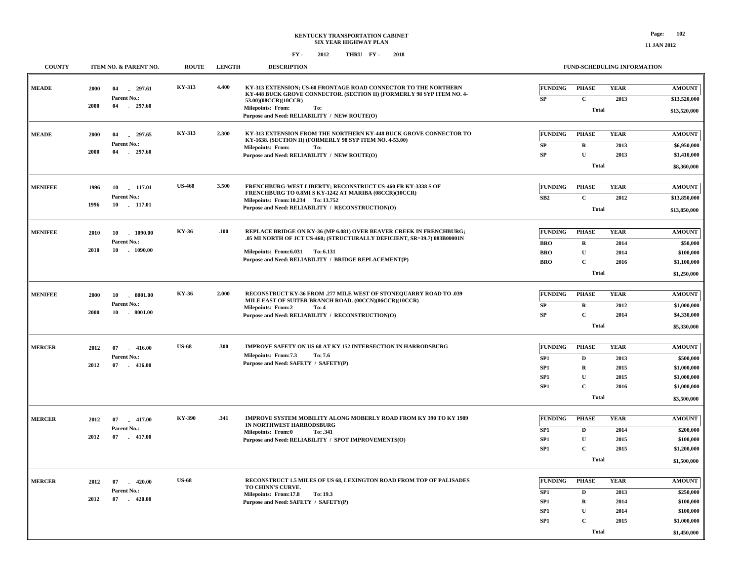| <b>COUNTY</b>  | <b>ITEM NO. &amp; PARENT NO.</b>       | <b>ROUTE</b>  | <b>LENGTH</b> | <b>DESCRIPTION</b>                                                                                                                                                |                      |                              | FUND-SCHEDULING INFORMATION |                               |
|----------------|----------------------------------------|---------------|---------------|-------------------------------------------------------------------------------------------------------------------------------------------------------------------|----------------------|------------------------------|-----------------------------|-------------------------------|
| <b>MEADE</b>   | 297.61<br>2000<br>04<br>Parent No.:    | KY-313        | 4.400         | KY-313 EXTENSION; US-60 FRONTAGE ROAD CONNECTOR TO THE NORTHERN<br>KY-448 BUCK GROVE CONNECTOR. (SECTION II) (FORMERLY 98 SYP ITEM NO. 4-<br>53.00)(08CCR)(10CCR) | <b>FUNDING</b><br>SP | <b>PHASE</b><br>$\mathbf{C}$ | <b>YEAR</b><br>2013         | <b>AMOUNT</b><br>\$13,520,000 |
|                | 2000<br>04<br>$-297.60$                |               |               | <b>Milepoints: From:</b><br>To:<br>Purpose and Need: RELIABILITY / NEW ROUTE(O)                                                                                   |                      | <b>Total</b>                 |                             | \$13,520,000                  |
| <b>MEADE</b>   | 297.65<br>2000<br>04                   | KY-313        | 2.300         | KY-313 EXTENSION FROM THE NORTHERN KY-448 BUCK GROVE CONNECTOR TO<br>KY-1638. (SECTION II) (FORMERLY 98 SYP ITEM NO. 4-53.00)                                     | <b>FUNDING</b>       | <b>PHASE</b>                 | <b>YEAR</b>                 | <b>AMOUNT</b>                 |
|                | Parent No.:<br>2000<br>04<br>297.60    |               |               | Milepoints: From:<br>To:<br>Purpose and Need: RELIABILITY / NEW ROUTE(O)                                                                                          | SP<br>SP             | $\mathbf R$<br>$\mathbf{U}$  | 2013<br>2013                | \$6,950,000<br>\$1,410,000    |
|                |                                        |               |               |                                                                                                                                                                   |                      | <b>Total</b>                 |                             | \$8,360,000                   |
| <b>MENIFEE</b> | 1996<br>10 117.01                      | <b>US-460</b> | 3.500         | FRENCHBURG-WEST LIBERTY; RECONSTRUCT US-460 FR KY-3338 S OF                                                                                                       | <b>FUNDING</b>       | <b>PHASE</b>                 | <b>YEAR</b>                 | <b>AMOUNT</b>                 |
|                | Parent No.:                            |               |               | FRENCHBURG TO 0.8MI S KY-1242 AT MARIBA (08CCR)(10CCR)<br>Milepoints: From: 10.234 To: 13.752                                                                     | SB2                  | $\mathbf{C}$                 | 2012                        | \$13,850,000                  |
|                | 1996<br>10 117.01                      |               |               | Purpose and Need: RELIABILITY / RECONSTRUCTION(O)                                                                                                                 |                      | <b>Total</b>                 |                             | \$13,850,000                  |
| <b>MENIFEE</b> | 10<br>1090.00<br>2010                  | KY-36         | .100          | REPLACE BRIDGE ON KY-36 (MP 6.081) OVER BEAVER CREEK IN FRENCHBURG;                                                                                               | <b>FUNDING</b>       | <b>PHASE</b>                 | <b>YEAR</b>                 | <b>AMOUNT</b>                 |
|                | Parent No.:                            |               |               | .05 MI NORTH OF JCT US-460; (STRUCTURALLY DEFICIENT, SR=39.7) 083B00001N                                                                                          | <b>BRO</b>           | R                            | 2014                        | \$50,000                      |
|                | 2010<br>10<br>1090.00                  |               |               | Milepoints: From: 6.031 To: 6.131<br>Purpose and Need: RELIABILITY / BRIDGE REPLACEMENT(P)                                                                        | <b>BRO</b>           | $\mathbf{U}$                 | 2014                        | \$100,000                     |
|                |                                        |               |               |                                                                                                                                                                   | <b>BRO</b>           | $\mathbf{C}$                 | 2016                        | \$1,100,000                   |
|                |                                        |               |               |                                                                                                                                                                   |                      | <b>Total</b>                 |                             | \$1,250,000                   |
| <b>MENIFEE</b> | 2000<br>10<br>$-8001.00$               | <b>KY-36</b>  | 2.000         | RECONSTRUCT KY-36 FROM .277 MILE WEST OF STONEQUARRY ROAD TO .039<br>MILE EAST OF SUITER BRANCH ROAD. (00CCN)(06CCR)(10CCR)                                       | <b>FUNDING</b>       | <b>PHASE</b>                 | <b>YEAR</b>                 | <b>AMOUNT</b>                 |
|                | Parent No.:<br>2000<br>10.5001.00      |               |               | <b>Milepoints: From:2</b><br>To: 4                                                                                                                                | SP                   | R                            | 2012                        | \$1,000,000                   |
|                |                                        |               |               | Purpose and Need: RELIABILITY / RECONSTRUCTION(O)                                                                                                                 | ${\bf SP}$           | $\mathbf C$                  | 2014                        | \$4,330,000                   |
|                |                                        |               |               |                                                                                                                                                                   |                      | <b>Total</b>                 |                             | \$5,330,000                   |
| <b>MERCER</b>  | 2012<br>07<br>416.00                   | <b>US-68</b>  | .300          | <b>IMPROVE SAFETY ON US 68 AT KY 152 INTERSECTION IN HARRODSBURG</b>                                                                                              | <b>FUNDING</b>       | <b>PHASE</b>                 | <b>YEAR</b>                 | <b>AMOUNT</b>                 |
|                | Parent No.:                            |               |               | Milepoints: From:7.3<br>To: 7.6                                                                                                                                   | SP <sub>1</sub>      | $\mathbf D$                  | 2013                        | \$500,000                     |
|                | 2012<br>07<br>$-416.00$                |               |               | Purpose and Need: SAFETY / SAFETY(P)                                                                                                                              | SP <sub>1</sub>      | R                            | 2015                        | \$1,000,000                   |
|                |                                        |               |               |                                                                                                                                                                   | SP1                  | $\mathbf{U}$                 | 2015                        | \$1,000,000                   |
|                |                                        |               |               |                                                                                                                                                                   | SP1                  | $\mathbf{C}$<br>Total        | 2016                        | \$1,000,000<br>\$3,500,000    |
|                |                                        |               |               |                                                                                                                                                                   |                      |                              |                             |                               |
| <b>MERCER</b>  | 2012<br>07<br>$-417.00$                | KY-390        | .341          | IMPROVE SYSTEM MOBILITY ALONG MOBERLY ROAD FROM KY 390 TO KY 1989<br>IN NORTHWEST HARRODSBURG                                                                     | <b>FUNDING</b>       | <b>PHASE</b>                 | <b>YEAR</b>                 | <b>AMOUNT</b>                 |
|                | Parent No.:<br>2012<br>07<br>$-417.00$ |               |               | Milepoints: From:0<br>To: .341                                                                                                                                    | SP <sub>1</sub>      | $\mathbf D$                  | 2014                        | \$200,000                     |
|                |                                        |               |               | Purpose and Need: RELIABILITY / SPOT IMPROVEMENTS(O)                                                                                                              | SP <sub>1</sub>      | ${\bf U}$                    | 2015                        | \$100,000                     |
|                |                                        |               |               |                                                                                                                                                                   | SP <sub>1</sub>      | $\mathbf C$<br>Total         | 2015                        | \$1,200,000<br>\$1,500,000    |
|                |                                        |               |               |                                                                                                                                                                   |                      |                              |                             |                               |
| <b>MERCER</b>  | $-420.00$<br>2012<br>07<br>Parent No.: | <b>US-68</b>  |               | RECONSTRUCT 1.5 MILES OF US 68, LEXINGTON ROAD FROM TOP OF PALISADES<br>TO CHINN'S CURVE.                                                                         | <b>FUNDING</b>       | <b>PHASE</b>                 | <b>YEAR</b>                 | <b>AMOUNT</b>                 |
|                | 2012<br>07<br>$-420.00$                |               |               | Milepoints: From:17.8<br>To: 19.3<br>Purpose and Need: SAFETY / SAFETY(P)                                                                                         | SP1<br>SP1           | D<br>$\mathbf R$             | 2013<br>2014                | \$250,000<br>\$100,000        |
|                |                                        |               |               |                                                                                                                                                                   | SP <sub>1</sub>      | ${\bf U}$                    | 2014                        | \$100,000                     |
|                |                                        |               |               |                                                                                                                                                                   | SP1                  | $\mathbf C$                  | 2015                        | \$1,000,000                   |
|                |                                        |               |               |                                                                                                                                                                   |                      | Total                        |                             | \$1,450,000                   |
|                |                                        |               |               |                                                                                                                                                                   |                      |                              |                             |                               |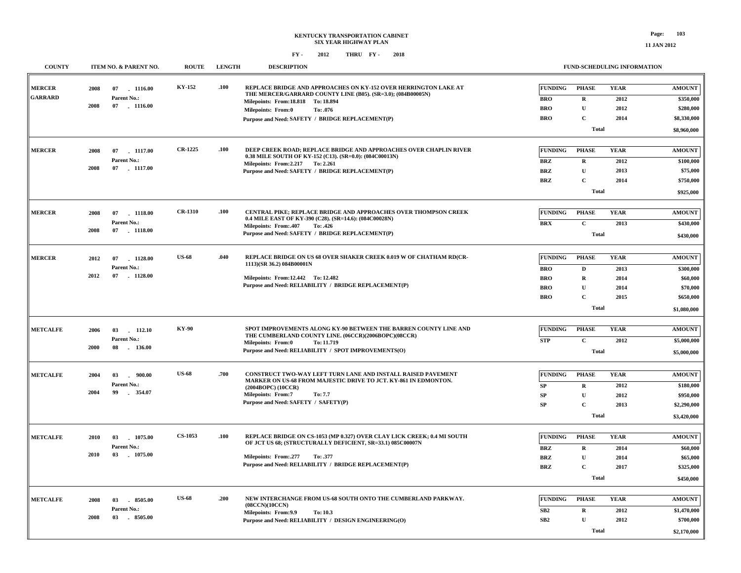| <b>COUNTY</b>                   | ITEM NO. & PARENT NO.                                            | <b>ROUTE</b>   | <b>LENGTH</b> | <b>DESCRIPTION</b>                                                                                                                                                            |                              | FUND-SCHEDULING INFORMATION |                     |                            |
|---------------------------------|------------------------------------------------------------------|----------------|---------------|-------------------------------------------------------------------------------------------------------------------------------------------------------------------------------|------------------------------|-----------------------------|---------------------|----------------------------|
| <b>MERCER</b><br><b>GARRARD</b> | 2008<br>07<br>1116.00<br>Parent No.:<br>2008<br>07<br>$-1116.00$ | <b>KY-152</b>  | .100          | <b>REPLACE BRIDGE AND APPROACHES ON KY-152 OVER HERRINGTON LAKE AT</b><br>THE MERCER/GARRARD COUNTY LINE (B05). (SR=3.0); (084B00005N)<br>Milepoints: From: 18.818 To: 18.894 | <b>FUNDING</b><br><b>BRO</b> | <b>PHASE</b><br>$\mathbf R$ | <b>YEAR</b><br>2012 | <b>AMOUNT</b><br>\$350,000 |
|                                 |                                                                  |                |               | <b>Milepoints: From:0</b><br>To: .076                                                                                                                                         | <b>BRO</b>                   | $\mathbf U$                 | 2012                | \$280,000                  |
|                                 |                                                                  |                |               | Purpose and Need: SAFETY / BRIDGE REPLACEMENT(P)                                                                                                                              | <b>BRO</b>                   | $\mathbf C$                 | 2014                | \$8,330,000                |
|                                 |                                                                  |                |               |                                                                                                                                                                               |                              | <b>Total</b>                |                     | \$8,960,000                |
| <b>MERCER</b>                   | 2008<br>07<br>1117.00                                            | CR-1225        | .100          | DEEP CREEK ROAD; REPLACE BRIDGE AND APPROACHES OVER CHAPLIN RIVER                                                                                                             | <b>FUNDING</b>               | <b>PHASE</b>                | <b>YEAR</b>         | <b>AMOUNT</b>              |
|                                 | Parent No.:                                                      |                |               | 0.38 MILE SOUTH OF KY-152 (C13). (SR=0.0): (084C00013N)                                                                                                                       | <b>BRZ</b>                   | $\mathbf R$                 | 2012                | \$100,000                  |
|                                 | 2008<br>07 1117.00                                               |                |               | Milepoints: From: 2.217 To: 2.261<br>Purpose and Need: SAFETY / BRIDGE REPLACEMENT(P)                                                                                         | <b>BRZ</b>                   | $\mathbf U$                 | 2013                | \$75,000                   |
|                                 |                                                                  |                |               |                                                                                                                                                                               | <b>BRZ</b>                   | $\mathbf C$                 | 2014                | \$750,000                  |
|                                 |                                                                  |                |               |                                                                                                                                                                               |                              | <b>Total</b>                |                     | \$925,000                  |
|                                 |                                                                  |                |               |                                                                                                                                                                               |                              |                             |                     |                            |
| <b>MERCER</b>                   | 2008<br>07<br>1118.00                                            | <b>CR-1310</b> | .100          | CENTRAL PIKE; REPLACE BRIDGE AND APPROACHES OVER THOMPSON CREEK                                                                                                               | <b>FUNDING</b>               | <b>PHASE</b>                | <b>YEAR</b>         | <b>AMOUNT</b>              |
|                                 | Parent No.:                                                      |                |               | 0.4 MILE EAST OF KY-390 (C28). (SR=14.6): (084C00028N)<br><b>Milepoints: From:.407</b><br>To: .426                                                                            | <b>BRX</b>                   | $\mathbf{C}$                | 2013                | \$430,000                  |
|                                 | 2008<br>07 1118.00                                               |                |               | Purpose and Need: SAFETY / BRIDGE REPLACEMENT(P)                                                                                                                              |                              | <b>Total</b>                |                     | \$430,000                  |
|                                 |                                                                  |                |               |                                                                                                                                                                               |                              |                             |                     |                            |
| <b>MERCER</b>                   | 2012<br>07<br>1128.00                                            | <b>US-68</b>   | .040          | REPLACE BRIDGE ON US 68 OVER SHAKER CREEK 0.019 W OF CHATHAM RD(CR-                                                                                                           | <b>FUNDING</b>               | <b>PHASE</b>                | <b>YEAR</b>         | <b>AMOUNT</b>              |
|                                 | Parent No.:                                                      |                |               | 1113)(SR 36.2) 084B00001N                                                                                                                                                     | <b>BRO</b>                   | D                           | 2013                | \$300,000                  |
|                                 | 2012<br>07<br>$-1128.00$                                         |                |               | Milepoints: From:12.442 To: 12.482                                                                                                                                            | <b>BRO</b>                   | $\mathbf R$                 | 2014                | \$60,000                   |
|                                 |                                                                  |                |               | Purpose and Need: RELIABILITY / BRIDGE REPLACEMENT(P)                                                                                                                         | <b>BRO</b>                   | $\mathbf U$                 | 2014                | \$70,000                   |
|                                 |                                                                  |                |               |                                                                                                                                                                               | <b>BRO</b>                   | $\mathbf C$                 | 2015                | \$650,000                  |
|                                 |                                                                  |                |               |                                                                                                                                                                               |                              | <b>Total</b>                |                     | \$1,080,000                |
| <b>METCALFE</b>                 |                                                                  | <b>KY-90</b>   |               | SPOT IMPROVEMENTS ALONG KY-90 BETWEEN THE BARREN COUNTY LINE AND                                                                                                              | <b>FUNDING</b>               | <b>PHASE</b>                | <b>YEAR</b>         | <b>AMOUNT</b>              |
|                                 | 2006<br>03<br>112.10<br>Parent No.:                              |                |               | THE CUMBERLAND COUNTY LINE. (06CCR)(2006BOPC)(08CCR)                                                                                                                          | <b>STP</b>                   | $\mathbf C$                 | 2012                | \$5,000,000                |
|                                 | 2000<br>08<br>136.00                                             |                |               | To: 11.719<br>Milepoints: From:0<br>Purpose and Need: RELIABILITY / SPOT IMPROVEMENTS(O)                                                                                      |                              | <b>Total</b>                |                     | \$5,000,000                |
|                                 |                                                                  |                |               |                                                                                                                                                                               |                              |                             |                     |                            |
| <b>METCALFE</b>                 | 2004<br>03 - 900.00                                              | <b>US-68</b>   | .700          | CONSTRUCT TWO-WAY LEFT TURN LANE AND INSTALL RAISED PAVEMENT                                                                                                                  | <b>FUNDING</b>               | <b>PHASE</b>                | <b>YEAR</b>         | <b>AMOUNT</b>              |
|                                 | Parent No.:                                                      |                |               | MARKER ON US-68 FROM MAJESTIC DRIVE TO JCT. KY-861 IN EDMONTON.<br>(2004BOPC) (10CCR)                                                                                         | SP                           | ${\bf R}$                   | 2012                | \$180,000                  |
|                                 | 2004<br>99<br>354.07                                             |                |               | <b>Milepoints: From:7</b><br>To: 7.7                                                                                                                                          | SP                           | $\mathbf U$                 | 2012                | \$950,000                  |
|                                 |                                                                  |                |               | Purpose and Need: SAFETY / SAFETY(P)                                                                                                                                          | ${\bf SP}$                   | $\mathbf C$                 | 2013                | \$2,290,000                |
|                                 |                                                                  |                |               |                                                                                                                                                                               |                              | <b>Total</b>                |                     | \$3,420,000                |
|                                 |                                                                  |                |               |                                                                                                                                                                               |                              |                             |                     |                            |
| <b>METCALFE</b>                 | 03<br>1075.00<br>2010                                            | <b>CS-1053</b> | .100          | REPLACE BRIDGE ON CS-1053 (MP 0.327) OVER CLAY LICK CREEK; 0.4 MI SOUTH<br>OF JCT US 68; (STRUCTURALLY DEFICIENT, SR=33.1) 085C00007N                                         | <b>FUNDING</b>               | <b>PHASE</b>                | <b>YEAR</b>         | <b>AMOUNT</b>              |
|                                 | Parent No.:<br>2010<br>03<br>1075.00                             |                |               |                                                                                                                                                                               | <b>BRZ</b>                   | $\mathbf R$                 | 2014                | \$60,000                   |
|                                 |                                                                  |                |               | Milepoints: From: .277<br>To: .377<br>Purpose and Need: RELIABILITY / BRIDGE REPLACEMENT(P)                                                                                   | <b>BRZ</b>                   | $\mathbf U$                 | 2014                | \$65,000                   |
|                                 |                                                                  |                |               |                                                                                                                                                                               | <b>BRZ</b>                   | $\mathbf C$<br>Total        | 2017                | \$325,000                  |
|                                 |                                                                  |                |               |                                                                                                                                                                               |                              |                             |                     | \$450,000                  |
| <b>METCALFE</b>                 | 2008<br>8505.00<br>03                                            | <b>US-68</b>   | .200          | NEW INTERCHANGE FROM US-68 SOUTH ONTO THE CUMBERLAND PARKWAY.                                                                                                                 | <b>FUNDING</b>               | <b>PHASE</b>                | <b>YEAR</b>         | <b>AMOUNT</b>              |
|                                 | Parent No.:                                                      |                |               | (08CCN)(10CCN)<br>Milepoints: From: 9.9<br>To: 10.3                                                                                                                           | SB <sub>2</sub>              | $\mathbf R$                 | 2012                | \$1,470,000                |
|                                 | 2008<br>03<br>$-8505.00$                                         |                |               | Purpose and Need: RELIABILITY / DESIGN ENGINEERING(O)                                                                                                                         | SB <sub>2</sub>              | $\mathbf{U}$                | 2012                | \$700,000                  |
|                                 |                                                                  |                |               |                                                                                                                                                                               |                              | Total                       |                     | \$2,170,000                |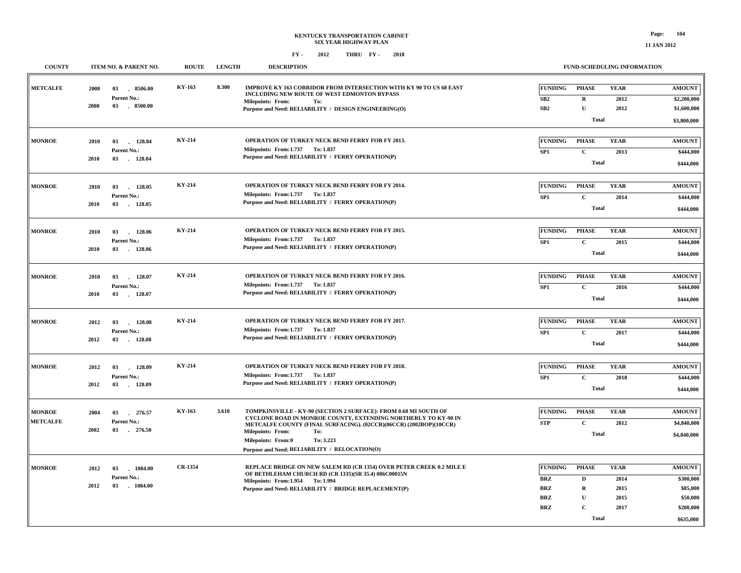| <b>COUNTY</b>   |      | ITEM NO. & PARENT NO.         | <b>ROUTE</b>  | <b>LENGTH</b> | <b>DESCRIPTION</b>                                                                                                                   |                                  | FUND-SCHEDULING INFORMATION |                     |                              |
|-----------------|------|-------------------------------|---------------|---------------|--------------------------------------------------------------------------------------------------------------------------------------|----------------------------------|-----------------------------|---------------------|------------------------------|
| <b>METCALFE</b> | 2008 | 03<br>8506.00<br>Parent No.:  | KY-163        | 8.300         | IMPROVE KY 163 CORRIDOR FROM INTERSECTION WITH KY 90 TO US 68 EAST<br>INCLUDING NEW ROUTE OF WEST EDMONTON BYPASS                    | <b>FUNDING</b><br>SB2            | <b>PHASE</b><br>$\mathbf R$ | <b>YEAR</b><br>2012 | <b>AMOUNT</b><br>\$2,200,000 |
|                 | 2008 | 03<br>.8500.00                |               |               | <b>Milepoints: From:</b><br>To:<br>Purpose and Need: RELIABILITY / DESIGN ENGINEERING(O)                                             | SB2                              | ${\bf U}$                   | 2012                | \$1,600,000                  |
|                 |      |                               |               |               |                                                                                                                                      |                                  |                             |                     |                              |
|                 |      |                               |               |               |                                                                                                                                      |                                  | <b>Total</b>                |                     | \$3,800,000                  |
|                 |      |                               | <b>KY-214</b> |               |                                                                                                                                      |                                  |                             |                     |                              |
| <b>MONROE</b>   | 2010 | 03<br>128.04                  |               |               | OPERATION OF TURKEY NECK BEND FERRY FOR FY 2013.<br>Milepoints: From:1.737 To: 1.837                                                 | <b>FUNDING</b>                   | <b>PHASE</b>                | <b>YEAR</b>         | <b>AMOUNT</b>                |
|                 | 2010 | Parent No.:<br>03 128.04      |               |               | Purpose and Need: RELIABILITY / FERRY OPERATION(P)                                                                                   | SP1                              | $\mathbf{C}$                | 2013                | \$444,000                    |
|                 |      |                               |               |               |                                                                                                                                      |                                  | <b>Total</b>                |                     | \$444,000                    |
|                 |      |                               |               |               |                                                                                                                                      |                                  |                             |                     |                              |
| <b>MONROE</b>   | 2010 | 128.05<br>03                  | KY-214        |               | OPERATION OF TURKEY NECK BEND FERRY FOR FY 2014.                                                                                     | FUNDING                          | <b>PHASE</b>                | <b>YEAR</b>         | <b>AMOUNT</b>                |
|                 |      | Parent No.:                   |               |               | Milepoints: From:1.737 To: 1.837                                                                                                     | SP1                              | $\mathbf{C}$                | 2014                | \$444,000                    |
|                 | 2010 | 03 128.05                     |               |               | Purpose and Need: RELIABILITY / FERRY OPERATION(P)                                                                                   |                                  | <b>Total</b>                |                     | \$444,000                    |
|                 |      |                               |               |               |                                                                                                                                      |                                  |                             |                     |                              |
| <b>MONROE</b>   |      |                               | <b>KY-214</b> |               | OPERATION OF TURKEY NECK BEND FERRY FOR FY 2015.                                                                                     | <b>FUNDING</b>                   | <b>PHASE</b>                | <b>YEAR</b>         | <b>AMOUNT</b>                |
|                 | 2010 | 03 128.06<br>Parent No.:      |               |               | Milepoints: From:1.737 To: 1.837                                                                                                     |                                  |                             |                     |                              |
|                 | 2010 | 03<br>$-128.06$               |               |               | Purpose and Need: RELIABILITY / FERRY OPERATION(P)                                                                                   | SP1                              | $\mathbf C$                 | 2015                | \$444,000                    |
|                 |      |                               |               |               |                                                                                                                                      |                                  | <b>Total</b>                |                     | \$444,000                    |
|                 |      |                               |               |               |                                                                                                                                      |                                  |                             |                     |                              |
| <b>MONROE</b>   | 2010 | 03<br>128.07                  | <b>KY-214</b> |               | OPERATION OF TURKEY NECK BEND FERRY FOR FY 2016.                                                                                     | <b>FUNDING</b>                   | <b>PHASE</b>                | <b>YEAR</b>         | <b>AMOUNT</b>                |
|                 |      | Parent No.:                   |               |               | Milepoints: From: 1.737 To: 1.837                                                                                                    | SP <sub>1</sub>                  | $\mathbf C$                 | 2016                | \$444,000                    |
|                 | 2010 | 03<br>128.07                  |               |               | Purpose and Need: RELIABILITY / FERRY OPERATION(P)                                                                                   |                                  | <b>Total</b>                |                     | \$444,000                    |
|                 |      |                               |               |               |                                                                                                                                      |                                  |                             |                     |                              |
| <b>MONROE</b>   | 2012 | 03<br>128.08                  | <b>KY-214</b> |               | OPERATION OF TURKEY NECK BEND FERRY FOR FY 2017.                                                                                     | FUNDING                          | <b>PHASE</b>                | <b>YEAR</b>         | <b>AMOUNT</b>                |
|                 |      | Parent No.:                   |               |               | Milepoints: From: 1.737 To: 1.837                                                                                                    | SP1                              | $\mathbf C$                 | 2017                | \$444,000                    |
|                 | 2012 | 03 128.08                     |               |               | Purpose and Need: RELIABILITY / FERRY OPERATION(P)                                                                                   |                                  | <b>Total</b>                |                     |                              |
|                 |      |                               |               |               |                                                                                                                                      |                                  |                             |                     | \$444,000                    |
|                 |      |                               |               |               |                                                                                                                                      |                                  |                             |                     |                              |
| <b>MONROE</b>   | 2012 | 03<br>128.09                  | KY-214        |               | OPERATION OF TURKEY NECK BEND FERRY FOR FY 2018.                                                                                     | <b>FUNDING</b>                   | <b>PHASE</b>                | <b>YEAR</b>         | <b>AMOUNT</b>                |
|                 | 2012 | Parent No.:<br>03<br>. 128.09 |               |               | Milepoints: From: 1.737 To: 1.837<br>Purpose and Need: RELIABILITY / FERRY OPERATION(P)                                              | SP1                              | $\mathbf C$                 | 2018                | \$444,000                    |
|                 |      |                               |               |               |                                                                                                                                      |                                  | <b>Total</b>                |                     | \$444,000                    |
|                 |      |                               |               |               |                                                                                                                                      |                                  |                             |                     |                              |
| <b>MONROE</b>   | 2004 | 276.57<br>03                  | KY-163        | 3.610         | TOMPKINSVILLE - KY-90 (SECTION 2 SURFACE): FROM 0.68 MI SOUTH OF                                                                     | <b>FUNDING</b>                   | <b>PHASE</b>                | <b>YEAR</b>         | <b>AMOUNT</b>                |
| <b>METCALFE</b> |      | Parent No.:                   |               |               | CYCLONE ROAD IN MONROE COUNTY, EXTENDING NORTHERLY TO KY-90 IN<br>METCALFE COUNTY (FINAL SURFACING). (02CCR)(06CCR) (2002BOP)(10CCR) | <b>STP</b>                       | $\mathbf{C}$                | 2012                | \$4,840,000                  |
|                 | 2002 | 03<br>$-276.50$               |               |               | <b>Milepoints: From:</b><br>To:                                                                                                      |                                  | <b>Total</b>                |                     | \$4,840,000                  |
|                 |      |                               |               |               | To: 3.223<br>Milepoints: From:0                                                                                                      |                                  |                             |                     |                              |
|                 |      |                               |               |               | Purpose and Need: RELIABILITY / RELOCATION(O)                                                                                        |                                  |                             |                     |                              |
|                 |      |                               |               |               |                                                                                                                                      |                                  |                             |                     |                              |
| <b>MONROE</b>   | 2012 | 03<br>1084.00                 | CR-1354       |               | REPLACE BRIDGE ON NEW SALEM RD (CR 1354) OVER PETER CREEK 0.2 MILE E<br>OF BETHLEHAM CHURCH RD (CR 1335)(SR 35.4) 086C00015N         | <b>FUNDING</b>                   | <b>PHASE</b>                | <b>YEAR</b>         | <b>AMOUNT</b>                |
|                 | 2012 | Parent No.:<br>03<br>1084.00  |               |               | Milepoints: From:1.954 To:1.994                                                                                                      | $\mathbf{B}\mathbf{R}\mathbf{Z}$ | $\mathbf D$                 | 2014                | \$300,000                    |
|                 |      |                               |               |               | Purpose and Need: RELIABILITY / BRIDGE REPLACEMENT(P)                                                                                | <b>BRZ</b>                       | $\mathbf R$                 | 2015                | \$85,000                     |
|                 |      |                               |               |               |                                                                                                                                      | <b>BRZ</b>                       | $\mathbf U$                 | 2015                | \$50,000                     |
|                 |      |                               |               |               |                                                                                                                                      | <b>BRZ</b>                       | $\mathbf{C}$                | 2017                | \$200,000                    |
|                 |      |                               |               |               |                                                                                                                                      |                                  | <b>Total</b>                |                     | \$635,000                    |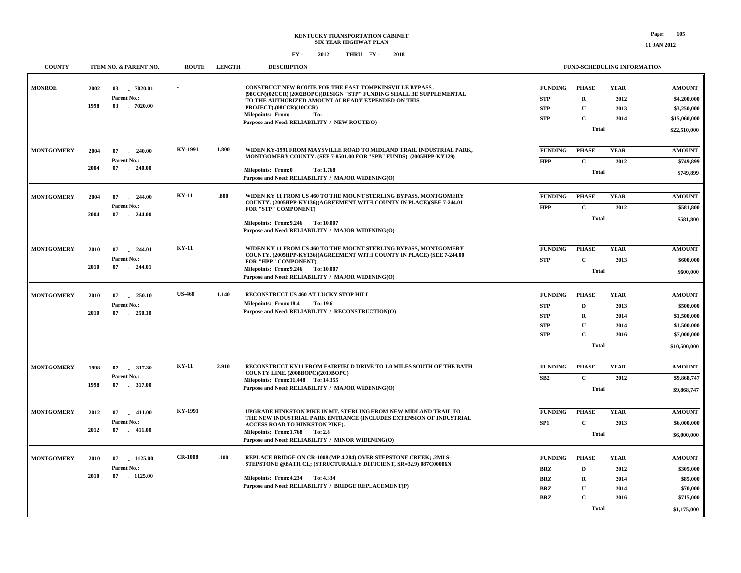| <b>COUNTY</b>     | ITEM NO. & PARENT NO.                                             | <b>ROUTE</b>   | <b>LENGTH</b> | <b>DESCRIPTION</b>                                                                                                                                                                                                                                                                                       |                                                                 | FUND-SCHEDULING INFORMATION                                               |                                             |                                                                                         |
|-------------------|-------------------------------------------------------------------|----------------|---------------|----------------------------------------------------------------------------------------------------------------------------------------------------------------------------------------------------------------------------------------------------------------------------------------------------------|-----------------------------------------------------------------|---------------------------------------------------------------------------|---------------------------------------------|-----------------------------------------------------------------------------------------|
| <b>MONROE</b>     | 2002<br>03<br>7020.01<br>Parent No.:<br>1998<br>03 . 7020.00      |                |               | <b>CONSTRUCT NEW ROUTE FOR THE EAST TOMPKINSVILLE BYPASS.</b><br>(98CCN)(02CCR) (2002BOPC)(DESIGN "STP" FUNDING SHALL BE SUPPLEMENTAL<br>TO THE AUTHORIZED AMOUNT ALREADY EXPENDED ON THIS<br>PROJECT).(08CCR)(10CCR)<br><b>Milepoints: From:</b><br>To:<br>Purpose and Need: RELIABILITY / NEW ROUTE(O) | <b>FUNDING</b><br><b>STP</b><br><b>STP</b><br><b>STP</b>        | <b>PHASE</b><br>$\mathbf R$<br>$\mathbf U$<br>$\mathbf C$<br><b>Total</b> | <b>YEAR</b><br>2012<br>2013<br>2014         | <b>AMOUNT</b><br>\$4,200,000<br>\$3,250,000<br>\$15,060,000<br>\$22,510,000             |
| <b>MONTGOMERY</b> | 2004<br>07<br>240.00<br>Parent No.:<br>2004<br>07<br>240.00       | KY-1991        | 1.800         | WIDEN KY-1991 FROM MAYSVILLE ROAD TO MIDLAND TRAIL INDUSTRIAL PARK,<br>MONTGOMERY COUNTY. (SEE 7-8501.00 FOR "SPB" FUNDS) (2005HPP-KY129)<br>Milepoints: From:0<br>To: 1.768<br>Purpose and Need: RELIABILITY / MAJOR WIDENING(O)                                                                        | <b>FUNDING</b><br><b>HPP</b>                                    | <b>PHASE</b><br>$\mathbf C$<br><b>Total</b>                               | <b>YEAR</b><br>2012                         | <b>AMOUNT</b><br>\$749,899<br>\$749,899                                                 |
| <b>MONTGOMERY</b> | 2004<br>07<br>244.00<br>Parent No.:<br>2004<br>07<br>$-244.00$    | <b>KY-11</b>   | .800          | WIDEN KY 11 FROM US 460 TO THE MOUNT STERLING BYPASS, MONTGOMERY<br>COUNTY. (2005HPP-KY136)(AGREEMENT WITH COUNTY IN PLACE)(SEE 7-244.01<br>FOR "STP" COMPONENT)<br>Milepoints: From: 9.246 To: 10.007<br>Purpose and Need: RELIABILITY / MAJOR WIDENING(O)                                              | <b>FUNDING</b><br><b>HPP</b>                                    | <b>PHASE</b><br>$\mathbf C$<br><b>Total</b>                               | <b>YEAR</b><br>2012                         | <b>AMOUNT</b><br>\$581,800<br>\$581,800                                                 |
| <b>MONTGOMERY</b> | 2010<br>07<br>244.01<br>Parent No.:<br>2010<br>07<br>$-244.01$    | <b>KY-11</b>   |               | WIDEN KY 11 FROM US 460 TO THE MOUNT STERLING BYPASS, MONTGOMERY<br>COUNTY. (2005HPP-KY136)(AGREEMENT WITH COUNTY IN PLACE) (SEE 7-244.00<br>FOR "HPP" COMPONENT)<br>Milepoints: From: 9.246 To: 10.007<br>Purpose and Need: RELIABILITY / MAJOR WIDENING(O)                                             | FUNDING<br><b>STP</b>                                           | <b>PHASE</b><br>$\mathbf{C}$<br><b>Total</b>                              | <b>YEAR</b><br>2013                         | <b>AMOUNT</b><br>\$600,000<br>\$600,000                                                 |
| <b>MONTGOMERY</b> | 2010<br>07<br>250.10<br>Parent No.:<br>2010<br>07<br>250.10       | <b>US-460</b>  | 1.140         | RECONSTRUCT US 460 AT LUCKY STOP HILL<br>Milepoints: From:18.4 To:19.6<br>Purpose and Need: RELIABILITY / RECONSTRUCTION(O)                                                                                                                                                                              | FUNDING<br><b>STP</b><br><b>STP</b><br><b>STP</b><br><b>STP</b> | <b>PHASE</b><br>$\mathbf{D}$<br>R<br>U<br>C<br><b>Total</b>               | <b>YEAR</b><br>2013<br>2014<br>2014<br>2016 | <b>AMOUNT</b><br>\$500,000<br>\$1,500,000<br>\$1,500,000<br>\$7,000,000<br>\$10,500,000 |
| <b>MONTGOMERY</b> | 1998<br>07 . 317.30<br>Parent No.:<br>1998<br>07<br>$-317.00$     | <b>KY-11</b>   | 2.910         | RECONSTRUCT KY11 FROM FAIRFIELD DRIVE TO 1.0 MILES SOUTH OF THE BATH<br>COUNTY LINE. (2008BOPC)(2010BOPC)<br>Milepoints: From:11.448 To: 14.355<br>Purpose and Need: RELIABILITY / MAJOR WIDENING(O)                                                                                                     | <b>FUNDING</b><br>SB <sub>2</sub>                               | <b>PHASE</b><br>$\mathbf C$<br><b>Total</b>                               | <b>YEAR</b><br>2012                         | <b>AMOUNT</b><br>\$9,868,747<br>\$9,868,747                                             |
| <b>MONTGOMERY</b> | 2012<br>07<br>$-411.00$<br>Parent No.:<br>2012<br>$-411.00$<br>07 | KY-1991        |               | UPGRADE HINKSTON PIKE IN MT. STERLING FROM NEW MIDLAND TRAIL TO<br>THE NEW INDUSTRIAL PARK ENTRANCE (INCLUDES EXTENSION OF INDUSTRIAL<br>ACCESS ROAD TO HINKSTON PIKE).<br>Milepoints: From:1.768 To: 2.8<br>Purpose and Need: RELIABILITY / MINOR WIDENING(O)                                           | <b>FUNDING</b><br>SP1                                           | <b>PHASE</b><br>$\mathbf{C}$<br><b>Total</b>                              | <b>YEAR</b><br>2013                         | <b>AMOUNT</b><br>\$6,000,000<br>\$6,000,000                                             |
| <b>MONTGOMERY</b> | 2010<br>07 1125.00<br>Parent No.:<br>2010<br>07<br>1125.00        | <b>CR-1008</b> | .100          | REPLACE BRIDGE ON CR-1008 (MP 4.284) OVER STEPSTONE CREEK; .2MI S-<br>STEPSTONE @BATH CL; (STRUCTURALLY DEFICIENT, SR=32.9) 087C00006N<br>Milepoints: From: 4.234 To: 4.334<br>Purpose and Need: RELIABILITY / BRIDGE REPLACEMENT(P)                                                                     | <b>FUNDING</b><br><b>BRZ</b><br>BRZ<br>BRZ<br><b>BRZ</b>        | <b>PHASE</b><br>D<br>${\bf R}$<br>U<br>C<br><b>Total</b>                  | <b>YEAR</b><br>2012<br>2014<br>2014<br>2016 | <b>AMOUNT</b><br>\$305,000<br>\$85,000<br>\$70,000<br>\$715,000<br>\$1,175,000          |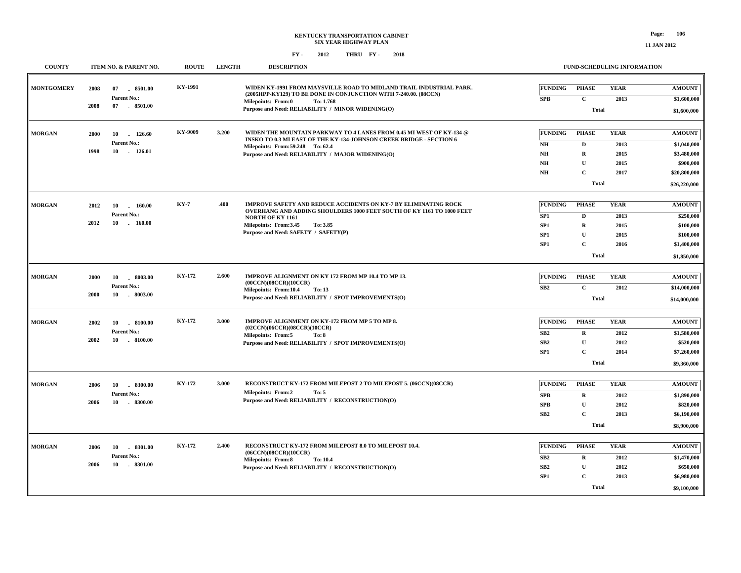**\$9,100,000**

**Total**

#### **FY - FY - 2012 2018 THRU**

| <b>COUNTY</b>     | ITEM NO. & PARENT NO.                                               | <b>ROUTE</b>  | <b>LENGTH</b> | <b>DESCRIPTION</b>                                                                                                                                                                                                                                      |                                                                        | FUND-SCHEDULING INFORMATION                                               |                                             |                                                                                          |
|-------------------|---------------------------------------------------------------------|---------------|---------------|---------------------------------------------------------------------------------------------------------------------------------------------------------------------------------------------------------------------------------------------------------|------------------------------------------------------------------------|---------------------------------------------------------------------------|---------------------------------------------|------------------------------------------------------------------------------------------|
| <b>MONTGOMERY</b> | 2008<br>8501.00<br>07<br>Parent No.:<br>07<br>2008<br>$-8501.00$    | KY-1991       |               | WIDEN KY-1991 FROM MAYSVILLE ROAD TO MIDLAND TRAIL INDUSTRIAL PARK.<br>(2005HPP-KY129) TO BE DONE IN CONJUNCTION WITH 7-240.00. (08CCN)<br><b>Milepoints: From:0</b><br>To: 1.768<br>Purpose and Need: RELIABILITY / MINOR WIDENING(O)                  | <b>FUNDING</b><br>SPB                                                  | <b>PHASE</b><br>$\mathbf{C}$<br><b>Total</b>                              | <b>YEAR</b><br>2013                         | <b>AMOUNT</b><br>\$1,600,000<br>\$1,600,000                                              |
| <b>MORGAN</b>     | 2000<br>10<br>126.60<br>Parent No.:<br>1998<br>10<br>126.01         | KY-9009       | 3.200         | WIDEN THE MOUNTAIN PARKWAY TO 4 LANES FROM 0.45 MI WEST OF KY-134 @<br>INSKO TO 0.3 MI EAST OF THE KY-134-JOHNSON CREEK BRIDGE - SECTION 6<br>Milepoints: From: 59.248 To: 62.4<br>Purpose and Need: RELIABILITY / MAJOR WIDENING(O)                    | <b>FUNDING</b><br>NH<br>N <sub>H</sub><br>NH<br>$\mathbf{N}\mathbf{H}$ | <b>PHASE</b><br>D<br>$\mathbf R$<br>U<br>$\mathbf{C}$<br>Total            | <b>YEAR</b><br>2013<br>2015<br>2015<br>2017 | <b>AMOUNT</b><br>\$1,040,000<br>\$3,480,000<br>\$900,000<br>\$20,800,000<br>\$26,220,000 |
| <b>MORGAN</b>     | 160.00<br>2012<br>10<br>Parent No.:<br>2012<br>10<br>$-160.00$      | <b>KY-7</b>   | .400          | IMPROVE SAFETY AND REDUCE ACCIDENTS ON KY-7 BY ELIMINATING ROCK<br><b>OVERHANG AND ADDING SHOULDERS 1000 FEET SOUTH OF KY 1161 TO 1000 FEET</b><br><b>NORTH OF KY 1161</b><br>Milepoints: From:3.45<br>To: 3.85<br>Purpose and Need: SAFETY / SAFETY(P) | <b>FUNDING</b><br>SP1<br>SP <sub>1</sub><br>SP1<br>SP <sub>1</sub>     | <b>PHASE</b><br>D<br>$\mathbf R$<br>$\mathbf{U}$<br>$\mathbf{C}$<br>Total | <b>YEAR</b><br>2013<br>2015<br>2015<br>2016 | <b>AMOUNT</b><br>\$250,000<br>\$100,000<br>\$100,000<br>\$1,400,000<br>\$1,850,000       |
| <b>MORGAN</b>     | 2000<br>10<br>.8003.00<br>Parent No.:<br>2000<br>10<br>. 8003.00    | KY-172        | 2.600         | IMPROVE ALIGNMENT ON KY 172 FROM MP 10.4 TO MP 13.<br>(00CCN)(08CCR)(10CCR)<br>Milepoints: From:10.4<br>To: 13<br>Purpose and Need: RELIABILITY / SPOT IMPROVEMENTS(O)                                                                                  | <b>FUNDING</b><br>SB2                                                  | <b>PHASE</b><br>$\mathbf{C}$<br><b>Total</b>                              | <b>YEAR</b><br>2012                         | <b>AMOUNT</b><br>\$14,000,000<br>\$14,000,000                                            |
| <b>MORGAN</b>     | 2002<br>10<br>$-8100.00$<br>Parent No.:<br>2002<br>10<br>8100.00    | KY-172        | 3.000         | IMPROVE ALIGNMENT ON KY-172 FROM MP 5 TO MP 8.<br>(02CCN)(06CCR)(08CCR)(10CCR)<br>Milepoints: From:5<br>To: 8<br>Purpose and Need: RELIABILITY / SPOT IMPROVEMENTS(O)                                                                                   | <b>FUNDING</b><br>SB2<br>SB <sub>2</sub><br>SP <sub>1</sub>            | <b>PHASE</b><br>$\mathbf R$<br>${\bf U}$<br>$\mathbf C$<br>Total          | <b>YEAR</b><br>2012<br>2012<br>2014         | <b>AMOUNT</b><br>\$1,580,000<br>\$520,000<br>\$7,260,000<br>\$9,360,000                  |
| <b>MORGAN</b>     | .8300.00<br>2006<br>10<br>Parent No.:<br>2006<br>10<br>$-8300.00$   | <b>KY-172</b> | 3.000         | RECONSTRUCT KY-172 FROM MILEPOST 2 TO MILEPOST 5. (06CCN)(08CCR)<br><b>Milepoints: From:2</b><br>To: 5<br>Purpose and Need: RELIABILITY / RECONSTRUCTION(O)                                                                                             | <b>FUNDING</b><br><b>SPB</b><br><b>SPB</b><br>SB2                      | <b>PHASE</b><br>$\mathbf R$<br>$\mathbf U$<br>$\mathbf C$<br>Total        | <b>YEAR</b><br>2012<br>2012<br>2013         | <b>AMOUNT</b><br>\$1,890,000<br>\$820,000<br>\$6,190,000<br>\$8,900,000                  |
| <b>MORGAN</b>     | $-8301.00$<br>2006<br>10<br>Parent No.:<br>10<br>$-8301.00$<br>2006 | <b>KY-172</b> | 2.400         | RECONSTRUCT KY-172 FROM MILEPOST 8.0 TO MILEPOST 10.4.<br>(06CCN)(08CCR)(10CCR)<br><b>Milepoints: From:8</b><br>To: 10.4<br>Purpose and Need: RELIABILITY / RECONSTRUCTION(O)                                                                           | <b>FUNDING</b><br>SB2<br>SB2<br>SP <sub>1</sub>                        | <b>PHASE</b><br>$\mathbf R$<br>$\mathbf U$<br>$\mathbf C$                 | <b>YEAR</b><br>2012<br>2012<br>2013         | <b>AMOUNT</b><br>\$1,470,000<br>\$650,000<br>\$6,980,000                                 |

**11 JAN 2012**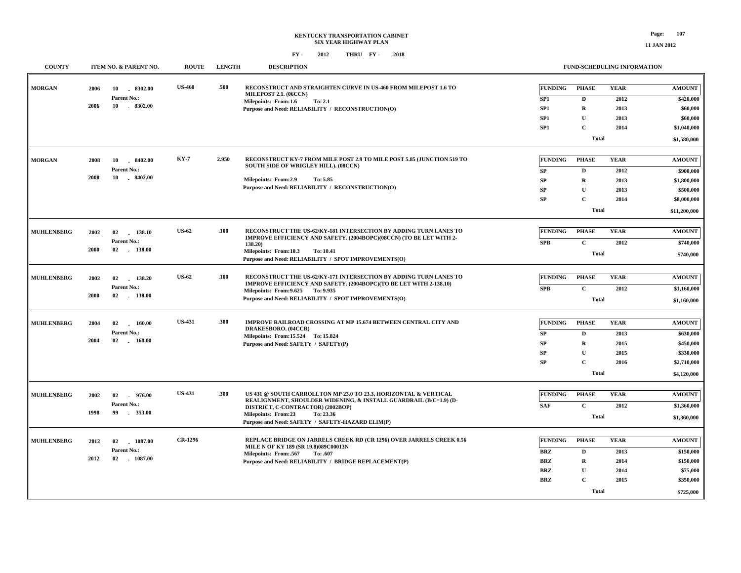**\$725,000**

**Total**

#### **FY - FY - 2012 2018 THRU**

**COUNTY ITEM NO. & PARENT NO. ROUTE LENGTH DESCRIPTION**

| <b>MORGAN</b>     | 2006        | 10<br>8302.00<br>Parent No.: | <b>US-460</b>  | .500                                                                                                     | RECONSTRUCT AND STRAIGHTEN CURVE IN US-460 FROM MILEPOST 1.6 TO                                                       | <b>FUNDING</b>  | PHASE        | <b>YEAR</b> | <b>AMOUNT</b> |
|-------------------|-------------|------------------------------|----------------|----------------------------------------------------------------------------------------------------------|-----------------------------------------------------------------------------------------------------------------------|-----------------|--------------|-------------|---------------|
|                   |             |                              |                |                                                                                                          | <b>MILEPOST 2.1. (06CCN)</b><br>Milepoints: From:1.6<br>To: 2.1                                                       | SP1             | D            | 2012        | \$420,000     |
|                   | 2006        | $-8302.00$<br>10             |                |                                                                                                          | Purpose and Need: RELIABILITY / RECONSTRUCTION(O)                                                                     | SP <sub>1</sub> | $\mathbf R$  | 2013        | \$60,000      |
|                   |             |                              |                |                                                                                                          |                                                                                                                       | SP <sub>1</sub> | $\mathbf{U}$ | 2013        | \$60,000      |
|                   |             |                              |                |                                                                                                          |                                                                                                                       | SP1             | $\mathbf{C}$ | 2014        | \$1,040,000   |
|                   |             |                              |                |                                                                                                          |                                                                                                                       |                 | <b>Total</b> |             | \$1,580,000   |
|                   |             |                              |                |                                                                                                          |                                                                                                                       |                 |              |             |               |
| <b>MORGAN</b>     | 2008        | 8402.00<br>10                | KY-7           | 2.950                                                                                                    | RECONSTRUCT KY-7 FROM MILE POST 2.9 TO MILE POST 5.85 (JUNCTION 519 TO<br><b>SOUTH SIDE OF WRIGLEY HILL). (08CCN)</b> | <b>FUNDING</b>  | PHASE        | <b>YEAR</b> | <b>AMOUNT</b> |
|                   |             | Parent No.:                  |                |                                                                                                          |                                                                                                                       | SP              | D            | 2012        | \$900,000     |
|                   | 2008        | $-8402.00$<br>10             |                |                                                                                                          | Milepoints: From:2.9<br>To: 5.85                                                                                      | SP              | R            | 2013        | \$1,800,000   |
|                   |             |                              |                |                                                                                                          | Purpose and Need: RELIABILITY / RECONSTRUCTION(O)                                                                     | SP              | $\mathbf{U}$ | 2013        | \$500,000     |
|                   |             |                              |                |                                                                                                          |                                                                                                                       | SP              | $\mathbf{C}$ | 2014        | \$8,000,000   |
|                   |             |                              |                |                                                                                                          |                                                                                                                       |                 | <b>Total</b> |             | \$11,200,000  |
| <b>MUHLENBERG</b> | 2002        | 138.10<br>02                 | <b>US-62</b>   | .100                                                                                                     | RECONSTRUCT THE US-62/KY-181 INTERSECTION BY ADDING TURN LANES TO                                                     | <b>FUNDING</b>  | <b>PHASE</b> | <b>YEAR</b> | <b>AMOUNT</b> |
|                   |             | Parent No.:                  |                |                                                                                                          | IMPROVE EFFICIENCY AND SAFETY. (2004BOPC)(08CCN) (TO BE LET WITH 2-                                                   | <b>SPB</b>      | $\mathbf{C}$ | 2012        | \$740,000     |
|                   | 2000        | 02 138.00                    |                |                                                                                                          | 138.20)<br>Milepoints: From:10.3<br>To: 10.41                                                                         |                 |              |             |               |
|                   |             |                              |                |                                                                                                          | Purpose and Need: RELIABILITY / SPOT IMPROVEMENTS(O)                                                                  |                 | <b>Total</b> |             | \$740,000     |
| <b>MUHLENBERG</b> | 2002        | 02<br>138.20                 | <b>US-62</b>   | .100                                                                                                     | RECONSTRUCT THE US-62/KY-171 INTERSECTION BY ADDING TURN LANES TO                                                     | FUNDING         | <b>PHASE</b> | YEAR        | <b>AMOUNT</b> |
|                   | Parent No.: |                              |                | IMPROVE EFFICIENCY AND SAFETY. (2004BOPC) (TO BE LET WITH 2-138.10)<br>Milepoints: From: 9.625 To: 9.935 | <b>SPB</b>                                                                                                            | $\mathbf{C}$    | 2012         | \$1,160,000 |               |
|                   | 2000        | 02<br>138.00                 |                |                                                                                                          | Purpose and Need: RELIABILITY / SPOT IMPROVEMENTS(O)                                                                  |                 | <b>Total</b> |             | \$1,160,000   |
|                   |             |                              |                |                                                                                                          |                                                                                                                       |                 |              |             |               |
| <b>MUHLENBERG</b> | 2004        | 02<br>160.00                 | <b>US-431</b>  | .300                                                                                                     | <b>IMPROVE RAILROAD CROSSING AT MP 15.674 BETWEEN CENTRAL CITY AND</b><br>DRAKESBORO. (04CCR)                         | <b>FUNDING</b>  | <b>PHASE</b> | <b>YEAR</b> | <b>AMOUNT</b> |
|                   |             | Parent No.:                  |                |                                                                                                          | Milepoints: From: 15.524 To: 15.824                                                                                   | SP              | D            | 2013        | \$630,000     |
|                   | 2004        | $02$ 160.00                  |                |                                                                                                          | Purpose and Need: SAFETY / SAFETY(P)                                                                                  | SP              | $\mathbf R$  | 2015        | \$450,000     |
|                   |             |                              |                |                                                                                                          |                                                                                                                       | ${\bf SP}$      | $\mathbf{U}$ | 2015        | \$330,000     |
|                   |             |                              |                |                                                                                                          |                                                                                                                       | SP              | $\mathbf C$  | 2016        | \$2,710,000   |
|                   |             |                              |                |                                                                                                          |                                                                                                                       |                 | <b>Total</b> |             | \$4,120,000   |
| <b>MUHLENBERG</b> | 2002        | 02<br>976.00                 | <b>US-431</b>  | .300                                                                                                     | US 431 @ SOUTH CARROLLTON MP 23.0 TO 23.3, HORIZONTAL & VERTICAL                                                      | <b>FUNDING</b>  | PHASE        | <b>YEAR</b> | <b>AMOUNT</b> |
|                   |             | Parent No.:                  |                |                                                                                                          | REALIGNMENT, SHOULDER WIDENING, & INSTALL GUARDRAIL (B/C=1.9) (D-                                                     | <b>SAF</b>      | $\mathbf{C}$ | 2012        | \$1,360,000   |
|                   | 1998        | 353.00<br>99                 |                |                                                                                                          | DISTRICT, C-CONTRACTOR) (2002BOP)<br>Milepoints: From:23<br>To: 23.36                                                 |                 | <b>Total</b> |             | \$1,360,000   |
|                   |             |                              |                |                                                                                                          | Purpose and Need: SAFETY / SAFETY-HAZARD ELIM(P)                                                                      |                 |              |             |               |
| <b>MUHLENBERG</b> | 2012        | 02 1087.00                   | <b>CR-1296</b> |                                                                                                          | <b>REPLACE BRIDGE ON JARRELS CREEK RD (CR 1296) OVER JARRELS CREEK 0.56</b>                                           | <b>FUNDING</b>  | PHASE        | <b>YEAR</b> | <b>AMOUNT</b> |
|                   |             | Parent No.:                  |                |                                                                                                          | MILE N OF KY 189 (SR 19.8)089C00013N<br>Milepoints: From:.567<br>To: .607                                             | <b>BRZ</b>      | D            | 2013        | \$150,000     |
|                   | 2012        | 02 1087.00                   |                |                                                                                                          | Purpose and Need: RELIABILITY / BRIDGE REPLACEMENT(P)                                                                 | <b>BRZ</b>      | $\mathbf R$  | 2014        | \$150,000     |
|                   |             |                              |                |                                                                                                          |                                                                                                                       | BRZ             | U            | 2014        | \$75,000      |
|                   |             |                              |                |                                                                                                          |                                                                                                                       | <b>BRZ</b>      | $\mathbf{C}$ | 2015        | \$350,000     |
|                   |             |                              |                |                                                                                                          |                                                                                                                       |                 |              |             |               |

**FUND-SCHEDULING INFORMATION**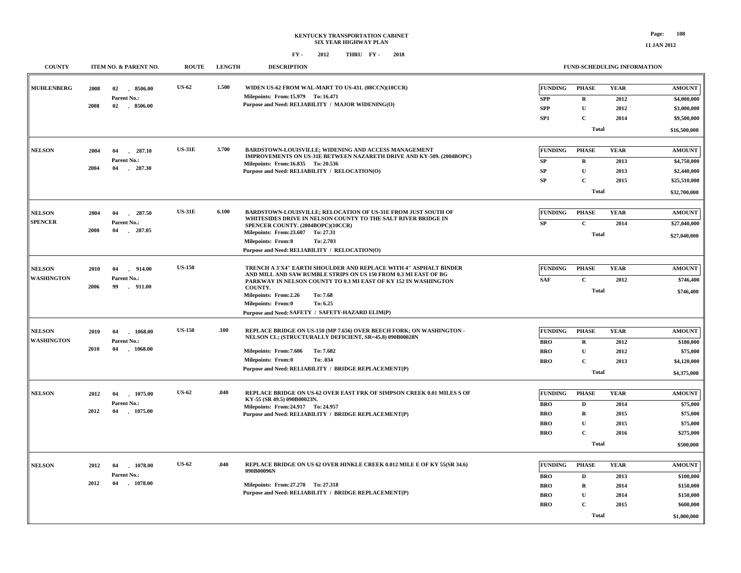| <b>COUNTY</b>                   | ITEM NO. & PARENT NO. |                                             | <b>ROUTE</b>  | <b>LENGTH</b> | <b>DESCRIPTION</b>                                                                                                                                                                                        | <b>FUND-SCHEDULING INFORMATION</b> |                             |                     |                              |
|---------------------------------|-----------------------|---------------------------------------------|---------------|---------------|-----------------------------------------------------------------------------------------------------------------------------------------------------------------------------------------------------------|------------------------------------|-----------------------------|---------------------|------------------------------|
| <b>MUHLENBERG</b>               | 2008                  | 02<br>8506.00<br>Parent No.:                | <b>US-62</b>  | 1.500         | WIDEN US-62 FROM WAL-MART TO US-431. (08CCN)(10CCR)<br>Milepoints: From:15.979 To: 16.471                                                                                                                 | <b>FUNDING</b><br><b>SPP</b>       | <b>PHASE</b><br>$\mathbf R$ | <b>YEAR</b><br>2012 | <b>AMOUNT</b><br>\$4,000,000 |
|                                 | 2008                  | 02 8506.00                                  |               |               | Purpose and Need: RELIABILITY / MAJOR WIDENING(O)                                                                                                                                                         | <b>SPP</b>                         | $\mathbf U$                 | 2012                | \$3,000,000                  |
|                                 |                       |                                             |               |               |                                                                                                                                                                                                           | SP1                                | $\mathbf C$                 | 2014                | \$9,500,000                  |
|                                 |                       |                                             |               |               |                                                                                                                                                                                                           |                                    | <b>Total</b>                |                     | \$16,500,000                 |
| <b>NELSON</b>                   | 2004                  | 287.10<br>04<br>$\sim$                      | <b>US-31E</b> | 3.700         | <b>BARDSTOWN-LOUISVILLE; WIDENING AND ACCESS MANAGEMENT</b><br>IMPROVEMENTS ON US-31E BETWEEN NAZARETH DRIVE AND KY-509. (2004BOPC)                                                                       | <b>FUNDING</b>                     | <b>PHASE</b>                | <b>YEAR</b>         | <b>AMOUNT</b>                |
|                                 |                       | Parent No.:                                 |               |               | Milepoints: From:16.835 To: 20.536                                                                                                                                                                        | ${\bf SP}$                         | $\mathbf R$                 | 2013                | \$4,750,000                  |
|                                 | 2004                  | 04<br>$-287.30$                             |               |               | Purpose and Need: RELIABILITY / RELOCATION(O)                                                                                                                                                             | ${\bf SP}$                         | $\mathbf{U}$                | 2013                | \$2,440,000                  |
|                                 |                       |                                             |               |               |                                                                                                                                                                                                           | SP                                 | $\mathbf C$                 | 2015                | \$25,510,000                 |
|                                 |                       |                                             |               |               |                                                                                                                                                                                                           |                                    | <b>Total</b>                |                     | \$32,700,000                 |
| <b>NELSON</b><br><b>SPENCER</b> | 2004                  | 04<br>287.50<br>Parent No.:<br>04<br>287.05 | <b>US-31E</b> | 6.100         | BARDSTOWN-LOUISVILLE; RELOCATION OF US-31E FROM JUST SOUTH OF<br>WHITESIDES DRIVE IN NELSON COUNTY TO THE SALT RIVER BRIDGE IN<br>SPENCER COUNTY. (2004BOPC)(10CCR)<br>Milepoints: From: 23.607 To: 27.31 | <b>FUNDING</b>                     | <b>PHASE</b>                | <b>YEAR</b>         | <b>AMOUNT</b>                |
|                                 | 2000                  |                                             |               |               |                                                                                                                                                                                                           | ${\bf SP}$                         | $\mathbf{C}$                | 2014                | \$27,040,000                 |
|                                 |                       |                                             |               |               |                                                                                                                                                                                                           |                                    | <b>Total</b>                |                     | \$27,040,000                 |
|                                 |                       |                                             |               |               | <b>Milepoints: From:0</b><br>To: 2.703<br>Purpose and Need: RELIABILITY / RELOCATION(O)                                                                                                                   |                                    |                             |                     |                              |
|                                 |                       |                                             |               |               |                                                                                                                                                                                                           |                                    |                             |                     |                              |
| <b>NELSON</b>                   | 2010                  | .914.00<br>04                               | <b>US-150</b> |               | TRENCH A 3'X4" EARTH SHOULDER AND REPLACE WITH 4" ASPHALT BINDER<br>AND MILL AND SAW RUMBLE STRIPS ON US 150 FROM 0.3 MI EAST OF BG                                                                       | <b>FUNDING</b>                     | <b>PHASE</b>                | <b>YEAR</b>         | <b>AMOUNT</b>                |
| <b>WASHINGTON</b>               | 2006                  | Parent No.:<br>99<br>$-911.00$              |               |               | PARKWAY IN NELSON COUNTY TO 0.3 MI EAST OF KY 152 IN WASHINGTON                                                                                                                                           | <b>SAF</b>                         | $\mathbf C$                 | 2012                | \$746,400                    |
|                                 |                       |                                             |               |               | COUNTY.<br>Milepoints: From:2.26<br>To: 7.68                                                                                                                                                              |                                    | <b>Total</b>                |                     | \$746,400                    |
|                                 |                       |                                             |               |               | <b>Milepoints: From:0</b><br>To: 6.25                                                                                                                                                                     |                                    |                             |                     |                              |
|                                 |                       |                                             |               |               | Purpose and Need: SAFETY / SAFETY-HAZARD ELIM(P)                                                                                                                                                          |                                    |                             |                     |                              |
| <b>NELSON</b>                   | 2010                  | 1068.00<br>04                               | <b>US-150</b> | .100          | REPLACE BRIDGE ON US-150 (MP 7.656) OVER BEECH FORK; ON WASHINGTON -                                                                                                                                      | <b>FUNDING</b>                     | <b>PHASE</b>                | <b>YEAR</b>         | <b>AMOUNT</b>                |
| <b>WASHINGTON</b>               | 2010                  | Parent No.:<br>$-1068.00$<br>04             |               |               | NELSON CL; (STRUCTURALLY DEFICIENT, SR=45.8) 090B00028N<br>Milepoints: From: 7.606<br>To: 7.682                                                                                                           | <b>BRO</b>                         | $\mathbf R$                 | 2012                | \$180,000                    |
|                                 |                       |                                             |               |               |                                                                                                                                                                                                           | <b>BRO</b>                         | U                           | 2012                | \$75,000                     |
|                                 |                       |                                             |               |               | <b>Milepoints: From:0</b><br>To: .034                                                                                                                                                                     | <b>BRO</b>                         | $\mathbf C$                 | 2013                | \$4,120,000                  |
|                                 |                       |                                             |               |               | Purpose and Need: RELIABILITY / BRIDGE REPLACEMENT(P)                                                                                                                                                     |                                    | <b>Total</b>                |                     | \$4,375,000                  |
| <b>NELSON</b>                   | 2012                  | 1075.00<br>04                               | <b>US-62</b>  | .040          | REPLACE BRIDGE ON US-62 OVER EAST FRK OF SIMPSON CREEK 0.01 MILES S OF                                                                                                                                    | <b>FUNDING</b>                     | <b>PHASE</b>                | <b>YEAR</b>         | <b>AMOUNT</b>                |
|                                 |                       | Parent No.:                                 |               |               | KY-55 (SR 49.5) 090B00023N.                                                                                                                                                                               | <b>BRO</b>                         | $\mathbf D$                 | 2014                | \$75,000                     |
|                                 | 2012                  | 04<br>1075.00                               |               |               | Milepoints: From: 24.917 To: 24.957<br>Purpose and Need: RELIABILITY / BRIDGE REPLACEMENT(P)                                                                                                              | <b>BRO</b>                         | $\mathbf R$                 | 2015                | \$75,000                     |
|                                 |                       |                                             |               |               |                                                                                                                                                                                                           | <b>BRO</b>                         | $\mathbf U$                 | 2015                | \$75,000                     |
|                                 |                       |                                             |               |               |                                                                                                                                                                                                           | <b>BRO</b>                         | $\mathbf C$                 | 2016                | \$275,000                    |
|                                 |                       |                                             |               |               |                                                                                                                                                                                                           |                                    | <b>Total</b>                |                     | \$500,000                    |
| <b>NELSON</b>                   | 2012                  | 1078.00<br>04                               | <b>US-62</b>  | .040          | REPLACE BRIDGE ON US 62 OVER HINKLE CREEK 0.012 MILE E OF KY 55(SR 34.6)                                                                                                                                  | <b>FUNDING</b>                     | <b>PHASE</b>                | <b>YEAR</b>         | <b>AMOUNT</b>                |
|                                 |                       | Parent No.:                                 |               |               | 090B00096N                                                                                                                                                                                                |                                    | $\mathbf{D}$                |                     |                              |
|                                 | 2012                  | 04<br>$-1078.00$                            |               |               | Milepoints: From: 27.278 To: 27.318                                                                                                                                                                       | <b>BRO</b><br><b>BRO</b>           | $\mathbf R$                 | 2013<br>2014        | \$100,000<br>\$150,000       |
|                                 |                       |                                             |               |               | Purpose and Need: RELIABILITY / BRIDGE REPLACEMENT(P)                                                                                                                                                     | <b>BRO</b>                         | $\mathbf U$                 | 2014                | \$150,000                    |
|                                 |                       |                                             |               |               |                                                                                                                                                                                                           | <b>BRO</b>                         | $\mathbf C$                 | 2015                | \$600,000                    |
|                                 |                       |                                             |               |               |                                                                                                                                                                                                           |                                    | <b>Total</b>                |                     | \$1,000,000                  |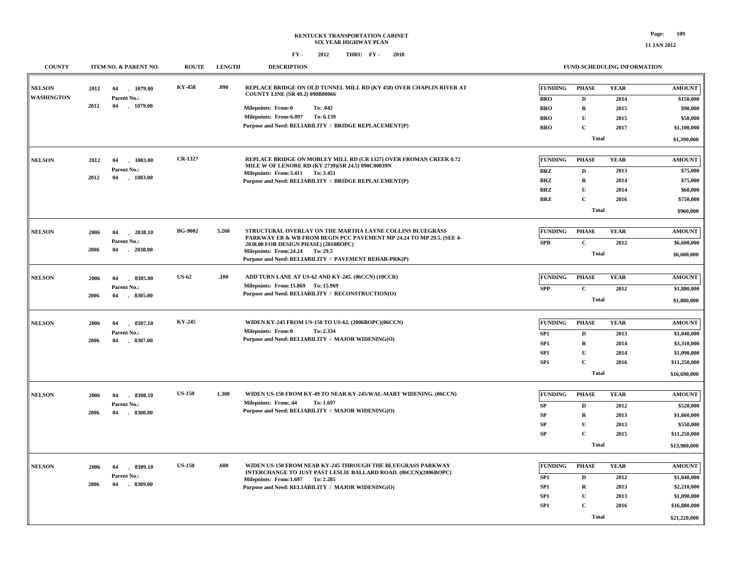| <b>COUNTY</b>     | ITEM NO. & PARENT NO.                   | <b>ROUTE</b>   | <b>LENGTH</b> | <b>DESCRIPTION</b>                                                                                            |                 |                  | <b>FUND-SCHEDULING INFORMATION</b> |                            |
|-------------------|-----------------------------------------|----------------|---------------|---------------------------------------------------------------------------------------------------------------|-----------------|------------------|------------------------------------|----------------------------|
|                   |                                         |                |               |                                                                                                               |                 |                  |                                    |                            |
| <b>NELSON</b>     | 2012<br>04<br>1079.00                   | KY-458         | .090          | REPLACE BRIDGE ON OLD TUNNEL MILL RD (KY 458) OVER CHAPLIN RIVER AT<br><b>COUNTY LINE (SR 49.2) 090B00066</b> | <b>FUNDING</b>  | <b>PHASE</b>     | <b>YEAR</b>                        | <b>AMOUNT</b>              |
| <b>WASHINGTON</b> | Parent No.:<br>2012<br>04<br>$-1079.00$ |                |               |                                                                                                               | <b>BRO</b>      | D                | 2014                               | \$150,000                  |
|                   |                                         |                |               | To: .042<br>Milepoints: From:0                                                                                | <b>BRO</b>      | R                | 2015                               | \$90,000                   |
|                   |                                         |                |               | Milepoints: From:6.097<br>To: 6.139<br>Purpose and Need: RELIABILITY / BRIDGE REPLACEMENT(P)                  | <b>BRO</b>      | $\mathbf{U}$     | 2015                               | \$50,000                   |
|                   |                                         |                |               |                                                                                                               | <b>BRO</b>      | $\mathbf{C}$     | 2017                               | \$1,100,000                |
|                   |                                         |                |               |                                                                                                               |                 | <b>Total</b>     |                                    | \$1,390,000                |
| <b>NELSON</b>     | 1083.00<br>2012<br>04                   | CR-1327        |               | REPLACE BRIDGE ON MOBLEY MILL RD (CR 1327) OVER FROMAN CREEK 0.72                                             | <b>FUNDING</b>  | <b>PHASE</b>     | <b>YEAR</b>                        | <b>AMOUNT</b>              |
|                   | Parent No.:                             |                |               | MILE W OF LENORE RD (KY 2739)(SR 24.5) 090C00039N                                                             | BRZ             | D                | 2013                               | \$75,000                   |
|                   | 2012<br>04<br>$-1083.00$                |                |               | Milepoints: From: 3.411 To: 3.451<br>Purpose and Need: RELIABILITY / BRIDGE REPLACEMENT(P)                    | <b>BRZ</b>      | R                | 2014                               | \$75,000                   |
|                   |                                         |                |               |                                                                                                               | <b>BRZ</b>      | ${\bf U}$        | 2014                               | \$60,000                   |
|                   |                                         |                |               |                                                                                                               | <b>BRZ</b>      | $\mathbf{C}$     | 2016                               | \$750,000                  |
|                   |                                         |                |               |                                                                                                               |                 | <b>Total</b>     |                                    |                            |
|                   |                                         |                |               |                                                                                                               |                 |                  |                                    | \$960,000                  |
| <b>NELSON</b>     | 2006<br>$-2038.10$<br>04                | <b>BG-9002</b> | 5.260         | STRUCTURAL OVERLAY ON THE MARTHA LAYNE COLLINS BLUEGRASS                                                      | <b>FUNDING</b>  | <b>PHASE</b>     | <b>YEAR</b>                        | <b>AMOUNT</b>              |
|                   | Parent No.:                             |                |               | PARKWAY EB & WB FROM BEGIN PCC PAVEMENT MP 24.24 TO MP 29.5. (SEE 4-                                          | <b>SPB</b>      | $\mathbf C$      | 2012                               | \$6,600,000                |
|                   | $-2038.00$<br>2006<br>04                |                |               | 2038.00 FOR DESIGN PHASE) (2010BOPC)<br>Milepoints: From: 24.24 To: 29.5                                      |                 | <b>Total</b>     |                                    | \$6,600,000                |
|                   |                                         |                |               | Purpose and Need: RELIABILITY / PAVEMENT REHAB-PRK(P)                                                         |                 |                  |                                    |                            |
| <b>NELSON</b>     | $-8305.00$<br>2006<br>04                | <b>US-62</b>   | .100          | ADD TURN LANE AT US-62 AND KY-245. (06CCN) (10CCR)                                                            | <b>FUNDING</b>  | <b>PHASE</b>     | <b>YEAR</b>                        | <b>AMOUNT</b>              |
|                   | Parent No.:                             |                |               | Milepoints: From: 15.869 To: 15.969                                                                           | <b>SPP</b>      | $\mathbf{C}$     | 2012                               | \$1,880,000                |
|                   | 2006<br>04<br>$-8305.00$                |                |               | Purpose and Need: RELIABILITY / RECONSTRUCTION(O)                                                             |                 | <b>Total</b>     |                                    | \$1,880,000                |
|                   |                                         |                |               |                                                                                                               |                 |                  |                                    |                            |
| <b>NELSON</b>     | 8307.10<br>2006<br>04                   | KY-245         |               | WIDEN KY-245 FROM US-150 TO US-62. (2006BOPC)(06CCN)                                                          | <b>FUNDING</b>  | <b>PHASE</b>     | <b>YEAR</b>                        | <b>AMOUNT</b>              |
|                   | Parent No.:                             |                |               | Milepoints: From:0<br>To: 2.334                                                                               | SP1             | D                | 2013                               | \$1,040,000                |
|                   | $-8307.00$<br>2006<br>04                |                |               | Purpose and Need: RELIABILITY / MAJOR WIDENING(O)                                                             | SP <sub>1</sub> | $\mathbf R$      | 2014                               | \$3,310,000                |
|                   |                                         |                |               |                                                                                                               | SP <sub>1</sub> | ${\bf U}$        | 2014                               | \$1,090,000                |
|                   |                                         |                |               |                                                                                                               | SP <sub>1</sub> | $\mathbf{C}$     | 2016                               | \$11,250,000               |
|                   |                                         |                |               |                                                                                                               |                 | <b>Total</b>     |                                    | \$16,690,000               |
|                   |                                         |                |               |                                                                                                               |                 |                  |                                    |                            |
| <b>NELSON</b>     | 2006<br>.8308.10<br>04                  | <b>US-150</b>  | 1.300         | WIDEN US-150 FROM KY-49 TO NEAR KY-245/WAL-MART WIDENING. (06CCN)                                             | <b>FUNDING</b>  | <b>PHASE</b>     | <b>YEAR</b>                        | <b>AMOUNT</b>              |
|                   | Parent No.:                             |                |               | <b>Milepoints: From:.44</b><br>To: 1.697<br>Purpose and Need: RELIABILITY / MAJOR WIDENING(O)                 | SP              | D                | 2012                               | \$520,000                  |
|                   | 2006<br>04<br>$-8308.00$                |                |               |                                                                                                               | <b>SP</b>       | $\bf{R}$         | 2013                               | \$1,660,000                |
|                   |                                         |                |               |                                                                                                               | SP              | $\mathbf{U}$     | 2013                               | \$550,000                  |
|                   |                                         |                |               |                                                                                                               | <b>SP</b>       | $\mathbf{C}$     | 2015                               | \$11,250,000               |
|                   |                                         |                |               |                                                                                                               |                 | <b>Total</b>     |                                    | \$13,980,000               |
| <b>NELSON</b>     | 2006                                    | <b>US-150</b>  | .600          | WIDEN US-150 FROM NEAR KY-245 THROUGH THE BLUEGRASS PARKWAY                                                   | <b>FUNDING</b>  | <b>PHASE</b>     | <b>YEAR</b>                        | <b>AMOUNT</b>              |
|                   | $-8309.10$<br>04<br>Parent No.:         |                |               | INTERCHANGE TO JUST PAST LESLIE BALLARD ROAD. (06CCN)(2006BOPC)                                               |                 |                  | 2012                               |                            |
|                   | 2006<br>04<br>$-8309.00$                |                |               | Milepoints: From: 1.697 To: 2.285                                                                             | SP1<br>SP1      | D<br>$\mathbf R$ | 2013                               | \$1,040,000<br>\$2,210,000 |
|                   |                                         |                |               | Purpose and Need: RELIABILITY / MAJOR WIDENING(O)                                                             | SP <sub>1</sub> | ${\bf U}$        | 2013                               | \$1,090,000                |
|                   |                                         |                |               |                                                                                                               | SP1             | $\mathbf{C}$     | 2016                               | \$16,880,000               |
|                   |                                         |                |               |                                                                                                               |                 |                  |                                    |                            |
|                   |                                         |                |               |                                                                                                               |                 | <b>Total</b>     |                                    | \$21,220,000               |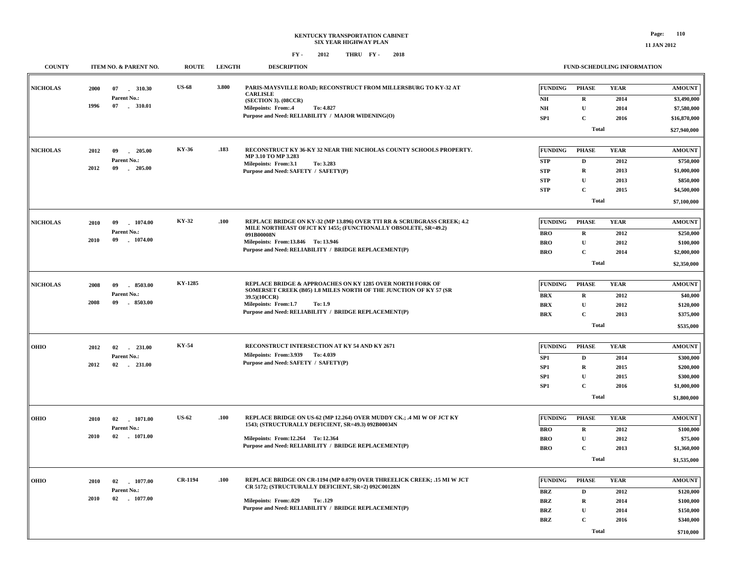| <b>COUNTY</b>   |      | ITEM NO. & PARENT NO. | <b>ROUTE</b>   | <b>LENGTH</b> | <b>DESCRIPTION</b>                                                                                                            |                 | <b>FUND-SCHEDULING INFORMATION</b> |             |               |  |  |
|-----------------|------|-----------------------|----------------|---------------|-------------------------------------------------------------------------------------------------------------------------------|-----------------|------------------------------------|-------------|---------------|--|--|
| <b>NICHOLAS</b> | 2000 | 07<br>310.30          | <b>US-68</b>   | 3.800         | PARIS-MAYSVILLE ROAD; RECONSTRUCT FROM MILLERSBURG TO KY-32 AT<br><b>CARLISLE</b>                                             | <b>FUNDING</b>  | <b>PHASE</b>                       | <b>YEAR</b> | <b>AMOUNT</b> |  |  |
|                 |      | Parent No.:           |                |               | (SECTION 3). (08CCR)                                                                                                          | NH              | $\bf{R}$                           | 2014        | \$3,490,000   |  |  |
|                 | 1996 | 07 . 310.01           |                |               | Milepoints: From:.4<br>To: 4.827                                                                                              | N <sub>H</sub>  | $\mathbf{U}$                       | 2014        | \$7,580,000   |  |  |
|                 |      |                       |                |               | Purpose and Need: RELIABILITY / MAJOR WIDENING(O)                                                                             | SP1             | $\mathbf C$                        | 2016        | \$16,870,000  |  |  |
|                 |      |                       |                |               |                                                                                                                               |                 | <b>Total</b>                       |             | \$27,940,000  |  |  |
| <b>NICHOLAS</b> | 2012 | 09<br>$-205.00$       | KY-36          | .183          | RECONSTRUCT KY 36-KY 32 NEAR THE NICHOLAS COUNTY SCHOOLS PROPERTY.                                                            | <b>FUNDING</b>  | <b>PHASE</b>                       | <b>YEAR</b> | <b>AMOUNT</b> |  |  |
|                 |      | Parent No.:           |                |               | MP 3.10 TO MP 3.283<br>Milepoints: From:3.1<br>To: 3.283                                                                      | <b>STP</b>      | D                                  | 2012        | \$750,000     |  |  |
|                 | 2012 | 09<br>$-205.00$       |                |               | Purpose and Need: SAFETY / SAFETY(P)                                                                                          | <b>STP</b>      | $\bf{R}$                           | 2013        | \$1,000,000   |  |  |
|                 |      |                       |                |               |                                                                                                                               | <b>STP</b>      | ${\bf U}$                          | 2013        | \$850,000     |  |  |
|                 |      |                       |                |               |                                                                                                                               | <b>STP</b>      | $\mathbf{C}$                       | 2015        | \$4,500,000   |  |  |
|                 |      |                       |                |               |                                                                                                                               |                 | <b>Total</b>                       |             | \$7,100,000   |  |  |
| <b>NICHOLAS</b> | 2010 | 1074.00<br>09         | KY-32          | .100          | REPLACE BRIDGE ON KY-32 (MP 13.896) OVER TTI RR & SCRUBGRASS CREEK; 4.2                                                       | FUNDING         | <b>PHASE</b>                       | <b>YEAR</b> | <b>AMOUNT</b> |  |  |
|                 |      | Parent No.:           |                |               | MILE NORTHEAST OFJCT KY 1455; (FUNCTIONALLY OBSOLETE, SR=49.2)<br>091B00008N                                                  | <b>BRO</b>      | $\bf{R}$                           | 2012        | \$250,000     |  |  |
|                 | 2010 | 09<br>$-1074.00$      |                |               | Milepoints: From:13.846 To:13.946                                                                                             | <b>BRO</b>      | $\mathbf U$                        | 2012        | \$100,000     |  |  |
|                 |      |                       |                |               | Purpose and Need: RELIABILITY / BRIDGE REPLACEMENT(P)                                                                         | <b>BRO</b>      | $\mathbf{C}$                       | 2014        | \$2,000,000   |  |  |
|                 |      |                       |                |               |                                                                                                                               |                 | <b>Total</b>                       |             |               |  |  |
| <b>NICHOLAS</b> | 2008 | 09<br>8503.00         | <b>KY-1285</b> |               | REPLACE BRIDGE & APPROACHES ON KY 1285 OVER NORTH FORK OF                                                                     | <b>FUNDING</b>  | <b>PHASE</b>                       | <b>YEAR</b> | <b>AMOUNT</b> |  |  |
|                 |      | Parent No.:           |                |               | SOMERSET CREEK (B05) 1.8 MILES NORTH OF THE JUNCTION OF KY 57 (SR<br>39.5)(10CCR)                                             | <b>BRX</b>      | $\bf{R}$                           | 2012        | \$40,000      |  |  |
|                 | 2008 | 09<br>8503.00         |                |               | Milepoints: From:1.7<br>To: 1.9                                                                                               | <b>BRX</b>      | $\mathbf{U}$                       | 2012        | \$120,000     |  |  |
|                 |      |                       |                |               | Purpose and Need: RELIABILITY / BRIDGE REPLACEMENT(P)                                                                         | <b>BRX</b>      | $\mathbf C$                        | 2013        | \$375,000     |  |  |
|                 |      |                       |                |               |                                                                                                                               |                 | <b>Total</b>                       |             | \$535,000     |  |  |
|                 |      |                       |                |               |                                                                                                                               |                 |                                    |             |               |  |  |
| OHIO            | 2012 | 02<br>$-231.00$       | KY-54          |               | RECONSTRUCT INTERSECTION AT KY 54 AND KY 2671                                                                                 | <b>FUNDING</b>  | <b>PHASE</b>                       | <b>YEAR</b> | <b>AMOUNT</b> |  |  |
|                 |      | Parent No.:           |                |               | Milepoints: From: 3.939 To: 4.039                                                                                             | SP1             | D                                  | 2014        | \$300,000     |  |  |
|                 | 2012 | 02 231.00             |                |               | Purpose and Need: SAFETY / SAFETY(P)                                                                                          | SP <sub>1</sub> | R                                  | 2015        | \$200,000     |  |  |
|                 |      |                       |                |               |                                                                                                                               | SP <sub>1</sub> | U                                  | 2015        | \$300,000     |  |  |
|                 |      |                       |                |               |                                                                                                                               | SP <sub>1</sub> | $\mathbf{C}$                       | 2016        | \$1,000,000   |  |  |
|                 |      |                       |                |               |                                                                                                                               |                 | <b>Total</b>                       |             | \$1,800,000   |  |  |
| OHIO            | 2010 | 02<br>1071.00         | <b>US-62</b>   | .100          | REPLACE BRIDGE ON US-62 (MP 12.264) OVER MUDDY CK.; .4 MI W OF JCT KY                                                         | <b>FUNDING</b>  | <b>PHASE</b>                       | <b>YEAR</b> | <b>AMOUNT</b> |  |  |
|                 |      | Parent No.:           |                |               | 1543; (STRUCTURALLY DEFICIENT, SR=49.3) 092B00034N                                                                            | <b>BRO</b>      | $\bf{R}$                           | 2012        | \$100,000     |  |  |
|                 | 2010 | 02 1071.00            |                |               | Milepoints: From:12.264 To:12.364                                                                                             | <b>BRO</b>      | $\mathbf{U}$                       | 2012        | \$75,000      |  |  |
|                 |      |                       |                |               | Purpose and Need: RELIABILITY / BRIDGE REPLACEMENT(P)                                                                         | <b>BRO</b>      | $\mathbf C$                        | 2013        | \$1,360,000   |  |  |
|                 |      |                       |                |               |                                                                                                                               |                 | <b>Total</b>                       |             | \$1,535,000   |  |  |
|                 |      |                       |                |               |                                                                                                                               |                 |                                    |             |               |  |  |
| OHIO            | 2010 | 02 1077.00            | <b>CR-1194</b> | .100          | REPLACE BRIDGE ON CR-1194 (MP 0.079) OVER THREELICK CREEK; .15 MI W JCT<br>CR 5172; (STRUCTURALLY DEFICIENT, SR=2) 092C00128N | <b>FUNDING</b>  | <b>PHASE</b>                       | <b>YEAR</b> | <b>AMOUNT</b> |  |  |
|                 |      | Parent No.:           |                |               |                                                                                                                               | <b>BRZ</b>      | D                                  | 2012        | \$120,000     |  |  |
|                 | 2010 | $02$ 1077.00          |                |               | <b>Milepoints: From:.029</b><br>To: .129                                                                                      | <b>BRZ</b>      | $\mathbf R$                        | 2014        | \$100,000     |  |  |
|                 |      |                       |                |               | Purpose and Need: RELIABILITY / BRIDGE REPLACEMENT(P)                                                                         | <b>BRZ</b>      | $\mathbf U$                        | 2014        | \$150,000     |  |  |
|                 |      |                       |                |               |                                                                                                                               | <b>BRZ</b>      | $\mathbf{C}$                       | 2016        | \$340,000     |  |  |
|                 |      |                       |                |               |                                                                                                                               |                 | <b>Total</b>                       |             | \$710,000     |  |  |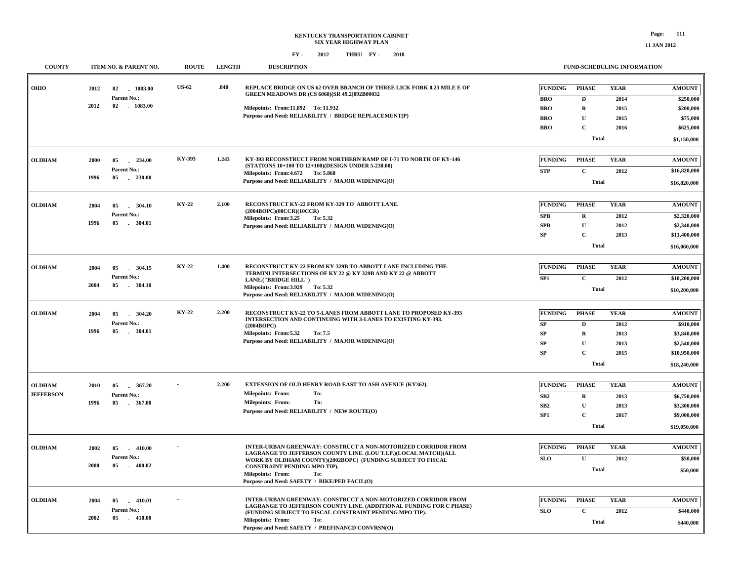### **KENTUCKY TRANSPORTATION CABINET SIX YEAR HIGHWAY PLAN FY - FY - 2012 2018 THRU**

#### **FUND-SCHEDULING INFORMATION**

| <b>COUNTY</b>    | ITEM NO. & PARENT NO.               | <b>ROUTE</b> | <b>LENGTH</b> | <b>DESCRIPTION</b>                                                                                                                   |                 | FUND-SCHEDULING INFORMATION |             |               |
|------------------|-------------------------------------|--------------|---------------|--------------------------------------------------------------------------------------------------------------------------------------|-----------------|-----------------------------|-------------|---------------|
| <b>OHIO</b>      | 2012<br>02<br>1083.00               | <b>US-62</b> | .040          | REPLACE BRIDGE ON US 62 OVER BRANCH OF THREE LICK FORK 0.23 MILE E OF<br><b>GREEN MEADOWS DR (CS 6068)(SR 49.2)092B00032</b>         | <b>FUNDING</b>  | PHASE                       | <b>YEAR</b> | <b>AMOUNT</b> |
|                  | Parent No.:                         |              |               |                                                                                                                                      | <b>BRO</b>      | $\mathbf{D}$                | 2014        | \$250,000     |
|                  | 2012<br>02 1083.00                  |              |               | Milepoints: From:11.892 To: 11.932                                                                                                   | <b>BRO</b>      | ${\bf R}$                   | 2015        | \$200,000     |
|                  |                                     |              |               | Purpose and Need: RELIABILITY / BRIDGE REPLACEMENT(P)                                                                                | <b>BRO</b>      | $\mathbf{U}$                | 2015        | \$75,000      |
|                  |                                     |              |               |                                                                                                                                      | <b>BRO</b>      | $\mathbf C$                 | 2016        | \$625,000     |
|                  |                                     |              |               |                                                                                                                                      |                 | Total                       |             | \$1,150,000   |
| <b>OLDHAM</b>    | 2000<br>05<br>234.00                | KY-393       | 1.243         | KY-393 RECONSTRUCT FROM NORTHERN RAMP OF I-71 TO NORTH OF KY-146                                                                     | <b>FUNDING</b>  | <b>PHASE</b>                | <b>YEAR</b> | <b>AMOUNT</b> |
|                  | Parent No.:                         |              |               | (STATIONS 10+100 TO 12+100)(DESIGN UNDER 5-230.00)                                                                                   | <b>STP</b>      | $\mathbf C$                 | 2012        | \$16,820,000  |
|                  | 1996<br>05<br>230.00                |              |               | Milepoints: From: 4.672 To: 5.868<br>Purpose and Need: RELIABILITY / MAJOR WIDENING(O)                                               |                 |                             |             |               |
|                  |                                     |              |               |                                                                                                                                      |                 | Total                       |             | \$16,820,000  |
| <b>OLDHAM</b>    | 2004<br>05<br>304.10<br>$\sim$      | KY-22        | 2.100         | RECONSTRUCT KY-22 FROM KY-329 TO ABBOTT LANE.                                                                                        | <b>FUNDING</b>  | <b>PHASE</b>                | <b>YEAR</b> | <b>AMOUNT</b> |
|                  | Parent No.:                         |              |               | (2004BOPC)(08CCR)(10CCR)<br>Milepoints: From:3.25<br>To: 5.32                                                                        | SPB             | ${\bf R}$                   | 2012        | \$2,320,000   |
|                  | 1996<br>05<br>$-304.01$             |              |               | Purpose and Need: RELIABILITY / MAJOR WIDENING(O)                                                                                    | <b>SPB</b>      | $\mathbf U$                 | 2012        | \$2,340,000   |
|                  |                                     |              |               |                                                                                                                                      | ${\bf SP}$      | $\mathbf C$                 | 2013        | \$11,400,000  |
|                  |                                     |              |               |                                                                                                                                      |                 | Total                       |             | \$16,060,000  |
| <b>OLDHAM</b>    | 2004<br>05<br>304.15                | KY-22        | 1.400         | RECONSTRUCT KY-22 FROM KY-329B TO ABBOTT LANE INCLUDING THE                                                                          | <b>FUNDING</b>  | <b>PHASE</b>                | <b>YEAR</b> | <b>AMOUNT</b> |
|                  | Parent No.:                         |              |               | TERMINI INTERSECTIONS OF KY 22 @ KY 329B AND KY 22 @ ABBOTT                                                                          |                 |                             |             |               |
|                  | 2004<br>$-304.10$<br>05             |              |               | LANE.("BRIDGE HILL")<br>Milepoints: From: 3.929 To: 5.32                                                                             | SP1             | $\mathbf C$                 | 2012        | \$10,200,000  |
|                  |                                     |              |               | Purpose and Need: RELIABILITY / MAJOR WIDENING(O)                                                                                    |                 | Total                       |             | \$10,200,000  |
| <b>OLDHAM</b>    | 2004<br>05<br>304.20                | KY-22        | 2.200         | RECONSTRUCT KY-22 TO 5-LANES FROM ABBOTT LANE TO PROPOSED KY-393                                                                     | <b>FUNDING</b>  | <b>PHASE</b>                | <b>YEAR</b> | <b>AMOUNT</b> |
|                  | Parent No.:                         |              |               | INTERSECTION AND CONTINUING WITH 3-LANES TO EXISTING KY-393.<br>(2004BOPC)                                                           | SP              | D                           | 2012        | \$910,000     |
|                  | 1996<br>05<br>$-304.01$             |              |               | Milepoints: From: 5.32<br>To: 7.5                                                                                                    | SP              | ${\bf R}$                   | 2013        | \$3,840,000   |
|                  |                                     |              |               | Purpose and Need: RELIABILITY / MAJOR WIDENING(O)                                                                                    | SP              | $\mathbf U$                 | 2013        | \$2,540,000   |
|                  |                                     |              |               |                                                                                                                                      | SP              | $\mathbf C$                 | 2015        | \$10,950,000  |
|                  |                                     |              |               |                                                                                                                                      |                 | <b>Total</b>                |             | \$18,240,000  |
|                  |                                     |              |               |                                                                                                                                      |                 |                             |             |               |
| <b>OLDHAM</b>    | 2010<br>05<br>367.20                |              | 2.200         | EXTENSION OF OLD HENRY ROAD EAST TO ASH AVENUE (KY362).<br><b>Milepoints: From:</b><br>To:                                           | <b>FUNDING</b>  | <b>PHASE</b>                | <b>YEAR</b> | <b>AMOUNT</b> |
| <b>JEFFERSON</b> | Parent No.:<br>1996<br>05<br>367.00 |              |               | <b>Milepoints: From:</b><br>To:                                                                                                      | SB2             | $\mathbf R$                 | 2013        | \$6,750,000   |
|                  |                                     |              |               | Purpose and Need: RELIABILITY / NEW ROUTE(O)                                                                                         | SB <sub>2</sub> | $\mathbf U$                 | 2013        | \$3,300,000   |
|                  |                                     |              |               |                                                                                                                                      | SP <sub>1</sub> | $\mathbf C$                 | 2017        | \$9,000,000   |
|                  |                                     |              |               |                                                                                                                                      |                 | <b>Total</b>                |             | \$19,050,000  |
| <b>OLDHAM</b>    | 2002<br>05 410.00                   |              |               | INTER-URBAN GREENWAY: CONSTRUCT A NON-MOTORIZED CORRIDOR FROM                                                                        | <b>FUNDING</b>  | <b>PHASE</b>                | <b>YEAR</b> | <b>AMOUNT</b> |
|                  | Parent No.:                         |              |               | LAGRANGE TO JEFFERSON COUNTY LINE. (LOU T.I.P.)(LOCAL MATCH)(ALL<br>WORK BY OLDHAM COUNTY)(2002BOPC) (FUNDING SUBJECT TO FISCAL      | SLO             | ${\bf U}$                   | 2012        | \$50,000      |
|                  | 2000<br>05<br>$-400.02$             |              |               | CONSTRAINT PENDING MPO TIP).                                                                                                         |                 | <b>Total</b>                |             | \$50,000      |
|                  |                                     |              |               | <b>Milepoints: From:</b><br>To:<br>Purpose and Need: SAFETY / BIKE/PED FACIL(O)                                                      |                 |                             |             |               |
|                  |                                     |              |               |                                                                                                                                      |                 |                             |             |               |
| <b>OLDHAM</b>    | $-410.01$<br>2004<br>05             |              |               | INTER-URBAN GREENWAY: CONSTRUCT A NON-MOTORIZED CORRIDOR FROM<br>LAGRANGE TO JEFFERSON COUNTY LINE. (ADDITIONAL FUNDING FOR C PHASE) | <b>FUNDING</b>  | <b>PHASE</b>                | <b>YEAR</b> | <b>AMOUNT</b> |
|                  | Parent No.:                         |              |               | (FUNDING SUBJECT TO FISCAL CONSTRAINT PENDING MPO TIP).                                                                              | SLO             | $\mathbf C$                 | 2012        | \$440,000     |
|                  | 2002<br>05 410.00                   |              |               | <b>Milepoints: From:</b><br>To:<br>Purpose and Need: SAFETY / PREFINANCD CONVRSN(O)                                                  |                 | <b>Total</b>                |             | \$440,000     |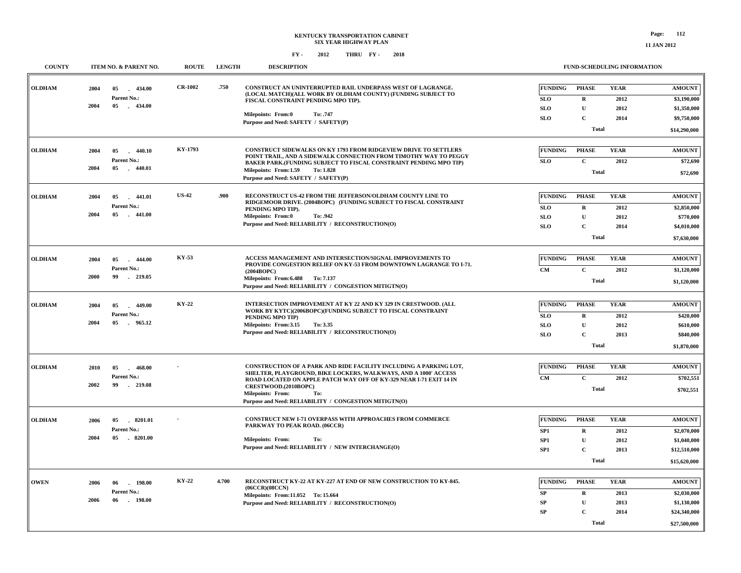| <b>COUNTY</b> |              | ITEM NO. & PARENT NO.                             | <b>ROUTE</b>   | <b>LENGTH</b> | <b>DESCRIPTION</b>                                                                                                                                                 |                                            | FUND-SCHEDULING INFORMATION              |                             |                                             |
|---------------|--------------|---------------------------------------------------|----------------|---------------|--------------------------------------------------------------------------------------------------------------------------------------------------------------------|--------------------------------------------|------------------------------------------|-----------------------------|---------------------------------------------|
| <b>OLDHAM</b> | 2004<br>2004 | 05<br>$-434.00$<br>Parent No.:<br>$-434.00$<br>05 | <b>CR-1002</b> | .750          | CONSTRUCT AN UNINTERRUPTED RAIL UNDERPASS WEST OF LAGRANGE.<br>(LOCAL MATCH)(ALL WORK BY OLDHAM COUNTY) (FUNDING SUBJECT TO<br>FISCAL CONSTRAINT PENDING MPO TIP). | <b>FUNDING</b><br><b>SLO</b><br><b>SLO</b> | <b>PHASE</b><br>${\bf R}$<br>$\mathbf U$ | <b>YEAR</b><br>2012<br>2012 | <b>AMOUNT</b><br>\$3,190,000<br>\$1,350,000 |
|               |              |                                                   |                |               | Milepoints: From:0<br>To: .747                                                                                                                                     | <b>SLO</b>                                 | $\mathbf{C}$                             | 2014                        | \$9,750,000                                 |
|               |              |                                                   |                |               | Purpose and Need: SAFETY / SAFETY(P)                                                                                                                               |                                            | <b>Total</b>                             |                             | \$14,290,000                                |
|               |              |                                                   |                |               |                                                                                                                                                                    |                                            |                                          |                             |                                             |
| <b>OLDHAM</b> | 2004         | 05<br>$-440.10$                                   | KY-1793        |               | <b>CONSTRUCT SIDEWALKS ON KY 1793 FROM RIDGEVIEW DRIVE TO SETTLERS</b>                                                                                             | <b>FUNDING</b>                             | <b>PHASE</b>                             | <b>YEAR</b>                 | <b>AMOUNT</b>                               |
|               |              | Parent No.:                                       |                |               | POINT TRAIL, AND A SIDEWALK CONNECTION FROM TIMOTHY WAY TO PEGGY<br>BAKER PARK.(FUNDING SUBJECT TO FISCAL CONSTRAINT PENDING MPO TIP)                              | <b>SLO</b>                                 | $\mathbf C$                              | 2012                        | \$72,690                                    |
|               | 2004         | 05<br>$-440.01$                                   |                |               | Milepoints: From:1.59<br><b>To: 1.828</b>                                                                                                                          |                                            | <b>Total</b>                             |                             | \$72,690                                    |
|               |              |                                                   |                |               | Purpose and Need: SAFETY / SAFETY(P)                                                                                                                               |                                            |                                          |                             |                                             |
| <b>OLDHAM</b> | 2004         | $-441.01$<br>05                                   | <b>US-42</b>   | .900          | RECONSTRUCT US-42 FROM THE JEFFERSON/OLDHAM COUNTY LINE TO                                                                                                         | <b>FUNDING</b>                             | <b>PHASE</b>                             | <b>YEAR</b>                 | <b>AMOUNT</b>                               |
|               |              | Parent No.:                                       |                |               | RIDGEMOOR DRIVE. (2004BOPC) (FUNDING SUBJECT TO FISCAL CONSTRAINT                                                                                                  | <b>SLO</b>                                 | $\mathbf R$                              | 2012                        | \$2,850,000                                 |
|               | 2004         | $-441.00$<br>05                                   |                |               | PENDING MPO TIP).<br><b>Milepoints: From:0</b><br>To: .942                                                                                                         | <b>SLO</b>                                 | $\mathbf{U}$                             | 2012                        | \$770,000                                   |
|               |              |                                                   |                |               | Purpose and Need: RELIABILITY / RECONSTRUCTION(O)                                                                                                                  | <b>SLO</b>                                 | $\mathbf C$                              | 2014                        | \$4,010,000                                 |
|               |              |                                                   |                |               |                                                                                                                                                                    |                                            | Total                                    |                             | \$7,630,000                                 |
|               |              |                                                   |                |               |                                                                                                                                                                    |                                            |                                          |                             |                                             |
| <b>OLDHAM</b> | 2004         | $-444.00$<br>05                                   | KY-53          |               | ACCESS MANAGEMENT AND INTERSECTION/SIGNAL IMPROVEMENTS TO<br>PROVIDE CONGESTION RELIEF ON KY-53 FROM DOWNTOWN LAGRANGE TO I-71.                                    | <b>FUNDING</b>                             | <b>PHASE</b>                             | <b>YEAR</b>                 | <b>AMOUNT</b>                               |
|               |              | Parent No.:                                       |                |               | (2004BOPC)                                                                                                                                                         | CM                                         | $\mathbf{C}$                             | 2012                        | \$1,120,000                                 |
|               | 2000         | 219.05<br>99                                      |                |               | Milepoints: From: 6.488 To: 7.137<br>Purpose and Need: RELIABILITY / CONGESTION MITIGTN(O)                                                                         |                                            | Total                                    |                             | \$1,120,000                                 |
|               |              |                                                   |                |               |                                                                                                                                                                    |                                            |                                          |                             |                                             |
| <b>OLDHAM</b> | 2004         | 05<br>449.00                                      | KY-22          |               | INTERSECTION IMPROVEMENT AT KY 22 AND KY 329 IN CRESTWOOD. (ALL                                                                                                    | <b>FUNDING</b>                             | <b>PHASE</b>                             | <b>YEAR</b>                 | $\boldsymbol{\mathrm{AMOUNT}}$              |
|               |              | Parent No.:                                       |                |               | WORK BY KYTC)(2006BOPC)(FUNDING SUBJECT TO FISCAL CONSTRAINT<br>PENDING MPO TIP)                                                                                   | <b>SLO</b>                                 | ${\bf R}$                                | 2012                        | \$420,000                                   |
|               | 2004         | 05 965.12                                         |                |               | Milepoints: From:3.15<br>To: 3.35                                                                                                                                  | <b>SLO</b>                                 | U                                        | 2012                        | \$610,000                                   |
|               |              |                                                   |                |               | Purpose and Need: RELIABILITY / RECONSTRUCTION(O)                                                                                                                  | <b>SLO</b>                                 | $\overline{c}$                           | 2013                        | \$840,000                                   |
|               |              |                                                   |                |               |                                                                                                                                                                    |                                            | <b>Total</b>                             |                             | \$1,870,000                                 |
|               |              |                                                   |                |               |                                                                                                                                                                    |                                            |                                          |                             |                                             |
| <b>OLDHAM</b> | 2010         | 05<br>468.00<br>$\sim$                            |                |               | CONSTRUCTION OF A PARK AND RIDE FACILITY INCLUDING A PARKING LOT,<br>SHELTER, PLAYGROUND, BIKE LOCKERS, WALKWAYS, AND A 1000' ACCESS                               | <b>FUNDING</b>                             | <b>PHASE</b>                             | <b>YEAR</b>                 | <b>AMOUNT</b>                               |
|               | 2002         | Parent No.:<br>99<br>$-219.08$                    |                |               | ROAD LOCATED ON APPLE PATCH WAY OFF OF KY-329 NEAR I-71 EXIT 14 IN                                                                                                 | CM                                         | $\mathbf C$                              | 2012                        | \$702,551                                   |
|               |              |                                                   |                |               | CRESTWOOD.(2010BOPC)<br><b>Milepoints: From:</b><br>To:                                                                                                            |                                            | Total                                    |                             | \$702,551                                   |
|               |              |                                                   |                |               | Purpose and Need: RELIABILITY / CONGESTION MITIGTN(O)                                                                                                              |                                            |                                          |                             |                                             |
| <b>OLDHAM</b> |              |                                                   |                |               | <b>CONSTRUCT NEW I-71 OVERPASS WITH APPROACHES FROM COMMERCE</b>                                                                                                   | FUNDING                                    | <b>PHASE</b>                             | <b>YEAR</b>                 | <b>AMOUNT</b>                               |
|               | 2006         | 05<br>8201.01<br>Parent No.:                      |                |               | PARKWAY TO PEAK ROAD. (06CCR)                                                                                                                                      |                                            |                                          | 2012                        |                                             |
|               | 2004         | 05<br>$-8201.00$                                  |                |               | <b>Milepoints: From:</b><br>To:                                                                                                                                    | SP1<br>SP1                                 | ${\bf R}$<br>$\mathbf U$                 | 2012                        | \$2,070,000<br>\$1,040,000                  |
|               |              |                                                   |                |               | Purpose and Need: RELIABILITY / NEW INTERCHANGE(O)                                                                                                                 | SP1                                        | $\mathbf C$                              | 2013                        | \$12,510,000                                |
|               |              |                                                   |                |               |                                                                                                                                                                    |                                            | <b>Total</b>                             |                             | \$15,620,000                                |
|               |              |                                                   |                |               |                                                                                                                                                                    |                                            |                                          |                             |                                             |
| <b>OWEN</b>   | 2006         | 06<br>$-198.00$                                   | KY-22          | 4.700         | RECONSTRUCT KY-22 AT KY-227 AT END OF NEW CONSTRUCTION TO KY-845.                                                                                                  | <b>FUNDING</b>                             | <b>PHASE</b>                             | <b>YEAR</b>                 | <b>AMOUNT</b>                               |
|               |              | Parent No.:                                       |                |               | (06CCR)(08CCN)<br>Milepoints: From:11.052 To: 15.664                                                                                                               | SP                                         | ${\bf R}$                                | 2013                        | \$2,030,000                                 |
|               | 2006         | 06<br>. 198.00                                    |                |               | Purpose and Need: RELIABILITY / RECONSTRUCTION(O)                                                                                                                  | ${\bf SP}$                                 | $\mathbf U$                              | 2013                        | \$1,130,000                                 |
|               |              |                                                   |                |               |                                                                                                                                                                    | ${\bf SP}$                                 | $\overline{c}$                           | 2014                        | \$24,340,000                                |
|               |              |                                                   |                |               |                                                                                                                                                                    |                                            | Total                                    |                             | \$27,500,000                                |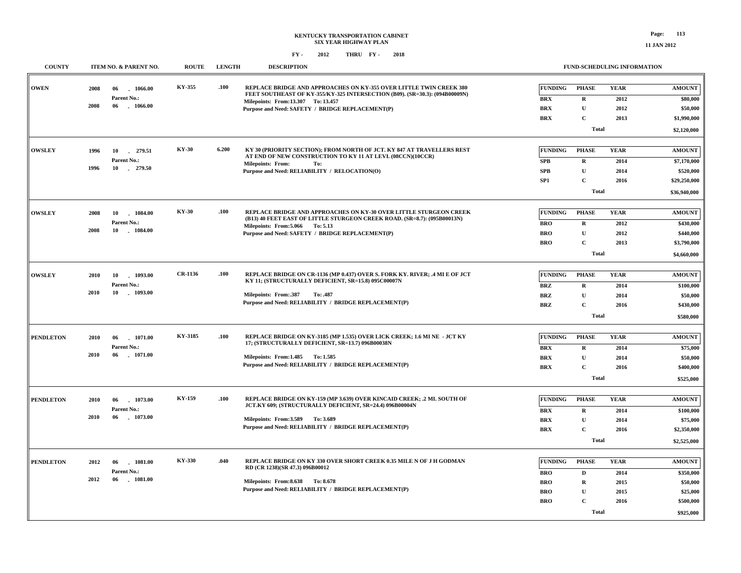| <b>COUNTY</b>    |            | ITEM NO. & PARENT NO.     | <b>ROUTE</b>  | <b>LENGTH</b> | <b>DESCRIPTION</b>                                                                                                                                |                |              | <b>FUND-SCHEDULING INFORMATION</b> |               |
|------------------|------------|---------------------------|---------------|---------------|---------------------------------------------------------------------------------------------------------------------------------------------------|----------------|--------------|------------------------------------|---------------|
| <b>OWEN</b>      | 2008<br>06 | 1066.00                   | KY-355        | .100          | REPLACE BRIDGE AND APPROACHES ON KY-355 OVER LITTLE TWIN CREEK 380<br>FEET SOUTHEAST OF KY-355/KY-325 INTERSECTION (B09). (SR=30.3): (094B00009N) | FUNDING        | PHASE        | <b>YEAR</b>                        | <b>AMOUNT</b> |
|                  |            | Parent No.:               |               |               | Milepoints: From:13.307 To: 13.457                                                                                                                | <b>BRX</b>     | $\mathbf R$  | 2012                               | \$80,000      |
|                  | 2008<br>06 | 1066.00                   |               |               | Purpose and Need: SAFETY / BRIDGE REPLACEMENT(P)                                                                                                  | <b>BRX</b>     | $\mathbf{U}$ | 2012                               | \$50,000      |
|                  |            |                           |               |               |                                                                                                                                                   | <b>BRX</b>     | $\mathbf C$  | 2013                               | \$1,990,000   |
|                  |            |                           |               |               |                                                                                                                                                   |                | Total        |                                    | \$2,120,000   |
|                  |            |                           |               |               |                                                                                                                                                   |                |              |                                    |               |
| <b>OWSLEY</b>    | 1996       | 10 279.51                 | <b>KY-30</b>  | 6.200         | KY 30 (PRIORITY SECTION); FROM NORTH OF JCT. KY 847 AT TRAVELLERS REST<br>AT END OF NEW CONSTRUCTION TO KY 11 AT LEVI. (08CCN)(10CCR)             | <b>FUNDING</b> | <b>PHASE</b> | <b>YEAR</b>                        | <b>AMOUNT</b> |
|                  | 1996       | Parent No.:<br>10 279.50  |               |               | <b>Milepoints: From:</b><br>To:                                                                                                                   | <b>SPB</b>     | $\mathbf R$  | 2014                               | \$7,170,000   |
|                  |            |                           |               |               | Purpose and Need: RELIABILITY / RELOCATION(O)                                                                                                     | SPB            | $\mathbf{U}$ | 2014                               | \$520,000     |
|                  |            |                           |               |               |                                                                                                                                                   | SP1            | $\mathbf C$  | 2016                               | \$29,250,000  |
|                  |            |                           |               |               |                                                                                                                                                   |                | <b>Total</b> |                                    | \$36,940,000  |
| <b>OWSLEY</b>    | 2008<br>10 | 1084.00                   | <b>KY-30</b>  | .100          | REPLACE BRIDGE AND APPROACHES ON KY-30 OVER LITTLE STURGEON CREEK                                                                                 | <b>FUNDING</b> | <b>PHASE</b> | <b>YEAR</b>                        | <b>AMOUNT</b> |
|                  |            | Parent No.:               |               |               | (B13) 40 FEET EAST OF LITTLE STURGEON CREEK ROAD. (SR=8.7): (095B00013N)<br>Milepoints: From: 5.066 To: 5.13                                      | <b>BRO</b>     | $\mathbf R$  | 2012                               | \$430,000     |
|                  | 2008<br>10 | $-1084.00$                |               |               | Purpose and Need: SAFETY / BRIDGE REPLACEMENT(P)                                                                                                  | <b>BRO</b>     | $\mathbf{U}$ | 2012                               | \$440,000     |
|                  |            |                           |               |               |                                                                                                                                                   | <b>BRO</b>     | $\mathbf C$  | 2013                               | \$3,790,000   |
|                  |            |                           |               |               |                                                                                                                                                   |                | <b>Total</b> |                                    | \$4,660,000   |
|                  |            |                           |               |               |                                                                                                                                                   |                |              |                                    |               |
| <b>OWSLEY</b>    | 2010<br>10 | 1093.00                   | CR-1136       | .100          | REPLACE BRIDGE ON CR-1136 (MP 0.437) OVER S. FORK KY. RIVER; .4 MI E OF JCT<br>KY 11; (STRUCTURALLY DEFICIENT, SR=15.8) 095C00007N                | <b>FUNDING</b> | <b>PHASE</b> | <b>YEAR</b>                        | <b>AMOUNT</b> |
|                  |            | Parent No.:               |               |               |                                                                                                                                                   | <b>BRZ</b>     | $\mathbf R$  | 2014                               | \$100,000     |
|                  | 2010<br>10 | 1093.00                   |               |               | <b>Milepoints: From:.387</b><br>To: .487                                                                                                          | <b>BRZ</b>     | $\mathbf{U}$ | 2014                               | \$50,000      |
|                  |            |                           |               |               | Purpose and Need: RELIABILITY / BRIDGE REPLACEMENT(P)                                                                                             | <b>BRZ</b>     | $\mathbf C$  | 2016                               | \$430,000     |
|                  |            |                           |               |               |                                                                                                                                                   |                | Total        |                                    | \$580,000     |
|                  |            |                           |               |               |                                                                                                                                                   |                |              |                                    |               |
| <b>PENDLETON</b> | 2010<br>06 | 1071.00                   | KY-3185       | .100          | REPLACE BRIDGE ON KY-3185 (MP 1.535) OVER LICK CREEK; 1.6 MI NE - JCT KY<br>17; (STRUCTURALLY DEFICIENT, SR=13.7) 096B00038N                      | <b>FUNDING</b> | <b>PHASE</b> | <b>YEAR</b>                        | <b>AMOUNT</b> |
|                  | 2010<br>06 | Parent No.:<br>$-1071.00$ |               |               |                                                                                                                                                   | <b>BRX</b>     | $\mathbf R$  | 2014                               | \$75,000      |
|                  |            |                           |               |               | Milepoints: From: 1.485 To: 1.585<br>Purpose and Need: RELIABILITY / BRIDGE REPLACEMENT(P)                                                        | <b>BRX</b>     | ${\bf U}$    | 2014                               | \$50,000      |
|                  |            |                           |               |               |                                                                                                                                                   | <b>BRX</b>     | $\mathbf C$  | 2016                               | \$400,000     |
|                  |            |                           |               |               |                                                                                                                                                   |                | Total        |                                    | \$525,000     |
| <b>PENDLETON</b> | 2010<br>06 | 1073.00                   | KY-159        | .100          | REPLACE BRIDGE ON KY-159 (MP 3.639) OVER KINCAID CREEK; .2 MI. SOUTH OF                                                                           | <b>FUNDING</b> | <b>PHASE</b> | <b>YEAR</b>                        | <b>AMOUNT</b> |
|                  |            | Parent No.:               |               |               | JCT.KY 609; (STRUCTURALLY DEFICIENT, SR=24.4) 096B00004N                                                                                          | <b>BRX</b>     | $\mathbf R$  | 2014                               | \$100,000     |
|                  | 2010<br>06 | 1073.00                   |               |               | Milepoints: From: 3.589 To: 3.689                                                                                                                 | <b>BRX</b>     | $\mathbf{U}$ | 2014                               | \$75,000      |
|                  |            |                           |               |               | Purpose and Need: RELIABILITY / BRIDGE REPLACEMENT(P)                                                                                             | <b>BRX</b>     | $\mathbf C$  | 2016                               | \$2,350,000   |
|                  |            |                           |               |               |                                                                                                                                                   |                | Total        |                                    | \$2,525,000   |
|                  |            |                           |               |               |                                                                                                                                                   |                |              |                                    |               |
| <b>PENDLETON</b> | 2012<br>06 | $-1081.00$                | <b>KY-330</b> | .040          | REPLACE BRIDGE ON KY 330 OVER SHORT CREEK 0.35 MILE N OF J H GODMAN<br>RD (CR 1238)(SR 47.3) 096B00012                                            | FUNDING        | <b>PHASE</b> | <b>YEAR</b>                        | <b>AMOUNT</b> |
|                  |            | Parent No.:               |               |               |                                                                                                                                                   | <b>BRO</b>     | $\mathbf D$  | 2014                               | \$350,000     |
|                  | 2012       | 06 1081.00                |               |               | Milepoints: From: 8.638 To: 8.678                                                                                                                 | <b>BRO</b>     | $\mathbf R$  | 2015                               | \$50,000      |
|                  |            |                           |               |               | Purpose and Need: RELIABILITY / BRIDGE REPLACEMENT(P)                                                                                             | <b>BRO</b>     | $\mathbf{U}$ | 2015                               | \$25,000      |
|                  |            |                           |               |               |                                                                                                                                                   | <b>BRO</b>     | $\mathbf C$  | 2016                               | \$500,000     |
|                  |            |                           |               |               |                                                                                                                                                   |                | Total        |                                    | \$925,000     |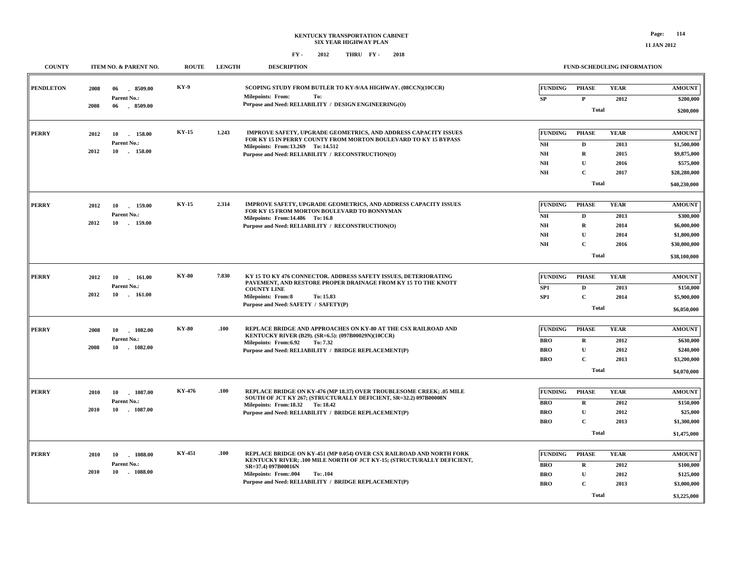| <b>COUNTY</b>    | ITEM NO. & PARENT NO.                                            | <b>ROUTE</b> | <b>LENGTH</b> | <b>DESCRIPTION</b>                                                                                                                                                                                                                                                  |                                                                                       | <b>FUND-SCHEDULING INFORMATION</b>                                         |                                             |                                                                                          |  |
|------------------|------------------------------------------------------------------|--------------|---------------|---------------------------------------------------------------------------------------------------------------------------------------------------------------------------------------------------------------------------------------------------------------------|---------------------------------------------------------------------------------------|----------------------------------------------------------------------------|---------------------------------------------|------------------------------------------------------------------------------------------|--|
| <b>PENDLETON</b> | 2008<br>06<br>8509.00<br>Parent No.:<br>2008<br>$-8509.00$<br>06 | KY-9         |               | SCOPING STUDY FROM BUTLER TO KY-9/AA HIGHWAY. (08CCN)(10CCR)<br><b>Milepoints: From:</b><br>To:<br>Purpose and Need: RELIABILITY / DESIGN ENGINEERING(O)                                                                                                            | <b>FUNDING</b><br>${\bf SP}$                                                          | <b>PHASE</b><br>$\mathbf{P}$<br><b>Total</b>                               | <b>YEAR</b><br>2012                         | <b>AMOUNT</b><br>\$200,000<br>\$200,000                                                  |  |
| <b>PERRY</b>     | 2012<br>10<br>158.00<br>Parent No.:<br>2012<br>158.00<br>10      | <b>KY-15</b> | 1.243         | <b>IMPROVE SAFETY, UPGRADE GEOMETRICS, AND ADDRESS CAPACITY ISSUES</b><br>FOR KY 15 IN PERRY COUNTY FROM MORTON BOULEVARD TO KY 15 BYPASS<br>Milepoints: From: 13.269 To: 14.512<br>Purpose and Need: RELIABILITY / RECONSTRUCTION(O)                               | <b>FUNDING</b><br>$\mathbf{N}\mathbf{H}$<br>NH<br>$\mathbf{N}\mathbf{H}$<br><b>NH</b> | <b>PHASE</b><br>D<br>$\mathbf R$<br>U<br>$\mathbf{C}$<br><b>Total</b>      | <b>YEAR</b><br>2013<br>2015<br>2016<br>2017 | <b>AMOUNT</b><br>\$1,500,000<br>\$9,875,000<br>\$575,000<br>\$28,280,000<br>\$40,230,000 |  |
| <b>PERRY</b>     | 2012<br>10<br>159.00<br>Parent No.:<br>2012<br>10 159.00         | <b>KY-15</b> | 2.314         | IMPROVE SAFETY, UPGRADE GEOMETRICS, AND ADDRESS CAPACITY ISSUES<br>FOR KY 15 FROM MORTON BOULEVARD TO BONNYMAN<br>Milepoints: From:14.486 To:16.8<br>Purpose and Need: RELIABILITY / RECONSTRUCTION(O)                                                              | <b>FUNDING</b><br>NH<br>NH<br>NH<br>NH                                                | <b>PHASE</b><br>D<br>R<br>U<br>$\mathbf{C}$<br><b>Total</b>                | <b>YEAR</b><br>2013<br>2014<br>2014<br>2016 | <b>AMOUNT</b><br>\$300,000<br>\$6,000,000<br>\$1,800,000<br>\$30,000,000<br>\$38,100,000 |  |
| <b>PERRY</b>     | 2012<br>10<br>161.00<br>Parent No.:<br>2012<br>10<br>161.00      | <b>KY-80</b> | 7.830         | KY 15 TO KY 476 CONNECTOR. ADDRESS SAFETY ISSUES, DETERIORATING<br>PAVEMENT, AND RESTORE PROPER DRAINAGE FROM KY 15 TO THE KNOTT<br><b>COUNTY LINE</b><br><b>Milepoints: From:8</b><br>To: 15.83<br>Purpose and Need: SAFETY / SAFETY(P)                            | <b>FUNDING</b><br>SP <sub>1</sub><br>SP <sub>1</sub>                                  | <b>PHASE</b><br>D<br>$\mathbf C$<br><b>Total</b>                           | <b>YEAR</b><br>2013<br>2014                 | <b>AMOUNT</b><br>\$150,000<br>\$5,900,000<br>\$6,050,000                                 |  |
| <b>PERRY</b>     | 2008<br>10<br>1082.00<br>Parent No.:<br>2008<br>1082.00<br>10    | <b>KY-80</b> | .100          | REPLACE BRIDGE AND APPROACHES ON KY-80 AT THE CSX RAILROAD AND<br>KENTUCKY RIVER (B29). (SR=6.5): (097B00029N)(10CCR)<br>Milepoints: From:6.92<br>To: 7.32<br>Purpose and Need: RELIABILITY / BRIDGE REPLACEMENT(P)                                                 | <b>FUNDING</b><br><b>BRO</b><br><b>BRO</b><br><b>BRO</b>                              | <b>PHASE</b><br>$\mathbf R$<br>$\mathbf U$<br>$\mathbf{C}$<br><b>Total</b> | <b>YEAR</b><br>2012<br>2012<br>2013         | <b>AMOUNT</b><br>\$630,000<br>\$240,000<br>\$3,200,000<br>\$4,070,000                    |  |
| <b>PERRY</b>     | 1087.00<br>2010<br>10<br>Parent No.:<br>2010<br>10<br>1087.00    | KY-476       | .100          | REPLACE BRIDGE ON KY-476 (MP 18.37) OVER TROUBLESOME CREEK; .05 MILE<br>SOUTH OF JCT KY 267; (STRUCTURALLY DEFICIENT, SR=32.2) 097B00008N<br>Milepoints: From:18.32 To:18.42<br>Purpose and Need: RELIABILITY / BRIDGE REPLACEMENT(P)                               | <b>FUNDING</b><br><b>BRO</b><br><b>BRO</b><br><b>BRO</b>                              | <b>PHASE</b><br>$\bf R$<br>$\mathbf{U}$<br>$\mathbf C$<br><b>Total</b>     | <b>YEAR</b><br>2012<br>2012<br>2013         | <b>AMOUNT</b><br>\$150,000<br>\$25,000<br>\$1,300,000<br>\$1,475,000                     |  |
| <b>PERRY</b>     | 2010<br>10<br>1088.00<br>Parent No.:<br>10<br>$-1088.00$<br>2010 | KY-451       | .100          | REPLACE BRIDGE ON KY-451 (MP 0.054) OVER CSX RAILROAD AND NORTH FORK<br>KENTUCKY RIVER; .100 MILE NORTH OF JCT KY-15; (STRUCTURALLY DEFICIENT,<br>SR=37.4) 097B00016N<br>Milepoints: From:.004<br>To: .104<br>Purpose and Need: RELIABILITY / BRIDGE REPLACEMENT(P) | <b>FUNDING</b><br><b>BRO</b><br><b>BRO</b><br><b>BRO</b>                              | <b>PHASE</b><br>$\mathbf R$<br>U<br>$\mathbf{C}$<br><b>Total</b>           | <b>YEAR</b><br>2012<br>2012<br>2013         | <b>AMOUNT</b><br>\$100,000<br>\$125,000<br>\$3,000,000<br>\$3,225,000                    |  |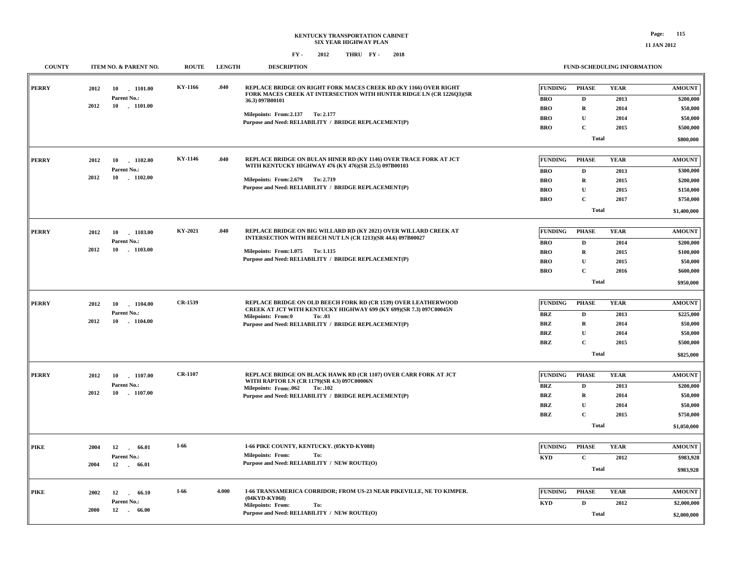| <b>COUNTY</b> |            | ITEM NO. & PARENT NO.     | <b>ROUTE</b> | <b>LENGTH</b> | <b>DESCRIPTION</b>                                                                                                                       |                              | FUND-SCHEDULING INFORMATION |                     |               |  |
|---------------|------------|---------------------------|--------------|---------------|------------------------------------------------------------------------------------------------------------------------------------------|------------------------------|-----------------------------|---------------------|---------------|--|
| <b>PERRY</b>  | 2012       | 10 1101.00<br>Parent No.: | KY-1166      | .040          | REPLACE BRIDGE ON RIGHT FORK MACES CREEK RD (KY 1166) OVER RIGHT<br>FORK MACES CREEK AT INTERSECTION WITH HUNTER RIDGE LN (CR 1226Q3)(SR | <b>FUNDING</b><br><b>BRO</b> | <b>PHASE</b><br>$\mathbf D$ | <b>YEAR</b><br>2013 | <b>AMOUNT</b> |  |
|               | 2012<br>10 | $-1101.00$                |              |               | 36.3) 097B00101                                                                                                                          |                              |                             |                     | \$200,000     |  |
|               |            |                           |              |               | Milepoints: From: 2.137 To: 2.177                                                                                                        | <b>BRO</b>                   | $\mathbf R$                 | 2014                | \$50,000      |  |
|               |            |                           |              |               | Purpose and Need: RELIABILITY / BRIDGE REPLACEMENT(P)                                                                                    | <b>BRO</b>                   | $\mathbf{U}$                | 2014                | \$50,000      |  |
|               |            |                           |              |               |                                                                                                                                          | <b>BRO</b>                   | $\mathbf C$                 | 2015                | \$500,000     |  |
|               |            |                           |              |               |                                                                                                                                          |                              | <b>Total</b>                |                     | \$800,000     |  |
| <b>PERRY</b>  | 2012       | 10<br>1102.00             | KY-1146      | .040          | REPLACE BRIDGE ON BULAN HINER RD (KY 1146) OVER TRACE FORK AT JCT<br>WITH KENTUCKY HIGHWAY 476 (KY 476)(SR 25.5) 097B00103               | <b>FUNDING</b>               | <b>PHASE</b>                | <b>YEAR</b>         | <b>AMOUNT</b> |  |
|               |            | Parent No.:               |              |               |                                                                                                                                          | <b>BRO</b>                   | D                           | 2013                | \$300,000     |  |
|               | 2012       | 10 1102.00                |              |               | Milepoints: From: 2.679 To: 2.719                                                                                                        | <b>BRO</b>                   | $\mathbf R$                 | 2015                | \$200,000     |  |
|               |            |                           |              |               | Purpose and Need: RELIABILITY / BRIDGE REPLACEMENT(P)                                                                                    | <b>BRO</b>                   | $\mathbf{U}$                | 2015                | \$150,000     |  |
|               |            |                           |              |               |                                                                                                                                          | <b>BRO</b>                   | $\mathbf C$                 | 2017                | \$750,000     |  |
|               |            |                           |              |               |                                                                                                                                          |                              | <b>Total</b>                |                     | \$1,400,000   |  |
| <b>PERRY</b>  | 2012<br>10 | 1103.00                   | KY-2021      | .040          | <b>REPLACE BRIDGE ON BIG WILLARD RD (KY 2021) OVER WILLARD CREEK AT</b>                                                                  | FUNDING                      | <b>PHASE</b>                | <b>YEAR</b>         | <b>AMOUNT</b> |  |
|               |            | Parent No.:               |              |               | INTERSECTION WITH BEECH NUT LN (CR 1213)(SR 44.6) 097B00027                                                                              | <b>BRO</b>                   | $\mathbf D$                 | 2014                | \$200,000     |  |
|               | 2012<br>10 | $-1103.00$                |              |               | Milepoints: From:1.075 To: 1.115                                                                                                         | <b>BRO</b>                   | $\bf R$                     | 2015                | \$100,000     |  |
|               |            |                           |              |               | Purpose and Need: RELIABILITY / BRIDGE REPLACEMENT(P)                                                                                    | <b>BRO</b>                   | U                           | 2015                | \$50,000      |  |
|               |            |                           |              |               |                                                                                                                                          | <b>BRO</b>                   | $\mathbf{C}$                | 2016                | \$600,000     |  |
|               |            |                           |              |               |                                                                                                                                          |                              | Total                       |                     | \$950,000     |  |
| <b>PERRY</b>  |            |                           | CR-1539      |               | REPLACE BRIDGE ON OLD BEECH FORK RD (CR 1539) OVER LEATHERWOOD                                                                           | <b>FUNDING</b>               | <b>PHASE</b>                | <b>YEAR</b>         | <b>AMOUNT</b> |  |
|               | 2012<br>10 | $-1104.00$<br>Parent No.: |              |               | CREEK AT JCT WITH KENTUCKY HIGHWAY 699 (KY 699)(SR 7.3) 097C00045N                                                                       |                              |                             |                     |               |  |
|               | 2012<br>10 | $-1104.00$                |              |               | Milepoints: From:0<br>To: .03                                                                                                            | <b>BRZ</b>                   | D                           | 2013                | \$225,000     |  |
|               |            |                           |              |               | Purpose and Need: RELIABILITY / BRIDGE REPLACEMENT(P)                                                                                    | <b>BRZ</b>                   | $\mathbf R$                 | 2014                | \$50,000      |  |
|               |            |                           |              |               |                                                                                                                                          | <b>BRZ</b>                   | ${\bf U}$                   | 2014                | \$50,000      |  |
|               |            |                           |              |               |                                                                                                                                          | <b>BRZ</b>                   | $\mathbf C$                 | 2015                | \$500,000     |  |
|               |            |                           |              |               |                                                                                                                                          |                              | <b>Total</b>                |                     | \$825,000     |  |
| <b>PERRY</b>  | 2012<br>10 | 1107.00                   | CR-1107      |               | REPLACE BRIDGE ON BLACK HAWK RD (CR 1107) OVER CARR FORK AT JCT                                                                          | <b>FUNDING</b>               | <b>PHASE</b>                | <b>YEAR</b>         | <b>AMOUNT</b> |  |
|               |            | Parent No.:               |              |               | WITH RAPTOR LN (CR 1179)(SR 4.3) 097C00006N<br>Milepoints: From:.062<br>To: .102                                                         | <b>BRZ</b>                   | D                           | 2013                | \$200,000     |  |
|               | 2012       | 10 1107.00                |              |               | Purpose and Need: RELIABILITY / BRIDGE REPLACEMENT(P)                                                                                    | <b>BRZ</b>                   | $\bf R$                     | 2014                | \$50,000      |  |
|               |            |                           |              |               |                                                                                                                                          | <b>BRZ</b>                   | $\mathbf{U}$                | 2014                | \$50,000      |  |
|               |            |                           |              |               |                                                                                                                                          | <b>BRZ</b>                   | $\mathbf C$                 | 2015                | \$750,000     |  |
|               |            |                           |              |               |                                                                                                                                          |                              | <b>Total</b>                |                     | \$1,050,000   |  |
| <b>PIKE</b>   | 2004<br>12 | 66.01                     | $I-66$       |               | I-66 PIKE COUNTY, KENTUCKY. (05KYD-KY088)                                                                                                | <b>FUNDING</b>               | <b>PHASE</b>                | <b>YEAR</b>         | <b>AMOUNT</b> |  |
|               |            | $\sim$<br>Parent No.:     |              |               | <b>Milepoints: From:</b><br>To:                                                                                                          |                              |                             |                     |               |  |
|               | 2004<br>12 | 66.01<br>$\sim 10^{-1}$   |              |               | Purpose and Need: RELIABILITY / NEW ROUTE(O)                                                                                             | <b>KYD</b>                   | $\mathbf{C}$                | 2012                | \$983,928     |  |
|               |            |                           |              |               |                                                                                                                                          |                              | <b>Total</b>                |                     | \$983,928     |  |
| <b>PIKE</b>   | 2002<br>12 | 66.10<br>$\overline{a}$   | I-66         | 4.000         | I-66 TRANSAMERICA CORRIDOR; FROM US-23 NEAR PIKEVILLE, NE TO KIMPER.                                                                     | <b>FUNDING</b>               | <b>PHASE</b>                | <b>YEAR</b>         | <b>AMOUNT</b> |  |
|               |            | Parent No.:               |              |               | (04KYD-KY068)<br>Milepoints: From:<br>To:                                                                                                | <b>KYD</b>                   | $\mathbf D$                 | 2012                | \$2,000,000   |  |
|               | 2000<br>12 | 66.00<br>$\sim 10^{-11}$  |              |               | Purpose and Need: RELIABILITY / NEW ROUTE(O)                                                                                             |                              | Total                       |                     | \$2,000,000   |  |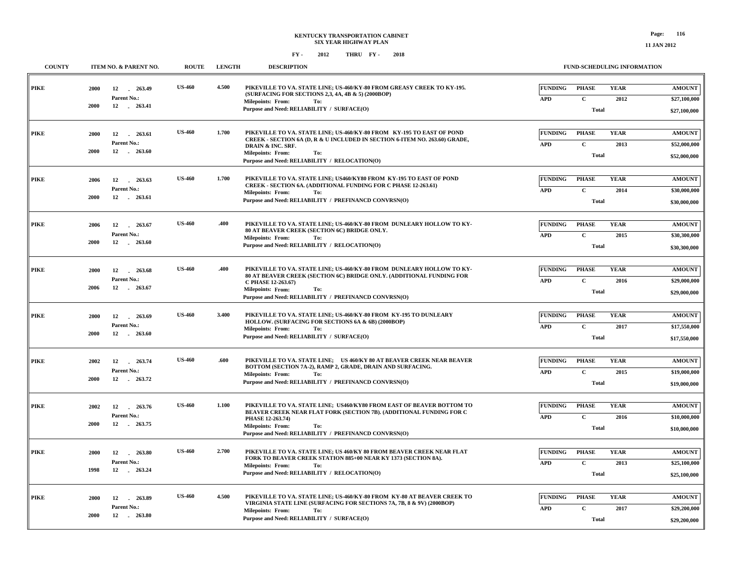| <b>COUNTY</b> | ITEM NO. & PARENT NO.                                          | <b>ROUTE</b>  | <b>LENGTH</b> | <b>DESCRIPTION</b>                                                                                                                                                                                                                                              | <b>FUND-SCHEDULING INFORMATION</b>                                                                              |                                               |  |  |
|---------------|----------------------------------------------------------------|---------------|---------------|-----------------------------------------------------------------------------------------------------------------------------------------------------------------------------------------------------------------------------------------------------------------|-----------------------------------------------------------------------------------------------------------------|-----------------------------------------------|--|--|
| <b>PIKE</b>   | 2000<br>263.49<br>12<br>Parent No.:<br>2000<br>12 . 263.41     | <b>US-460</b> | 4.500         | PIKEVILLE TO VA. STATE LINE; US-460/KY-80 FROM GREASY CREEK TO KY-195.<br>(SURFACING FOR SECTIONS 2,3, 4A, 4B & 5) (2000BOP)<br><b>Milepoints: From:</b><br>To:<br>Purpose and Need: RELIABILITY / SURFACE(O)                                                   | <b>FUNDING</b><br><b>PHASE</b><br><b>YEAR</b><br>$\mathbf{C}$<br>2012<br><b>APD</b><br><b>Total</b>             | <b>AMOUNT</b><br>\$27,100,000<br>\$27,100,000 |  |  |
| <b>PIKE</b>   | 2000<br>12<br>263.61<br>Parent No.:<br>12<br>$-263.60$<br>2000 | <b>US-460</b> | 1.700         | PIKEVILLE TO VA. STATE LINE; US-460/KY-80 FROM KY-195 TO EAST OF POND<br>CREEK - SECTION 6A (D, R & U INCLUDED IN SECTION 6-ITEM NO. 263.60) GRADE,<br>DRAIN & INC. SRF.<br><b>Milepoints: From:</b><br>To:<br>Purpose and Need: RELIABILITY / RELOCATION(O)    | <b>FUNDING</b><br><b>PHASE</b><br><b>YEAR</b><br>$\mathbf{C}$<br>2013<br><b>APD</b><br><b>Total</b>             | <b>AMOUNT</b><br>\$52,000,000<br>\$52,000,000 |  |  |
| <b>PIKE</b>   | 2006<br>12<br>263.63<br>Parent No.:<br>2000<br>12 . 263.61     | <b>US-460</b> | 1.700         | PIKEVILLE TO VA. STATE LINE; US460/KY80 FROM KY-195 TO EAST OF POND<br>CREEK - SECTION 6A. (ADDITIONAL FUNDING FOR C PHASE 12-263.61)<br><b>Milepoints: From:</b><br>To:<br>Purpose and Need: RELIABILITY / PREFINANCD CONVRSN(O)                               | <b>FUNDING</b><br><b>PHASE</b><br><b>YEAR</b><br>$\mathbf{C}$<br><b>APD</b><br>2014<br><b>Total</b>             | <b>AMOUNT</b><br>\$30,000,000<br>\$30,000,000 |  |  |
| <b>PIKE</b>   | 2006<br>12<br>263.67<br>Parent No.:<br>12 263.60<br>2000       | <b>US-460</b> | .400          | PIKEVILLE TO VA. STATE LINE; US-460/KY-80 FROM DUNLEARY HOLLOW TO KY-<br>80 AT BEAVER CREEK (SECTION 6C) BRIDGE ONLY.<br><b>Milepoints: From:</b><br>To:<br>Purpose and Need: RELIABILITY / RELOCATION(O)                                                       | <b>FUNDING</b><br><b>PHASE</b><br><b>YEAR</b><br>$\mathbf{C}$<br><b>APD</b><br>2015<br><b>Total</b>             | <b>AMOUNT</b><br>\$30,300,000<br>\$30,300,000 |  |  |
| <b>PIKE</b>   | 263.68<br>2000<br>12<br>Parent No.:<br>2006<br>12<br>263.67    | <b>US-460</b> | .400          | PIKEVILLE TO VA. STATE LINE: US-460/KY-80 FROM DUNLEARY HOLLOW TO KY-<br>80 AT BEAVER CREEK (SECTION 6C) BRIDGE ONLY. (ADDITIONAL FUNDING FOR<br>C PHASE 12-263.67)<br><b>Milepoints: From:</b><br>To:<br>Purpose and Need: RELIABILITY / PREFINANCD CONVRSN(O) | <b>FUNDING</b><br><b>PHASE</b><br><b>YEAR</b><br><b>APD</b><br>$\mathbf{C}$<br>2016<br><b>Total</b>             | <b>AMOUNT</b><br>\$29,000,000<br>\$29,000,000 |  |  |
| <b>PIKE</b>   | 2000<br>12<br>263.69<br>Parent No.:<br>2000<br>12 . 263.60     | <b>US-460</b> | 3.400         | PIKEVILLE TO VA. STATE LINE; US-460/KY-80 FROM KY-195 TO DUNLEARY<br>HOLLOW. (SURFACING FOR SECTIONS 6A & 6B) (2000BOP)<br><b>Milepoints: From:</b><br>To:<br>Purpose and Need: RELIABILITY / SURFACE(O)                                                        | <b>FUNDING</b><br><b>PHASE</b><br><b>YEAR</b><br><b>APD</b><br>$\mathbf C$<br>2017<br><b>Total</b>              | <b>AMOUNT</b><br>\$17,550,000<br>\$17,550,000 |  |  |
| <b>PIKE</b>   | 2002<br>12<br>263.74<br>Parent No.:<br>2000<br>12 263.72       | <b>US-460</b> | .600          | PIKEVILLE TO VA. STATE LINE; US 460/KY 80 AT BEAVER CREEK NEAR BEAVER<br>BOTTOM (SECTION 7A-2), RAMP 2, GRADE, DRAIN AND SURFACING.<br><b>Milepoints: From:</b><br>To:<br>Purpose and Need: RELIABILITY / PREFINANCD CONVRSN(O)                                 | <b>FUNDING</b><br><b>PHASE</b><br><b>YEAR</b><br>$\mathbf C$<br>${\bf A}{\bf P}{\bf D}$<br>2015<br><b>Total</b> | <b>AMOUNT</b><br>\$19,000,000<br>\$19,000,000 |  |  |
| <b>PIKE</b>   | 2002<br>12<br>263.76<br>Parent No.:<br>2000<br>12 263.75       | <b>US-460</b> | 1.100         | PIKEVILLE TO VA. STATE LINE: US460/KY80 FROM EAST OF BEAVER BOTTOM TO<br>BEAVER CREEK NEAR FLAT FORK (SECTION 7B). (ADDITIONAL FUNDING FOR C<br>PHASE 12-263.74)<br>Milepoints: From:<br>To:<br>Purpose and Need: RELIABILITY / PREFINANCD CONVRSN(O)           | <b>FUNDING</b><br><b>PHASE</b><br><b>YEAR</b><br>$\mathbf{C}$<br><b>APD</b><br>2016<br><b>Total</b>             | <b>AMOUNT</b><br>\$10,000,000<br>\$10,000,000 |  |  |
| <b>PIKE</b>   | 2000<br>12 263.80<br>Parent No.:<br>1998<br>12 263.24          | <b>US-460</b> | 2.700         | PIKEVILLE TO VA. STATE LINE; US 460/KY 80 FROM BEAVER CREEK NEAR FLAT<br>FORK TO BEAVER CREEK STATION 885+00 NEAR KY 1373 (SECTION 8A).<br><b>Milepoints: From:</b><br>To:<br>Purpose and Need: RELIABILITY / RELOCATION(O)                                     | <b>FUNDING</b><br><b>PHASE</b><br><b>YEAR</b><br>$\mathbf{C}$<br><b>APD</b><br>2013<br>Total                    | <b>AMOUNT</b><br>\$25,100,000<br>\$25,100,000 |  |  |
| <b>PIKE</b>   | 2000<br>12<br>263.89<br>Parent No.:<br>2000<br>12<br>263.80    | <b>US-460</b> | 4.500         | PIKEVILLE TO VA. STATE LINE; US-460/KY-80 FROM KY-80 AT BEAVER CREEK TO<br>VIRGINIA STATE LINE (SURFACING FOR SECTIONS 7A, 7B, 8 & 9V) (2000BOP)<br><b>Milepoints: From:</b><br>To:<br>Purpose and Need: RELIABILITY / SURFACE(O)                               | <b>PHASE</b><br><b>FUNDING</b><br><b>YEAR</b><br>$\mathbf C$<br><b>APD</b><br>2017<br><b>Total</b>              | <b>AMOUNT</b><br>\$29,200,000<br>\$29,200,000 |  |  |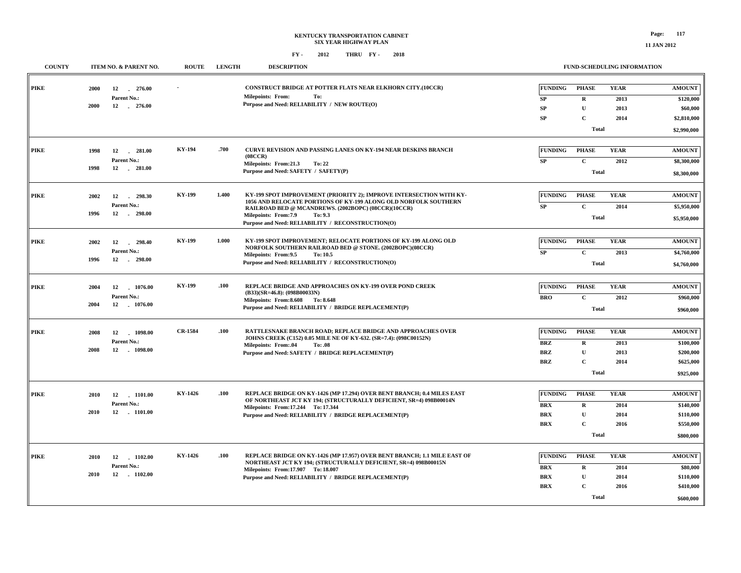### **KENTUCKY TRANSPORTATION CABINET SIX YEAR HIGHWAY PLAN FY - FY - 2012 2018 THRU**

#### **FUND-SCHEDULING INFORMATION**

| <b>COUNTY</b> |              | ITEM NO. & PARENT NO.                       | <b>ROUTE</b>   | <b>LENGTH</b> | <b>DESCRIPTION</b>                                                                                                                                          |                                   | FUND-SCHEDULING INFORMATION                 |                             |                                             |
|---------------|--------------|---------------------------------------------|----------------|---------------|-------------------------------------------------------------------------------------------------------------------------------------------------------------|-----------------------------------|---------------------------------------------|-----------------------------|---------------------------------------------|
| <b>PIKE</b>   | 2000<br>2000 | 12<br>$-276.00$<br>Parent No.:<br>12 276.00 |                |               | CONSTRUCT BRIDGE AT POTTER FLATS NEAR ELKHORN CITY.(10CCR)<br><b>Milepoints: From:</b><br>To:<br>Purpose and Need: RELIABILITY / NEW ROUTE(O)               | <b>FUNDING</b><br>SP<br><b>SP</b> | <b>PHASE</b><br>$\mathbf R$<br>$\mathbf U$  | <b>YEAR</b><br>2013<br>2013 | <b>AMOUNT</b><br>\$120,000<br>\$60,000      |
|               |              |                                             |                |               |                                                                                                                                                             | SP                                | $\mathbf C$                                 | 2014                        | \$2,810,000                                 |
|               |              |                                             |                |               |                                                                                                                                                             |                                   | <b>Total</b>                                |                             | \$2,990,000                                 |
| <b>PIKE</b>   | 1998<br>1998 | 12<br>$-281.00$<br>Parent No.:<br>12 281.00 | KY-194         | .700          | <b>CURVE REVISION AND PASSING LANES ON KY-194 NEAR DESKINS BRANCH</b><br>(08CCR)<br>Milepoints: From:21.3<br>To: 22<br>Purpose and Need: SAFETY / SAFETY(P) | <b>FUNDING</b><br><b>SP</b>       | <b>PHASE</b><br>$\mathbf C$<br><b>Total</b> | <b>YEAR</b><br>2012         | <b>AMOUNT</b><br>\$8,300,000<br>\$8,300,000 |
|               |              |                                             |                |               |                                                                                                                                                             |                                   |                                             |                             |                                             |
| <b>PIKE</b>   | 2002         | 12<br>298.30<br>$\sim$                      | KY-199         | 1.400         | KY-199 SPOT IMPROVEMENT (PRIORITY 2); IMPROVE INTERSECTION WITH KY-<br>1056 AND RELOCATE PORTIONS OF KY-199 ALONG OLD NORFOLK SOUTHERN                      | <b>FUNDING</b>                    | <b>PHASE</b>                                | <b>YEAR</b>                 | <b>AMOUNT</b>                               |
|               | 1996         | Parent No.:<br>12<br>$-298.00$              |                |               | RAILROAD BED @ MCANDREWS. (2002BOPC) (08CCR)(10CCR)<br>Milepoints: From: 7.9<br>To: 9.3                                                                     | SP                                | $\mathbf C$                                 | 2014                        | \$5,950,000                                 |
|               |              |                                             |                |               | Purpose and Need: RELIABILITY / RECONSTRUCTION(O)                                                                                                           |                                   | <b>Total</b>                                |                             | \$5,950,000                                 |
| <b>PIKE</b>   |              |                                             | KY-199         | 1.000         | KY-199 SPOT IMPROVEMENT; RELOCATE PORTIONS OF KY-199 ALONG OLD                                                                                              | <b>FUNDING</b>                    | <b>PHASE</b>                                | <b>YEAR</b>                 | <b>AMOUNT</b>                               |
|               | 2002         | 12<br>298.40<br>Parent No.:                 |                |               | NORFOLK SOUTHERN RAILROAD BED @ STONE. (2002BOPC)(08CCR)                                                                                                    | SP                                | $\mathbf C$                                 | 2013                        | \$4,760,000                                 |
|               | 1996         | 12 298.00                                   |                |               | Milepoints: From: 9.5<br>To: 10.5<br>Purpose and Need: RELIABILITY / RECONSTRUCTION(O)                                                                      |                                   | <b>Total</b>                                |                             | \$4,760,000                                 |
|               |              |                                             |                |               |                                                                                                                                                             |                                   |                                             |                             |                                             |
| <b>PIKE</b>   | 2004         | 12<br>1076.00                               | <b>KY-199</b>  | .100          | <b>REPLACE BRIDGE AND APPROACHES ON KY-199 OVER POND CREEK</b><br>(B33)(SR=46.8): (098B00033N)                                                              | <b>FUNDING</b>                    | <b>PHASE</b>                                | <b>YEAR</b>                 | <b>AMOUNT</b>                               |
|               | 2004         | Parent No.:<br>12 1076.00                   |                |               | Milepoints: From: 8.608 To: 8.648                                                                                                                           | <b>BRO</b>                        | $\mathbf{C}$                                | 2012                        | \$960,000                                   |
|               |              |                                             |                |               | Purpose and Need: RELIABILITY / BRIDGE REPLACEMENT(P)                                                                                                       |                                   | <b>Total</b>                                |                             | \$960,000                                   |
| <b>PIKE</b>   |              |                                             | <b>CR-1584</b> | .100          | RATTLESNAKE BRANCH ROAD; REPLACE BRIDGE AND APPROACHES OVER                                                                                                 | <b>FUNDING</b>                    | <b>PHASE</b>                                | <b>YEAR</b>                 | <b>AMOUNT</b>                               |
|               | 2008         | 1098.00<br>12<br>Parent No.:                |                |               | JOHNS CREEK (C152) 0.05 MILE NE OF KY-632. (SR=7.4): (098C00152N)                                                                                           | BRZ                               | $\mathbf R$                                 | 2013                        | \$100,000                                   |
|               | 2008         | 12 . 1098.00                                |                |               | Milepoints: From:.04<br>To: .08<br>Purpose and Need: SAFETY / BRIDGE REPLACEMENT(P)                                                                         | <b>BRZ</b>                        | $\mathbf U$                                 | 2013                        | \$200,000                                   |
|               |              |                                             |                |               |                                                                                                                                                             | <b>BRZ</b>                        | $\mathbf{C}$                                | 2014                        | \$625,000                                   |
|               |              |                                             |                |               |                                                                                                                                                             |                                   | <b>Total</b>                                |                             | \$925,000                                   |
| PIKE          | 2010         | $-1101.00$<br>12                            | KY-1426        | .100          | REPLACE BRIDGE ON KY-1426 (MP 17.294) OVER BENT BRANCH; 0.4 MILES EAST                                                                                      | <b>FUNDING</b>                    | <b>PHASE</b>                                | <b>YEAR</b>                 | <b>AMOUNT</b>                               |
|               |              | Parent No.:                                 |                |               | OF NORTHEAST JCT KY 194; (STRUCTURALLY DEFICIENT, SR=4) 098B00014N                                                                                          | <b>BRX</b>                        | $\mathbf{R}$                                | 2014                        | \$140,000                                   |
|               | 2010         | 12 1101.00                                  |                |               | Milepoints: From: 17.244 To: 17.344<br>Purpose and Need: RELIABILITY / BRIDGE REPLACEMENT(P)                                                                | <b>BRX</b>                        | $\mathbf U$                                 | 2014                        | \$110,000                                   |
|               |              |                                             |                |               |                                                                                                                                                             | <b>BRX</b>                        | $\mathbf{C}$                                | 2016                        | \$550,000                                   |
|               |              |                                             |                |               |                                                                                                                                                             |                                   | <b>Total</b>                                |                             | \$800,000                                   |
| <b>PIKE</b>   |              |                                             | KY-1426        | .100          | REPLACE BRIDGE ON KY-1426 (MP 17.957) OVER BENT BRANCH; 1.1 MILE EAST OF                                                                                    | <b>FUNDING</b>                    | <b>PHASE</b>                                | <b>YEAR</b>                 | <b>AMOUNT</b>                               |
|               | 2010         | 12<br>1102.00<br>Parent No.:                |                |               | NORTHEAST JCT KY 194; (STRUCTURALLY DEFICIENT, SR=4) 098B00015N                                                                                             | <b>BRX</b>                        | $\mathbf R$                                 | 2014                        | \$80,000                                    |
|               | 2010         | 12 1102.00                                  |                |               | Milepoints: From:17.907 To: 18.007<br>Purpose and Need: RELIABILITY / BRIDGE REPLACEMENT(P)                                                                 | BRX                               | $\mathbf U$                                 | 2014                        | \$110,000                                   |
|               |              |                                             |                |               |                                                                                                                                                             | <b>BRX</b>                        | $\mathbf C$                                 | 2016                        | \$410,000                                   |
|               |              |                                             |                |               |                                                                                                                                                             |                                   | <b>Total</b>                                |                             | \$600,000                                   |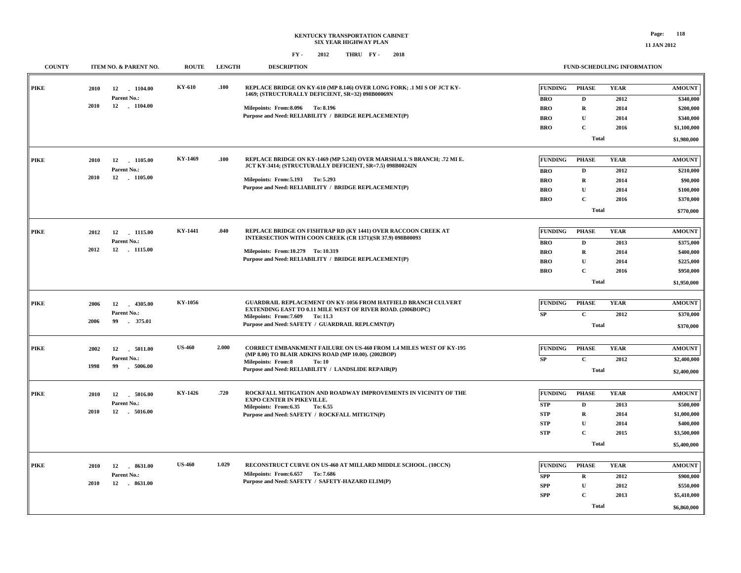### **KENTUCKY TRANSPORTATION CABINET SIX YEAR HIGHWAY PLAN FY - FY - 2012 2018 THRU**

**COUNTY ITEM NO. & PARENT NO. ROUTE LENGTH DESCRIPTION**

**FUND-SCHEDULING INFORMATION**

| <b>PIKE</b> | 2010<br>2010 | 12<br>1104.00<br>Parent No.:<br>12 1104.00       | KY-610        | .100  | REPLACE BRIDGE ON KY-610 (MP 8.146) OVER LONG FORK; .1 MI S OF JCT KY-<br>1469; (STRUCTURALLY DEFICIENT, SR=32) 098B00069N<br>Milepoints: From: 8.096 To: 8.196<br>Purpose and Need: RELIABILITY / BRIDGE REPLACEMENT(P)               | FUNDING<br><b>BRO</b><br><b>BRO</b><br><b>BRO</b><br><b>BRO</b>        | <b>PHASE</b><br>D<br>$\mathbf R$<br>$\mathbf{U}$<br>$\mathbf{C}$<br><b>Total</b>        | <b>YEAR</b><br>2012<br>2014<br>2014<br>2016 | <b>AMOUNT</b><br>\$340,000<br>\$200,000<br>\$340,000<br>\$1,100,000<br>\$1,980,000   |
|-------------|--------------|--------------------------------------------------|---------------|-------|----------------------------------------------------------------------------------------------------------------------------------------------------------------------------------------------------------------------------------------|------------------------------------------------------------------------|-----------------------------------------------------------------------------------------|---------------------------------------------|--------------------------------------------------------------------------------------|
| <b>PIKE</b> | 2010<br>2010 | 12<br>1105.00<br>Parent No.:<br>12 1105.00       | KY-1469       | .100  | REPLACE BRIDGE ON KY-1469 (MP 5.243) OVER MARSHALL'S BRANCH; .72 MI E.<br>JCT KY-3414; (STRUCTURALLY DEFICIENT, SR=7.5) 098B00242N<br>Milepoints: From: 5.193 To: 5.293<br>Purpose and Need: RELIABILITY / BRIDGE REPLACEMENT(P)       | <b>FUNDING</b><br><b>BRO</b><br><b>BRO</b><br><b>BRO</b><br><b>BRO</b> | <b>PHASE</b><br>$\mathbf{D}$<br>${\bf R}$<br>U<br>$\mathbf C$<br><b>Total</b>           | <b>YEAR</b><br>2012<br>2014<br>2014<br>2016 | <b>AMOUNT</b><br>\$210,000<br>\$90,000<br>\$100,000<br>\$370,000<br>\$770,000        |
| PIKE        | 2012<br>2012 | 12 1115.00<br>Parent No.:<br>12 . 1115.00        | KY-1441       | .040  | REPLACE BRIDGE ON FISHTRAP RD (KY 1441) OVER RACCOON CREEK AT<br>INTERSECTION WITH COON CREEK (CR 1371)(SR 37.9) 098B00093<br>Milepoints: From:10.279 To: 10.319<br>Purpose and Need: RELIABILITY / BRIDGE REPLACEMENT(P)              | <b>FUNDING</b><br><b>BRO</b><br><b>BRO</b><br><b>BRO</b><br><b>BRO</b> | <b>PHASE</b><br>$\mathbf{D}$<br>$\mathbf R$<br>${\bf U}$<br>$\mathbf C$<br><b>Total</b> | <b>YEAR</b><br>2013<br>2014<br>2014<br>2016 | <b>AMOUNT</b><br>\$375,000<br>\$400,000<br>\$225,000<br>\$950,000<br>\$1,950,000     |
| <b>PIKE</b> | 2006<br>2006 | 12 4305.00<br>Parent No.:<br>375.01<br>99        | KY-1056       |       | <b>GUARDRAIL REPLACEMENT ON KY-1056 FROM HATFIELD BRANCH CULVERT</b><br>EXTENDING EAST TO 0.11 MILE WEST OF RIVER ROAD. (2006BOPC)<br>Milepoints: From: 7.609 To: 11.3<br>Purpose and Need: SAFETY / GUARDRAIL REPLCMNT(P)             | <b>FUNDING</b><br>SP                                                   | <b>PHASE</b><br>$\mathbf{C}$<br><b>Total</b>                                            | <b>YEAR</b><br>2012                         | <b>AMOUNT</b><br>\$370,000<br>\$370,000                                              |
| PIKE        | 2002<br>1998 | 12<br>5011.00<br>Parent No.:<br>99<br>$-5006.00$ | <b>US-460</b> | 2.000 | <b>CORRECT EMBANKMENT FAILURE ON US-460 FROM 1.4 MILES WEST OF KY-195</b><br>(MP 8.00) TO BLAIR ADKINS ROAD (MP 10.00). (2002BOP)<br><b>Milepoints: From:8</b><br><b>To: 10</b><br>Purpose and Need: RELIABILITY / LANDSLIDE REPAIR(P) | <b>FUNDING</b><br>SP                                                   | <b>PHASE</b><br>$\mathbf C$<br><b>Total</b>                                             | <b>YEAR</b><br>2012                         | <b>AMOUNT</b><br>\$2,400,000<br>\$2,400,000                                          |
| PIKE        | 2010<br>2010 | 12<br>5016.00<br>Parent No.:<br>12   5016.00     | KY-1426       | .720  | ROCKFALL MITIGATION AND ROADWAY IMPROVEMENTS IN VICINITY OF THE<br><b>EXPO CENTER IN PIKEVILLE.</b><br>Milepoints: From:6.35<br>To: 6.55<br>Purpose and Need: SAFETY / ROCKFALL MITIGTN(P)                                             | <b>FUNDING</b><br><b>STP</b><br><b>STP</b><br><b>STP</b><br><b>STP</b> | <b>PHASE</b><br>$\mathbf D$<br>R<br>$\mathbf U$<br>$\mathbf C$<br><b>Total</b>          | <b>YEAR</b><br>2013<br>2014<br>2014<br>2015 | <b>AMOUNT</b><br>\$500,000<br>\$1,000,000<br>\$400,000<br>\$3,500,000<br>\$5,400,000 |
| <b>PIKE</b> | 2010<br>2010 | 12<br>8631.00<br>Parent No.:                     | <b>US-460</b> | 1.029 | RECONSTRUCT CURVE ON US-460 AT MILLARD MIDDLE SCHOOL. (10CCN)<br>Milepoints: From: 6.657 To: 7.686<br>Purpose and Need: SAFETY / SAFETY-HAZARD ELIM(P)                                                                                 | FUNDING<br><b>SPP</b><br><b>SPP</b><br><b>SPP</b>                      | <b>PHASE</b><br>$\bf R$<br>${\bf U}$<br>$\mathbf C$<br><b>Total</b>                     | <b>YEAR</b><br>2012<br>2012<br>2013         | <b>AMOUNT</b><br>\$900,000<br>\$550,000<br>\$5,410,000<br>\$6,860,000                |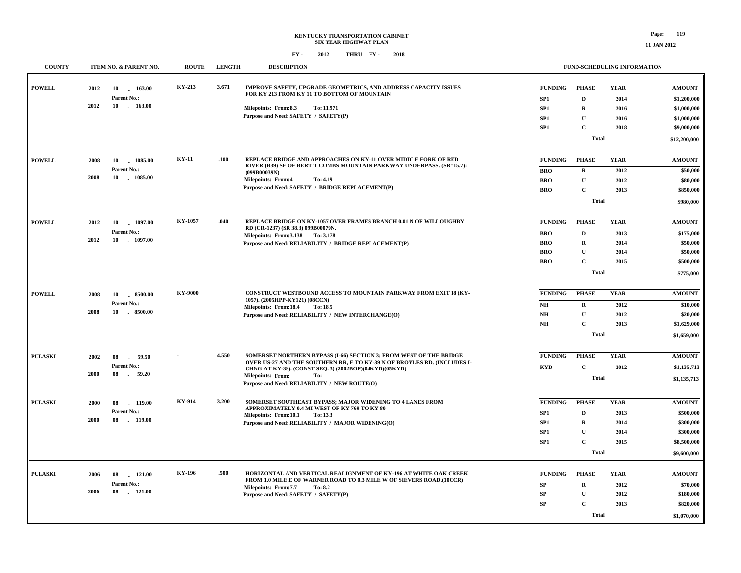| <b>COUNTY</b>  | ITEM NO. & PARENT NO.          | <b>ROUTE</b>   | <b>LENGTH</b> | <b>DESCRIPTION</b>                                                                                                                 |  |                        | FUND-SCHEDULING INFORMATION |             |                                |           |
|----------------|--------------------------------|----------------|---------------|------------------------------------------------------------------------------------------------------------------------------------|--|------------------------|-----------------------------|-------------|--------------------------------|-----------|
| <b>POWELL</b>  | 163.00<br>2012<br>10           | KY-213         | 3.671         | IMPROVE SAFETY, UPGRADE GEOMETRICS, AND ADDRESS CAPACITY ISSUES<br>FOR KY 213 FROM KY 11 TO BOTTOM OF MOUNTAIN                     |  | <b>FUNDING</b>         | <b>PHASE</b>                | <b>YEAR</b> | <b>AMOUNT</b>                  |           |
|                | Parent No.:                    |                |               |                                                                                                                                    |  | SP <sub>1</sub>        | D                           | 2014        | \$1,200,000                    |           |
|                | 2012<br>10<br>$-163.00$        |                |               | Milepoints: From:8.3<br>To: 11.971                                                                                                 |  | SP <sub>1</sub>        | $\mathbf R$                 | 2016        | \$1,000,000                    |           |
|                |                                |                |               | Purpose and Need: SAFETY / SAFETY(P)                                                                                               |  | SP1                    | $\mathbf U$                 | 2016        | \$1,000,000                    |           |
|                |                                |                |               |                                                                                                                                    |  | SP <sub>1</sub>        | $\mathbf C$                 | 2018        | \$9,000,000                    |           |
|                |                                |                |               |                                                                                                                                    |  |                        | <b>Total</b>                |             | \$12,200,000                   |           |
| <b>POWELL</b>  | 1085.00<br>2008<br>10          | KY-11          | .100          | REPLACE BRIDGE AND APPROACHES ON KY-11 OVER MIDDLE FORK OF RED                                                                     |  | <b>FUNDING</b>         | <b>PHASE</b>                | <b>YEAR</b> | <b>AMOUNT</b>                  |           |
|                | Parent No.:                    |                |               | RIVER (B39) SE OF BERT T COMBS MOUNTAIN PARKWAY UNDERPASS. (SR=15.7):<br>(099B00039N)                                              |  | <b>BRO</b>             | ${\bf R}$                   | 2012        | \$50,000                       |           |
|                | 2008<br>10 1085.00             |                |               | <b>Milepoints: From:4</b><br>To: 4.19                                                                                              |  | <b>BRO</b>             | $\mathbf U$                 | 2012        | \$80,000                       |           |
|                |                                |                |               | Purpose and Need: SAFETY / BRIDGE REPLACEMENT(P)                                                                                   |  | <b>BRO</b>             | $\mathbf C$                 | 2013        | \$850,000                      |           |
|                |                                |                |               |                                                                                                                                    |  |                        |                             | Total       |                                | \$980,000 |
| <b>POWELL</b>  | 2012<br>10<br>1097.00          | KY-1057        | .040          | REPLACE BRIDGE ON KY-1057 OVER FRAMES BRANCH 0.01 N OF WILLOUGHBY                                                                  |  | <b>FUNDING</b>         | <b>PHASE</b>                | <b>YEAR</b> | <b>AMOUNT</b>                  |           |
|                | Parent No.:                    |                |               | RD (CR-1237) (SR 38.3) 099B00079N.                                                                                                 |  | <b>BRO</b>             | $\mathbf{D}$                | 2013        | \$175,000                      |           |
|                | 2012<br>10 1097.00             |                |               | Milepoints: From: 3.138 To: 3.178<br>Purpose and Need: RELIABILITY / BRIDGE REPLACEMENT(P)                                         |  | <b>BRO</b>             | ${\bf R}$                   | 2014        | \$50,000                       |           |
|                |                                |                |               |                                                                                                                                    |  | <b>BRO</b>             | $\mathbf U$                 | 2014        | \$50,000                       |           |
|                |                                |                |               |                                                                                                                                    |  | <b>BRO</b>             | $\mathbf C$                 | 2015        | \$500,000                      |           |
|                |                                |                |               |                                                                                                                                    |  |                        | <b>Total</b>                |             | \$775,000                      |           |
|                |                                |                |               |                                                                                                                                    |  |                        |                             |             |                                |           |
| <b>POWELL</b>  | 2008<br>10 8500.00             | <b>KY-9000</b> |               | CONSTRUCT WESTBOUND ACCESS TO MOUNTAIN PARKWAY FROM EXIT 18 (KY-<br>1057). (2005HPP-KY121) (08CCN)                                 |  | <b>FUNDING</b>         | <b>PHASE</b>                | <b>YEAR</b> | <b>AMOUNT</b>                  |           |
|                | Parent No.:                    |                |               | Milepoints: From:18.4<br>To: 18.5                                                                                                  |  | N <sub>H</sub>         | ${\bf R}$                   | 2012        | \$10,000                       |           |
|                | $-8500.00$<br>2008<br>10       |                |               | Purpose and Need: RELIABILITY / NEW INTERCHANGE(O)                                                                                 |  | $\mathbf{N}\mathbf{H}$ | $\mathbf U$                 | 2012        | \$20,000                       |           |
|                |                                |                |               |                                                                                                                                    |  | NH                     | $\mathbf{C}$                | 2013        | \$1,629,000                    |           |
|                |                                |                |               |                                                                                                                                    |  |                        | <b>Total</b>                |             | \$1,659,000                    |           |
| <b>PULASKI</b> | 2002<br>08<br>59.50            |                | 4.550         | SOMERSET NORTHERN BYPASS (I-66) SECTION 3; FROM WEST OF THE BRIDGE                                                                 |  | <b>FUNDING</b>         | <b>PHASE</b>                | <b>YEAR</b> | <b>AMOUNT</b>                  |           |
|                | Parent No.:                    |                |               | OVER US-27 AND THE SOUTHERN RR. E TO KY-39 N OF BROYLES RD. (INCLUDES I-<br>CHNG AT KY-39). (CONST SEQ. 3) (2002BOP)(04KYD)(05KYD) |  | <b>KYD</b>             | $\mathbf C$                 | 2012        | \$1,135,713                    |           |
|                | 2000<br>08<br>59.20            |                |               | <b>Milepoints: From:</b><br>To:<br>Purpose and Need: RELIABILITY / NEW ROUTE(O)                                                    |  |                        | <b>Total</b>                |             | \$1,135,713                    |           |
|                |                                |                |               |                                                                                                                                    |  |                        |                             |             |                                |           |
| <b>PULASKI</b> | $-119.00$<br>2000<br>08        | KY-914         | 3.200         | SOMERSET SOUTHEAST BYPASS; MAJOR WIDENING TO 4 LANES FROM<br>APPROXIMATELY 0.4 MI WEST OF KY 769 TO KY 80                          |  | <b>FUNDING</b>         | <b>PHASE</b>                | <b>YEAR</b> | <b>AMOUNT</b>                  |           |
|                | Parent No.:                    |                |               | Milepoints: From:10.1<br>To: 13.3                                                                                                  |  | SP1                    | $\mathbf D$                 | 2013        | \$500,000                      |           |
|                | 2000<br>08<br>119.00<br>$\sim$ |                |               | Purpose and Need: RELIABILITY / MAJOR WIDENING(O)                                                                                  |  | SP1                    | ${\bf R}$                   | 2014        | \$300,000                      |           |
|                |                                |                |               |                                                                                                                                    |  | SP1                    | $\mathbf U$                 | 2014        | \$300,000                      |           |
|                |                                |                |               |                                                                                                                                    |  | SP1                    | $\mathbf C$                 | 2015        | \$8,500,000                    |           |
|                |                                |                |               |                                                                                                                                    |  |                        | <b>Total</b>                |             | \$9,600,000                    |           |
| <b>PULASKI</b> | 2006<br>08<br>$-121.00$        | KY-196         | .500          | HORIZONTAL AND VERTICAL REALIGNMENT OF KY-196 AT WHITE OAK CREEK                                                                   |  | <b>FUNDING</b>         | <b>PHASE</b>                | <b>YEAR</b> | $\boldsymbol{\mathrm{AMOUNT}}$ |           |
|                | Parent No.:                    |                |               | FROM 1.0 MILE E OF WARNER ROAD TO 0.3 MILE W OF SIEVERS ROAD.(10CCR)                                                               |  | ${\bf SP}$             | $\mathbf R$                 | 2012        | \$70,000                       |           |
|                | 2006<br>08<br>$-121.00$        |                |               | Milepoints: From: 7.7<br>To: 8.2<br>Purpose and Need: SAFETY / SAFETY(P)                                                           |  | SP                     | $\mathbf{U}$                | 2012        | \$180,000                      |           |
|                |                                |                |               |                                                                                                                                    |  | <b>SP</b>              | $\mathbf C$                 | 2013        | \$820,000                      |           |
|                |                                |                |               |                                                                                                                                    |  |                        | Total                       |             |                                |           |
|                |                                |                |               |                                                                                                                                    |  |                        |                             |             | \$1,070,000                    |           |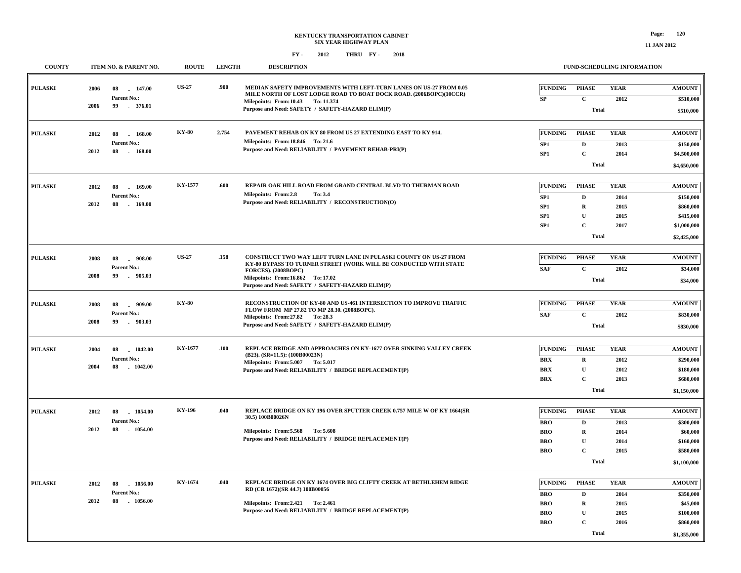| <b>COUNTY</b>  |      | ITEM NO. & PARENT NO.          | <b>ROUTE</b> | <b>LENGTH</b> | <b>DESCRIPTION</b>                                                                                                                       |                          | FUND-SCHEDULING INFORMATION |              |                        |
|----------------|------|--------------------------------|--------------|---------------|------------------------------------------------------------------------------------------------------------------------------------------|--------------------------|-----------------------------|--------------|------------------------|
| <b>PULASKI</b> | 2006 | 08<br>147.00                   | <b>US-27</b> | .900          | MEDIAN SAFETY IMPROVEMENTS WITH LEFT-TURN LANES ON US-27 FROM 0.05<br>MILE NORTH OF LOST LODGE ROAD TO BOAT DOCK ROAD. (2006BOPC)(10CCR) | FUNDING                  | <b>PHASE</b>                | <b>YEAR</b>  | <b>AMOUNT</b>          |
|                | 2006 | Parent No.:<br>99<br>376.01    |              |               | Milepoints: From:10.43 To: 11.374                                                                                                        | ${\bf SP}$               | $\mathbf C$                 | 2012         | \$510,000              |
|                |      |                                |              |               | Purpose and Need: SAFETY / SAFETY-HAZARD ELIM(P)                                                                                         |                          | <b>Total</b>                |              | \$510,000              |
| <b>PULASKI</b> |      | 168.00                         | <b>KY-80</b> | 2.754         | PAVEMENT REHAB ON KY 80 FROM US 27 EXTENDING EAST TO KY 914.                                                                             | <b>FUNDING</b>           | <b>PHASE</b>                | <b>YEAR</b>  | <b>AMOUNT</b>          |
|                | 2012 | 08<br>Parent No.:              |              |               | Milepoints: From:18.846 To: 21.6                                                                                                         | SP1                      | $\mathbf D$                 | 2013         | \$150,000              |
|                | 2012 | 08<br>168.00                   |              |               | Purpose and Need: RELIABILITY / PAVEMENT REHAB-PRI(P)                                                                                    | SP1                      | $\mathbf C$                 | 2014         | \$4,500,000            |
|                |      |                                |              |               |                                                                                                                                          |                          | <b>Total</b>                |              | \$4,650,000            |
|                |      |                                |              |               |                                                                                                                                          |                          |                             |              |                        |
| <b>PULASKI</b> | 2012 | 08<br>169.00                   | KY-1577      | .600          | REPAIR OAK HILL ROAD FROM GRAND CENTRAL BLVD TO THURMAN ROAD                                                                             | <b>FUNDING</b>           | <b>PHASE</b>                | <b>YEAR</b>  | <b>AMOUNT</b>          |
|                |      | Parent No.:                    |              |               | Milepoints: From:2.8<br>To: 3.4                                                                                                          | SP1                      | $\mathbf D$                 | 2014         | \$150,000              |
|                | 2012 | 08<br>$-169.00$                |              |               | Purpose and Need: RELIABILITY / RECONSTRUCTION(O)                                                                                        | SP1                      | $\mathbf R$                 | 2015         | \$860,000              |
|                |      |                                |              |               |                                                                                                                                          | SP <sub>1</sub>          | $\mathbf{U}$                | 2015         | \$415,000              |
|                |      |                                |              |               |                                                                                                                                          | SP <sub>1</sub>          | $\mathbf C$                 | 2017         | \$1,000,000            |
|                |      |                                |              |               |                                                                                                                                          |                          | <b>Total</b>                |              | \$2,425,000            |
|                |      |                                |              |               |                                                                                                                                          |                          |                             |              |                        |
| <b>PULASKI</b> | 2008 | 08<br>908.00                   | <b>US-27</b> | .158          | CONSTRUCT TWO WAY LEFT TURN LANE IN PULASKI COUNTY ON US-27 FROM<br>KY-80 BYPASS TO TURNER STREET (WORK WILL BE CONDUCTED WITH STATE     | <b>FUNDING</b>           | <b>PHASE</b>                | <b>YEAR</b>  | <b>AMOUNT</b>          |
|                | 2008 | Parent No.:<br>99<br>905.03    |              |               | FORCES). (2008BOPC)                                                                                                                      | <b>SAF</b>               | $\mathbf C$                 | 2012         | \$34,000               |
|                |      |                                |              |               | Milepoints: From:16.862 To: 17.02<br>Purpose and Need: SAFETY / SAFETY-HAZARD ELIM(P)                                                    |                          | <b>Total</b>                |              | \$34,000               |
|                |      |                                |              |               |                                                                                                                                          |                          |                             |              |                        |
| <b>PULASKI</b> | 2008 | 08<br>.909.00                  | <b>KY-80</b> |               | RECONSTRUCTION OF KY-80 AND US-461 INTERSECTION TO IMPROVE TRAFFIC<br>FLOW FROM MP 27.82 TO MP 28.30. (2008BOPC).                        | FUNDING                  | <b>PHASE</b>                | <b>YEAR</b>  | <b>AMOUNT</b>          |
|                | 2008 | Parent No.:<br>99<br>$-903.03$ |              |               | Milepoints: From: 27.82 To: 28.3                                                                                                         | <b>SAF</b>               | $\mathbf C$                 | 2012         | \$830,000              |
|                |      |                                |              |               | Purpose and Need: SAFETY / SAFETY-HAZARD ELIM(P)                                                                                         |                          | <b>Total</b>                |              | \$830,000              |
|                |      |                                | KY-1677      | .100          | REPLACE BRIDGE AND APPROACHES ON KY-1677 OVER SINKING VALLEY CREEK                                                                       | <b>FUNDING</b>           | <b>PHASE</b>                | <b>YEAR</b>  | <b>AMOUNT</b>          |
| <b>PULASKI</b> | 2004 | 08<br>1042.00<br>Parent No.:   |              |               | (B23). (SR=11.5): (100B00023N)                                                                                                           |                          |                             |              |                        |
|                | 2004 | 08<br>$-1042.00$               |              |               | Milepoints: From: 5.007 To: 5.017                                                                                                        | <b>BRX</b><br><b>BRX</b> | $\mathbf R$<br>$\mathbf U$  | 2012<br>2012 | \$290,000              |
|                |      |                                |              |               | Purpose and Need: RELIABILITY / BRIDGE REPLACEMENT(P)                                                                                    | <b>BRX</b>               | $\mathbf C$                 | 2013         | \$180,000<br>\$680,000 |
|                |      |                                |              |               |                                                                                                                                          |                          | <b>Total</b>                |              |                        |
|                |      |                                |              |               |                                                                                                                                          |                          |                             |              | \$1,150,000            |
| <b>PULASKI</b> | 2012 | 08<br>1054.00                  | KY-196       | .040          | REPLACE BRIDGE ON KY 196 OVER SPUTTER CREEK 0.757 MILE W OF KY 1664(SR                                                                   | <b>FUNDING</b>           | <b>PHASE</b>                | <b>YEAR</b>  | <b>AMOUNT</b>          |
|                |      | Parent No.:                    |              |               | 30.5) 100B00026N                                                                                                                         | <b>BRO</b>               | $\mathbf D$                 | 2013         | \$300,000              |
|                | 2012 | 08<br>$-1054.00$               |              |               | Milepoints: From: 5.568 To: 5.608                                                                                                        | <b>BRO</b>               | $\mathbf R$                 | 2014         | \$60,000               |
|                |      |                                |              |               | Purpose and Need: RELIABILITY / BRIDGE REPLACEMENT(P)                                                                                    | <b>BRO</b>               | $\mathbf U$                 | 2014         | \$160,000              |
|                |      |                                |              |               |                                                                                                                                          | <b>BRO</b>               | $\mathbf C$                 | 2015         | \$580,000              |
|                |      |                                |              |               |                                                                                                                                          |                          | <b>Total</b>                |              | \$1,100,000            |
|                |      |                                | KY-1674      | .040          | REPLACE BRIDGE ON KY 1674 OVER BIG CLIFTY CREEK AT BETHLEHEM RIDGE                                                                       |                          |                             |              |                        |
| <b>PULASKI</b> | 2012 | 08<br>1056.00<br>Parent No.:   |              |               | RD (CR 1672)(SR 44.7) 100B00056                                                                                                          | <b>FUNDING</b>           | <b>PHASE</b>                | <b>YEAR</b>  | <b>AMOUNT</b>          |
|                | 2012 | 08<br>$-1056.00$               |              |               |                                                                                                                                          | <b>BRO</b>               | $\mathbf D$                 | 2014         | \$350,000              |
|                |      |                                |              |               | Milepoints: From: 2.421 To: 2.461<br>Purpose and Need: RELIABILITY / BRIDGE REPLACEMENT(P)                                               | <b>BRO</b>               | $\mathbf R$<br>$\mathbf U$  | 2015         | \$45,000               |
|                |      |                                |              |               |                                                                                                                                          | <b>BRO</b><br><b>BRO</b> | $\mathbf C$                 | 2015<br>2016 | \$100,000<br>\$860,000 |
|                |      |                                |              |               |                                                                                                                                          |                          |                             |              |                        |
|                |      |                                |              |               |                                                                                                                                          |                          | <b>Total</b>                |              | \$1,355,000            |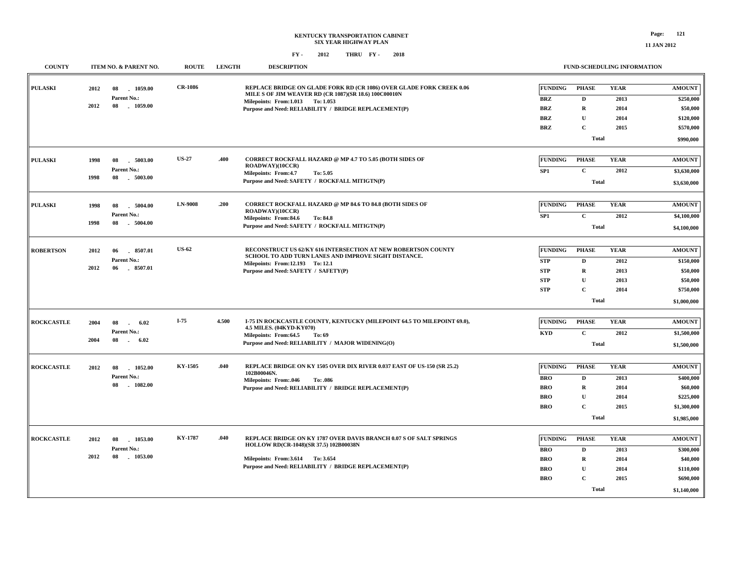| <b>COUNTY</b>     |      | ITEM NO. & PARENT NO.           | <b>ROUTE</b>   | <b>LENGTH</b> | <b>DESCRIPTION</b>                                                                                                            |                 |              | <b>FUND-SCHEDULING INFORMATION</b> |               |
|-------------------|------|---------------------------------|----------------|---------------|-------------------------------------------------------------------------------------------------------------------------------|-----------------|--------------|------------------------------------|---------------|
| <b>PULASKI</b>    | 2012 | 08<br>1059.00                   | <b>CR-1086</b> |               | REPLACE BRIDGE ON GLADE FORK RD (CR 1086) OVER GLADE FORK CREEK 0.06<br>MILE S OF JIM WEAVER RD (CR 1087)(SR 18.6) 100C00010N | <b>FUNDING</b>  | <b>PHASE</b> | <b>YEAR</b>                        | <b>AMOUNT</b> |
|                   | 2012 | Parent No.:<br>08<br>$-1059.00$ |                |               | Milepoints: From:1.013 To: 1.053                                                                                              | <b>BRZ</b>      | $\mathbf{D}$ | 2013                               | \$250,000     |
|                   |      |                                 |                |               | Purpose and Need: RELIABILITY / BRIDGE REPLACEMENT(P)                                                                         | <b>BRZ</b>      | $\mathbf R$  | 2014                               | \$50,000      |
|                   |      |                                 |                |               |                                                                                                                               | BRZ             | U            | 2014                               | \$120,000     |
|                   |      |                                 |                |               |                                                                                                                               | <b>BRZ</b>      | $\mathbf C$  | 2015                               | \$570,000     |
|                   |      |                                 |                |               |                                                                                                                               |                 | Total        |                                    | \$990,000     |
| <b>PULASKI</b>    | 1998 | 08<br>5003.00                   | <b>US-27</b>   | .400          | CORRECT ROCKFALL HAZARD @ MP 4.7 TO 5.05 (BOTH SIDES OF                                                                       | <b>FUNDING</b>  | <b>PHASE</b> | <b>YEAR</b>                        | <b>AMOUNT</b> |
|                   |      | Parent No.:                     |                |               | ROADWAY)(10CCR)<br>Milepoints: From:4.7<br>To: 5.05                                                                           | SP <sub>1</sub> | $\mathbf C$  | 2012                               | \$3,630,000   |
|                   | 1998 | 08<br>.5003.00                  |                |               | Purpose and Need: SAFETY / ROCKFALL MITIGTN(P)                                                                                |                 | <b>Total</b> |                                    | \$3,630,000   |
|                   |      |                                 |                |               |                                                                                                                               |                 |              |                                    |               |
| <b>PULASKI</b>    | 1998 | 08<br>5004.00                   | <b>LN-9008</b> | .200          | CORRECT ROCKFALL HAZARD @ MP 84.6 TO 84.8 (BOTH SIDES OF                                                                      | <b>FUNDING</b>  | <b>PHASE</b> | <b>YEAR</b>                        | <b>AMOUNT</b> |
|                   |      | Parent No.:                     |                |               | <b>ROADWAY)(10CCR)</b><br>Milepoints: From:84.6<br>To: 84.8                                                                   | SP <sub>1</sub> | $\mathbf{C}$ | 2012                               | \$4,100,000   |
|                   | 1998 | .5004.00<br>08                  |                |               | Purpose and Need: SAFETY / ROCKFALL MITIGTN(P)                                                                                |                 | <b>Total</b> |                                    | \$4,100,000   |
|                   |      |                                 |                |               |                                                                                                                               |                 |              |                                    |               |
| <b>ROBERTSON</b>  | 2012 | 06<br>$-8507.01$                | <b>US-62</b>   |               | RECONSTRUCT US 62/KY 616 INTERSECTION AT NEW ROBERTSON COUNTY<br>SCHOOL TO ADD TURN LANES AND IMPROVE SIGHT DISTANCE.         | <b>FUNDING</b>  | <b>PHASE</b> | <b>YEAR</b>                        | <b>AMOUNT</b> |
|                   |      | Parent No.:                     |                |               | Milepoints: From:12.193 To:12.1                                                                                               | <b>STP</b>      | $\mathbf D$  | 2012                               | \$150,000     |
|                   | 2012 | 06<br>$-8507.01$                |                |               | Purpose and Need: SAFETY / SAFETY(P)                                                                                          | <b>STP</b>      | $\mathbf R$  | 2013                               | \$50,000      |
|                   |      |                                 |                |               |                                                                                                                               | <b>STP</b>      | $\mathbf{U}$ | 2013                               | \$50,000      |
|                   |      |                                 |                |               |                                                                                                                               | <b>STP</b>      | $\mathbf C$  | 2014                               | \$750,000     |
|                   |      |                                 |                |               |                                                                                                                               |                 | Total        |                                    | \$1,000,000   |
| <b>ROCKCASTLE</b> | 2004 | 08<br>6.02<br>$\sim$            | $I-75$         | 4.500         | I-75 IN ROCKCASTLE COUNTY, KENTUCKY (MILEPOINT 64.5 TO MILEPOINT 69.0),                                                       | <b>FUNDING</b>  | <b>PHASE</b> | <b>YEAR</b>                        | <b>AMOUNT</b> |
|                   |      | Parent No.:                     |                |               | 4.5 MILES. (04KYD-KY070)                                                                                                      | <b>KYD</b>      | $\mathbf C$  | 2012                               | \$1,500,000   |
|                   | 2004 | 08<br>6.02<br>$\sim$            |                |               | Milepoints: From:64.5<br>To: 69<br>Purpose and Need: RELIABILITY / MAJOR WIDENING(O)                                          |                 | <b>Total</b> |                                    |               |
|                   |      |                                 |                |               |                                                                                                                               |                 |              |                                    | \$1,500,000   |
| <b>ROCKCASTLE</b> | 2012 | 1052.00<br>08                   | KY-1505        | .040          | REPLACE BRIDGE ON KY 1505 OVER DIX RIVER 0.037 EAST OF US-150 (SR 25.2)                                                       | <b>FUNDING</b>  | <b>PHASE</b> | <b>YEAR</b>                        | <b>AMOUNT</b> |
|                   |      | Parent No.:                     |                |               | 102B00046N.<br>Milepoints: From:.046<br>To: .086                                                                              | <b>BRO</b>      | D            | 2013                               | \$400,000     |
|                   |      | . 1082.00<br>08                 |                |               | Purpose and Need: RELIABILITY / BRIDGE REPLACEMENT(P)                                                                         | <b>BRO</b>      | $\bf R$      | 2014                               | \$60,000      |
|                   |      |                                 |                |               |                                                                                                                               | <b>BRO</b>      | $\mathbf U$  | 2014                               | \$225,000     |
|                   |      |                                 |                |               |                                                                                                                               | <b>BRO</b>      | $\mathbf C$  | 2015                               | \$1,300,000   |
|                   |      |                                 |                |               |                                                                                                                               |                 | Total        |                                    | \$1,985,000   |
|                   |      |                                 |                |               |                                                                                                                               |                 |              |                                    |               |
| <b>ROCKCASTLE</b> | 2012 | 1053.00<br>08                   | <b>KY-1787</b> | .040          | REPLACE BRIDGE ON KY 1787 OVER DAVIS BRANCH 0.07 S OF SALT SPRINGS<br>HOLLOW RD(CR-1048)(SR 37.5) 102B00038N                  | <b>FUNDING</b>  | <b>PHASE</b> | <b>YEAR</b>                        | <b>AMOUNT</b> |
|                   |      | Parent No.:                     |                |               |                                                                                                                               | BRO             | $\mathbf D$  | 2013                               | \$300,000     |
|                   | 2012 | 08<br>$-1053.00$                |                |               | Milepoints: From: 3.614 To: 3.654                                                                                             | <b>BRO</b>      | $\mathbf R$  | 2014                               | \$40,000      |
|                   |      |                                 |                |               | Purpose and Need: RELIABILITY / BRIDGE REPLACEMENT(P)                                                                         | <b>BRO</b>      | $\mathbf{U}$ | 2014                               | \$110,000     |
|                   |      |                                 |                |               |                                                                                                                               | <b>BRO</b>      | $\mathbf C$  | 2015                               | \$690,000     |
|                   |      |                                 |                |               |                                                                                                                               |                 | Total        |                                    | \$1,140,000   |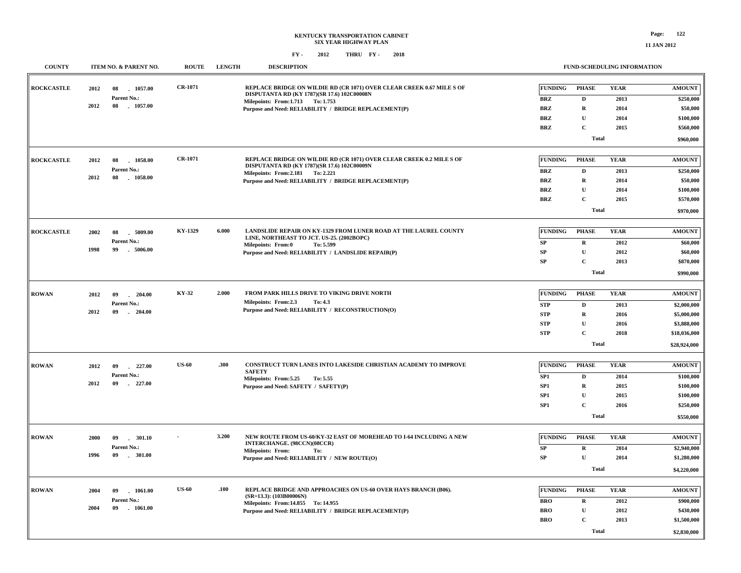| <b>COUNTY</b>     |      | ITEM NO. & PARENT NO.          | <b>ROUTE</b>   | <b>LENGTH</b> | <b>DESCRIPTION</b>                                                                                                   |                 |              | FUND-SCHEDULING INFORMATION |                                |
|-------------------|------|--------------------------------|----------------|---------------|----------------------------------------------------------------------------------------------------------------------|-----------------|--------------|-----------------------------|--------------------------------|
| <b>ROCKCASTLE</b> | 2012 | 1057.00<br>08<br>Parent No.:   | <b>CR-1071</b> |               | REPLACE BRIDGE ON WILDIE RD (CR 1071) OVER CLEAR CREEK 0.67 MILE S OF<br>DISPUTANTA RD (KY 1787)(SR 17.6) 102C00008N | FUNDING         | <b>PHASE</b> | <b>YEAR</b>                 | <b>AMOUNT</b>                  |
|                   | 2012 | 08<br>1057.00                  |                |               | Milepoints: From:1.713 To: 1.753                                                                                     | <b>BRZ</b>      | $\mathbf D$  | 2013                        | \$250,000                      |
|                   |      |                                |                |               | Purpose and Need: RELIABILITY / BRIDGE REPLACEMENT(P)                                                                | <b>BRZ</b>      | ${\bf R}$    | 2014                        | \$50,000                       |
|                   |      |                                |                |               |                                                                                                                      | <b>BRZ</b>      | $\mathbf{U}$ | 2014                        | \$100,000                      |
|                   |      |                                |                |               |                                                                                                                      | <b>BRZ</b>      | $\mathbf C$  | 2015                        | \$560,000                      |
|                   |      |                                |                |               |                                                                                                                      |                 | <b>Total</b> |                             | \$960,000                      |
| <b>ROCKCASTLE</b> | 2012 | 1058.00<br>08                  | <b>CR-1071</b> |               | REPLACE BRIDGE ON WILDIE RD (CR 1071) OVER CLEAR CREEK 0.2 MILE S OF                                                 | FUNDING         | <b>PHASE</b> | <b>YEAR</b>                 | <b>AMOUNT</b>                  |
|                   |      | Parent No.:                    |                |               | DISPUTANTA RD (KY 1787)(SR 17.6) 102C00009N                                                                          | <b>BRZ</b>      | $\mathbf D$  | 2013                        | \$250,000                      |
|                   | 2012 | 08<br>1058.00                  |                |               | Milepoints: From: 2.181 To: 2.221<br>Purpose and Need: RELIABILITY / BRIDGE REPLACEMENT(P)                           | <b>BRZ</b>      | $\mathbf R$  | 2014                        | \$50,000                       |
|                   |      |                                |                |               |                                                                                                                      | <b>BRZ</b>      | $\mathbf U$  | 2014                        | \$100,000                      |
|                   |      |                                |                |               |                                                                                                                      | <b>BRZ</b>      | $\mathbf C$  | 2015                        | \$570,000                      |
|                   |      |                                |                |               |                                                                                                                      |                 |              |                             |                                |
|                   |      |                                |                |               |                                                                                                                      |                 | <b>Total</b> |                             | \$970,000                      |
| <b>ROCKCASTLE</b> | 2002 | 08<br>5009.00                  | KY-1329        | 6.000         | LANDSLIDE REPAIR ON KY-1329 FROM LUNER ROAD AT THE LAUREL COUNTY                                                     | FUNDING         | <b>PHASE</b> | <b>YEAR</b>                 | <b>AMOUNT</b>                  |
|                   |      | Parent No.:                    |                |               | LINE, NORTHEAST TO JCT. US-25. (2002BOPC)<br>Milepoints: From:0<br>To: 5.599                                         | SP              | $\mathbf R$  | 2012                        | \$60,000                       |
|                   | 1998 | $-5006.00$<br>99               |                |               | Purpose and Need: RELIABILITY / LANDSLIDE REPAIR(P)                                                                  | SP              | $\mathbf{U}$ | 2012                        | \$60,000                       |
|                   |      |                                |                |               |                                                                                                                      | SP              | $\mathbf{C}$ | 2013                        | \$870,000                      |
|                   |      |                                |                |               |                                                                                                                      |                 | <b>Total</b> |                             | \$990,000                      |
|                   |      |                                |                |               |                                                                                                                      |                 |              |                             |                                |
| <b>ROWAN</b>      | 2012 | 09<br>204.00<br>a.             | KY-32          | 2.000         | FROM PARK HILLS DRIVE TO VIKING DRIVE NORTH                                                                          | FUNDING         | <b>PHASE</b> | <b>YEAR</b>                 | $\boldsymbol{\mathrm{AMOUNT}}$ |
|                   |      | Parent No.:                    |                |               | Milepoints: From:2.3<br>To: 4.3                                                                                      | <b>STP</b>      | $\mathbf D$  | 2013                        | \$2,000,000                    |
|                   | 2012 | 09<br>204.00                   |                |               | Purpose and Need: RELIABILITY / RECONSTRUCTION(O)                                                                    | <b>STP</b>      | $\mathbf R$  | 2016                        | \$5,000,000                    |
|                   |      |                                |                |               |                                                                                                                      | <b>STP</b>      | $\mathbf U$  | 2016                        | \$3,888,000                    |
|                   |      |                                |                |               |                                                                                                                      | <b>STP</b>      | $\mathbf C$  | 2018                        | \$18,036,000                   |
|                   |      |                                |                |               |                                                                                                                      |                 | <b>Total</b> |                             | \$28,924,000                   |
|                   |      |                                |                |               |                                                                                                                      |                 |              |                             |                                |
| <b>ROWAN</b>      | 2012 | $-227.00$<br>09                | <b>US-60</b>   | .300          | CONSTRUCT TURN LANES INTO LAKESIDE CHRISTIAN ACADEMY TO IMPROVE<br><b>SAFETY</b>                                     | <b>FUNDING</b>  | <b>PHASE</b> | <b>YEAR</b>                 | <b>AMOUNT</b>                  |
|                   |      | Parent No.:                    |                |               | Milepoints: From: 5.25<br>To: 5.55                                                                                   | SP1             | $\mathbf D$  | 2014                        | \$100,000                      |
|                   | 2012 | 09<br>$-227.00$                |                |               | Purpose and Need: SAFETY / SAFETY(P)                                                                                 | SP1             | $\mathbf R$  | 2015                        | \$100,000                      |
|                   |      |                                |                |               |                                                                                                                      | SP1             | $\mathbf U$  | 2015                        | \$100,000                      |
|                   |      |                                |                |               |                                                                                                                      | SP <sub>1</sub> | $\mathbf C$  | 2016                        | \$250,000                      |
|                   |      |                                |                |               |                                                                                                                      |                 | <b>Total</b> |                             | \$550,000                      |
|                   |      |                                |                | 3.200         | NEW ROUTE FROM US-60/KY-32 EAST OF MOREHEAD TO I-64 INCLUDING A NEW                                                  | FUNDING         | <b>PHASE</b> | <b>YEAR</b>                 |                                |
| <b>ROWAN</b>      | 2000 | 09<br>. 301.10                 |                |               | INTERCHANGE. (98CCN)(08CCR)                                                                                          |                 |              |                             | <b>AMOUNT</b>                  |
|                   | 1996 | Parent No.:<br>09<br>$-301.00$ |                |               | <b>Milepoints: From:</b><br>To:                                                                                      | SP              | $\mathbf R$  | 2014                        | \$2,940,000                    |
|                   |      |                                |                |               | Purpose and Need: RELIABILITY / NEW ROUTE(O)                                                                         | ${\bf SP}$      | $\mathbf U$  | 2014                        | \$1,280,000                    |
|                   |      |                                |                |               |                                                                                                                      |                 | <b>Total</b> |                             | \$4,220,000                    |
| <b>ROWAN</b>      | 2004 | $-1061.00$                     | <b>US-60</b>   | .100          | REPLACE BRIDGE AND APPROACHES ON US-60 OVER HAYS BRANCH (B06).                                                       | FUNDING         | <b>PHASE</b> | <b>YEAR</b>                 | <b>AMOUNT</b>                  |
|                   |      | 09<br>Parent No.:              |                |               | $(SR=13.3)$ : (103B00006N)                                                                                           |                 |              |                             |                                |
|                   | 2004 | $-1061.00$<br>09               |                |               | Milepoints: From:14.855 To: 14.955                                                                                   | <b>BRO</b>      | $\mathbf R$  | 2012                        | \$900,000                      |
|                   |      |                                |                |               | Purpose and Need: RELIABILITY / BRIDGE REPLACEMENT(P)                                                                | <b>BRO</b>      | $\mathbf U$  | 2012                        | \$430,000                      |
|                   |      |                                |                |               |                                                                                                                      | <b>BRO</b>      | $\mathbf C$  | 2013                        | \$1,500,000                    |
|                   |      |                                |                |               |                                                                                                                      |                 | <b>Total</b> |                             | \$2,830,000                    |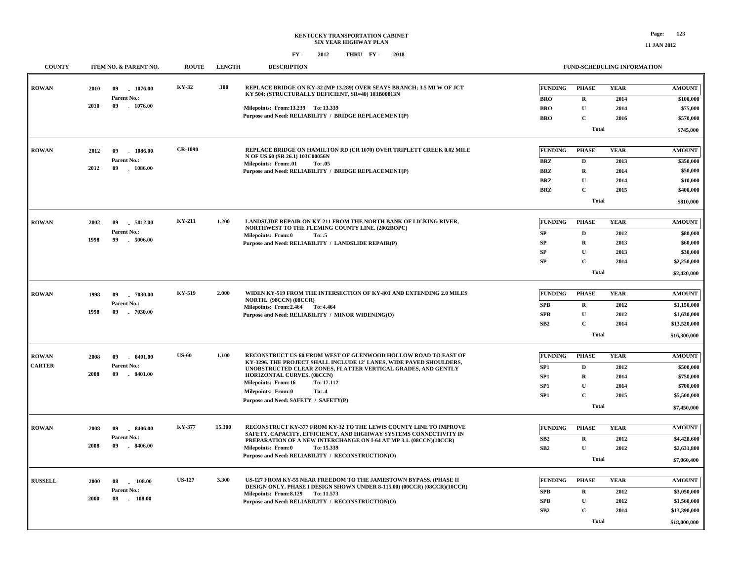| <b>COUNTY</b>  | ITEM NO. & PARENT NO.    | <b>ROUTE</b>   | <b>LENGTH</b> | <b>DESCRIPTION</b>                                                                                                                   |                 | FUND-SCHEDULING INFORMATION |             |               |
|----------------|--------------------------|----------------|---------------|--------------------------------------------------------------------------------------------------------------------------------------|-----------------|-----------------------------|-------------|---------------|
| <b>ROWAN</b>   | 2010<br>1076.00<br>09    | KY-32          | .100          | REPLACE BRIDGE ON KY-32 (MP 13.289) OVER SEAYS BRANCH; 3.5 MI W OF JCT<br>KY 504; (STRUCTURALLY DEFICIENT, SR=40) 103B00013N         | <b>FUNDING</b>  | <b>PHASE</b>                | <b>YEAR</b> | <b>AMOUNT</b> |
|                | Parent No.:              |                |               |                                                                                                                                      | <b>BRO</b>      | $\mathbf R$                 | 2014        | \$100,000     |
|                | 2010<br>09<br>$-1076.00$ |                |               | Milepoints: From:13.239 To: 13.339                                                                                                   | <b>BRO</b>      | $\mathbf U$                 | 2014        | \$75,000      |
|                |                          |                |               | Purpose and Need: RELIABILITY / BRIDGE REPLACEMENT(P)                                                                                | <b>BRO</b>      | $\mathbf{C}$                | 2016        | \$570,000     |
|                |                          |                |               |                                                                                                                                      |                 | <b>Total</b>                |             | \$745,000     |
| <b>ROWAN</b>   | 1086.00<br>2012<br>09    | <b>CR-1090</b> |               | REPLACE BRIDGE ON HAMILTON RD (CR 1070) OVER TRIPLETT CREEK 0.02 MILE                                                                | FUNDING         | <b>PHASE</b>                | <b>YEAR</b> | <b>AMOUNT</b> |
|                | Parent No.:              |                |               | N OF US 60 (SR 26.1) 103C00056N<br>Milepoints: From:.01<br>To: .05                                                                   | <b>BRZ</b>      | D                           | 2013        | \$350,000     |
|                | 2012<br>09<br>1086.00    |                |               | Purpose and Need: RELIABILITY / BRIDGE REPLACEMENT(P)                                                                                | <b>BRZ</b>      | $\mathbf R$                 | 2014        | \$50,000      |
|                |                          |                |               |                                                                                                                                      | <b>BRZ</b>      | $\mathbf{U}$                | 2014        | \$10,000      |
|                |                          |                |               |                                                                                                                                      | <b>BRZ</b>      | C                           | 2015        | \$400,000     |
|                |                          |                |               |                                                                                                                                      |                 | <b>Total</b>                |             | \$810,000     |
| <b>ROWAN</b>   | 2002<br>5012.00<br>09    | <b>KY-211</b>  | 1.200         | LANDSLIDE REPAIR ON KY-211 FROM THE NORTH BANK OF LICKING RIVER,                                                                     | <b>FUNDING</b>  | <b>PHASE</b>                | <b>YEAR</b> | <b>AMOUNT</b> |
|                | Parent No.:              |                |               | NORTHWEST TO THE FLEMING COUNTY LINE. (2002BOPC)<br>Milepoints: From:0<br>To: .5                                                     | SP              | D                           | 2012        | \$80,000      |
|                | 1998<br>99<br>$-5006.00$ |                |               | Purpose and Need: RELIABILITY / LANDSLIDE REPAIR(P)                                                                                  | <b>SP</b>       | $\mathbf R$                 | 2013        | \$60,000      |
|                |                          |                |               |                                                                                                                                      | SP              | $\mathbf U$                 | 2013        | \$30,000      |
|                |                          |                |               |                                                                                                                                      | SP              | $\mathbf C$                 | 2014        | \$2,250,000   |
|                |                          |                |               |                                                                                                                                      |                 | <b>Total</b>                |             | \$2,420,000   |
|                |                          |                |               |                                                                                                                                      |                 |                             |             |               |
| <b>ROWAN</b>   | 1998<br>09<br>$-7030.00$ | KY-519         | 2.000         | WIDEN KY-519 FROM THE INTERSECTION OF KY-801 AND EXTENDING 2.0 MILES<br><b>NORTH.</b> (98CCN) (08CCR)                                | <b>FUNDING</b>  | <b>PHASE</b>                | <b>YEAR</b> | <b>AMOUNT</b> |
|                | Parent No.:              |                |               | Milepoints: From: 2.464 To: 4.464                                                                                                    | SPB             | $\mathbf R$                 | 2012        | \$1,150,000   |
|                | 1998<br>$-7030.00$<br>09 |                |               | Purpose and Need: RELIABILITY / MINOR WIDENING(O)                                                                                    | SPB             | $\mathbf U$                 | 2012        | \$1,630,000   |
|                |                          |                |               |                                                                                                                                      | SB2             | $\mathbf C$                 | 2014        | \$13,520,000  |
|                |                          |                |               |                                                                                                                                      |                 | <b>Total</b>                |             | \$16,300,000  |
| <b>ROWAN</b>   | 2008<br>09<br>8401.00    | <b>US-60</b>   | 1.100         | RECONSTRUCT US-60 FROM WEST OF GLENWOOD HOLLOW ROAD TO EAST OF                                                                       | <b>FUNDING</b>  | <b>PHASE</b>                | <b>YEAR</b> | <b>AMOUNT</b> |
| <b>CARTER</b>  | Parent No.:              |                |               | KY-3296. THE PROJECT SHALL INCLUDE 12' LANES, WIDE PAVED SHOULDERS,<br>UNOBSTRUCTED CLEAR ZONES, FLATTER VERTICAL GRADES, AND GENTLY | SP1             | $\mathbf D$                 | 2012        | \$500,000     |
|                | 2008<br>09<br>$-8401.00$ |                |               | <b>HORIZONTAL CURVES. (08CCN)</b>                                                                                                    | SP <sub>1</sub> | $\mathbf R$                 | 2014        | \$750,000     |
|                |                          |                |               | Milepoints: From:16<br>To: 17.112                                                                                                    | SP <sub>1</sub> | $\mathbf U$                 | 2014        | \$700,000     |
|                |                          |                |               | <b>Milepoints: From:0</b><br>To: .4                                                                                                  | SP <sub>1</sub> | $\mathbf C$                 | 2015        | \$5,500,000   |
|                |                          |                |               | Purpose and Need: SAFETY / SAFETY(P)                                                                                                 |                 | <b>Total</b>                |             | \$7,450,000   |
| <b>ROWAN</b>   | 8406.00<br>2008<br>09    | <b>KY-377</b>  | 15.300        | RECONSTRUCT KY-377 FROM KY-32 TO THE LEWIS COUNTY LINE TO IMPROVE                                                                    | <b>FUNDING</b>  | <b>PHASE</b>                | <b>YEAR</b> | <b>AMOUNT</b> |
|                | Parent No.:              |                |               | SAFETY, CAPACITY, EFFICIENCY, AND HIGHWAY SYSTEMS CONNECTIVITY IN                                                                    | ${\bf SB2}$     | $\mathbf R$                 | 2012        | \$4,428,600   |
|                | 2008<br>$-8406.00$<br>09 |                |               | PREPARATION OF A NEW INTERCHANGE ON I-64 AT MP 3.1. (08CCN)(10CCR)<br><b>Milepoints: From:0</b><br>To: 15.339                        | SB2             | $\mathbf U$                 | 2012        | \$2,631,800   |
|                |                          |                |               | Purpose and Need: RELIABILITY / RECONSTRUCTION(O)                                                                                    |                 |                             |             |               |
|                |                          |                |               |                                                                                                                                      |                 | <b>Total</b>                |             | \$7,060,400   |
| <b>RUSSELL</b> | 2000<br>08<br>108.00     | <b>US-127</b>  | 3.300         | US-127 FROM KY-55 NEAR FREEDOM TO THE JAMESTOWN BYPASS. (PHASE II                                                                    | <b>FUNDING</b>  | <b>PHASE</b>                | <b>YEAR</b> | <b>AMOUNT</b> |
|                | Parent No.:              |                |               | DESIGN ONLY. PHASE I DESIGN SHOWN UNDER 8-115.00) (00CCR) (08CCR)(10CCR)<br>Milepoints: From: 8.129 To: 11.573                       | <b>SPB</b>      | $\mathbf R$                 | 2012        | \$3,050,000   |
|                | 2000<br>08<br>$-108.00$  |                |               | Purpose and Need: RELIABILITY / RECONSTRUCTION(O)                                                                                    | <b>SPB</b>      | $\mathbf{U}$                | 2012        | \$1,560,000   |
|                |                          |                |               |                                                                                                                                      | SB2             | $\mathbf C$                 | 2014        | \$13,390,000  |
|                |                          |                |               |                                                                                                                                      |                 | <b>Total</b>                |             | \$18,000,000  |
|                |                          |                |               |                                                                                                                                      |                 |                             |             |               |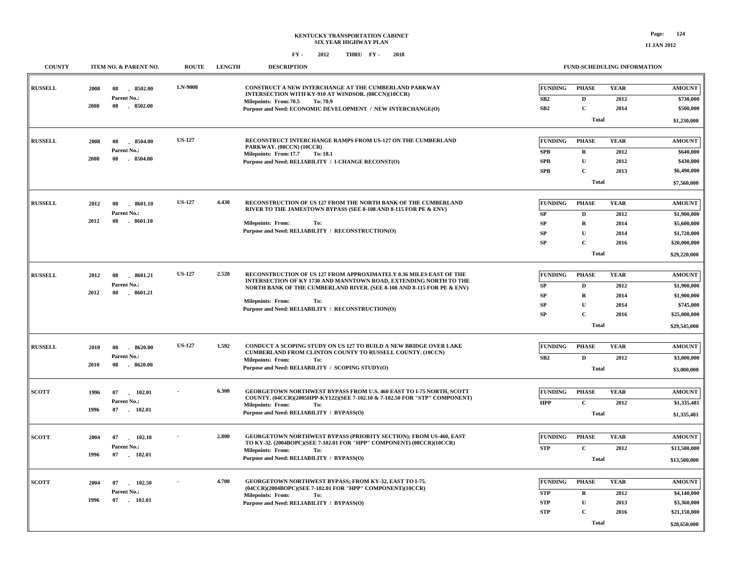| <b>COUNTY</b>  | ITEM NO. & PARENT NO.                                               | <b>ROUTE</b>   | <b>LENGTH</b> | <b>DESCRIPTION</b>                                                                                                                                                                                                                                                                                        |                                                          |                                                                                            | <b>FUND-SCHEDULING INFORMATION</b>          |                                                                                            |
|----------------|---------------------------------------------------------------------|----------------|---------------|-----------------------------------------------------------------------------------------------------------------------------------------------------------------------------------------------------------------------------------------------------------------------------------------------------------|----------------------------------------------------------|--------------------------------------------------------------------------------------------|---------------------------------------------|--------------------------------------------------------------------------------------------|
| <b>RUSSELL</b> | 8502.00<br>2008<br>08<br>Parent No.:<br>2008<br>08<br>$-8502.00$    | <b>LN-9008</b> |               | CONSTRUCT A NEW INTERCHANGE AT THE CUMBERLAND PARKWAY<br>INTERSECTION WITH KY-910 AT WINDSOR. (08CCN)(10CCR)<br>Milepoints: From: 70.5<br>To: 70.9<br>Purpose and Need: ECONOMIC DEVELOPMENT / NEW INTERCHANGE(O)                                                                                         | <b>FUNDING</b><br>SB2<br>SB <sub>2</sub>                 | <b>PHASE</b><br>$\mathbf D$<br>$\mathbf C$<br>Total                                        | <b>YEAR</b><br>2012<br>2014                 | <b>AMOUNT</b><br>\$730,000<br>\$500,000<br>\$1,230,000                                     |
| <b>RUSSELL</b> | 2008<br>08<br>8504.00<br>Parent No.:<br>2008<br>08<br>8504.00       | <b>US-127</b>  |               | RECONSTRUCT INTERCHANGE RAMPS FROM US-127 ON THE CUMBERLAND<br>PARKWAY. (08CCN) (10CCR)<br>Milepoints: From:17.7<br><b>To: 18.1</b><br>Purpose and Need: RELIABILITY / I-CHANGE RECONST(O)                                                                                                                | <b>FUNDING</b><br><b>SPB</b><br><b>SPB</b><br><b>SPB</b> | <b>PHASE</b><br>$\mathbf R$<br>${\bf U}$<br>$\mathbf C$<br><b>Total</b>                    | <b>YEAR</b><br>2012<br>2012<br>2013         | <b>AMOUNT</b><br>\$640,000<br>\$430,000<br>\$6,490,000<br>\$7,560,000                      |
| <b>RUSSELL</b> | 2012<br>08<br>$-8601.10$<br>Parent No.:<br>2012<br>08<br>$-8601.10$ | <b>US-127</b>  | 4.430         | RECONSTRUCTION OF US 127 FROM THE NORTH BANK OF THE CUMBERLAND<br>RIVER TO THE JAMESTOWN BYPASS (SEE 8-108 AND 8-115 FOR PE & ENV)<br><b>Milepoints: From:</b><br>To:<br>Purpose and Need: RELIABILITY / RECONSTRUCTION(O)                                                                                | <b>FUNDING</b><br>SP<br>SP<br>${\bf SP}$<br>SP           | <b>PHASE</b><br>$\mathbf{D}$<br>$\mathbf R$<br>$\mathbf{U}$<br>$\mathbf C$<br><b>Total</b> | <b>YEAR</b><br>2012<br>2014<br>2014<br>2016 | <b>AMOUNT</b><br>\$1,900,000<br>\$5,600,000<br>\$1,720,000<br>\$20,000,000<br>\$29,220,000 |
| <b>RUSSELL</b> | 2012<br>08<br>8601.21<br>Parent No.:<br>2012<br>08<br>8601.21       | <b>US-127</b>  | 2.520         | RECONSTRUCTION OF US 127 FROM APPROXIMATELY 0.36 MILES EAST OF THE<br>INTERSECTION OF KY 1730 AND MANNTOWN ROAD, EXTENDING NORTH TO THE<br>NORTH BANK OF THE CUMBERLAND RIVER. (SEE 8-108 AND 8-115 FOR PE & ENV)<br><b>Milepoints: From:</b><br>To:<br>Purpose and Need: RELIABILITY / RECONSTRUCTION(O) | <b>FUNDING</b><br>SP<br>SP<br>SP<br>${\bf SP}$           | <b>PHASE</b><br>D<br>$\mathbf R$<br>$\mathbf U$<br>$\mathbf C$<br>Total                    | <b>YEAR</b><br>2012<br>2014<br>2014<br>2016 | <b>AMOUNT</b><br>\$1,900,000<br>\$1,900,000<br>\$745,000<br>\$25,000,000<br>\$29,545,000   |
| <b>RUSSELL</b> | 8620.00<br>2010<br>08<br>Parent No.:<br>2010<br>08<br>$-8620.00$    | <b>US-127</b>  | 1.592         | CONDUCT A SCOPING STUDY ON US 127 TO BUILD A NEW BRIDGE OVER LAKE<br>CUMBERLAND FROM CLINTON COUNTY TO RUSSELL COUNTY. (10CCN)<br><b>Milepoints: From:</b><br>To:<br>Purpose and Need: RELIABILITY / SCOPING STUDY(O)                                                                                     | <b>FUNDING</b><br>SB2                                    | <b>PHASE</b><br>$\mathbf D$<br><b>Total</b>                                                | <b>YEAR</b><br>2012                         | <b>AMOUNT</b><br>\$3,000,000<br>\$3,000,000                                                |
| <b>SCOTT</b>   | 1996<br>102.01<br>07<br>Parent No.:<br>1996<br>$07$ 102.01          |                | 6.300         | GEORGETOWN NORTHWEST BYPASS FROM U.S. 460 EAST TO I-75 NORTH, SCOTT<br>COUNTY. (04CCR)(2005HPP-KY122)(SEE 7-102.10 & 7-102.50 FOR "STP" COMPONENT)<br><b>Milepoints: From:</b><br>To:<br>Purpose and Need: RELIABILITY / BYPASS(O)                                                                        | <b>FUNDING</b><br><b>HPP</b>                             | <b>PHASE</b><br>$\mathbf C$<br>Total                                                       | <b>YEAR</b><br>2012                         | <b>AMOUNT</b><br>\$1,335,481<br>\$1,335,481                                                |
| <b>SCOTT</b>   | 2004<br>07<br>102.10<br>Parent No.:<br>1996<br>07<br>102.01         |                | 2.800         | <b>GEORGETOWN NORTHWEST BYPASS (PRIORITY SECTION); FROM US-460, EAST</b><br>TO KY-32. (2004BOPC)(SEE 7-102.01 FOR "HPP" COMPONENT) (08CCR)(10CCR)<br><b>Milepoints: From:</b><br>To:<br>Purpose and Need: RELIABILITY / BYPASS(O)                                                                         | <b>FUNDING</b><br><b>STP</b>                             | <b>PHASE</b><br>$\mathbf C$<br><b>Total</b>                                                | <b>YEAR</b><br>2012                         | <b>AMOUNT</b><br>\$13,500,000<br>\$13,500,000                                              |
| <b>SCOTT</b>   | 2004<br>07<br>102.50<br>Parent No.:<br>1996<br>07<br>$-102.01$      |                | 4.700         | GEORGETOWN NORTHWEST BYPASS; FROM KY-32, EAST TO I-75.<br>(04CCR)(2004BOPC)(SEE 7-102.01 FOR "HPP" COMPONENT)(10CCR)<br><b>Milepoints: From:</b><br>To:<br>Purpose and Need: RELIABILITY / BYPASS(O)                                                                                                      | <b>FUNDING</b><br><b>STP</b><br><b>STP</b><br><b>STP</b> | <b>PHASE</b><br>$\mathbf R$<br>$\mathbf{U}$<br>$\mathbf C$<br>Total                        | <b>YEAR</b><br>2012<br>2013<br>2016         | <b>AMOUNT</b><br>\$4,140,000<br>\$3,360,000<br>\$21,150,000<br>\$28,650,000                |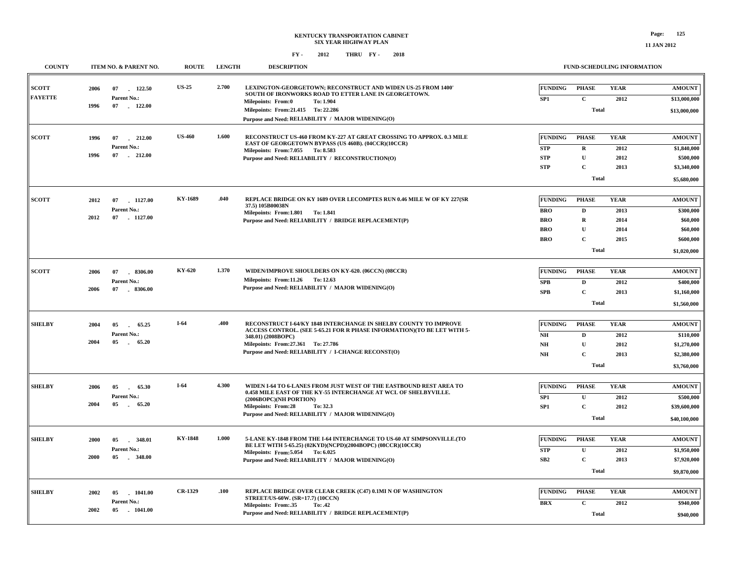|  |  | IND SCHEDIT ING INFORMATION |  |
|--|--|-----------------------------|--|

| <b>COUNTY</b>                  | ITEM NO. & PARENT NO.                                               | <b>ROUTE</b>   | <b>LENGTH</b> | <b>DESCRIPTION</b>                                                                                                                                                                                                                                              |                                                                        |                                                                       | FUND-SCHEDULING INFORMATION                 |                                                                                |
|--------------------------------|---------------------------------------------------------------------|----------------|---------------|-----------------------------------------------------------------------------------------------------------------------------------------------------------------------------------------------------------------------------------------------------------------|------------------------------------------------------------------------|-----------------------------------------------------------------------|---------------------------------------------|--------------------------------------------------------------------------------|
| <b>SCOTT</b><br><b>FAYETTE</b> | 2006<br>07 122.50<br>Parent No.:<br>1996<br>07 - 122.00             | <b>US-25</b>   | 2.700         | LEXINGTON-GEORGETOWN; RECONSTRUCT AND WIDEN US-25 FROM 1400'<br>SOUTH OF IRONWORKS ROAD TO ETTER LANE IN GEORGETOWN.<br>Milepoints: From:0<br>To: 1.904<br>Milepoints: From:21.415 To: 22.286                                                                   | <b>FUNDING</b><br>SP1                                                  | <b>PHASE</b><br>$\mathbf C$<br><b>Total</b>                           | <b>YEAR</b><br>2012                         | <b>AMOUNT</b><br>\$13,000,000<br>\$13,000,000                                  |
|                                |                                                                     |                |               | Purpose and Need: RELIABILITY / MAJOR WIDENING(O)                                                                                                                                                                                                               |                                                                        |                                                                       |                                             |                                                                                |
| <b>SCOTT</b>                   | 1996<br>07<br>212.00<br>Parent No.:<br>1996<br>07 212.00            | <b>US-460</b>  | 1.600         | RECONSTRUCT US-460 FROM KY-227 AT GREAT CROSSING TO APPROX. 0.3 MILE<br>EAST OF GEORGETOWN BYPASS (US 460B). (04CCR)(10CCR)<br>Milepoints: From: 7.055 To: 8.583<br>Purpose and Need: RELIABILITY / RECONSTRUCTION(O)                                           | <b>FUNDING</b><br>${\bf STP}$<br><b>STP</b><br><b>STP</b>              | <b>PHASE</b><br>$\mathbf{R}$<br>$\mathbf U$<br>$\mathbf{C}$           | <b>YEAR</b><br>2012<br>2012<br>2013         | <b>AMOUNT</b><br>\$1,840,000<br>\$500,000<br>\$3,340,000                       |
|                                |                                                                     |                |               |                                                                                                                                                                                                                                                                 |                                                                        | <b>Total</b>                                                          |                                             | \$5,680,000                                                                    |
| <b>SCOTT</b>                   | 2012<br>07<br>$-1127.00$<br>Parent No.:<br>2012<br>07<br>$-1127.00$ | KY-1689        | .040          | REPLACE BRIDGE ON KY 1689 OVER LECOMPTES RUN 0.46 MILE W OF KY 227(SR<br>37.5) 105B00038N<br>Milepoints: From: 1.801 To: 1.841<br>Purpose and Need: RELIABILITY / BRIDGE REPLACEMENT(P)                                                                         | <b>FUNDING</b><br><b>BRO</b><br><b>BRO</b><br><b>BRO</b><br><b>BRO</b> | <b>PHASE</b><br>D<br>$\mathbf R$<br>$\mathbf{U}$<br>C<br><b>Total</b> | <b>YEAR</b><br>2013<br>2014<br>2014<br>2015 | <b>AMOUNT</b><br>\$300,000<br>\$60,000<br>\$60,000<br>\$600,000<br>\$1,020,000 |
|                                |                                                                     |                |               |                                                                                                                                                                                                                                                                 |                                                                        |                                                                       |                                             |                                                                                |
| ${\bf SCOTT}$                  | 2006<br>07<br>8306.00<br>Parent No.:<br>2006<br>07 . 8306.00        | <b>KY-620</b>  | 1.370         | WIDEN/IMPROVE SHOULDERS ON KY-620. (06CCN) (08CCR)<br>Milepoints: From:11.26 To: 12.63<br>Purpose and Need: RELIABILITY / MAJOR WIDENING(O)                                                                                                                     | <b>FUNDING</b><br>SPB<br>SPB                                           | <b>PHASE</b><br>$\mathbf D$<br>$\mathbf C$<br><b>Total</b>            | <b>YEAR</b><br>2012<br>2013                 | <b>AMOUNT</b><br>\$400,000<br>\$1,160,000<br>\$1,560,000                       |
| <b>SHELBY</b>                  | 2004<br>05<br>65.25<br>Parent No.:<br>2004<br>05<br>65.20<br>n.     | $I-64$         | .400          | RECONSTRUCT I-64/KY 1848 INTERCHANGE IN SHELBY COUNTY TO IMPROVE<br>ACCESS CONTROL. (SEE 5-65.21 FOR R PHASE INFORMATION)(TO BE LET WITH 5-<br>348.01) (2008BOPC)<br>Milepoints: From: 27.361 To: 27.786<br>Purpose and Need: RELIABILITY / I-CHANGE RECONST(O) | <b>FUNDING</b><br>N <sub>H</sub><br>NH<br>N <sub>H</sub>               | <b>PHASE</b><br>D<br>$\mathbf{U}$<br>C<br><b>Total</b>                | <b>YEAR</b><br>2012<br>2012<br>2013         | <b>AMOUNT</b><br>\$110,000<br>\$1,270,000<br>\$2,380,000<br>\$3,760,000        |
| <b>SHELBY</b>                  | 2006<br>05<br>65.30<br>Parent No.:<br>2004<br>05<br>$\sim$<br>65.20 | $I-64$         | 4.300         | WIDEN I-64 TO 6-LANES FROM JUST WEST OF THE EASTBOUND REST AREA TO<br>0.458 MILE EAST OF THE KY-55 INTERCHANGE AT WCL OF SHELBYVILLE.<br>(2006BOPC)(NH PORTION)<br><b>Milepoints: From:28</b><br>To: 32.3<br>Purpose and Need: RELIABILITY / MAJOR WIDENING(O)  | <b>FUNDING</b><br>SP1<br>SP <sub>1</sub>                               | <b>PHASE</b><br>$\mathbf U$<br>$\mathbf{C}$<br><b>Total</b>           | <b>YEAR</b><br>2012<br>2012                 | <b>AMOUNT</b><br>\$500,000<br>\$39,600,000<br>\$40,100,000                     |
| <b>SHELBY</b>                  | 2000<br>05<br>348.01<br>Parent No.:<br>2000<br>. 348.00<br>05       | <b>KY-1848</b> | 1.000         | 5-LANE KY-1848 FROM THE I-64 INTERCHANGE TO US-60 AT SIMPSONVILLE. (TO<br>BE LET WITH 5-65.25) (02KYD)(NCPD)(2004BOPC) (08CCR)(10CCR)<br>Milepoints: From: 5.054 To: 6.025<br>Purpose and Need: RELIABILITY / MAJOR WIDENING(O)                                 | <b>FUNDING</b><br>${\bf STP}$<br>SB2                                   | <b>PHASE</b><br>${\bf U}$<br>$\mathbf C$<br><b>Total</b>              | <b>YEAR</b><br>2012<br>2013                 | <b>AMOUNT</b><br>\$1,950,000<br>\$7,920,000<br>\$9,870,000                     |
| <b>SHELBY</b>                  | 1041.00<br>2002<br>05<br>Parent No.:<br>2002<br>05 1041.00          | CR-1329        | .100          | REPLACE BRIDGE OVER CLEAR CREEK (C47) 0.1MI N OF WASHINGTON<br>STREET/US-60W. (SR=17.7) (10CCN)<br>Milepoints: From: 35<br>To: .42<br>Purpose and Need: RELIABILITY / BRIDGE REPLACEMENT(P)                                                                     | <b>FUNDING</b><br><b>BRX</b>                                           | <b>PHASE</b><br>$\mathbf{C}$<br><b>Total</b>                          | <b>YEAR</b><br>2012                         | <b>AMOUNT</b><br>\$940,000<br>\$940,000                                        |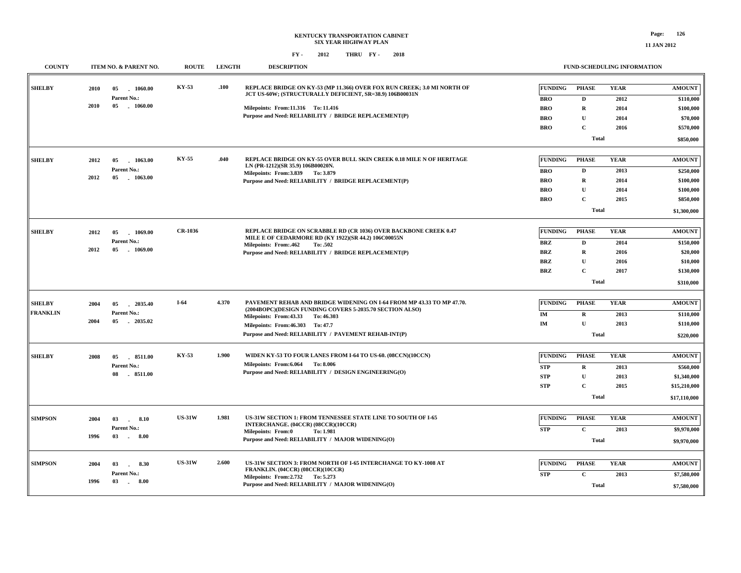| <b>COUNTY</b>                    |              | ITEM NO. & PARENT NO.                                       | <b>ROUTE</b>  | <b>LENGTH</b> | <b>DESCRIPTION</b>                                                                                                                                                                                                                                                       |                                                                        | <b>FUND-SCHEDULING INFORMATION</b>                                                     |                                             |                                                                                  |
|----------------------------------|--------------|-------------------------------------------------------------|---------------|---------------|--------------------------------------------------------------------------------------------------------------------------------------------------------------------------------------------------------------------------------------------------------------------------|------------------------------------------------------------------------|----------------------------------------------------------------------------------------|---------------------------------------------|----------------------------------------------------------------------------------|
| <b>SHELBY</b>                    | 2010<br>2010 | 05<br>$-1060.00$<br>Parent No.:<br>05<br>$-1060.00$         | KY-53         | .100          | REPLACE BRIDGE ON KY-53 (MP 11.366) OVER FOX RUN CREEK; 3.0 MI NORTH OF<br>JCT US-60W; (STRUCTURALLY DEFICIENT, SR=38.9) 106B00031N<br>Milepoints: From:11.316 To: 11.416<br>Purpose and Need: RELIABILITY / BRIDGE REPLACEMENT(P)                                       | <b>FUNDING</b><br><b>BRO</b><br><b>BRO</b><br><b>BRO</b><br><b>BRO</b> | <b>PHASE</b><br>D<br>$\mathbf R$<br>$\mathbf U$<br>$\mathbf C$<br><b>Total</b>         | <b>YEAR</b><br>2012<br>2014<br>2014<br>2016 | <b>AMOUNT</b><br>\$110,000<br>\$100,000<br>\$70,000<br>\$570,000<br>\$850,000    |
| <b>SHELBY</b>                    | 2012<br>2012 | 05<br>1063.00<br>Parent No.:<br>05<br>$-1063.00$            | KY-55         | .040          | REPLACE BRIDGE ON KY-55 OVER BULL SKIN CREEK 0.18 MILE N OF HERITAGE<br>LN (PR-1212)(SR 35.9) 106B00020N.<br>Milepoints: From: 3.839 To: 3.879<br>Purpose and Need: RELIABILITY / BRIDGE REPLACEMENT(P)                                                                  | <b>FUNDING</b><br><b>BRO</b><br><b>BRO</b><br><b>BRO</b><br><b>BRO</b> | <b>PHASE</b><br>$\mathbf D$<br>$\mathbf R$<br>${\bf U}$<br>$\mathbf C$<br><b>Total</b> | <b>YEAR</b><br>2013<br>2014<br>2014<br>2015 | <b>AMOUNT</b><br>\$250,000<br>\$100,000<br>\$100,000<br>\$850,000<br>\$1,300,000 |
| <b>SHELBY</b>                    | 2012<br>2012 | 05<br>1069.00<br>Parent No.:<br>05<br>1069.00               | CR-1036       |               | <b>REPLACE BRIDGE ON SCRABBLE RD (CR 1036) OVER BACKBONE CREEK 0.47</b><br>MILE E OF CEDARMORE RD (KY 1922)(SR 44.2) 106C00055N<br><b>Milepoints: From:.462</b><br>To: .502<br>Purpose and Need: RELIABILITY / BRIDGE REPLACEMENT(P)                                     | <b>FUNDING</b><br><b>BRZ</b><br><b>BRZ</b><br><b>BRZ</b><br><b>BRZ</b> | <b>PHASE</b><br>D<br>$\mathbf R$<br>U<br>$\mathbf{C}$<br><b>Total</b>                  | <b>YEAR</b><br>2014<br>2016<br>2016<br>2017 | <b>AMOUNT</b><br>\$150,000<br>\$20,000<br>\$10,000<br>\$130,000<br>\$310,000     |
| <b>SHELBY</b><br><b>FRANKLIN</b> | 2004<br>2004 | 2035.40<br>05<br>Parent No.:<br>05<br>2035.02               | $I-64$        | 4.370         | PAVEMENT REHAB AND BRIDGE WIDENING ON I-64 FROM MP 43.33 TO MP 47.70.<br>(2004BOPC)(DESIGN FUNDING COVERS 5-2035.70 SECTION ALSO)<br>Milepoints: From: 43.33<br>To: 46.303<br>Milepoints: From: 46.303 To: 47.7<br>Purpose and Need: RELIABILITY / PAVEMENT REHAB-INT(P) | <b>FUNDING</b><br><b>IM</b><br>IM                                      | <b>PHASE</b><br>$\mathbf R$<br>$\mathbf{U}$<br><b>Total</b>                            | <b>YEAR</b><br>2013<br>2013                 | <b>AMOUNT</b><br>\$110,000<br>\$110,000<br>\$220,000                             |
| <b>SHELBY</b>                    | 2008         | 05<br>8511.00<br>Parent No.:<br>08<br>8511.00               | KY-53         | 1.900         | WIDEN KY-53 TO FOUR LANES FROM I-64 TO US-60. (08CCN)(10CCN)<br>Milepoints: From: 6.064 To: 8.006<br>Purpose and Need: RELIABILITY / DESIGN ENGINEERING(O)                                                                                                               | <b>FUNDING</b><br><b>STP</b><br><b>STP</b><br><b>STP</b>               | <b>PHASE</b><br>$\mathbf R$<br>$\mathbf U$<br>$\mathbf{C}$<br><b>Total</b>             | <b>YEAR</b><br>2013<br>2013<br>2015         | <b>AMOUNT</b><br>\$560,000<br>\$1,340,000<br>\$15,210,000<br>\$17,110,000        |
| <b>SIMPSON</b>                   | 2004<br>1996 | 03<br>8.10<br>$\sim$<br>Parent No.:<br>03<br>8.00<br>$\sim$ | <b>US-31W</b> | 1.981         | US-31W SECTION 1: FROM TENNESSEE STATE LINE TO SOUTH OF I-65<br>INTERCHANGE. (04CCR) (08CCR)(10CCR)<br><b>Milepoints: From:0</b><br>To: 1.981<br>Purpose and Need: RELIABILITY / MAJOR WIDENING(O)                                                                       | <b>FUNDING</b><br><b>STP</b>                                           | <b>PHASE</b><br>$\mathbf{C}$<br><b>Total</b>                                           | <b>YEAR</b><br>2013                         | <b>AMOUNT</b><br>\$9,970,000<br>\$9,970,000                                      |
| <b>SIMPSON</b>                   | 2004<br>1996 | 03<br>8.30<br>n.<br>Parent No.:<br>03<br>8.00<br>$\sim$     | <b>US-31W</b> | 2.600         | US-31W SECTION 3: FROM NORTH OF I-65 INTERCHANGE TO KY-1008 AT<br>FRANKLIN. (04CCR) (08CCR)(10CCR)<br>Milepoints: From: 2.732 To: 5.273<br>Purpose and Need: RELIABILITY / MAJOR WIDENING(O)                                                                             | <b>FUNDING</b><br><b>STP</b>                                           | <b>PHASE</b><br>$\mathbf C$<br><b>Total</b>                                            | <b>YEAR</b><br>2013                         | <b>AMOUNT</b><br>\$7,580,000<br>\$7,580,000                                      |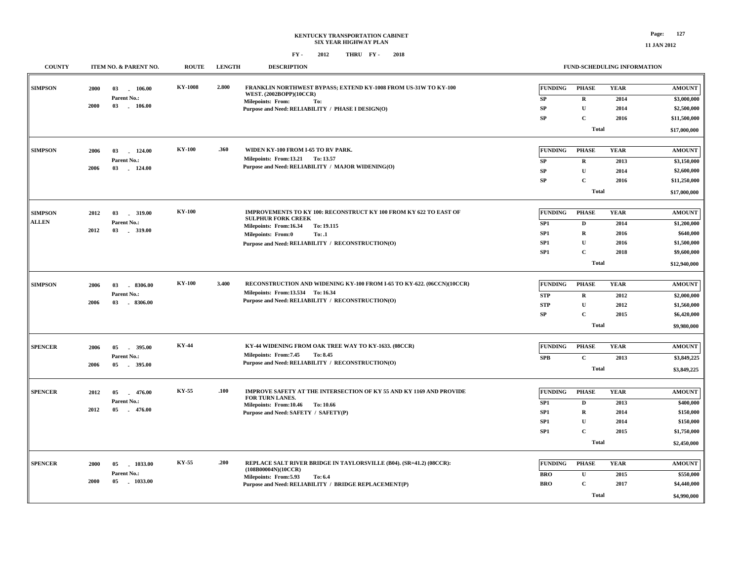| <b>COUNTY</b>                  | ITEM NO. & PARENT NO.                                               | <b>ROUTE</b>   | <b>LENGTH</b> | <b>DESCRIPTION</b>                                                                                                                                                                                                                 |                                                          |                                                                                        | <b>FUND-SCHEDULING INFORMATION</b>          |                                                                                         |
|--------------------------------|---------------------------------------------------------------------|----------------|---------------|------------------------------------------------------------------------------------------------------------------------------------------------------------------------------------------------------------------------------------|----------------------------------------------------------|----------------------------------------------------------------------------------------|---------------------------------------------|-----------------------------------------------------------------------------------------|
| <b>SIMPSON</b>                 | 2000<br>03<br>106.00<br>Parent No.:<br>2000<br>03 106.00            | <b>KY-1008</b> | 2.800         | FRANKLIN NORTHWEST BYPASS; EXTEND KY-1008 FROM US-31W TO KY-100<br>WEST. (2002BOPP)(10CCR)<br><b>Milepoints: From:</b><br>To:<br>Purpose and Need: RELIABILITY / PHASE I DESIGN(O)                                                 | <b>FUNDING</b><br>${\bf SP}$<br><b>SP</b><br>SP          | <b>PHASE</b><br>$\mathbf R$<br>$\mathbf{U}$<br>$\mathbf C$<br><b>Total</b>             | <b>YEAR</b><br>2014<br>2014<br>2016         | <b>AMOUNT</b><br>\$3,000,000<br>\$2,500,000<br>\$11,500,000<br>\$17,000,000             |
| <b>SIMPSON</b>                 | 2006<br>03<br>124.00<br>Parent No.:<br>2006<br>03<br>124.00         | <b>KY-100</b>  | .360          | WIDEN KY-100 FROM I-65 TO RV PARK.<br>Milepoints: From:13.21 To: 13.57<br>Purpose and Need: RELIABILITY / MAJOR WIDENING(O)                                                                                                        | FUNDING<br>SP<br><b>SP</b><br><b>SP</b>                  | <b>PHASE</b><br>$\mathbf R$<br>${\bf U}$<br>$\mathbf C$<br><b>Total</b>                | <b>YEAR</b><br>2013<br>2014<br>2016         | <b>AMOUNT</b><br>\$3,150,000<br>\$2,600,000<br>\$11,250,000<br>\$17,000,000             |
| <b>SIMPSON</b><br><b>ALLEN</b> | 2012<br>03<br>319.00<br>Parent No.:<br>2012<br>03<br>. 319.00       | <b>KY-100</b>  |               | IMPROVEMENTS TO KY 100: RECONSTRUCT KY 100 FROM KY 622 TO EAST OF<br><b>SULPHUR FORK CREEK</b><br>Milepoints: From:16.34<br>To: 19.115<br><b>Milepoints: From:0</b><br>To: .1<br>Purpose and Need: RELIABILITY / RECONSTRUCTION(O) | <b>FUNDING</b><br>SP1<br>SP1<br>SP <sub>1</sub><br>SP1   | <b>PHASE</b><br>D<br>$\bf R$<br>$\mathbf{U}$<br>$\mathbf C$<br><b>Total</b>            | <b>YEAR</b><br>2014<br>2016<br>2016<br>2018 | <b>AMOUNT</b><br>\$1,200,000<br>\$640,000<br>\$1,500,000<br>\$9,600,000<br>\$12,940,000 |
| <b>SIMPSON</b>                 | 2006<br>03<br>8306.00<br>Parent No.:<br>2006<br>03<br>8306.00       | <b>KY-100</b>  | 3.400         | RECONSTRUCTION AND WIDENING KY-100 FROM I-65 TO KY-622. (06CCN)(10CCR)<br>Milepoints: From:13.534 To:16.34<br>Purpose and Need: RELIABILITY / RECONSTRUCTION(O)                                                                    | <b>FUNDING</b><br><b>STP</b><br><b>STP</b><br>${\bf SP}$ | <b>PHASE</b><br>$\mathbf R$<br>${\bf U}$<br>$\mathbf C$<br><b>Total</b>                | <b>YEAR</b><br>2012<br>2012<br>2015         | <b>AMOUNT</b><br>\$2,000,000<br>\$1,560,000<br>\$6,420,000<br>\$9,980,000               |
| <b>SPENCER</b>                 | 2006<br>395.00<br>05<br>Parent No.:<br>2006<br>$-395.00$<br>05      | <b>KY-44</b>   |               | KY-44 WIDENING FROM OAK TREE WAY TO KY-1633. (08CCR)<br>Milepoints: From: 7.45<br>To: 8.45<br>Purpose and Need: RELIABILITY / RECONSTRUCTION(O)                                                                                    | <b>FUNDING</b><br><b>SPB</b>                             | <b>PHASE</b><br>${\bf C}$<br><b>Total</b>                                              | <b>YEAR</b><br>2013                         | <b>AMOUNT</b><br>\$3,849,225<br>\$3,849,225                                             |
| <b>SPENCER</b>                 | $-476.00$<br>2012<br>05<br>Parent No.:<br>2012<br>05<br>$-476.00$   | KY-55          | .100          | IMPROVE SAFETY AT THE INTERSECTION OF KY 55 AND KY 1169 AND PROVIDE<br>FOR TURN LANES.<br>Milepoints: From:10.46 To: 10.66<br>Purpose and Need: SAFETY / SAFETY(P)                                                                 | <b>FUNDING</b><br>SP1<br>SP1<br>SP1<br>SP <sub>1</sub>   | <b>PHASE</b><br>$\mathbf D$<br>$\mathbf R$<br>${\bf U}$<br>$\mathbf C$<br><b>Total</b> | <b>YEAR</b><br>2013<br>2014<br>2014<br>2015 | <b>AMOUNT</b><br>\$400,000<br>\$150,000<br>\$150,000<br>\$1,750,000<br>\$2,450,000      |
| <b>SPENCER</b>                 | 2000<br>$-1033.00$<br>05<br>Parent No.:<br>2000<br>05<br>$-1033.00$ | KY-55          | .200          | REPLACE SALT RIVER BRIDGE IN TAYLORSVILLE (B04). (SR=41.2) (08CCR):<br>(108B00004N)(10CCR)<br>Milepoints: From: 5.93<br>To: 6.4<br>Purpose and Need: RELIABILITY / BRIDGE REPLACEMENT(P)                                           | <b>FUNDING</b><br><b>BRO</b><br><b>BRO</b>               | <b>PHASE</b><br>$\mathbf U$<br>$\mathbf C$<br><b>Total</b>                             | <b>YEAR</b><br>2015<br>2017                 | <b>AMOUNT</b><br>\$550,000<br>\$4,440,000<br>\$4,990,000                                |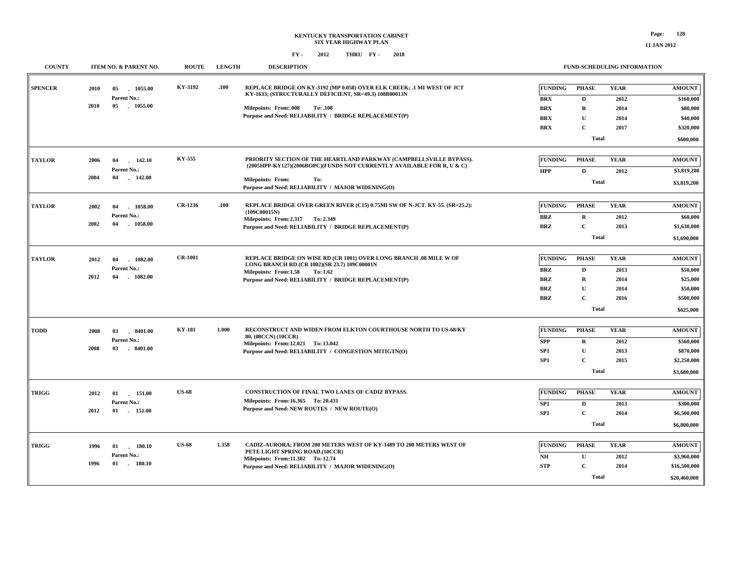#### **KENTUCKY TRANSPORTATION CABINET SIX YEAR HIGHWAY PLANFY - FY - 2012 2018 THRU**

### **FUND-SCHEDULING INFORMATION**

| <b>COUNTY</b>  |                          | ITEM NO. & PARENT NO.                          | <b>ROUTE</b>   | <b>LENGTH</b> | <b>DESCRIPTION</b>                                                                                                                                         |                                                                                                                                             |                                                                        | FUND-SCHEDULING INFORMATION                                                          |                                             |                                                                              |
|----------------|--------------------------|------------------------------------------------|----------------|---------------|------------------------------------------------------------------------------------------------------------------------------------------------------------|---------------------------------------------------------------------------------------------------------------------------------------------|------------------------------------------------------------------------|--------------------------------------------------------------------------------------|---------------------------------------------|------------------------------------------------------------------------------|
| <b>SPENCER</b> | 2010<br>05<br>05<br>2010 | 1055.00<br>Parent No.:<br>1055.00              | KY-3192        | .100          | KY-1633; (STRUCTURALLY DEFICIENT, SR=49.3) 108B00013N<br><b>Milepoints: From:.008</b><br>To: .108<br>Purpose and Need: RELIABILITY / BRIDGE REPLACEMENT(P) | REPLACE BRIDGE ON KY-3192 (MP 0.058) OVER ELK CREEK; .1 MI WEST OF JCT                                                                      | <b>FUNDING</b><br><b>BRX</b><br><b>BRX</b><br><b>BRX</b><br><b>BRX</b> | <b>PHASE</b><br>$\mathbf{D}$<br>$\mathbf R$<br>U<br>$\mathbf{C}$<br><b>Total</b>     | <b>YEAR</b><br>2012<br>2014<br>2014<br>2017 | <b>AMOUNT</b><br>\$160,000<br>\$80,000<br>\$40,000<br>\$320,000<br>\$600,000 |
| <b>TAYLOR</b>  | 2006<br>04<br>2004<br>04 | 142.10<br>Parent No.:<br>142.00                | <b>KY-555</b>  |               | <b>Milepoints: From:</b><br>To:<br>Purpose and Need: RELIABILITY / MAJOR WIDENING(O)                                                                       | PRIORITY SECTION OF THE HEARTLAND PARKWAY (CAMPBELLSVILLE BYPASS).<br>(2005HPP-KY127)(2006BOPC)(FUNDS NOT CURRENTLY AVAILABLE FOR R, U & C) | <b>FUNDING</b><br><b>HPP</b>                                           | <b>PHASE</b><br>$\mathbf D$<br><b>Total</b>                                          | <b>YEAR</b><br>2012                         | <b>AMOUNT</b><br>\$3,819,200<br>\$3,819,200                                  |
| <b>TAYLOR</b>  | 2002<br>04<br>2002<br>04 | 1058.00<br>Parent No.:<br>1058.00              | CR-1236        | .100          | (109C00015N)<br>Milepoints: From: 2.317 To: 2.349<br>Purpose and Need: RELIABILITY / BRIDGE REPLACEMENT(P)                                                 | REPLACE BRIDGE OVER GREEN RIVER (C15) 0.75MI SW OF N-JCT. KY-55. (SR=25.2):                                                                 | <b>FUNDING</b><br><b>BRZ</b><br><b>BRZ</b>                             | <b>PHASE</b><br>$\mathbf R$<br>$\mathbf{C}$<br><b>Total</b>                          | <b>YEAR</b><br>2012<br>2013                 | <b>AMOUNT</b><br>\$60,000<br>\$1,630,000<br>\$1,690,000                      |
| <b>TAYLOR</b>  | 2012<br>04<br>2012<br>04 | 1082.00<br>Parent No.:<br>$-1082.00$           | <b>CR-1001</b> |               | LONG BRANCH RD (CR 1002)(SR 23.7) 109C00001N<br>Milepoints: From:1.58<br>To: 1.62<br>Purpose and Need: RELIABILITY / BRIDGE REPLACEMENT(P)                 | REPLACE BRIDGE ON WISE RD (CR 1001) OVER LONG BRANCH .08 MILE W OF                                                                          | <b>FUNDING</b><br><b>BRZ</b><br><b>BRZ</b><br><b>BRZ</b><br><b>BRZ</b> | <b>PHASE</b><br>$\mathbf{D}$<br>$\mathbf R$<br>$\mathbf{U}$<br>$\mathbf{C}$<br>Total | <b>YEAR</b><br>2013<br>2014<br>2014<br>2016 | <b>AMOUNT</b><br>\$50,000<br>\$25,000<br>\$50,000<br>\$500,000<br>\$625,000  |
| <b>TODD</b>    | 2008<br>03<br>2008<br>03 | 8401.00<br>Parent No.:<br>$-8401.00$           | <b>KY-181</b>  | 1.000         | 80. (08CCN) (10CCR)<br>Milepoints: From:12.021 To: 13.042<br>Purpose and Need: RELIABILITY / CONGESTION MITIGTN(O)                                         | RECONSTRUCT AND WIDEN FROM ELKTON COURTHOUSE NORTH TO US-68/KY                                                                              | <b>FUNDING</b><br><b>SPP</b><br>SP1<br>SP1                             | <b>PHASE</b><br>$\mathbf R$<br>$\mathbf{U}$<br>$\mathbf C$<br><b>Total</b>           | <b>YEAR</b><br>2012<br>2013<br>2015         | <b>AMOUNT</b><br>\$560,000<br>\$870,000<br>\$2,250,000<br>\$3,680,000        |
| <b>TRIGG</b>   | 2012<br>01<br>2012<br>01 | 151.00<br>Parent No.:<br>151.00                | <b>US-68</b>   |               | CONSTRUCTION OF FINAL TWO LANES OF CADIZ BYPASS.<br>Milepoints: From:16.365 To: 20.431<br>Purpose and Need: NEW ROUTES / NEW ROUTE(O)                      |                                                                                                                                             | <b>FUNDING</b><br>SP1<br>SP1                                           | <b>PHASE</b><br>$\mathbf D$<br>$\mathbf C$<br><b>Total</b>                           | <b>YEAR</b><br>2013<br>2014                 | <b>AMOUNT</b><br>\$300,000<br>\$6,500,000<br>\$6,800,000                     |
| <b>TRIGG</b>   | 1996<br>1996             | 01<br>180.10<br>Parent No.:<br>$-180.10$<br>01 | <b>US-68</b>   | 1.358         | PETE LIGHT SPRING ROAD.(10CCR)<br>Milepoints: From:11.382 To: 12.74<br>Purpose and Need: RELIABILITY / MAJOR WIDENING(O)                                   | CADIZ-AURORA; FROM 200 METERS WEST OF KY-1489 TO 200 METERS WEST OF                                                                         | <b>FUNDING</b><br>N <sub>H</sub><br><b>STP</b>                         | <b>PHASE</b><br>$\mathbf U$<br>$\mathbf C$<br><b>Total</b>                           | <b>YEAR</b><br>2012<br>2014                 | <b>AMOUNT</b><br>\$3,960,000<br>\$16,500,000<br>\$20,460,000                 |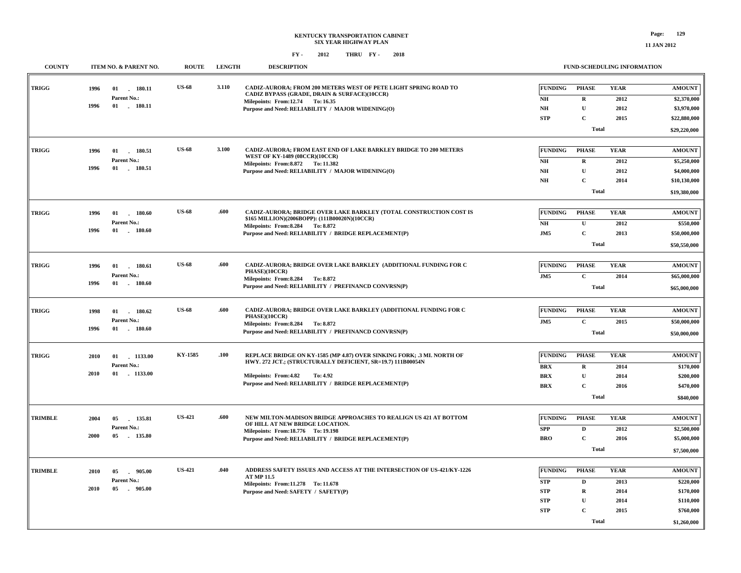**FUND-SCHEDULING INFORMATION**

#### **FY - FY - 2012 2018 THRU**

**COUNTY ITEM NO. & PARENT NO. ROUTE LENGTH DESCRIPTION**

| <b>TRIGG</b>   | 1996 | 01<br>180.11       | <b>US-68</b>  | 3.110 | CADIZ-AURORA; FROM 200 METERS WEST OF PETE LIGHT SPRING ROAD TO                                     | <b>FUNDING</b>         | <b>PHASE</b> | <b>YEAR</b> | <b>AMOUNT</b> |
|----------------|------|--------------------|---------------|-------|-----------------------------------------------------------------------------------------------------|------------------------|--------------|-------------|---------------|
|                |      | Parent No.:        |               |       | CADIZ BYPASS (GRADE, DRAIN & SURFACE)(10CCR)                                                        | $\mathbf{N}\mathbf{H}$ | $\mathbf R$  | 2012        | \$2,370,000   |
|                | 1996 | $01$ . 180.11      |               |       | Milepoints: From:12.74 To:16.35<br>Purpose and Need: RELIABILITY / MAJOR WIDENING(O)                | $\mathbf{N}\mathbf{H}$ | $\mathbf U$  | 2012        | \$3,970,000   |
|                |      |                    |               |       |                                                                                                     | <b>STP</b>             | $\mathbf C$  | 2015        | \$22,880,000  |
|                |      |                    |               |       |                                                                                                     |                        | <b>Total</b> |             |               |
|                |      |                    |               |       |                                                                                                     |                        |              |             | \$29,220,000  |
| <b>TRIGG</b>   | 1996 | 01<br>180.51       | <b>US-68</b>  | 3.100 | <b>CADIZ-AURORA; FROM EAST END OF LAKE BARKLEY BRIDGE TO 200 METERS</b>                             | <b>FUNDING</b>         | <b>PHASE</b> | <b>YEAR</b> | <b>AMOUNT</b> |
|                |      | Parent No.:        |               |       | WEST OF KY-1489 (08CCR)(10CCR)                                                                      | $\mathbf{NH}{}$        | $\mathbf R$  | 2012        | \$5,250,000   |
|                | 1996 | 01 180.51          |               |       | Milepoints: From: 8.872 To: 11.382<br>Purpose and Need: RELIABILITY / MAJOR WIDENING(O)             | N <sub>H</sub>         | $\mathbf U$  | 2012        | \$4,000,000   |
|                |      |                    |               |       |                                                                                                     | $N\!H$                 | $\mathbf C$  | 2014        | \$10,130,000  |
|                |      |                    |               |       |                                                                                                     |                        | <b>Total</b> |             | \$19,380,000  |
|                |      |                    |               |       |                                                                                                     |                        |              |             |               |
| TRIGG          | 1996 | 01<br>180.60       | <b>US-68</b>  | .600  | CADIZ-AURORA; BRIDGE OVER LAKE BARKLEY (TOTAL CONSTRUCTION COST IS                                  | <b>FUNDING</b>         | <b>PHASE</b> | <b>YEAR</b> | <b>AMOUNT</b> |
|                |      | Parent No.:        |               |       | \$165 MILLION)(2006BOPP): (111B00020N)(10CCR)<br>Milepoints: From: 8.284 To: 8.872                  | NH                     | $\mathbf U$  | 2012        | \$550,000     |
|                | 1996 | $01$ $180.60$      |               |       | Purpose and Need: RELIABILITY / BRIDGE REPLACEMENT(P)                                               | JM5                    | $\mathbf C$  | 2013        | \$50,000,000  |
|                |      |                    |               |       |                                                                                                     |                        | <b>Total</b> |             | \$50,550,000  |
|                |      |                    |               |       |                                                                                                     |                        |              |             |               |
| <b>TRIGG</b>   | 1996 | 01 180.61          | <b>US-68</b>  | .600  | CADIZ-AURORA; BRIDGE OVER LAKE BARKLEY (ADDITIONAL FUNDING FOR C<br>PHASE)(10CCR)                   | <b>FUNDING</b>         | <b>PHASE</b> | <b>YEAR</b> | <b>AMOUNT</b> |
|                |      | <b>Parent No.:</b> |               |       | Milepoints: From: 8.284 To: 8.872                                                                   | JM5                    | $\mathbf C$  | 2014        | \$65,000,000  |
|                | 1996 | $01$ 180.60        |               |       | Purpose and Need: RELIABILITY / PREFINANCD CONVRSN(P)                                               |                        | <b>Total</b> |             | \$65,000,000  |
|                |      |                    |               |       |                                                                                                     |                        |              |             |               |
| TRIGG          | 1998 | 180.62<br>01       | <b>US-68</b>  | .600  | CADIZ-AURORA; BRIDGE OVER LAKE BARKLEY (ADDITIONAL FUNDING FOR C                                    | <b>FUNDING</b>         | <b>PHASE</b> | <b>YEAR</b> | <b>AMOUNT</b> |
|                |      | Parent No.:        |               |       | PHASE)(10CCR)<br>Milepoints: From: 8.284 To: 8.872                                                  | JM5                    | $\mathbf C$  | 2015        | \$50,000,000  |
|                | 1996 | $01$ 180.60        |               |       | Purpose and Need: RELIABILITY / PREFINANCD CONVRSN(P)                                               |                        | <b>Total</b> |             | \$50,000,000  |
|                |      |                    |               |       |                                                                                                     |                        |              |             |               |
| <b>TRIGG</b>   | 2010 | 01<br>1133.00      | KY-1585       | .100  | REPLACE BRIDGE ON KY-1585 (MP 4.87) OVER SINKING FORK; .3 MI. NORTH OF                              | <b>FUNDING</b>         | <b>PHASE</b> | <b>YEAR</b> | <b>AMOUNT</b> |
|                |      | Parent No.:        |               |       | HWY. 272 JCT.; (STRUCTURALLY DEFICIENT, SR=19.7) 111B00054N                                         | <b>BRX</b>             | $\mathbf R$  | 2014        | \$170,000     |
|                | 2010 | 01 1133.00         |               |       | Milepoints: From: 4.82<br>To: 4.92                                                                  | <b>BRX</b>             | $\mathbf{U}$ | 2014        | \$200,000     |
|                |      |                    |               |       | Purpose and Need: RELIABILITY / BRIDGE REPLACEMENT(P)                                               | <b>BRX</b>             | $\mathbf C$  | 2016        | \$470,000     |
|                |      |                    |               |       |                                                                                                     |                        | <b>Total</b> |             | \$840,000     |
|                |      |                    |               |       |                                                                                                     |                        |              |             |               |
| <b>TRIMBLE</b> | 2004 | 05<br>135.81       | <b>US-421</b> | .600  | NEW MILTON-MADISON BRIDGE APPROACHES TO REALIGN US 421 AT BOTTOM<br>OF HILL AT NEW BRIDGE LOCATION. | <b>FUNDING</b>         | <b>PHASE</b> | <b>YEAR</b> | <b>AMOUNT</b> |
|                |      | Parent No.:        |               |       | Milepoints: From:18.776 To: 19.198                                                                  | <b>SPP</b>             | $\mathbf{D}$ | 2012        | \$2,500,000   |
|                | 2000 | 05<br>135.80       |               |       | Purpose and Need: RELIABILITY / BRIDGE REPLACEMENT(P)                                               | <b>BRO</b>             | $\mathbf C$  | 2016        | \$5,000,000   |
|                |      |                    |               |       |                                                                                                     |                        | <b>Total</b> |             | \$7,500,000   |
|                |      |                    |               |       |                                                                                                     |                        |              |             |               |
| <b>TRIMBLE</b> | 2010 | 05<br>905.00       | <b>US-421</b> | .040  | ADDRESS SAFETY ISSUES AND ACCESS AT THE INTERSECTION OF US-421/KY-1226<br><b>AT MP 11.5</b>         | <b>FUNDING</b>         | <b>PHASE</b> | <b>YEAR</b> | <b>AMOUNT</b> |
|                |      | Parent No.:        |               |       | Milepoints: From:11.278 To: 11.678                                                                  | STP                    | $\mathbf D$  | 2013        | \$220,000     |
|                | 2010 | 05<br>905.00       |               |       | Purpose and Need: SAFETY / SAFETY(P)                                                                | <b>STP</b>             | ${\bf R}$    | 2014        | \$170,000     |
|                |      |                    |               |       |                                                                                                     | <b>STP</b>             | $\mathbf U$  | 2014        | \$110,000     |
|                |      |                    |               |       |                                                                                                     | <b>STP</b>             | $\mathbf C$  | 2015        | \$760,000     |
|                |      |                    |               |       |                                                                                                     |                        | <b>Total</b> |             | \$1,260,000   |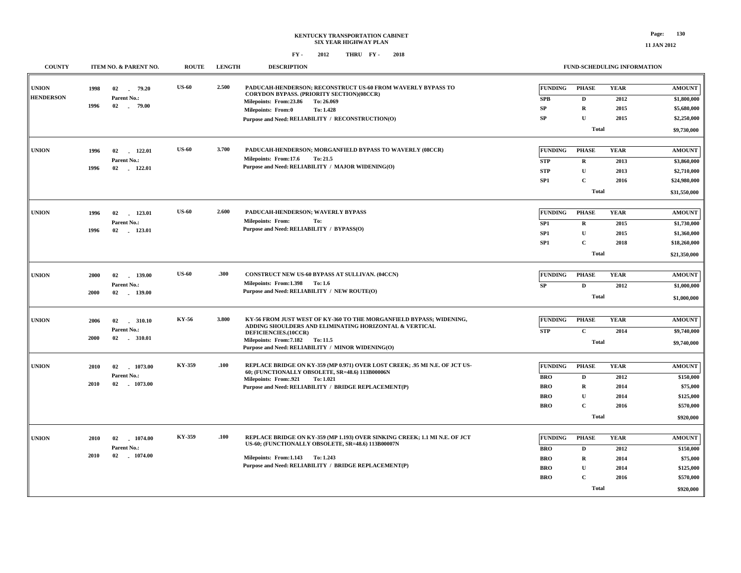| <b>COUNTY</b>    |             | ITEM NO. & PARENT NO.           | <b>ROUTE</b> | <b>LENGTH</b> | <b>DESCRIPTION</b>                                                                                                               |                          |                             | FUND-SCHEDULING INFORMATION |                        |
|------------------|-------------|---------------------------------|--------------|---------------|----------------------------------------------------------------------------------------------------------------------------------|--------------------------|-----------------------------|-----------------------------|------------------------|
| <b>UNION</b>     | 1998        | 02<br>79.20                     | <b>US-60</b> | 2.500         | PADUCAH-HENDERSON; RECONSTRUCT US-60 FROM WAVERLY BYPASS TO<br><b>CORYDON BYPASS. (PRIORITY SECTION)(08CCR)</b>                  | <b>FUNDING</b>           | <b>PHASE</b>                | <b>YEAR</b>                 | <b>AMOUNT</b>          |
| <b>HENDERSON</b> | 1996        | Parent No.:<br>02 79.00         |              |               | Milepoints: From:23.86<br>To: 26.069                                                                                             | SPB                      | D                           | 2012                        | \$1,800,000            |
|                  |             |                                 |              |               | Milepoints: From:0<br>To: 1.428                                                                                                  | SP                       | $\bf R$                     | 2015                        | \$5,680,000            |
|                  |             |                                 |              |               | Purpose and Need: RELIABILITY / RECONSTRUCTION(O)                                                                                | SP                       | $\mathbf{U}$                | 2015                        | \$2,250,000            |
|                  |             |                                 |              |               |                                                                                                                                  |                          | Total                       |                             | \$9,730,000            |
| <b>UNION</b>     | 1996        | 02<br>122.01                    | <b>US-60</b> | 3.700         | PADUCAH-HENDERSON; MORGANFIELD BYPASS TO WAVERLY (08CCR)                                                                         | <b>FUNDING</b>           | <b>PHASE</b>                | <b>YEAR</b>                 | <b>AMOUNT</b>          |
|                  |             | Parent No.:                     |              |               | Milepoints: From:17.6<br>To: 21.5                                                                                                | <b>STP</b>               | R                           | 2013                        | \$3,860,000            |
|                  | 1996        | 02<br>122.01                    |              |               | Purpose and Need: RELIABILITY / MAJOR WIDENING(O)                                                                                | <b>STP</b>               | $\mathbf U$                 | 2013                        | \$2,710,000            |
|                  |             |                                 |              |               |                                                                                                                                  | SP <sub>1</sub>          | $\mathbf{C}$                | 2016                        | \$24,980,000           |
|                  |             |                                 |              |               |                                                                                                                                  |                          | Total                       |                             | \$31,550,000           |
| <b>UNION</b>     | 1996        | 02<br>123.01                    | <b>US-60</b> | 2.600         | PADUCAH-HENDERSON; WAVERLY BYPASS                                                                                                | <b>FUNDING</b>           | <b>PHASE</b>                | <b>YEAR</b>                 | <b>AMOUNT</b>          |
|                  |             | Parent No.:                     |              |               | <b>Milepoints: From:</b><br>To:                                                                                                  | SP <sub>1</sub>          | R                           | 2015                        | \$1,730,000            |
|                  | 1996        | 02<br>$-123.01$                 |              |               | Purpose and Need: RELIABILITY / BYPASS(O)                                                                                        | SP1                      | $\mathbf U$                 | 2015                        | \$1,360,000            |
|                  |             |                                 |              |               |                                                                                                                                  | SP <sub>1</sub>          | $\mathbf C$                 | 2018                        | \$18,260,000           |
|                  |             |                                 |              |               |                                                                                                                                  |                          | Total                       |                             | \$21,350,000           |
| <b>UNION</b>     |             |                                 | <b>US-60</b> | .300          | CONSTRUCT NEW US-60 BYPASS AT SULLIVAN. (04CCN)                                                                                  | <b>FUNDING</b>           | <b>PHASE</b>                | <b>YEAR</b>                 | <b>AMOUNT</b>          |
|                  | <b>2000</b> | 02<br>$-139.00$<br>Parent No.:  |              |               | Milepoints: From:1.398 To:1.6                                                                                                    |                          |                             |                             |                        |
|                  | 2000        | 02 139.00                       |              |               | Purpose and Need: RELIABILITY / NEW ROUTE(O)                                                                                     | SP                       | D                           | 2012                        | \$1,000,000            |
|                  |             |                                 |              |               |                                                                                                                                  |                          | <b>Total</b>                |                             | \$1,000,000            |
| <b>UNION</b>     | 2006        |                                 | KY-56        | 3.800         | KY-56 FROM JUST WEST OF KY-360 TO THE MORGANFIELD BYPASS; WIDENING,                                                              | <b>FUNDING</b>           | <b>PHASE</b>                | <b>YEAR</b>                 | <b>AMOUNT</b>          |
|                  |             | Parent No.:                     |              |               | ADDING SHOULDERS AND ELIMINATING HORIZONTAL & VERTICAL<br>DEFICIENCIES.(10CCR)                                                   | <b>STP</b>               | $\mathbf{C}$                | 2014                        | \$9,740,000            |
|                  | 2000        | 02 . 310.01                     |              |               | Milepoints: From: 7.182 To: 11.5<br>Purpose and Need: RELIABILITY / MINOR WIDENING(O)                                            |                          | <b>Total</b>                |                             | \$9,740,000            |
| <b>UNION</b>     | 2010        | 02 1073.00                      | KY-359       | .100          | REPLACE BRIDGE ON KY-359 (MP 0.971) OVER LOST CREEK; .95 MI N.E. OF JCT US-                                                      | <b>FUNDING</b>           | <b>PHASE</b>                | <b>YEAR</b>                 | <b>AMOUNT</b>          |
|                  |             | Parent No.:                     |              |               | 60; (FUNCTIONALLY OBSOLETE, SR=48.6) 113B00006N                                                                                  | <b>BRO</b>               | $\mathbf D$                 | 2012                        | \$150,000              |
|                  | 2010        | 02 1073.00                      |              |               | <b>Milepoints: From:.921</b><br>To: 1.021<br>Purpose and Need: RELIABILITY / BRIDGE REPLACEMENT(P)                               | <b>BRO</b>               | $\mathbf R$                 | 2014                        | \$75,000               |
|                  |             |                                 |              |               |                                                                                                                                  | <b>BRO</b>               | $\mathbf{U}$                | 2014                        | \$125,000              |
|                  |             |                                 |              |               |                                                                                                                                  | <b>BRO</b>               | $\mathbf{C}$                | 2016                        | \$570,000              |
|                  |             |                                 |              |               |                                                                                                                                  |                          | <b>Total</b>                |                             | \$920,000              |
|                  |             |                                 |              |               |                                                                                                                                  |                          |                             |                             |                        |
| <b>UNION</b>     | 2010        | 1074.00<br>02                   | KY-359       | .100          | REPLACE BRIDGE ON KY-359 (MP 1.193) OVER SINKING CREEK; 1.1 MI N.E. OF JCT<br>US-60; (FUNCTIONALLY OBSOLETE, SR=48.6) 113B00007N | <b>FUNDING</b>           | <b>PHASE</b>                | <b>YEAR</b>                 | <b>AMOUNT</b>          |
|                  | 2010        | Parent No.:<br>02<br>$-1074.00$ |              |               |                                                                                                                                  | <b>BRO</b>               | D                           | 2012                        | \$150,000              |
|                  |             |                                 |              |               | Milepoints: From:1.143 To: 1.243<br>Purpose and Need: RELIABILITY / BRIDGE REPLACEMENT(P)                                        | <b>BRO</b>               | $\mathbf R$                 | 2014                        | \$75,000               |
|                  |             |                                 |              |               |                                                                                                                                  | <b>BRO</b><br><b>BRO</b> | $\mathbf U$<br>$\mathbf{C}$ | 2014<br>2016                | \$125,000<br>\$570,000 |
|                  |             |                                 |              |               |                                                                                                                                  |                          |                             |                             |                        |
|                  |             |                                 |              |               |                                                                                                                                  |                          | Total                       |                             | \$920,000              |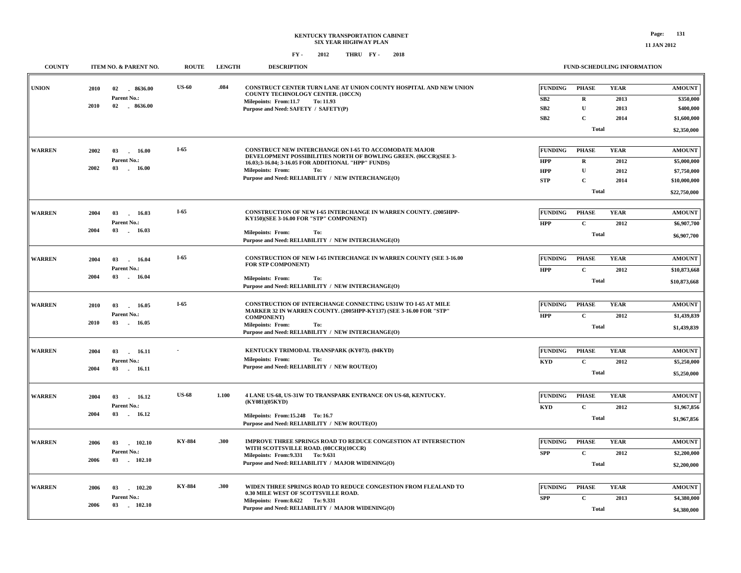| rage:              |  |
|--------------------|--|
| <b>11 JAN 2012</b> |  |

| <b>COUNTY</b>                                       |                     | ITEM NO. & PARENT NO.                        | <b>ROUTE</b>  | <b>LENGTH</b>                                                                                                      | <b>DESCRIPTION</b>                                                                                                                                                                   | <b>FUND-SCHEDULING INFORMATION</b>                                                    |                                                                        |
|-----------------------------------------------------|---------------------|----------------------------------------------|---------------|--------------------------------------------------------------------------------------------------------------------|--------------------------------------------------------------------------------------------------------------------------------------------------------------------------------------|---------------------------------------------------------------------------------------|------------------------------------------------------------------------|
| <b>UNION</b>                                        | 2010<br><b>2010</b> | 02<br>8636.00<br>Parent No.:<br>02 . 8636.00 | <b>US-60</b>  | .084                                                                                                               | CONSTRUCT CENTER TURN LANE AT UNION COUNTY HOSPITAL AND NEW UNION<br>COUNTY TECHNOLOGY CENTER. (10CCN)<br>Milepoints: From:11.7<br>To: 11.93<br>Purpose and Need: SAFETY / SAFETY(P) | <b>FUNDING</b><br>PHASE<br>SB2<br>$\mathbf{R}$<br>SB2<br>$\mathbf{U}$                 | <b>YEAR</b><br><b>AMOUNT</b><br>2013<br>\$350,000<br>2013<br>\$400,000 |
|                                                     |                     |                                              |               |                                                                                                                    |                                                                                                                                                                                      | SB2<br>$\mathbf{C}$<br><b>Total</b>                                                   | \$1,600,000<br>2014<br>\$2,350,000                                     |
| <b>WARREN</b>                                       | 2002                | 03<br>$\sim$<br>16.00                        | $I-65$        |                                                                                                                    | <b>CONSTRUCT NEW INTERCHANGE ON I-65 TO ACCOMODATE MAJOR</b><br>DEVELOPMENT POSSIBILITIES NORTH OF BOWLING GREEN. (06CCR)(SEE 3-                                                     | <b>FUNDING</b><br><b>PHASE</b>                                                        | <b>YEAR</b><br><b>AMOUNT</b>                                           |
|                                                     | 2002                | Parent No.:<br>03<br>16.00                   |               |                                                                                                                    | 16.03;3-16.04; 3-16.05 FOR ADDITIONAL "HPP" FUNDS)<br><b>Milepoints: From:</b><br>To:<br>Purpose and Need: RELIABILITY / NEW INTERCHANGE(O)                                          | $\mathbf R$<br><b>HPP</b><br>$\mathbf{U}$<br><b>HPP</b><br>$\mathbf{C}$<br><b>STP</b> | 2012<br>\$5,000,000<br>2012<br>\$7,750,000<br>2014<br>\$10,000,000     |
|                                                     |                     |                                              |               |                                                                                                                    |                                                                                                                                                                                      | <b>Total</b>                                                                          | \$22,750,000                                                           |
| <b>WARREN</b><br>2004<br>03<br>16.03<br>Parent No.: |                     | $I-65$                                       |               | <b>CONSTRUCTION OF NEW I-65 INTERCHANGE IN WARREN COUNTY. (2005HPP-</b><br>KY150)(SEE 3-16.00 FOR "STP" COMPONENT) | FUNDING<br><b>PHASE</b><br>$\mathbf{C}$<br><b>HPP</b>                                                                                                                                | <b>YEAR</b><br><b>AMOUNT</b><br>2012<br>\$6,907,700                                   |                                                                        |
|                                                     | 2004                | 03<br>16.03                                  |               |                                                                                                                    | <b>Milepoints: From:</b><br>To:<br>Purpose and Need: RELIABILITY / NEW INTERCHANGE(O)                                                                                                | <b>Total</b>                                                                          | \$6,907,700                                                            |
| <b>WARREN</b>                                       | 2004                | 03<br>16.04<br>$\sim$<br>Parent No.:         | $I-65$        |                                                                                                                    | <b>CONSTRUCTION OF NEW I-65 INTERCHANGE IN WARREN COUNTY (SEE 3-16.00</b><br>FOR STP COMPONENT)                                                                                      | <b>FUNDING</b><br><b>PHASE</b><br>$\mathbf{C}$<br><b>HPP</b>                          | <b>YEAR</b><br><b>AMOUNT</b><br>2012<br>\$10,873,668                   |
|                                                     | 2004                | 03<br>16.04                                  |               |                                                                                                                    | <b>Milepoints: From:</b><br>To:<br>Purpose and Need: RELIABILITY / NEW INTERCHANGE(O)                                                                                                | <b>Total</b>                                                                          | \$10,873,668                                                           |
| <b>WARREN</b>                                       | 2010                | 03<br>16.05<br>Parent No.:                   | $I-65$        |                                                                                                                    | <b>CONSTRUCTION OF INTERCHANGE CONNECTING US31W TO I-65 AT MILE</b><br>MARKER 32 IN WARREN COUNTY. (2005HPP-KY137) (SEE 3-16.00 FOR "STP"<br><b>COMPONENT</b> )                      | <b>FUNDING</b><br><b>PHASE</b><br><b>HPP</b><br>$\mathbf{C}$                          | <b>YEAR</b><br><b>AMOUNT</b><br>2012<br>\$1,439,839                    |
|                                                     | 2010                | 03<br>16.05                                  |               |                                                                                                                    | Milepoints: From:<br>To:<br>Purpose and Need: RELIABILITY / NEW INTERCHANGE(O)                                                                                                       | <b>Total</b>                                                                          | \$1,439,839                                                            |
| <b>WARREN</b>                                       | 2004                | 03<br>16.11<br><b>Parent No.:</b>            |               |                                                                                                                    | KENTUCKY TRIMODAL TRANSPARK (KY073). (04KYD)<br><b>Milepoints: From:</b><br>To:                                                                                                      | <b>FUNDING</b><br><b>PHASE</b><br>$\mathbf{C}$<br><b>KYD</b>                          | <b>YEAR</b><br>$\boldsymbol{\mathrm{AMOUNT}}$<br>2012<br>\$5,250,000   |
|                                                     | 2004                | 03                                           | 16.11         |                                                                                                                    | Purpose and Need: RELIABILITY / NEW ROUTE(O)                                                                                                                                         | <b>Total</b>                                                                          | \$5,250,000                                                            |
| <b>WARREN</b>                                       | 2004                | 03<br>16.12<br>Parent No.:                   | <b>US-68</b>  | 1.100                                                                                                              | 4 LANE US-68, US-31W TO TRANSPARK ENTRANCE ON US-68, KENTUCKY.<br>(KY081)(05KYD)                                                                                                     | <b>FUNDING</b><br><b>PHASE</b><br>$\mathbf{C}$<br><b>KYD</b>                          | <b>YEAR</b><br><b>AMOUNT</b><br>2012<br>\$1,967,856                    |
|                                                     | 2004                | 03<br>16.12                                  |               |                                                                                                                    | Milepoints: From:15.248 To:16.7<br>Purpose and Need: RELIABILITY / NEW ROUTE(O)                                                                                                      | <b>Total</b>                                                                          | \$1,967,856                                                            |
| <b>WARREN</b>                                       | 2006                | 102.10<br>03<br>Parent No.:                  | <b>KY-884</b> | .300                                                                                                               | IMPROVE THREE SPRINGS ROAD TO REDUCE CONGESTION AT INTERSECTION<br>WITH SCOTTSVILLE ROAD. (08CCR)(10CCR)                                                                             | <b>FUNDING</b><br><b>PHASE</b><br>$\mathbf{C}$<br><b>SPP</b>                          | <b>YEAR</b><br><b>AMOUNT</b><br>2012<br>\$2,200,000                    |
|                                                     | 2006                | 03<br>102.10                                 |               |                                                                                                                    | Milepoints: From: 9.331 To: 9.631<br>Purpose and Need: RELIABILITY / MAJOR WIDENING(O)                                                                                               | <b>Total</b>                                                                          | \$2,200,000                                                            |
| <b>WARREN</b>                                       | 2006                | 03<br>102.20<br>Parent No.:                  | <b>KY-884</b> | .300                                                                                                               | WIDEN THREE SPRINGS ROAD TO REDUCE CONGESTION FROM FLEALAND TO<br>0.30 MILE WEST OF SCOTTSVILLE ROAD.<br>Milepoints: From: 8.622 To: 9.331                                           | <b>FUNDING</b><br><b>PHASE</b><br>$\mathbf{C}$<br><b>SPP</b>                          | <b>YEAR</b><br><b>AMOUNT</b><br>\$4,380,000<br>2013                    |
|                                                     | 2006                | 102.10<br>03                                 |               |                                                                                                                    | Purpose and Need: RELIABILITY / MAJOR WIDENING(O)                                                                                                                                    | <b>Total</b>                                                                          | \$4,380,000                                                            |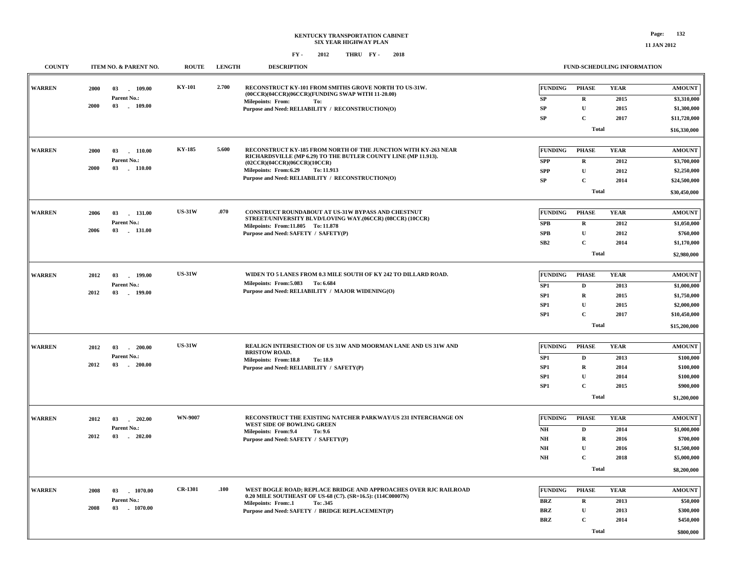**FUND-SCHEDULING INFORMATION**

#### **FY - FY - 2012 2018 THRU**

**COUNTY ITEM NO. & PARENT NO. ROUTE LENGTH DESCRIPTION**

| <b>WARREN</b> | 2000      | 03<br>109.00           | <b>KY-101</b>  | 2.700                                             | RECONSTRUCT KY-101 FROM SMITHS GROVE NORTH TO US-31W.                                                                            | FUNDING                | <b>PHASE</b> | <b>YEAR</b> | <b>AMOUNT</b> |
|---------------|-----------|------------------------|----------------|---------------------------------------------------|----------------------------------------------------------------------------------------------------------------------------------|------------------------|--------------|-------------|---------------|
|               |           | Parent No.:            |                |                                                   | (00CCR)(04CCR)(06CCR)(FUNDING SWAP WITH 11-20.00)<br><b>Milepoints: From:</b><br>To:                                             | SP                     | $\bf R$      | 2015        | \$3,310,000   |
|               | 2000      | 03<br>$-109.00$        |                |                                                   | Purpose and Need: RELIABILITY / RECONSTRUCTION(O)                                                                                | SP                     | $\mathbf{U}$ | 2015        | \$1,300,000   |
|               |           |                        |                |                                                   |                                                                                                                                  | <b>SP</b>              | $\mathbf C$  | 2017        | \$11,720,000  |
|               |           |                        |                |                                                   |                                                                                                                                  |                        | <b>Total</b> |             | \$16,330,000  |
|               |           |                        |                |                                                   |                                                                                                                                  |                        |              |             |               |
| <b>WARREN</b> | 2000      | 03<br>$-110.00$        | KY-185         | 5.600                                             | RECONSTRUCT KY-185 FROM NORTH OF THE JUNCTION WITH KY-263 NEAR<br>RICHARDSVILLE (MP 6.29) TO THE BUTLER COUNTY LINE (MP 11.913). | <b>FUNDING</b>         | <b>PHASE</b> | <b>YEAR</b> | <b>AMOUNT</b> |
|               |           | Parent No.:            |                |                                                   | (02CCR)(04CCR)(06CCR)(10CCR)                                                                                                     | <b>SPP</b>             | $\bf R$      | 2012        | \$3,700,000   |
|               | 2000      | 03<br>110.00           |                |                                                   | Milepoints: From:6.29<br>To: 11.913                                                                                              | <b>SPP</b>             | $\mathbf U$  | 2012        | \$2,250,000   |
|               |           |                        |                |                                                   | Purpose and Need: RELIABILITY / RECONSTRUCTION(O)                                                                                | ${\bf SP}$             | $\mathbf{C}$ | 2014        | \$24,500,000  |
|               |           |                        |                |                                                   |                                                                                                                                  |                        | <b>Total</b> |             | \$30,450,000  |
|               |           |                        |                |                                                   |                                                                                                                                  |                        |              |             |               |
| <b>WARREN</b> | 2006      | 03<br>$-131.00$        | <b>US-31W</b>  | .070                                              | CONSTRUCT ROUNDABOUT AT US-31W BYPASS AND CHESTNUT<br>STREET/UNIVERSITY BLVD/LOVING WAY.(06CCR) (08CCR) (10CCR)                  | <b>FUNDING</b>         | <b>PHASE</b> | <b>YEAR</b> | <b>AMOUNT</b> |
|               |           | Parent No.:            |                |                                                   | Milepoints: From:11.805 To:11.878                                                                                                | SPB                    | $\mathbf R$  | 2012        | \$1,050,000   |
|               | 2006      | 03<br>$-131.00$        |                |                                                   | Purpose and Need: SAFETY / SAFETY(P)                                                                                             | SPB                    | $\mathbf{U}$ | 2012        | \$760,000     |
|               |           |                        |                |                                                   |                                                                                                                                  | SB2                    | $\mathbf{C}$ | 2014        | \$1,170,000   |
|               |           |                        |                |                                                   |                                                                                                                                  |                        | <b>Total</b> |             | \$2,980,000   |
|               |           |                        |                |                                                   |                                                                                                                                  |                        |              |             |               |
| <b>WARREN</b> | 2012      | 03<br>199.00           | <b>US-31W</b>  |                                                   | WIDEN TO 5 LANES FROM 0.3 MILE SOUTH OF KY 242 TO DILLARD ROAD.                                                                  | <b>FUNDING</b>         | <b>PHASE</b> | <b>YEAR</b> | <b>AMOUNT</b> |
|               |           | Parent No.:            |                |                                                   | Milepoints: From: 5.083 To: 6.684                                                                                                | SP1                    | $\mathbf D$  | 2013        | \$1,000,000   |
| 2012<br>03    | $-199.00$ |                        |                | Purpose and Need: RELIABILITY / MAJOR WIDENING(O) | SP1                                                                                                                              | $\mathbf R$            | 2015         | \$1,750,000 |               |
|               |           |                        |                |                                                   | SP1                                                                                                                              | $\mathbf U$            | 2015         | \$2,000,000 |               |
|               |           |                        |                |                                                   |                                                                                                                                  | SP1                    | $\mathbf{C}$ | 2017        | \$10,450,000  |
|               |           |                        |                |                                                   |                                                                                                                                  |                        | <b>Total</b> |             | \$15,200,000  |
|               |           |                        |                |                                                   |                                                                                                                                  |                        |              |             |               |
| <b>WARREN</b> | 2012      | 200.00<br>03<br>$\sim$ | <b>US-31W</b>  |                                                   | REALIGN INTERSECTION OF US 31W AND MOORMAN LANE AND US 31W AND<br><b>BRISTOW ROAD.</b>                                           | <b>FUNDING</b>         | <b>PHASE</b> | <b>YEAR</b> | <b>AMOUNT</b> |
|               |           | Parent No.:            |                |                                                   | <b>Milepoints: From:18.8</b><br>To: 18.9                                                                                         | SP1                    | D            | 2013        | \$100,000     |
|               | 2012      | $-200.00$<br>03        |                |                                                   | Purpose and Need: RELIABILITY / SAFETY(P)                                                                                        | SP1                    | $\mathbf R$  | 2014        | \$100,000     |
|               |           |                        |                |                                                   |                                                                                                                                  | SP1                    | $\mathbf U$  | 2014        | \$100,000     |
|               |           |                        |                |                                                   |                                                                                                                                  | SP1                    | $\mathbf{C}$ | 2015        | \$900,000     |
|               |           |                        |                |                                                   |                                                                                                                                  |                        | <b>Total</b> |             | \$1,200,000   |
|               |           |                        |                |                                                   |                                                                                                                                  |                        |              |             |               |
| <b>WARREN</b> | 2012      | 03<br>$-202.00$        | <b>WN-9007</b> |                                                   | RECONSTRUCT THE EXISTING NATCHER PARKWAY/US 231 INTERCHANGE ON<br>WEST SIDE OF BOWLING GREEN                                     | <b>FUNDING</b>         | <b>PHASE</b> | <b>YEAR</b> | <b>AMOUNT</b> |
|               |           | Parent No.:            |                |                                                   | Milepoints: From: 9.4<br>To: 9.6                                                                                                 | $N\mathbf{H}$          | D            | 2014        | \$1,000,000   |
|               | 2012      | $-202.00$<br>03        |                |                                                   | Purpose and Need: SAFETY / SAFETY(P)                                                                                             | $\mathbf{N}\mathbf{H}$ | $\mathbf R$  | 2016        | \$700,000     |
|               |           |                        |                |                                                   |                                                                                                                                  | $\mathbf{N}\mathbf{H}$ | $\mathbf U$  | 2016        | \$1,500,000   |
|               |           |                        |                |                                                   |                                                                                                                                  | $\mathbf{NH}{}$        | $\mathbf{C}$ | 2018        | \$5,000,000   |
|               |           |                        |                |                                                   |                                                                                                                                  |                        | <b>Total</b> |             | \$8,200,000   |
|               |           |                        |                |                                                   |                                                                                                                                  |                        |              |             |               |
| <b>WARREN</b> | 2008      | 1070.00<br>03          | <b>CR-1301</b> | .100                                              | WEST BOGLE ROAD; REPLACE BRIDGE AND APPROACHES OVER RJC RAILROAD                                                                 | <b>FUNDING</b>         | <b>PHASE</b> | <b>YEAR</b> | <b>AMOUNT</b> |
|               |           | Parent No.:            |                |                                                   | 0.20 MILE SOUTHEAST OF US-68 (C7). (SR=16.5): (114C00007N)<br>Milepoints: From:.1<br>To: .345                                    | <b>BRZ</b>             | $\mathbf R$  | 2013        | \$50,000      |
|               | 2008      | 03 1070.00             |                |                                                   | Purpose and Need: SAFETY / BRIDGE REPLACEMENT(P)                                                                                 | <b>BRZ</b>             | $\mathbf U$  | 2013        | \$300,000     |
|               |           |                        |                |                                                   |                                                                                                                                  | <b>BRZ</b>             | $\mathbf{C}$ | 2014        | \$450,000     |
|               |           |                        |                |                                                   |                                                                                                                                  | <b>Total</b>           |              | \$800,000   |               |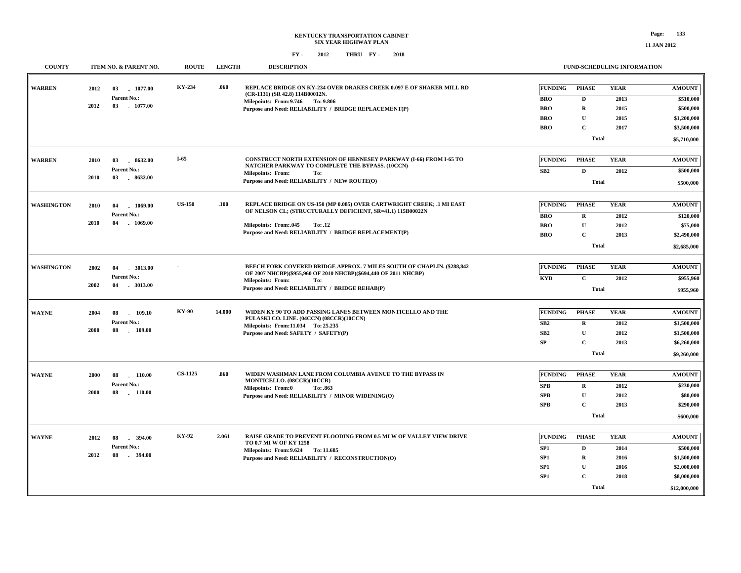| <b>COUNTY</b>             |      | ITEM NO. & PARENT NO.                            | <b>ROUTE</b>    | <b>LENGTH</b>                                                                                                     | <b>DESCRIPTION</b>                                                                                                                                                                                                               |                 |                | FUND-SCHEDULING INFORMATION |               |
|---------------------------|------|--------------------------------------------------|-----------------|-------------------------------------------------------------------------------------------------------------------|----------------------------------------------------------------------------------------------------------------------------------------------------------------------------------------------------------------------------------|-----------------|----------------|-----------------------------|---------------|
| <b>WARREN</b>             | 2012 | 1077.00<br>03                                    |                 | REPLACE BRIDGE ON KY-234 OVER DRAKES CREEK 0.097 E OF SHAKER MILL RD<br>.060<br>(CR-1131) (SR 42.8) 114B00012N.   | <b>FUNDING</b>                                                                                                                                                                                                                   | <b>PHASE</b>    | <b>YEAR</b>    | <b>AMOUNT</b>               |               |
|                           | 2012 | Parent No.:<br>03<br>1077.00                     |                 |                                                                                                                   | Milepoints: From: 9.746 To: 9.806                                                                                                                                                                                                | <b>BRO</b>      | $\mathbf{D}$   | 2013                        | \$510,000     |
|                           |      |                                                  |                 |                                                                                                                   | Purpose and Need: RELIABILITY / BRIDGE REPLACEMENT(P)                                                                                                                                                                            | <b>BRO</b>      | R              | 2015                        | \$500,000     |
|                           |      |                                                  |                 |                                                                                                                   |                                                                                                                                                                                                                                  | <b>BRO</b>      | $\mathbf{U}$   | 2015                        | \$1,200,000   |
|                           |      |                                                  |                 |                                                                                                                   |                                                                                                                                                                                                                                  | <b>BRO</b>      | $\overline{c}$ | 2017                        | \$3,500,000   |
|                           |      |                                                  |                 |                                                                                                                   |                                                                                                                                                                                                                                  |                 | <b>Total</b>   |                             | \$5,710,000   |
| <b>WARREN</b>             | 2010 | 03<br>8632.00                                    | $I-65$          |                                                                                                                   | <b>CONSTRUCT NORTH EXTENSION OF HENNESEY PARKWAY (I-66) FROM I-65 TO</b>                                                                                                                                                         | <b>FUNDING</b>  | <b>PHASE</b>   | <b>YEAR</b>                 | <b>AMOUNT</b> |
|                           |      | Parent No.:                                      |                 |                                                                                                                   | NATCHER PARKWAY TO COMPLETE THE BYPASS. (10CCN)                                                                                                                                                                                  | SB2             | $\mathbf D$    | 2012                        | \$500,000     |
|                           | 2010 | 03<br>8632.00                                    |                 |                                                                                                                   | <b>Milepoints: From:</b><br>To:<br>Purpose and Need: RELIABILITY / NEW ROUTE(O)                                                                                                                                                  |                 |                |                             |               |
|                           |      |                                                  |                 |                                                                                                                   |                                                                                                                                                                                                                                  |                 | <b>Total</b>   |                             | \$500,000     |
| <b>WASHINGTON</b><br>2010 |      | 04<br>1069.00<br>Parent No.:<br>04<br>$-1069.00$ | <b>US-150</b>   | .100                                                                                                              | REPLACE BRIDGE ON US-150 (MP 0.085) OVER CARTWRIGHT CREEK; .1 MI EAST<br>OF NELSON CL; (STRUCTURALLY DEFICIENT, SR=41.1) 115B00022N<br>Milepoints: From: 045<br>To: .12<br>Purpose and Need: RELIABILITY / BRIDGE REPLACEMENT(P) | <b>FUNDING</b>  | <b>PHASE</b>   | <b>YEAR</b>                 | <b>AMOUNT</b> |
|                           |      |                                                  |                 |                                                                                                                   |                                                                                                                                                                                                                                  | <b>BRO</b>      | $\mathbf R$    | 2012                        | \$120,000     |
| 2010                      |      |                                                  |                 |                                                                                                                   |                                                                                                                                                                                                                                  | <b>BRO</b>      | $\mathbf U$    | 2012                        | \$75,000      |
|                           |      |                                                  |                 |                                                                                                                   |                                                                                                                                                                                                                                  | <b>BRO</b>      | $\mathbf C$    | 2013                        | \$2,490,000   |
|                           |      |                                                  |                 |                                                                                                                   |                                                                                                                                                                                                                                  |                 | <b>Total</b>   |                             | \$2,685,000   |
|                           |      |                                                  |                 |                                                                                                                   |                                                                                                                                                                                                                                  |                 |                |                             |               |
| <b>WASHINGTON</b>         | 2002 | 3013.00<br>04                                    |                 |                                                                                                                   | BEECH FORK COVERED BRIDGE APPROX. 7 MILES SOUTH OF CHAPLIN. (\$288,842<br>OF 2007 NHCBP)(\$955,960 OF 2010 NHCBP)(\$694,440 OF 2011 NHCBP)                                                                                       | <b>FUNDING</b>  | <b>PHASE</b>   | <b>YEAR</b>                 | <b>AMOUNT</b> |
|                           |      | Parent No.:                                      |                 |                                                                                                                   | <b>Milepoints: From:</b><br>To:                                                                                                                                                                                                  | <b>KYD</b>      | $\mathbf{C}$   | 2012                        | \$955,960     |
|                           | 2002 | $-3013.00$<br>04                                 |                 |                                                                                                                   | Purpose and Need: RELIABILITY / BRIDGE REHAB(P)                                                                                                                                                                                  |                 | <b>Total</b>   |                             | \$955,960     |
|                           |      |                                                  |                 |                                                                                                                   |                                                                                                                                                                                                                                  |                 |                |                             |               |
| <b>WAYNE</b>              | 2004 | <b>KY-90</b><br>109.10<br>08                     |                 | 14.000<br>WIDEN KY 90 TO ADD PASSING LANES BETWEEN MONTICELLO AND THE<br>PULASKI CO. LINE. (04CCN) (08CCR)(10CCN) | <b>FUNDING</b>                                                                                                                                                                                                                   | <b>PHASE</b>    | <b>YEAR</b>    | <b>AMOUNT</b>               |               |
|                           |      | Parent No.:                                      | 08<br>$-109.00$ |                                                                                                                   | Milepoints: From:11.034 To: 25.235<br>Purpose and Need: SAFETY / SAFETY(P)                                                                                                                                                       | SB2             | $\mathbf R$    | 2012                        | \$1,500,000   |
|                           |      | 2000                                             |                 |                                                                                                                   |                                                                                                                                                                                                                                  | SB <sub>2</sub> | $\mathbf U$    | 2012                        | \$1,500,000   |
|                           |      |                                                  |                 |                                                                                                                   |                                                                                                                                                                                                                                  | SP              | $\mathbf{C}$   | 2013                        | \$6,260,000   |
|                           |      |                                                  |                 |                                                                                                                   |                                                                                                                                                                                                                                  |                 | <b>Total</b>   |                             | \$9,260,000   |
| <b>WAYNE</b>              | 2000 | 08<br>110.00                                     | <b>CS-1125</b>  | .860                                                                                                              | WIDEN WASHMAN LANE FROM COLUMBIA AVENUE TO THE BYPASS IN                                                                                                                                                                         | <b>FUNDING</b>  | <b>PHASE</b>   | <b>YEAR</b>                 | <b>AMOUNT</b> |
|                           |      | Parent No.:                                      |                 |                                                                                                                   | MONTICELLO. (08CCR)(10CCR)                                                                                                                                                                                                       | <b>SPB</b>      | $\mathbf R$    | 2012                        | \$230,000     |
|                           | 2000 | 08<br>$-110.00$                                  |                 |                                                                                                                   | Milepoints: From:0<br>To: .863<br>Purpose and Need: RELIABILITY / MINOR WIDENING(O)                                                                                                                                              | <b>SPB</b>      | $\mathbf U$    | 2012                        | \$80,000      |
|                           |      |                                                  |                 |                                                                                                                   |                                                                                                                                                                                                                                  | <b>SPB</b>      | $\mathbf{C}$   | 2013                        | \$290,000     |
|                           |      |                                                  |                 |                                                                                                                   |                                                                                                                                                                                                                                  |                 | Total          |                             | \$600,000     |
|                           |      |                                                  |                 |                                                                                                                   |                                                                                                                                                                                                                                  |                 |                |                             |               |
| <b>WAYNE</b>              | 2012 | 394.00<br>08                                     | KY-92           | 2.061                                                                                                             | RAISE GRADE TO PREVENT FLOODING FROM 0.5 MI W OF VALLEY VIEW DRIVE                                                                                                                                                               | <b>FUNDING</b>  | <b>PHASE</b>   | <b>YEAR</b>                 | <b>AMOUNT</b> |
|                           |      | Parent No.:                                      |                 |                                                                                                                   | TO 0.7 MI W OF KY 1258<br>Milepoints: From: 9.624 To: 11.685                                                                                                                                                                     | SP <sub>1</sub> | $\mathbf{D}$   | 2014                        | \$500,000     |
|                           | 2012 | 08<br>$-394.00$                                  |                 |                                                                                                                   | Purpose and Need: RELIABILITY / RECONSTRUCTION(O)                                                                                                                                                                                | SP1             | $\mathbf R$    | 2016                        | \$1,500,000   |
|                           |      |                                                  |                 |                                                                                                                   |                                                                                                                                                                                                                                  | SP <sub>1</sub> | $\mathbf{U}$   | 2016                        | \$2,000,000   |
|                           |      |                                                  |                 |                                                                                                                   |                                                                                                                                                                                                                                  | SP1             | $\mathbf C$    | 2018                        | \$8,000,000   |
|                           |      |                                                  |                 |                                                                                                                   |                                                                                                                                                                                                                                  |                 | <b>Total</b>   |                             | \$12,000,000  |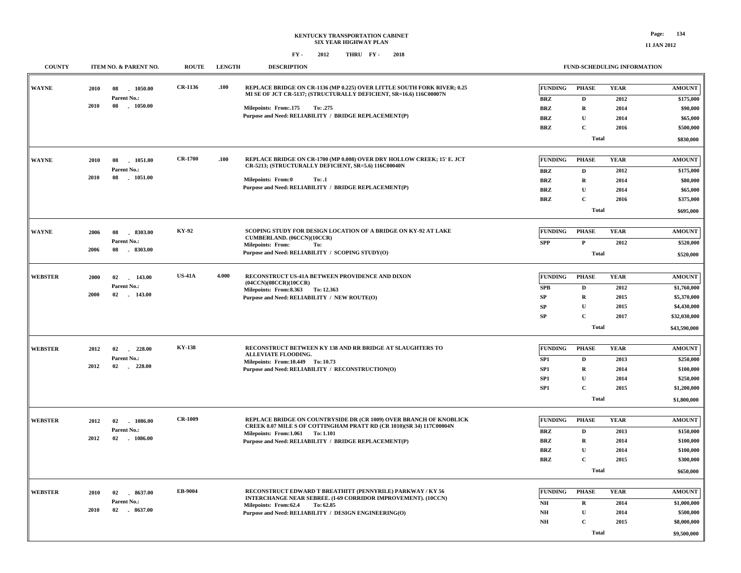**\$9,500,000**

**Total**

| <b>COUNTY</b>  |      | ITEM NO. & PARENT NO.           | <b>ROUTE</b>   | <b>LENGTH</b> | <b>DESCRIPTION</b>                                                                                                                         |                                                       |                              | <b>FUND-SCHEDULING INFORMATION</b> |                        |           |
|----------------|------|---------------------------------|----------------|---------------|--------------------------------------------------------------------------------------------------------------------------------------------|-------------------------------------------------------|------------------------------|------------------------------------|------------------------|-----------|
| <b>WAYNE</b>   | 2010 | 1050.00<br>08                   | CR-1136        | .100          | REPLACE BRIDGE ON CR-1136 (MP 0.225) OVER LITTLE SOUTH FORK RIVER; 0.25                                                                    | <b>FUNDING</b>                                        | <b>PHASE</b>                 | <b>YEAR</b>                        | <b>AMOUNT</b>          |           |
|                |      | Parent No.:                     |                |               | MI SE OF JCT CR-5137; (STRUCTURALLY DEFICIENT, SR=16.6) 116C00007N                                                                         | $\mathbf{BRZ}$                                        | $\mathbf D$                  | 2012                               | \$175,000              |           |
|                | 2010 | 08 1050.00                      |                |               | Milepoints: From: 175<br>To: .275                                                                                                          | <b>BRZ</b>                                            | $\mathbf R$                  | 2014                               | \$90,000               |           |
|                |      |                                 |                |               | Purpose and Need: RELIABILITY / BRIDGE REPLACEMENT(P)                                                                                      | <b>BRZ</b>                                            | $\mathbf U$                  | 2014                               | \$65,000               |           |
|                |      |                                 |                |               |                                                                                                                                            | <b>BRZ</b>                                            | $\mathbf{C}$                 | 2016                               | \$500,000              |           |
|                |      |                                 |                |               |                                                                                                                                            |                                                       | Total                        |                                    | \$830,000              |           |
|                |      |                                 |                |               |                                                                                                                                            |                                                       |                              |                                    |                        |           |
| <b>WAYNE</b>   | 2010 | 08<br>1051.00                   | <b>CR-1700</b> | .100          | REPLACE BRIDGE ON CR-1700 (MP 0.008) OVER DRY HOLLOW CREEK; 15' E. JCT<br>CR-5213; (STRUCTURALLY DEFICIENT, SR=5.6) 116C00040N             | <b>FUNDING</b>                                        | <b>PHASE</b>                 | <b>YEAR</b>                        | <b>AMOUNT</b>          |           |
|                |      | Parent No.:                     |                |               |                                                                                                                                            | <b>BRZ</b>                                            | $\mathbf D$                  | 2012                               | \$175,000              |           |
|                | 2010 | 08<br>1051.00                   |                |               | Milepoints: From:0<br>To: .1                                                                                                               | <b>BRZ</b>                                            | $\mathbf R$                  | 2014                               | \$80,000               |           |
|                |      |                                 |                |               | Purpose and Need: RELIABILITY / BRIDGE REPLACEMENT(P)                                                                                      | <b>BRZ</b>                                            | $\mathbf U$                  | 2014                               | \$65,000               |           |
|                |      |                                 |                |               |                                                                                                                                            | <b>BRZ</b>                                            | $\mathbf C$                  | 2016                               | \$375,000              |           |
|                |      |                                 |                |               |                                                                                                                                            |                                                       | <b>Total</b>                 |                                    | \$695,000              |           |
| <b>WAYNE</b>   |      |                                 | KY-92          |               | SCOPING STUDY FOR DESIGN LOCATION OF A BRIDGE ON KY-92 AT LAKE                                                                             | <b>FUNDING</b>                                        | <b>PHASE</b>                 | <b>YEAR</b>                        | <b>AMOUNT</b>          |           |
|                | 2006 | 08<br>8303.00<br>Parent No.:    |                |               | CUMBERLAND. (06CCN)(10CCR)                                                                                                                 |                                                       |                              |                                    |                        |           |
|                | 2006 | 08<br>$-8303.00$                |                |               | <b>Milepoints: From:</b><br>To:<br>Purpose and Need: RELIABILITY / SCOPING STUDY(O)                                                        | ${\bf SPP}$                                           | $\mathbf{P}$<br><b>Total</b> | 2012                               | \$520,000<br>\$520,000 |           |
|                |      |                                 |                |               |                                                                                                                                            |                                                       |                              |                                    |                        |           |
| <b>WEBSTER</b> | 2000 | 02<br>143.00                    | <b>US-41A</b>  | 4.000         | RECONSTRUCT US-41A BETWEEN PROVIDENCE AND DIXON                                                                                            | <b>FUNDING</b>                                        | <b>PHASE</b>                 | <b>YEAR</b>                        | <b>AMOUNT</b>          |           |
|                |      | Parent No.:                     |                |               | (04CCN)(08CCR)(10CCR)<br>Milepoints: From: 8.363 To: 12.363<br>Purpose and Need: RELIABILITY / NEW ROUTE(O)                                | <b>SPB</b>                                            | D                            | 2012                               | \$1,760,000            |           |
|                | 2000 | 02 143.00                       |                |               |                                                                                                                                            | SP                                                    | $\mathbf R$                  | 2015                               | \$5,370,000            |           |
|                |      |                                 |                |               |                                                                                                                                            | SP                                                    | $\mathbf{U}$                 | 2015                               | \$4,430,000            |           |
|                |      |                                 |                |               |                                                                                                                                            | <b>SP</b>                                             | $\mathbf{C}$                 | 2017                               | \$32,030,000           |           |
|                |      |                                 |                |               |                                                                                                                                            |                                                       | <b>Total</b>                 |                                    | \$43,590,000           |           |
|                |      |                                 |                |               |                                                                                                                                            |                                                       |                              |                                    |                        |           |
| <b>WEBSTER</b> | 2012 | $-228.00$<br>02                 | <b>KY-138</b>  |               | RECONSTRUCT BETWEEN KY 138 AND RR BRIDGE AT SLAUGHTERS TO                                                                                  | <b>FUNDING</b>                                        | <b>PHASE</b>                 | <b>YEAR</b>                        | <b>AMOUNT</b>          |           |
|                |      | Parent No.:                     |                |               | <b>ALLEVIATE FLOODING.</b><br>Milepoints: From:10.449 To: 10.73<br>Purpose and Need: RELIABILITY / RECONSTRUCTION(O)                       | SP1                                                   | D                            | 2013                               | \$250,000              |           |
|                | 2012 | 02 228.00                       |                |               |                                                                                                                                            | SP1                                                   | R                            | 2014                               | \$100,000              |           |
|                |      |                                 |                | SP1           | $\mathbf{U}$                                                                                                                               | 2014                                                  | \$250,000                    |                                    |                        |           |
|                |      |                                 |                | SP1           | $\mathbf C$                                                                                                                                | 2015                                                  | \$1,200,000                  |                                    |                        |           |
|                |      |                                 |                |               |                                                                                                                                            | <b>Total</b>                                          |                              | \$1,800,000                        |                        |           |
|                |      |                                 |                |               |                                                                                                                                            |                                                       |                              |                                    |                        |           |
| <b>WEBSTER</b> | 2012 | 02<br>1086.00                   | <b>CR-1009</b> |               | REPLACE BRIDGE ON COUNTRYSIDE DR (CR 1009) OVER BRANCH OF KNOBLICK<br>CREEK 0.07 MILE S OF COTTINGHAM PRATT RD (CR 1010)(SR 34) 117C00004N | <b>FUNDING</b>                                        | <b>PHASE</b>                 | <b>YEAR</b>                        | <b>AMOUNT</b>          |           |
|                |      | Parent No.:                     |                |               | Milepoints: From: 1.061 To: 1.101                                                                                                          | <b>BRZ</b>                                            | $\mathbf D$                  | 2013                               | \$150,000              |           |
|                | 2012 | 02<br>$-1086.00$                |                |               | Purpose and Need: RELIABILITY / BRIDGE REPLACEMENT(P)                                                                                      | <b>BRZ</b>                                            | $\mathbf R$                  | 2014                               | \$100,000              |           |
|                |      |                                 |                |               |                                                                                                                                            | <b>BRZ</b>                                            | $\mathbf{U}$                 | 2014                               | \$100,000              |           |
|                |      |                                 |                |               | <b>BRZ</b>                                                                                                                                 | $\mathbf C$                                           | 2015                         | \$300,000                          |                        |           |
|                |      |                                 |                |               |                                                                                                                                            |                                                       | <b>Total</b>                 |                                    | \$650,000              |           |
|                |      |                                 | EB-9004        |               | RECONSTRUCT EDWARD T BREATHITT (PENNYRILE) PARKWAY / KY 56                                                                                 |                                                       |                              |                                    |                        |           |
| <b>WEBSTER</b> | 2010 | 02 . 8637.00                    |                |               | INTERCHANGE NEAR SEBREE. (I-69 CORRIDOR IMPROVEMENT). (10CCN)                                                                              | <b>FUNDING</b>                                        | <b>PHASE</b>                 | <b>YEAR</b>                        | <b>AMOUNT</b>          |           |
|                | 2010 | Parent No.:<br>02<br>$-8637.00$ |                |               | Milepoints: From:62.4<br>To: 62.85                                                                                                         | NH                                                    | $\bf R$                      | 2014                               | \$1,000,000            |           |
|                |      |                                 |                |               |                                                                                                                                            | Purpose and Need: RELIABILITY / DESIGN ENGINEERING(O) | $\mathbf{N}\mathbf{H}$       | $\mathbf U$                        | 2014                   | \$500,000 |
|                |      |                                 |                |               |                                                                                                                                            | NH                                                    | $\mathbf{C}$                 | 2015                               | \$8,000,000            |           |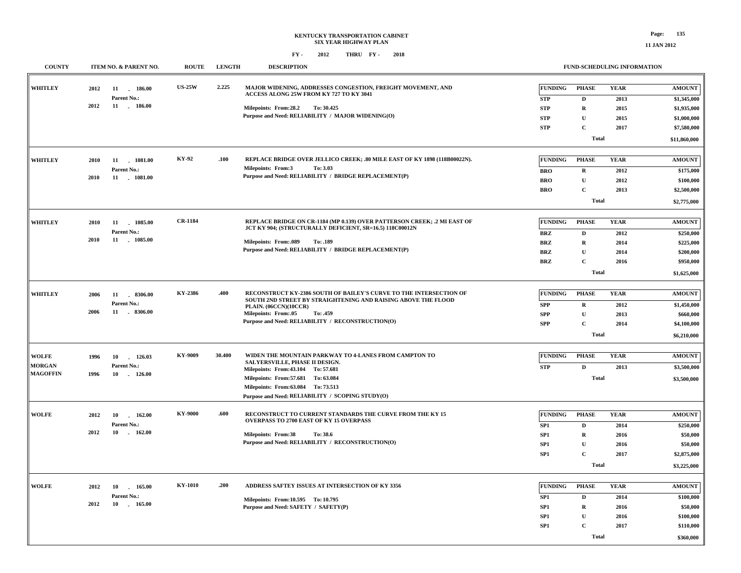| <b>COUNTY</b>   | ITEM NO. & PARENT NO. | <b>ROUTE</b>   | <b>LENGTH</b> | <b>DESCRIPTION</b>                                                                                                                   |                                    |                        | FUND-SCHEDULING INFORMATION |                            |
|-----------------|-----------------------|----------------|---------------|--------------------------------------------------------------------------------------------------------------------------------------|------------------------------------|------------------------|-----------------------------|----------------------------|
| <b>WHITLEY</b>  | 2012<br>11<br>186.00  | <b>US-25W</b>  | 2.225         | MAJOR WIDENING, ADDRESSES CONGESTION, FREIGHT MOVEMENT, AND                                                                          | <b>FUNDING</b>                     | <b>PHASE</b>           | <b>YEAR</b>                 | <b>AMOUNT</b>              |
|                 | Parent No.:           |                |               | ACCESS ALONG 25W FROM KY 727 TO KY 3041                                                                                              | <b>STP</b>                         | D                      | 2013                        | \$1,345,000                |
|                 | 2012<br>11 . 186.00   |                |               | Milepoints: From:28.2<br>To: 30.425                                                                                                  | <b>STP</b>                         | $\bf R$                | 2015                        | \$1,935,000                |
|                 |                       |                |               | Purpose and Need: RELIABILITY / MAJOR WIDENING(O)                                                                                    | <b>STP</b>                         | $\mathbf U$            | 2015                        | \$1,000,000                |
|                 |                       |                |               |                                                                                                                                      | <b>STP</b>                         | $\mathbf{C}$           | 2017                        | \$7,580,000                |
|                 |                       |                |               |                                                                                                                                      |                                    |                        |                             |                            |
|                 |                       |                |               |                                                                                                                                      |                                    | <b>Total</b>           |                             | \$11,860,000               |
| <b>WHITLEY</b>  | 11<br>1081.00<br>2010 | <b>KY-92</b>   | .100          | REPLACE BRIDGE OVER JELLICO CREEK; .80 MILE EAST OF KY 1898 (118B00022N).                                                            | <b>FUNDING</b>                     | <b>PHASE</b>           | <b>YEAR</b>                 | <b>AMOUNT</b>              |
|                 | Parent No.:           |                |               | <b>Milepoints: From:3</b><br>To: 3.03                                                                                                | <b>BRO</b>                         | $\mathbf R$            | 2012                        | \$175,000                  |
|                 | 2010<br>11<br>1081.00 |                |               | Purpose and Need: RELIABILITY / BRIDGE REPLACEMENT(P)                                                                                | <b>BRO</b>                         | ${\bf U}$              | 2012                        | \$100,000                  |
|                 |                       |                |               |                                                                                                                                      | <b>BRO</b>                         | $\mathbf C$            | 2013                        | \$2,500,000                |
|                 |                       |                |               |                                                                                                                                      |                                    | <b>Total</b>           |                             | \$2,775,000                |
|                 |                       |                |               |                                                                                                                                      |                                    |                        |                             |                            |
| <b>WHITLEY</b>  | 2010<br>11<br>1085.00 | <b>CR-1184</b> |               | REPLACE BRIDGE ON CR-1184 (MP 0.139) OVER PATTERSON CREEK; .2 MI EAST OF<br>JCT KY 904; (STRUCTURALLY DEFICIENT, SR=16.5) 118C00012N | <b>FUNDING</b>                     | <b>PHASE</b>           | <b>YEAR</b>                 | <b>AMOUNT</b>              |
|                 | Parent No.:           |                |               | Milepoints: From:.089<br>To: .189                                                                                                    | <b>BRZ</b>                         | D                      | 2012                        | \$250,000                  |
| 2010            | 11 1085.00            |                |               |                                                                                                                                      | <b>BRZ</b>                         | $\mathbf R$            | 2014                        | \$225,000                  |
|                 |                       |                |               | Purpose and Need: RELIABILITY / BRIDGE REPLACEMENT(P)                                                                                | <b>BRZ</b>                         | $\mathbf U$            | 2014                        | \$200,000                  |
|                 |                       |                |               |                                                                                                                                      | <b>BRZ</b>                         | $\mathbf C$            | 2016                        | \$950,000                  |
|                 |                       |                |               |                                                                                                                                      |                                    | <b>Total</b>           |                             | \$1,625,000                |
|                 |                       |                |               |                                                                                                                                      |                                    |                        |                             |                            |
| <b>WHITLEY</b>  | 2006<br>11 . 8306.00  | KY-2386        | .400          | RECONSTRUCT KY-2386 SOUTH OF BAILEY'S CURVE TO THE INTERSECTION OF<br>SOUTH 2ND STREET BY STRAIGHTENING AND RAISING ABOVE THE FLOOD  | <b>FUNDING</b>                     | <b>PHASE</b>           | <b>YEAR</b>                 | <b>AMOUNT</b>              |
|                 | Parent No.:           |                |               | PLAIN. (06CCN)(10CCR)                                                                                                                | <b>SPP</b>                         | R                      | 2012                        | \$1,450,000                |
|                 | 2006<br>11 8306.00    |                |               | Milepoints: From:.05<br>To: .459<br>Purpose and Need: RELIABILITY / RECONSTRUCTION(O)                                                | <b>SPP</b>                         | $\mathbf U$            | 2013                        | \$660,000                  |
|                 |                       |                |               |                                                                                                                                      | <b>SPP</b>                         | $\mathbf C$            | 2014                        | \$4,100,000                |
|                 |                       |                |               |                                                                                                                                      |                                    | <b>Total</b>           |                             | \$6,210,000                |
|                 |                       |                |               |                                                                                                                                      |                                    |                        |                             |                            |
| <b>WOLFE</b>    | 1996<br>10<br>126.03  | KY-9009        | 30.400        | WIDEN THE MOUNTAIN PARKWAY TO 4-LANES FROM CAMPTON TO                                                                                | <b>FUNDING</b>                     | <b>PHASE</b>           | <b>YEAR</b>                 | <b>AMOUNT</b>              |
| <b>MORGAN</b>   | Parent No.:           |                |               | SALYERSVILLE, PHASE II DESIGN.<br>Milepoints: From: 43.104 To: 57.681                                                                | <b>STP</b>                         | $\mathbf D$            | 2013                        | \$3,500,000                |
| <b>MAGOFFIN</b> | 1996<br>10 - 126.00   |                |               | Milepoints: From: 57.681 To: 63.084                                                                                                  |                                    | <b>Total</b>           |                             | \$3,500,000                |
|                 |                       |                |               | Milepoints: From: 63.084 To: 73.513                                                                                                  |                                    |                        |                             |                            |
|                 |                       |                |               | Purpose and Need: RELIABILITY / SCOPING STUDY(O)                                                                                     |                                    |                        |                             |                            |
| <b>WOLFE</b>    | 2012<br>10<br>162.00  | KY-9000        | .600          | RECONSTRUCT TO CURRENT STANDARDS THE CURVE FROM THE KY 15                                                                            | <b>FUNDING</b>                     | <b>PHASE</b>           | <b>YEAR</b>                 | <b>AMOUNT</b>              |
|                 | $\sim$<br>Parent No.: |                |               | OVERPASS TO 2700 EAST OF KY 15 OVERPASS                                                                                              |                                    |                        |                             |                            |
|                 | 2012<br>10 - 162.00   |                |               | <b>Milepoints: From:38</b><br>To: 38.6                                                                                               | SP1                                | D                      | 2014                        | \$250,000                  |
|                 |                       |                |               | Purpose and Need: RELIABILITY / RECONSTRUCTION(O)                                                                                    | SP1                                | $\bf R$<br>$\mathbf U$ | 2016                        | \$50,000                   |
|                 |                       |                |               |                                                                                                                                      | SP <sub>1</sub><br>SP <sub>1</sub> | $\mathbf C$            | 2016                        | \$50,000                   |
|                 |                       |                |               |                                                                                                                                      |                                    | <b>Total</b>           | 2017                        | \$2,875,000<br>\$3,225,000 |
|                 |                       |                |               |                                                                                                                                      |                                    |                        |                             |                            |
| <b>WOLFE</b>    | 2012<br>10 165.00     | <b>KY-1010</b> | .200          | ADDRESS SAFTEY ISSUES AT INTERSECTION OF KY 3356                                                                                     | <b>FUNDING</b>                     | <b>PHASE</b>           | <b>YEAR</b>                 | <b>AMOUNT</b>              |
|                 | Parent No.:           |                |               | Milepoints: From:10.595 To: 10.795                                                                                                   | SP1                                | D                      | 2014                        | \$100,000                  |
|                 | 2012<br>10 - 165.00   |                |               | Purpose and Need: SAFETY / SAFETY(P)                                                                                                 | SP1                                | $\mathbf R$            | 2016                        | \$50,000                   |
|                 |                       |                |               |                                                                                                                                      | SP <sub>1</sub>                    | $\mathbf U$            | 2016                        | \$100,000                  |
|                 |                       |                |               |                                                                                                                                      | SP1                                | $\mathbf C$            | 2017                        | \$110,000                  |
|                 |                       |                |               |                                                                                                                                      |                                    | <b>Total</b>           |                             | \$360,000                  |
|                 |                       |                |               |                                                                                                                                      |                                    |                        |                             |                            |